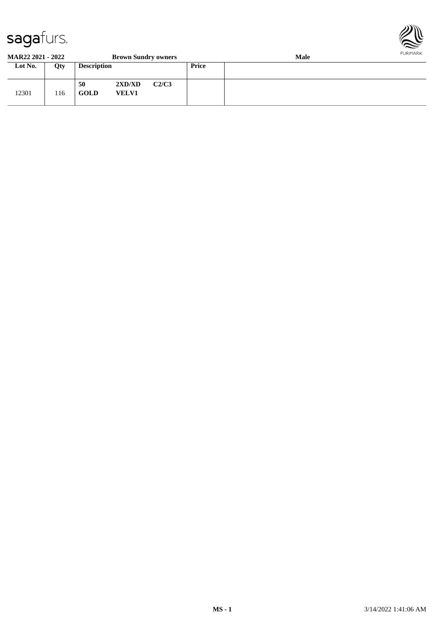

#### **MAR22 2021 - 2022 Brown Sundry owners Male Lot No. Qty Description Price**

| LOU NO. | Qty. | Description       |                        |       | <b>Price</b> |  |
|---------|------|-------------------|------------------------|-------|--------------|--|
| 12301   | 116  | 50<br><b>GOLD</b> | 2XD/XD<br><b>VELV1</b> | C2/C3 |              |  |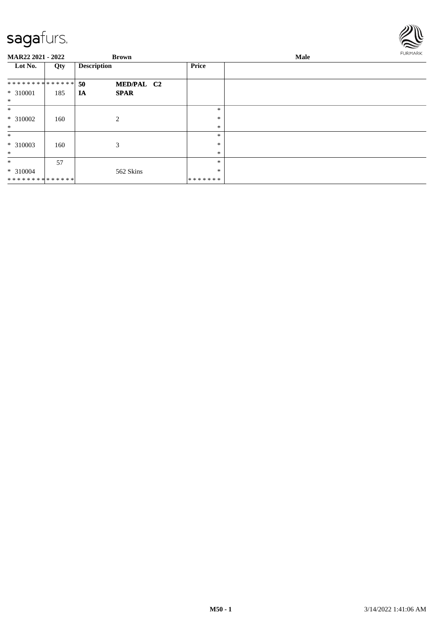

| <b>MAR22 2021 - 2022</b> |     | <b>Brown</b>       |              | Male   | <b>FURMARK</b> |
|--------------------------|-----|--------------------|--------------|--------|----------------|
| Lot No.                  | Qty | <b>Description</b> | <b>Price</b> |        |                |
| **************           |     | 50<br>MED/PAL C2   |              |        |                |
| * 310001<br>$\ast$       | 185 | <b>SPAR</b><br>IA  |              |        |                |
| $\ast$                   |     |                    |              | $\ast$ |                |
| $* 310002$               | 160 | 2                  |              | $\ast$ |                |
| $\ast$                   |     |                    |              | $\ast$ |                |
| $\ast$                   |     |                    |              | $\ast$ |                |
| $*310003$                | 160 | 3                  |              | $\ast$ |                |
| $\ast$                   |     |                    |              | $\ast$ |                |
| $\ast$                   | 57  |                    |              | $\ast$ |                |
| $* 310004$               |     | 562 Skins          |              | $\ast$ |                |
| **************           |     |                    | *******      |        |                |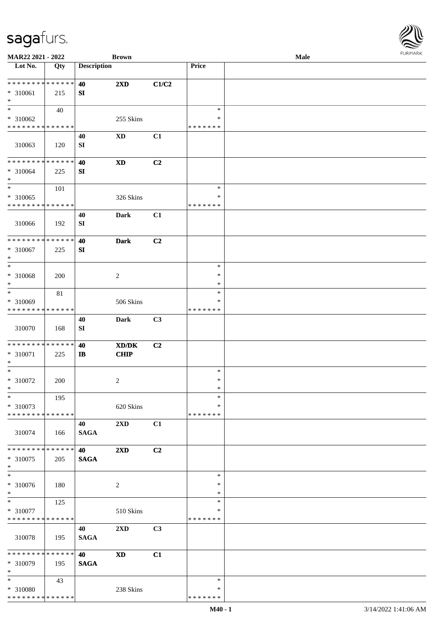\* \*

\* \*

\* \*

\*

\*

\* \*

\*

\*

\* \*

\*

\*

\* \*

\* 310080

\* \* \* \* \* \* \* \* \* \* \* \* \* \*

43

238 Skins

**MAR22 2021 - 2022 Brown Male**

| Lot No.                                    | Qty | <b>Description</b>     |                                                                                                      |       | Price              |  |
|--------------------------------------------|-----|------------------------|------------------------------------------------------------------------------------------------------|-------|--------------------|--|
| * * * * * * * * <mark>* * * * * *</mark>   |     | 40                     | $2\mathbf{X}\mathbf{D}$                                                                              | C1/C2 |                    |  |
| $* 310061$                                 | 215 | SI                     |                                                                                                      |       |                    |  |
| $*$                                        |     |                        |                                                                                                      |       |                    |  |
| $\ddot{x}$                                 | 40  |                        |                                                                                                      |       | $\ast$             |  |
| $* 310062$                                 |     |                        | 255 Skins                                                                                            |       | ∗                  |  |
| * * * * * * * * * * * * * * *              |     |                        |                                                                                                      |       | *******            |  |
| 310063                                     | 120 | 40<br>SI               | <b>XD</b>                                                                                            | C1    |                    |  |
| **************                             |     | 40                     | <b>XD</b>                                                                                            | C2    |                    |  |
| * 310064                                   | 225 | SI                     |                                                                                                      |       |                    |  |
| $\ast$                                     |     |                        |                                                                                                      |       |                    |  |
|                                            | 101 |                        |                                                                                                      |       | $\ast$             |  |
| $* 310065$<br>* * * * * * * * * * * * * *  |     |                        | 326 Skins                                                                                            |       | *<br>* * * * * * * |  |
| 310066                                     | 192 | 40<br>SI               | <b>Dark</b>                                                                                          | C1    |                    |  |
| * * * * * * * * * * * * * * *              |     |                        |                                                                                                      |       |                    |  |
| * 310067<br>$*$                            | 225 | 40<br>SI               | <b>Dark</b>                                                                                          | C2    |                    |  |
| $\overline{\ast}$                          |     |                        |                                                                                                      |       | $\ast$             |  |
| * 310068                                   | 200 |                        | $\overline{2}$                                                                                       |       | $\ast$             |  |
| $\ast$                                     |     |                        |                                                                                                      |       | $\ast$             |  |
| $*$                                        | 81  |                        |                                                                                                      |       | $\ast$<br>*        |  |
| * 310069<br>* * * * * * * * * * * * * *    |     |                        | 506 Skins                                                                                            |       | * * * * * * *      |  |
| 310070                                     | 168 | 40<br>${\bf S}{\bf I}$ | <b>Dark</b>                                                                                          | C3    |                    |  |
|                                            |     |                        |                                                                                                      |       |                    |  |
| * * * * * * * * <mark>* * * * * *</mark>   |     | 40                     | $\boldsymbol{\text{X}}\boldsymbol{\text{D}}\boldsymbol{/}\boldsymbol{\text{D}}\boldsymbol{\text{K}}$ | C2    |                    |  |
| * 310071<br>$\ast$                         | 225 | $\mathbf{I}$           | CHIP                                                                                                 |       |                    |  |
| $\ast$                                     |     |                        |                                                                                                      |       | $\ast$             |  |
| * 310072                                   | 200 |                        | $\overline{2}$                                                                                       |       | $\ast$             |  |
| $\ast$                                     |     |                        |                                                                                                      |       | $\ast$             |  |
| $*$                                        | 195 |                        |                                                                                                      |       | $\ast$             |  |
| * 310073                                   |     |                        | 620 Skins                                                                                            |       | ∗                  |  |
| * * * * * * * * <mark>* * * * * * *</mark> |     | 40                     | 2XD                                                                                                  | C1    | * * * * * * *      |  |
| 310074                                     | 166 | <b>SAGA</b>            |                                                                                                      |       |                    |  |
| * * * * * * * * <mark>* * * * * * *</mark> |     | 40                     | 2XD                                                                                                  | C2    |                    |  |
| * 310075                                   | 205 | <b>SAGA</b>            |                                                                                                      |       |                    |  |
| $\ast$                                     |     |                        |                                                                                                      |       |                    |  |
| $\ast$<br>* 310076                         |     |                        | $\overline{c}$                                                                                       |       | $\ast$<br>∗        |  |
| $\ast$                                     | 180 |                        |                                                                                                      |       | $\ast$             |  |
| $\ast$                                     | 125 |                        |                                                                                                      |       | $\ast$             |  |
| * 310077                                   |     |                        | 510 Skins                                                                                            |       | ∗                  |  |
| * * * * * * * * <mark>* * * * * * *</mark> |     |                        |                                                                                                      |       | * * * * * * *      |  |
| 310078                                     | 195 | 40<br><b>SAGA</b>      | $2{\bf X}{\bf D}$                                                                                    | C3    |                    |  |
| * * * * * * * * <mark>* * * * * * *</mark> |     | 40                     | $\boldsymbol{\mathrm{XD}}$                                                                           | C1    |                    |  |
| * 310079                                   | 195 | <b>SAGA</b>            |                                                                                                      |       |                    |  |
|                                            |     |                        |                                                                                                      |       |                    |  |

\* \*

\* \* \* \* \* \* \*

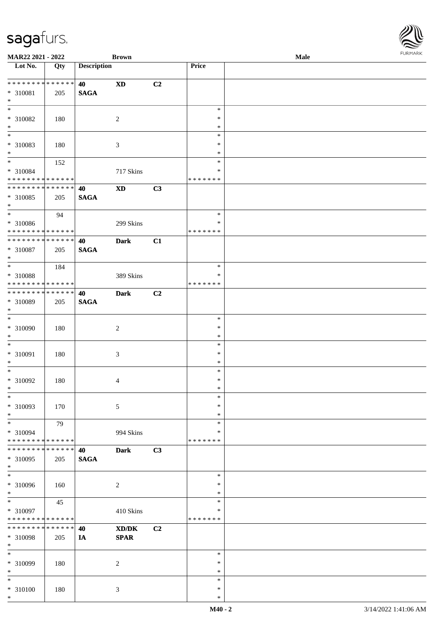\*

| MAR22 2021 - 2022                        |             |                    | <b>Brown</b>                                |    |                         | Male | <b>FURMARK</b> |
|------------------------------------------|-------------|--------------------|---------------------------------------------|----|-------------------------|------|----------------|
| $\overline{\text{Lot No.}}$              | Qty         | <b>Description</b> |                                             |    | Price                   |      |                |
| **************                           |             | 40                 | $\boldsymbol{\mathrm{XD}}$                  | C2 |                         |      |                |
| * 310081                                 | 205         | <b>SAGA</b>        |                                             |    |                         |      |                |
| $\ast$                                   |             |                    |                                             |    |                         |      |                |
| $\ast$                                   |             |                    |                                             |    | $\ast$                  |      |                |
| * 310082                                 | 180         |                    | $\boldsymbol{2}$                            |    | $\ast$                  |      |                |
| $\ast$<br>$\overline{\phantom{0}}$       |             |                    |                                             |    | $\ast$                  |      |                |
|                                          |             |                    |                                             |    | $\ast$<br>$\ast$        |      |                |
| $* 310083$<br>$\ast$                     | 180         |                    | $\mathfrak{Z}$                              |    | $\ast$                  |      |                |
| $\ast$                                   | 152         |                    |                                             |    | $\ast$                  |      |                |
| * 310084                                 |             |                    | 717 Skins                                   |    | $\ast$                  |      |                |
| ******** <mark>******</mark>             |             |                    |                                             |    | * * * * * * *           |      |                |
| ******** <mark>******</mark>             |             | 40                 | <b>XD</b>                                   | C3 |                         |      |                |
| * 310085                                 | 205         | <b>SAGA</b>        |                                             |    |                         |      |                |
| $\ast$<br>$\overline{\phantom{a}^*}$     |             |                    |                                             |    |                         |      |                |
|                                          | 94          |                    |                                             |    | $\ast$                  |      |                |
| * 310086<br>******** <mark>******</mark> |             |                    | 299 Skins                                   |    | ∗<br>* * * * * * *      |      |                |
| **************                           |             | 40                 | <b>Dark</b>                                 | C1 |                         |      |                |
| * 310087                                 | 205         | <b>SAGA</b>        |                                             |    |                         |      |                |
| $\ast$                                   |             |                    |                                             |    |                         |      |                |
| $\ast$                                   | 184         |                    |                                             |    | $\ast$                  |      |                |
| * 310088                                 |             |                    | 389 Skins                                   |    | $\ast$                  |      |                |
| **************                           |             |                    |                                             |    | * * * * * * *           |      |                |
| **************                           |             | 40                 | <b>Dark</b>                                 | C2 |                         |      |                |
| * 310089                                 | 205         | <b>SAGA</b>        |                                             |    |                         |      |                |
| $\ast$                                   |             |                    |                                             |    |                         |      |                |
| $\overline{\ast}$                        |             |                    |                                             |    | $\ast$                  |      |                |
| * 310090                                 | 180         |                    | $\overline{c}$                              |    | $\ast$                  |      |                |
| $\ast$<br>$\ast$                         |             |                    |                                             |    | $\ast$<br>$\ast$        |      |                |
| $* 310091$                               | 180         |                    | 3                                           |    | $\ast$                  |      |                |
| $\ast$                                   |             |                    |                                             |    | $\ast$                  |      |                |
| $\overline{\phantom{a}^*}$               |             |                    |                                             |    | $\ast$                  |      |                |
| * 310092                                 | 180         |                    | 4                                           |    | $\ast$                  |      |                |
| $\ast$                                   |             |                    |                                             |    | $\ast$                  |      |                |
| $\overline{\phantom{a}^*}$               |             |                    |                                             |    | $\ast$                  |      |                |
| * 310093                                 | 170         |                    | 5                                           |    | $\ast$                  |      |                |
| $\ast$                                   |             |                    |                                             |    | $\ast$                  |      |                |
| $\ast$                                   | 79          |                    |                                             |    | $\ast$                  |      |                |
| * 310094<br>**************               |             |                    | 994 Skins                                   |    | $\ast$<br>* * * * * * * |      |                |
| **************                           |             | 40                 | <b>Dark</b>                                 | C3 |                         |      |                |
| * 310095                                 | 205         | <b>SAGA</b>        |                                             |    |                         |      |                |
| $\ast$                                   |             |                    |                                             |    |                         |      |                |
| $\overline{\phantom{a}^*}$               |             |                    |                                             |    | $\ast$                  |      |                |
| * 310096                                 | 160         |                    | $\sqrt{2}$                                  |    | $\ast$                  |      |                |
| $\ast$                                   |             |                    |                                             |    | $\ast$                  |      |                |
| $\ast$                                   | 45          |                    |                                             |    | $\ast$                  |      |                |
| * 310097                                 |             |                    | 410 Skins                                   |    | $\ast$                  |      |                |
| **************                           |             |                    |                                             |    | * * * * * * *           |      |                |
| ********                                 | * * * * * * | 40                 | $\mathbf{X}\mathbf{D}/\mathbf{D}\mathbf{K}$ | C2 |                         |      |                |
| * 310098<br>$\ast$                       | 205         | IA                 | $\pmb{\quad \text{SPAR} \quad}$             |    |                         |      |                |
| $\ast$                                   |             |                    |                                             |    | $\ast$                  |      |                |
| * 310099                                 | 180         |                    | $\boldsymbol{2}$                            |    | $\ast$                  |      |                |
| $\ast$                                   |             |                    |                                             |    | $\ast$                  |      |                |
| $\ast$                                   |             |                    |                                             |    | $\ast$                  |      |                |
| $* 310100$                               | 180         |                    | 3                                           |    | $\ast$                  |      |                |
| $\ast$                                   |             |                    |                                             |    | $\ast$                  |      |                |

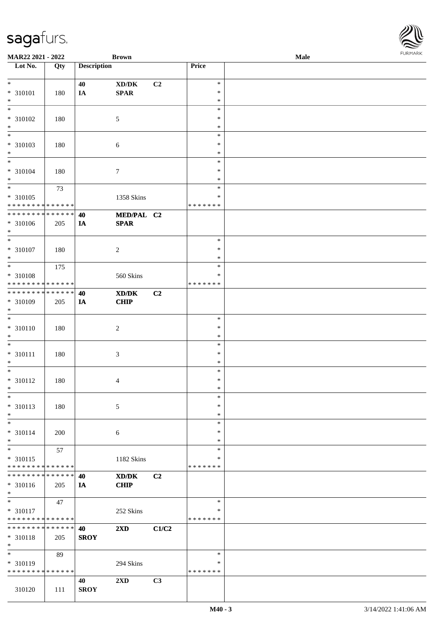| <b>MAR22 2021 - 2022</b>                   |             |                    | <b>Brown</b>                                                                                         |                |               | Male | <b>FUNITANN</b> |
|--------------------------------------------|-------------|--------------------|------------------------------------------------------------------------------------------------------|----------------|---------------|------|-----------------|
| Lot No.                                    | Qty         | <b>Description</b> |                                                                                                      |                | Price         |      |                 |
|                                            |             |                    |                                                                                                      |                |               |      |                 |
| $\ast$                                     |             | 40                 | XD/DK                                                                                                | C2             | $\ast$        |      |                 |
| * 310101                                   | 180         | IA                 | SPAR                                                                                                 |                | $\ast$        |      |                 |
| $\ast$                                     |             |                    |                                                                                                      |                | $\ast$        |      |                 |
|                                            |             |                    |                                                                                                      |                | $\ast$        |      |                 |
| * 310102                                   | 180         |                    | $\mathfrak{S}$                                                                                       |                | $\ast$        |      |                 |
| $*$                                        |             |                    |                                                                                                      |                | $\ast$        |      |                 |
| $\overline{\ast}$                          |             |                    |                                                                                                      |                | $\ast$        |      |                 |
| * 310103                                   | 180         |                    | $\sqrt{6}$                                                                                           |                | $\ast$        |      |                 |
| $\ast$                                     |             |                    |                                                                                                      |                | $\ast$        |      |                 |
| $\overline{\phantom{0}}$                   |             |                    |                                                                                                      |                | $\ast$        |      |                 |
| * 310104                                   | 180         |                    | $\tau$                                                                                               |                | $\ast$        |      |                 |
| $\ast$                                     |             |                    |                                                                                                      |                | $\ast$        |      |                 |
|                                            | 73          |                    |                                                                                                      |                | $\ast$        |      |                 |
| * 310105                                   |             |                    | 1358 Skins                                                                                           |                | $\ast$        |      |                 |
| * * * * * * * * <mark>* * * * * * *</mark> |             |                    |                                                                                                      |                | * * * * * * * |      |                 |
| * * * * * * * * <mark>* * * * * * *</mark> |             | 40                 | MED/PAL C2                                                                                           |                |               |      |                 |
| * 310106                                   | 205         | IA                 | <b>SPAR</b>                                                                                          |                |               |      |                 |
| $*$                                        |             |                    |                                                                                                      |                |               |      |                 |
| $\overline{\ast}$                          |             |                    |                                                                                                      |                | $\ast$        |      |                 |
| * 310107                                   | 180         |                    | $\overline{2}$                                                                                       |                | $\ast$        |      |                 |
| $*$                                        |             |                    |                                                                                                      |                | $\ast$        |      |                 |
|                                            | 175         |                    |                                                                                                      |                | $\ast$        |      |                 |
| * 310108                                   |             |                    | 560 Skins                                                                                            |                | $\ast$        |      |                 |
| * * * * * * * * <mark>* * * * * * *</mark> |             |                    |                                                                                                      |                | * * * * * * * |      |                 |
| * * * * * * * * * * * * * * <mark>*</mark> |             | 40                 | $\boldsymbol{\text{X}}\boldsymbol{\text{D}}\boldsymbol{/}\boldsymbol{\text{D}}\boldsymbol{\text{K}}$ | C2             |               |      |                 |
| * 310109                                   |             |                    |                                                                                                      |                |               |      |                 |
| $\ast$                                     | 205         | IA                 | <b>CHIP</b>                                                                                          |                |               |      |                 |
| $\overline{\ast}$                          |             |                    |                                                                                                      |                | $\ast$        |      |                 |
|                                            |             |                    |                                                                                                      |                |               |      |                 |
| * 310110                                   | 180         |                    | $\overline{2}$                                                                                       |                | $\ast$        |      |                 |
| $\ast$<br>$\overline{\ast}$                |             |                    |                                                                                                      |                | $\ast$        |      |                 |
|                                            |             |                    |                                                                                                      |                | $\ast$        |      |                 |
| * 310111                                   | 180         |                    | $\mathfrak{Z}$                                                                                       |                | $\ast$        |      |                 |
| $*$                                        |             |                    |                                                                                                      |                | $\ast$        |      |                 |
| $*$                                        |             |                    |                                                                                                      |                | $\ast$        |      |                 |
| * 310112                                   | 180         |                    | $\overline{4}$                                                                                       |                | $\ast$        |      |                 |
| $\ddot{x}$                                 |             |                    |                                                                                                      |                | $\ast$        |      |                 |
| $\ast$                                     |             |                    |                                                                                                      |                | $\ast$        |      |                 |
| * 310113                                   | 180         |                    | $\sqrt{5}$                                                                                           |                | $\ast$        |      |                 |
| $*$                                        |             |                    |                                                                                                      |                | $\ast$        |      |                 |
| $\overline{\phantom{0}}$                   |             |                    |                                                                                                      |                | $\ast$        |      |                 |
| * 310114                                   | 200         |                    | 6                                                                                                    |                | $\ast$        |      |                 |
| $*$                                        |             |                    |                                                                                                      |                | $\ast$        |      |                 |
| $\ast$                                     | 57          |                    |                                                                                                      |                | $\ast$        |      |                 |
| * 310115                                   |             |                    | 1182 Skins                                                                                           |                | ∗             |      |                 |
| * * * * * * * * <mark>* * * * * *</mark>   |             |                    |                                                                                                      |                | * * * * * * * |      |                 |
| * * * * * * * *                            | * * * * * * | 40                 | XD/DK                                                                                                | C <sub>2</sub> |               |      |                 |
| * 310116                                   | 205         | IA                 | <b>CHIP</b>                                                                                          |                |               |      |                 |
| $*$                                        |             |                    |                                                                                                      |                |               |      |                 |
| $*$                                        | 47          |                    |                                                                                                      |                | $\ast$        |      |                 |
| * 310117                                   |             |                    | 252 Skins                                                                                            |                | $\ast$        |      |                 |
| * * * * * * * * <mark>* * * * * *</mark>   |             |                    |                                                                                                      |                | * * * * * * * |      |                 |
| * * * * * * * * <mark>* * * * * * *</mark> |             | 40                 | $2\mathbf{X}\mathbf{D}$                                                                              | C1/C2          |               |      |                 |
| * 310118                                   | 205         | <b>SROY</b>        |                                                                                                      |                |               |      |                 |
| $*$                                        |             |                    |                                                                                                      |                |               |      |                 |
| $\overline{\ast}$                          | 89          |                    |                                                                                                      |                | $\ast$        |      |                 |
| * 310119                                   |             |                    | 294 Skins                                                                                            |                | ∗             |      |                 |
| * * * * * * * * * * * * * *                |             |                    |                                                                                                      |                | * * * * * * * |      |                 |
|                                            |             | 40                 | 2XD                                                                                                  | C3             |               |      |                 |
|                                            |             |                    |                                                                                                      |                |               |      |                 |
| 310120                                     | 111         | <b>SROY</b>        |                                                                                                      |                |               |      |                 |

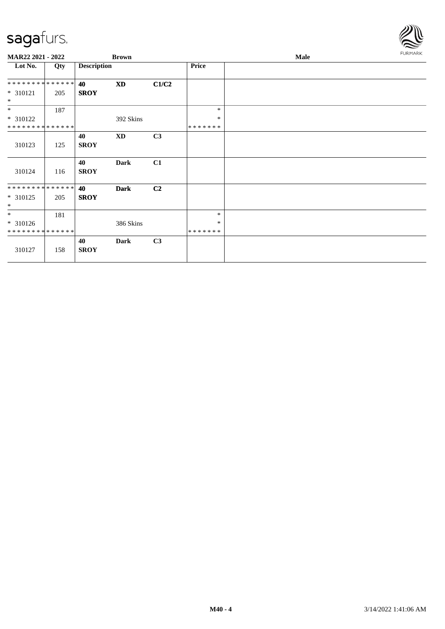

| MAR22 2021 - 2022            |     |                    | <b>Brown</b> |       |                   | <b>Male</b> | FURMARK |
|------------------------------|-----|--------------------|--------------|-------|-------------------|-------------|---------|
| Lot No.                      | Qty | <b>Description</b> |              |       | Price             |             |         |
| **************               |     | 40                 | <b>XD</b>    | C1/C2 |                   |             |         |
| $* 310121$<br>$*$            | 205 | <b>SROY</b>        |              |       |                   |             |         |
| $*$                          | 187 |                    |              |       | $\ast$            |             |         |
| * 310122                     |     |                    | 392 Skins    |       | $\ast$            |             |         |
| **************               |     |                    |              |       | *******           |             |         |
|                              |     | 40                 | XD           | C3    |                   |             |         |
| 310123                       | 125 | <b>SROY</b>        |              |       |                   |             |         |
| 310124                       | 116 | 40<br><b>SROY</b>  | <b>Dark</b>  | C1    |                   |             |         |
| **************               |     | 40                 | <b>Dark</b>  | C2    |                   |             |         |
| $* 310125$<br>$*$            | 205 | <b>SROY</b>        |              |       |                   |             |         |
| $*$                          | 181 |                    |              |       | $\ast$            |             |         |
| $* 310126$<br>************** |     |                    | 386 Skins    |       | $\ast$<br>******* |             |         |
|                              |     |                    |              |       |                   |             |         |
| 310127                       | 158 | 40<br><b>SROY</b>  | <b>Dark</b>  | C3    |                   |             |         |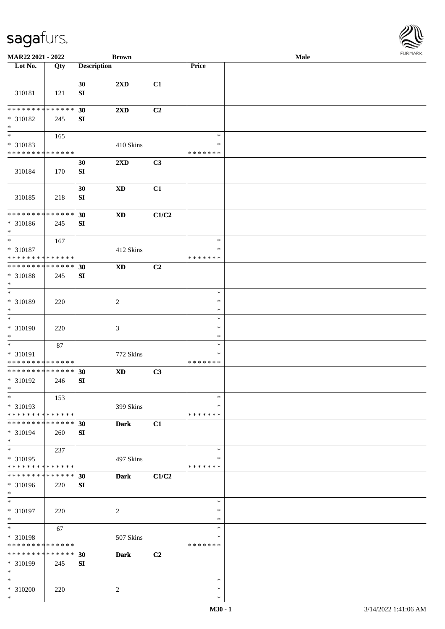| MAR22 2021 - 2022                             |     |                    | <b>Brown</b>            |       |                         | Male | <b>FURMARK</b> |
|-----------------------------------------------|-----|--------------------|-------------------------|-------|-------------------------|------|----------------|
| Lot No.                                       | Qty | <b>Description</b> |                         |       | Price                   |      |                |
| 310181                                        | 121 | 30<br>SI           | 2XD                     | C1    |                         |      |                |
| * * * * * * * * * * * * * * *                 |     | 30                 | 2XD                     | C2    |                         |      |                |
| * 310182<br>$*$                               | 245 | SI                 |                         |       |                         |      |                |
| $\overline{\phantom{0}}$                      | 165 |                    |                         |       | $\ast$                  |      |                |
| * 310183                                      |     |                    | 410 Skins               |       | $\ast$                  |      |                |
| * * * * * * * * * * * * * *                   |     | 30                 | $2\mathbf{X}\mathbf{D}$ | C3    | *******                 |      |                |
| 310184                                        | 170 | SI                 |                         |       |                         |      |                |
| 310185                                        | 218 | 30<br>SI           | $\mathbf{X}\mathbf{D}$  | C1    |                         |      |                |
| ******** <mark>******</mark>                  |     | 30                 | $\mathbf{X}\mathbf{D}$  | C1/C2 |                         |      |                |
| * 310186<br>$\ast$                            | 245 | SI                 |                         |       |                         |      |                |
| $*$                                           | 167 |                    |                         |       | $\ast$                  |      |                |
| * 310187                                      |     |                    | 412 Skins               |       | $\ast$                  |      |                |
| * * * * * * * * * * * * * *<br>************** |     | 30                 | $\mathbf{X}\mathbf{D}$  | C2    | * * * * * * *           |      |                |
| * 310188<br>$\ast$                            | 245 | SI                 |                         |       |                         |      |                |
| $\overline{\phantom{a}^*}$                    |     |                    |                         |       | $\ast$                  |      |                |
| * 310189<br>$\ast$                            | 220 |                    | $\sqrt{2}$              |       | $\ast$<br>$\ast$        |      |                |
| $*$                                           |     |                    |                         |       | $\ast$                  |      |                |
| * 310190                                      | 220 |                    | 3                       |       | $\ast$                  |      |                |
| $\ast$                                        |     |                    |                         |       | $\ast$                  |      |                |
| $\ast$                                        | 87  |                    |                         |       | $\ast$<br>$\ast$        |      |                |
| * 310191<br>* * * * * * * * * * * * * *       |     |                    | 772 Skins               |       | *******                 |      |                |
| **************                                |     | 30                 | $\mathbf{X}\mathbf{D}$  | C3    |                         |      |                |
| * 310192<br>$\ast$                            | 246 | SI                 |                         |       |                         |      |                |
| $\ast$                                        | 153 |                    |                         |       | $\ast$                  |      |                |
| * 310193<br>* * * * * * * * * * * * * *       |     |                    | 399 Skins               |       | *<br>* * * * * * *      |      |                |
| * * * * * * * * * * * * * * *                 |     | 30                 | <b>Dark</b>             | C1    |                         |      |                |
| * 310194<br>$*$                               | 260 | SI                 |                         |       |                         |      |                |
| $\overline{\phantom{1}}$                      | 237 |                    |                         |       | $\ast$                  |      |                |
| * 310195<br>* * * * * * * * * * * * * *       |     |                    | 497 Skins               |       | $\ast$<br>* * * * * * * |      |                |
| **************                                |     | 30                 | <b>Dark</b>             | C1/C2 |                         |      |                |
| * 310196<br>$*$                               | 220 | SI                 |                         |       |                         |      |                |
| $\ast$                                        |     |                    |                         |       | $\ast$                  |      |                |
| * 310197<br>$\ast$                            | 220 |                    | $\boldsymbol{2}$        |       | $\ast$<br>$\ast$        |      |                |
| $\ast$                                        | 67  |                    |                         |       | $\ast$                  |      |                |
| * 310198                                      |     |                    | 507 Skins               |       | $\ast$                  |      |                |
| * * * * * * * * * * * * * *                   |     |                    |                         |       | * * * * * * *           |      |                |
| * * * * * * * * * * * * * * *                 |     | 30                 | <b>Dark</b>             | C2    |                         |      |                |
| * 310199<br>$\ast$                            | 245 | SI                 |                         |       |                         |      |                |
| $\ast$                                        |     |                    |                         |       | $\ast$                  |      |                |
| $* 310200$                                    | 220 |                    | $\overline{c}$          |       | $\ast$                  |      |                |
| $*$                                           |     |                    |                         |       | $\ast$                  |      |                |

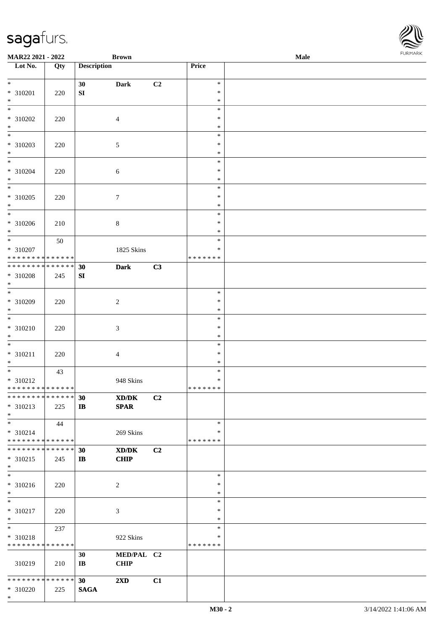\*

| <b>MAR22 2021 - 2022</b>                   |             |                        | <b>Brown</b>            |                |               | Male |  |
|--------------------------------------------|-------------|------------------------|-------------------------|----------------|---------------|------|--|
| Lot No.                                    | Qty         | <b>Description</b>     |                         |                | Price         |      |  |
|                                            |             |                        |                         |                |               |      |  |
| $*$                                        |             | 30                     | <b>Dark</b>             | C <sub>2</sub> | $\ast$        |      |  |
| * 310201                                   | 220         | ${\bf S}{\bf I}$       |                         |                | $\ast$        |      |  |
| $*$                                        |             |                        |                         |                | $\ast$        |      |  |
| $\overline{\mathbf{r}}$                    |             |                        |                         |                | $\ast$        |      |  |
| * 310202                                   | 220         |                        | $\overline{4}$          |                | $\ast$        |      |  |
| $*$                                        |             |                        |                         |                | $\ast$        |      |  |
|                                            |             |                        |                         |                | $\ast$        |      |  |
| * 310203                                   | 220         |                        | $\mathfrak{S}$          |                | $\ast$        |      |  |
| $\ast$                                     |             |                        |                         |                | $\ast$        |      |  |
| $*$                                        |             |                        |                         |                | $\ast$        |      |  |
| * 310204                                   | 220         |                        | $\sqrt{6}$              |                | $\ast$        |      |  |
| $*$                                        |             |                        |                         |                | $\ast$        |      |  |
| $*$                                        |             |                        |                         |                | $\ast$        |      |  |
| * 310205                                   | 220         |                        | $\boldsymbol{7}$        |                | $\ast$        |      |  |
| $\ast$                                     |             |                        |                         |                | $\ast$        |      |  |
| $\overline{\phantom{0}}$                   |             |                        |                         |                | $\ast$        |      |  |
| * 310206                                   | 210         |                        | $8\,$                   |                | $\ast$        |      |  |
| $\ast$                                     |             |                        |                         |                | $\ast$        |      |  |
| $\overline{\ast}$                          | 50          |                        |                         |                | $\ast$        |      |  |
| * 310207                                   |             |                        | 1825 Skins              |                | $\ast$        |      |  |
| * * * * * * * * <mark>* * * * * *</mark>   |             |                        |                         |                | * * * * * * * |      |  |
| * * * * * * * *                            | * * * * * * | 30                     | <b>Dark</b>             | C3             |               |      |  |
| * 310208                                   | 245         | SI                     |                         |                |               |      |  |
| $\ast$                                     |             |                        |                         |                |               |      |  |
|                                            |             |                        |                         |                | $\ast$        |      |  |
| * 310209                                   | 220         |                        | $\sqrt{2}$              |                | $\ast$        |      |  |
| $\ast$                                     |             |                        |                         |                | $\ast$        |      |  |
|                                            |             |                        |                         |                | $\ast$        |      |  |
|                                            |             |                        |                         |                | $\ast$        |      |  |
| * 310210                                   | 220         |                        | $\mathfrak{Z}$          |                |               |      |  |
| $*$<br>$\ast$                              |             |                        |                         |                | $\ast$        |      |  |
|                                            |             |                        |                         |                | $\ast$        |      |  |
| $* 310211$                                 | 220         |                        | $\overline{4}$          |                | $\ast$        |      |  |
| $\ast$                                     |             |                        |                         |                | $\ast$        |      |  |
|                                            | 43          |                        |                         |                | $\ast$        |      |  |
| * 310212                                   |             |                        | 948 Skins               |                | $\ast$        |      |  |
| * * * * * * * * <mark>* * * * * * *</mark> |             |                        |                         |                | *******       |      |  |
| * * * * * * * * <mark>* * * * * * *</mark> |             | 30                     | XD/DK                   | C <sub>2</sub> |               |      |  |
| * 310213                                   | 225         | $\mathbf{I}$           | <b>SPAR</b>             |                |               |      |  |
| $*$                                        |             |                        |                         |                |               |      |  |
| $*$                                        | 44          |                        |                         |                | $\ast$        |      |  |
| $* 310214$                                 |             |                        | 269 Skins               |                | ∗             |      |  |
| * * * * * * * * <mark>* * * * * * *</mark> |             |                        |                         |                | * * * * * * * |      |  |
| * * * * * * * * * * * * * * <mark>*</mark> |             | 30                     | XD/DK                   | C2             |               |      |  |
| * 310215                                   | 245         | $\mathbf{I}$           | <b>CHIP</b>             |                |               |      |  |
| $*$                                        |             |                        |                         |                |               |      |  |
| $\ast$                                     |             |                        |                         |                | $\ast$        |      |  |
| * 310216                                   | 220         |                        | 2                       |                | $\ast$        |      |  |
| $*$                                        |             |                        |                         |                | $\ast$        |      |  |
| $\overline{\ast}$                          |             |                        |                         |                | $\ast$        |      |  |
| * 310217                                   | 220         |                        | 3                       |                | $\ast$        |      |  |
| $*$                                        |             |                        |                         |                | $\ast$        |      |  |
| $*$                                        | 237         |                        |                         |                | $\ast$        |      |  |
| * 310218                                   |             |                        | 922 Skins               |                | $\ast$        |      |  |
| * * * * * * * * <mark>* * * * * *</mark>   |             |                        |                         |                | * * * * * * * |      |  |
|                                            |             | 30                     | MED/PAL C2              |                |               |      |  |
| 310219                                     | 210         | $\mathbf{I}\mathbf{B}$ | <b>CHIP</b>             |                |               |      |  |
|                                            |             |                        |                         |                |               |      |  |
| * * * * * * * * <mark>* * * * * *</mark> * |             | 30 <sup>°</sup>        | $2\mathbf{X}\mathbf{D}$ | C1             |               |      |  |
| * 310220                                   | 225         | <b>SAGA</b>            |                         |                |               |      |  |
|                                            |             |                        |                         |                |               |      |  |

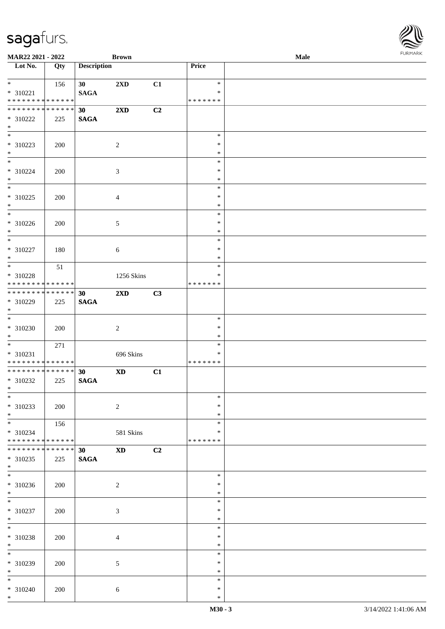| <b>MAR22 2021 - 2022</b>                                                      |                    |                    | <b>Brown</b>               |    |                                      | Male |  |
|-------------------------------------------------------------------------------|--------------------|--------------------|----------------------------|----|--------------------------------------|------|--|
| Lot No.                                                                       | Qty                | <b>Description</b> |                            |    | Price                                |      |  |
| $*$<br>* 310221<br>* * * * * * * * <mark>* * * * * * *</mark>                 | 156                | 30<br><b>SAGA</b>  | 2XD                        | C1 | $\ast$<br>$\ast$<br>* * * * * * *    |      |  |
| * * * * * * * * <mark>* * * * * * *</mark><br>* 310222<br>$*$                 | 225                | 30<br><b>SAGA</b>  | $2\mathbf{X}\mathbf{D}$    | C2 |                                      |      |  |
| * 310223<br>$\ast$                                                            | 200                |                    | 2                          |    | $\ast$<br>$\ast$<br>$\ast$           |      |  |
| $*$<br>* 310224<br>$*$                                                        | 200                |                    | $\mathfrak{Z}$             |    | $\ast$<br>$\ast$<br>$\ast$           |      |  |
| $\overline{\ast}$<br>* 310225<br>$\ast$                                       | 200                |                    | $\overline{4}$             |    | $\ast$<br>$\ast$<br>$\ast$           |      |  |
| $\overline{\phantom{0}}$<br>* 310226<br>$\ast$                                | 200                |                    | $\mathfrak{S}$             |    | $\ast$<br>$\ast$<br>$\ast$           |      |  |
| $\overline{\ast}$<br>* 310227<br>$*$                                          | 180                |                    | $\sqrt{6}$                 |    | $\ast$<br>$\ast$<br>$\ast$           |      |  |
| $\overline{\ast}$<br>* 310228<br>* * * * * * * * <mark>* * * * * *</mark> *   | 51                 |                    | 1256 Skins                 |    | $\ast$<br>$\ast$<br>* * * * * * *    |      |  |
| * * * * * * * * <mark>* * * * * * *</mark><br>* 310229<br>$\ast$              | 225                | 30<br><b>SAGA</b>  | 2XD                        | C3 |                                      |      |  |
| $*$<br>* 310230<br>$*$                                                        | 200                |                    | 2                          |    | $\ast$<br>$\ast$<br>$\ast$           |      |  |
| $\overline{\ast}$<br>$* 310231$<br>* * * * * * * * <mark>* * * * * * *</mark> | 271                |                    | 696 Skins                  |    | $\ast$<br>$\ast$<br>* * * * * * *    |      |  |
| * * * * * * * * <mark>* * * * * * *</mark><br>* 310232<br>$*$ $-$             | 225                | 30<br><b>SAGA</b>  | $\boldsymbol{\mathrm{XD}}$ | C1 |                                      |      |  |
| $\ddot{x}$<br>* 310233<br>$*$<br>$\overline{\mathbf{r}}$                      | 200                |                    | $\overline{c}$             |    | $\ast$<br>$\ast$<br>$\ast$           |      |  |
| * 310234<br>* * * * * * * * <mark>* * * * * * *</mark>                        | 156                |                    | 581 Skins                  |    | $\ast$<br>*<br>* * * * * * *         |      |  |
| * * * * * * * *<br>* 310235<br>$*$<br>$\overline{\phantom{0}}$                | * * * * * *<br>225 | 30<br><b>SAGA</b>  | $\mathbf{X}\mathbf{D}$     | C2 |                                      |      |  |
| * 310236<br>$*$<br>$\overline{\mathbf{r}}$                                    | 200                |                    | $\overline{c}$             |    | $\ast$<br>$\ast$<br>$\ast$           |      |  |
| * 310237<br>$*$<br>$*$                                                        | 200                |                    | $\mathfrak{Z}$             |    | $\ast$<br>$\ast$<br>$\ast$           |      |  |
| * 310238<br>$*$                                                               | 200                |                    | 4                          |    | $\ast$<br>$\ast$<br>$\ast$<br>$\ast$ |      |  |
| * 310239<br>$*$<br>$\overline{\phantom{0}}$                                   | 200                |                    | 5                          |    | $\ast$<br>$\ast$                     |      |  |
| * 310240<br>$\ast$                                                            | 200                |                    | $\sqrt{6}$                 |    | $\ast$<br>$\ast$<br>$\ast$           |      |  |

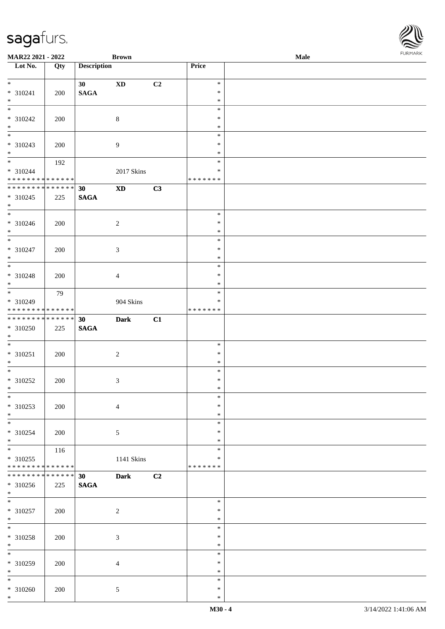| <b>MAR22 2021 - 2022</b>                   |             |                    | <b>Brown</b>           |    |                  | Male |  |
|--------------------------------------------|-------------|--------------------|------------------------|----|------------------|------|--|
| Lot $No.$                                  | Qty         | <b>Description</b> |                        |    | Price            |      |  |
|                                            |             |                    |                        |    |                  |      |  |
| $\ddot{x}$                                 |             | 30 <sup>1</sup>    | $\mathbf{X}\mathbf{D}$ | C2 | $\ast$           |      |  |
| * 310241                                   | 200         | <b>SAGA</b>        |                        |    | $\ast$<br>$\ast$ |      |  |
| $*$                                        |             |                    |                        |    | $\ast$           |      |  |
| * 310242                                   | 200         |                    | $\,8\,$                |    | $\ast$           |      |  |
| $*$                                        |             |                    |                        |    | $\ast$           |      |  |
|                                            |             |                    |                        |    | $\ast$           |      |  |
| * 310243                                   | 200         |                    | $\overline{9}$         |    | $\ast$           |      |  |
| $\ast$                                     |             |                    |                        |    | $\ast$           |      |  |
| $*$                                        | 192         |                    |                        |    | $\ast$           |      |  |
| * 310244                                   |             |                    | 2017 Skins             |    | $\ast$           |      |  |
| * * * * * * * * <mark>* * * * * * *</mark> |             |                    |                        |    | * * * * * * *    |      |  |
| * * * * * * * * * * * * * *                |             | 30                 | $\mathbf{X}\mathbf{D}$ | C3 |                  |      |  |
| $* 310245$                                 | 225         | <b>SAGA</b>        |                        |    |                  |      |  |
| $*$                                        |             |                    |                        |    |                  |      |  |
| $*$                                        |             |                    |                        |    | $\ast$           |      |  |
| * 310246                                   | 200         |                    | $\overline{2}$         |    | $\ast$           |      |  |
| $*$<br>$\overline{\mathbf{r}}$             |             |                    |                        |    | $\ast$           |      |  |
|                                            |             |                    |                        |    | $\ast$           |      |  |
| * 310247                                   | 200         |                    | $\mathfrak{Z}$         |    | $\ast$<br>$\ast$ |      |  |
| $*$<br>$\overline{\ }$                     |             |                    |                        |    | $\ast$           |      |  |
| $* 310248$                                 |             |                    |                        |    | $\ast$           |      |  |
| $*$                                        | 200         |                    | $\overline{4}$         |    | $\ast$           |      |  |
|                                            | 79          |                    |                        |    | $\ast$           |      |  |
| * 310249                                   |             |                    | 904 Skins              |    | ∗                |      |  |
| * * * * * * * * <mark>* * * * * * *</mark> |             |                    |                        |    | * * * * * * *    |      |  |
| * * * * * * * * <mark>* * * * * * *</mark> |             | 30                 | <b>Dark</b>            | C1 |                  |      |  |
| * 310250                                   | 225         | <b>SAGA</b>        |                        |    |                  |      |  |
| $\ast$                                     |             |                    |                        |    |                  |      |  |
| $\overline{\phantom{0}}$                   |             |                    |                        |    | $\ast$           |      |  |
| $* 310251$                                 | 200         |                    | $\overline{2}$         |    | $\ast$           |      |  |
| $*$                                        |             |                    |                        |    | $\ast$           |      |  |
| $\ast$                                     |             |                    |                        |    | $\ast$           |      |  |
| $* 310252$                                 | 200         |                    | $\mathfrak{Z}$         |    | $\ast$           |      |  |
| $\ast$                                     |             |                    |                        |    | $\ast$           |      |  |
| $*$                                        |             |                    |                        |    | $\ast$           |      |  |
| * 310253                                   | 200         |                    | $\overline{4}$         |    | $\ast$           |      |  |
| $\ddot{x}$                                 |             |                    |                        |    | $\ast$<br>$\ast$ |      |  |
| $* 310254$                                 |             |                    |                        |    | $\ast$           |      |  |
| $*$                                        | 200         |                    | 5                      |    | $\ast$           |      |  |
| $\ddot{x}$                                 | 116         |                    |                        |    | $\ast$           |      |  |
| * 310255                                   |             |                    | 1141 Skins             |    | ∗                |      |  |
| * * * * * * * *                            | * * * * * * |                    |                        |    | * * * * * * *    |      |  |
| * * * * * * * *                            | * * * * * * | 30                 | <b>Dark</b>            | C2 |                  |      |  |
| * 310256                                   | 225         | <b>SAGA</b>        |                        |    |                  |      |  |
| $\ast$                                     |             |                    |                        |    |                  |      |  |
| $*$                                        |             |                    |                        |    | $\ast$           |      |  |
| * 310257                                   | 200         |                    | $\overline{c}$         |    | $\ast$           |      |  |
| $*$                                        |             |                    |                        |    | $\ast$           |      |  |
| $*$                                        |             |                    |                        |    | $\ast$           |      |  |
| * 310258                                   | 200         |                    | $\mathfrak{Z}$         |    | $\ast$           |      |  |
| $*$                                        |             |                    |                        |    | $\ast$           |      |  |
|                                            |             |                    |                        |    | $\ast$           |      |  |
| * 310259<br>$\ast$                         | 200         |                    | $\overline{4}$         |    | $\ast$<br>$\ast$ |      |  |
| $\ast$                                     |             |                    |                        |    | $\ast$           |      |  |
| * 310260                                   | 200         |                    | 5                      |    | $\ast$           |      |  |
| $\ast$                                     |             |                    |                        |    | $\ast$           |      |  |
|                                            |             |                    |                        |    |                  |      |  |

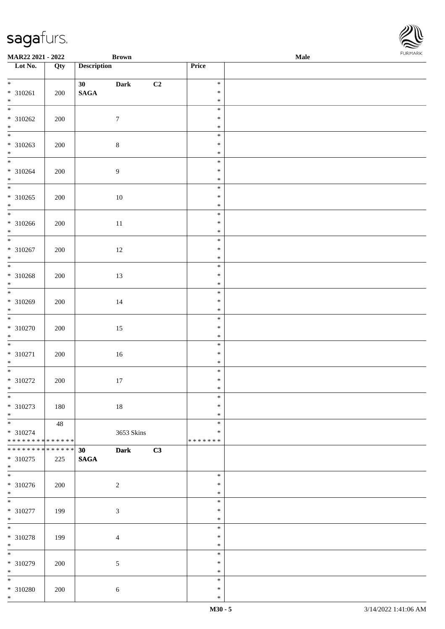| <b>MAR22 2021 - 2022</b>                                 |               |                                | <b>Brown</b>     |    |                              | <b>Male</b> | . |
|----------------------------------------------------------|---------------|--------------------------------|------------------|----|------------------------------|-------------|---|
| Lot No.                                                  | Qty           | <b>Description</b>             |                  |    | Price                        |             |   |
| $*$<br>* 310261<br>$*$                                   | 200           | 30<br>$\mathbf{SAGA}$          | Dark             | C2 | $\ast$<br>$\ast$<br>$\ast$   |             |   |
| $\overline{\mathbf{r}}$<br>* 310262<br>$*$               | 200           |                                | $\tau$           |    | $\ast$<br>$\ast$<br>$\ast$   |             |   |
| $\overline{\phantom{0}}$<br>$* 310263$<br>$*$            | 200           |                                | $\,8\,$          |    | $\ast$<br>$\ast$<br>$\ast$   |             |   |
| $\ddot{x}$<br>$* 310264$<br>$*$                          | 200           |                                | $\boldsymbol{9}$ |    | $\ast$<br>$\ast$<br>$\ast$   |             |   |
| $* 310265$<br>$*$                                        | 200           |                                | 10               |    | $\ast$<br>$\ast$<br>$\ast$   |             |   |
| * 310266<br>$*$                                          | 200           |                                | $11\,$           |    | $\ast$<br>$\ast$<br>$\ast$   |             |   |
| * 310267<br>$*$                                          | 200           |                                | $12\,$           |    | $\ast$<br>$\ast$<br>$\ast$   |             |   |
| * 310268<br>$*$                                          | 200           |                                | 13               |    | $\ast$<br>$\ast$<br>$\ast$   |             |   |
| * 310269<br>$*$                                          | 200           |                                | 14               |    | $\ast$<br>$\ast$<br>$\ast$   |             |   |
| $\overline{\phantom{0}}$<br>* 310270<br>$*$              | 200           |                                | 15               |    | $\ast$<br>$\ast$<br>$\ast$   |             |   |
| $\overline{\ast}$<br>$* 310271$<br>$*$                   | 200           |                                | 16               |    | $\ast$<br>$\ast$<br>$\ast$   |             |   |
| * 310272<br>$\ast$                                       | 200           |                                | 17               |    | $\ast$<br>$\ast$<br>$\ast$   |             |   |
| $\overline{\ast}$<br>* 310273<br>$*$                     | 180           |                                | 18               |    | $\ast$<br>$\ast$<br>$\ast$   |             |   |
| $* 310274$<br>* * * * * * * * <mark>* * * * * * *</mark> | 48            |                                | 3653 Skins       |    | $\ast$<br>∗<br>* * * * * * * |             |   |
| * * * * * * * *<br>* 310275<br>$*$                       | ******<br>225 | 30 <sub>o</sub><br><b>SAGA</b> | <b>Dark</b>      | C3 |                              |             |   |
| * 310276<br>$*$                                          | 200           |                                | $\overline{2}$   |    | $\ast$<br>$\ast$<br>$\ast$   |             |   |
| $*$<br>* 310277<br>$*$                                   | 199           |                                | $\sqrt{3}$       |    | $\ast$<br>$\ast$<br>$\ast$   |             |   |
| * 310278<br>$*$                                          | 199           |                                | $\overline{4}$   |    | $\ast$<br>$\ast$<br>$\ast$   |             |   |
| * 310279<br>$*$                                          | 200           |                                | $\mathfrak{S}$   |    | $\ast$<br>$\ast$<br>$\ast$   |             |   |
| $*$<br>* 310280<br>$\ast$                                | 200           |                                | $6\,$            |    | $\ast$<br>$\ast$<br>$\ast$   |             |   |

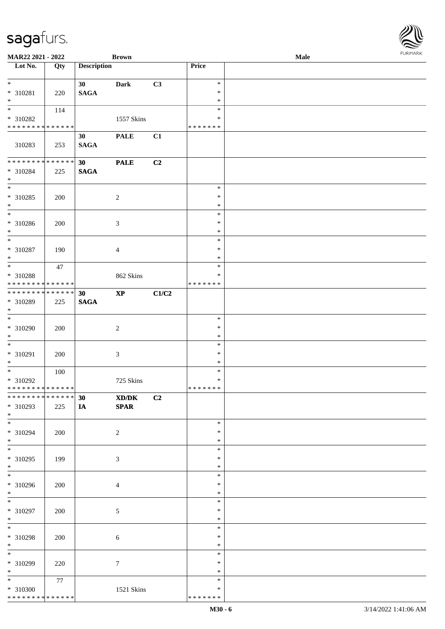| MAR22 2021 - 2022            |     |                    | <b>Brown</b>   |       |                  | Male |  |
|------------------------------|-----|--------------------|----------------|-------|------------------|------|--|
| Lot No.                      | Qty | <b>Description</b> |                |       | <b>Price</b>     |      |  |
| $*$                          |     | 30 <sup>°</sup>    | <b>Dark</b>    | C3    | $\ast$           |      |  |
| * 310281                     | 220 | <b>SAGA</b>        |                |       | $\ast$           |      |  |
| $*$                          |     |                    |                |       | $\ast$           |      |  |
| $\overline{\ast}$            | 114 |                    |                |       | $\ast$           |      |  |
| * 310282                     |     |                    | 1557 Skins     |       | *                |      |  |
| * * * * * * * * * * * * * *  |     |                    |                |       | * * * * * * *    |      |  |
|                              |     | 30                 | <b>PALE</b>    | C1    |                  |      |  |
| 310283                       | 253 | <b>SAGA</b>        |                |       |                  |      |  |
| * * * * * * * * * * * * * *  |     | 30                 | <b>PALE</b>    | C2    |                  |      |  |
| $* 310284$                   | 225 | <b>SAGA</b>        |                |       |                  |      |  |
| $*$                          |     |                    |                |       |                  |      |  |
|                              |     |                    |                |       | $\ast$           |      |  |
| * 310285                     | 200 |                    | $\overline{c}$ |       | $\ast$           |      |  |
| $*$                          |     |                    |                |       | $\ast$           |      |  |
| $\overline{\ast}$            |     |                    |                |       | $\ast$           |      |  |
| $* 310286$                   | 200 |                    | $\mathfrak{Z}$ |       | $\ast$           |      |  |
| $*$                          |     |                    |                |       | $\ast$           |      |  |
| $\overline{\ast}$            |     |                    |                |       | $\ast$           |      |  |
| $* 310287$<br>$*$            | 190 |                    | $\overline{4}$ |       | $\ast$           |      |  |
| $\overline{\ast}$            |     |                    |                |       | $\ast$<br>$\ast$ |      |  |
| * 310288                     | 47  |                    | 862 Skins      |       | *                |      |  |
| * * * * * * * * * * * * * *  |     |                    |                |       | * * * * * * *    |      |  |
| * * * * * * * * * * * * * *  |     | 30                 | $\bold{XP}$    | C1/C2 |                  |      |  |
| * 310289                     | 225 | <b>SAGA</b>        |                |       |                  |      |  |
| $*$                          |     |                    |                |       |                  |      |  |
|                              |     |                    |                |       | $\ast$           |      |  |
| $* 310290$                   | 200 |                    | $\sqrt{2}$     |       | $\ast$           |      |  |
| $*$                          |     |                    |                |       | $\ast$           |      |  |
| $*$                          |     |                    |                |       | $\ast$           |      |  |
| $* 310291$<br>$*$            | 200 |                    | $\mathfrak{Z}$ |       | $\ast$<br>$\ast$ |      |  |
| $*$                          | 100 |                    |                |       | $\ast$           |      |  |
| $* 310292$                   |     |                    | 725 Skins      |       | $\ast$           |      |  |
| ******** <mark>******</mark> |     |                    |                |       | *******          |      |  |
| ******** <mark>******</mark> |     | 30                 | XD/DK          | C2    |                  |      |  |
| * 310293                     | 225 | IA                 | <b>SPAR</b>    |       |                  |      |  |
| $*$                          |     |                    |                |       |                  |      |  |
| $*$                          |     |                    |                |       | $\ast$           |      |  |
| * 310294                     | 200 |                    | $\overline{2}$ |       | $\ast$           |      |  |
| $*$<br>$*$                   |     |                    |                |       | $\ast$           |      |  |
| * 310295                     |     |                    |                |       | $\ast$<br>$\ast$ |      |  |
| $*$                          | 199 |                    | $\mathfrak{Z}$ |       | $\ast$           |      |  |
| $*$                          |     |                    |                |       | $\ast$           |      |  |
| * 310296                     | 200 |                    | $\overline{4}$ |       | $\ast$           |      |  |
| $*$                          |     |                    |                |       | $\ast$           |      |  |
| $*$                          |     |                    |                |       | $\ast$           |      |  |
| * 310297                     | 200 |                    | $\sqrt{5}$     |       | $\ast$           |      |  |
| $*$                          |     |                    |                |       | $\ast$           |      |  |
| $*$                          |     |                    |                |       | $\ast$           |      |  |
| * 310298                     | 200 |                    | $\sqrt{6}$     |       | $\ast$           |      |  |
| $*$<br>$*$                   |     |                    |                |       | $\ast$<br>$\ast$ |      |  |
| * 310299                     |     |                    |                |       | $\ast$           |      |  |
| $*$                          | 220 |                    | 7              |       | $\ast$           |      |  |
| $*$                          | 77  |                    |                |       | $\ast$           |      |  |
| * 310300                     |     |                    | 1521 Skins     |       | $\ast$           |      |  |
| * * * * * * * * * * * * * *  |     |                    |                |       | * * * * * * *    |      |  |

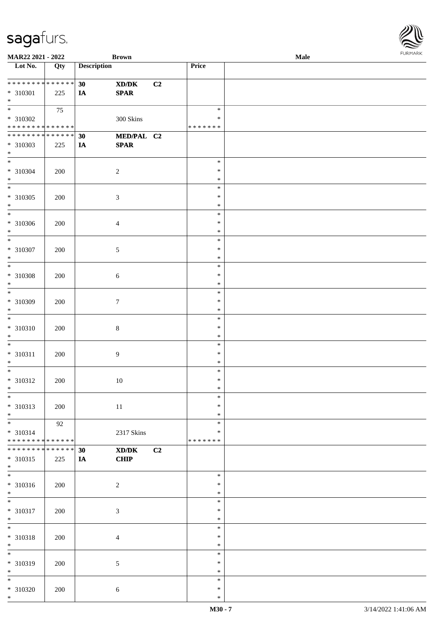| <b>MAR22 2021 - 2022</b>                                                               |             |                    | <b>Brown</b>              |    |                            | <b>Male</b> |  |
|----------------------------------------------------------------------------------------|-------------|--------------------|---------------------------|----|----------------------------|-------------|--|
| Lot No.                                                                                | Qty         | <b>Description</b> |                           |    | Price                      |             |  |
| ******** <mark>******</mark><br>* 310301                                               | 225         | 30<br>IA           | XD/DK<br><b>SPAR</b>      | C2 |                            |             |  |
| $*$<br>$\overline{\mathbf{r}}$<br>* 310302                                             | 75          |                    | 300 Skins                 |    | $\ast$<br>∗                |             |  |
| * * * * * * * * <mark>* * * * * * *</mark><br>******** <mark>******</mark><br>* 310303 | 225         | 30<br>IA           | MED/PAL C2<br><b>SPAR</b> |    | * * * * * * *              |             |  |
| $\ast$<br>$\overline{\ast}$<br>* 310304                                                | 200         |                    | $\overline{2}$            |    | $\ast$<br>$\ast$           |             |  |
| $*$<br>$*$<br>* 310305                                                                 | 200         |                    | $\mathfrak{Z}$            |    | $\ast$<br>$\ast$<br>$\ast$ |             |  |
| $\ast$<br>$\overline{\phantom{0}}$<br>* 310306                                         | 200         |                    | $\overline{4}$            |    | $\ast$<br>$\ast$<br>$\ast$ |             |  |
| $\ast$<br>$\overline{\ast}$<br>* 310307                                                | 200         |                    | 5                         |    | $\ast$<br>$\ast$<br>$\ast$ |             |  |
| $\ast$<br>$\overline{\ }$<br>* 310308                                                  | 200         |                    | $\sqrt{6}$                |    | $\ast$<br>$\ast$<br>$\ast$ |             |  |
| $\ast$<br>$\overline{\ }$                                                              |             |                    |                           |    | $\ast$<br>$\ast$<br>$\ast$ |             |  |
| * 310309<br>$*$                                                                        | 200         |                    | $\tau$                    |    | $\ast$<br>$\ast$           |             |  |
| * 310310<br>$*$<br>$\overline{\cdot}$                                                  | 200         |                    | $8\,$                     |    | $\ast$<br>$\ast$<br>$\ast$ |             |  |
| * 310311<br>$\ast$                                                                     | 200         |                    | $\overline{9}$            |    | $\ast$<br>$\ast$<br>$\ast$ |             |  |
| * 310312<br>$\ddot{x}$<br>$\overline{\ast}$                                            | 200         |                    | 10                        |    | $\ast$<br>$\ast$<br>$\ast$ |             |  |
| * 310313<br>$*$                                                                        | 200<br>92   |                    | 11                        |    | $\ast$<br>$\ast$<br>$\ast$ |             |  |
| * 310314<br>* * * * * * * * <mark>* * * * * * *</mark><br>* * * * * * * *              | * * * * * * | 30                 | 2317 Skins<br>XD/DK       | C2 | ∗<br>* * * * * * *         |             |  |
| * 310315<br>$*$                                                                        | 225         | IA                 | CHIP                      |    | $\ast$                     |             |  |
| * 310316<br>$*$<br>$*$                                                                 | 200         |                    | $\overline{c}$            |    | $\ast$<br>$\ast$<br>$\ast$ |             |  |
| * 310317<br>$*$<br>$\overline{\phantom{0}}$                                            | 200         |                    | $\mathfrak{Z}$            |    | $\ast$<br>$\ast$           |             |  |
| * 310318<br>$*$                                                                        | 200         |                    | $\overline{4}$            |    | $\ast$<br>$\ast$<br>$\ast$ |             |  |
| * 310319<br>$*$                                                                        | 200         |                    | $\sqrt{5}$                |    | $\ast$<br>$\ast$<br>$\ast$ |             |  |
| * 310320<br>$\ast$                                                                     | 200         |                    | $\sqrt{6}$                |    | $\ast$<br>$\ast$<br>$\ast$ |             |  |

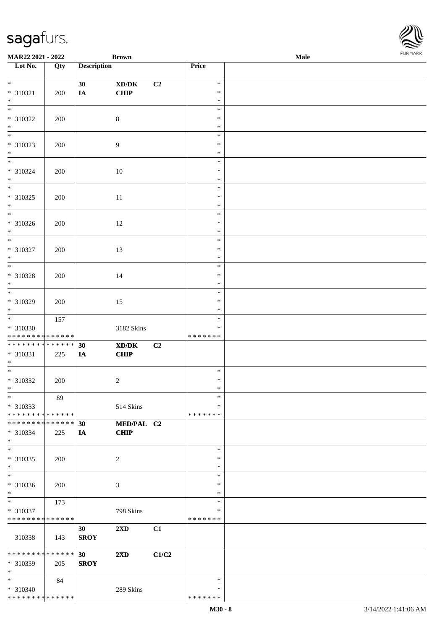| MAR22 2021 - 2022                       |     |                    | <b>Brown</b>            |       |                    | Male |  |
|-----------------------------------------|-----|--------------------|-------------------------|-------|--------------------|------|--|
| Lot No.                                 | Qty | <b>Description</b> |                         |       | Price              |      |  |
|                                         |     |                    |                         |       |                    |      |  |
| $*$                                     |     | 30                 | XD/DK                   | C2    | $\ast$<br>$\ast$   |      |  |
| * 310321<br>$*$                         | 200 | IA                 | CHIP                    |       | $\ast$             |      |  |
| $*$                                     |     |                    |                         |       | $\ast$             |      |  |
| * 310322                                | 200 |                    | $\,8\,$                 |       | $\ast$             |      |  |
| $\ast$                                  |     |                    |                         |       | $\ast$             |      |  |
| $\overline{\phantom{0}}$                |     |                    |                         |       | $\ast$             |      |  |
| * 310323                                | 200 |                    | $\overline{9}$          |       | $\ast$             |      |  |
| $*$                                     |     |                    |                         |       | $\ast$             |      |  |
|                                         |     |                    |                         |       | $\ast$             |      |  |
| $* 310324$                              | 200 |                    | 10                      |       | $\ast$             |      |  |
| $*$<br>$\overline{\phantom{0}}$         |     |                    |                         |       | $\ast$             |      |  |
|                                         |     |                    |                         |       | $\ast$<br>$\ast$   |      |  |
| $* 310325$<br>$*$                       | 200 |                    | $11\,$                  |       | $\ast$             |      |  |
| $\overline{\phantom{0}}$                |     |                    |                         |       | $\ast$             |      |  |
| $* 310326$                              | 200 |                    | 12                      |       | $\ast$             |      |  |
| $*$                                     |     |                    |                         |       | $\ast$             |      |  |
| $\ast$                                  |     |                    |                         |       | $\ast$             |      |  |
| $* 310327$                              | 200 |                    | 13                      |       | $\ast$             |      |  |
| $*$                                     |     |                    |                         |       | $\ast$             |      |  |
| $\overline{\ast}$                       |     |                    |                         |       | $\ast$             |      |  |
| * 310328<br>$*$                         | 200 |                    | 14                      |       | $\ast$             |      |  |
| $*$                                     |     |                    |                         |       | $\ast$<br>$\ast$   |      |  |
| * 310329                                | 200 |                    | 15                      |       | $\ast$             |      |  |
| $*$                                     |     |                    |                         |       | $\ast$             |      |  |
| $*$                                     | 157 |                    |                         |       | $\ast$             |      |  |
| $* 310330$                              |     |                    | 3182 Skins              |       | $\ast$             |      |  |
| * * * * * * * * * * * * * *             |     |                    |                         |       | * * * * * * *      |      |  |
| * * * * * * * * * * * * * *             |     | 30                 | XD/DK                   | C2    |                    |      |  |
| $* 310331$<br>$*$                       | 225 | IA                 | CHIP                    |       |                    |      |  |
| $*$                                     |     |                    |                         |       | $\ast$             |      |  |
| $* 310332$                              | 200 |                    | $\sqrt{2}$              |       | $\ast$             |      |  |
| $*$                                     |     |                    |                         |       | $\ast$             |      |  |
| $*$                                     | 89  |                    |                         |       | $\ast$             |      |  |
| * 310333                                |     |                    | 514 Skins               |       | ∗                  |      |  |
| * * * * * * * * * * * * * *             |     |                    |                         |       | * * * * * * *      |      |  |
| * * * * * * * * * * * * * * *           |     | 30                 | MED/PAL C2              |       |                    |      |  |
| * 310334<br>$*$                         | 225 | IA                 | CHIP                    |       |                    |      |  |
| $*$                                     |     |                    |                         |       | $\ast$             |      |  |
| * 310335                                | 200 |                    | 2                       |       | $\ast$             |      |  |
| $*$                                     |     |                    |                         |       | $\ast$             |      |  |
| $*$                                     |     |                    |                         |       | $\ast$             |      |  |
| * 310336                                | 200 |                    | 3                       |       | $\ast$             |      |  |
| $*$                                     |     |                    |                         |       | $\ast$             |      |  |
| $*$                                     | 173 |                    |                         |       | $\ast$             |      |  |
| * 310337                                |     |                    | 798 Skins               |       | ∗                  |      |  |
| * * * * * * * * * * * * * *             |     | 30                 | 2XD                     | C1    | *******            |      |  |
| 310338                                  | 143 | <b>SROY</b>        |                         |       |                    |      |  |
|                                         |     |                    |                         |       |                    |      |  |
| * * * * * * * * * * * * * *             |     | 30 <sup>°</sup>    | $2\mathbf{X}\mathbf{D}$ | C1/C2 |                    |      |  |
| * 310339                                | 205 | <b>SROY</b>        |                         |       |                    |      |  |
| $*$                                     |     |                    |                         |       |                    |      |  |
| $*$                                     | 84  |                    |                         |       | $\ast$             |      |  |
| * 310340<br>* * * * * * * * * * * * * * |     |                    | 289 Skins               |       | ∗<br>* * * * * * * |      |  |
|                                         |     |                    |                         |       |                    |      |  |

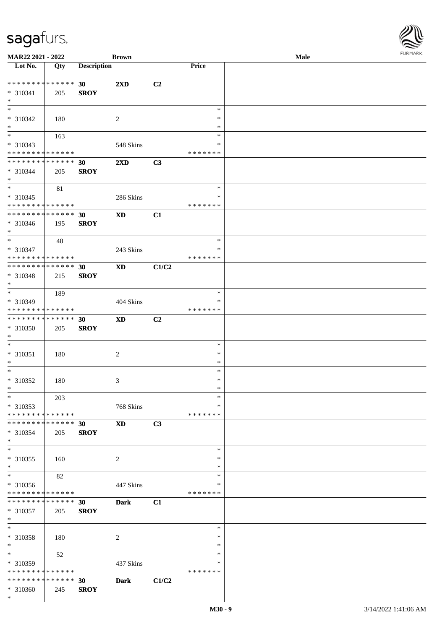| <b>MAR22 2021 - 2022</b>                   |             |                    | <b>Brown</b>            |       |               | Male |  |
|--------------------------------------------|-------------|--------------------|-------------------------|-------|---------------|------|--|
| Lot No.                                    | Qty         | <b>Description</b> |                         |       | Price         |      |  |
|                                            |             |                    |                         |       |               |      |  |
|                                            |             | 30 <sup>°</sup>    | $2\mathbf{X}\mathbf{D}$ | C2    |               |      |  |
| * 310341                                   | 205         | <b>SROY</b>        |                         |       |               |      |  |
| $*$                                        |             |                    |                         |       |               |      |  |
|                                            |             |                    |                         |       | $\ast$        |      |  |
| * 310342                                   | 180         |                    | 2                       |       | $\ast$        |      |  |
| $*$                                        |             |                    |                         |       | $\ast$        |      |  |
|                                            |             |                    |                         |       | $\ast$        |      |  |
|                                            | 163         |                    |                         |       |               |      |  |
| * 310343                                   |             |                    | 548 Skins               |       | ∗             |      |  |
| * * * * * * * * <mark>* * * * * * *</mark> |             |                    |                         |       | * * * * * * * |      |  |
| * * * * * * * * * * * * * *                |             | 30                 | 2XD                     | C3    |               |      |  |
| * 310344                                   | 205         | <b>SROY</b>        |                         |       |               |      |  |
| $*$                                        |             |                    |                         |       |               |      |  |
| $\overline{\ast}$                          | 81          |                    |                         |       | $\ast$        |      |  |
| * 310345                                   |             |                    | 286 Skins               |       | ∗             |      |  |
| * * * * * * * * <mark>* * * * * *</mark>   |             |                    |                         |       | * * * * * * * |      |  |
| * * * * * * * * <mark>* * * * * * *</mark> |             | 30                 | <b>XD</b>               | C1    |               |      |  |
| * 310346                                   | 195         | <b>SROY</b>        |                         |       |               |      |  |
| $\ast$                                     |             |                    |                         |       |               |      |  |
| $*$                                        |             |                    |                         |       | $\ast$        |      |  |
|                                            | 48          |                    |                         |       |               |      |  |
| * 310347                                   |             |                    | 243 Skins               |       | $\ast$        |      |  |
| * * * * * * * * <mark>* * * * * * *</mark> |             |                    |                         |       | * * * * * * * |      |  |
| * * * * * * * * <mark>* * * * * * *</mark> |             | 30                 | <b>XD</b>               | C1/C2 |               |      |  |
| * 310348                                   | 215         | <b>SROY</b>        |                         |       |               |      |  |
| $*$                                        |             |                    |                         |       |               |      |  |
| $\overline{\phantom{0}}$                   | 189         |                    |                         |       | $\ast$        |      |  |
| * 310349                                   |             |                    | 404 Skins               |       | ∗             |      |  |
| * * * * * * * * <mark>* * * * * *</mark>   |             |                    |                         |       | * * * * * * * |      |  |
| * * * * * * * * <mark>* * * * * *</mark>   |             | 30                 | <b>XD</b>               | C2    |               |      |  |
| * 310350                                   |             | <b>SROY</b>        |                         |       |               |      |  |
| $\ast$                                     | 205         |                    |                         |       |               |      |  |
|                                            |             |                    |                         |       |               |      |  |
| $\ast$                                     |             |                    |                         |       | $\ast$        |      |  |
| * 310351                                   | 180         |                    | 2                       |       | $\ast$        |      |  |
| $*$                                        |             |                    |                         |       | $\ast$        |      |  |
| $\ast$                                     |             |                    |                         |       | $\ast$        |      |  |
| * 310352                                   | 180         |                    | 3                       |       | $\ast$        |      |  |
| $\ast$                                     |             |                    |                         |       | $\ast$        |      |  |
| $\ast$                                     | 203         |                    |                         |       | $\ast$        |      |  |
| * 310353                                   |             |                    | 768 Skins               |       | $\ast$        |      |  |
| * * * * * * * * <mark>* * * * * *</mark>   |             |                    |                         |       | * * * * * * * |      |  |
| * * * * * * * * * * * * * * *              |             | 30                 | <b>XD</b>               | C3    |               |      |  |
| * 310354                                   |             | <b>SROY</b>        |                         |       |               |      |  |
| $\ast$                                     | 205         |                    |                         |       |               |      |  |
| $\ast$                                     |             |                    |                         |       |               |      |  |
|                                            |             |                    |                         |       | $\ast$        |      |  |
| * 310355                                   | 160         |                    | 2                       |       | ∗             |      |  |
| $\ast$                                     |             |                    |                         |       | $\ast$        |      |  |
| $\overline{\ast}$                          | 82          |                    |                         |       | $\ast$        |      |  |
| * 310356                                   |             |                    | 447 Skins               |       | ∗             |      |  |
| * * * * * * * * * * * * * * *              |             |                    |                         |       | * * * * * * * |      |  |
| * * * * * * * *                            | * * * * * * | 30 <sup>1</sup>    | <b>Dark</b>             | C1    |               |      |  |
| * 310357                                   | 205         | <b>SROY</b>        |                         |       |               |      |  |
| $*$                                        |             |                    |                         |       |               |      |  |
| $\ddot{x}$                                 |             |                    |                         |       | $\ast$        |      |  |
| * 310358                                   |             |                    |                         |       | $\ast$        |      |  |
|                                            | 180         |                    | 2                       |       | $\ast$        |      |  |
| $*$<br>$*$                                 |             |                    |                         |       |               |      |  |
|                                            | 52          |                    |                         |       | $\ast$        |      |  |
| * 310359                                   |             |                    | 437 Skins               |       | ∗             |      |  |
| * * * * * * * * * * * * * * *              |             |                    |                         |       | * * * * * * * |      |  |
| * * * * * * * * <mark>* * * * * * *</mark> |             | 30                 | <b>Dark</b>             | C1/C2 |               |      |  |
| * 310360                                   | 245         | <b>SROY</b>        |                         |       |               |      |  |
| $\ast$                                     |             |                    |                         |       |               |      |  |

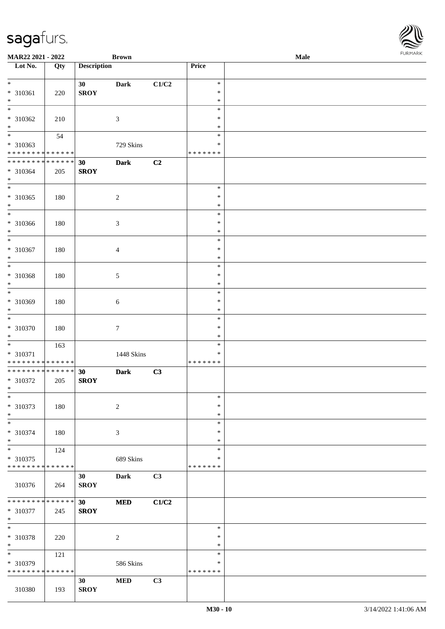| MAR22 2021 - 2022                                      |             |                    | <b>Brown</b>   |       |                    | Male | <b>FURPIARR</b> |
|--------------------------------------------------------|-------------|--------------------|----------------|-------|--------------------|------|-----------------|
| Lot No.                                                | Qty         | <b>Description</b> |                |       | Price              |      |                 |
| $\ddot{x}$                                             |             | 30 <sub>1</sub>    | <b>Dark</b>    | C1/C2 | $\ast$             |      |                 |
| * 310361                                               | 220         | <b>SROY</b>        |                |       | $\ast$             |      |                 |
| $\ast$                                                 |             |                    |                |       | $\ast$             |      |                 |
|                                                        |             |                    |                |       | $\ast$             |      |                 |
| * 310362                                               | 210         |                    | $\mathfrak{Z}$ |       | $\ast$             |      |                 |
| $*$                                                    |             |                    |                |       | $\ast$             |      |                 |
| $\overline{\mathbf{r}}$                                | 54          |                    |                |       | $\ast$             |      |                 |
| * 310363<br>* * * * * * * * <mark>* * * * * * *</mark> |             |                    | 729 Skins      |       | ∗<br>* * * * * * * |      |                 |
| ******** <mark>******</mark>                           |             | 30                 | <b>Dark</b>    | C2    |                    |      |                 |
| * 310364                                               | 205         | <b>SROY</b>        |                |       |                    |      |                 |
| $*$                                                    |             |                    |                |       |                    |      |                 |
|                                                        |             |                    |                |       | $\ast$             |      |                 |
| * 310365                                               | 180         |                    | 2              |       | $\ast$             |      |                 |
| $*$                                                    |             |                    |                |       | $\ast$<br>$\ast$   |      |                 |
| * 310366                                               | 180         |                    | $\mathfrak{Z}$ |       | $\ast$             |      |                 |
| $*$                                                    |             |                    |                |       | $\ast$             |      |                 |
| $*$                                                    |             |                    |                |       | $\ast$             |      |                 |
| * 310367                                               | 180         |                    | $\overline{4}$ |       | $\ast$             |      |                 |
| $*$                                                    |             |                    |                |       | $\ast$             |      |                 |
|                                                        |             |                    |                |       | $\ast$             |      |                 |
| * 310368<br>$*$                                        | 180         |                    | 5              |       | $\ast$<br>$\ast$   |      |                 |
|                                                        |             |                    |                |       | $\ast$             |      |                 |
| * 310369                                               | 180         |                    | 6              |       | $\ast$             |      |                 |
| $*$                                                    |             |                    |                |       | $\ast$             |      |                 |
|                                                        |             |                    |                |       | $\ast$             |      |                 |
| * 310370                                               | 180         |                    | $\tau$         |       | $\ast$             |      |                 |
| $*$                                                    |             |                    |                |       | $\ast$<br>$\ast$   |      |                 |
| * 310371                                               | 163         |                    | 1448 Skins     |       | $\ast$             |      |                 |
| * * * * * * * * * * * * * *                            |             |                    |                |       | * * * * * * *      |      |                 |
| * * * * * * * * * * * * * *                            |             | 30                 | <b>Dark</b>    | C3    |                    |      |                 |
| * 310372                                               | 205         | <b>SROY</b>        |                |       |                    |      |                 |
| $*$ $-$<br>$\ast$                                      |             |                    |                |       |                    |      |                 |
| * 310373                                               |             |                    |                |       | $\ast$<br>$\ast$   |      |                 |
| $*$                                                    | 180         |                    | $\sqrt{2}$     |       | $\ast$             |      |                 |
| $\overline{\ }$                                        |             |                    |                |       | $\ast$             |      |                 |
| * 310374                                               | 180         |                    | 3              |       | $\ast$             |      |                 |
| $*$                                                    |             |                    |                |       | $\ast$             |      |                 |
|                                                        | 124         |                    |                |       | $\ast$             |      |                 |
| * 310375<br>* * * * * * * * * * * * * * *              |             |                    | 689 Skins      |       | ∗<br>* * * * * * * |      |                 |
|                                                        |             | 30                 | Dark           | C3    |                    |      |                 |
| 310376                                                 | 264         | <b>SROY</b>        |                |       |                    |      |                 |
|                                                        |             |                    |                |       |                    |      |                 |
| * * * * * * * * <mark>* * * * * * *</mark>             |             | 30 <sub>1</sub>    | <b>MED</b>     | C1/C2 |                    |      |                 |
| * 310377                                               | 245         | <b>SROY</b>        |                |       |                    |      |                 |
| $*$<br>$\ast$                                          |             |                    |                |       |                    |      |                 |
|                                                        |             |                    |                |       | $\ast$<br>$\ast$   |      |                 |
| * 310378<br>$*$                                        | 220         |                    | 2              |       | $\ast$             |      |                 |
| $\overline{\mathbf{r}}$                                | 121         |                    |                |       | $\ast$             |      |                 |
| * 310379                                               |             |                    | 586 Skins      |       | ∗                  |      |                 |
| * * * * * * * *                                        | * * * * * * |                    |                |       | * * * * * * *      |      |                 |
|                                                        |             | 30 <sup>1</sup>    | <b>MED</b>     | C3    |                    |      |                 |
| 310380                                                 | 193         | <b>SROY</b>        |                |       |                    |      |                 |

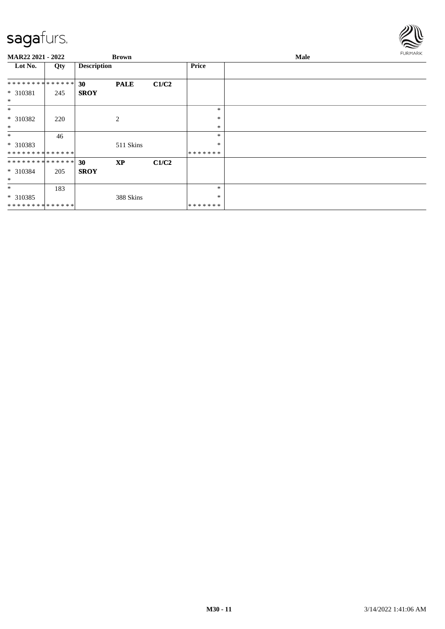

| MAR22 2021 - 2022  |     |                    | <b>Brown</b> |       |               | Male | <b>FURMARK</b> |
|--------------------|-----|--------------------|--------------|-------|---------------|------|----------------|
| Lot No.            | Qty | <b>Description</b> |              |       | <b>Price</b>  |      |                |
| **************     |     | 30                 | <b>PALE</b>  | C1/C2 |               |      |                |
| * 310381<br>$\ast$ | 245 | <b>SROY</b>        |              |       |               |      |                |
| $\ast$             |     |                    |              |       | $\ast$        |      |                |
| * 310382           | 220 |                    | 2            |       | $\ast$        |      |                |
| $\ast$             |     |                    |              |       | $\ast$        |      |                |
| $\ast$             | 46  |                    |              |       | $\ast$        |      |                |
| * 310383           |     |                    | 511 Skins    |       | *             |      |                |
| **************     |     |                    |              |       | *******       |      |                |
| **************     |     | 30                 | <b>XP</b>    | C1/C2 |               |      |                |
| * 310384           | 205 | <b>SROY</b>        |              |       |               |      |                |
| $\ast$             |     |                    |              |       |               |      |                |
| $\ast$             | 183 |                    |              |       | $\ast$        |      |                |
| * 310385           |     |                    | 388 Skins    |       | *             |      |                |
| **************     |     |                    |              |       | * * * * * * * |      |                |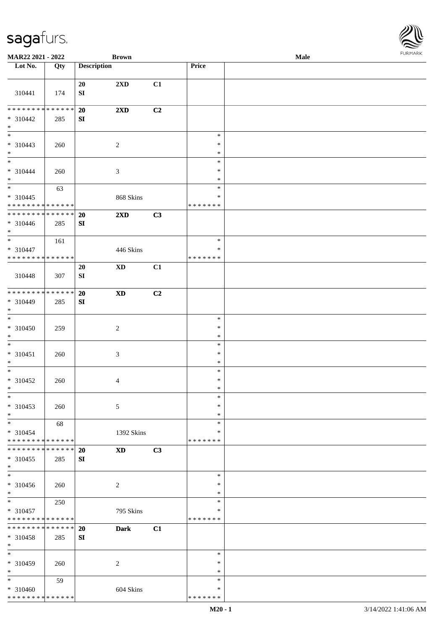

| MAR22 2021 - 2022                                                                      |     |                        | <b>Brown</b>               |    |                                   | Male |  |
|----------------------------------------------------------------------------------------|-----|------------------------|----------------------------|----|-----------------------------------|------|--|
| Lot No.                                                                                | Qty | <b>Description</b>     |                            |    | Price                             |      |  |
| 310441                                                                                 | 174 | 20<br>${\bf S}{\bf I}$ | 2XD                        | C1 |                                   |      |  |
| * * * * * * * * * * * * * *<br>$* 310442$<br>$\ast$                                    | 285 | 20<br>SI               | 2XD                        | C2 |                                   |      |  |
| $\overline{\phantom{0}}$<br>$* 310443$<br>$\ast$                                       | 260 |                        | $\overline{c}$             |    | $\ast$<br>$\ast$<br>$\ast$        |      |  |
| $\overline{\phantom{a}^*}$<br>$* 310444$<br>$\ast$                                     | 260 |                        | $\mathfrak{Z}$             |    | $\ast$<br>$\ast$<br>$\ast$        |      |  |
| $\overline{\phantom{a}^*}$<br>$* 310445$<br>* * * * * * * * <mark>* * * * * * *</mark> | 63  |                        | 868 Skins                  |    | $\ast$<br>$\ast$<br>* * * * * * * |      |  |
| **************<br>$* 310446$<br>$*$                                                    | 285 | 20<br>SI               | 2XD                        | C3 |                                   |      |  |
| $\ast$<br>$* 310447$<br>******** <mark>******</mark>                                   | 161 |                        | 446 Skins                  |    | $\ast$<br>∗<br>* * * * * * *      |      |  |
| 310448                                                                                 | 307 | 20<br>${\bf S}{\bf I}$ | $\mathbf{X}\mathbf{D}$     | C1 |                                   |      |  |
| * * * * * * * * * * * * * *<br>* 310449<br>$*$                                         | 285 | 20<br>SI               | $\boldsymbol{\mathrm{XD}}$ | C2 |                                   |      |  |
| $\ast$<br>$* 310450$<br>$\ast$                                                         | 259 |                        | $\sqrt{2}$                 |    | $\ast$<br>$\ast$<br>$\ast$        |      |  |
| $\ast$<br>$* 310451$<br>$\ast$                                                         | 260 |                        | $\mathfrak{Z}$             |    | $\ast$<br>$\ast$<br>$\ast$        |      |  |
| $\ast$<br>$* 310452$<br>$*$                                                            | 260 |                        | $\overline{4}$             |    | $\ast$<br>$\ast$<br>$\ast$        |      |  |
| $\ast$<br>$* 310453$<br>$\ast$                                                         | 260 |                        | 5                          |    | $\ast$<br>$\ast$<br>$\ast$        |      |  |
| $\ast$<br>* 310454<br>* * * * * * * * * * * * * *                                      | 68  |                        | 1392 Skins                 |    | $\ast$<br>*<br>* * * * * * *      |      |  |
| * * * * * * * * * * * * * *<br>$*310455$<br>$*$                                        | 285 | 20<br>SI               | $\mathbf{X}\mathbf{D}$     | C3 |                                   |      |  |
| $\overline{\phantom{1}}$<br>$* 310456$<br>$*$                                          | 260 |                        | $\overline{c}$             |    | $\ast$<br>*<br>$\ast$             |      |  |
| $*$<br>* 310457<br>* * * * * * * * * * * * * *                                         | 250 |                        | 795 Skins                  |    | $\ast$<br>*<br>* * * * * * *      |      |  |
| ******** <mark>******</mark><br>* 310458<br>$*$                                        | 285 | 20<br>SI               | <b>Dark</b>                | C1 |                                   |      |  |
| $\overline{\phantom{a}^*}$<br>* 310459<br>$\ast$                                       | 260 |                        | 2                          |    | $\ast$<br>∗<br>$\ast$             |      |  |
| $\ast$<br>$* 310460$<br>* * * * * * * * * * * * * *                                    | 59  |                        | 604 Skins                  |    | $\ast$<br>*<br>* * * * * * *      |      |  |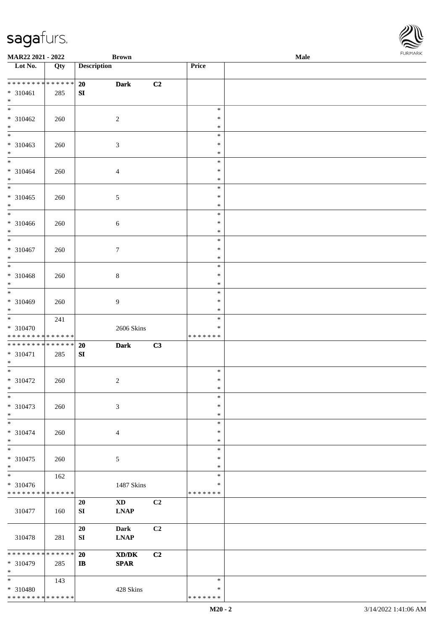| MAR22 2021 - 2022                                    |     | <b>Brown</b>                                                                     |                |                                   | Male | <b>FURMARK</b> |
|------------------------------------------------------|-----|----------------------------------------------------------------------------------|----------------|-----------------------------------|------|----------------|
| Lot No.                                              | Qty | <b>Description</b>                                                               |                | Price                             |      |                |
| ******** <mark>******</mark><br>$* 310461$<br>$*$    | 285 | 20<br><b>Dark</b><br>SI                                                          | C <sub>2</sub> |                                   |      |                |
| $\overline{\phantom{0}}$<br>$* 310462$<br>$*$        | 260 | $\sqrt{2}$                                                                       |                | $\ast$<br>$\ast$<br>$\ast$        |      |                |
| $\overline{\phantom{a}^*}$<br>$* 310463$<br>$*$      | 260 | $\mathfrak{Z}$                                                                   |                | $\ast$<br>$\ast$<br>$\ast$        |      |                |
| $*$<br>$* 310464$<br>$*$                             | 260 | $\overline{4}$                                                                   |                | $\ast$<br>$\ast$<br>$\ast$        |      |                |
| $\overline{\phantom{0}}$<br>$* 310465$<br>$\ast$     | 260 | 5                                                                                |                | $\ast$<br>$\ast$<br>$\ast$        |      |                |
| $\overline{\phantom{a}^*}$<br>* 310466<br>$\ast$     | 260 | 6                                                                                |                | $\ast$<br>$\ast$<br>$\ast$        |      |                |
| $\ast$<br>$* 310467$<br>$\ast$                       | 260 | 7                                                                                |                | $\ast$<br>$\ast$<br>$\ast$        |      |                |
| $\overline{\phantom{0}}$<br>* 310468<br>$\ast$       | 260 | 8                                                                                |                | $\ast$<br>$\ast$<br>$\ast$        |      |                |
| $\overline{\phantom{0}}$<br>$* 310469$<br>$\ast$     | 260 | 9                                                                                |                | $\ast$<br>$\ast$<br>$\ast$        |      |                |
| $\ast$<br>* 310470<br>* * * * * * * * * * * * * *    | 241 | 2606 Skins                                                                       |                | $\ast$<br>$\ast$<br>* * * * * * * |      |                |
| ******** <mark>******</mark><br>$* 310471$<br>$\ast$ | 285 | <b>Dark</b><br>20<br>SI                                                          | C3             |                                   |      |                |
| $\overline{\phantom{a}^*}$<br>$* 310472$<br>$*$      | 260 | $\overline{c}$                                                                   |                | $\ast$<br>$\ast$<br>∗             |      |                |
| $\ast$<br>$* 310473$<br>$\ast$                       | 260 | 3                                                                                |                | $\ast$<br>$\ast$<br>$\ast$        |      |                |
| $\overline{\phantom{0}}$<br>* 310474<br>$\ast$       | 260 | $\overline{4}$                                                                   |                | $\ast$<br>$\ast$<br>$\ast$        |      |                |
| $_{\ast}$<br>* 310475<br>$\ast$                      | 260 | 5                                                                                |                | $\ast$<br>$\ast$<br>$\ast$        |      |                |
| $\ast$<br>$* 310476$<br>* * * * * * * * * * * * * *  | 162 | 1487 Skins                                                                       |                | $\ast$<br>∗<br>* * * * * * *      |      |                |
| 310477                                               | 160 | $\mathbf{X}\mathbf{D}$<br>20<br><b>LNAP</b><br>SI                                | C2             |                                   |      |                |
| 310478                                               | 281 | 20<br><b>Dark</b><br>SI<br><b>LNAP</b>                                           | C2             |                                   |      |                |
| * * * * * * * * * * * * * *<br>* 310479<br>$\ast$    | 285 | 20<br>$\mathbf{X}\mathbf{D}/\mathbf{D}\mathbf{K}$<br><b>SPAR</b><br>$\mathbf{I}$ | C <sub>2</sub> |                                   |      |                |
| $\ast$<br>* 310480<br>******** <mark>******</mark>   | 143 | 428 Skins                                                                        |                | $\ast$<br>$\ast$<br>* * * * * * * |      |                |

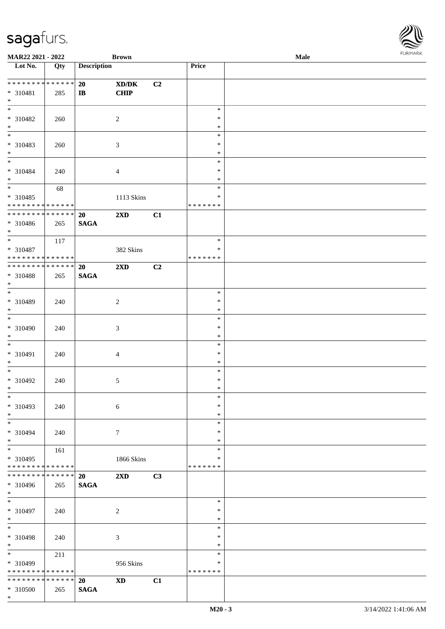| <b>MAR22 2021 - 2022</b>                                                               |             |                    | <b>Brown</b>            |    |                  | Male |  |
|----------------------------------------------------------------------------------------|-------------|--------------------|-------------------------|----|------------------|------|--|
| Lot $No.$                                                                              | Qty         | <b>Description</b> |                         |    | <b>Price</b>     |      |  |
|                                                                                        |             |                    |                         |    |                  |      |  |
| ******** <mark>******</mark>                                                           |             | 20                 | XD/DK                   | C2 |                  |      |  |
| * 310481<br>$*$                                                                        | 285         | $\mathbf{I}$       | CHIP                    |    |                  |      |  |
| $\overline{\ }$                                                                        |             |                    |                         |    | $\ast$           |      |  |
| * 310482                                                                               | 260         |                    | $\overline{2}$          |    | $\ast$           |      |  |
| $*$                                                                                    |             |                    |                         |    | $\ast$           |      |  |
|                                                                                        |             |                    |                         |    | $\ast$           |      |  |
| * 310483                                                                               | 260         |                    | 3                       |    | $\ast$           |      |  |
| $\ast$                                                                                 |             |                    |                         |    | $\ast$           |      |  |
| $\overline{\phantom{0}}$                                                               |             |                    |                         |    | $\ast$           |      |  |
| * 310484                                                                               | 240         |                    | $\overline{4}$          |    | $\ast$           |      |  |
| $*$                                                                                    |             |                    |                         |    | $\ast$           |      |  |
| $\overline{\ast}$                                                                      | 68          |                    |                         |    | $\ast$           |      |  |
| * 310485                                                                               |             |                    | 1113 Skins              |    | $\ast$           |      |  |
| * * * * * * * * <mark>* * * * * *</mark><br>* * * * * * * * <mark>* * * * * * *</mark> |             |                    |                         |    | * * * * * * *    |      |  |
| * 310486                                                                               |             | 20<br><b>SAGA</b>  | $2\mathbf{X}\mathbf{D}$ | C1 |                  |      |  |
| $*$                                                                                    | 265         |                    |                         |    |                  |      |  |
| $\overline{\phantom{0}}$                                                               | 117         |                    |                         |    | $\ast$           |      |  |
| * 310487                                                                               |             |                    | 382 Skins               |    | $\ast$           |      |  |
| * * * * * * * * <mark>* * * * * * *</mark>                                             |             |                    |                         |    | * * * * * * *    |      |  |
| ******** <mark>******</mark>                                                           |             | 20                 | 2XD                     | C2 |                  |      |  |
| * 310488                                                                               | 265         | <b>SAGA</b>        |                         |    |                  |      |  |
| $*$                                                                                    |             |                    |                         |    |                  |      |  |
|                                                                                        |             |                    |                         |    | $\ast$           |      |  |
| * 310489                                                                               | 240         |                    | 2                       |    | $\ast$           |      |  |
| $\ast$<br>$\overline{\phantom{0}}$                                                     |             |                    |                         |    | $\ast$           |      |  |
|                                                                                        |             |                    |                         |    | $\ast$<br>$\ast$ |      |  |
| * 310490<br>$\ast$                                                                     | 240         |                    | 3                       |    | $\ast$           |      |  |
| $\ast$                                                                                 |             |                    |                         |    | $\ast$           |      |  |
| * 310491                                                                               | 240         |                    | $\overline{4}$          |    | $\ast$           |      |  |
| $*$                                                                                    |             |                    |                         |    | $\ast$           |      |  |
| $*$                                                                                    |             |                    |                         |    | $\ast$           |      |  |
| * 310492                                                                               | 240         |                    | $\mathfrak{S}$          |    | $\ast$           |      |  |
| $\ast$                                                                                 |             |                    |                         |    | $\ast$           |      |  |
| $\ast$                                                                                 |             |                    |                         |    | $\ast$           |      |  |
| * 310493                                                                               | 240         |                    | $6\phantom{.}6$         |    | $\ast$           |      |  |
| $\ddot{x}$                                                                             |             |                    |                         |    | $\ast$           |      |  |
| $*$                                                                                    |             |                    |                         |    | $\ast$<br>$\ast$ |      |  |
| * 310494<br>$*$                                                                        | 240         |                    | $7\phantom{.0}$         |    | $\ast$           |      |  |
| $*$                                                                                    | 161         |                    |                         |    | $\ast$           |      |  |
| * 310495                                                                               |             |                    | 1866 Skins              |    | ∗                |      |  |
| * * * * * * * *                                                                        | * * * * * * |                    |                         |    | * * * * * * *    |      |  |
| * * * * * * * *                                                                        | * * * * * * | <b>20</b>          | 2XD                     | C3 |                  |      |  |
| * 310496                                                                               | 265         | <b>SAGA</b>        |                         |    |                  |      |  |
| $\ast$                                                                                 |             |                    |                         |    |                  |      |  |
| $*$                                                                                    |             |                    |                         |    | $\ast$           |      |  |
| * 310497                                                                               | 240         |                    | 2                       |    | $\ast$           |      |  |
| $*$<br>$\ddot{x}$                                                                      |             |                    |                         |    | $\ast$<br>$\ast$ |      |  |
| * 310498                                                                               | 240         |                    | 3                       |    | $\ast$           |      |  |
| $*$                                                                                    |             |                    |                         |    | $\ast$           |      |  |
| $\overline{\ast}$                                                                      | 211         |                    |                         |    | $\ast$           |      |  |
| * 310499                                                                               |             |                    | 956 Skins               |    | $\ast$           |      |  |
| * * * * * * * *                                                                        | * * * * * * |                    |                         |    | * * * * * * *    |      |  |
| * * * * * * * * <mark>* * * * * * *</mark>                                             |             | 20                 | <b>XD</b>               | C1 |                  |      |  |
| * 310500                                                                               | 265         | <b>SAGA</b>        |                         |    |                  |      |  |
| $\ast$                                                                                 |             |                    |                         |    |                  |      |  |

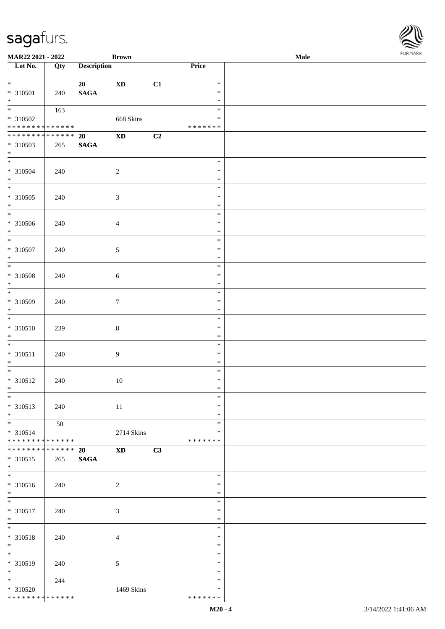| MAR22 2021 - 2022               |        |                    | <b>Brown</b>           |    |               | <b>Male</b> |
|---------------------------------|--------|--------------------|------------------------|----|---------------|-------------|
| Lot No.                         | Qty    | <b>Description</b> |                        |    | Price         |             |
|                                 |        |                    |                        |    |               |             |
| $*$                             |        | 20                 | $\mathbf{X}\mathbf{D}$ | C1 | $\ast$        |             |
| * 310501                        | 240    | <b>SAGA</b>        |                        |    | $\ast$        |             |
| $*$                             |        |                    |                        |    | $\ast$        |             |
|                                 | 163    |                    |                        |    | $\ast$        |             |
| * 310502                        |        |                    | 668 Skins              |    | $\ast$        |             |
| * * * * * * * * * * * * * *     |        |                    |                        |    | * * * * * * * |             |
| * * * * * * * * * * * * * *     |        | 20                 | $\mathbf{X}\mathbf{D}$ | C2 |               |             |
| * 310503                        | 265    | <b>SAGA</b>        |                        |    |               |             |
| $*$                             |        |                    |                        |    |               |             |
|                                 |        |                    |                        |    | $\ast$        |             |
| * 310504                        | 240    |                    | $\overline{c}$         |    | $\ast$        |             |
| $*$                             |        |                    |                        |    | $\ast$        |             |
|                                 |        |                    |                        |    | $\ast$        |             |
| $* 310505$                      | 240    |                    | $\sqrt{3}$             |    | $\ast$        |             |
| $*$                             |        |                    |                        |    | $\ast$        |             |
| $\overline{\ast}$               |        |                    |                        |    | $\ast$        |             |
| $* 310506$                      | 240    |                    | $\overline{4}$         |    | $\ast$        |             |
| $*$                             |        |                    |                        |    | $\ast$        |             |
| $\overline{\ast}$               |        |                    |                        |    | $\ast$        |             |
| $* 310507$                      | 240    |                    | $\sqrt{5}$             |    | $\ast$        |             |
| $*$                             |        |                    |                        |    | $\ast$        |             |
|                                 |        |                    |                        |    | $\ast$        |             |
| $* 310508$                      | 240    |                    | $6\,$                  |    | $\ast$        |             |
| $*$                             |        |                    |                        |    | $\ast$        |             |
|                                 |        |                    |                        |    | $\ast$        |             |
| $* 310509$                      | 240    |                    | $7\phantom{.0}$        |    | $\ast$        |             |
| $*$                             |        |                    |                        |    | $\ast$        |             |
| $\overline{\phantom{0}}$        |        |                    |                        |    | $\ast$        |             |
| $* 310510$                      | 239    |                    | $\,8\,$                |    | $\ast$        |             |
| $*$                             |        |                    |                        |    | $\ast$        |             |
| $*$                             |        |                    |                        |    | $\ast$        |             |
| $* 310511$                      | 240    |                    |                        |    | $\ast$        |             |
| $*$                             |        |                    | 9                      |    | $\ast$        |             |
| $*$                             |        |                    |                        |    | $\ast$        |             |
| $* 310512$                      |        |                    |                        |    | $\ast$        |             |
| $*$                             | 240    |                    | 10                     |    | $\ast$        |             |
| $*$                             |        |                    |                        |    | $\ast$        |             |
|                                 |        |                    |                        |    | $\ast$        |             |
| $* 310513$                      | 240    |                    | 11                     |    |               |             |
| $*$                             |        |                    |                        |    | $\ast$        |             |
| $*$                             | 50     |                    |                        |    | $\ast$        |             |
| * 310514                        |        |                    | 2714 Skins             |    | $\ast$        |             |
| * * * * * * * * * * * * * *     |        |                    |                        |    | * * * * * * * |             |
| * * * * * * * *                 | ****** | <b>20</b>          | <b>XD</b>              | C3 |               |             |
| * 310515<br>$*$                 | 265    | <b>SAGA</b>        |                        |    |               |             |
|                                 |        |                    |                        |    |               |             |
|                                 |        |                    |                        |    | $\ast$        |             |
| * 310516                        | 240    |                    | $\overline{c}$         |    | $\ast$        |             |
| $*$                             |        |                    |                        |    | $\ast$        |             |
| $*$                             |        |                    |                        |    | $\ast$        |             |
| * 310517                        | 240    |                    | 3                      |    | $\ast$        |             |
| $*$                             |        |                    |                        |    | $\ast$        |             |
| $*$                             |        |                    |                        |    | $\ast$        |             |
| $* 310518$                      | 240    |                    | $\overline{4}$         |    | $\ast$        |             |
| $*$<br>$\overline{\phantom{0}}$ |        |                    |                        |    | $\ast$        |             |
|                                 |        |                    |                        |    | $\ast$        |             |
| * 310519                        | 240    |                    | 5                      |    | $\ast$        |             |
| $*$                             |        |                    |                        |    | $\ast$        |             |
| $*$                             | 244    |                    |                        |    | $\ast$        |             |
| * 310520                        |        |                    | 1469 Skins             |    | $\ast$        |             |
| * * * * * * * * * * * * * *     |        |                    |                        |    | * * * * * * * |             |

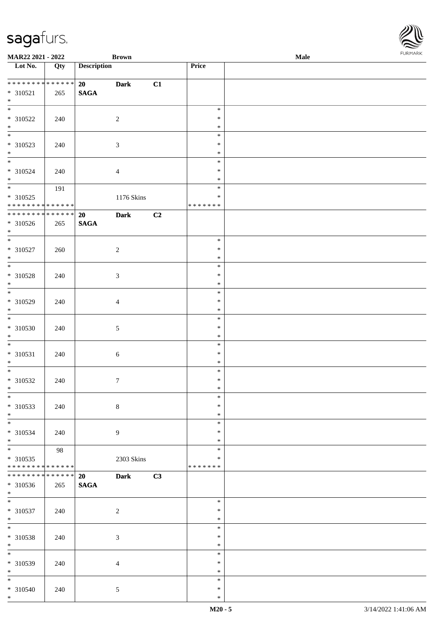| MAR22 2021 - 2022                          |             |                    | <b>Brown</b>     |    |                  | Male | $1 \times 1 \times 1 \times 1 \times 1$ |
|--------------------------------------------|-------------|--------------------|------------------|----|------------------|------|-----------------------------------------|
| Lot $No.$                                  | Qty         | <b>Description</b> |                  |    | Price            |      |                                         |
| ******** <mark>******</mark>               |             |                    |                  |    |                  |      |                                         |
| $* 310521$                                 | 265         | 20<br><b>SAGA</b>  | <b>Dark</b>      | C1 |                  |      |                                         |
| $*$                                        |             |                    |                  |    |                  |      |                                         |
| $\frac{1}{\ast}$                           |             |                    |                  |    | $\ast$           |      |                                         |
| * 310522                                   | 240         |                    | 2                |    | $\ast$           |      |                                         |
|                                            |             |                    |                  |    | $\ast$           |      |                                         |
| $*$<br>$*$                                 |             |                    |                  |    | $\ast$           |      |                                         |
| * 310523                                   | 240         |                    | $\sqrt{3}$       |    | $\ast$           |      |                                         |
| $*$                                        |             |                    |                  |    | $\ast$           |      |                                         |
| $\overline{\phantom{0}}$                   |             |                    |                  |    | $\ast$           |      |                                         |
| * 310524                                   | 240         |                    | $\overline{4}$   |    | $\ast$           |      |                                         |
| $\ast$<br>$\overline{\ast}$                | 191         |                    |                  |    | $\ast$<br>$\ast$ |      |                                         |
| * 310525                                   |             |                    | 1176 Skins       |    | ∗                |      |                                         |
| * * * * * * * * <mark>* * * * * * *</mark> |             |                    |                  |    | * * * * * * *    |      |                                         |
| * * * * * * * * * * * * * * *              |             | 20                 | <b>Dark</b>      | C2 |                  |      |                                         |
| * 310526                                   | 265         | <b>SAGA</b>        |                  |    |                  |      |                                         |
| $*$                                        |             |                    |                  |    |                  |      |                                         |
| $\overline{\ast}$                          |             |                    |                  |    | $\ast$           |      |                                         |
| * 310527                                   | 260         |                    | $\overline{c}$   |    | $\ast$           |      |                                         |
| $*$<br>$\overline{\ }$                     |             |                    |                  |    | $\ast$           |      |                                         |
|                                            |             |                    |                  |    | $\ast$<br>$\ast$ |      |                                         |
| * 310528<br>$*$                            | 240         |                    | 3                |    | $\ast$           |      |                                         |
|                                            |             |                    |                  |    | $\ast$           |      |                                         |
| * 310529                                   | 240         |                    | $\overline{4}$   |    | $\ast$           |      |                                         |
| $*$                                        |             |                    |                  |    | $\ast$           |      |                                         |
|                                            |             |                    |                  |    | $\ast$           |      |                                         |
| * 310530                                   | 240         |                    | 5                |    | $\ast$           |      |                                         |
| $\ast$                                     |             |                    |                  |    | $\ast$           |      |                                         |
|                                            |             |                    |                  |    | $\ast$           |      |                                         |
| * 310531<br>$*$                            | 240         |                    | 6                |    | $\ast$<br>$\ast$ |      |                                         |
|                                            |             |                    |                  |    | $\ast$           |      |                                         |
| $* 310532$                                 | 240         |                    | $\boldsymbol{7}$ |    | $\ast$           |      |                                         |
| $\ddot{x}$                                 |             |                    |                  |    | $\ast$           |      |                                         |
| $\overline{\ast}$                          |             |                    |                  |    | $\ast$           |      |                                         |
| * 310533                                   | 240         |                    | $\,8\,$          |    | $\ast$           |      |                                         |
| $*$                                        |             |                    |                  |    | $\ast$           |      |                                         |
|                                            |             |                    |                  |    | $\ast$           |      |                                         |
| * 310534                                   | 240         |                    | 9                |    | $\ast$           |      |                                         |
| $*$<br>$\overline{\phantom{0}}$            | 98          |                    |                  |    | $\ast$<br>$\ast$ |      |                                         |
| * 310535                                   |             |                    | 2303 Skins       |    | $\ast$           |      |                                         |
| * * * * * * * * * * * * * * *              |             |                    |                  |    | * * * * * * *    |      |                                         |
| * * * * * * * *                            | * * * * * * | <b>20</b>          | <b>Dark</b>      | C3 |                  |      |                                         |
| * 310536                                   | 265         | <b>SAGA</b>        |                  |    |                  |      |                                         |
| $*$                                        |             |                    |                  |    |                  |      |                                         |
| $\overline{\ast}$                          |             |                    |                  |    | $\ast$           |      |                                         |
| * 310537                                   | 240         |                    | $\overline{c}$   |    | $\ast$           |      |                                         |
| $*$<br>$*$                                 |             |                    |                  |    | $\ast$<br>$\ast$ |      |                                         |
| * 310538                                   | 240         |                    | $\sqrt{3}$       |    | $\ast$           |      |                                         |
| $*$                                        |             |                    |                  |    | $\ast$           |      |                                         |
| $\overline{\mathbf{r}}$                    |             |                    |                  |    | $\ast$           |      |                                         |
| * 310539                                   | 240         |                    | $\overline{4}$   |    | $\ast$           |      |                                         |
| $*$                                        |             |                    |                  |    | $\ast$           |      |                                         |
|                                            |             |                    |                  |    | $\ast$           |      |                                         |
| * 310540                                   | 240         |                    | 5                |    | $\ast$           |      |                                         |
| $\ast$                                     |             |                    |                  |    | $\ast$           |      |                                         |

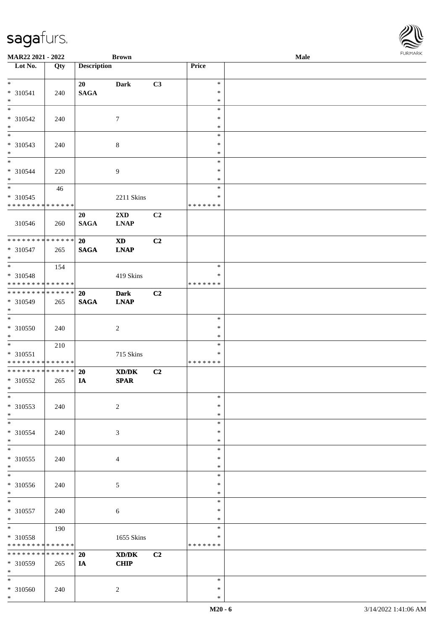\*

| <b>MAR22 2021 - 2022</b>                                      |             |                    | <b>Brown</b>            |                |                    | Male | $1 \times 1 \times 1 \times 1 \times 1$ |
|---------------------------------------------------------------|-------------|--------------------|-------------------------|----------------|--------------------|------|-----------------------------------------|
| Lot No.                                                       | Qty         | <b>Description</b> |                         |                | Price              |      |                                         |
|                                                               |             |                    |                         |                |                    |      |                                         |
| $*$                                                           |             | 20                 | <b>Dark</b>             | C3             | $\ast$             |      |                                         |
| * 310541                                                      | 240         | <b>SAGA</b>        |                         |                | $\ast$             |      |                                         |
| $*$                                                           |             |                    |                         |                | $\ast$             |      |                                         |
|                                                               |             |                    |                         |                | $\ast$             |      |                                         |
| * 310542                                                      | 240         |                    | $\tau$                  |                | $\ast$             |      |                                         |
| $*$                                                           |             |                    |                         |                | $\ast$<br>$\ast$   |      |                                         |
|                                                               |             |                    |                         |                | $\ast$             |      |                                         |
| * 310543<br>$*$                                               | 240         |                    | $\,8\,$                 |                | $\ast$             |      |                                         |
| $\overline{\phantom{0}}$                                      |             |                    |                         |                | $\ast$             |      |                                         |
| * 310544                                                      | 220         |                    | $\overline{9}$          |                | $\ast$             |      |                                         |
| $\ast$                                                        |             |                    |                         |                | $\ast$             |      |                                         |
| $\overline{\mathbf{r}}$                                       | 46          |                    |                         |                | $\ast$             |      |                                         |
| * 310545                                                      |             |                    | 2211 Skins              |                | ∗                  |      |                                         |
| * * * * * * * * <mark>* * * * * * *</mark>                    |             |                    |                         |                | * * * * * * *      |      |                                         |
|                                                               |             | 20                 | $2\mathbf{X}\mathbf{D}$ | C2             |                    |      |                                         |
| 310546                                                        | 260         | <b>SAGA</b>        | <b>LNAP</b>             |                |                    |      |                                         |
|                                                               |             |                    |                         |                |                    |      |                                         |
| ******** <mark>******</mark>                                  |             | 20                 | $\mathbf{X}\mathbf{D}$  | C <sub>2</sub> |                    |      |                                         |
| $* 310547$                                                    | 265         | <b>SAGA</b>        | <b>LNAP</b>             |                |                    |      |                                         |
| $*$                                                           |             |                    |                         |                |                    |      |                                         |
| $\overline{\phantom{0}}$                                      | 154         |                    |                         |                | $\ast$             |      |                                         |
| * 310548                                                      |             |                    | 419 Skins               |                | ∗                  |      |                                         |
| * * * * * * * * <mark>* * * * * * *</mark>                    |             |                    |                         |                | * * * * * * *      |      |                                         |
| * * * * * * * * <mark>* * * * * * *</mark>                    |             | <b>20</b>          | <b>Dark</b>             | C2             |                    |      |                                         |
| * 310549                                                      | 265         | <b>SAGA</b>        | <b>LNAP</b>             |                |                    |      |                                         |
| $*$                                                           |             |                    |                         |                |                    |      |                                         |
| $\overline{\ast}$                                             |             |                    |                         |                | $\ast$             |      |                                         |
| * 310550                                                      | 240         |                    | 2                       |                | $\ast$             |      |                                         |
| $\ast$                                                        |             |                    |                         |                | $\ast$             |      |                                         |
|                                                               | 210         |                    |                         |                | $\ast$             |      |                                         |
| * 310551                                                      |             |                    | 715 Skins               |                | ∗                  |      |                                         |
| * * * * * * * * <mark>* * * * * *</mark>                      |             |                    |                         |                | * * * * * * *      |      |                                         |
| * * * * * * * * <mark>* * * * * * *</mark>                    |             | 20                 | XD/DK                   | C2             |                    |      |                                         |
| * 310552                                                      | 265         | IA                 | <b>SPAR</b>             |                |                    |      |                                         |
| $\ast$                                                        |             |                    |                         |                |                    |      |                                         |
| $\ast$                                                        |             |                    |                         |                | $\ast$             |      |                                         |
| * 310553                                                      | 240         |                    | $\sqrt{2}$              |                | $\ast$             |      |                                         |
| $*$                                                           |             |                    |                         |                | $\ast$             |      |                                         |
| $\overline{\phantom{0}}$                                      |             |                    |                         |                | $\ast$             |      |                                         |
| * 310554                                                      | 240         |                    | 3                       |                | ∗                  |      |                                         |
| $*$                                                           |             |                    |                         |                | $\ast$             |      |                                         |
| $\ast$                                                        |             |                    |                         |                | $\ast$             |      |                                         |
| * 310555                                                      | 240         |                    | 4                       |                | $\ast$             |      |                                         |
| $\ast$                                                        |             |                    |                         |                | $\ast$             |      |                                         |
| $\ast$                                                        |             |                    |                         |                | $\ast$             |      |                                         |
| * 310556                                                      | 240         |                    | 5                       |                | $\ast$             |      |                                         |
| $*$<br>$\ast$                                                 |             |                    |                         |                | $\ast$             |      |                                         |
|                                                               |             |                    |                         |                | $\ast$             |      |                                         |
| * 310557                                                      | 240         |                    | 6                       |                | $\ast$             |      |                                         |
| $*$<br>$*$                                                    |             |                    |                         |                | $\ast$<br>$\ast$   |      |                                         |
|                                                               | 190         |                    |                         |                |                    |      |                                         |
| * 310558                                                      |             |                    | 1655 Skins              |                | ∗<br>* * * * * * * |      |                                         |
| * * * * * * * * <mark>* * * * * * *</mark><br>* * * * * * * * |             |                    |                         |                |                    |      |                                         |
|                                                               | * * * * * * | 20                 | XD/DK                   | C2             |                    |      |                                         |
| * 310559                                                      | 265         | IA                 | <b>CHIP</b>             |                |                    |      |                                         |
| $*$                                                           |             |                    |                         |                | $\ast$             |      |                                         |
|                                                               |             |                    |                         |                | $\ast$             |      |                                         |
| * 310560                                                      | 240         |                    | 2                       |                |                    |      |                                         |
| $\ast$                                                        |             |                    |                         |                | $\ast$             |      |                                         |

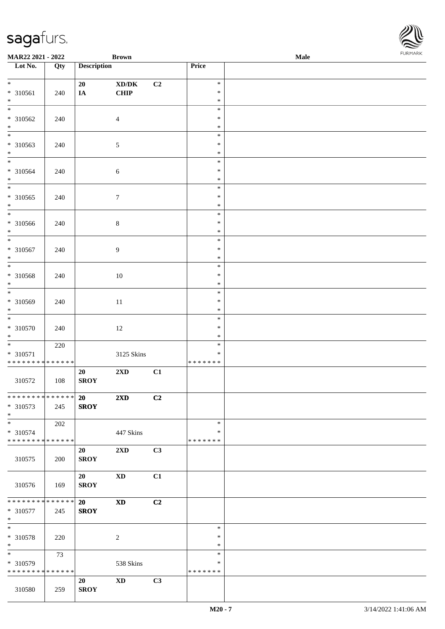| <b>MAR22 2021 - 2022</b>                   |                 |                    | <b>Brown</b>                                |    |                  | <b>Male</b> |  |
|--------------------------------------------|-----------------|--------------------|---------------------------------------------|----|------------------|-------------|--|
| Lot No.                                    | Qty             | <b>Description</b> |                                             |    | Price            |             |  |
|                                            |                 |                    |                                             |    |                  |             |  |
| $\ddot{x}$                                 |                 | 20                 | $\mathbf{X}\mathbf{D}/\mathbf{D}\mathbf{K}$ | C2 | $\ast$           |             |  |
| * 310561                                   | 240             | $I\!\!A$           | <b>CHIP</b>                                 |    | $\ast$           |             |  |
| $*$                                        |                 |                    |                                             |    | $\ast$           |             |  |
|                                            |                 |                    |                                             |    | $\ast$           |             |  |
| * 310562                                   | 240             |                    | $\overline{4}$                              |    | $\ast$           |             |  |
| $*$                                        |                 |                    |                                             |    | $\ast$           |             |  |
|                                            |                 |                    |                                             |    | $\ast$           |             |  |
| * 310563                                   | 240             |                    | $\sqrt{5}$                                  |    | $\ast$           |             |  |
| $*$                                        |                 |                    |                                             |    | $\ast$           |             |  |
|                                            |                 |                    |                                             |    | $\ast$           |             |  |
| * 310564                                   | 240             |                    | $\sqrt{6}$                                  |    | $\ast$           |             |  |
| $*$                                        |                 |                    |                                             |    | $\ast$<br>$\ast$ |             |  |
|                                            |                 |                    |                                             |    |                  |             |  |
| * 310565<br>$*$                            | 240             |                    | $\boldsymbol{7}$                            |    | $\ast$<br>$\ast$ |             |  |
| $\overline{\phantom{0}}$                   |                 |                    |                                             |    | $\ast$           |             |  |
| * 310566                                   |                 |                    |                                             |    | $\ast$           |             |  |
| $*$                                        | 240             |                    | $\,8\,$                                     |    | $\ast$           |             |  |
|                                            |                 |                    |                                             |    | $\ast$           |             |  |
| $* 310567$                                 | 240             |                    | 9                                           |    | $\ast$           |             |  |
| $*$                                        |                 |                    |                                             |    | $\ast$           |             |  |
|                                            |                 |                    |                                             |    | $\ast$           |             |  |
| * 310568                                   | 240             |                    | 10                                          |    | $\ast$           |             |  |
| $\ast$                                     |                 |                    |                                             |    | $\ast$           |             |  |
|                                            |                 |                    |                                             |    | $\ast$           |             |  |
| * 310569                                   | 240             |                    | 11                                          |    | $\ast$           |             |  |
| $\ast$                                     |                 |                    |                                             |    | $\ast$           |             |  |
| $\overline{\ast}$                          |                 |                    |                                             |    | $\ast$           |             |  |
| * 310570                                   | 240             |                    | 12                                          |    | $\ast$           |             |  |
| $*$                                        |                 |                    |                                             |    | $\ast$           |             |  |
|                                            | 220             |                    |                                             |    | $\ast$           |             |  |
| * 310571                                   |                 |                    | 3125 Skins                                  |    | $\ast$           |             |  |
| * * * * * * * * <mark>*</mark>             | * * * * * *     |                    |                                             |    | * * * * * * *    |             |  |
|                                            |                 | 20                 | $2\mathbf{X}\mathbf{D}$                     | C1 |                  |             |  |
| 310572                                     | 108             | <b>SROY</b>        |                                             |    |                  |             |  |
|                                            |                 |                    |                                             |    |                  |             |  |
| * * * * * * * * <mark>* * * * * * *</mark> |                 | 20                 | $2\mathbf{X}\mathbf{D}$                     | C2 |                  |             |  |
| * 310573                                   | 245             | <b>SROY</b>        |                                             |    |                  |             |  |
| $*$<br>$*$                                 |                 |                    |                                             |    | $\ast$           |             |  |
| * 310574                                   | 202             |                    | 447 Skins                                   |    | ∗                |             |  |
| * * * * * * * * <mark>* * * * * * *</mark> |                 |                    |                                             |    | * * * * * * *    |             |  |
|                                            |                 | 20                 | $2\mathbf{X}\mathbf{D}$                     | C3 |                  |             |  |
| 310575                                     | 200             | <b>SROY</b>        |                                             |    |                  |             |  |
|                                            |                 |                    |                                             |    |                  |             |  |
|                                            |                 | 20                 | <b>XD</b>                                   | C1 |                  |             |  |
| 310576                                     | 169             | <b>SROY</b>        |                                             |    |                  |             |  |
|                                            |                 |                    |                                             |    |                  |             |  |
| * * * * * * * *                            | $* * * * * * *$ | 20                 | <b>XD</b>                                   | C2 |                  |             |  |
| * 310577                                   | 245             | <b>SROY</b>        |                                             |    |                  |             |  |
| $*$                                        |                 |                    |                                             |    |                  |             |  |
| $*$                                        |                 |                    |                                             |    | $\ast$           |             |  |
| * 310578                                   | 220             |                    | 2                                           |    | $\ast$           |             |  |
| $*$                                        |                 |                    |                                             |    | $\ast$           |             |  |
|                                            | 73              |                    |                                             |    | $\ast$           |             |  |
| * 310579                                   |                 |                    | 538 Skins                                   |    | *                |             |  |
| * * * * * * * * <mark>* * * * * *</mark>   |                 |                    |                                             |    | * * * * * * *    |             |  |
|                                            |                 | 20                 | <b>XD</b>                                   | C3 |                  |             |  |
| 310580                                     | 259             | <b>SROY</b>        |                                             |    |                  |             |  |

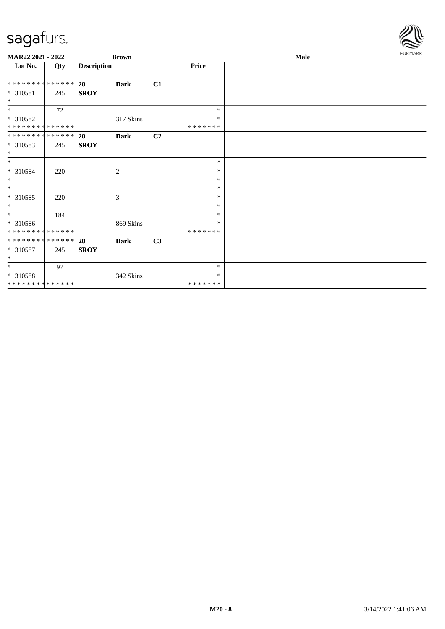| MAR22 2021 - 2022             |     |                    | <b>Brown</b> |    |              | Male | <b>FURMARK</b> |
|-------------------------------|-----|--------------------|--------------|----|--------------|------|----------------|
| Lot No.                       | Qty | <b>Description</b> |              |    | <b>Price</b> |      |                |
| * * * * * * * * * * * * * * * |     | <b>20</b>          | <b>Dark</b>  | C1 |              |      |                |
| * 310581<br>$*$               | 245 | <b>SROY</b>        |              |    |              |      |                |
| $*$                           | 72  |                    |              |    | $\ast$       |      |                |
| * 310582                      |     |                    | 317 Skins    |    | *            |      |                |
| * * * * * * * * * * * * * *   |     |                    |              |    | *******      |      |                |
| * * * * * * * * * * * * * * * |     | <b>20</b>          | <b>Dark</b>  | C2 |              |      |                |
| * 310583<br>$*$               | 245 | <b>SROY</b>        |              |    |              |      |                |
| $*$                           |     |                    |              |    | $\ast$       |      |                |
| * 310584                      | 220 |                    | 2            |    | *            |      |                |
| $*$                           |     |                    |              |    | $\ast$       |      |                |
| $*$                           |     |                    |              |    | $\ast$       |      |                |
| * 310585                      | 220 |                    | 3            |    | $\ast$       |      |                |
| $*$                           |     |                    |              |    | $\ast$       |      |                |
| $*$                           | 184 |                    |              |    | $\ast$       |      |                |
| * 310586                      |     |                    | 869 Skins    |    | ∗            |      |                |
| * * * * * * * * * * * * * * * |     |                    |              |    | *******      |      |                |
| * * * * * * * * * * * * * * * |     | 20                 | <b>Dark</b>  | C3 |              |      |                |
| $*310587$                     | 245 | <b>SROY</b>        |              |    |              |      |                |
| $*$                           |     |                    |              |    |              |      |                |
| $*$                           | 97  |                    |              |    | *            |      |                |
| * 310588                      |     |                    | 342 Skins    |    | *            |      |                |
| * * * * * * * * * * * * * *   |     |                    |              |    | *******      |      |                |

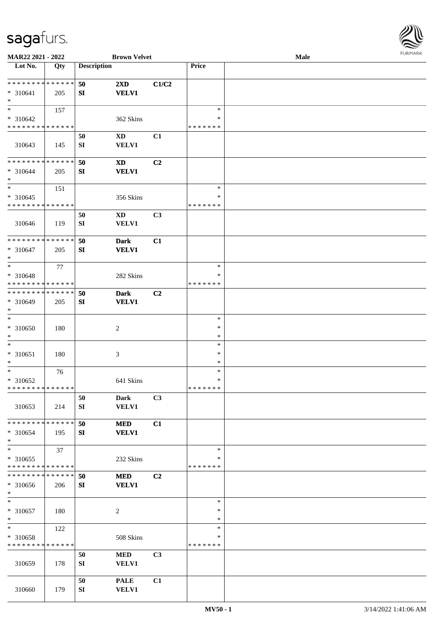

| MAR22 2021 - 2022                       |     |                    | <b>Brown Velvet</b>         |                |                  | Male |  |
|-----------------------------------------|-----|--------------------|-----------------------------|----------------|------------------|------|--|
| Lot No.                                 | Qty | <b>Description</b> |                             |                | Price            |      |  |
|                                         |     |                    |                             |                |                  |      |  |
| **************                          |     | 50                 | $2\mathbf{X}\mathbf{D}$     | C1/C2          |                  |      |  |
| $* 310641$                              | 205 | SI                 | <b>VELV1</b>                |                |                  |      |  |
| $\ast$<br>$\overline{\ast}$             |     |                    |                             |                |                  |      |  |
|                                         | 157 |                    |                             |                | $\ast$<br>∗      |      |  |
| * 310642<br>* * * * * * * * * * * * * * |     |                    | 362 Skins                   |                | * * * * * * *    |      |  |
|                                         |     |                    |                             |                |                  |      |  |
|                                         |     | 50                 | XD                          | C1             |                  |      |  |
| 310643                                  | 145 | ${\bf S}{\bf I}$   | <b>VELV1</b>                |                |                  |      |  |
| * * * * * * * * * * * * * *             |     | 50                 | $\boldsymbol{\mathrm{XD}}$  | C2             |                  |      |  |
| $* 310644$                              | 205 | SI                 | <b>VELV1</b>                |                |                  |      |  |
| $\ast$                                  |     |                    |                             |                |                  |      |  |
| $\ast$                                  | 151 |                    |                             |                | $\ast$           |      |  |
| $* 310645$                              |     |                    | 356 Skins                   |                | $\ast$           |      |  |
| * * * * * * * * * * * * * *             |     |                    |                             |                | * * * * * * *    |      |  |
|                                         |     | 50                 | <b>XD</b>                   | C3             |                  |      |  |
| 310646                                  | 119 | SI                 | <b>VELV1</b>                |                |                  |      |  |
|                                         |     |                    |                             |                |                  |      |  |
| **************                          |     | 50                 | <b>Dark</b>                 | C1             |                  |      |  |
| $* 310647$                              | 205 | SI                 | <b>VELV1</b>                |                |                  |      |  |
| $\ast$                                  |     |                    |                             |                |                  |      |  |
| $\ast$                                  | 77  |                    |                             |                | $\ast$           |      |  |
| * 310648                                |     |                    | 282 Skins                   |                | *                |      |  |
| * * * * * * * * * * * * * *             |     |                    |                             |                | * * * * * * *    |      |  |
| * * * * * * * * * * * * * *             |     | 50                 | <b>Dark</b>                 | C <sub>2</sub> |                  |      |  |
| * 310649                                | 205 | SI                 | <b>VELV1</b>                |                |                  |      |  |
| $\ast$<br>$\ast$                        |     |                    |                             |                |                  |      |  |
|                                         |     |                    |                             |                | $\ast$           |      |  |
| $* 310650$<br>$\ast$                    | 180 |                    | $\boldsymbol{2}$            |                | $\ast$<br>$\ast$ |      |  |
| $\ast$                                  |     |                    |                             |                | $\ast$           |      |  |
| $* 310651$                              | 180 |                    | $\ensuremath{\mathfrak{Z}}$ |                | $\ast$           |      |  |
| $\ast$                                  |     |                    |                             |                | $\ast$           |      |  |
| $\ast$                                  | 76  |                    |                             |                | $\ast$           |      |  |
| * 310652                                |     |                    | 641 Skins                   |                | $\ast$           |      |  |
| **************                          |     |                    |                             |                | * * * * * * *    |      |  |
|                                         |     | 50                 | <b>Dark</b>                 | C3             |                  |      |  |
| 310653                                  | 214 | SI                 | <b>VELV1</b>                |                |                  |      |  |
|                                         |     |                    |                             |                |                  |      |  |
| * * * * * * * * * * * * * *             |     | 50                 | <b>MED</b>                  | C1             |                  |      |  |
| * 310654                                | 195 | SI                 | <b>VELV1</b>                |                |                  |      |  |
| $\ast$                                  |     |                    |                             |                |                  |      |  |
| $\ast$                                  | 37  |                    |                             |                | $\ast$           |      |  |
| $*310655$                               |     |                    | 232 Skins                   |                | ∗                |      |  |
| * * * * * * * * * * * * * *             |     |                    |                             |                | * * * * * * *    |      |  |
| **************                          |     | 50                 | <b>MED</b>                  | C2             |                  |      |  |
| $* 310656$                              | 206 | SI                 | <b>VELV1</b>                |                |                  |      |  |
| $\ast$<br>$\ast$                        |     |                    |                             |                | $\ast$           |      |  |
|                                         |     |                    |                             |                | $\ast$           |      |  |
| $* 310657$<br>$\ast$                    | 180 |                    | $\sqrt{2}$                  |                | $\ast$           |      |  |
| $\ast$                                  | 122 |                    |                             |                | $\ast$           |      |  |
| * 310658                                |     |                    | 508 Skins                   |                | ∗                |      |  |
| * * * * * * * * * * * * * *             |     |                    |                             |                | * * * * * * *    |      |  |
|                                         |     | 50                 | <b>MED</b>                  | C3             |                  |      |  |
| 310659                                  | 178 | SI                 | VELV1                       |                |                  |      |  |
|                                         |     |                    |                             |                |                  |      |  |
|                                         |     | 50                 | <b>PALE</b>                 | C1             |                  |      |  |
| 310660                                  | 179 | ${\bf S}{\bf I}$   | <b>VELV1</b>                |                |                  |      |  |
|                                         |     |                    |                             |                |                  |      |  |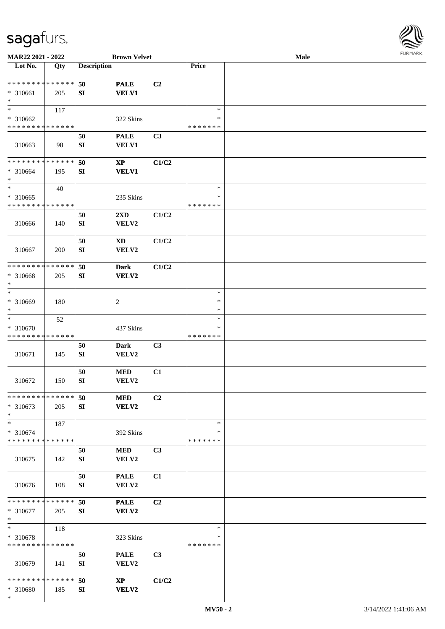

| MAR22 2021 - 2022           |     |                    | <b>Brown Velvet</b>    |                |               | <b>Male</b> |  |
|-----------------------------|-----|--------------------|------------------------|----------------|---------------|-------------|--|
| Lot No.                     | Qty | <b>Description</b> |                        |                | Price         |             |  |
| **************              |     |                    |                        |                |               |             |  |
|                             |     | 50                 | <b>PALE</b>            | C2             |               |             |  |
| * 310661                    | 205 | SI                 | <b>VELV1</b>           |                |               |             |  |
| $\ast$                      |     |                    |                        |                |               |             |  |
| $\ast$                      | 117 |                    |                        |                | $\ast$        |             |  |
| * 310662                    |     |                    | 322 Skins              |                | ∗             |             |  |
| * * * * * * * * * * * * * * |     |                    |                        |                | * * * * * * * |             |  |
|                             |     | 50                 | <b>PALE</b>            | C3             |               |             |  |
| 310663                      | 98  | SI                 | VELV1                  |                |               |             |  |
|                             |     |                    |                        |                |               |             |  |
| * * * * * * * * * * * * * * |     | 50                 | $\mathbf{XP}$          | C1/C2          |               |             |  |
| * 310664                    | 195 | SI                 | <b>VELV1</b>           |                |               |             |  |
| $\ast$                      |     |                    |                        |                |               |             |  |
| $\ast$                      | 40  |                    |                        |                | $\ast$        |             |  |
| * 310665                    |     |                    | 235 Skins              |                | $\ast$        |             |  |
| * * * * * * * * * * * * * * |     |                    |                        |                | * * * * * * * |             |  |
|                             |     | 50                 | 2XD                    | C1/C2          |               |             |  |
| 310666                      | 140 | ${\bf SI}$         | VELV2                  |                |               |             |  |
|                             |     |                    |                        |                |               |             |  |
|                             |     | 50                 | $\mathbf{X}\mathbf{D}$ | C1/C2          |               |             |  |
|                             |     |                    |                        |                |               |             |  |
| 310667                      | 200 | ${\bf SI}$         | VELV2                  |                |               |             |  |
| * * * * * * * * * * * * * * |     |                    |                        |                |               |             |  |
|                             |     | 50                 | <b>Dark</b>            | C1/C2          |               |             |  |
| * 310668                    | 205 | SI                 | <b>VELV2</b>           |                |               |             |  |
| $\ast$                      |     |                    |                        |                |               |             |  |
| $\ast$                      |     |                    |                        |                | $\ast$        |             |  |
| * 310669                    | 180 |                    | $\sqrt{2}$             |                | $\ast$        |             |  |
| $\ast$                      |     |                    |                        |                | $\ast$        |             |  |
| $\ast$                      | 52  |                    |                        |                | $\ast$        |             |  |
| * 310670                    |     |                    | 437 Skins              |                | ∗             |             |  |
| * * * * * * * * * * * * * * |     |                    |                        |                | * * * * * * * |             |  |
|                             |     | 50                 | <b>Dark</b>            | C3             |               |             |  |
| 310671                      | 145 | ${\bf SI}$         | VELV2                  |                |               |             |  |
|                             |     |                    |                        |                |               |             |  |
|                             |     | 50                 | $\bf MED$              | C1             |               |             |  |
| 310672                      | 150 | ${\bf SI}$         | VELV2                  |                |               |             |  |
|                             |     |                    |                        |                |               |             |  |
| * * * * * * * * * * * * * * |     | 50                 | <b>MED</b>             | C <sub>2</sub> |               |             |  |
| $* 310673$                  | 205 | SI                 | <b>VELV2</b>           |                |               |             |  |
| $\ast$                      |     |                    |                        |                |               |             |  |
| $\ast$                      | 187 |                    |                        |                | $\ast$        |             |  |
| * 310674                    |     |                    | 392 Skins              |                | ∗             |             |  |
| * * * * * * * * * * * * * * |     |                    |                        |                | * * * * * * * |             |  |
|                             |     | 50                 | <b>MED</b>             | C3             |               |             |  |
| 310675                      | 142 | SI                 | VELV2                  |                |               |             |  |
|                             |     |                    |                        |                |               |             |  |
|                             |     | 50                 | <b>PALE</b>            | C1             |               |             |  |
|                             |     |                    |                        |                |               |             |  |
| 310676                      | 108 | SI                 | VELV2                  |                |               |             |  |
| * * * * * * * * * * * * * * |     |                    |                        |                |               |             |  |
|                             |     | 50                 | <b>PALE</b>            | C2             |               |             |  |
| * 310677                    | 205 | SI                 | VELV2                  |                |               |             |  |
| $\ast$                      |     |                    |                        |                |               |             |  |
| $\ast$                      | 118 |                    |                        |                | $\ast$        |             |  |
| * 310678                    |     |                    | 323 Skins              |                | ∗             |             |  |
| * * * * * * * * * * * * * * |     |                    |                        |                | * * * * * * * |             |  |
|                             |     | 50                 | <b>PALE</b>            | C3             |               |             |  |
| 310679                      | 141 | ${\bf SI}$         | VELV2                  |                |               |             |  |
|                             |     |                    |                        |                |               |             |  |
| * * * * * * * * * * * * * * |     | 50                 | $\mathbf{X}\mathbf{P}$ | C1/C2          |               |             |  |
| * 310680                    | 185 | SI                 | <b>VELV2</b>           |                |               |             |  |
| $\ast$                      |     |                    |                        |                |               |             |  |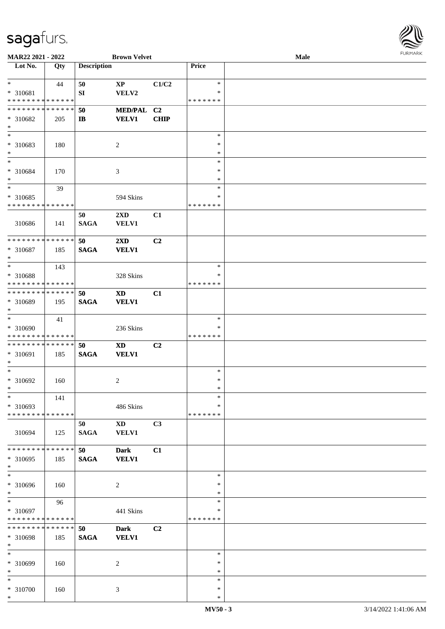

| MAR22 2021 - 2022           |     |                    | <b>Brown Velvet</b>         |                |               | Male |
|-----------------------------|-----|--------------------|-----------------------------|----------------|---------------|------|
| Lot No.                     | Qty | <b>Description</b> |                             |                | Price         |      |
|                             |     |                    |                             |                |               |      |
| $*$                         | 44  | 50                 | $\mathbf{XP}$               | C1/C2          | $\ast$        |      |
| * 310681                    |     | ${\bf SI}$         | VELV2                       |                | ∗             |      |
| * * * * * * * * * * * * * * |     |                    |                             |                | * * * * * * * |      |
|                             |     |                    |                             |                |               |      |
| * * * * * * * * * * * * * * |     | 50                 | <b>MED/PAL</b>              | C <sub>2</sub> |               |      |
| * 310682                    | 205 | $\mathbf{I}$       | <b>VELV1</b>                | <b>CHIP</b>    |               |      |
| $*$                         |     |                    |                             |                |               |      |
| $*$                         |     |                    |                             |                | $\ast$        |      |
| * 310683                    | 180 |                    | $\overline{c}$              |                | $\ast$        |      |
| $\ast$                      |     |                    |                             |                | $\ast$        |      |
| $\ast$                      |     |                    |                             |                | $\ast$        |      |
|                             |     |                    |                             |                |               |      |
| * 310684                    | 170 |                    | $\ensuremath{\mathfrak{Z}}$ |                | $\ast$        |      |
| $\ast$                      |     |                    |                             |                | $\ast$        |      |
| $*$                         | 39  |                    |                             |                | $\ast$        |      |
| $*310685$                   |     |                    | 594 Skins                   |                | $\ast$        |      |
| * * * * * * * * * * * * * * |     |                    |                             |                | * * * * * * * |      |
|                             |     |                    |                             |                |               |      |
|                             |     | 50                 | 2XD                         | C1             |               |      |
| 310686                      | 141 | <b>SAGA</b>        | <b>VELV1</b>                |                |               |      |
|                             |     |                    |                             |                |               |      |
| * * * * * * * * * * * * * * |     | 50                 | 2XD                         | C2             |               |      |
| * 310687                    | 185 | <b>SAGA</b>        | <b>VELV1</b>                |                |               |      |
| $\ast$                      |     |                    |                             |                |               |      |
| $*$                         |     |                    |                             |                | $\ast$        |      |
|                             | 143 |                    |                             |                |               |      |
| * 310688                    |     |                    | 328 Skins                   |                | ∗             |      |
| * * * * * * * * * * * * * * |     |                    |                             |                | * * * * * * * |      |
| * * * * * * * * * * * * * * |     | 50                 | <b>XD</b>                   | C1             |               |      |
| * 310689                    | 195 | <b>SAGA</b>        | <b>VELV1</b>                |                |               |      |
| $*$                         |     |                    |                             |                |               |      |
| $\ast$                      |     |                    |                             |                |               |      |
|                             | 41  |                    |                             |                | $\ast$        |      |
| $* 310690$                  |     |                    | 236 Skins                   |                | ∗             |      |
| * * * * * * * * * * * * * * |     |                    |                             |                | * * * * * * * |      |
| * * * * * * * * * * * * * * |     | 50                 | <b>XD</b>                   | C2             |               |      |
| * 310691                    | 185 | <b>SAGA</b>        | <b>VELV1</b>                |                |               |      |
| $\ast$                      |     |                    |                             |                |               |      |
| $*$                         |     |                    |                             |                |               |      |
|                             |     |                    |                             |                | $\ast$        |      |
| $* 310692$                  | 160 |                    | 2                           |                | $\ast$        |      |
| $*$                         |     |                    |                             |                | $\ast$        |      |
| $\ast$                      | 141 |                    |                             |                | $\ast$        |      |
| * 310693                    |     |                    | 486 Skins                   |                | ∗             |      |
| * * * * * * * * * * * * * * |     |                    |                             |                | * * * * * * * |      |
|                             |     |                    |                             |                |               |      |
|                             |     | 50                 | $\mathbf{X}\mathbf{D}$      | C3             |               |      |
| 310694                      | 125 | <b>SAGA</b>        | <b>VELV1</b>                |                |               |      |
|                             |     |                    |                             |                |               |      |
| * * * * * * * * * * * * * * |     | 50                 | <b>Dark</b>                 | C1             |               |      |
| * 310695                    | 185 | <b>SAGA</b>        | <b>VELV1</b>                |                |               |      |
| $*$                         |     |                    |                             |                |               |      |
| $\overline{\phantom{a}^*}$  |     |                    |                             |                |               |      |
|                             |     |                    |                             |                | $\ast$        |      |
| * 310696                    | 160 |                    | 2                           |                | ∗             |      |
| $*$                         |     |                    |                             |                | $\ast$        |      |
| $*$                         | 96  |                    |                             |                | $\ast$        |      |
| * 310697                    |     |                    | 441 Skins                   |                | $\ast$        |      |
| * * * * * * * * * * * * * * |     |                    |                             |                | * * * * * * * |      |
| * * * * * * * * * * * * * * |     |                    |                             |                |               |      |
|                             |     | 50                 | <b>Dark</b>                 | C2             |               |      |
| * 310698                    | 185 | <b>SAGA</b>        | <b>VELV1</b>                |                |               |      |
| $*$                         |     |                    |                             |                |               |      |
| $\ast$                      |     |                    |                             |                | $\ast$        |      |
| * 310699                    | 160 |                    | 2                           |                | ∗             |      |
| $*$                         |     |                    |                             |                | $\ast$        |      |
|                             |     |                    |                             |                |               |      |
| $*$                         |     |                    |                             |                | $\ast$        |      |
| * 310700                    | 160 |                    | 3                           |                | $\ast$        |      |
| $*$                         |     |                    |                             |                | $\ast$        |      |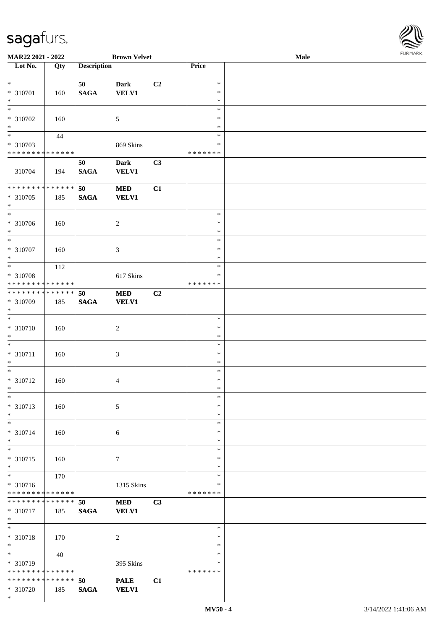\*

| MAR22 2021 - 2022                    |             |                    | <b>Brown Velvet</b> |                |                  | Male | <b>FURMARK</b> |
|--------------------------------------|-------------|--------------------|---------------------|----------------|------------------|------|----------------|
| $\overline{\phantom{1}}$ Lot No.     | Qty         | <b>Description</b> |                     |                | Price            |      |                |
| $\overline{\ast}$                    |             |                    |                     |                |                  |      |                |
|                                      |             | 50                 | <b>Dark</b>         | C <sub>2</sub> | $\ast$           |      |                |
| * 310701<br>$\ast$                   | 160         | $\mathbf{SAGA}$    | VELV1               |                | $\ast$<br>$\ast$ |      |                |
| $\ast$                               |             |                    |                     |                | $\ast$           |      |                |
| $* 310702$                           | 160         |                    | $\sqrt{5}$          |                | $\ast$           |      |                |
| $\ast$                               |             |                    |                     |                | $\ast$           |      |                |
| $\overline{\phantom{1}}$             | 44          |                    |                     |                | $\ast$           |      |                |
| * 310703                             |             |                    | 869 Skins           |                | $\ast$           |      |                |
| * * * * * * * * * * * * * *          |             |                    |                     |                | * * * * * * *    |      |                |
|                                      |             | 50                 | <b>Dark</b>         | C3             |                  |      |                |
| 310704                               | 194         | <b>SAGA</b>        | <b>VELV1</b>        |                |                  |      |                |
|                                      |             |                    |                     |                |                  |      |                |
| * * * * * * * *                      | * * * * * * | 50                 | <b>MED</b>          | C1             |                  |      |                |
| * 310705                             | 185         | <b>SAGA</b>        | <b>VELV1</b>        |                |                  |      |                |
| $\ast$<br>$\overline{\phantom{a}^*}$ |             |                    |                     |                | $\ast$           |      |                |
| * 310706                             |             |                    |                     |                | $\ast$           |      |                |
| $\ast$                               | 160         |                    | $\boldsymbol{2}$    |                | $\ast$           |      |                |
| $\overline{\ast}$                    |             |                    |                     |                | $\ast$           |      |                |
| * 310707                             | 160         |                    | $\mathfrak{Z}$      |                | $\ast$           |      |                |
| $\ast$                               |             |                    |                     |                | $\ast$           |      |                |
| $\ast$                               | 112         |                    |                     |                | $\ast$           |      |                |
| * 310708                             |             |                    | 617 Skins           |                | $\ast$           |      |                |
| * * * * * * * * * * * * * *          |             |                    |                     |                | * * * * * * *    |      |                |
| ********                             | * * * * * * | 50                 | $\bf MED$           | C2             |                  |      |                |
| * 310709                             | 185         | <b>SAGA</b>        | <b>VELV1</b>        |                |                  |      |                |
| $\ast$                               |             |                    |                     |                |                  |      |                |
| $_{\ast}$                            |             |                    |                     |                | $\ast$           |      |                |
| $* 310710$                           | 160         |                    | $\overline{c}$      |                | $\ast$           |      |                |
| $\ast$<br>$\ast$                     |             |                    |                     |                | $\ast$           |      |                |
|                                      |             |                    |                     |                | $\ast$<br>$\ast$ |      |                |
| $* 310711$<br>$\ast$                 | 160         |                    | 3                   |                | $\ast$           |      |                |
| $*$                                  |             |                    |                     |                | $\ast$           |      |                |
| * 310712                             | 160         |                    | 4                   |                | $\ast$           |      |                |
|                                      |             |                    |                     |                | ∗                |      |                |
| $\ast$                               |             |                    |                     |                | $\ast$           |      |                |
| $* 310713$                           | 160         |                    | 5                   |                | $\ast$           |      |                |
| $\ast$                               |             |                    |                     |                | $\ast$           |      |                |
| $*$                                  |             |                    |                     |                | $\ast$           |      |                |
| * 310714                             | 160         |                    | $\sqrt{6}$          |                | $\ast$           |      |                |
| $\ast$                               |             |                    |                     |                | $\ast$           |      |                |
| $\overline{\phantom{0}}$             |             |                    |                     |                | $\ast$           |      |                |
| * 310715                             | 160         |                    | $\tau$              |                | $\ast$           |      |                |
| $*$<br>$\ast$                        | 170         |                    |                     |                | $\ast$<br>$\ast$ |      |                |
| * 310716                             |             |                    | 1315 Skins          |                | ∗                |      |                |
| * * * * * * * * * * * * * *          |             |                    |                     |                | * * * * * * *    |      |                |
| * * * * * * * * * * * * * *          |             | 50                 | <b>MED</b>          | C3             |                  |      |                |
| * 310717                             | 185         | <b>SAGA</b>        | <b>VELV1</b>        |                |                  |      |                |
| $\ast$                               |             |                    |                     |                |                  |      |                |
| $\ast$                               |             |                    |                     |                | $\ast$           |      |                |
| * 310718                             | 170         |                    | $\boldsymbol{2}$    |                | $\ast$           |      |                |
| $*$                                  |             |                    |                     |                | $\ast$           |      |                |
| $_{\ast}^{-}$                        | 40          |                    |                     |                | $\ast$           |      |                |
| * 310719                             |             |                    | 395 Skins           |                | ∗                |      |                |
| * * * * * * * * * * * * * *          |             |                    |                     |                | * * * * * * *    |      |                |
| * * * * * * * * * * * * * * *        |             | 50                 | <b>PALE</b>         | C1             |                  |      |                |
| * 310720                             | 185         | <b>SAGA</b>        | <b>VELV1</b>        |                |                  |      |                |

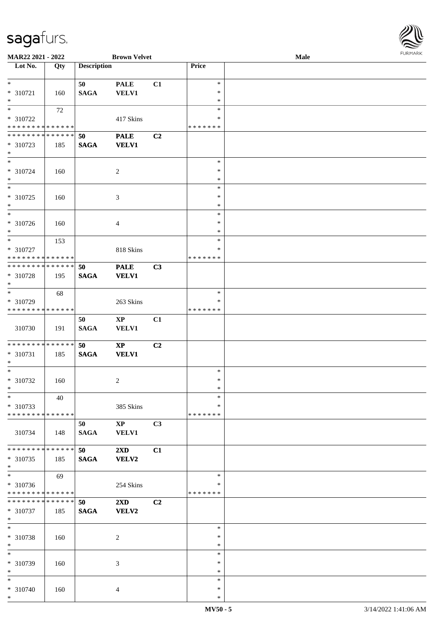

| MAR22 2021 - 2022             |     |                    | <b>Brown Velvet</b>     |    |               | Male |
|-------------------------------|-----|--------------------|-------------------------|----|---------------|------|
| Lot No.                       | Qty | <b>Description</b> |                         |    | Price         |      |
|                               |     |                    |                         |    |               |      |
| $\ast$                        |     | 50                 | <b>PALE</b>             | C1 | $\ast$        |      |
| * 310721                      | 160 | <b>SAGA</b>        | <b>VELV1</b>            |    | $\ast$        |      |
|                               |     |                    |                         |    |               |      |
| $\ast$                        |     |                    |                         |    | $\ast$        |      |
| $*$                           | 72  |                    |                         |    | $\ast$        |      |
| * 310722                      |     |                    | 417 Skins               |    | ∗             |      |
| * * * * * * * * * * * * * *   |     |                    |                         |    | * * * * * * * |      |
| * * * * * * * * * * * * * *   |     | 50                 | <b>PALE</b>             | C2 |               |      |
| * 310723                      | 185 | <b>SAGA</b>        | <b>VELV1</b>            |    |               |      |
| $*$                           |     |                    |                         |    |               |      |
|                               |     |                    |                         |    |               |      |
| $*$                           |     |                    |                         |    | $\ast$        |      |
| * 310724                      | 160 |                    | $\overline{c}$          |    | $\ast$        |      |
| $\ast$                        |     |                    |                         |    | $\ast$        |      |
| $\ast$                        |     |                    |                         |    | $\ast$        |      |
| $*310725$                     | 160 |                    | 3                       |    | $\ast$        |      |
| $\ast$                        |     |                    |                         |    | $\ast$        |      |
| $\overline{\phantom{1}}$      |     |                    |                         |    | $\ast$        |      |
|                               |     |                    |                         |    |               |      |
| * 310726                      | 160 |                    | 4                       |    | $\ast$        |      |
| $\ast$                        |     |                    |                         |    | $\ast$        |      |
| $\ast$                        | 153 |                    |                         |    | $\ast$        |      |
| * 310727                      |     |                    | 818 Skins               |    | $\ast$        |      |
| * * * * * * * * * * * * * *   |     |                    |                         |    | * * * * * * * |      |
| **************                |     |                    |                         |    |               |      |
|                               |     | 50                 | <b>PALE</b>             | C3 |               |      |
| * 310728                      | 195 | <b>SAGA</b>        | <b>VELV1</b>            |    |               |      |
| $\ast$                        |     |                    |                         |    |               |      |
| $*$                           | 68  |                    |                         |    | $\ast$        |      |
| * 310729                      |     |                    | 263 Skins               |    | ∗             |      |
| * * * * * * * * * * * * * *   |     |                    |                         |    | * * * * * * * |      |
|                               |     | 50                 | $\bold{XP}$             | C1 |               |      |
|                               |     |                    |                         |    |               |      |
| 310730                        | 191 | <b>SAGA</b>        | <b>VELV1</b>            |    |               |      |
|                               |     |                    |                         |    |               |      |
| **************                |     | 50                 | $\bold{XP}$             | C2 |               |      |
| * 310731                      | 185 | <b>SAGA</b>        | <b>VELV1</b>            |    |               |      |
| $\ast$                        |     |                    |                         |    |               |      |
| $*$                           |     |                    |                         |    | $\ast$        |      |
| $* 310732$                    |     |                    |                         |    | $\ast$        |      |
| $*$                           | 160 |                    | 2                       |    |               |      |
|                               |     |                    |                         |    | $\ast$        |      |
| $*$                           | 40  |                    |                         |    | $\ast$        |      |
| * 310733                      |     |                    | 385 Skins               |    | ∗             |      |
| * * * * * * * * * * * * * *   |     |                    |                         |    | * * * * * * * |      |
|                               |     | 50                 | $\mathbf{X}\mathbf{P}$  | C3 |               |      |
| 310734                        | 148 | <b>SAGA</b>        | <b>VELV1</b>            |    |               |      |
|                               |     |                    |                         |    |               |      |
|                               |     |                    |                         |    |               |      |
| * * * * * * * * * * * * * *   |     | 50                 | $2\mathbf{X}\mathbf{D}$ | C1 |               |      |
| * 310735                      | 185 | <b>SAGA</b>        | VELV2                   |    |               |      |
| $*$                           |     |                    |                         |    |               |      |
| $\overline{\phantom{1}}$      | 69  |                    |                         |    | $\ast$        |      |
| * 310736                      |     |                    | 254 Skins               |    | *             |      |
| * * * * * * * * * * * * * *   |     |                    |                         |    | * * * * * * * |      |
| * * * * * * * * * * * * * * * |     |                    |                         |    |               |      |
|                               |     | 50                 | $2\mathbf{X}\mathbf{D}$ | C2 |               |      |
| * 310737                      | 185 | <b>SAGA</b>        | VELV2                   |    |               |      |
| $*$                           |     |                    |                         |    |               |      |
| $\ast$                        |     |                    |                         |    | $\ast$        |      |
| * 310738                      | 160 |                    | $\overline{c}$          |    | $\ast$        |      |
| $\ast$                        |     |                    |                         |    | $\ast$        |      |
| $\ast$                        |     |                    |                         |    | $\ast$        |      |
|                               |     |                    |                         |    |               |      |
| * 310739                      | 160 |                    | 3                       |    | $\ast$        |      |
| $\ast$                        |     |                    |                         |    | $\ast$        |      |
| $*$                           |     |                    |                         |    | $\ast$        |      |
| * 310740                      | 160 |                    | 4                       |    | $\ast$        |      |
| $*$                           |     |                    |                         |    | $\ast$        |      |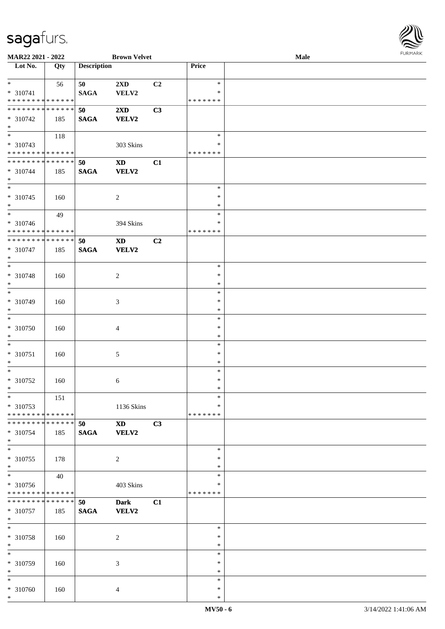

| MAR22 2021 - 2022             |     |                    | <b>Brown Velvet</b>     |    |               | Male |
|-------------------------------|-----|--------------------|-------------------------|----|---------------|------|
| Lot No.                       | Qty | <b>Description</b> |                         |    | Price         |      |
|                               |     |                    |                         |    |               |      |
| $*$                           | 56  | 50                 | 2XD                     | C2 | $\ast$        |      |
| * 310741                      |     | <b>SAGA</b>        | VELV2                   |    | ∗             |      |
|                               |     |                    |                         |    |               |      |
| * * * * * * * * * * * * * *   |     |                    |                         |    | *******       |      |
| * * * * * * * * * * * * * *   |     | 50                 | $2\mathbf{X}\mathbf{D}$ | C3 |               |      |
| * 310742                      | 185 | <b>SAGA</b>        | <b>VELV2</b>            |    |               |      |
| $*$                           |     |                    |                         |    |               |      |
|                               | 118 |                    |                         |    | $\ast$        |      |
| * 310743                      |     |                    | 303 Skins               |    | $\ast$        |      |
|                               |     |                    |                         |    |               |      |
| * * * * * * * * * * * * * *   |     |                    |                         |    | * * * * * * * |      |
| * * * * * * * * * * * * * *   |     | 50                 | $\mathbf{X}\mathbf{D}$  | C1 |               |      |
| * 310744                      | 185 | <b>SAGA</b>        | <b>VELV2</b>            |    |               |      |
| $*$                           |     |                    |                         |    |               |      |
| $\overline{\phantom{0}}$      |     |                    |                         |    | $\ast$        |      |
| $* 310745$                    |     |                    |                         |    | $\ast$        |      |
|                               | 160 |                    | $\sqrt{2}$              |    |               |      |
| $*$                           |     |                    |                         |    | $\ast$        |      |
| $*$                           | 49  |                    |                         |    | $\ast$        |      |
| $* 310746$                    |     |                    | 394 Skins               |    | $\ast$        |      |
| * * * * * * * * * * * * * *   |     |                    |                         |    | * * * * * * * |      |
| * * * * * * * * * * * * * *   |     | 50                 | <b>XD</b>               | C2 |               |      |
| * 310747                      |     | <b>SAGA</b>        | <b>VELV2</b>            |    |               |      |
|                               | 185 |                    |                         |    |               |      |
| $*$                           |     |                    |                         |    |               |      |
| $*$                           |     |                    |                         |    | $\ast$        |      |
| * 310748                      | 160 |                    | $\overline{c}$          |    | $\ast$        |      |
| $\ast$                        |     |                    |                         |    | ∗             |      |
| $*$                           |     |                    |                         |    | $\ast$        |      |
| * 310749                      | 160 |                    | 3                       |    | $\ast$        |      |
|                               |     |                    |                         |    |               |      |
| $*$                           |     |                    |                         |    | $\ast$        |      |
| $*$                           |     |                    |                         |    | $\ast$        |      |
| $* 310750$                    | 160 |                    | $\overline{4}$          |    | $\ast$        |      |
| $*$                           |     |                    |                         |    | $\ast$        |      |
| $*$                           |     |                    |                         |    | $\ast$        |      |
|                               |     |                    |                         |    | $\ast$        |      |
| $* 310751$                    | 160 |                    | $\sqrt{5}$              |    |               |      |
| $*$                           |     |                    |                         |    | $\ast$        |      |
| $*$                           |     |                    |                         |    | $\ast$        |      |
| * 310752                      | 160 |                    | 6                       |    | $\ast$        |      |
| $*$                           |     |                    |                         |    | $\ast$        |      |
| $*$                           | 151 |                    |                         |    | $\ast$        |      |
| * 310753                      |     |                    | 1136 Skins              |    | ∗             |      |
|                               |     |                    |                         |    |               |      |
| * * * * * * * * * * * * * * * |     |                    |                         |    | * * * * * * * |      |
| * * * * * * * * * * * * * * * |     | 50                 | $\mathbf{X}\mathbf{D}$  | C3 |               |      |
| * 310754                      | 185 | <b>SAGA</b>        | <b>VELV2</b>            |    |               |      |
| $*$                           |     |                    |                         |    |               |      |
| $*$                           |     |                    |                         |    | $\ast$        |      |
| * 310755                      | 178 |                    | $\sqrt{2}$              |    | $\ast$        |      |
|                               |     |                    |                         |    |               |      |
| $*$                           |     |                    |                         |    | $\ast$        |      |
| $\overline{\phantom{0}}$      | 40  |                    |                         |    | $\ast$        |      |
| $* 310756$                    |     |                    | 403 Skins               |    | ∗             |      |
| * * * * * * * * * * * * * *   |     |                    |                         |    | *******       |      |
| * * * * * * * * * * * * * * * |     | 50                 | <b>Dark</b>             | C1 |               |      |
|                               |     |                    |                         |    |               |      |
| * 310757                      | 185 | <b>SAGA</b>        | <b>VELV2</b>            |    |               |      |
| $*$                           |     |                    |                         |    |               |      |
| $*$                           |     |                    |                         |    | $\ast$        |      |
| * 310758                      | 160 |                    | $\overline{2}$          |    | $\ast$        |      |
| $*$                           |     |                    |                         |    | $\ast$        |      |
| $*$                           |     |                    |                         |    | $\ast$        |      |
|                               |     |                    |                         |    |               |      |
| * 310759                      | 160 |                    | 3                       |    | $\ast$        |      |
| $*$                           |     |                    |                         |    | $\ast$        |      |
| $*$                           |     |                    |                         |    | $\ast$        |      |
| * 310760                      | 160 |                    | 4                       |    | $\ast$        |      |
| $*$                           |     |                    |                         |    | $\ast$        |      |
|                               |     |                    |                         |    |               |      |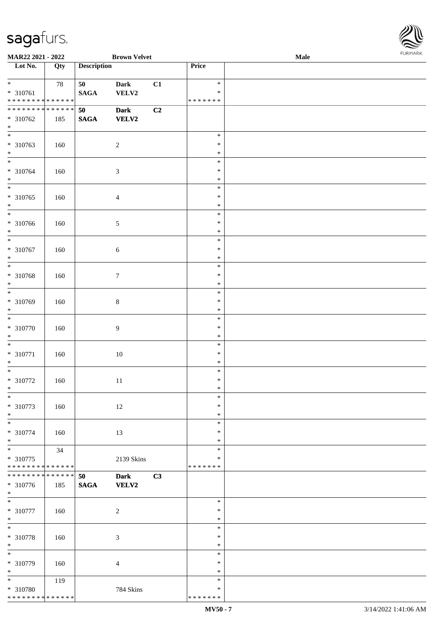

| MAR22 2021 - 2022                |     |                    | <b>Brown Velvet</b> |    | 1.9151 B1515<br>Male |  |  |
|----------------------------------|-----|--------------------|---------------------|----|----------------------|--|--|
| $\overline{\phantom{1}}$ Lot No. | Qty | <b>Description</b> |                     |    | Price                |  |  |
|                                  |     |                    |                     |    |                      |  |  |
| $*$                              | 78  | 50                 | <b>Dark</b>         | C1 | $\ast$               |  |  |
| * 310761                         |     | <b>SAGA</b>        | VELV2               |    | $\ast$               |  |  |
| ******** <mark>******</mark>     |     |                    |                     |    | * * * * * * *        |  |  |
| * * * * * * * * * * * * * *      |     | 50                 | <b>Dark</b>         | C2 |                      |  |  |
| $* 310762$                       | 185 | $\mathbf{SAGA}$    | <b>VELV2</b>        |    |                      |  |  |
| $\ast$                           |     |                    |                     |    |                      |  |  |
| $\overline{\phantom{0}}$         |     |                    |                     |    | $\ast$               |  |  |
| * 310763                         | 160 |                    | $\sqrt{2}$          |    | ∗                    |  |  |
| $\ast$                           |     |                    |                     |    | $\ast$               |  |  |
| $\overline{\phantom{a}^*}$       |     |                    |                     |    | $\ast$               |  |  |
| * 310764                         |     |                    |                     |    | $\ast$               |  |  |
| $\ast$                           | 160 |                    | $\sqrt{3}$          |    | $\ast$               |  |  |
| $\overline{\phantom{a}^*}$       |     |                    |                     |    |                      |  |  |
|                                  |     |                    |                     |    | $\ast$               |  |  |
| $* 310765$                       | 160 |                    | $\overline{4}$      |    | $\ast$               |  |  |
| $\ast$                           |     |                    |                     |    | $\ast$               |  |  |
| $\overline{\phantom{0}}$         |     |                    |                     |    | $\ast$               |  |  |
| * 310766                         | 160 |                    | $\sqrt{5}$          |    | $\ast$               |  |  |
| $\ast$                           |     |                    |                     |    | $\ast$               |  |  |
| $\overline{\phantom{a}^*}$       |     |                    |                     |    | $\ast$               |  |  |
| $* 310767$                       | 160 |                    | $\sqrt{6}$          |    | $\ast$               |  |  |
| $\ast$                           |     |                    |                     |    | $\ast$               |  |  |
| $\ast$                           |     |                    |                     |    | $\ast$               |  |  |
| * 310768                         | 160 |                    | $\boldsymbol{7}$    |    | $\ast$               |  |  |
| $\ast$                           |     |                    |                     |    | $\ast$               |  |  |
| $\overline{\phantom{0}}$         |     |                    |                     |    | $\ast$               |  |  |
| * 310769                         | 160 |                    | $\,8\,$             |    | ∗                    |  |  |
| $\ast$                           |     |                    |                     |    | $\ast$               |  |  |
| $\ast$                           |     |                    |                     |    | $\ast$               |  |  |
| $* 310770$                       |     |                    | $\boldsymbol{9}$    |    | $\ast$               |  |  |
| $\ast$                           | 160 |                    |                     |    | $\ast$               |  |  |
| $\ast$                           |     |                    |                     |    |                      |  |  |
|                                  |     |                    |                     |    | $\ast$               |  |  |
| $* 310771$                       | 160 |                    | $10\,$              |    | $\ast$               |  |  |
| $\ast$                           |     |                    |                     |    | $\ast$               |  |  |
| $\ast$                           |     |                    |                     |    | $\ast$               |  |  |
| $* 310772$                       | 160 |                    | $11\,$              |    | $\ast$               |  |  |
| $*$                              |     |                    |                     |    | $\ast$               |  |  |
| $\ast$                           |     |                    |                     |    | $\ast$               |  |  |
| $* 310773$                       | 160 |                    | 12                  |    | $\ast$               |  |  |
| $\ast$                           |     |                    |                     |    | $\ast$               |  |  |
| $\ast$                           |     |                    |                     |    | $\ast$               |  |  |
| * 310774                         | 160 |                    | 13                  |    | $\ast$               |  |  |
| $\ast$                           |     |                    |                     |    | $\ast$               |  |  |
| $\ast$                           | 34  |                    |                     |    | $\ast$               |  |  |
| $* 310775$                       |     |                    | 2139 Skins          |    | ∗                    |  |  |
| ******** <mark>******</mark>     |     |                    |                     |    | * * * * * * *        |  |  |
| * * * * * * * * * * * * * * *    |     | 50                 | <b>Dark</b>         | C3 |                      |  |  |
| * 310776                         | 185 | <b>SAGA</b>        | <b>VELV2</b>        |    |                      |  |  |
| $*$                              |     |                    |                     |    |                      |  |  |
| $\ast$                           |     |                    |                     |    | $\ast$               |  |  |
|                                  |     |                    |                     |    |                      |  |  |
| $* 310777$                       | 160 |                    | $\sqrt{2}$          |    | ∗                    |  |  |
| $*$                              |     |                    |                     |    | $\ast$               |  |  |
| $*$                              |     |                    |                     |    | $\ast$               |  |  |
| $* 310778$                       | 160 |                    | $\mathfrak{Z}$      |    | $\ast$               |  |  |
| $\ast$                           |     |                    |                     |    | $\ast$               |  |  |
| $\ast$                           |     |                    |                     |    | $\ast$               |  |  |
| * 310779                         | 160 |                    | $\overline{4}$      |    | $\ast$               |  |  |
| $\ast$                           |     |                    |                     |    | $\ast$               |  |  |
| $\ast$                           | 119 |                    |                     |    | *                    |  |  |
| * 310780                         |     |                    | 784 Skins           |    | ∗                    |  |  |
| * * * * * * * * * * * * * *      |     |                    |                     |    | * * * * * * *        |  |  |
|                                  |     |                    |                     |    |                      |  |  |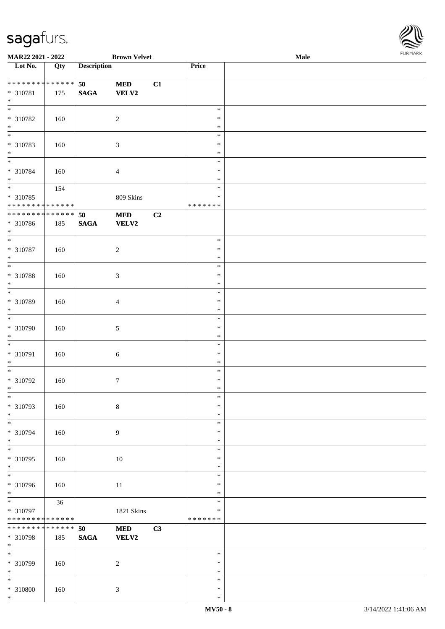

| MAR22 2021 - 2022                    |     |                    | <b>Brown Velvet</b> |    |               | <b>Male</b> | . |
|--------------------------------------|-----|--------------------|---------------------|----|---------------|-------------|---|
| Lot No.                              | Qty | <b>Description</b> |                     |    | Price         |             |   |
|                                      |     |                    |                     |    |               |             |   |
| **************                       |     | 50                 | $\bf MED$           | C1 |               |             |   |
| $* 310781$                           | 175 | $\mathbf{SAGA}$    | VELV2               |    |               |             |   |
| $\ast$                               |     |                    |                     |    |               |             |   |
| $\overline{\phantom{0}}$             |     |                    |                     |    | $\ast$        |             |   |
| $* 310782$                           |     |                    |                     |    | $\ast$        |             |   |
|                                      | 160 |                    | $\overline{c}$      |    |               |             |   |
| $\ast$<br>$\overline{\phantom{0}}$   |     |                    |                     |    | $\ast$        |             |   |
|                                      |     |                    |                     |    | $\ast$        |             |   |
| * 310783                             | 160 |                    | $\mathfrak{Z}$      |    | $\ast$        |             |   |
| $\ast$                               |     |                    |                     |    | $\ast$        |             |   |
| $\overline{\phantom{a}^*}$           |     |                    |                     |    | $\ast$        |             |   |
| $* 310784$                           | 160 |                    | $\overline{4}$      |    | $\ast$        |             |   |
| $\ast$                               |     |                    |                     |    | $\ast$        |             |   |
| $\overline{\phantom{0}}$             | 154 |                    |                     |    | $\ast$        |             |   |
|                                      |     |                    |                     |    | $\ast$        |             |   |
| $* 310785$                           |     |                    | 809 Skins           |    |               |             |   |
| * * * * * * * * * * * * * * *        |     |                    |                     |    | * * * * * * * |             |   |
| ******** <mark>******</mark>         |     | 50                 | $\bf MED$           | C2 |               |             |   |
| $* 310786$                           | 185 | $\mathbf{SAGA}$    | VELV2               |    |               |             |   |
| $*$                                  |     |                    |                     |    |               |             |   |
| $\ast$                               |     |                    |                     |    | $\ast$        |             |   |
| $* 310787$                           | 160 |                    | $\overline{c}$      |    | $\ast$        |             |   |
| $\ast$                               |     |                    |                     |    | $\ast$        |             |   |
| $\ast$                               |     |                    |                     |    | $\ast$        |             |   |
|                                      |     |                    |                     |    | $\ast$        |             |   |
| * 310788                             | 160 |                    | $\mathfrak{Z}$      |    |               |             |   |
| $\ast$                               |     |                    |                     |    | $\ast$        |             |   |
| $\overline{\phantom{a}^*}$           |     |                    |                     |    | $\ast$        |             |   |
| * 310789                             | 160 |                    | $\overline{4}$      |    | $\ast$        |             |   |
| $\ast$                               |     |                    |                     |    | $\ast$        |             |   |
| $\ast$                               |     |                    |                     |    | $\ast$        |             |   |
| * 310790                             | 160 |                    | $\sqrt{5}$          |    | $\ast$        |             |   |
| $\ast$                               |     |                    |                     |    | $\ast$        |             |   |
| $\ast$                               |     |                    |                     |    | $\ast$        |             |   |
|                                      |     |                    |                     |    |               |             |   |
| * 310791                             | 160 |                    | $\sqrt{6}$          |    | $\ast$        |             |   |
| $\ast$                               |     |                    |                     |    | $\ast$        |             |   |
| $\ast$                               |     |                    |                     |    | $\ast$        |             |   |
| $* 310792$                           | 160 |                    | $\tau$              |    | $\ast$        |             |   |
| $*$                                  |     |                    |                     |    | $\ast$        |             |   |
| $*$                                  |     |                    |                     |    | $\ast$        |             |   |
| * 310793                             | 160 |                    | $8\,$               |    | $\ast$        |             |   |
| $\ast$                               |     |                    |                     |    | $\ast$        |             |   |
| $\ast$                               |     |                    |                     |    | $\ast$        |             |   |
|                                      |     |                    |                     |    | $\ast$        |             |   |
| * 310794                             | 160 |                    | 9                   |    |               |             |   |
| $\ast$<br>$\overline{\phantom{a}^*}$ |     |                    |                     |    | $\ast$        |             |   |
|                                      |     |                    |                     |    | $\ast$        |             |   |
| $* 310795$                           | 160 |                    | 10                  |    | $\ast$        |             |   |
| $\ast$                               |     |                    |                     |    | $\ast$        |             |   |
| $_{\ast}^{-}$                        |     |                    |                     |    | $\ast$        |             |   |
| * 310796                             | 160 |                    | 11                  |    | $\ast$        |             |   |
| $*$                                  |     |                    |                     |    | $\ast$        |             |   |
| $\overline{\phantom{0}}$             | 36  |                    |                     |    | $\ast$        |             |   |
| * 310797                             |     |                    | 1821 Skins          |    | $\ast$        |             |   |
| * * * * * * * * * * * * * *          |     |                    |                     |    | * * * * * * * |             |   |
| * * * * * * * * * * * * * * *        |     |                    |                     |    |               |             |   |
|                                      |     | 50                 | $\bf MED$           | C3 |               |             |   |
| * 310798                             | 185 | $\mathbf{SAGA}$    | <b>VELV2</b>        |    |               |             |   |
| $\ast$                               |     |                    |                     |    |               |             |   |
| $_{\ast}$                            |     |                    |                     |    | $\ast$        |             |   |
| * 310799                             | 160 |                    | $\overline{c}$      |    | $\ast$        |             |   |
| $\ast$                               |     |                    |                     |    | $\ast$        |             |   |
| $\overline{\ast}$                    |     |                    |                     |    | $\ast$        |             |   |
| * 310800                             | 160 |                    | $\mathfrak{Z}$      |    | $\ast$        |             |   |
| $\ast$                               |     |                    |                     |    | $\ast$        |             |   |
|                                      |     |                    |                     |    |               |             |   |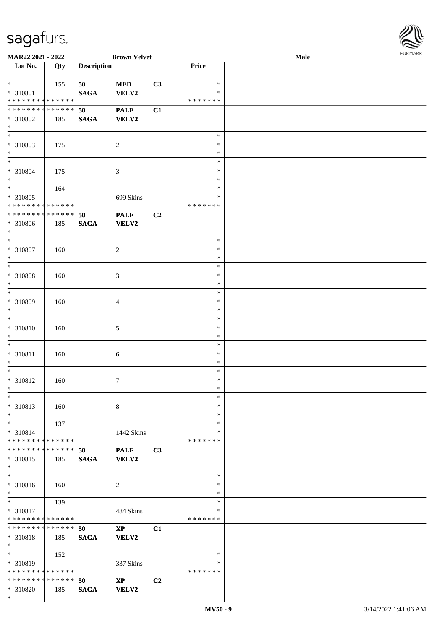

| MAR22 2021 - 2022             |     |                    | <b>Brown Velvet</b>    |                |               | <b>Male</b> |
|-------------------------------|-----|--------------------|------------------------|----------------|---------------|-------------|
| Lot No.                       | Qty | <b>Description</b> |                        |                | Price         |             |
|                               |     |                    |                        |                |               |             |
| $*$                           | 155 | 50                 | $\bf MED$              | C3             | $\ast$        |             |
| * 310801                      |     | <b>SAGA</b>        | VELV2                  |                | $\ast$        |             |
| * * * * * * * * * * * * * *   |     |                    |                        |                | *******       |             |
| * * * * * * * * * * * * * *   |     | 50                 | <b>PALE</b>            | C1             |               |             |
|                               |     |                    |                        |                |               |             |
| * 310802                      | 185 | <b>SAGA</b>        | VELV2                  |                |               |             |
| $\ast$                        |     |                    |                        |                |               |             |
| $\overline{\phantom{0}}$      |     |                    |                        |                | $\ast$        |             |
| * 310803                      | 175 |                    | $\boldsymbol{2}$       |                | $\ast$        |             |
| $*$                           |     |                    |                        |                | $\ast$        |             |
| $\overline{\ast}$             |     |                    |                        |                | $\ast$        |             |
| * 310804                      | 175 |                    | $\mathfrak{Z}$         |                | $\ast$        |             |
| $*$                           |     |                    |                        |                | $\ast$        |             |
| $*$                           | 164 |                    |                        |                | $\ast$        |             |
| $* 310805$                    |     |                    | 699 Skins              |                | $\ast$        |             |
| * * * * * * * * * * * * * *   |     |                    |                        |                | *******       |             |
| * * * * * * * * * * * * * *   |     |                    |                        |                |               |             |
|                               |     | 50                 | <b>PALE</b>            | C2             |               |             |
| $* 310806$                    | 185 | <b>SAGA</b>        | VELV2                  |                |               |             |
| $*$                           |     |                    |                        |                |               |             |
| $\ast$                        |     |                    |                        |                | $\ast$        |             |
| $* 310807$                    | 160 |                    | $\overline{c}$         |                | $\ast$        |             |
| $*$                           |     |                    |                        |                | $\ast$        |             |
| $*$                           |     |                    |                        |                | $\ast$        |             |
| * 310808                      | 160 |                    | 3                      |                | $\ast$        |             |
| $\ast$                        |     |                    |                        |                | $\ast$        |             |
| $*$                           |     |                    |                        |                | $\ast$        |             |
| * 310809                      | 160 |                    | 4                      |                | $\ast$        |             |
| $*$                           |     |                    |                        |                | $\ast$        |             |
| $*$                           |     |                    |                        |                | $\ast$        |             |
|                               |     |                    |                        |                |               |             |
| $* 310810$                    | 160 |                    | 5                      |                | $\ast$        |             |
| $*$                           |     |                    |                        |                | $\ast$        |             |
| $*$                           |     |                    |                        |                | $\ast$        |             |
| * 310811                      | 160 |                    | $\sqrt{6}$             |                | $\ast$        |             |
| $*$                           |     |                    |                        |                | $\ast$        |             |
| $*$                           |     |                    |                        |                | $\ast$        |             |
| * 310812                      | 160 |                    | $\tau$                 |                | $\ast$        |             |
| $*$                           |     |                    |                        |                | $\ast$        |             |
| $*$                           |     |                    |                        |                | $\ast$        |             |
| * 310813                      | 160 |                    | 8                      |                | $\ast$        |             |
| $*$                           |     |                    |                        |                | $\ast$        |             |
| $*$                           | 137 |                    |                        |                | $\ast$        |             |
| $* 310814$                    |     |                    | 1442 Skins             |                | ∗             |             |
| * * * * * * * * * * * * * *   |     |                    |                        |                | *******       |             |
| * * * * * * * * * * * * * * * |     |                    |                        |                |               |             |
|                               |     | 50                 | <b>PALE</b>            | C3             |               |             |
| * 310815                      | 185 | <b>SAGA</b>        | <b>VELV2</b>           |                |               |             |
| $*$                           |     |                    |                        |                |               |             |
| $\overline{\ast}$             |     |                    |                        |                | $\ast$        |             |
| * 310816                      | 160 |                    | 2                      |                | $\ast$        |             |
| $*$                           |     |                    |                        |                | $\ast$        |             |
| $*$                           | 139 |                    |                        |                | $\ast$        |             |
| * 310817                      |     |                    | 484 Skins              |                | $\ast$        |             |
| * * * * * * * * * * * * * *   |     |                    |                        |                | *******       |             |
| * * * * * * * * * * * * * * * |     | 50                 | $\mathbf{X}\mathbf{P}$ | C1             |               |             |
| * 310818                      | 185 | <b>SAGA</b>        | VELV2                  |                |               |             |
| $*$                           |     |                    |                        |                |               |             |
| $*$                           |     |                    |                        |                | $\ast$        |             |
|                               | 152 |                    |                        |                |               |             |
| * 310819                      |     |                    | 337 Skins              |                | ∗             |             |
| * * * * * * * * * * * * * *   |     |                    |                        |                | * * * * * * * |             |
| * * * * * * * * * * * * * * * |     | 50                 | $\mathbf{X}\mathbf{P}$ | C <sub>2</sub> |               |             |
| * 310820                      | 185 | <b>SAGA</b>        | VELV2                  |                |               |             |
| $*$                           |     |                    |                        |                |               |             |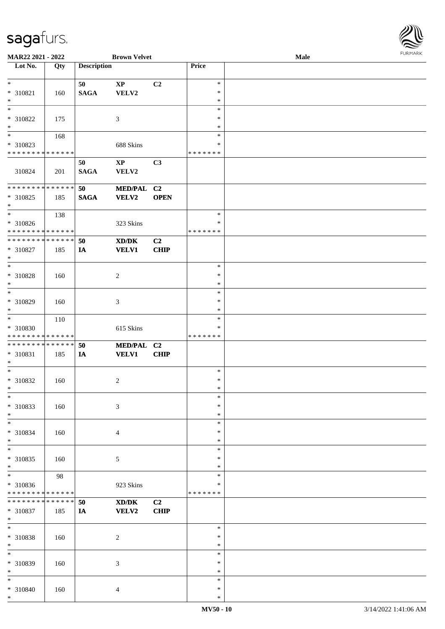\*

| <b>MAR22 2021 - 2022</b>                   |     |                    | <b>Brown Velvet</b>    |                |               | <b>Male</b> |  |
|--------------------------------------------|-----|--------------------|------------------------|----------------|---------------|-------------|--|
| Lot No.                                    | Qty | <b>Description</b> |                        |                | Price         |             |  |
|                                            |     |                    |                        |                |               |             |  |
| $\ast$                                     |     | 50                 | $\mathbf{X}\mathbf{P}$ | C <sub>2</sub> | $\ast$        |             |  |
| * 310821                                   | 160 | <b>SAGA</b>        | VELV2                  |                | $\ast$        |             |  |
| $\ast$                                     |     |                    |                        |                | $\ast$        |             |  |
|                                            |     |                    |                        |                | $\ast$        |             |  |
| * 310822                                   | 175 |                    | 3                      |                | $\ast$        |             |  |
| $\ast$                                     |     |                    |                        |                | $\ast$        |             |  |
|                                            | 168 |                    |                        |                | $\ast$        |             |  |
| * 310823                                   |     |                    | 688 Skins              |                | $\ast$        |             |  |
| * * * * * * * * <mark>* * * * * * *</mark> |     |                    |                        |                | * * * * * * * |             |  |
|                                            |     | 50                 | $\mathbf{X}\mathbf{P}$ | C3             |               |             |  |
| 310824                                     | 201 | <b>SAGA</b>        | VELV2                  |                |               |             |  |
|                                            |     |                    |                        |                |               |             |  |
| * * * * * * * * * * * * * *                |     | 50                 | MED/PAL C2             |                |               |             |  |
| * 310825                                   |     |                    |                        | <b>OPEN</b>    |               |             |  |
| $\ast$                                     | 185 | <b>SAGA</b>        | <b>VELV2</b>           |                |               |             |  |
| $\ddot{x}$                                 |     |                    |                        |                | $\ast$        |             |  |
|                                            | 138 |                    |                        |                | $\ast$        |             |  |
| * 310826                                   |     |                    | 323 Skins              |                |               |             |  |
| * * * * * * * * <mark>* * * * * * *</mark> |     |                    |                        |                | * * * * * * * |             |  |
| * * * * * * * * <mark>* * * * * * *</mark> |     | 50                 | XD/DK                  | C2             |               |             |  |
| * 310827                                   | 185 | IA                 | <b>VELV1</b>           | <b>CHIP</b>    |               |             |  |
| $\ast$                                     |     |                    |                        |                |               |             |  |
| $\overline{\ast}$                          |     |                    |                        |                | $\ast$        |             |  |
| * 310828                                   | 160 |                    | $\overline{c}$         |                | $\ast$        |             |  |
| $\ast$                                     |     |                    |                        |                | $\ast$        |             |  |
| $\overline{\ast}$                          |     |                    |                        |                | $\ast$        |             |  |
| * 310829                                   | 160 |                    | $\mathfrak{Z}$         |                | $\ast$        |             |  |
| $\ast$                                     |     |                    |                        |                | $\ast$        |             |  |
| $\ast$                                     | 110 |                    |                        |                | $\ast$        |             |  |
| * 310830                                   |     |                    | 615 Skins              |                | $\ast$        |             |  |
| * * * * * * * * <mark>* * * * * * *</mark> |     |                    |                        |                | * * * * * * * |             |  |
| * * * * * * * * <mark>* * * * * *</mark>   |     | 50                 | MED/PAL C2             |                |               |             |  |
| * 310831                                   | 185 | IA                 | <b>VELV1</b>           | <b>CHIP</b>    |               |             |  |
| $\ast$                                     |     |                    |                        |                |               |             |  |
| $\ast$                                     |     |                    |                        |                | $\ast$        |             |  |
| * 310832                                   | 160 |                    | 2                      |                | $\ast$        |             |  |
| $\ddot{x}$                                 |     |                    |                        |                | $\ast$        |             |  |
| $\ast$                                     |     |                    |                        |                | $\ast$        |             |  |
| * 310833                                   | 160 |                    | $\mathfrak{Z}$         |                | $\ast$        |             |  |
| $\ast$                                     |     |                    |                        |                | $\ast$        |             |  |
| $\ast$                                     |     |                    |                        |                | $\ast$        |             |  |
| * 310834                                   |     |                    |                        |                | $\ast$        |             |  |
| $\ast$                                     | 160 |                    | $\overline{4}$         |                | $\ast$        |             |  |
| $*$                                        |     |                    |                        |                | $\ast$        |             |  |
|                                            |     |                    |                        |                | $\ast$        |             |  |
| * 310835                                   | 160 |                    | $\mathfrak{S}$         |                | $\ast$        |             |  |
| $\ast$<br>$\overline{\ast}$                |     |                    |                        |                |               |             |  |
|                                            | 98  |                    |                        |                | $\ast$        |             |  |
| * 310836                                   |     |                    | 923 Skins              |                | ∗             |             |  |
| * * * * * * * * <mark>* * * * * * *</mark> |     |                    |                        |                | * * * * * * * |             |  |
| * * * * * * * * <mark>* * * * * * *</mark> |     | 50                 | XD/DK                  | C2             |               |             |  |
| * 310837                                   | 185 | IA                 | <b>VELV2</b>           | <b>CHIP</b>    |               |             |  |
| $\ast$                                     |     |                    |                        |                |               |             |  |
| $\ast$                                     |     |                    |                        |                | $\ast$        |             |  |
| * 310838                                   | 160 |                    | $\sqrt{2}$             |                | $\ast$        |             |  |
| $\ast$                                     |     |                    |                        |                | $\ast$        |             |  |
| $\ast$                                     |     |                    |                        |                | $\ast$        |             |  |
| * 310839                                   | 160 |                    | $\mathfrak{Z}$         |                | $\ast$        |             |  |
| $*$                                        |     |                    |                        |                | $\ast$        |             |  |
| $\ast$                                     |     |                    |                        |                | $\ast$        |             |  |
| * 310840                                   | 160 |                    | $\overline{4}$         |                | $\ast$        |             |  |
| $\ast$                                     |     |                    |                        |                | $\ast$        |             |  |

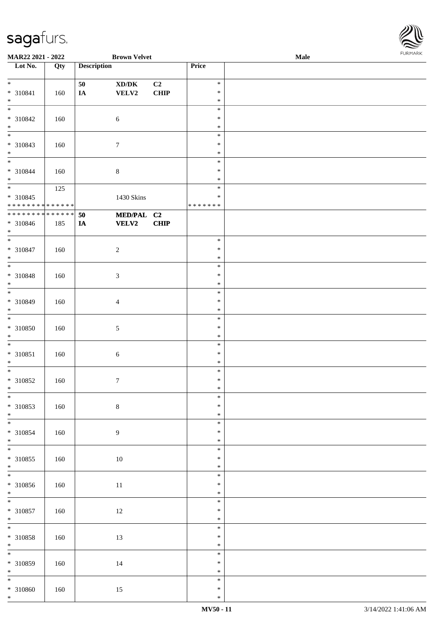

| MAR22 2021 - 2022           |     |                    | <b>Brown Velvet</b>                 |             |         | Male |  |
|-----------------------------|-----|--------------------|-------------------------------------|-------------|---------|------|--|
| Lot No.                     | Qty | <b>Description</b> |                                     |             | Price   |      |  |
|                             |     |                    |                                     |             |         |      |  |
| $*$                         |     | 50                 | $\bold{X}\bold{D}/\bold{D}\bold{K}$ | C2          | $\ast$  |      |  |
| $* 310841$                  | 160 | $I\!\!A$           | VELV2                               | <b>CHIP</b> | $\ast$  |      |  |
| $\ast$                      |     |                    |                                     |             |         |      |  |
|                             |     |                    |                                     |             | $\ast$  |      |  |
|                             |     |                    |                                     |             | $\ast$  |      |  |
| * 310842                    | 160 |                    | $\sqrt{6}$                          |             | $\ast$  |      |  |
| $\ast$                      |     |                    |                                     |             | $\ast$  |      |  |
| $\overline{\phantom{0}}$    |     |                    |                                     |             | $\ast$  |      |  |
|                             |     |                    |                                     |             | $\ast$  |      |  |
| $* 310843$                  | 160 |                    | $\boldsymbol{7}$                    |             |         |      |  |
| $*$                         |     |                    |                                     |             | $\ast$  |      |  |
| $\overline{\ast}$           |     |                    |                                     |             | $\ast$  |      |  |
| * 310844                    | 160 |                    | $8\,$                               |             | $\ast$  |      |  |
| $*$                         |     |                    |                                     |             | $\ast$  |      |  |
|                             | 125 |                    |                                     |             | $\ast$  |      |  |
|                             |     |                    |                                     |             | $\ast$  |      |  |
| $* 310845$                  |     |                    | 1430 Skins                          |             |         |      |  |
| * * * * * * * * * * * * * * |     |                    |                                     |             | ******* |      |  |
| * * * * * * * * * * * * * * |     | 50                 | MED/PAL C2                          |             |         |      |  |
| * 310846                    | 185 | IA                 | <b>VELV2</b>                        | <b>CHIP</b> |         |      |  |
| $*$                         |     |                    |                                     |             |         |      |  |
| $\overline{\ast}$           |     |                    |                                     |             | $\ast$  |      |  |
|                             |     |                    |                                     |             |         |      |  |
| $* 310847$                  | 160 |                    | $\sqrt{2}$                          |             | $\ast$  |      |  |
| $*$                         |     |                    |                                     |             | $\ast$  |      |  |
| $\overline{\phantom{0}}$    |     |                    |                                     |             | $\ast$  |      |  |
| * 310848                    | 160 |                    | $\mathfrak{Z}$                      |             | $\ast$  |      |  |
| $\ast$                      |     |                    |                                     |             | $\ast$  |      |  |
| $\overline{\phantom{0}}$    |     |                    |                                     |             |         |      |  |
|                             |     |                    |                                     |             | $\ast$  |      |  |
| * 310849                    | 160 |                    | $\overline{4}$                      |             | $\ast$  |      |  |
| $*$                         |     |                    |                                     |             | $\ast$  |      |  |
| $\overline{\ast}$           |     |                    |                                     |             | $\ast$  |      |  |
| * 310850                    | 160 |                    | 5                                   |             | $\ast$  |      |  |
|                             |     |                    |                                     |             |         |      |  |
| $*$                         |     |                    |                                     |             | $\ast$  |      |  |
| $*$                         |     |                    |                                     |             | $\ast$  |      |  |
| $* 310851$                  | 160 |                    | $\sqrt{6}$                          |             | $\ast$  |      |  |
| $*$                         |     |                    |                                     |             | $\ast$  |      |  |
| $*$                         |     |                    |                                     |             | $\ast$  |      |  |
| $* 310852$                  | 160 |                    | $\boldsymbol{7}$                    |             | $\ast$  |      |  |
|                             |     |                    |                                     |             |         |      |  |
| $*$                         |     |                    |                                     |             | $\ast$  |      |  |
| $*$                         |     |                    |                                     |             | $\ast$  |      |  |
| $* 310853$                  | 160 |                    | $8\,$                               |             | $\ast$  |      |  |
| $*$                         |     |                    |                                     |             | $\ast$  |      |  |
|                             |     |                    |                                     |             | $\ast$  |      |  |
| * 310854                    | 160 |                    | 9                                   |             | $\ast$  |      |  |
| $*$                         |     |                    |                                     |             |         |      |  |
|                             |     |                    |                                     |             | $\ast$  |      |  |
|                             |     |                    |                                     |             | $\ast$  |      |  |
| $* 310855$                  | 160 |                    | 10                                  |             | $\ast$  |      |  |
| $*$                         |     |                    |                                     |             | $\ast$  |      |  |
|                             |     |                    |                                     |             | $\ast$  |      |  |
| $* 310856$                  |     |                    |                                     |             | $\ast$  |      |  |
|                             | 160 |                    | $11\,$                              |             |         |      |  |
| $*$                         |     |                    |                                     |             | $\ast$  |      |  |
| $*$                         |     |                    |                                     |             | $\ast$  |      |  |
| $* 310857$                  | 160 |                    | $12\,$                              |             | $\ast$  |      |  |
| $*$                         |     |                    |                                     |             | $\ast$  |      |  |
| $*$                         |     |                    |                                     |             | $\ast$  |      |  |
|                             |     |                    |                                     |             | $\ast$  |      |  |
| $* 310858$                  | 160 |                    | 13                                  |             |         |      |  |
| $*$                         |     |                    |                                     |             | $\ast$  |      |  |
| $\overline{\phantom{0}}$    |     |                    |                                     |             | $\ast$  |      |  |
| $* 310859$                  | 160 |                    | 14                                  |             | $\ast$  |      |  |
| $*$                         |     |                    |                                     |             | $\ast$  |      |  |
|                             |     |                    |                                     |             | $\ast$  |      |  |
| $* 310860$                  | 160 |                    | 15                                  |             | $\ast$  |      |  |
| $*$                         |     |                    |                                     |             |         |      |  |
|                             |     |                    |                                     |             | $\ast$  |      |  |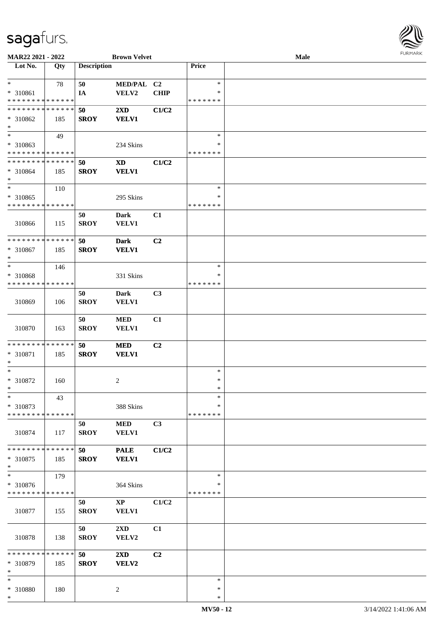

| MAR22 2021 - 2022             |             |                    | <b>Brown Velvet</b>        |                |               | <b>Male</b> |  |
|-------------------------------|-------------|--------------------|----------------------------|----------------|---------------|-------------|--|
| Lot No.                       | Qty         | <b>Description</b> |                            |                | Price         |             |  |
|                               |             |                    |                            |                |               |             |  |
| $\ast$                        | 78          | 50                 | MED/PAL C2                 |                | $\ast$        |             |  |
| * 310861                      |             | IA                 | VELV2                      | <b>CHIP</b>    | ∗             |             |  |
| * * * * * * * * * * * * * *   |             |                    |                            |                | * * * * * * * |             |  |
| * * * * * * * * * * * * * *   |             | 50                 | $2\mathbf{X}\mathbf{D}$    | C1/C2          |               |             |  |
| $* 310862$                    | 185         | <b>SROY</b>        | <b>VELV1</b>               |                |               |             |  |
| $\ast$                        |             |                    |                            |                |               |             |  |
| $\overline{\phantom{0}}$      | 49          |                    |                            |                | $\ast$        |             |  |
| * 310863                      |             |                    | 234 Skins                  |                | $\ast$        |             |  |
| * * * * * * * * * * * * * *   |             |                    |                            |                | * * * * * * * |             |  |
| * * * * * * * * * * * * * *   |             |                    |                            |                |               |             |  |
|                               |             | 50                 | $\boldsymbol{\mathrm{XD}}$ | C1/C2          |               |             |  |
| $* 310864$                    | 185         | <b>SROY</b>        | <b>VELV1</b>               |                |               |             |  |
| $\ast$                        |             |                    |                            |                |               |             |  |
| $\ast$                        | 110         |                    |                            |                | $\ast$        |             |  |
| $* 310865$                    |             |                    | 295 Skins                  |                | $\ast$        |             |  |
| * * * * * * * * * * * * * *   |             |                    |                            |                | * * * * * * * |             |  |
|                               |             | 50                 | Dark                       | C1             |               |             |  |
| 310866                        | 115         | <b>SROY</b>        | VELV1                      |                |               |             |  |
|                               |             |                    |                            |                |               |             |  |
| ******** <mark>*****</mark> * |             | 50                 | <b>Dark</b>                | C <sub>2</sub> |               |             |  |
| * 310867                      | 185         | <b>SROY</b>        | <b>VELV1</b>               |                |               |             |  |
| $\ast$                        |             |                    |                            |                |               |             |  |
| $\ast$                        | 146         |                    |                            |                | $\ast$        |             |  |
| * 310868                      |             |                    | 331 Skins                  |                | ∗             |             |  |
| * * * * * * * * * * * * * *   |             |                    |                            |                | * * * * * * * |             |  |
|                               |             | 50                 | <b>Dark</b>                | C3             |               |             |  |
| 310869                        | 106         | <b>SROY</b>        | VELV1                      |                |               |             |  |
|                               |             |                    |                            |                |               |             |  |
|                               |             | 50                 | $\bf MED$                  | C1             |               |             |  |
|                               |             |                    |                            |                |               |             |  |
| 310870                        | 163         | <b>SROY</b>        | VELV1                      |                |               |             |  |
| * * * * * * * * * * * * * *   |             |                    |                            |                |               |             |  |
|                               |             | 50                 | <b>MED</b>                 | C <sub>2</sub> |               |             |  |
| * 310871                      | 185         | <b>SROY</b>        | <b>VELV1</b>               |                |               |             |  |
| $\ast$                        |             |                    |                            |                |               |             |  |
| $\ast$                        |             |                    |                            |                | $\ast$        |             |  |
| $* 310872$                    | 160         |                    | 2                          |                | $\ast$        |             |  |
| $\ast$                        |             |                    |                            |                | $\ast$        |             |  |
| $\ast$                        | 43          |                    |                            |                | $\ast$        |             |  |
| * 310873                      |             |                    | 388 Skins                  |                | ∗             |             |  |
| * * * * * * * * * * * * * *   |             |                    |                            |                | * * * * * * * |             |  |
|                               |             | 50                 | <b>MED</b>                 | C3             |               |             |  |
| 310874                        | 117         | <b>SROY</b>        | <b>VELV1</b>               |                |               |             |  |
|                               |             |                    |                            |                |               |             |  |
| * * * * * * * *               | * * * * * * | 50                 | <b>PALE</b>                | C1/C2          |               |             |  |
| * 310875                      | 185         | <b>SROY</b>        | <b>VELV1</b>               |                |               |             |  |
| $\ast$                        |             |                    |                            |                |               |             |  |
| $\ast$                        | 179         |                    |                            |                | $\ast$        |             |  |
| * 310876                      |             |                    | 364 Skins                  |                | ∗             |             |  |
| * * * * * * * * * * * * * *   |             |                    |                            |                | * * * * * * * |             |  |
|                               |             | 50                 | $\mathbf{X}\mathbf{P}$     | C1/C2          |               |             |  |
| 310877                        | 155         | <b>SROY</b>        | <b>VELV1</b>               |                |               |             |  |
|                               |             |                    |                            |                |               |             |  |
|                               |             |                    |                            |                |               |             |  |
|                               |             | 50                 | $2\mathbf{X}\mathbf{D}$    | C1             |               |             |  |
| 310878                        | 138         | <b>SROY</b>        | VELV2                      |                |               |             |  |
|                               |             |                    |                            |                |               |             |  |
| * * * * * * * *               | * * * * * * | 50                 | 2XD                        | C <sub>2</sub> |               |             |  |
| * 310879                      | 185         | <b>SROY</b>        | <b>VELV2</b>               |                |               |             |  |
| $\ast$                        |             |                    |                            |                |               |             |  |
| $\ast$                        |             |                    |                            |                | $\ast$        |             |  |
| * 310880                      | 180         |                    | 2                          |                | ∗             |             |  |
| $\ast$                        |             |                    |                            |                | $\ast$        |             |  |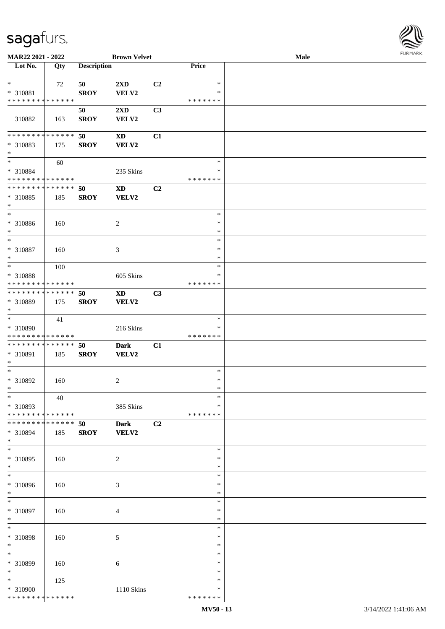

| MAR22 2021 - 2022             |     |                    | <b>Brown Velvet</b>         |    |               | Male |  |
|-------------------------------|-----|--------------------|-----------------------------|----|---------------|------|--|
| Lot No.                       | Qty | <b>Description</b> |                             |    | Price         |      |  |
|                               |     |                    |                             |    |               |      |  |
| $\ast$                        | 72  | 50                 | 2XD                         | C2 | $\ast$        |      |  |
| * 310881                      |     | <b>SROY</b>        | VELV2                       |    | *             |      |  |
| * * * * * * * * * * * * * *   |     |                    |                             |    | * * * * * * * |      |  |
|                               |     | 50                 | 2XD                         | C3 |               |      |  |
| 310882                        | 163 | <b>SROY</b>        | VELV2                       |    |               |      |  |
|                               |     |                    |                             |    |               |      |  |
|                               |     |                    |                             |    |               |      |  |
| * * * * * * * * * * * * * *   |     | 50                 | <b>XD</b>                   | C1 |               |      |  |
| * 310883                      | 175 | <b>SROY</b>        | VELV2                       |    |               |      |  |
| $\ast$                        |     |                    |                             |    |               |      |  |
| $\ast$                        | 60  |                    |                             |    | $\ast$        |      |  |
| * 310884                      |     |                    | 235 Skins                   |    | *             |      |  |
| * * * * * * * * * * * * * *   |     |                    |                             |    | * * * * * * * |      |  |
| * * * * * * * * * * * * * *   |     | 50                 | $\boldsymbol{\mathrm{XD}}$  | C2 |               |      |  |
| * 310885                      | 185 | <b>SROY</b>        | <b>VELV2</b>                |    |               |      |  |
| $\ast$                        |     |                    |                             |    |               |      |  |
| $\ast$                        |     |                    |                             |    | $\ast$        |      |  |
| $* 310886$                    |     |                    | $\overline{c}$              |    | $\ast$        |      |  |
| $\ast$                        | 160 |                    |                             |    | $\ast$        |      |  |
|                               |     |                    |                             |    |               |      |  |
| $\ast$                        |     |                    |                             |    | $\ast$        |      |  |
| $* 310887$                    | 160 |                    | $\ensuremath{\mathfrak{Z}}$ |    | $\ast$        |      |  |
| $\ast$                        |     |                    |                             |    | $\ast$        |      |  |
| $\ast$                        | 100 |                    |                             |    | $\ast$        |      |  |
| * 310888                      |     |                    | 605 Skins                   |    | *             |      |  |
| * * * * * * * * * * * * * *   |     |                    |                             |    | * * * * * * * |      |  |
| * * * * * * * * * * * * * *   |     | 50                 | <b>XD</b>                   | C3 |               |      |  |
| * 310889                      | 175 | <b>SROY</b>        | VELV2                       |    |               |      |  |
| $\ast$                        |     |                    |                             |    |               |      |  |
| $\ast$                        | 41  |                    |                             |    | $\ast$        |      |  |
|                               |     |                    |                             |    |               |      |  |
| * 310890                      |     |                    | 216 Skins                   |    | *             |      |  |
| * * * * * * * * * * * * * *   |     |                    |                             |    | * * * * * * * |      |  |
| **************                |     | 50                 | <b>Dark</b>                 | C1 |               |      |  |
| * 310891                      | 185 | <b>SROY</b>        | <b>VELV2</b>                |    |               |      |  |
| $\ast$                        |     |                    |                             |    |               |      |  |
| $\ast$                        |     |                    |                             |    | $\ast$        |      |  |
| $* 310892$                    | 160 |                    | $\overline{c}$              |    | $\ast$        |      |  |
| $*$                           |     |                    |                             |    | $\ast$        |      |  |
| $*$                           | 40  |                    |                             |    | $\ast$        |      |  |
| * 310893                      |     |                    | 385 Skins                   |    | *             |      |  |
| * * * * * * * * * * * * * * * |     |                    |                             |    | * * * * * * * |      |  |
| * * * * * * * * * * * * * * * |     |                    |                             |    |               |      |  |
|                               |     | 50                 | <b>Dark</b>                 | C2 |               |      |  |
| * 310894                      | 185 | <b>SROY</b>        | VELV2                       |    |               |      |  |
| $*$                           |     |                    |                             |    |               |      |  |
| $\ast$                        |     |                    |                             |    | $\ast$        |      |  |
| * 310895                      | 160 |                    | $\overline{c}$              |    | ∗             |      |  |
| $*$                           |     |                    |                             |    | $\ast$        |      |  |
| $\overline{\phantom{1}}$      |     |                    |                             |    | $\ast$        |      |  |
| * 310896                      | 160 |                    | 3                           |    | *             |      |  |
| $*$                           |     |                    |                             |    | $\ast$        |      |  |
| $\ast$                        |     |                    |                             |    | $\ast$        |      |  |
| * 310897                      | 160 |                    | 4                           |    | $\ast$        |      |  |
| $\ast$                        |     |                    |                             |    | $\ast$        |      |  |
| $\ast$                        |     |                    |                             |    | $\ast$        |      |  |
|                               |     |                    |                             |    |               |      |  |
| * 310898                      | 160 |                    | 5                           |    | $\ast$        |      |  |
| $\ast$                        |     |                    |                             |    | $\ast$        |      |  |
| $\ast$                        |     |                    |                             |    | $\ast$        |      |  |
| * 310899                      | 160 |                    | 6                           |    | *             |      |  |
| $*$                           |     |                    |                             |    | $\ast$        |      |  |
| $*$                           | 125 |                    |                             |    | $\ast$        |      |  |
| * 310900                      |     |                    | 1110 Skins                  |    | *             |      |  |
| * * * * * * * * * * * * * *   |     |                    |                             |    | * * * * * * * |      |  |
|                               |     |                    |                             |    |               |      |  |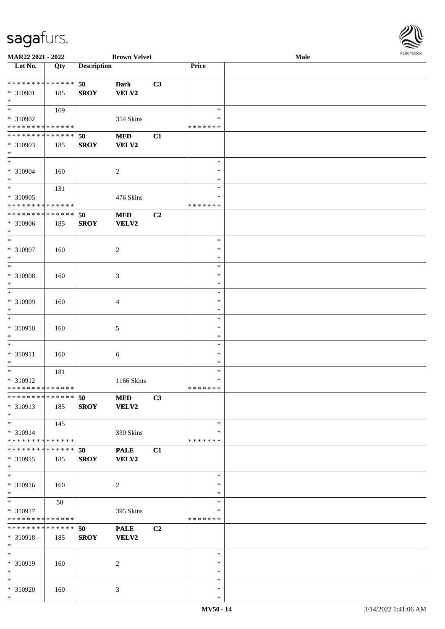

| MAR22 2021 - 2022             |                   |                    | <b>Brown Velvet</b> |    |               | Male |
|-------------------------------|-------------------|--------------------|---------------------|----|---------------|------|
| Lot No.                       | $\overline{Q}$ ty | <b>Description</b> |                     |    | Price         |      |
|                               |                   |                    |                     |    |               |      |
| * * * * * * * * * * * * * *   |                   | 50                 | <b>Dark</b>         | C3 |               |      |
|                               |                   |                    |                     |    |               |      |
| * 310901                      | 185               | <b>SROY</b>        | VELV2               |    |               |      |
| $*$                           |                   |                    |                     |    |               |      |
| $\overline{\ast}$             | 169               |                    |                     |    | $\ast$        |      |
| * 310902                      |                   |                    | 354 Skins           |    | ∗             |      |
| * * * * * * * * * * * * * *   |                   |                    |                     |    | * * * * * * * |      |
| * * * * * * * * * * * * * *   |                   |                    |                     |    |               |      |
|                               |                   | 50                 | $\bf MED$           | C1 |               |      |
| * 310903                      | 185               | <b>SROY</b>        | VELV2               |    |               |      |
| $*$                           |                   |                    |                     |    |               |      |
| $*$                           |                   |                    |                     |    | $\ast$        |      |
| $* 310904$                    | 160               |                    |                     |    | $\ast$        |      |
|                               |                   |                    | $\overline{c}$      |    |               |      |
| $*$                           |                   |                    |                     |    | $\ast$        |      |
| $*$                           | 131               |                    |                     |    | $\ast$        |      |
| * 310905                      |                   |                    | 476 Skins           |    | $\ast$        |      |
| * * * * * * * * * * * * * *   |                   |                    |                     |    | *******       |      |
| * * * * * * * * * * * * * *   |                   |                    |                     |    |               |      |
|                               |                   | 50                 | $\bf MED$           | C2 |               |      |
| * 310906                      | 185               | <b>SROY</b>        | <b>VELV2</b>        |    |               |      |
| $*$                           |                   |                    |                     |    |               |      |
| $\ast$                        |                   |                    |                     |    | $\ast$        |      |
| $* 310907$                    | 160               |                    | $\overline{c}$      |    | $\ast$        |      |
| $\ast$                        |                   |                    |                     |    | $\ast$        |      |
|                               |                   |                    |                     |    |               |      |
| $*$                           |                   |                    |                     |    | $\ast$        |      |
| * 310908                      | 160               |                    | 3                   |    | $\ast$        |      |
| $\ast$                        |                   |                    |                     |    | $\ast$        |      |
| $*$                           |                   |                    |                     |    | $\ast$        |      |
|                               |                   |                    |                     |    |               |      |
| * 310909                      | 160               |                    | 4                   |    | $\ast$        |      |
| $*$                           |                   |                    |                     |    | $\ast$        |      |
| $\ast$                        |                   |                    |                     |    | $\ast$        |      |
| $* 310910$                    |                   |                    |                     |    | $\ast$        |      |
|                               | 160               |                    | 5                   |    |               |      |
| $*$                           |                   |                    |                     |    | $\ast$        |      |
| $\ast$                        |                   |                    |                     |    | $\ast$        |      |
| * 310911                      | 160               |                    | 6                   |    | $\ast$        |      |
| $\ast$                        |                   |                    |                     |    | $\ast$        |      |
| $\ast$                        |                   |                    |                     |    | $\ast$        |      |
|                               | 181               |                    |                     |    |               |      |
| * 310912                      |                   |                    | 1166 Skins          |    | $\ast$        |      |
| * * * * * * * * * * * * * *   |                   |                    |                     |    | * * * * * * * |      |
| * * * * * * * * * * * * * * * |                   | 50                 | <b>MED</b>          | C3 |               |      |
| * 310913                      | 185               | <b>SROY</b>        | VELV2               |    |               |      |
|                               |                   |                    |                     |    |               |      |
| $*$                           |                   |                    |                     |    |               |      |
| $*$                           | 145               |                    |                     |    | $\ast$        |      |
| * 310914                      |                   |                    | 330 Skins           |    | ∗             |      |
| * * * * * * * * * * * * * *   |                   |                    |                     |    | * * * * * * * |      |
| * * * * * * * * * * * * * * * |                   |                    |                     |    |               |      |
|                               |                   | 50                 | <b>PALE</b>         | C1 |               |      |
| * 310915                      | 185               | <b>SROY</b>        | VELV2               |    |               |      |
| $*$                           |                   |                    |                     |    |               |      |
| $\ast$                        |                   |                    |                     |    | $\ast$        |      |
| * 310916                      | 160               |                    | $\overline{c}$      |    | $\ast$        |      |
|                               |                   |                    |                     |    |               |      |
| $*$                           |                   |                    |                     |    | $\ast$        |      |
| $\overline{\phantom{0}}$      | 50                |                    |                     |    | $\ast$        |      |
| * 310917                      |                   |                    | 395 Skins           |    | $\ast$        |      |
| * * * * * * * * * * * * * *   |                   |                    |                     |    | *******       |      |
| * * * * * * * * * * * * * * * |                   | 50                 | <b>PALE</b>         | C2 |               |      |
|                               |                   |                    |                     |    |               |      |
| * 310918                      | 185               | <b>SROY</b>        | VELV2               |    |               |      |
| $*$                           |                   |                    |                     |    |               |      |
| $\ast$                        |                   |                    |                     |    | $\ast$        |      |
| * 310919                      | 160               |                    | 2                   |    | $\ast$        |      |
|                               |                   |                    |                     |    |               |      |
| $\ast$                        |                   |                    |                     |    | $\ast$        |      |
| $*$                           |                   |                    |                     |    | $\ast$        |      |
| * 310920                      | 160               |                    | 3                   |    | $\ast$        |      |
| $*$                           |                   |                    |                     |    | $\ast$        |      |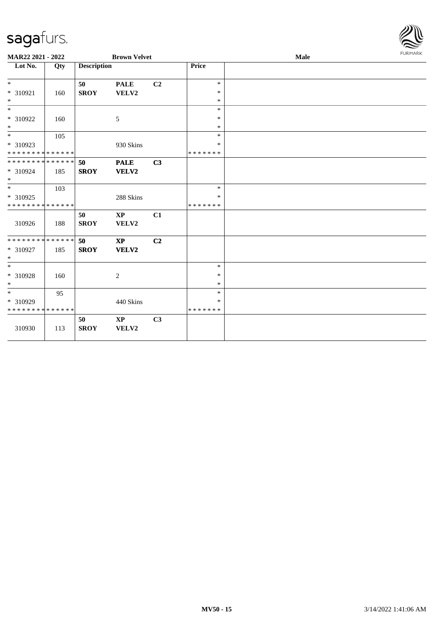

| MAR22 2021 - 2022             |     |                    | <b>Brown Velvet</b>    |                |                  | Male | <b>FURMARK</b> |
|-------------------------------|-----|--------------------|------------------------|----------------|------------------|------|----------------|
| Lot No.                       | Qty | <b>Description</b> |                        |                | Price            |      |                |
|                               |     |                    |                        |                |                  |      |                |
| $*$                           |     | 50                 | <b>PALE</b>            | C2             | $\ast$<br>$\ast$ |      |                |
| * 310921<br>$\ast$            | 160 | <b>SROY</b>        | VELV2                  |                | $\ast$           |      |                |
| $\overline{\phantom{0}}$      |     |                    |                        |                | $\ast$           |      |                |
| * 310922                      | 160 |                    | 5                      |                | $\ast$           |      |                |
| $*$                           |     |                    |                        |                | $\ast$           |      |                |
| $*$                           | 105 |                    |                        |                | $\ast$           |      |                |
| * 310923                      |     |                    | 930 Skins              |                | $\ast$           |      |                |
| * * * * * * * * * * * * * *   |     |                    |                        |                | * * * * * * *    |      |                |
| ******** <mark>******</mark>  |     | 50                 | <b>PALE</b>            | C <sub>3</sub> |                  |      |                |
| * 310924<br>$*$               | 185 | <b>SROY</b>        | VELV2                  |                |                  |      |                |
| $*$                           | 103 |                    |                        |                | $\ast$           |      |                |
| * 310925                      |     |                    | 288 Skins              |                | $\ast$           |      |                |
| * * * * * * * * * * * * * *   |     |                    |                        |                | *******          |      |                |
|                               |     | 50                 | $\mathbf{X}\mathbf{P}$ | C1             |                  |      |                |
| 310926                        | 188 | <b>SROY</b>        | VELV2                  |                |                  |      |                |
| * * * * * * * * * * * * * * * |     | 50                 | $\mathbf{X}\mathbf{P}$ | C <sub>2</sub> |                  |      |                |
| * 310927<br>$\ast$            | 185 | <b>SROY</b>        | VELV2                  |                |                  |      |                |
|                               |     |                    |                        |                | $\ast$           |      |                |
| * 310928                      | 160 |                    | $\overline{c}$         |                | $\ast$           |      |                |
| $\ast$                        |     |                    |                        |                | $\ast$           |      |                |
| $*$                           | 95  |                    |                        |                | $\ast$           |      |                |
| * 310929                      |     |                    | 440 Skins              |                | ∗                |      |                |
| * * * * * * * * * * * * * *   |     |                    |                        |                | *******          |      |                |
|                               |     | 50                 | <b>XP</b>              | C <sub>3</sub> |                  |      |                |
| 310930                        | 113 | <b>SROY</b>        | VELV2                  |                |                  |      |                |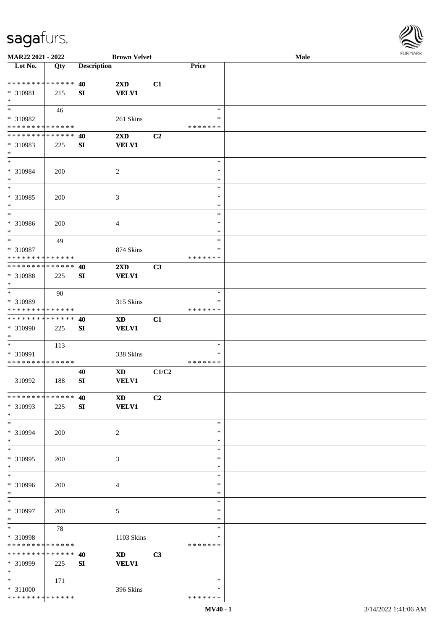

| MAR22 2021 - 2022           |             |                    | <b>Brown Velvet</b>     |                |               | <b>Male</b> |
|-----------------------------|-------------|--------------------|-------------------------|----------------|---------------|-------------|
| Lot No.                     | Qty         | <b>Description</b> |                         |                | Price         |             |
|                             |             |                    |                         |                |               |             |
| **************              |             | 40                 | $2\mathbf{X}\mathbf{D}$ | C1             |               |             |
| * 310981                    | 215         | SI                 | <b>VELV1</b>            |                |               |             |
| $\ast$                      |             |                    |                         |                |               |             |
| $\ast$                      | 46          |                    |                         |                | $\ast$        |             |
|                             |             |                    |                         |                |               |             |
| * 310982                    |             |                    | 261 Skins               |                | ∗             |             |
| * * * * * * * * * * * * * * |             |                    |                         |                | * * * * * * * |             |
| * * * * * * * * * * * * * * |             | 40                 | 2XD                     | C <sub>2</sub> |               |             |
| * 310983                    | 225         | ${\bf SI}$         | <b>VELV1</b>            |                |               |             |
| $\ast$                      |             |                    |                         |                |               |             |
| $*$                         |             |                    |                         |                | $\ast$        |             |
| * 310984                    | 200         |                    | $\overline{c}$          |                | $\ast$        |             |
| $\ast$                      |             |                    |                         |                | $\ast$        |             |
| $\ast$                      |             |                    |                         |                | $\ast$        |             |
| * 310985                    | 200         |                    | $\mathfrak{Z}$          |                | $\ast$        |             |
| $\ast$                      |             |                    |                         |                | $\ast$        |             |
| $\overline{\phantom{1}}$    |             |                    |                         |                |               |             |
|                             |             |                    |                         |                | $\ast$        |             |
| * 310986                    | 200         |                    | $\overline{4}$          |                | $\ast$        |             |
| $\ast$                      |             |                    |                         |                | $\ast$        |             |
| $\ast$                      | 49          |                    |                         |                | $\ast$        |             |
| * 310987                    |             |                    | 874 Skins               |                | ∗             |             |
| * * * * * * * * * * * * * * |             |                    |                         |                | * * * * * * * |             |
| * * * * * * * * * * * * * * |             | 40                 | $2\mathbf{X}\mathbf{D}$ | C3             |               |             |
| * 310988                    | 225         | SI                 | <b>VELV1</b>            |                |               |             |
| $\ast$                      |             |                    |                         |                |               |             |
| $\ast$                      | 90          |                    |                         |                | $\ast$        |             |
|                             |             |                    |                         |                | $\ast$        |             |
| * 310989                    |             |                    | 315 Skins               |                |               |             |
| * * * * * * * * * * * * * * |             |                    |                         |                | * * * * * * * |             |
| * * * * * * * * * * * * * * |             | 40                 | <b>XD</b>               | C1             |               |             |
| * 310990                    | 225         | SI                 | <b>VELV1</b>            |                |               |             |
| $\ast$                      |             |                    |                         |                |               |             |
| $\ast$                      | 113         |                    |                         |                | $\ast$        |             |
| * 310991                    |             |                    | 338 Skins               |                | $\ast$        |             |
| * * * * * * * * * * * * * * |             |                    |                         |                | * * * * * * * |             |
|                             |             | 40                 | $\mathbf{X}\mathbf{D}$  | C1/C2          |               |             |
| 310992                      | 188         | SI                 | <b>VELV1</b>            |                |               |             |
|                             |             |                    |                         |                |               |             |
| * * * * * * * * * * * * * * |             | 40                 | <b>XD</b>               | C <sub>2</sub> |               |             |
| * 310993                    | 225         | ${\bf S}{\bf I}$   | <b>VELV1</b>            |                |               |             |
| $*$                         |             |                    |                         |                |               |             |
| $*$                         |             |                    |                         |                |               |             |
|                             |             |                    |                         |                | $\ast$        |             |
| * 310994                    | 200         |                    | $\overline{2}$          |                | ∗             |             |
| $*$                         |             |                    |                         |                | $\ast$        |             |
| $\ast$                      |             |                    |                         |                | $\ast$        |             |
| * 310995                    | 200         |                    | 3                       |                | $\ast$        |             |
| $*$                         |             |                    |                         |                | $\ast$        |             |
| $\overline{\phantom{0}}$    |             |                    |                         |                | $\ast$        |             |
| * 310996                    | 200         |                    | 4                       |                | ∗             |             |
| $*$                         |             |                    |                         |                | $\ast$        |             |
| $*$                         |             |                    |                         |                | $\ast$        |             |
| * 310997                    | 200         |                    | 5                       |                | $\ast$        |             |
| $\ast$                      |             |                    |                         |                | $\ast$        |             |
| $\ast$                      |             |                    |                         |                | $\ast$        |             |
|                             | 78          |                    |                         |                |               |             |
| * 310998                    |             |                    | 1103 Skins              |                | $\ast$        |             |
| * * * * * * * *             | * * * * * * |                    |                         |                | * * * * * * * |             |
| * * * * * * * *             | * * * * * * | 40                 | $\mathbf{X}\mathbf{D}$  | C3             |               |             |
| * 310999                    | 225         | SI                 | <b>VELV1</b>            |                |               |             |
| $*$                         |             |                    |                         |                |               |             |
| $*$                         | 171         |                    |                         |                | $\ast$        |             |
| * 311000                    |             |                    | 396 Skins               |                | ∗             |             |
| * * * * * * * * * * * * * * |             |                    |                         |                | * * * * * * * |             |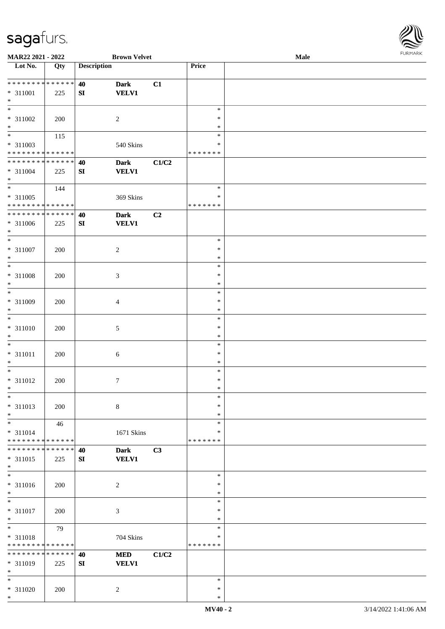

| MAR22 2021 - 2022            |             |                    | <b>Brown Velvet</b> |       |               | Male |
|------------------------------|-------------|--------------------|---------------------|-------|---------------|------|
| Lot No.                      | Qty         | <b>Description</b> |                     |       | Price         |      |
|                              |             |                    |                     |       |               |      |
| * * * * * * * * * * * * * *  |             | 40                 | <b>Dark</b>         | C1    |               |      |
| $* 311001$                   | 225         | ${\bf S}{\bf I}$   | <b>VELV1</b>        |       |               |      |
| $\ast$                       |             |                    |                     |       |               |      |
| $\overline{\phantom{0}}$     |             |                    |                     |       | $\ast$        |      |
|                              |             |                    |                     |       |               |      |
| $* 311002$                   | 200         |                    | $\overline{2}$      |       | $\ast$        |      |
| $\ast$                       |             |                    |                     |       | $\ast$        |      |
| $\overline{\phantom{0}}$     | 115         |                    |                     |       | $\ast$        |      |
| * 311003                     |             |                    | $540~\rm Skins$     |       | $\ast$        |      |
| * * * * * * * * * * * * * *  |             |                    |                     |       | * * * * * * * |      |
| **************               |             | 40                 | <b>Dark</b>         | C1/C2 |               |      |
|                              |             |                    |                     |       |               |      |
| $* 311004$                   | 225         | SI                 | <b>VELV1</b>        |       |               |      |
| $\ast$                       |             |                    |                     |       |               |      |
| $\overline{\phantom{0}}$     | 144         |                    |                     |       | $\ast$        |      |
| $* 311005$                   |             |                    | 369 Skins           |       | $\ast$        |      |
| * * * * * * * * * * * * * *  |             |                    |                     |       | * * * * * * * |      |
| ******** <mark>******</mark> |             | 40                 | <b>Dark</b>         | C2    |               |      |
| $* 311006$                   | 225         | ${\bf SI}$         | <b>VELV1</b>        |       |               |      |
| $\ast$                       |             |                    |                     |       |               |      |
|                              |             |                    |                     |       |               |      |
| $\ast$                       |             |                    |                     |       | $\ast$        |      |
| $* 311007$                   | 200         |                    | $\sqrt{2}$          |       | $\ast$        |      |
| $\ast$                       |             |                    |                     |       | $\ast$        |      |
| $\ast$                       |             |                    |                     |       | $\ast$        |      |
| $* 311008$                   | 200         |                    | $\mathfrak{Z}$      |       | $\ast$        |      |
| $\ast$                       |             |                    |                     |       | $\ast$        |      |
| $\overline{\phantom{1}}$     |             |                    |                     |       |               |      |
|                              |             |                    |                     |       | $\ast$        |      |
| * 311009                     | 200         |                    | $\overline{4}$      |       | $\ast$        |      |
| $\ast$                       |             |                    |                     |       | $\ast$        |      |
| $\ast$                       |             |                    |                     |       | $\ast$        |      |
| $* 311010$                   | 200         |                    | $\sqrt{5}$          |       | $\ast$        |      |
| $\ast$                       |             |                    |                     |       | $\ast$        |      |
| $\ast$                       |             |                    |                     |       | $\ast$        |      |
|                              |             |                    |                     |       |               |      |
| $* 311011$                   | 200         |                    | $\sqrt{6}$          |       | $\ast$        |      |
| $\ast$                       |             |                    |                     |       | $\ast$        |      |
| $\ast$                       |             |                    |                     |       | $\ast$        |      |
| $* 311012$                   | 200         |                    | $\tau$              |       | $\ast$        |      |
| $*$                          |             |                    |                     |       | $\ast$        |      |
| $\ast$                       |             |                    |                     |       | $\ast$        |      |
| $* 311013$                   | 200         |                    | $\,8\,$             |       | $\ast$        |      |
| $\ast$                       |             |                    |                     |       | $\ast$        |      |
|                              |             |                    |                     |       |               |      |
| $\ast$                       | 46          |                    |                     |       | $\ast$        |      |
| $* 311014$                   |             |                    | 1671 Skins          |       | *             |      |
| * * * * * * * * * * * * * *  |             |                    |                     |       | * * * * * * * |      |
| * * * * * * * *              | * * * * * * | 40                 | <b>Dark</b>         | C3    |               |      |
| $* 311015$                   | 225         | SI                 | <b>VELV1</b>        |       |               |      |
| $\ast$                       |             |                    |                     |       |               |      |
| $_{\ast}$                    |             |                    |                     |       | $\ast$        |      |
|                              |             |                    |                     |       | $\ast$        |      |
| * 311016                     | 200         |                    | $\boldsymbol{2}$    |       |               |      |
| $\ast$                       |             |                    |                     |       | $\ast$        |      |
| $\ast$                       |             |                    |                     |       | $\ast$        |      |
| * 311017                     | 200         |                    | $\mathfrak{Z}$      |       | $\ast$        |      |
| $\ast$                       |             |                    |                     |       | $\ast$        |      |
| $\ast$                       | 79          |                    |                     |       | $\ast$        |      |
| * 311018                     |             |                    | 704 Skins           |       | $\ast$        |      |
| * * * * * * * * * * * * * *  |             |                    |                     |       | * * * * * * * |      |
|                              |             |                    |                     |       |               |      |
| * * * * * * * *              | * * * * * * | 40                 | $\bf MED$           | C1/C2 |               |      |
| * 311019                     | 225         | ${\bf SI}$         | <b>VELV1</b>        |       |               |      |
| $\ast$                       |             |                    |                     |       |               |      |
| $*$                          |             |                    |                     |       | $\ast$        |      |
| * 311020                     | 200         |                    | $\boldsymbol{2}$    |       | $\ast$        |      |
| $\ast$                       |             |                    |                     |       | $\ast$        |      |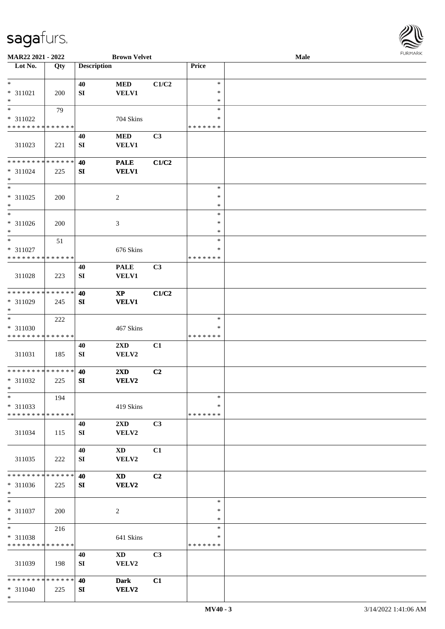

| MAR22 2021 - 2022                       |     |                    | <b>Brown Velvet</b>                     |                |                         | Male |  |
|-----------------------------------------|-----|--------------------|-----------------------------------------|----------------|-------------------------|------|--|
| Lot No.                                 | Qty | <b>Description</b> |                                         |                | Price                   |      |  |
|                                         |     |                    |                                         |                |                         |      |  |
| $\ast$                                  |     | 40                 | $\bf MED$                               | C1/C2          | $\ast$                  |      |  |
| $* 311021$<br>$\ast$                    | 200 | SI                 | <b>VELV1</b>                            |                | $\ast$<br>$\ast$        |      |  |
| $\overline{\phantom{0}}$                | 79  |                    |                                         |                | $\ast$                  |      |  |
| * 311022                                |     |                    | 704 Skins                               |                | *                       |      |  |
| * * * * * * * * * * * * * *             |     |                    |                                         |                | * * * * * * *           |      |  |
|                                         |     | 40                 | <b>MED</b>                              | C <sub>3</sub> |                         |      |  |
| 311023                                  | 221 | ${\bf S}{\bf I}$   | <b>VELV1</b>                            |                |                         |      |  |
|                                         |     |                    |                                         |                |                         |      |  |
| **************                          |     | 40                 | <b>PALE</b>                             | C1/C2          |                         |      |  |
| $* 311024$                              | 225 | SI                 | <b>VELV1</b>                            |                |                         |      |  |
| $\ast$<br>$\ast$                        |     |                    |                                         |                | $\ast$                  |      |  |
| $* 311025$                              |     |                    |                                         |                | $\ast$                  |      |  |
| $\ast$                                  | 200 |                    | $\sqrt{2}$                              |                | $\ast$                  |      |  |
| $\overline{\phantom{1}}$                |     |                    |                                         |                | $\ast$                  |      |  |
| $* 311026$                              | 200 |                    | 3                                       |                | $\ast$                  |      |  |
| $\ast$                                  |     |                    |                                         |                | $\ast$                  |      |  |
| $\ast$                                  | 51  |                    |                                         |                | $\ast$                  |      |  |
| * 311027                                |     |                    | 676 Skins                               |                | *                       |      |  |
| * * * * * * * * * * * * * *             |     |                    |                                         |                | * * * * * * *           |      |  |
|                                         |     | 40                 | <b>PALE</b>                             | C3             |                         |      |  |
| 311028                                  | 223 | SI                 | <b>VELV1</b>                            |                |                         |      |  |
| **************                          |     |                    |                                         |                |                         |      |  |
| * 311029                                | 245 | 40<br>SI           | $\mathbf{X}\mathbf{P}$<br><b>VELV1</b>  | C1/C2          |                         |      |  |
| $\ast$                                  |     |                    |                                         |                |                         |      |  |
| $\ast$                                  | 222 |                    |                                         |                | $\ast$                  |      |  |
| * 311030                                |     |                    | 467 Skins                               |                | *                       |      |  |
| * * * * * * * * * * * * * *             |     |                    |                                         |                | * * * * * * *           |      |  |
|                                         |     | 40                 | $2\mathbf{X}\mathbf{D}$                 | C1             |                         |      |  |
| 311031                                  | 185 | ${\bf SI}$         | VELV2                                   |                |                         |      |  |
| **************                          |     |                    |                                         |                |                         |      |  |
| * 311032                                | 225 | 40<br>SI           | $2\mathbf{X}\mathbf{D}$<br><b>VELV2</b> | C2             |                         |      |  |
| $*$                                     |     |                    |                                         |                |                         |      |  |
| $\ast$                                  | 194 |                    |                                         |                | $\ast$                  |      |  |
| * 311033                                |     |                    | 419 Skins                               |                | *                       |      |  |
| * * * * * * * * * * * * * *             |     |                    |                                         |                | * * * * * * *           |      |  |
|                                         |     | 40                 | $2\mathbf{X}\mathbf{D}$                 | C3             |                         |      |  |
| 311034                                  | 115 | SI                 | VELV2                                   |                |                         |      |  |
|                                         |     |                    |                                         |                |                         |      |  |
|                                         |     | 40                 | XD                                      | C1             |                         |      |  |
| 311035                                  | 222 | SI                 | VELV2                                   |                |                         |      |  |
| * * * * * * * * * * * * * *             |     | 40                 | <b>XD</b>                               | C <sub>2</sub> |                         |      |  |
| * 311036                                | 225 | SI                 | <b>VELV2</b>                            |                |                         |      |  |
| $*$                                     |     |                    |                                         |                |                         |      |  |
| $\ast$                                  |     |                    |                                         |                | $\ast$                  |      |  |
| * 311037                                | 200 |                    | $\sqrt{2}$                              |                | $\ast$                  |      |  |
| $\ast$                                  |     |                    |                                         |                | $\ast$                  |      |  |
| $\ast$                                  | 216 |                    |                                         |                | $\ast$                  |      |  |
| * 311038<br>* * * * * * * * * * * * * * |     |                    | 641 Skins                               |                | $\ast$<br>* * * * * * * |      |  |
|                                         |     | 40                 | $\mathbf{X}\mathbf{D}$                  | C3             |                         |      |  |
| 311039                                  | 198 | SI                 | VELV2                                   |                |                         |      |  |
|                                         |     |                    |                                         |                |                         |      |  |
| * * * * * * * * * * * * * *             |     | 40                 | <b>Dark</b>                             | C1             |                         |      |  |
| $* 311040$                              | 225 | SI                 | <b>VELV2</b>                            |                |                         |      |  |
| $*$                                     |     |                    |                                         |                |                         |      |  |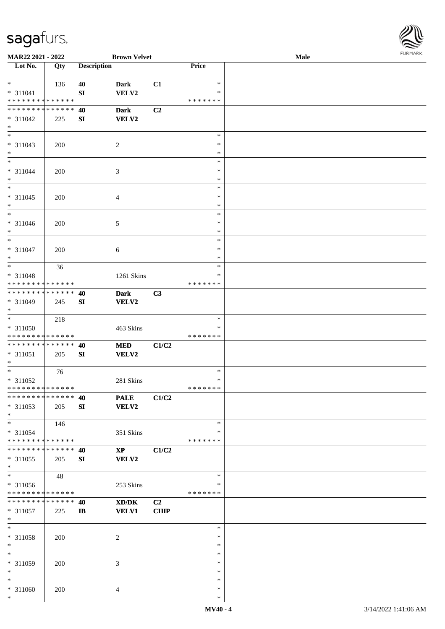

| MAR22 2021 - 2022                                |     |                    | <b>Brown Velvet</b>             |                   |                              | <b>Male</b> |  |
|--------------------------------------------------|-----|--------------------|---------------------------------|-------------------|------------------------------|-------------|--|
| Lot No.                                          | Qty | <b>Description</b> |                                 |                   | Price                        |             |  |
| $*$<br>$* 311041$<br>* * * * * * * * * * * * * * | 136 | 40<br>SI           | Dark<br>VELV2                   | C1                | $\ast$<br>∗<br>* * * * * * * |             |  |
| * * * * * * * * * * * * * *<br>* 311042<br>$*$   | 225 | 40<br>SI           | <b>Dark</b><br><b>VELV2</b>     | C2                |                              |             |  |
| * 311043<br>$*$                                  | 200 |                    | $\overline{c}$                  |                   | $\ast$<br>$\ast$<br>$\ast$   |             |  |
| $*$<br>* 311044<br>$*$                           | 200 |                    | 3                               |                   | $\ast$<br>$\ast$<br>$\ast$   |             |  |
| $*$<br>$* 311045$<br>$*$                         | 200 |                    | 4                               |                   | $\ast$<br>$\ast$<br>$\ast$   |             |  |
| $\ast$<br>$* 311046$<br>$*$                      | 200 |                    | 5                               |                   | $\ast$<br>$\ast$<br>*        |             |  |
| $*$<br>$* 311047$<br>$*$                         | 200 |                    | 6                               |                   | $\ast$<br>$\ast$<br>$\ast$   |             |  |
| $*$<br>$* 311048$<br>* * * * * * * * * * * * * * | 36  |                    | 1261 Skins                      |                   | $\ast$<br>*<br>* * * * * * * |             |  |
| * * * * * * * * * * * * * * *<br>* 311049<br>$*$ | 245 | 40<br>SI           | <b>Dark</b><br>VELV2            | C3                |                              |             |  |
| $* 311050$<br>* * * * * * * * * * * * * *        | 218 |                    | 463 Skins                       |                   | $\ast$<br>*<br>* * * * * * * |             |  |
| * * * * * * * * * * * * * *<br>* 311051<br>$*$   | 205 | 40<br>SI           | <b>MED</b><br>VELV2             | C1/C2             |                              |             |  |
| $*$<br>* 311052<br>******** <mark>******</mark>  | 76  |                    | 281 Skins                       |                   | $\ast$<br>$\ast$<br>*******  |             |  |
| * * * * * * * * * * * * * * *<br>* 311053<br>$*$ | 205 | 40<br>SI           | <b>PALE</b><br><b>VELV2</b>     | C1/C2             |                              |             |  |
| $*$<br>* 311054<br>* * * * * * * * * * * * * *   | 146 |                    | 351 Skins                       |                   | $\ast$<br>*<br>* * * * * * * |             |  |
| * * * * * * * * * * * * * * *<br>* 311055<br>$*$ | 205 | 40<br>SI           | $\mathbf{X}\mathbf{P}$<br>VELV2 | C1/C2             |                              |             |  |
| $*$<br>* 311056<br>* * * * * * * * * * * * * *   | 48  |                    | 253 Skins                       |                   | $\ast$<br>*<br>* * * * * * * |             |  |
| * * * * * * * * * * * * * * *<br>* 311057<br>$*$ | 225 | 40<br>$\mathbf{I}$ | XD/DK<br><b>VELV1</b>           | C2<br><b>CHIP</b> |                              |             |  |
| $*$<br>* 311058<br>$*$                           | 200 |                    | 2                               |                   | $\ast$<br>$\ast$<br>$\ast$   |             |  |
| $*$<br>* 311059<br>$*$                           | 200 |                    | 3                               |                   | $\ast$<br>∗<br>$\ast$        |             |  |
| $*$<br>* 311060<br>$*$                           | 200 |                    | 4                               |                   | $\ast$<br>$\ast$<br>$\ast$   |             |  |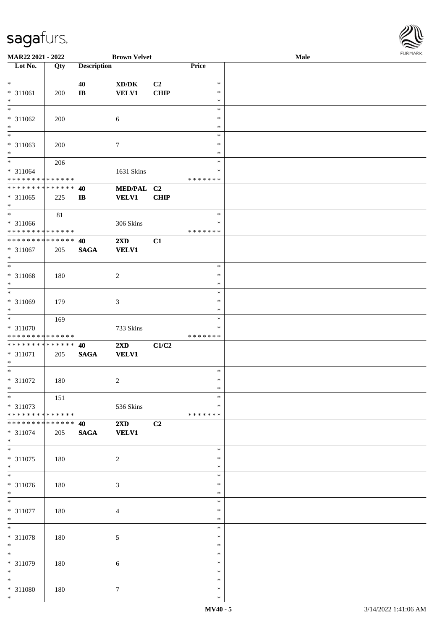

| MAR22 2021 - 2022             |     |                        | <b>Brown Velvet</b>                 |             |               | <b>Male</b> |
|-------------------------------|-----|------------------------|-------------------------------------|-------------|---------------|-------------|
| Lot No.                       | Qty | <b>Description</b>     |                                     |             | Price         |             |
|                               |     |                        |                                     |             |               |             |
|                               |     |                        |                                     |             |               |             |
| $*$                           |     | 40                     | $\bold{X}\bold{D}/\bold{D}\bold{K}$ | C2          | $\ast$        |             |
| * 311061                      | 200 | $\mathbf{I}\mathbf{B}$ | <b>VELV1</b>                        | <b>CHIP</b> | $\ast$        |             |
| $\ast$                        |     |                        |                                     |             | $\ast$        |             |
| $\overline{\ast}$             |     |                        |                                     |             | $\ast$        |             |
|                               |     |                        |                                     |             |               |             |
| $* 311062$                    | 200 |                        | 6                                   |             | $\ast$        |             |
| $\ast$                        |     |                        |                                     |             | $\ast$        |             |
| $\overline{\phantom{0}}$      |     |                        |                                     |             | $\ast$        |             |
|                               |     |                        |                                     |             |               |             |
| * 311063                      | 200 |                        | $\tau$                              |             | $\ast$        |             |
| $*$                           |     |                        |                                     |             | $\ast$        |             |
| $*$                           | 206 |                        |                                     |             | $\ast$        |             |
| * 311064                      |     |                        | 1631 Skins                          |             | $\ast$        |             |
|                               |     |                        |                                     |             |               |             |
| * * * * * * * * * * * * * *   |     |                        |                                     |             | *******       |             |
| * * * * * * * * * * * * * *   |     | 40                     | MED/PAL C2                          |             |               |             |
| $* 311065$                    | 225 | $\mathbf{I}$           | <b>VELV1</b>                        | <b>CHIP</b> |               |             |
|                               |     |                        |                                     |             |               |             |
| $*$                           |     |                        |                                     |             |               |             |
| $*$                           | 81  |                        |                                     |             | $\ast$        |             |
| * 311066                      |     |                        | 306 Skins                           |             | $\ast$        |             |
| * * * * * * * * * * * * * *   |     |                        |                                     |             | * * * * * * * |             |
| * * * * * * * * * * * * * *   |     |                        |                                     |             |               |             |
|                               |     | 40                     | 2XD                                 | C1          |               |             |
| * 311067                      | 205 | <b>SAGA</b>            | <b>VELV1</b>                        |             |               |             |
| $\ast$                        |     |                        |                                     |             |               |             |
| $*$                           |     |                        |                                     |             | $\ast$        |             |
|                               |     |                        |                                     |             |               |             |
| $* 311068$                    | 180 |                        | $\overline{c}$                      |             | $\ast$        |             |
| $\ast$                        |     |                        |                                     |             | $\ast$        |             |
| $*$                           |     |                        |                                     |             | $\ast$        |             |
|                               |     |                        |                                     |             |               |             |
| * 311069                      | 179 |                        | 3                                   |             | $\ast$        |             |
| $*$                           |     |                        |                                     |             | $\ast$        |             |
| $*$                           | 169 |                        |                                     |             | $\ast$        |             |
| * 311070                      |     |                        | 733 Skins                           |             | $\ast$        |             |
|                               |     |                        |                                     |             |               |             |
| * * * * * * * * * * * * * *   |     |                        |                                     |             | *******       |             |
| * * * * * * * * * * * * * * * |     | 40                     | 2XD                                 | C1/C2       |               |             |
| * 311071                      | 205 | $\mathbf{SAGA}$        | <b>VELV1</b>                        |             |               |             |
| $*$                           |     |                        |                                     |             |               |             |
| $*$                           |     |                        |                                     |             | $\ast$        |             |
|                               |     |                        |                                     |             |               |             |
| $* 311072$                    | 180 |                        | $\overline{c}$                      |             | $\ast$        |             |
| $*$                           |     |                        |                                     |             | $\ast$        |             |
| $*$                           | 151 |                        |                                     |             | $\ast$        |             |
|                               |     |                        |                                     |             |               |             |
| * 311073                      |     |                        | 536 Skins                           |             | $\ast$        |             |
| * * * * * * * * * * * * * *   |     |                        |                                     |             | *******       |             |
| * * * * * * * * * * * * * * * |     | 40                     | $2\mathbf{X}\mathbf{D}$             | C2          |               |             |
|                               |     |                        |                                     |             |               |             |
| * 311074                      | 205 | <b>SAGA</b>            | <b>VELV1</b>                        |             |               |             |
| $*$                           |     |                        |                                     |             |               |             |
| $*$                           |     |                        |                                     |             | $\ast$        |             |
| * 311075                      | 180 |                        | $\boldsymbol{2}$                    |             | $\ast$        |             |
| $*$                           |     |                        |                                     |             | $\ast$        |             |
| $\overline{\phantom{0}}$      |     |                        |                                     |             |               |             |
|                               |     |                        |                                     |             | $\ast$        |             |
| * 311076                      | 180 |                        | $\mathfrak{Z}$                      |             | $\ast$        |             |
| $*$                           |     |                        |                                     |             | $\ast$        |             |
| $*$                           |     |                        |                                     |             |               |             |
|                               |     |                        |                                     |             | $\ast$        |             |
| $* 311077$                    | 180 |                        | $\overline{4}$                      |             | $\ast$        |             |
| $*$                           |     |                        |                                     |             | $\ast$        |             |
| $*$                           |     |                        |                                     |             | $\ast$        |             |
|                               |     |                        |                                     |             |               |             |
| * 311078                      | 180 |                        | $\sqrt{5}$                          |             | $\ast$        |             |
| $*$                           |     |                        |                                     |             | $\ast$        |             |
| $\overline{\phantom{0}}$      |     |                        |                                     |             | $\ast$        |             |
|                               |     |                        |                                     |             | $\ast$        |             |
| * 311079                      | 180 |                        | 6                                   |             |               |             |
| $*$                           |     |                        |                                     |             | $\ast$        |             |
| $*$                           |     |                        |                                     |             | $\ast$        |             |
| * 311080                      | 180 |                        | $\tau$                              |             | $\ast$        |             |
| $*$                           |     |                        |                                     |             |               |             |
|                               |     |                        |                                     |             | $\ast$        |             |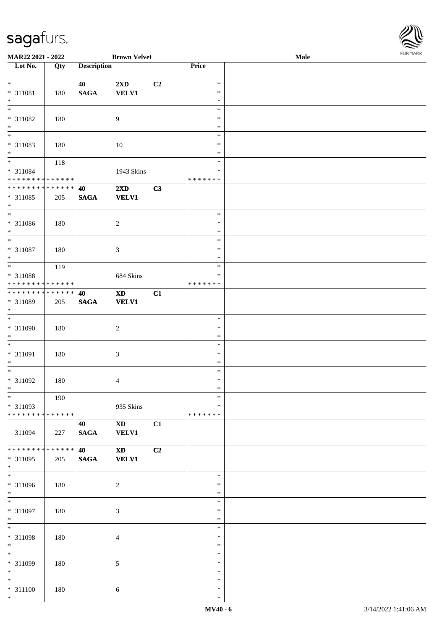

| MAR22 2021 - 2022             |     |                    | <b>Brown Velvet</b>         |                |               | <b>Male</b> |  |
|-------------------------------|-----|--------------------|-----------------------------|----------------|---------------|-------------|--|
| Lot No.                       | Qty | <b>Description</b> |                             |                | Price         |             |  |
|                               |     |                    |                             |                |               |             |  |
| $*$                           |     | 40                 | 2XD                         | C2             | $\ast$        |             |  |
| $* 311081$                    | 180 | $\mathbf{SAGA}$    | VELV1                       |                | $\ast$        |             |  |
| $*$                           |     |                    |                             |                | $\ast$        |             |  |
| $\overline{\phantom{0}}$      |     |                    |                             |                | $\ast$        |             |  |
|                               |     |                    |                             |                |               |             |  |
| * 311082                      | 180 |                    | $\overline{9}$              |                | $\ast$        |             |  |
| $\ast$                        |     |                    |                             |                | $\ast$        |             |  |
| $\overline{\ast}$             |     |                    |                             |                | $\ast$        |             |  |
| * 311083                      | 180 |                    | 10                          |                | $\ast$        |             |  |
| $*$                           |     |                    |                             |                | $\ast$        |             |  |
|                               | 118 |                    |                             |                | $\ast$        |             |  |
| * 311084                      |     |                    | 1943 Skins                  |                | ∗             |             |  |
| * * * * * * * * * * * * * *   |     |                    |                             |                | *******       |             |  |
|                               |     |                    |                             |                |               |             |  |
| ******** <mark>******</mark>  |     | 40                 | 2XD                         | C3             |               |             |  |
| * 311085                      | 205 | $\mathbf{SAGA}$    | <b>VELV1</b>                |                |               |             |  |
| $*$                           |     |                    |                             |                |               |             |  |
| $\overline{\phantom{0}}$      |     |                    |                             |                | $\ast$        |             |  |
| $* 311086$                    | 180 |                    | $\overline{2}$              |                | $\ast$        |             |  |
| $*$                           |     |                    |                             |                | $\ast$        |             |  |
| $\overline{\phantom{0}}$      |     |                    |                             |                | $\ast$        |             |  |
|                               |     |                    |                             |                |               |             |  |
| $* 311087$                    | 180 |                    | $\mathfrak{Z}$              |                | $\ast$        |             |  |
| $*$                           |     |                    |                             |                | $\ast$        |             |  |
| $\overline{\phantom{0}}$      | 119 |                    |                             |                | $\ast$        |             |  |
| * 311088                      |     |                    | 684 Skins                   |                | $\ast$        |             |  |
| * * * * * * * * * * * * * *   |     |                    |                             |                | * * * * * * * |             |  |
| * * * * * * * * * * * * * * * |     | 40                 | <b>XD</b>                   | C1             |               |             |  |
|                               |     |                    |                             |                |               |             |  |
| * 311089                      | 205 | $\mathbf{SAGA}$    | <b>VELV1</b>                |                |               |             |  |
| $*$                           |     |                    |                             |                |               |             |  |
|                               |     |                    |                             |                | $\ast$        |             |  |
| $* 311090$                    | 180 |                    | $\sqrt{2}$                  |                | $\ast$        |             |  |
| $*$                           |     |                    |                             |                | $\ast$        |             |  |
| $\overline{\ast}$             |     |                    |                             |                | $\ast$        |             |  |
| $* 311091$                    | 180 |                    | $\ensuremath{\mathfrak{Z}}$ |                | $\ast$        |             |  |
| $*$                           |     |                    |                             |                | $\ast$        |             |  |
|                               |     |                    |                             |                |               |             |  |
| $*$                           |     |                    |                             |                | $\ast$        |             |  |
| $* 311092$                    | 180 |                    | $\overline{4}$              |                | $\ast$        |             |  |
| $*$ $-$                       |     |                    |                             |                | $\ast$        |             |  |
| $*$                           | 190 |                    |                             |                | $\ast$        |             |  |
| * 311093                      |     |                    | 935 Skins                   |                | ∗             |             |  |
| ******** <mark>******</mark>  |     |                    |                             |                | *******       |             |  |
|                               |     |                    |                             |                |               |             |  |
|                               |     | 40                 | $\mathbf{X}\mathbf{D}$      | C1             |               |             |  |
| 311094                        | 227 | <b>SAGA</b>        | VELV1                       |                |               |             |  |
|                               |     |                    |                             |                |               |             |  |
| * * * * * * * * * * * * * * * |     | 40                 | <b>XD</b>                   | C <sub>2</sub> |               |             |  |
| * 311095                      | 205 | <b>SAGA</b>        | <b>VELV1</b>                |                |               |             |  |
| $*$                           |     |                    |                             |                |               |             |  |
| $\overline{\phantom{0}}$      |     |                    |                             |                | $\ast$        |             |  |
| * 311096                      | 180 |                    | $\sqrt{2}$                  |                | $\ast$        |             |  |
| $*$                           |     |                    |                             |                | $\ast$        |             |  |
| $\overline{\phantom{0}}$      |     |                    |                             |                |               |             |  |
|                               |     |                    |                             |                | $\ast$        |             |  |
| * 311097                      | 180 |                    | $\mathfrak{Z}$              |                | $\ast$        |             |  |
| $*$                           |     |                    |                             |                | $\ast$        |             |  |
| $*$                           |     |                    |                             |                | $\ast$        |             |  |
| $* 311098$                    | 180 |                    | $\overline{4}$              |                | $\ast$        |             |  |
| $*$                           |     |                    |                             |                | $\ast$        |             |  |
| $*$                           |     |                    |                             |                | $\ast$        |             |  |
|                               |     |                    |                             |                |               |             |  |
| * 311099                      | 180 |                    | 5                           |                | $\ast$        |             |  |
| $*$                           |     |                    |                             |                | $\ast$        |             |  |
| $*$                           |     |                    |                             |                | $\ast$        |             |  |
| $* 311100$                    | 180 |                    | 6                           |                | $\ast$        |             |  |
| $*$                           |     |                    |                             |                | $\ast$        |             |  |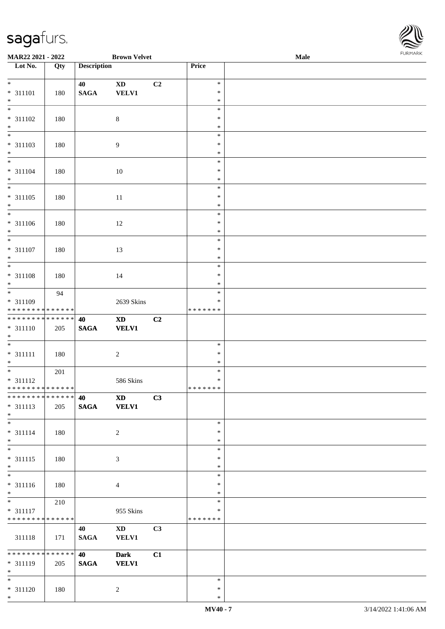**Lot No.** 

\*

\*

\*

\*

\*

\*

\*

\*

\*

\*

\*

\*

\*

\*

\*

\*

\*

\* \*

\*

\*

\*

\*

\*

\*

\*

\*

\* \*

\*

\* 311120 180 2

**MAR22 2021 - 2022 Brown Velvet Male**

| Lot No.                                                | Qty | <b>Description</b> |                                        |                        | Price                             |  |
|--------------------------------------------------------|-----|--------------------|----------------------------------------|------------------------|-----------------------------------|--|
| $*$<br>* 311101<br>$*$                                 | 180 | 40<br><b>SAGA</b>  | <b>XD</b><br><b>VELV1</b>              | C <sub>2</sub>         | $\ast$<br>$\ast$<br>$\ast$        |  |
| $\overline{\phantom{0}}$<br>$* 311102$<br>$*$          | 180 |                    | $\,8\,$                                |                        | $\ast$<br>$\ast$<br>$\ast$        |  |
| $\overline{\phantom{0}}$<br>* 311103<br>$*$            | 180 |                    | $\overline{9}$                         |                        | $\ast$<br>$\ast$<br>$\ast$        |  |
| $\overline{\phantom{0}}$<br>* 311104<br>$*$            | 180 |                    | 10                                     |                        | $\ast$<br>$\ast$<br>$\ast$        |  |
| * 311105<br>$*$                                        | 180 |                    | 11                                     |                        | $\ast$<br>$\ast$<br>$\ast$        |  |
| * 311106<br>$\ast$                                     | 180 |                    | 12                                     |                        | $\ast$<br>$\ast$<br>$\ast$        |  |
| $\overline{\ast}$<br>* 311107<br>$\ast$                | 180 |                    | 13                                     |                        | $\ast$<br>$\ast$<br>$\ast$        |  |
| $\overline{\ast}$<br>* 311108<br>$*$                   | 180 |                    | 14                                     |                        | $\ast$<br>$\ast$<br>$\ast$        |  |
| * 311109<br>* * * * * * * * <mark>* * * * * * *</mark> | 94  |                    | 2639 Skins                             |                        | $\ast$<br>$\ast$<br>* * * * * * * |  |
| * * * * * * * * * * * * * * *<br>* 311110<br>$*$<br>*  | 205 | 40<br><b>SAGA</b>  | $\mathbf{X}\mathbf{D}$<br><b>VELV1</b> | C2                     |                                   |  |
| * 311111<br>* $*$                                      | 180 |                    | 2                                      |                        | $\ast$<br>$\ast$<br>$\ast$        |  |
| $* 311112$<br>* * * * * * * * * * * * * *              | 201 |                    | 586 Skins                              |                        | $\ast$<br>$\ast$<br>* * * * * * * |  |
| ************** 40<br>* 311113<br>$\ast$                | 205 | <b>SAGA</b>        | $\mathbf{X}\mathbf{D}$<br><b>VELV1</b> | $\overline{\text{C3}}$ |                                   |  |
| $\overline{\phantom{0}}$<br>$* 311114$<br>$*$          | 180 |                    | $\overline{2}$                         |                        | $\ast$<br>$\ast$<br>$\ast$        |  |
| $*$<br>* 311115<br>$*$                                 | 180 |                    | $\mathfrak{Z}$                         |                        | $\ast$<br>$\ast$<br>$\ast$        |  |
| $\overline{\ast}$<br>* 311116<br>$\frac{*}{*}$         | 180 |                    | $\overline{4}$                         |                        | $\ast$<br>$\ast$<br>$\ast$        |  |
| * 311117<br>* * * * * * * * <mark>* * * * * * *</mark> | 210 |                    | 955 Skins                              |                        | $\ast$<br>$\ast$<br>* * * * * * * |  |
| 311118                                                 | 171 | 40<br><b>SAGA</b>  | $\mathbf{X}\mathbf{D}$<br><b>VELV1</b> | C3                     |                                   |  |
| ******** <mark>*****</mark><br>$* 311119$<br>$*$       | 205 | 40<br><b>SAGA</b>  | <b>Dark</b><br><b>VELV1</b>            | C1                     |                                   |  |

\* \*

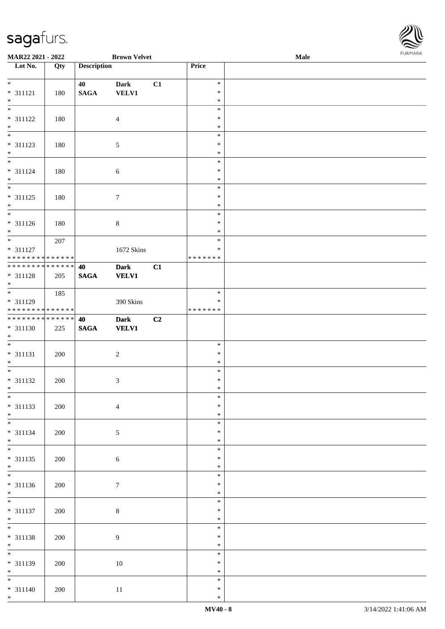

| MAR22 2021 - 2022                |     |                    | <b>Brown Velvet</b> |    |                  | Male | 1.9151 B1515 |
|----------------------------------|-----|--------------------|---------------------|----|------------------|------|--------------|
| $\overline{\phantom{1}}$ Lot No. | Qty | <b>Description</b> |                     |    | Price            |      |              |
|                                  |     |                    |                     |    |                  |      |              |
| $*$                              |     | 40                 | <b>Dark</b>         | C1 | $\ast$           |      |              |
| $* 311121$                       | 180 | $\mathbf{SAGA}$    | <b>VELV1</b>        |    | $\ast$           |      |              |
| $\ast$                           |     |                    |                     |    | $\ast$           |      |              |
| $*$                              |     |                    |                     |    | $\ast$           |      |              |
| $* 311122$                       | 180 |                    | $\overline{4}$      |    | $\ast$           |      |              |
| $*$ $*$                          |     |                    |                     |    | $\ast$           |      |              |
|                                  |     |                    |                     |    | $\ast$           |      |              |
| $* 311123$                       | 180 |                    | $\sqrt{5}$          |    | $\ast$           |      |              |
| $*$                              |     |                    |                     |    | $\ast$           |      |              |
|                                  |     |                    |                     |    | $\ast$           |      |              |
| $* 311124$                       | 180 |                    | $\sqrt{6}$          |    | $\ast$           |      |              |
| $*$                              |     |                    |                     |    | $\ast$           |      |              |
| $\overline{\phantom{0}}$         |     |                    |                     |    | $\ast$           |      |              |
| * 311125                         | 180 |                    | $\tau$              |    | $\ast$           |      |              |
| $*$                              |     |                    |                     |    | $\ast$           |      |              |
| $\overline{\phantom{0}}$         |     |                    |                     |    | $\ast$           |      |              |
| $* 311126$                       | 180 |                    | $8\,$               |    | $\ast$           |      |              |
| $*$                              |     |                    |                     |    | $\ast$           |      |              |
|                                  | 207 |                    |                     |    | $\ast$           |      |              |
| * 311127                         |     |                    | 1672 Skins          |    | $\ast$           |      |              |
| ******** <mark>******</mark>     |     |                    |                     |    | * * * * * * *    |      |              |
| ******** <mark>******</mark>     |     | 40                 | <b>Dark</b>         | C1 |                  |      |              |
| $* 311128$                       | 205 | $\mathbf{SAGA}$    | <b>VELV1</b>        |    |                  |      |              |
| $*$                              |     |                    |                     |    |                  |      |              |
|                                  | 185 |                    |                     |    | $\ast$           |      |              |
| * 311129                         |     |                    | 390 Skins           |    | ∗                |      |              |
| * * * * * * * * * * * * * *      |     |                    |                     |    | * * * * * * *    |      |              |
| ******** <mark>******</mark>     |     | 40                 | <b>Dark</b>         | C2 |                  |      |              |
| * 311130                         | 225 | $\mathbf{SAGA}$    | <b>VELV1</b>        |    |                  |      |              |
| $*$                              |     |                    |                     |    |                  |      |              |
| $\overline{\phantom{0}}$         |     |                    |                     |    | $\ast$           |      |              |
| $* 311131$                       | 200 |                    | $\boldsymbol{2}$    |    | $\ast$           |      |              |
| $*$                              |     |                    |                     |    | $\ast$           |      |              |
| $*$                              |     |                    |                     |    | $\ast$           |      |              |
| $* 311132$                       | 200 |                    | 3                   |    | $\ast$           |      |              |
| $*$ $-$                          |     |                    |                     |    | $\ast$           |      |              |
| $*$                              |     |                    |                     |    | $\ast$           |      |              |
| $* 311133$                       | 200 |                    | $\overline{4}$      |    | $\ast$           |      |              |
| $*$                              |     |                    |                     |    | $\ast$           |      |              |
| $*$                              |     |                    |                     |    | $\ast$           |      |              |
| * 311134                         | 200 |                    | 5                   |    | $\ast$           |      |              |
| $*$<br>$*$                       |     |                    |                     |    | $\ast$           |      |              |
|                                  |     |                    |                     |    | $\ast$           |      |              |
| $* 311135$                       | 200 |                    | $\sqrt{6}$          |    | ∗                |      |              |
| $*$                              |     |                    |                     |    | $\ast$           |      |              |
|                                  |     |                    |                     |    | $\ast$           |      |              |
| $* 311136$                       | 200 |                    | $\tau$              |    | $\ast$           |      |              |
| $*$                              |     |                    |                     |    | $\ast$           |      |              |
|                                  |     |                    |                     |    | $\ast$           |      |              |
| $* 311137$                       | 200 |                    | $8\,$               |    | $\ast$           |      |              |
| $*$<br>$*$                       |     |                    |                     |    | $\ast$<br>$\ast$ |      |              |
|                                  |     |                    |                     |    |                  |      |              |
| * 311138                         | 200 |                    | $\overline{9}$      |    | $\ast$           |      |              |
| $*$<br>$*$                       |     |                    |                     |    | $\ast$           |      |              |
|                                  |     |                    |                     |    | $\ast$           |      |              |
| * 311139                         | 200 |                    | $10\,$              |    | $\ast$           |      |              |
| $*$                              |     |                    |                     |    | $\ast$           |      |              |
| $*$                              |     |                    |                     |    | $\ast$           |      |              |
| $* 311140$                       | 200 |                    | 11                  |    | $\ast$           |      |              |
| $*$                              |     |                    |                     |    | $\ast$           |      |              |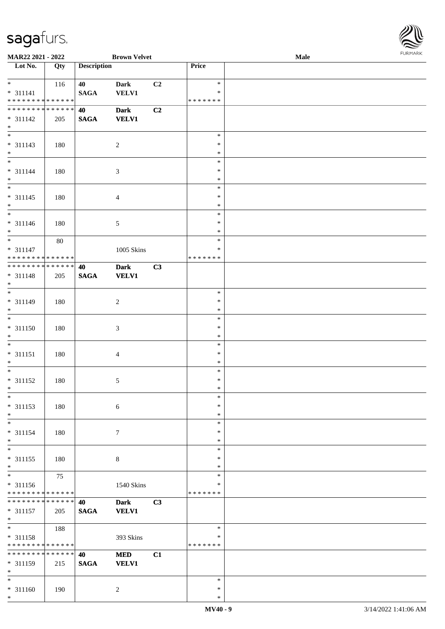

| MAR22 2021 - 2022                |             |                    | <b>Brown Velvet</b> |    |               | Male | 1.9151111515 |
|----------------------------------|-------------|--------------------|---------------------|----|---------------|------|--------------|
| $\overline{\phantom{1}}$ Lot No. | Qty         | <b>Description</b> |                     |    | Price         |      |              |
|                                  |             |                    |                     |    |               |      |              |
| $*$                              | 116         | 40                 | <b>Dark</b>         | C2 | $\ast$        |      |              |
| $* 311141$                       |             | <b>SAGA</b>        | VELV1               |    | $\ast$        |      |              |
| * * * * * * * * * * * * * *      |             |                    |                     |    | * * * * * * * |      |              |
| ******** <mark>******</mark>     |             | 40                 | <b>Dark</b>         | C2 |               |      |              |
| $* 311142$                       | 205         | <b>SAGA</b>        | <b>VELV1</b>        |    |               |      |              |
| $\ast$                           |             |                    |                     |    |               |      |              |
|                                  |             |                    |                     |    | $\ast$        |      |              |
| * 311143                         | 180         |                    | $\overline{c}$      |    | $\ast$        |      |              |
| $*$                              |             |                    |                     |    | $\ast$        |      |              |
|                                  |             |                    |                     |    | $\ast$        |      |              |
| $* 311144$                       | 180         |                    | 3                   |    | $\ast$        |      |              |
| $*$                              |             |                    |                     |    | $\ast$        |      |              |
| $\overline{\phantom{0}}$         |             |                    |                     |    | $\ast$        |      |              |
| $* 311145$                       | 180         |                    | $\overline{4}$      |    | $\ast$        |      |              |
| $*$                              |             |                    |                     |    | $\ast$        |      |              |
| $\overline{\phantom{0}}$         |             |                    |                     |    | $\ast$        |      |              |
| $* 311146$                       | 180         |                    | 5                   |    | $\ast$        |      |              |
| $*$                              |             |                    |                     |    | $\ast$        |      |              |
| $*$                              | 80          |                    |                     |    | $\ast$        |      |              |
| $* 311147$                       |             |                    | 1005 Skins          |    | $\ast$        |      |              |
| * * * * * * * * * * * * * * *    |             |                    |                     |    | * * * * * * * |      |              |
| ******** <mark>******</mark>     |             | 40                 | <b>Dark</b>         | C3 |               |      |              |
| $* 311148$                       | 205         | <b>SAGA</b>        | <b>VELV1</b>        |    |               |      |              |
| $*$                              |             |                    |                     |    |               |      |              |
| $\overline{\ast}$                |             |                    |                     |    | $\ast$        |      |              |
| * 311149                         | 180         |                    | $\sqrt{2}$          |    | $\ast$        |      |              |
| $*$                              |             |                    |                     |    | $\ast$        |      |              |
| $\overline{\ast}$                |             |                    |                     |    | $\ast$        |      |              |
| $* 311150$                       | 180         |                    | 3                   |    | $\ast$        |      |              |
| $*$                              |             |                    |                     |    | $\ast$        |      |              |
| $*$                              |             |                    |                     |    | $\ast$        |      |              |
| $* 311151$                       | 180         |                    | 4                   |    | $\ast$        |      |              |
| $*$                              |             |                    |                     |    | $\ast$        |      |              |
| $*$                              |             |                    |                     |    | $\ast$        |      |              |
| $* 311152$                       | 180         |                    | 5                   |    | $\ast$        |      |              |
| $*$ $-$                          |             |                    |                     |    | $\ast$        |      |              |
| $*$                              |             |                    |                     |    | $\ast$        |      |              |
| $* 311153$                       | 180         |                    | 6                   |    | $\ast$        |      |              |
| $*$                              |             |                    |                     |    | $\ast$        |      |              |
| $\ast$                           |             |                    |                     |    | $\ast$        |      |              |
| $* 311154$                       | 180         |                    | $\tau$              |    | $\ast$        |      |              |
| $*$                              |             |                    |                     |    | $\ast$        |      |              |
| $\overline{\ast}$                |             |                    |                     |    | $\ast$        |      |              |
| $* 311155$                       | 180         |                    | $8\,$               |    | $\ast$        |      |              |
| $*$                              |             |                    |                     |    | $\ast$        |      |              |
| $\overline{\ast}$                | 75          |                    |                     |    | $\ast$        |      |              |
| * 311156                         |             |                    | 1540 Skins          |    | $\ast$        |      |              |
| * * * * * * * * * * * * * *      |             |                    |                     |    | * * * * * * * |      |              |
| * * * * * * * * * * * * * * *    |             | 40                 | <b>Dark</b>         | C3 |               |      |              |
| $* 311157$                       | 205         | <b>SAGA</b>        | <b>VELV1</b>        |    |               |      |              |
| $*$                              |             |                    |                     |    |               |      |              |
| $*$                              | 188         |                    |                     |    | $\ast$        |      |              |
| $* 311158$                       |             |                    | 393 Skins           |    | ∗             |      |              |
| * * * * * * * * * * * * * *      |             |                    |                     |    | * * * * * * * |      |              |
| * * * * * * * *                  | * * * * * * | 40                 | <b>MED</b>          | C1 |               |      |              |
| * 311159                         | 215         | <b>SAGA</b>        | <b>VELV1</b>        |    |               |      |              |
| $*$                              |             |                    |                     |    |               |      |              |
| $*$                              |             |                    |                     |    | $\ast$        |      |              |
| * 311160                         | 190         |                    | $\overline{c}$      |    | $\ast$        |      |              |
| $*$                              |             |                    |                     |    | $\ast$        |      |              |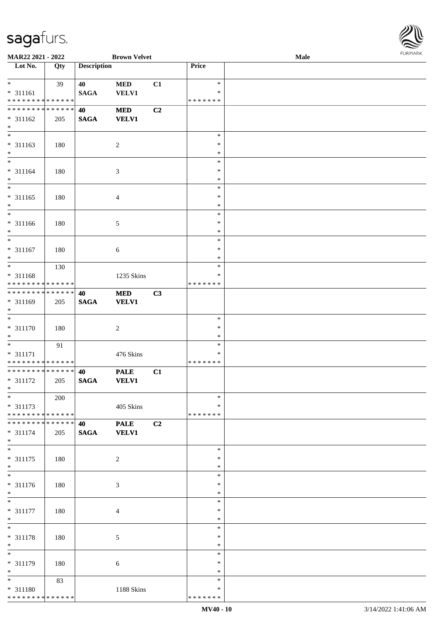

|                            | MAR22 2021 - 2022                          |                    | <b>Brown Velvet</b> |    |               | Male |  |
|----------------------------|--------------------------------------------|--------------------|---------------------|----|---------------|------|--|
| Lot No.                    | Qty                                        | <b>Description</b> |                     |    | Price         |      |  |
|                            |                                            |                    |                     |    |               |      |  |
| $\ast$                     | 39                                         | 40                 | $\bf MED$           | C1 | $\ast$        |      |  |
| $* 311161$                 |                                            | <b>SAGA</b>        | <b>VELV1</b>        |    | *             |      |  |
|                            | * * * * * * * * <mark>* * * * * * *</mark> |                    |                     |    | * * * * * * * |      |  |
|                            | * * * * * * * * * * * * * *                | 40                 | <b>MED</b>          | C2 |               |      |  |
| $* 311162$                 | 205                                        | <b>SAGA</b>        | <b>VELV1</b>        |    |               |      |  |
| $\ast$                     |                                            |                    |                     |    |               |      |  |
| $\overline{\phantom{0}}$   |                                            |                    |                     |    | $\ast$        |      |  |
| $* 311163$                 | 180                                        |                    | $\sqrt{2}$          |    | $\ast$        |      |  |
| $\ast$                     |                                            |                    |                     |    | $\ast$        |      |  |
| $\overline{\phantom{0}}$   |                                            |                    |                     |    | $\ast$        |      |  |
| $* 311164$                 | 180                                        |                    | $\mathfrak{Z}$      |    | $\ast$        |      |  |
| $\ast$                     |                                            |                    |                     |    | $\ast$        |      |  |
| $\overline{\ast}$          |                                            |                    |                     |    | $\ast$        |      |  |
| $* 311165$                 | 180                                        |                    | $\overline{4}$      |    | $\ast$        |      |  |
| $\ast$                     |                                            |                    |                     |    | $\ast$        |      |  |
| $\overline{\phantom{a}^*}$ |                                            |                    |                     |    | $\ast$        |      |  |
| $* 311166$                 | 180                                        |                    | $\sqrt{5}$          |    | $\ast$        |      |  |
| $\ast$                     |                                            |                    |                     |    | $\ast$        |      |  |
| $\ast$                     |                                            |                    |                     |    | $\ast$        |      |  |
| $* 311167$                 | 180                                        |                    | 6                   |    | $\ast$        |      |  |
| $\ast$                     |                                            |                    |                     |    | $\ast$        |      |  |
| $*$                        | 130                                        |                    |                     |    | $\ast$        |      |  |
| * 311168                   |                                            |                    | 1235 Skins          |    | ∗             |      |  |
|                            | * * * * * * * * * * * * * *                |                    |                     |    | * * * * * * * |      |  |
|                            | **************                             | 40                 | <b>MED</b>          | C3 |               |      |  |
| * 311169                   | 205                                        | $\mathbf{SAGA}$    | <b>VELV1</b>        |    |               |      |  |
| $\ast$                     |                                            |                    |                     |    |               |      |  |
| $\ast$                     |                                            |                    |                     |    | $\ast$        |      |  |
| $* 311170$                 | 180                                        |                    | $\boldsymbol{2}$    |    | $\ast$        |      |  |
| $\ast$                     |                                            |                    |                     |    | $\ast$        |      |  |
| $\ast$                     | 91                                         |                    |                     |    | $\ast$        |      |  |
| $* 311171$                 |                                            |                    | 476 Skins           |    | $\ast$        |      |  |
|                            | ******** <mark>******</mark>               |                    |                     |    | * * * * * * * |      |  |
|                            | ******** <mark>******</mark>               | 40                 | <b>PALE</b>         | C1 |               |      |  |
| $* 311172$                 | 205                                        | <b>SAGA</b>        | <b>VELV1</b>        |    |               |      |  |
| $*$                        |                                            |                    |                     |    |               |      |  |
| $*$                        | 200                                        |                    |                     |    | $\ast$        |      |  |
| * 311173                   |                                            |                    | 405 Skins           |    | *             |      |  |
|                            | ******** <mark>******</mark>               |                    |                     |    | * * * * * * * |      |  |
|                            | * * * * * * * * * * * * * * *              | 40                 | <b>PALE</b>         | C2 |               |      |  |
| $* 311174$                 | 205                                        | <b>SAGA</b>        | <b>VELV1</b>        |    |               |      |  |
| $*$                        |                                            |                    |                     |    |               |      |  |
| $\ast$                     |                                            |                    |                     |    | $\ast$        |      |  |
| $* 311175$                 | 180                                        |                    | $\overline{c}$      |    | ∗             |      |  |
| $*$                        |                                            |                    |                     |    | $\ast$        |      |  |
| $\overline{\phantom{a}^*}$ |                                            |                    |                     |    | $\ast$        |      |  |
| $* 311176$                 | 180                                        |                    | 3                   |    | *             |      |  |
| $*$                        |                                            |                    |                     |    | $\ast$        |      |  |
| $\ast$                     |                                            |                    |                     |    | $\ast$        |      |  |
| * 311177                   | 180                                        |                    | $\overline{4}$      |    | $\ast$        |      |  |
| $*$                        |                                            |                    |                     |    | $\ast$        |      |  |
| $\overline{\ast}$          |                                            |                    |                     |    | $\ast$        |      |  |
| * 311178                   | 180                                        |                    | 5                   |    | $\ast$        |      |  |
| $*$                        |                                            |                    |                     |    | $\ast$        |      |  |
| $\overline{\phantom{0}}$   |                                            |                    |                     |    | $\ast$        |      |  |
| $* 311179$                 | 180                                        |                    | 6                   |    | ∗             |      |  |
| $*$                        |                                            |                    |                     |    | $\ast$        |      |  |
| $*$                        | 83                                         |                    |                     |    | $\ast$        |      |  |
| * 311180                   |                                            |                    | 1188 Skins          |    | *             |      |  |
|                            | ******** <mark>******</mark>               |                    |                     |    | * * * * * * * |      |  |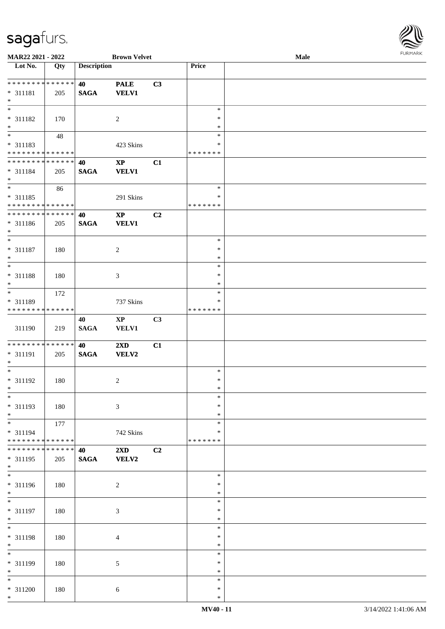

| MAR22 2021 - 2022            |     |                    | <b>Brown Velvet</b>     |    |               | <b>Male</b> |  |
|------------------------------|-----|--------------------|-------------------------|----|---------------|-------------|--|
| Lot No.                      | Qty | <b>Description</b> |                         |    | <b>Price</b>  |             |  |
|                              |     |                    |                         |    |               |             |  |
|                              |     |                    |                         |    |               |             |  |
| **************               |     | 40                 | <b>PALE</b>             | C3 |               |             |  |
| * 311181                     | 205 | <b>SAGA</b>        | <b>VELV1</b>            |    |               |             |  |
| $\ast$                       |     |                    |                         |    |               |             |  |
| $\ast$                       |     |                    |                         |    | $\ast$        |             |  |
|                              |     |                    |                         |    |               |             |  |
| * 311182                     | 170 |                    | $\sqrt{2}$              |    | $\ast$        |             |  |
| $\ast$                       |     |                    |                         |    | $\ast$        |             |  |
| $\overline{\phantom{0}}$     | 48  |                    |                         |    | $\ast$        |             |  |
| * 311183                     |     |                    |                         |    | $\ast$        |             |  |
|                              |     |                    | 423 Skins               |    |               |             |  |
| **************               |     |                    |                         |    | * * * * * * * |             |  |
| **************               |     | 40                 | $\bold{XP}$             | C1 |               |             |  |
| $* 311184$                   | 205 | <b>SAGA</b>        | <b>VELV1</b>            |    |               |             |  |
| $\ast$                       |     |                    |                         |    |               |             |  |
| $\overline{\phantom{a}^*}$   |     |                    |                         |    |               |             |  |
|                              | 86  |                    |                         |    | $\ast$        |             |  |
| * 311185                     |     |                    | 291 Skins               |    | $\ast$        |             |  |
| * * * * * * * * * * * * * *  |     |                    |                         |    | * * * * * * * |             |  |
| ******** <mark>******</mark> |     |                    |                         |    |               |             |  |
|                              |     | 40                 | $\mathbf{X}\mathbf{P}$  | C2 |               |             |  |
| $* 311186$                   | 205 | <b>SAGA</b>        | <b>VELV1</b>            |    |               |             |  |
| $\ast$                       |     |                    |                         |    |               |             |  |
| $\ast$                       |     |                    |                         |    | $\ast$        |             |  |
|                              |     |                    |                         |    |               |             |  |
| * 311187                     | 180 |                    | $\sqrt{2}$              |    | $\ast$        |             |  |
| $\ast$                       |     |                    |                         |    | $\ast$        |             |  |
| $\ast$                       |     |                    |                         |    | $\ast$        |             |  |
|                              |     |                    |                         |    | $\ast$        |             |  |
| * 311188                     | 180 |                    | $\mathfrak{Z}$          |    |               |             |  |
| $\ast$                       |     |                    |                         |    | *             |             |  |
| $\ast$                       | 172 |                    |                         |    | $\ast$        |             |  |
| * 311189                     |     |                    | 737 Skins               |    | $\ast$        |             |  |
|                              |     |                    |                         |    |               |             |  |
| * * * * * * * * * * * * * *  |     |                    |                         |    | * * * * * * * |             |  |
|                              |     | 40                 | $\mathbf{X}\mathbf{P}$  | C3 |               |             |  |
| 311190                       | 219 | <b>SAGA</b>        | VELV1                   |    |               |             |  |
|                              |     |                    |                         |    |               |             |  |
| ******** <mark>******</mark> |     |                    |                         |    |               |             |  |
|                              |     | 40                 | $2\mathbf{X}\mathbf{D}$ | C1 |               |             |  |
| * 311191                     | 205 | <b>SAGA</b>        | <b>VELV2</b>            |    |               |             |  |
| $\ast$                       |     |                    |                         |    |               |             |  |
| $\ast$                       |     |                    |                         |    | $\ast$        |             |  |
|                              |     |                    |                         |    |               |             |  |
| $* 311192$                   | 180 |                    | $\sqrt{2}$              |    | $\ast$        |             |  |
| $*$                          |     |                    |                         |    | $\ast$        |             |  |
| $\ast$                       |     |                    |                         |    | $\ast$        |             |  |
| * 311193                     |     |                    | $\mathfrak{Z}$          |    | $\ast$        |             |  |
|                              | 180 |                    |                         |    |               |             |  |
| $\ast$                       |     |                    |                         |    | $\ast$        |             |  |
| $\ast$                       | 177 |                    |                         |    | $\ast$        |             |  |
| * 311194                     |     |                    | 742 Skins               |    | *             |             |  |
| **************               |     |                    |                         |    | * * * * * * * |             |  |
|                              |     |                    |                         |    |               |             |  |
| **************               |     | 40                 | 2XD                     | C2 |               |             |  |
| $* 311195$                   | 205 | <b>SAGA</b>        | <b>VELV2</b>            |    |               |             |  |
| $\ast$                       |     |                    |                         |    |               |             |  |
| $\overline{\phantom{a}}$     |     |                    |                         |    | $\ast$        |             |  |
|                              |     |                    |                         |    |               |             |  |
| * 311196                     | 180 |                    | $\overline{c}$          |    | ∗             |             |  |
| $\ast$                       |     |                    |                         |    | $\ast$        |             |  |
| $\overline{\phantom{a}^*}$   |     |                    |                         |    | $\ast$        |             |  |
|                              |     |                    |                         |    |               |             |  |
| * 311197                     | 180 |                    | $\mathfrak{Z}$          |    | $\ast$        |             |  |
| $\ast$                       |     |                    |                         |    | $\ast$        |             |  |
| $*$                          |     |                    |                         |    | $\ast$        |             |  |
|                              |     |                    |                         |    | $\ast$        |             |  |
| * 311198                     | 180 |                    | $\overline{4}$          |    |               |             |  |
| $\ast$                       |     |                    |                         |    | $\ast$        |             |  |
| $\overline{\ast}$            |     |                    |                         |    | $\ast$        |             |  |
|                              |     |                    |                         |    | ∗             |             |  |
| * 311199                     | 180 |                    | $\sqrt{5}$              |    |               |             |  |
| $\ast$                       |     |                    |                         |    | $\ast$        |             |  |
| $\overline{\ast}$            |     |                    |                         |    | $\ast$        |             |  |
| * 311200                     | 180 |                    | 6                       |    | $\ast$        |             |  |
| $\ast$                       |     |                    |                         |    |               |             |  |
|                              |     |                    |                         |    | $\ast$        |             |  |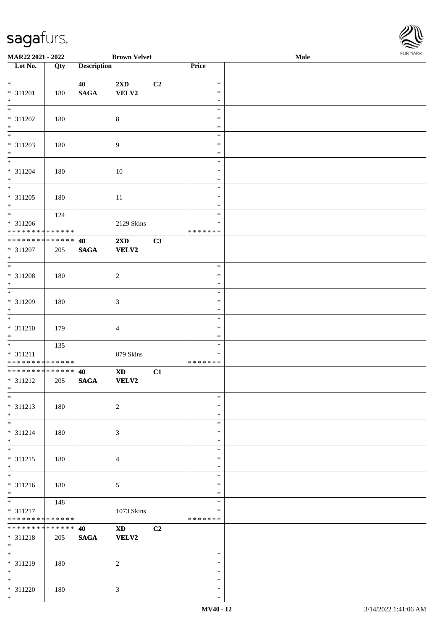

| MAR22 2021 - 2022                          |     |                    | <b>Brown Velvet</b>     |                |               | Male | 1.9151111515 |
|--------------------------------------------|-----|--------------------|-------------------------|----------------|---------------|------|--------------|
| $\overline{\phantom{a}}$ Lot No.           | Qty | <b>Description</b> |                         |                | Price         |      |              |
|                                            |     |                    |                         |                |               |      |              |
| $*$                                        |     | 40                 | $2\mathbf{X}\mathbf{D}$ | C <sub>2</sub> | $\ast$        |      |              |
| * 311201                                   | 180 | <b>SAGA</b>        | VELV2                   |                | $\ast$        |      |              |
| $*$                                        |     |                    |                         |                | $\ast$        |      |              |
| $\overline{\phantom{0}}$                   |     |                    |                         |                | $\ast$        |      |              |
| * 311202                                   | 180 |                    | $8\,$                   |                | $\ast$        |      |              |
| $*$                                        |     |                    |                         |                | $\ast$        |      |              |
|                                            |     |                    |                         |                | $\ast$        |      |              |
| * 311203                                   | 180 |                    | $\overline{9}$          |                | $\ast$        |      |              |
| $*$                                        |     |                    |                         |                | $\ast$        |      |              |
|                                            |     |                    |                         |                | $\ast$        |      |              |
| * 311204                                   | 180 |                    | $10\,$                  |                | $\ast$        |      |              |
| $*$                                        |     |                    |                         |                | $\ast$        |      |              |
| $\overline{\phantom{0}}$                   |     |                    |                         |                | $\ast$        |      |              |
| $* 311205$                                 | 180 |                    | 11                      |                | $\ast$        |      |              |
| $*$                                        |     |                    |                         |                | $\ast$        |      |              |
|                                            | 124 |                    |                         |                | $\ast$        |      |              |
| * 311206                                   |     |                    | 2129 Skins              |                | $\ast$        |      |              |
| * * * * * * * * * * * * * * *              |     |                    |                         |                | * * * * * * * |      |              |
| * * * * * * * * <mark>* * * * * * *</mark> |     | 40                 | $2\mathbf{X}\mathbf{D}$ | C3             |               |      |              |
| $* 311207$                                 | 205 | <b>SAGA</b>        | VELV2                   |                |               |      |              |
| $\ast$                                     |     |                    |                         |                |               |      |              |
|                                            |     |                    |                         |                | $\ast$        |      |              |
| $* 311208$                                 | 180 |                    | $\overline{c}$          |                | $\ast$        |      |              |
| $*$                                        |     |                    |                         |                | $\ast$        |      |              |
|                                            |     |                    |                         |                | $\ast$        |      |              |
| $* 311209$                                 | 180 |                    | $\mathfrak{Z}$          |                | $\ast$        |      |              |
| $*$                                        |     |                    |                         |                | $\ast$        |      |              |
| $\overline{\ast}$                          |     |                    |                         |                | $\ast$        |      |              |
| * 311210                                   | 179 |                    | $\overline{4}$          |                | $\ast$        |      |              |
| $*$                                        |     |                    |                         |                | $\ast$        |      |              |
|                                            | 135 |                    |                         |                | $\ast$        |      |              |
| * 311211                                   |     |                    | 879 Skins               |                | $\ast$        |      |              |
| * * * * * * * * * * * * * *                |     |                    |                         |                | * * * * * * * |      |              |
| ******** <mark>******</mark>               |     | 40                 | $\mathbf{X}\mathbf{D}$  | C1             |               |      |              |
| $* 311212$                                 | 205 | $\mathbf{SAGA}$    | VELV2                   |                |               |      |              |
| $*$ $-$                                    |     |                    |                         |                |               |      |              |
| $*$                                        |     |                    |                         |                | $\ast$        |      |              |
| $* 311213$                                 | 180 |                    | $\overline{c}$          |                | $\ast$        |      |              |
| $*$                                        |     |                    |                         |                | $\ast$        |      |              |
| $*$                                        |     |                    |                         |                | $\ast$        |      |              |
| $* 311214$                                 | 180 |                    | 3                       |                | $\ast$        |      |              |
| $*$                                        |     |                    |                         |                | $\ast$        |      |              |
| $*$                                        |     |                    |                         |                | $\ast$        |      |              |
| $* 311215$                                 | 180 |                    | $\overline{4}$          |                | $\ast$        |      |              |
| $*$                                        |     |                    |                         |                | $\ast$        |      |              |
|                                            |     |                    |                         |                | $\ast$        |      |              |
| * 311216                                   | 180 |                    | $\mathfrak{S}$          |                | $\ast$        |      |              |
| $*$                                        |     |                    |                         |                | $\ast$        |      |              |
| $*$                                        | 148 |                    |                         |                | $\ast$        |      |              |
| * 311217                                   |     |                    | $1073$ Skins            |                | ∗             |      |              |
| * * * * * * * * * * * * * *                |     |                    |                         |                | *******       |      |              |
| * * * * * * * * * * * * * * *              |     | 40                 | $\mathbf{X}\mathbf{D}$  | C2             |               |      |              |
| * 311218                                   | 205 | $\mathbf{SAGA}$    | VELV2                   |                |               |      |              |
| $*$                                        |     |                    |                         |                |               |      |              |
| $*$                                        |     |                    |                         |                | $\ast$        |      |              |
| * 311219                                   | 180 |                    | $\overline{c}$          |                | $\ast$        |      |              |
| $*$                                        |     |                    |                         |                | $\ast$        |      |              |
| $*$                                        |     |                    |                         |                | $\ast$        |      |              |
| * 311220                                   | 180 |                    | 3                       |                | $\ast$        |      |              |
| $*$                                        |     |                    |                         |                | $\ast$        |      |              |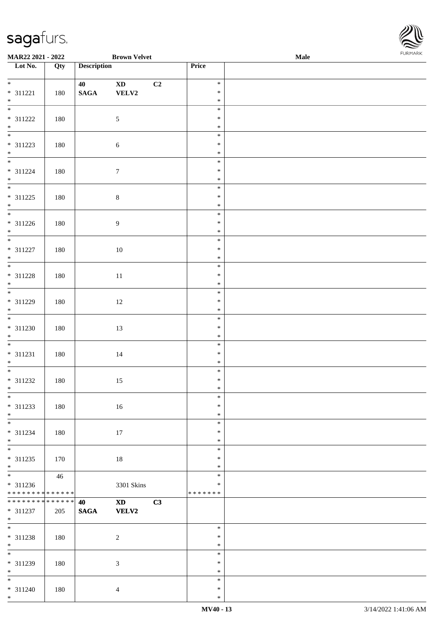| <b>MAR22 2021 - 2022</b>                               |                   |                    | <b>Brown Velvet</b>                                                                                                                                                                                                            |    |                  | Male |  |
|--------------------------------------------------------|-------------------|--------------------|--------------------------------------------------------------------------------------------------------------------------------------------------------------------------------------------------------------------------------|----|------------------|------|--|
| Lot No.                                                | $\overline{Q}$ ty | <b>Description</b> |                                                                                                                                                                                                                                |    | Price            |      |  |
|                                                        |                   |                    |                                                                                                                                                                                                                                |    |                  |      |  |
| $*$<br>$* 311221$                                      |                   | 40                 | $\mathbf{X}\mathbf{D}$                                                                                                                                                                                                         | C2 | $\ast$<br>$\ast$ |      |  |
| $*$                                                    | 180               | $\mathbf{SAGA}$    | VELV2                                                                                                                                                                                                                          |    | $\ast$           |      |  |
|                                                        |                   |                    |                                                                                                                                                                                                                                |    | $\ast$           |      |  |
| * 311222                                               | 180               |                    | $\mathfrak{S}$                                                                                                                                                                                                                 |    | $\ast$           |      |  |
| $*$                                                    |                   |                    |                                                                                                                                                                                                                                |    | $\ast$           |      |  |
|                                                        |                   |                    |                                                                                                                                                                                                                                |    | $\ast$           |      |  |
| * 311223                                               | 180               |                    | $6\,$                                                                                                                                                                                                                          |    | $\ast$           |      |  |
| $*$                                                    |                   |                    |                                                                                                                                                                                                                                |    | $\ast$           |      |  |
| $\overline{\ast}$                                      |                   |                    |                                                                                                                                                                                                                                |    | $\ast$           |      |  |
| $* 311224$                                             | 180               |                    | $\boldsymbol{7}$                                                                                                                                                                                                               |    | $\ast$           |      |  |
| $*$                                                    |                   |                    |                                                                                                                                                                                                                                |    | $\ast$<br>$\ast$ |      |  |
| * 311225                                               | 180               |                    | $8\,$                                                                                                                                                                                                                          |    | $\ast$           |      |  |
| $*$                                                    |                   |                    |                                                                                                                                                                                                                                |    | $\ast$           |      |  |
|                                                        |                   |                    |                                                                                                                                                                                                                                |    | $\ast$           |      |  |
| * 311226                                               | 180               |                    | 9                                                                                                                                                                                                                              |    | $\ast$           |      |  |
| $*$                                                    |                   |                    |                                                                                                                                                                                                                                |    | $\ast$           |      |  |
|                                                        |                   |                    |                                                                                                                                                                                                                                |    | $\ast$           |      |  |
| * 311227                                               | 180               |                    | 10                                                                                                                                                                                                                             |    | $\ast$           |      |  |
| $*$                                                    |                   |                    |                                                                                                                                                                                                                                |    | $\ast$           |      |  |
|                                                        |                   |                    |                                                                                                                                                                                                                                |    | $\ast$           |      |  |
| $* 311228$<br>$*$                                      | 180               |                    | 11                                                                                                                                                                                                                             |    | $\ast$<br>$\ast$ |      |  |
| $\overline{\phantom{0}}$                               |                   |                    |                                                                                                                                                                                                                                |    | $\ast$           |      |  |
| * 311229                                               | 180               |                    | 12                                                                                                                                                                                                                             |    | $\ast$           |      |  |
| $\ast$                                                 |                   |                    |                                                                                                                                                                                                                                |    | $\ast$           |      |  |
| $\overline{\ast}$                                      |                   |                    |                                                                                                                                                                                                                                |    | $\ast$           |      |  |
| * 311230                                               | 180               |                    | 13                                                                                                                                                                                                                             |    | $\ast$           |      |  |
| $*$                                                    |                   |                    |                                                                                                                                                                                                                                |    | $\ast$           |      |  |
| $\overline{\ast}$                                      |                   |                    |                                                                                                                                                                                                                                |    | $\ast$           |      |  |
| * 311231                                               | 180               |                    | 14                                                                                                                                                                                                                             |    | $\ast$           |      |  |
| $*$                                                    |                   |                    |                                                                                                                                                                                                                                |    | $\ast$           |      |  |
|                                                        |                   |                    |                                                                                                                                                                                                                                |    | $\ast$<br>$\ast$ |      |  |
| * 311232<br>$\ast$                                     | 180               |                    | 15                                                                                                                                                                                                                             |    | $\ast$           |      |  |
| $\overline{\ast}$                                      |                   |                    |                                                                                                                                                                                                                                |    | $\ast$           |      |  |
| * 311233                                               | 180               |                    | $16\,$                                                                                                                                                                                                                         |    | $\ast$           |      |  |
| $*$                                                    |                   |                    |                                                                                                                                                                                                                                |    | $\ast$           |      |  |
| $*$                                                    |                   |                    |                                                                                                                                                                                                                                |    | $\ast$           |      |  |
| $* 311234$                                             | 180               |                    | 17                                                                                                                                                                                                                             |    | $\ast$           |      |  |
| $\ast$                                                 |                   |                    |                                                                                                                                                                                                                                |    | $\ast$           |      |  |
| $*$                                                    |                   |                    |                                                                                                                                                                                                                                |    | $\ast$           |      |  |
| * 311235                                               | 170               |                    | $18\,$                                                                                                                                                                                                                         |    | $\ast$           |      |  |
| $\ast$<br>$\overline{\ast}$                            |                   |                    |                                                                                                                                                                                                                                |    | $\ast$<br>$\ast$ |      |  |
|                                                        | 46                |                    |                                                                                                                                                                                                                                |    | $\ast$           |      |  |
| * 311236<br>* * * * * * * * <mark>* * * * * * *</mark> |                   |                    | 3301 Skins                                                                                                                                                                                                                     |    | * * * * * * *    |      |  |
| * * * * * * * * <mark>* * * * * * *</mark>             |                   | 40                 | XD and the set of the set of the set of the set of the set of the set of the set of the set of the set of the set of the set of the set of the set of the set of the set of the set of the set of the set of the set of the se | C3 |                  |      |  |
| * 311237                                               | 205               | <b>SAGA</b>        | <b>VELV2</b>                                                                                                                                                                                                                   |    |                  |      |  |
| $*$                                                    |                   |                    |                                                                                                                                                                                                                                |    |                  |      |  |
| $\overline{\mathbf{r}}$                                |                   |                    |                                                                                                                                                                                                                                |    | $\ast$           |      |  |
| * 311238                                               | 180               |                    | $\overline{2}$                                                                                                                                                                                                                 |    | $\ast$           |      |  |
| $*$                                                    |                   |                    |                                                                                                                                                                                                                                |    | $\ast$           |      |  |
| $\overline{\mathbf{r}}$                                |                   |                    |                                                                                                                                                                                                                                |    | $\ast$           |      |  |
| * 311239                                               | 180               |                    | $\mathfrak{Z}$                                                                                                                                                                                                                 |    | $\ast$           |      |  |
| $*$<br>$\overline{\phantom{0}}$                        |                   |                    |                                                                                                                                                                                                                                |    | $\ast$<br>$\ast$ |      |  |
| $* 311240$                                             | 180               |                    | $\overline{4}$                                                                                                                                                                                                                 |    | $\ast$           |      |  |
| $\ast$                                                 |                   |                    |                                                                                                                                                                                                                                |    | $\ast$           |      |  |

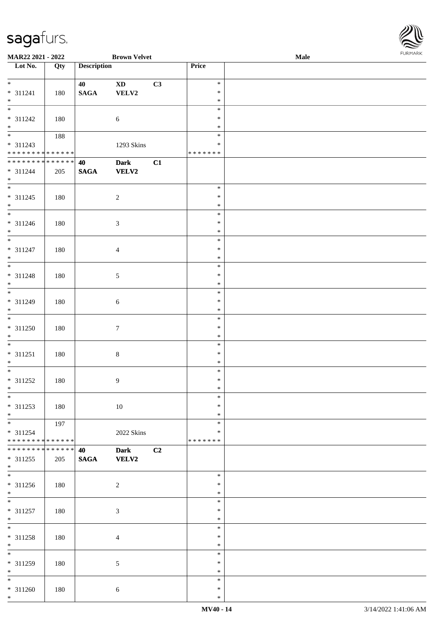| MAR22 2021 - 2022                |        |                    | <b>Brown Velvet</b>    |    |               | <b>Male</b> |  |
|----------------------------------|--------|--------------------|------------------------|----|---------------|-------------|--|
| $\overline{\phantom{1}}$ Lot No. | Qty    | <b>Description</b> |                        |    | Price         |             |  |
|                                  |        |                    |                        |    |               |             |  |
| $*$                              |        | 40                 | $\mathbf{X}\mathbf{D}$ | C3 | $\ast$        |             |  |
| $* 311241$                       | 180    | $\mathbf{SAGA}$    | VELV2                  |    | $\ast$        |             |  |
| $\ast$                           |        |                    |                        |    | $\ast$        |             |  |
| $\overline{\phantom{a}^*}$       |        |                    |                        |    | $\ast$        |             |  |
| $* 311242$                       | 180    |                    | $\sqrt{6}$             |    | $\ast$        |             |  |
| $\ast$                           |        |                    |                        |    | $\ast$        |             |  |
| $\overline{\phantom{0}}$         | 188    |                    |                        |    | $\ast$        |             |  |
| $* 311243$                       |        |                    | 1293 Skins             |    | $\ast$        |             |  |
| * * * * * * * * * * * * * *      |        |                    |                        |    | * * * * * * * |             |  |
| **************                   |        | 40                 | <b>Dark</b>            | C1 |               |             |  |
|                                  |        |                    |                        |    |               |             |  |
| $* 311244$                       | 205    | <b>SAGA</b>        | VELV2                  |    |               |             |  |
| $*$<br>$\overline{\ast}$         |        |                    |                        |    |               |             |  |
|                                  |        |                    |                        |    | $\ast$        |             |  |
| $* 311245$                       | 180    |                    | $\sqrt{2}$             |    | $\ast$        |             |  |
| $*$                              |        |                    |                        |    | $\ast$        |             |  |
| $\overline{\phantom{0}}$         |        |                    |                        |    | $\ast$        |             |  |
| $* 311246$                       | 180    |                    | $\sqrt{3}$             |    | $\ast$        |             |  |
| $*$                              |        |                    |                        |    | $\ast$        |             |  |
| $\overline{\phantom{a}^*}$       |        |                    |                        |    | $\ast$        |             |  |
| $* 311247$                       | 180    |                    | $\overline{4}$         |    | $\ast$        |             |  |
| $\ast$                           |        |                    |                        |    | $\ast$        |             |  |
| $_{\ast}$                        |        |                    |                        |    | $\ast$        |             |  |
| $* 311248$                       | 180    |                    | $5\,$                  |    | $\ast$        |             |  |
| $\ast$                           |        |                    |                        |    | $\ast$        |             |  |
| $\overline{\phantom{0}}$         |        |                    |                        |    | $\ast$        |             |  |
| $* 311249$                       | 180    |                    |                        |    | $\ast$        |             |  |
| $\ast$                           |        |                    | $6\phantom{.}6$        |    | $\ast$        |             |  |
| $\overline{\phantom{a}^*}$       |        |                    |                        |    | $\ast$        |             |  |
|                                  |        |                    |                        |    |               |             |  |
| $* 311250$                       | 180    |                    | $\boldsymbol{7}$       |    | $\ast$        |             |  |
| $\ast$                           |        |                    |                        |    | $\ast$        |             |  |
| $\ast$                           |        |                    |                        |    | $\ast$        |             |  |
| $* 311251$                       | 180    |                    | $\,8\,$                |    | $\ast$        |             |  |
| $*$                              |        |                    |                        |    | $\ast$        |             |  |
| $\overline{\phantom{0}}$         |        |                    |                        |    | $\ast$        |             |  |
| $* 311252$                       | 180    |                    | $\overline{9}$         |    | $\ast$        |             |  |
| $*$ $-$                          |        |                    |                        |    | $\ast$        |             |  |
| $*$                              |        |                    |                        |    | $\ast$        |             |  |
| $* 311253$                       | 180    |                    | $10\,$                 |    | $\ast$        |             |  |
| $*$                              |        |                    |                        |    | $\ast$        |             |  |
| $\ast$                           | 197    |                    |                        |    | $\ast$        |             |  |
| $* 311254$                       |        |                    | 2022 Skins             |    | ∗             |             |  |
| * * * * * * * * * * * * * *      |        |                    |                        |    | * * * * * * * |             |  |
| * * * * * * * *                  | ****** | 40                 | <b>Dark</b>            | C2 |               |             |  |
| $* 311255$                       |        | <b>SAGA</b>        | <b>VELV2</b>           |    |               |             |  |
| $*$                              | 205    |                    |                        |    |               |             |  |
| $\overline{\phantom{a}^*}$       |        |                    |                        |    | $\ast$        |             |  |
|                                  |        |                    |                        |    |               |             |  |
| $* 311256$                       | 180    |                    | $\sqrt{2}$             |    | $\ast$        |             |  |
| $*$<br>$\overline{\ast}$         |        |                    |                        |    | $\ast$        |             |  |
|                                  |        |                    |                        |    | $\ast$        |             |  |
| $* 311257$                       | 180    |                    | $\sqrt{3}$             |    | $\ast$        |             |  |
| $*$                              |        |                    |                        |    | $\ast$        |             |  |
| $*$                              |        |                    |                        |    | $\ast$        |             |  |
| $* 311258$                       | 180    |                    | $\overline{4}$         |    | $\ast$        |             |  |
| $*$                              |        |                    |                        |    | $\ast$        |             |  |
| $_{\ast}^{-}$                    |        |                    |                        |    | $\ast$        |             |  |
| * 311259                         | 180    |                    | $\sqrt{5}$             |    | $\ast$        |             |  |
| $*$                              |        |                    |                        |    | $\ast$        |             |  |
| $*$                              |        |                    |                        |    | $\ast$        |             |  |
| $* 311260$                       | 180    |                    | $6\,$                  |    | $\ast$        |             |  |
| $*$                              |        |                    |                        |    | $\ast$        |             |  |

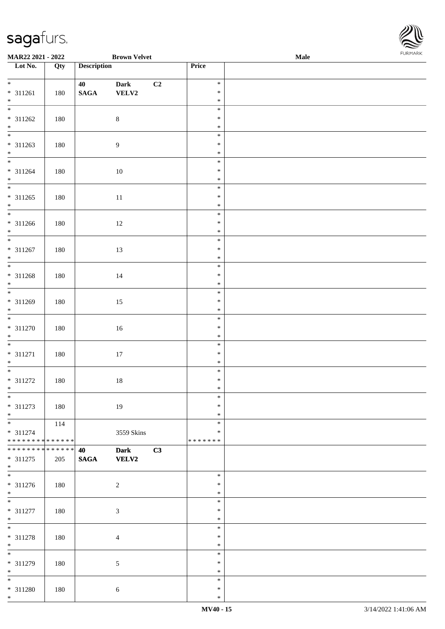| MAR22 2021 - 2022                               |                   |                       | <b>Brown Velvet</b>         |    |                  | Male |  |
|-------------------------------------------------|-------------------|-----------------------|-----------------------------|----|------------------|------|--|
| Lot No.                                         | $\overline{Q}$ ty | <b>Description</b>    |                             |    | Price            |      |  |
| $*$                                             |                   |                       |                             |    |                  |      |  |
|                                                 |                   | 40                    | Dark                        | C2 | $\ast$<br>$\ast$ |      |  |
| $* 311261$<br>$*$                               | 180               | $\mathbf{SAGA}$       | VELV2                       |    | $\ast$           |      |  |
|                                                 |                   |                       |                             |    | $\ast$           |      |  |
| * 311262                                        | 180               |                       | $\,8\,$                     |    | $\ast$           |      |  |
| $*$                                             |                   |                       |                             |    | $\ast$           |      |  |
|                                                 |                   |                       |                             |    | $\ast$           |      |  |
| * 311263                                        | 180               |                       | $\boldsymbol{9}$            |    | $\ast$           |      |  |
| $*$                                             |                   |                       |                             |    | $\ast$           |      |  |
|                                                 |                   |                       |                             |    | $\ast$           |      |  |
| $* 311264$                                      | 180               |                       | $10\,$                      |    | $\ast$           |      |  |
| $*$                                             |                   |                       |                             |    | $\ast$           |      |  |
|                                                 |                   |                       |                             |    | $\ast$           |      |  |
| $* 311265$                                      | 180               |                       | $11\,$                      |    | $\ast$           |      |  |
| $*$<br>$\overline{\phantom{0}}$                 |                   |                       |                             |    | $\ast$           |      |  |
| * 311266                                        |                   |                       |                             |    | $\ast$<br>$\ast$ |      |  |
| $*$                                             | 180               |                       | 12                          |    | $\ast$           |      |  |
| $*$                                             |                   |                       |                             |    | $\ast$           |      |  |
| $* 311267$                                      | 180               |                       | 13                          |    | $\ast$           |      |  |
| $*$                                             |                   |                       |                             |    | $\ast$           |      |  |
| $\overline{\ast}$                               |                   |                       |                             |    | $\ast$           |      |  |
| $* 311268$                                      | 180               |                       | 14                          |    | $\ast$           |      |  |
| $*$                                             |                   |                       |                             |    | $\ast$           |      |  |
|                                                 |                   |                       |                             |    | $\ast$           |      |  |
| * 311269                                        | 180               |                       | 15                          |    | $\ast$           |      |  |
| $*$                                             |                   |                       |                             |    | $\ast$           |      |  |
|                                                 |                   |                       |                             |    | $\ast$           |      |  |
| $* 311270$                                      | 180               |                       | $16\,$                      |    | $\ast$<br>$\ast$ |      |  |
| $*$<br>$*$                                      |                   |                       |                             |    | $\ast$           |      |  |
| $* 311271$                                      | 180               |                       | $17\,$                      |    | $\ast$           |      |  |
| $*$                                             |                   |                       |                             |    | $\ast$           |      |  |
| $\overline{\ast}$                               |                   |                       |                             |    | $\ast$           |      |  |
| $* 311272$                                      | 180               |                       | $18\,$                      |    | $\ast$           |      |  |
| $*$                                             |                   |                       |                             |    | $\ast$           |      |  |
| $\ast$                                          |                   |                       |                             |    | $\ast$           |      |  |
| * 311273                                        | 180               |                       | 19                          |    | $\ast$           |      |  |
| $*$                                             |                   |                       |                             |    | $\ast$           |      |  |
|                                                 | 114               |                       |                             |    | $\ast$           |      |  |
| * 311274                                        |                   |                       | 3559 Skins                  |    | $\ast$           |      |  |
| ******** <mark>******</mark><br>* * * * * * * * | * * * * * *       |                       |                             |    | * * * * * * *    |      |  |
| * 311275                                        | 205               | 40<br>$\mathbf{SAGA}$ | <b>Dark</b><br><b>VELV2</b> | C3 |                  |      |  |
| $*$                                             |                   |                       |                             |    |                  |      |  |
| $\overline{\phantom{0}}$                        |                   |                       |                             |    | $\ast$           |      |  |
| * 311276                                        | 180               |                       | $\sqrt{2}$                  |    | $\ast$           |      |  |
| $*$                                             |                   |                       |                             |    | $\ast$           |      |  |
| $*$                                             |                   |                       |                             |    | $\ast$           |      |  |
| * 311277                                        | 180               |                       | $\mathfrak{Z}$              |    | $\ast$           |      |  |
| $*$                                             |                   |                       |                             |    | $\ast$           |      |  |
| $*$                                             |                   |                       |                             |    | $\ast$           |      |  |
| * 311278                                        | 180               |                       | $\overline{4}$              |    | $\ast$           |      |  |
| $*$<br>$\overline{\ast}$                        |                   |                       |                             |    | $\ast$           |      |  |
|                                                 |                   |                       |                             |    | $\ast$           |      |  |
| * 311279<br>$*$                                 | 180               |                       | $5\,$                       |    | $\ast$<br>$\ast$ |      |  |
| $*$                                             |                   |                       |                             |    | $\ast$           |      |  |
| * 311280                                        | 180               |                       | $6\,$                       |    | $\ast$           |      |  |
| $*$                                             |                   |                       |                             |    | $\ast$           |      |  |

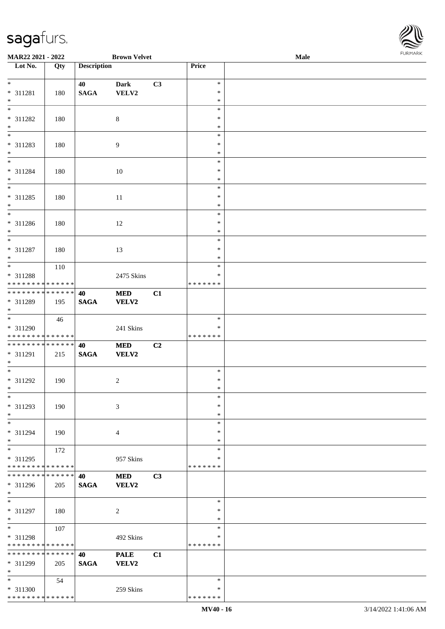

| MAR22 2021 - 2022             |     |                    | <b>Brown Velvet</b> |    |                  | Male |  |
|-------------------------------|-----|--------------------|---------------------|----|------------------|------|--|
| Lot No.                       | Qty | <b>Description</b> |                     |    | Price            |      |  |
|                               |     |                    |                     |    |                  |      |  |
| $\ast$                        |     | 40                 | <b>Dark</b>         | C3 | $\ast$           |      |  |
| * 311281                      | 180 | <b>SAGA</b>        | VELV2               |    | $\ast$           |      |  |
| $\ast$                        |     |                    |                     |    | $\ast$           |      |  |
| $\overline{\phantom{0}}$      |     |                    |                     |    | $\ast$           |      |  |
| * 311282                      | 180 |                    | $\,8\,$             |    | ∗                |      |  |
| $\ast$                        |     |                    |                     |    | $\ast$           |      |  |
| $\overline{\phantom{0}}$      |     |                    |                     |    | $\ast$           |      |  |
| * 311283                      | 180 |                    | $\overline{9}$      |    | $\ast$           |      |  |
| $\ast$                        |     |                    |                     |    | $\ast$           |      |  |
| $\overline{\phantom{0}}$      |     |                    |                     |    | $\ast$           |      |  |
| * 311284                      | 180 |                    | 10                  |    | $\ast$           |      |  |
| $\ast$                        |     |                    |                     |    | $\ast$           |      |  |
| $\overline{\phantom{0}}$      |     |                    |                     |    | $\ast$           |      |  |
| $* 311285$                    |     |                    | 11                  |    | $\ast$           |      |  |
| $\ast$                        | 180 |                    |                     |    | $\ast$           |      |  |
| $\overline{\phantom{a}^*}$    |     |                    |                     |    | $\ast$           |      |  |
|                               |     |                    |                     |    |                  |      |  |
| $* 311286$                    | 180 |                    | 12                  |    | $\ast$           |      |  |
| $\ast$<br>$\overline{\ast}$   |     |                    |                     |    | $\ast$           |      |  |
|                               |     |                    |                     |    | $\ast$           |      |  |
| $* 311287$                    | 180 |                    | 13                  |    | $\ast$           |      |  |
| $\ast$                        |     |                    |                     |    | $\ast$           |      |  |
| $*$                           | 110 |                    |                     |    | $\ast$           |      |  |
| * 311288                      |     |                    | 2475 Skins          |    | ∗                |      |  |
| * * * * * * * * * * * * * *   |     |                    |                     |    | * * * * * * *    |      |  |
| **************                |     | 40                 | <b>MED</b>          | C1 |                  |      |  |
| * 311289                      | 195 | $\mathbf{SAGA}$    | <b>VELV2</b>        |    |                  |      |  |
| $*$                           |     |                    |                     |    |                  |      |  |
| $\overline{\phantom{0}}$      | 46  |                    |                     |    | $\ast$           |      |  |
| * 311290                      |     |                    | 241 Skins           |    | *                |      |  |
| * * * * * * * * * * * * * * * |     |                    |                     |    | * * * * * * *    |      |  |
| **************                |     | 40                 | <b>MED</b>          | C2 |                  |      |  |
| * 311291                      | 215 | <b>SAGA</b>        | <b>VELV2</b>        |    |                  |      |  |
| $*$                           |     |                    |                     |    |                  |      |  |
| $*$                           |     |                    |                     |    | $\ast$           |      |  |
| * 311292                      | 190 |                    | $\sqrt{2}$          |    | $\ast$           |      |  |
| $*$                           |     |                    |                     |    | $\ast$           |      |  |
| $\ast$                        |     |                    |                     |    | $\ast$           |      |  |
| * 311293                      | 190 |                    |                     |    | $\ast$           |      |  |
|                               |     |                    | 3                   |    |                  |      |  |
| $\ast$<br>$\ast$              |     |                    |                     |    | $\ast$<br>$\ast$ |      |  |
|                               |     |                    |                     |    |                  |      |  |
| * 311294                      | 190 |                    | $\overline{4}$      |    | *                |      |  |
| $\ast$                        |     |                    |                     |    | ∗                |      |  |
| $\ast$                        | 172 |                    |                     |    | $\ast$           |      |  |
| * 311295                      |     |                    | 957 Skins           |    | ∗                |      |  |
| * * * * * * * * * * * * * *   |     |                    |                     |    | * * * * * * *    |      |  |
| **************                |     | 40                 | <b>MED</b>          | C3 |                  |      |  |
| * 311296                      | 205 | <b>SAGA</b>        | <b>VELV2</b>        |    |                  |      |  |
| $*$                           |     |                    |                     |    |                  |      |  |
| $\ast$                        |     |                    |                     |    | $\ast$           |      |  |
| * 311297                      | 180 |                    | $\sqrt{2}$          |    | $\ast$           |      |  |
| $\ast$                        |     |                    |                     |    | $\ast$           |      |  |
| $\ast$                        | 107 |                    |                     |    | $\ast$           |      |  |
| * 311298                      |     |                    | 492 Skins           |    | $\ast$           |      |  |
| * * * * * * * * * * * * * *   |     |                    |                     |    | * * * * * * *    |      |  |
| * * * * * * * * * * * * * *   |     | 40                 | <b>PALE</b>         | C1 |                  |      |  |
| * 311299                      | 205 | <b>SAGA</b>        | <b>VELV2</b>        |    |                  |      |  |
| $\ast$                        |     |                    |                     |    |                  |      |  |
| $*$                           | 54  |                    |                     |    | $\ast$           |      |  |
| * 311300                      |     |                    | 259 Skins           |    | ∗                |      |  |
| * * * * * * * * * * * * * *   |     |                    |                     |    | * * * * * * *    |      |  |
|                               |     |                    |                     |    |                  |      |  |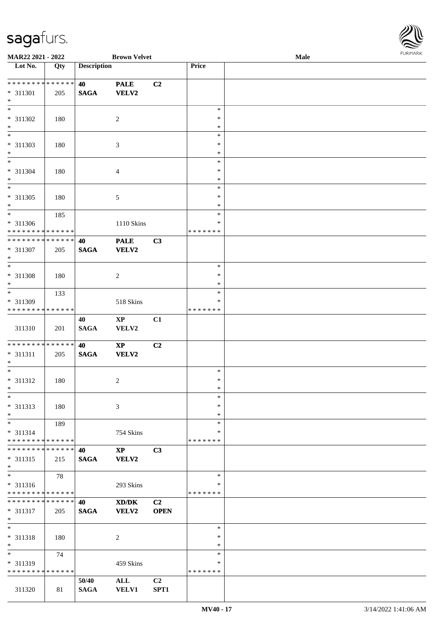

| MAR22 2021 - 2022             |             |                    | <b>Brown Velvet</b>    |                |               | Male |  |
|-------------------------------|-------------|--------------------|------------------------|----------------|---------------|------|--|
| Lot No.                       | Qty         | <b>Description</b> |                        |                | Price         |      |  |
|                               |             |                    |                        |                |               |      |  |
| ******** <mark>******</mark>  |             | 40                 | <b>PALE</b>            | C2             |               |      |  |
| * 311301                      | 205         | <b>SAGA</b>        | <b>VELV2</b>           |                |               |      |  |
| $\ast$                        |             |                    |                        |                |               |      |  |
| $\ast$                        |             |                    |                        |                | $\ast$        |      |  |
| * 311302                      | 180         |                    | $\overline{2}$         |                | $\ast$        |      |  |
| $\ast$                        |             |                    |                        |                | $\ast$        |      |  |
| $\overline{\phantom{0}}$      |             |                    |                        |                | $\ast$        |      |  |
| * 311303                      | 180         |                    | 3                      |                | $\ast$        |      |  |
| $*$                           |             |                    |                        |                | $\ast$        |      |  |
| $\overline{\phantom{1}}$      |             |                    |                        |                | $\ast$        |      |  |
|                               |             |                    |                        |                |               |      |  |
| * 311304                      | 180         |                    | $\overline{4}$         |                | $\ast$        |      |  |
| $\ast$<br>$\overline{\ast}$   |             |                    |                        |                | $\ast$        |      |  |
|                               |             |                    |                        |                | $\ast$        |      |  |
| $* 311305$                    | 180         |                    | $\mathfrak{S}$         |                | $\ast$        |      |  |
| $\ast$                        |             |                    |                        |                | $\ast$        |      |  |
| $\overline{\phantom{a}^*}$    | 185         |                    |                        |                | $\ast$        |      |  |
| $* 311306$                    |             |                    | 1110 Skins             |                | $\ast$        |      |  |
| * * * * * * * * * * * * * *   |             |                    |                        |                | * * * * * * * |      |  |
| **************                |             | 40                 | <b>PALE</b>            | C3             |               |      |  |
| $* 311307$                    | 205         | <b>SAGA</b>        | <b>VELV2</b>           |                |               |      |  |
| $\ast$                        |             |                    |                        |                |               |      |  |
| $*$                           |             |                    |                        |                | $\ast$        |      |  |
| * 311308                      | 180         |                    | $\overline{c}$         |                | $\ast$        |      |  |
| $\ast$                        |             |                    |                        |                | *             |      |  |
| $\ast$                        | 133         |                    |                        |                | $\ast$        |      |  |
| * 311309                      |             |                    | 518 Skins              |                | *             |      |  |
| ********                      | * * * * * * |                    |                        |                | * * * * * * * |      |  |
|                               |             | 40                 | $\mathbf{X}\mathbf{P}$ | C1             |               |      |  |
|                               |             |                    |                        |                |               |      |  |
| 311310                        | 201         | $\mathbf{SAGA}$    | VELV2                  |                |               |      |  |
| **************                |             | 40                 |                        |                |               |      |  |
|                               |             |                    | $\bold{XP}$            | C2             |               |      |  |
| $* 311311$                    | 205         | <b>SAGA</b>        | VELV2                  |                |               |      |  |
| $*$<br>$\ast$                 |             |                    |                        |                |               |      |  |
|                               |             |                    |                        |                | $\ast$        |      |  |
| $* 311312$                    | 180         |                    | $\sqrt{2}$             |                | $\ast$        |      |  |
| $*$                           |             |                    |                        |                | $\ast$        |      |  |
| $\ast$                        |             |                    |                        |                | $\ast$        |      |  |
| $* 311313$                    | 180         |                    | 3                      |                | ∗             |      |  |
| $\ast$                        |             |                    |                        |                | $\ast$        |      |  |
| $\ast$                        | 189         |                    |                        |                | $\ast$        |      |  |
| $* 311314$                    |             |                    | 754 Skins              |                | *             |      |  |
| * * * * * * * * * * * * * *   |             |                    |                        |                | * * * * * * * |      |  |
| **************                |             | 40                 | $\mathbf{X}\mathbf{P}$ | C3             |               |      |  |
| $* 311315$                    | 215         | <b>SAGA</b>        | <b>VELV2</b>           |                |               |      |  |
| $*$                           |             |                    |                        |                |               |      |  |
| $\overline{\phantom{1}}$      | 78          |                    |                        |                | $\ast$        |      |  |
| $* 311316$                    |             |                    | 293 Skins              |                | *             |      |  |
| * * * * * * * * * * * * * *   |             |                    |                        |                | * * * * * * * |      |  |
| * * * * * * * * * * * * * * * |             | 40                 | XD/DK                  | C <sub>2</sub> |               |      |  |
| $* 311317$                    | 205         | <b>SAGA</b>        | <b>VELV2</b>           | <b>OPEN</b>    |               |      |  |
| $*$                           |             |                    |                        |                |               |      |  |
| $\ast$                        |             |                    |                        |                | $\ast$        |      |  |
| * 311318                      | 180         |                    | $\overline{c}$         |                | $\ast$        |      |  |
| $\ast$                        |             |                    |                        |                | $\ast$        |      |  |
| $_{\ast}^{-}$                 | 74          |                    |                        |                | $\ast$        |      |  |
| * 311319                      |             |                    | 459 Skins              |                | ∗             |      |  |
| * * * * * * * * * * * * * *   |             |                    |                        |                | * * * * * * * |      |  |
|                               |             |                    |                        |                |               |      |  |
|                               |             | 50/40              | ALL                    | C <sub>2</sub> |               |      |  |
| 311320                        | 81          | <b>SAGA</b>        | <b>VELV1</b>           | SPT1           |               |      |  |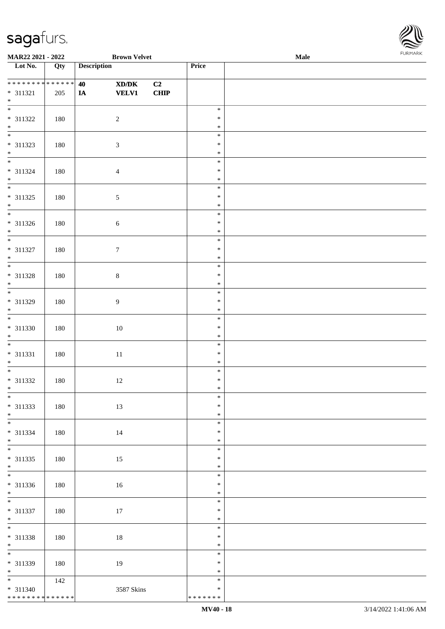

| MAR22 2021 - 2022                         |     | <b>Brown Velvet</b>                                     | Male             |  |  |  |  |
|-------------------------------------------|-----|---------------------------------------------------------|------------------|--|--|--|--|
| Lot No.                                   | Qty | <b>Description</b>                                      | Price            |  |  |  |  |
| **************                            |     | 40<br>$\mathbf{X}\mathbf{D}/\mathbf{D}\mathbf{K}$<br>C2 |                  |  |  |  |  |
| $* 311321$<br>$\ast$                      | 205 | <b>VELV1</b><br>CHIP<br><b>IA</b>                       |                  |  |  |  |  |
| * 311322                                  |     |                                                         | $\ast$<br>$\ast$ |  |  |  |  |
| $*$                                       | 180 | $\sqrt{2}$                                              | $\ast$           |  |  |  |  |
| * 311323                                  | 180 | $\mathfrak{Z}$                                          | $\ast$<br>$\ast$ |  |  |  |  |
| $\ast$<br>$\overline{\phantom{0}}$        |     |                                                         | $\ast$<br>$\ast$ |  |  |  |  |
| * 311324                                  | 180 | $\overline{4}$                                          | $\ast$           |  |  |  |  |
| $*$<br>$\overline{\phantom{0}}$           |     |                                                         | $\ast$<br>$\ast$ |  |  |  |  |
| $* 311325$<br>$\ast$                      | 180 | $\sqrt{5}$                                              | $\ast$<br>$\ast$ |  |  |  |  |
| $\overline{\phantom{0}}$<br>$* 311326$    |     |                                                         | $\ast$<br>$\ast$ |  |  |  |  |
| $\ast$<br>$\overline{\phantom{a}^*}$      | 180 | $\sqrt{6}$                                              | $\ast$           |  |  |  |  |
| $* 311327$                                | 180 | $\boldsymbol{7}$                                        | $\ast$<br>$\ast$ |  |  |  |  |
| $\ast$<br>$\overline{\phantom{0}}$        |     |                                                         | $\ast$<br>$\ast$ |  |  |  |  |
| * 311328                                  | 180 | $\,8\,$                                                 | $\ast$           |  |  |  |  |
| $\ast$<br>$\overline{\phantom{0}}$        |     |                                                         | $\ast$<br>$\ast$ |  |  |  |  |
| * 311329<br>$*$                           | 180 | $\boldsymbol{9}$                                        | $\ast$<br>$\ast$ |  |  |  |  |
| $\overline{\phantom{0}}$<br>$* 311330$    | 180 | $10\,$                                                  | $\ast$<br>$\ast$ |  |  |  |  |
| $*$<br>$\overline{\ast}$                  |     |                                                         | $\ast$           |  |  |  |  |
| $* 311331$                                | 180 | $11\,$                                                  | $\ast$<br>$\ast$ |  |  |  |  |
| $*$<br>$\overline{\ast}$                  |     |                                                         | $\ast$<br>$\ast$ |  |  |  |  |
| $* 311332$<br>$*$                         | 180 | $12\,$                                                  | $\ast$<br>$\ast$ |  |  |  |  |
| $*$                                       |     |                                                         | $\ast$<br>$\ast$ |  |  |  |  |
| * 311333<br>$*$                           | 180 | 13                                                      | $\ast$           |  |  |  |  |
| $* 311334$                                | 180 | 14                                                      | $\ast$<br>$\ast$ |  |  |  |  |
| $*$<br>$\overline{\phantom{0}}$           |     |                                                         | $\ast$<br>$\ast$ |  |  |  |  |
| $* 311335$<br>$*$                         | 180 | 15                                                      | $\ast$<br>$\ast$ |  |  |  |  |
| $\overline{\phantom{0}}$                  |     |                                                         | $\ast$           |  |  |  |  |
| * 311336<br>$*$                           | 180 | 16                                                      | $\ast$<br>$\ast$ |  |  |  |  |
| $*$<br>$* 311337$                         | 180 | 17                                                      | $\ast$<br>$\ast$ |  |  |  |  |
| $*$<br>$\overline{\phantom{0}}$           |     |                                                         | $\ast$<br>$\ast$ |  |  |  |  |
| * 311338                                  | 180 | 18                                                      | $\ast$           |  |  |  |  |
| $*$<br>$\overline{\phantom{0}}$           |     |                                                         | $\ast$<br>$\ast$ |  |  |  |  |
| * 311339<br>$*$                           | 180 | 19                                                      | $\ast$<br>$\ast$ |  |  |  |  |
|                                           | 142 |                                                         | $\ast$<br>$\ast$ |  |  |  |  |
| $* 311340$<br>* * * * * * * * * * * * * * |     | 3587 Skins                                              | * * * * * * *    |  |  |  |  |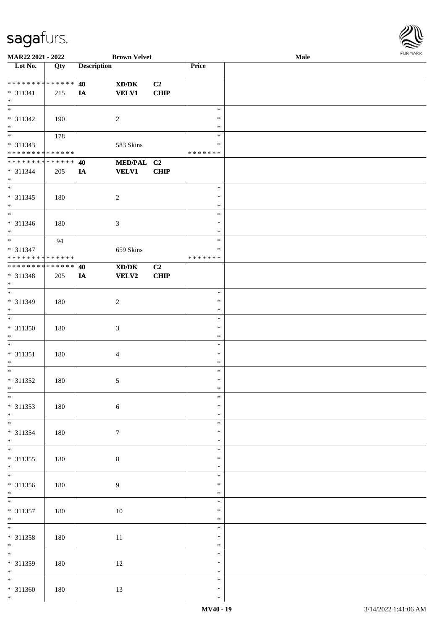

| MAR22 2021 - 2022             |     |                    | <b>Brown Velvet</b> |                |               | Male |
|-------------------------------|-----|--------------------|---------------------|----------------|---------------|------|
| Lot No.                       | Qty | <b>Description</b> |                     |                | Price         |      |
|                               |     |                    |                     |                |               |      |
| ******** <mark>******</mark>  |     | 40                 | XD/DK               | C2             |               |      |
|                               |     |                    |                     |                |               |      |
| $* 311341$                    | 215 | IA                 | <b>VELV1</b>        | CHIP           |               |      |
| $*$                           |     |                    |                     |                |               |      |
| $\overline{\phantom{0}}$      |     |                    |                     |                | $\ast$        |      |
| * 311342                      | 190 |                    | $\overline{2}$      |                | $\ast$        |      |
| $\ast$                        |     |                    |                     |                | ∗             |      |
|                               | 178 |                    |                     |                | $\ast$        |      |
|                               |     |                    |                     |                | $\ast$        |      |
| * 311343                      |     |                    | 583 Skins           |                |               |      |
| * * * * * * * * * * * * * *   |     |                    |                     |                | * * * * * * * |      |
| * * * * * * * * * * * * * *   |     | 40                 | MED/PAL C2          |                |               |      |
| * 311344                      | 205 | IA                 | <b>VELV1</b>        | <b>CHIP</b>    |               |      |
| $*$                           |     |                    |                     |                |               |      |
| $\overline{\phantom{0}}$      |     |                    |                     |                | $\ast$        |      |
| $* 311345$                    |     |                    |                     |                | $\ast$        |      |
|                               | 180 |                    | $\sqrt{2}$          |                |               |      |
| $*$                           |     |                    |                     |                | $\ast$        |      |
| $\overline{\phantom{0}}$      |     |                    |                     |                | $\ast$        |      |
| $* 311346$                    | 180 |                    | 3                   |                | $\ast$        |      |
| $*$                           |     |                    |                     |                | $\ast$        |      |
| $\overline{\mathbf{r}}$       | 94  |                    |                     |                | $\ast$        |      |
| * 311347                      |     |                    | 659 Skins           |                | $\ast$        |      |
| * * * * * * * * * * * * * *   |     |                    |                     |                | * * * * * * * |      |
|                               |     |                    |                     |                |               |      |
| * * * * * * * * * * * * * * * |     | 40                 | XD/DK               | C <sub>2</sub> |               |      |
| * 311348                      | 205 | IA                 | <b>VELV2</b>        | CHIP           |               |      |
| $*$                           |     |                    |                     |                |               |      |
| $*$                           |     |                    |                     |                | $\ast$        |      |
| * 311349                      | 180 |                    | $\sqrt{2}$          |                | $\ast$        |      |
| $*$                           |     |                    |                     |                | $\ast$        |      |
| $\overline{\phantom{0}}$      |     |                    |                     |                |               |      |
|                               |     |                    |                     |                | $\ast$        |      |
| $* 311350$                    | 180 |                    | $\mathfrak{Z}$      |                | $\ast$        |      |
| $*$                           |     |                    |                     |                | $\ast$        |      |
| $*$                           |     |                    |                     |                | $\ast$        |      |
| $* 311351$                    | 180 |                    | $\overline{4}$      |                | $\ast$        |      |
| $*$                           |     |                    |                     |                | $\ast$        |      |
|                               |     |                    |                     |                |               |      |
| $*$                           |     |                    |                     |                | $\ast$        |      |
| $* 311352$                    | 180 |                    | $\sqrt{5}$          |                | $\ast$        |      |
| $*$                           |     |                    |                     |                | $\ast$        |      |
| $*$                           |     |                    |                     |                | $\ast$        |      |
| * 311353                      | 180 |                    | $\sqrt{6}$          |                | $\ast$        |      |
| $*$                           |     |                    |                     |                | $\ast$        |      |
|                               |     |                    |                     |                |               |      |
|                               |     |                    |                     |                | $\ast$        |      |
| * 311354                      | 180 |                    | $\tau$              |                | $\ast$        |      |
| $*$                           |     |                    |                     |                | $\ast$        |      |
|                               |     |                    |                     |                | $\ast$        |      |
| $* 311355$                    | 180 |                    | $8\,$               |                | $\ast$        |      |
| $*$                           |     |                    |                     |                | $\ast$        |      |
|                               |     |                    |                     |                |               |      |
|                               |     |                    |                     |                | $\ast$        |      |
| * 311356                      | 180 |                    | 9                   |                | $\ast$        |      |
| $*$                           |     |                    |                     |                | $\ast$        |      |
| $*$                           |     |                    |                     |                | $\ast$        |      |
| $* 311357$                    | 180 |                    | $10\,$              |                | $\ast$        |      |
| $*$                           |     |                    |                     |                | $\ast$        |      |
|                               |     |                    |                     |                |               |      |
|                               |     |                    |                     |                | $\ast$        |      |
| $* 311358$                    | 180 |                    | 11                  |                | $\ast$        |      |
| $*$                           |     |                    |                     |                | $\ast$        |      |
|                               |     |                    |                     |                | $\ast$        |      |
| * 311359                      | 180 |                    | 12                  |                | $\ast$        |      |
| $*$                           |     |                    |                     |                | $\ast$        |      |
| $\overline{\ast}$             |     |                    |                     |                | $\ast$        |      |
|                               |     |                    |                     |                |               |      |
| $* 311360$                    | 180 |                    | 13                  |                | $\ast$        |      |
| $*$                           |     |                    |                     |                | $\ast$        |      |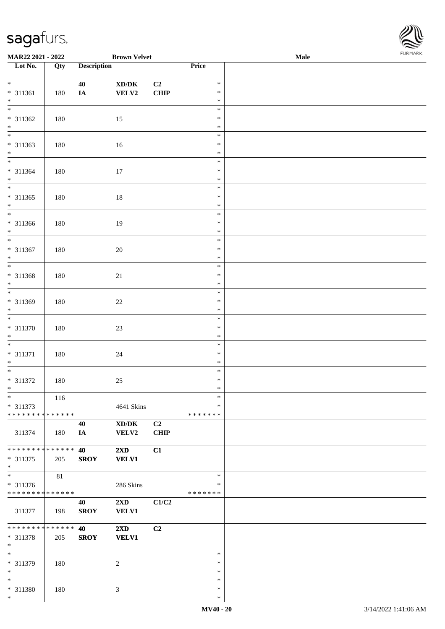

| MAR22 2021 - 2022               |        |                    | <b>Brown Velvet</b>                 |             |         | <b>Male</b> |
|---------------------------------|--------|--------------------|-------------------------------------|-------------|---------|-------------|
| Lot No.                         | Qty    | <b>Description</b> |                                     |             | Price   |             |
|                                 |        |                    |                                     |             |         |             |
| $*$                             |        | 40                 | $\bold{X}\bold{D}/\bold{D}\bold{K}$ | C2          | $\ast$  |             |
| * 311361                        | 180    | $I\!\!A$           | VELV2                               | <b>CHIP</b> | $\ast$  |             |
| $*$                             |        |                    |                                     |             | $\ast$  |             |
|                                 |        |                    |                                     |             | $\ast$  |             |
|                                 |        |                    |                                     |             |         |             |
| $* 311362$                      | 180    |                    | 15                                  |             | $\ast$  |             |
| $*$                             |        |                    |                                     |             | $\ast$  |             |
| $\overline{\phantom{0}}$        |        |                    |                                     |             | $\ast$  |             |
| * 311363                        | 180    |                    | 16                                  |             | $\ast$  |             |
| $*$                             |        |                    |                                     |             | $\ast$  |             |
|                                 |        |                    |                                     |             | $\ast$  |             |
| * 311364                        | 180    |                    | $17\,$                              |             | $\ast$  |             |
| $*$                             |        |                    |                                     |             | $\ast$  |             |
| $\overline{\phantom{0}}$        |        |                    |                                     |             | $\ast$  |             |
|                                 |        |                    |                                     |             |         |             |
| $* 311365$                      | 180    |                    | $18\,$                              |             | $\ast$  |             |
| $*$                             |        |                    |                                     |             | $\ast$  |             |
| $\overline{\phantom{0}}$        |        |                    |                                     |             | $\ast$  |             |
| $* 311366$                      | 180    |                    | 19                                  |             | $\ast$  |             |
| $*$                             |        |                    |                                     |             | $\ast$  |             |
| $\overline{\phantom{0}}$        |        |                    |                                     |             | $\ast$  |             |
| $* 311367$                      | 180    |                    | $20\,$                              |             | $\ast$  |             |
| $*$                             |        |                    |                                     |             | $\ast$  |             |
|                                 |        |                    |                                     |             | $\ast$  |             |
|                                 |        |                    |                                     |             |         |             |
| $* 311368$                      | 180    |                    | 21                                  |             | $\ast$  |             |
| $*$<br>$\overline{\phantom{0}}$ |        |                    |                                     |             | $\ast$  |             |
|                                 |        |                    |                                     |             | $\ast$  |             |
| * 311369                        | 180    |                    | $22\,$                              |             | $\ast$  |             |
| $*$                             |        |                    |                                     |             | $\ast$  |             |
|                                 |        |                    |                                     |             | $\ast$  |             |
| * 311370                        | 180    |                    | $23\,$                              |             | $\ast$  |             |
| $*$                             |        |                    |                                     |             | $\ast$  |             |
| $*$                             |        |                    |                                     |             | $\ast$  |             |
| $* 311371$                      |        |                    |                                     |             | $\ast$  |             |
|                                 | 180    |                    | $24\,$                              |             | $\ast$  |             |
| $*$<br>$*$                      |        |                    |                                     |             |         |             |
|                                 |        |                    |                                     |             | $\ast$  |             |
| $* 311372$                      | 180    |                    | $25\,$                              |             | $\ast$  |             |
| $*$                             |        |                    |                                     |             | $\ast$  |             |
| $*$                             | 116    |                    |                                     |             | $\ast$  |             |
| * 311373                        |        |                    | 4641 Skins                          |             | $\ast$  |             |
| * * * * * * * * * * * * * * *   |        |                    |                                     |             | ******* |             |
|                                 |        | 40                 | $\bold{X}\bold{D}/\bold{D}\bold{K}$ | C2          |         |             |
| 311374                          | 180    | IA                 | VELV2                               | <b>CHIP</b> |         |             |
|                                 |        |                    |                                     |             |         |             |
| * * * * * * * * * * * * * * *   |        | 40                 | $2\mathbf{X}\mathbf{D}$             | C1          |         |             |
| * 311375                        |        | <b>SROY</b>        | <b>VELV1</b>                        |             |         |             |
|                                 | 205    |                    |                                     |             |         |             |
| $*$<br>$\overline{\phantom{0}}$ |        |                    |                                     |             |         |             |
|                                 | $81\,$ |                    |                                     |             | $\ast$  |             |
| $* 311376$                      |        |                    | 286 Skins                           |             | ∗       |             |
| * * * * * * * * * * * * * *     |        |                    |                                     |             | ******* |             |
|                                 |        | 40                 | $2\mathbf{X}\mathbf{D}$             | C1/C2       |         |             |
| 311377                          | 198    | <b>SROY</b>        | VELV1                               |             |         |             |
|                                 |        |                    |                                     |             |         |             |
| ******** <mark>******</mark>    |        | <b>40</b>          | $2\mathbf{X}\mathbf{D}$             | C2          |         |             |
| * 311378                        | 205    | <b>SROY</b>        | <b>VELV1</b>                        |             |         |             |
| $*$                             |        |                    |                                     |             |         |             |
| $*$                             |        |                    |                                     |             | $\ast$  |             |
|                                 |        |                    |                                     |             |         |             |
| * 311379                        | 180    |                    | 2                                   |             | $\ast$  |             |
| $*$                             |        |                    |                                     |             | $\ast$  |             |
| $*$                             |        |                    |                                     |             | $\ast$  |             |
| * 311380                        | 180    |                    | $\mathfrak{Z}$                      |             | $\ast$  |             |
| $*$                             |        |                    |                                     |             | $\ast$  |             |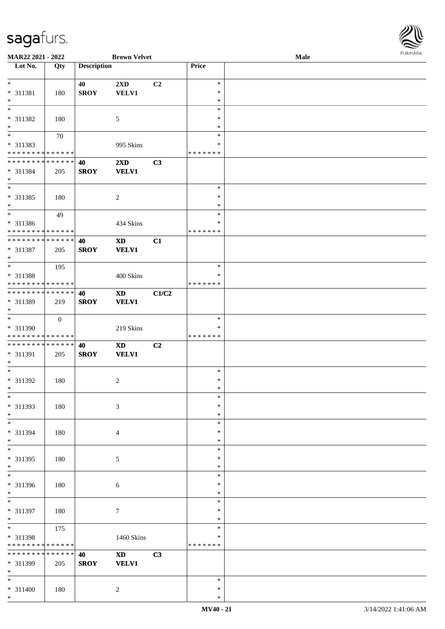

| MAR22 2021 - 2022             |              |                    | <b>Brown Velvet</b>    |                |               | <b>Male</b> |  |
|-------------------------------|--------------|--------------------|------------------------|----------------|---------------|-------------|--|
| Lot No.                       | Qty          | <b>Description</b> |                        |                | Price         |             |  |
|                               |              |                    |                        |                |               |             |  |
| $*$                           |              | 40                 | 2XD                    | C <sub>2</sub> | $\ast$        |             |  |
| * 311381                      | 180          | <b>SROY</b>        | <b>VELV1</b>           |                | $\ast$        |             |  |
| $\ast$                        |              |                    |                        |                | $\ast$        |             |  |
| $\overline{\ }$               |              |                    |                        |                | $\ast$        |             |  |
|                               |              |                    |                        |                | ∗             |             |  |
| * 311382                      | 180          |                    | 5                      |                |               |             |  |
| $\ast$                        |              |                    |                        |                | $\ast$        |             |  |
| $\overline{\phantom{0}}$      | 70           |                    |                        |                | $\ast$        |             |  |
| * 311383                      |              |                    | 995 Skins              |                | $\ast$        |             |  |
| * * * * * * * * * * * * * *   |              |                    |                        |                | * * * * * * * |             |  |
| ******** <mark>******</mark>  |              | 40                 | 2XD                    | C3             |               |             |  |
| * 311384                      | 205          | <b>SROY</b>        | <b>VELV1</b>           |                |               |             |  |
| $*$                           |              |                    |                        |                |               |             |  |
|                               |              |                    |                        |                | $\ast$        |             |  |
|                               |              |                    |                        |                | $\ast$        |             |  |
| * 311385                      | 180          |                    | $\boldsymbol{2}$       |                |               |             |  |
| $*$                           |              |                    |                        |                | $\ast$        |             |  |
| $*$                           | 49           |                    |                        |                | $\ast$        |             |  |
| $* 311386$                    |              |                    | 434 Skins              |                | $\ast$        |             |  |
| * * * * * * * * * * * * * *   |              |                    |                        |                | * * * * * * * |             |  |
| * * * * * * * * * * * * * *   |              | 40                 | <b>XD</b>              | C1             |               |             |  |
| * 311387                      | 205          | <b>SROY</b>        | <b>VELV1</b>           |                |               |             |  |
| $*$                           |              |                    |                        |                |               |             |  |
| $\overline{\ast}$             |              |                    |                        |                | $\ast$        |             |  |
|                               | 195          |                    |                        |                |               |             |  |
| * 311388                      |              |                    | 400 Skins              |                | ∗             |             |  |
| * * * * * * * * * * * * * *   |              |                    |                        |                | * * * * * * * |             |  |
| * * * * * * * * * * * * * * * |              | 40                 | <b>XD</b>              | C1/C2          |               |             |  |
| * 311389                      | 219          | <b>SROY</b>        | <b>VELV1</b>           |                |               |             |  |
| $*$                           |              |                    |                        |                |               |             |  |
|                               | $\mathbf{0}$ |                    |                        |                | $\ast$        |             |  |
| * 311390                      |              |                    | 219 Skins              |                | *             |             |  |
| * * * * * * * * * * * * * *   |              |                    |                        |                | * * * * * * * |             |  |
| * * * * * * * * * * * * * * * |              |                    |                        |                |               |             |  |
|                               |              | 40                 | <b>XD</b>              | C2             |               |             |  |
| * 311391                      | 205          | <b>SROY</b>        | <b>VELV1</b>           |                |               |             |  |
| $*$                           |              |                    |                        |                |               |             |  |
| $*$                           |              |                    |                        |                | $\ast$        |             |  |
| $* 311392$                    | 180          |                    | 2                      |                | $\ast$        |             |  |
| $*$                           |              |                    |                        |                | $\ast$        |             |  |
| $*$                           |              |                    |                        |                | $\ast$        |             |  |
| * 311393                      | 180          |                    | 3                      |                | $\ast$        |             |  |
| $*$                           |              |                    |                        |                | $\ast$        |             |  |
| $*$                           |              |                    |                        |                | $\ast$        |             |  |
|                               |              |                    |                        |                | ∗             |             |  |
| * 311394                      | 180          |                    | 4                      |                |               |             |  |
| $*$<br>$\overline{\ast}$      |              |                    |                        |                | $\ast$        |             |  |
|                               |              |                    |                        |                | $\ast$        |             |  |
| * 311395                      | 180          |                    | 5                      |                | $\ast$        |             |  |
| $*$                           |              |                    |                        |                | $\ast$        |             |  |
| $\overline{\phantom{0}}$      |              |                    |                        |                | $\ast$        |             |  |
| * 311396                      | 180          |                    | 6                      |                | $\ast$        |             |  |
| $*$                           |              |                    |                        |                | $\ast$        |             |  |
| $*$                           |              |                    |                        |                | $\ast$        |             |  |
|                               |              |                    |                        |                | $\ast$        |             |  |
| * 311397                      | 180          |                    | $\overline{7}$         |                |               |             |  |
| $*$                           |              |                    |                        |                | $\ast$        |             |  |
| $*$                           | 175          |                    |                        |                | $\ast$        |             |  |
| * 311398                      |              |                    | 1460 Skins             |                | $\ast$        |             |  |
| * * * * * * * *               | * * * * * *  |                    |                        |                | * * * * * * * |             |  |
| * * * * * * * *               | * * * * * *  | 40                 | $\mathbf{X}\mathbf{D}$ | C3             |               |             |  |
| * 311399                      | 205          | <b>SROY</b>        | <b>VELV1</b>           |                |               |             |  |
| $*$                           |              |                    |                        |                |               |             |  |
| $*$                           |              |                    |                        |                | $\ast$        |             |  |
|                               |              |                    |                        |                | $\ast$        |             |  |
| * 311400                      | 180          |                    | $\overline{c}$         |                |               |             |  |
| $*$                           |              |                    |                        |                | $\ast$        |             |  |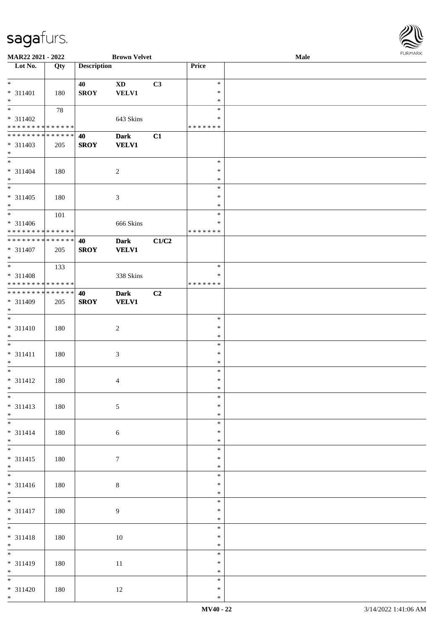

| MAR22 2021 - 2022             |     |                    | <b>Brown Velvet</b> |       |               | <b>Male</b> |
|-------------------------------|-----|--------------------|---------------------|-------|---------------|-------------|
| Lot No.                       | Qty | <b>Description</b> |                     |       | Price         |             |
|                               |     |                    |                     |       |               |             |
| $\ast$                        |     | 40                 | <b>XD</b>           | C3    | $\ast$        |             |
|                               |     |                    |                     |       | $\ast$        |             |
| * 311401                      | 180 | <b>SROY</b>        | <b>VELV1</b>        |       |               |             |
| $*$                           |     |                    |                     |       | $\ast$        |             |
|                               | 78  |                    |                     |       | $\ast$        |             |
| $* 311402$                    |     |                    | 643 Skins           |       | ∗             |             |
| * * * * * * * * * * * * * *   |     |                    |                     |       | * * * * * * * |             |
| * * * * * * * * * * * * * * * |     | 40                 | <b>Dark</b>         | C1    |               |             |
| * 311403                      |     | <b>SROY</b>        | <b>VELV1</b>        |       |               |             |
|                               | 205 |                    |                     |       |               |             |
| $*$                           |     |                    |                     |       |               |             |
| $*$                           |     |                    |                     |       | $\ast$        |             |
| $* 311404$                    | 180 |                    | $\sqrt{2}$          |       | $\ast$        |             |
| $*$                           |     |                    |                     |       | $\ast$        |             |
| $\overline{\phantom{0}}$      |     |                    |                     |       | $\ast$        |             |
| $* 311405$                    | 180 |                    | $\mathfrak{Z}$      |       | $\ast$        |             |
|                               |     |                    |                     |       | $\ast$        |             |
| $*$                           |     |                    |                     |       |               |             |
| $\overline{\phantom{0}}$      | 101 |                    |                     |       | $\ast$        |             |
| * 311406                      |     |                    | 666 Skins           |       | $\ast$        |             |
| * * * * * * * * * * * * * *   |     |                    |                     |       | * * * * * * * |             |
| ******** <mark>******</mark>  |     | 40                 | <b>Dark</b>         | C1/C2 |               |             |
| * 311407                      | 205 | <b>SROY</b>        | <b>VELV1</b>        |       |               |             |
| $*$                           |     |                    |                     |       |               |             |
|                               |     |                    |                     |       |               |             |
|                               | 133 |                    |                     |       | $\ast$        |             |
| * 311408                      |     |                    | 338 Skins           |       | $\ast$        |             |
| * * * * * * * * * * * * * *   |     |                    |                     |       | * * * * * * * |             |
| * * * * * * * * * * * * * * * |     | 40                 | <b>Dark</b>         | C2    |               |             |
| * 311409                      | 205 | <b>SROY</b>        | <b>VELV1</b>        |       |               |             |
| $*$                           |     |                    |                     |       |               |             |
|                               |     |                    |                     |       |               |             |
| $*$                           |     |                    |                     |       | $\ast$        |             |
| $* 311410$                    | 180 |                    | $\sqrt{2}$          |       | $\ast$        |             |
| $*$                           |     |                    |                     |       | $\ast$        |             |
| $*$                           |     |                    |                     |       | $\ast$        |             |
| $* 311411$                    | 180 |                    | $\mathfrak{Z}$      |       | $\ast$        |             |
| $*$                           |     |                    |                     |       | $\ast$        |             |
|                               |     |                    |                     |       |               |             |
| $*$                           |     |                    |                     |       | $\ast$        |             |
| $* 311412$                    | 180 |                    | $\overline{4}$      |       | $\ast$        |             |
| $*$                           |     |                    |                     |       | $\ast$        |             |
| $*$                           |     |                    |                     |       | $\ast$        |             |
| $* 311413$                    | 180 |                    | 5                   |       | $\ast$        |             |
| $*$                           |     |                    |                     |       | $\ast$        |             |
|                               |     |                    |                     |       |               |             |
|                               |     |                    |                     |       | $\ast$        |             |
| $* 311414$                    | 180 |                    | $\sqrt{6}$          |       | $\ast$        |             |
| $*$                           |     |                    |                     |       | $\ast$        |             |
| $*$                           |     |                    |                     |       | $\ast$        |             |
| $* 311415$                    | 180 |                    | $\tau$              |       | $\ast$        |             |
| $*$                           |     |                    |                     |       | $\ast$        |             |
|                               |     |                    |                     |       |               |             |
|                               |     |                    |                     |       | $\ast$        |             |
| $* 311416$                    | 180 |                    | $8\,$               |       | $\ast$        |             |
| $*$                           |     |                    |                     |       | $\ast$        |             |
| $\overline{\ast}$             |     |                    |                     |       | $\ast$        |             |
| $* 311417$                    | 180 |                    | 9                   |       | $\ast$        |             |
|                               |     |                    |                     |       |               |             |
| $*$                           |     |                    |                     |       | $\ast$        |             |
|                               |     |                    |                     |       | $\ast$        |             |
| $* 311418$                    | 180 |                    | 10                  |       | $\ast$        |             |
| $*$                           |     |                    |                     |       | $\ast$        |             |
|                               |     |                    |                     |       | $\ast$        |             |
|                               |     |                    |                     |       | $\ast$        |             |
| $* 311419$                    | 180 |                    | $11\,$              |       |               |             |
| $*$                           |     |                    |                     |       | $\ast$        |             |
|                               |     |                    |                     |       | $\ast$        |             |
| $* 311420$                    | 180 |                    | 12                  |       | $\ast$        |             |
| $*$                           |     |                    |                     |       | $\ast$        |             |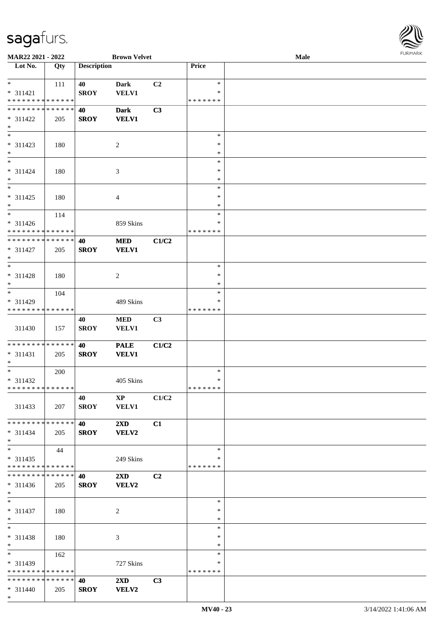

| MAR22 2021 - 2022                                            |                   |                    | <b>Brown Velvet</b>                     |       |                                   | Male | <b>FURMARK</b> |
|--------------------------------------------------------------|-------------------|--------------------|-----------------------------------------|-------|-----------------------------------|------|----------------|
| $\overline{\phantom{1}}$ Lot No.                             | $\overline{Q}$ ty | <b>Description</b> |                                         |       | Price                             |      |                |
| $\ast$<br>$* 311421$<br>* * * * * * * * * * * * * *          | 111               | 40<br><b>SROY</b>  | Dark<br><b>VELV1</b>                    | C2    | $\ast$<br>$\ast$<br>* * * * * * * |      |                |
| **************<br>* 311422<br>$*$                            | 205               | 40<br><b>SROY</b>  | <b>Dark</b><br><b>VELV1</b>             | C3    |                                   |      |                |
| $\ast$<br>* 311423<br>$\ast$                                 | 180               |                    | $\overline{c}$                          |       | $\ast$<br>$\ast$<br>$\ast$        |      |                |
| $\overline{\ast}$<br>$* 311424$<br>$\ast$                    | 180               |                    | 3                                       |       | $\ast$<br>$\ast$<br>$\ast$        |      |                |
| $\overline{\phantom{1}}$<br>$* 311425$<br>$\ast$             | 180               |                    | 4                                       |       | $\ast$<br>$\ast$<br>$\ast$        |      |                |
| $\overline{\ast}$<br>* 311426<br>* * * * * * * * * * * * * * | 114               |                    | 859 Skins                               |       | $\ast$<br>*<br>* * * * * * *      |      |                |
| * * * * * * * * * * * * * *<br>$* 311427$<br>$\ast$          | 205               | 40<br><b>SROY</b>  | $\bf MED$<br><b>VELV1</b>               | C1/C2 |                                   |      |                |
| $\overline{\ast}$<br>$* 311428$<br>$\ast$                    | 180               |                    | $\sqrt{2}$                              |       | $\ast$<br>$\ast$<br>$\ast$        |      |                |
| $\ast$<br>* 311429<br>* * * * * * * * * * * * * *            | 104               |                    | 489 Skins                               |       | $\ast$<br>∗<br>* * * * * * *      |      |                |
| 311430                                                       | 157               | 40<br><b>SROY</b>  | $\bf MED$<br><b>VELV1</b>               | C3    |                                   |      |                |
| **************<br>$* 311431$<br>$\ast$                       | 205               | 40<br><b>SROY</b>  | <b>PALE</b><br><b>VELV1</b>             | C1/C2 |                                   |      |                |
| $*$<br>* 311432<br>******** <mark>******</mark>              | 200               |                    | 405 Skins                               |       | $\ast$<br>$\ast$<br>*******       |      |                |
| 311433                                                       | 207               | 40<br><b>SROY</b>  | $XP$ $C1/C2$<br><b>VELV1</b>            |       |                                   |      |                |
| **************<br>$* 311434$<br>$*$                          | 205               | 40<br><b>SROY</b>  | $2\mathbf{X}\mathbf{D}$<br><b>VELV2</b> | C1    |                                   |      |                |
| $\ast$<br>$* 311435$<br>* * * * * * * * * * * * * * *        | 44                |                    | 249 Skins                               |       | $\ast$<br>*<br>* * * * * * *      |      |                |
| * * * * * * * * * * * * * * *<br>$* 311436$<br>$*$           | 205               | 40<br><b>SROY</b>  | $2\mathbf{X}\mathbf{D}$<br><b>VELV2</b> | C2    |                                   |      |                |
| $\overline{\ast}$<br>$* 311437$<br>$*$                       | 180               |                    | $\overline{2}$                          |       | $\ast$<br>$\ast$<br>$\ast$        |      |                |
| $\overline{\ast}$<br>* 311438<br>$*$ $-$                     | 180               |                    | 3                                       |       | $\ast$<br>∗<br>$\ast$             |      |                |
| $*$<br>* 311439<br>* * * * * * * * * * * * * *               | 162               |                    | 727 Skins                               |       | $\ast$<br>∗<br>* * * * * * *      |      |                |
| **************<br>$* 311440$<br>$*$                          | 205               | 40<br><b>SROY</b>  | $2\mathbf{X}\mathbf{D}$<br>VELV2        | C3    |                                   |      |                |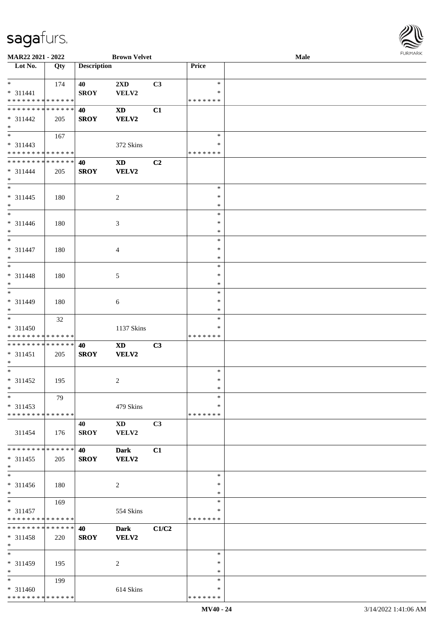

| MAR22 2021 - 2022                  |                   |                    | <b>Brown Velvet</b>        |                |               | <b>Male</b> |  |
|------------------------------------|-------------------|--------------------|----------------------------|----------------|---------------|-------------|--|
| $\overline{\phantom{1}}$ Lot No.   | $\overline{Q}$ ty | <b>Description</b> |                            |                | Price         |             |  |
|                                    |                   |                    |                            |                |               |             |  |
| $\ast$                             | 174               | 40                 | 2XD                        | C3             | $\ast$        |             |  |
| $* 311441$                         |                   | <b>SROY</b>        | VELV2                      |                | $\ast$        |             |  |
| * * * * * * * * * * * * * *        |                   |                    |                            |                | * * * * * * * |             |  |
| * * * * * * * * * * * * * *        |                   | 40                 | <b>XD</b>                  | C1             |               |             |  |
|                                    |                   |                    |                            |                |               |             |  |
| $* 311442$                         | 205               | <b>SROY</b>        | <b>VELV2</b>               |                |               |             |  |
| $\ast$<br>$\overline{\phantom{0}}$ |                   |                    |                            |                |               |             |  |
|                                    | 167               |                    |                            |                | $\ast$        |             |  |
| $* 311443$                         |                   |                    | 372 Skins                  |                | $\ast$        |             |  |
| * * * * * * * * * * * * * *        |                   |                    |                            |                | * * * * * * * |             |  |
| * * * * * * * * * * * * * *        |                   | 40                 | $\mathbf{X}\mathbf{D}$     | C <sub>2</sub> |               |             |  |
| $* 311444$                         | 205               | <b>SROY</b>        | <b>VELV2</b>               |                |               |             |  |
| $\ast$                             |                   |                    |                            |                |               |             |  |
| $*$                                |                   |                    |                            |                | $\ast$        |             |  |
| $* 311445$                         | 180               |                    | $\overline{c}$             |                | $\ast$        |             |  |
| $\ast$                             |                   |                    |                            |                | $\ast$        |             |  |
| $\overline{\phantom{1}}$           |                   |                    |                            |                | $\ast$        |             |  |
| $* 311446$                         | 180               |                    | 3                          |                | $\ast$        |             |  |
| $\ast$                             |                   |                    |                            |                | $\ast$        |             |  |
| $_{\ast}$                          |                   |                    |                            |                | $\ast$        |             |  |
|                                    |                   |                    |                            |                |               |             |  |
| $* 311447$                         | 180               |                    | $\overline{4}$             |                | $\ast$        |             |  |
| $\ast$                             |                   |                    |                            |                | $\ast$        |             |  |
| $*$                                |                   |                    |                            |                | $\ast$        |             |  |
| $* 311448$                         | 180               |                    | 5                          |                | $\ast$        |             |  |
| $\ast$                             |                   |                    |                            |                | $\ast$        |             |  |
| $\overline{\ast}$                  |                   |                    |                            |                | $\ast$        |             |  |
| * 311449                           | 180               |                    | 6                          |                | $\ast$        |             |  |
| $*$                                |                   |                    |                            |                | $\ast$        |             |  |
| $\overline{\phantom{0}}$           | 32                |                    |                            |                | $\ast$        |             |  |
| * 311450                           |                   |                    | 1137 Skins                 |                | ∗             |             |  |
| * * * * * * * * * * * * * *        |                   |                    |                            |                | * * * * * * * |             |  |
| **************                     |                   |                    |                            |                |               |             |  |
|                                    |                   | 40                 | $\boldsymbol{\mathrm{XD}}$ | C3             |               |             |  |
| $* 311451$                         | 205               | <b>SROY</b>        | <b>VELV2</b>               |                |               |             |  |
| $*$                                |                   |                    |                            |                |               |             |  |
| $*$                                |                   |                    |                            |                | $\ast$        |             |  |
| $* 311452$                         | 195               |                    | $\overline{c}$             |                | $\ast$        |             |  |
| $*$                                |                   |                    |                            |                | $\ast$        |             |  |
| $*$                                | 79                |                    |                            |                | $\ast$        |             |  |
| $* 311453$                         |                   |                    | 479 Skins                  |                | ∗             |             |  |
| * * * * * * * * * * * * * *        |                   |                    |                            |                | * * * * * * * |             |  |
|                                    |                   | 40                 | $\mathbf{X}\mathbf{D}$     | C <sub>3</sub> |               |             |  |
| 311454                             | 176               | <b>SROY</b>        | VELV2                      |                |               |             |  |
|                                    |                   |                    |                            |                |               |             |  |
| * * * * * * * * * * * * * *        |                   | 40                 | <b>Dark</b>                | C1             |               |             |  |
| $* 311455$                         | 205               | <b>SROY</b>        | VELV2                      |                |               |             |  |
| $*$                                |                   |                    |                            |                |               |             |  |
| $\overline{\phantom{1}}$           |                   |                    |                            |                | $\ast$        |             |  |
|                                    |                   |                    |                            |                |               |             |  |
| $* 311456$                         | 180               |                    | $\overline{c}$             |                | $\ast$        |             |  |
| $*$                                |                   |                    |                            |                | $\ast$        |             |  |
| $*$                                | 169               |                    |                            |                | $\ast$        |             |  |
| $* 311457$                         |                   |                    | 554 Skins                  |                | $\ast$        |             |  |
| * * * * * * * * * * * * * *        |                   |                    |                            |                | * * * * * * * |             |  |
| * * * * * * * * * * * * * *        |                   | 40                 | <b>Dark</b>                | C1/C2          |               |             |  |
| * 311458                           | 220               | <b>SROY</b>        | <b>VELV2</b>               |                |               |             |  |
| $*$                                |                   |                    |                            |                |               |             |  |
| $\overline{\phantom{a}^*}$         |                   |                    |                            |                | $\ast$        |             |  |
| * 311459                           | 195               |                    | 2                          |                | ∗             |             |  |
| $\ast$                             |                   |                    |                            |                | $\ast$        |             |  |
| $\ast$                             | 199               |                    |                            |                | $\ast$        |             |  |
| $* 311460$                         |                   |                    | 614 Skins                  |                | ∗             |             |  |
| * * * * * * * * * * * * * *        |                   |                    |                            |                | * * * * * * * |             |  |
|                                    |                   |                    |                            |                |               |             |  |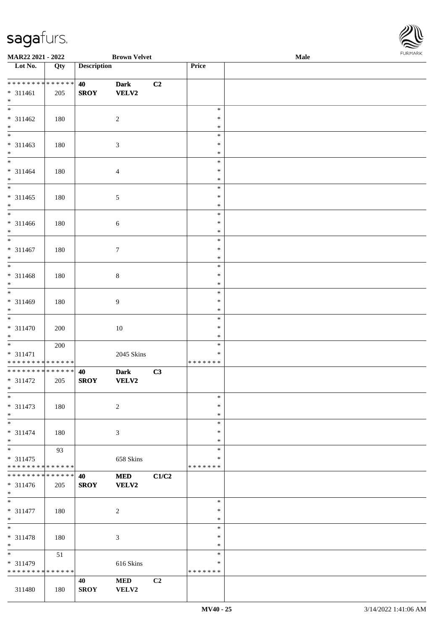

| MAR22 2021 - 2022                         |             | <b>Brown Velvet</b> |                  |       |                         | <b>FUNITANN</b> |  |
|-------------------------------------------|-------------|---------------------|------------------|-------|-------------------------|-----------------|--|
| $\overline{\phantom{1}}$ Lot No.          | Qty         | <b>Description</b>  |                  |       | Price                   |                 |  |
|                                           |             |                     |                  |       |                         |                 |  |
| **************                            |             | 40                  | <b>Dark</b>      | C2    |                         |                 |  |
| $* 311461$<br>$*$                         | 205         | <b>SROY</b>         | <b>VELV2</b>     |       |                         |                 |  |
| $\overline{\phantom{a}^*}$                |             |                     |                  |       | $\ast$                  |                 |  |
| $* 311462$                                | 180         |                     | $\sqrt{2}$       |       | $\ast$                  |                 |  |
| $\ast$                                    |             |                     |                  |       | $\ast$                  |                 |  |
| $\overline{\phantom{0}}$                  |             |                     |                  |       | $\ast$                  |                 |  |
| $* 311463$                                | 180         |                     | $\mathfrak{Z}$   |       | $\ast$                  |                 |  |
| $\ast$                                    |             |                     |                  |       | $\ast$                  |                 |  |
| $\overline{\ast}$                         |             |                     |                  |       | $\ast$                  |                 |  |
| $* 311464$                                | 180         |                     | $\overline{4}$   |       | $\ast$                  |                 |  |
| $\ast$<br>$\overline{\phantom{0}}$        |             |                     |                  |       | $\ast$<br>$\ast$        |                 |  |
| $* 311465$                                |             |                     |                  |       | $\ast$                  |                 |  |
| $\ast$                                    | 180         |                     | $\mathfrak{S}$   |       | $\ast$                  |                 |  |
| $_{\ast}^{-}$                             |             |                     |                  |       | $\ast$                  |                 |  |
| $* 311466$                                | 180         |                     | $\sqrt{6}$       |       | $\ast$                  |                 |  |
| $\ast$                                    |             |                     |                  |       | $\ast$                  |                 |  |
| $\overline{\phantom{0}}$                  |             |                     |                  |       | $\ast$                  |                 |  |
| $* 311467$                                | 180         |                     | $\boldsymbol{7}$ |       | $\ast$                  |                 |  |
| $\ast$<br>$\overline{\phantom{a}^*}$      |             |                     |                  |       | $\ast$                  |                 |  |
|                                           |             |                     |                  |       | $\ast$                  |                 |  |
| $* 311468$<br>$\ast$                      | 180         |                     | $8\,$            |       | $\ast$<br>$\ast$        |                 |  |
| $\overline{\phantom{a}^*}$                |             |                     |                  |       | $\ast$                  |                 |  |
| $* 311469$                                | 180         |                     | 9                |       | $\ast$                  |                 |  |
| $\ast$                                    |             |                     |                  |       | $\ast$                  |                 |  |
| $_{*}$                                    |             |                     |                  |       | $\ast$                  |                 |  |
| $* 311470$                                | 200         |                     | $10\,$           |       | $\ast$                  |                 |  |
| $\ast$                                    |             |                     |                  |       | $\ast$                  |                 |  |
| $_{*}$                                    | 200         |                     |                  |       | $\ast$                  |                 |  |
| $* 311471$<br>* * * * * * * * * * * * * * |             |                     | 2045 Skins       |       | $\ast$<br>* * * * * * * |                 |  |
| **************                            |             | 40                  | <b>Dark</b>      | C3    |                         |                 |  |
| $* 311472$                                | 205         | <b>SROY</b>         | VELV2            |       |                         |                 |  |
| $*$ $*$                                   |             |                     |                  |       |                         |                 |  |
| $\ast$                                    |             |                     |                  |       | $\ast$                  |                 |  |
| $* 311473$                                | 180         |                     | $\sqrt{2}$       |       | $\ast$                  |                 |  |
| $*$                                       |             |                     |                  |       | $\ast$                  |                 |  |
| $\overline{\phantom{0}}$                  |             |                     |                  |       | $\ast$                  |                 |  |
| $* 311474$                                | 180         |                     | $\mathfrak{Z}$   |       | $\ast$                  |                 |  |
| $*$<br>$_{\ast}^{-}$                      | 93          |                     |                  |       | ∗<br>$\ast$             |                 |  |
| $* 311475$                                |             |                     | 658 Skins        |       | $\ast$                  |                 |  |
| * * * * * * * * * * * * * *               |             |                     |                  |       | * * * * * * *           |                 |  |
| * * * * * * * *                           | * * * * * * | 40                  | <b>MED</b>       | C1/C2 |                         |                 |  |
| $* 311476$                                | 205         | <b>SROY</b>         | <b>VELV2</b>     |       |                         |                 |  |
| $*$                                       |             |                     |                  |       |                         |                 |  |
| $\overline{\phantom{0}}$                  |             |                     |                  |       | $\ast$                  |                 |  |
| * 311477                                  | 180         |                     | $\sqrt{2}$       |       | $\ast$                  |                 |  |
| $*$<br>$\ast$                             |             |                     |                  |       | $\ast$<br>$\ast$        |                 |  |
| * 311478                                  | 180         |                     | 3                |       | $\ast$                  |                 |  |
| $*$                                       |             |                     |                  |       | $\ast$                  |                 |  |
| $\overline{\phantom{0}}$                  | 51          |                     |                  |       | $\ast$                  |                 |  |
| * 311479                                  |             |                     | 616 Skins        |       | ∗                       |                 |  |
| * * * * * * * * * * * * * *               |             |                     |                  |       | * * * * * * *           |                 |  |
|                                           |             | 40                  | <b>MED</b>       | C2    |                         |                 |  |
| 311480                                    | 180         | <b>SROY</b>         | <b>VELV2</b>     |       |                         |                 |  |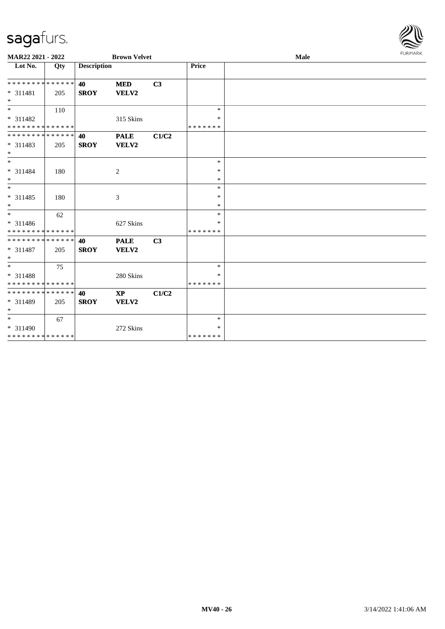

| MAR22 2021 - 2022                       |     |                    | <b>Brown Velvet</b> |                |                   | Male | FURMARK |
|-----------------------------------------|-----|--------------------|---------------------|----------------|-------------------|------|---------|
| Lot No.                                 | Qty | <b>Description</b> |                     |                | Price             |      |         |
| ******** <mark>******</mark>            |     | 40                 | <b>MED</b>          | C <sub>3</sub> |                   |      |         |
| * 311481<br>$*$                         | 205 | <b>SROY</b>        | VELV2               |                |                   |      |         |
| $\overline{\phantom{0}}$                | 110 |                    |                     |                | $\ast$            |      |         |
| * 311482<br>* * * * * * * * * * * * * * |     |                    | 315 Skins           |                | ∗<br>*******      |      |         |
| * * * * * * * * * * * * * * *           |     | 40                 | <b>PALE</b>         | C1/C2          |                   |      |         |
| * 311483<br>$*$                         | 205 | <b>SROY</b>        | VELV2               |                |                   |      |         |
| $*$                                     |     |                    |                     |                | $\ast$            |      |         |
| $* 311484$<br>$*$                       | 180 |                    | 2                   |                | $\ast$<br>$\ast$  |      |         |
| $*$                                     |     |                    |                     |                | $\ast$            |      |         |
| * 311485<br>$*$                         | 180 |                    | 3                   |                | $\ast$<br>$\ast$  |      |         |
| $*$                                     | 62  |                    |                     |                | $\ast$            |      |         |
| * 311486<br>* * * * * * * * * * * * * * |     |                    | 627 Skins           |                | $\ast$<br>******* |      |         |
| ******** <mark>******</mark>            |     | 40                 | <b>PALE</b>         | C <sub>3</sub> |                   |      |         |
| * 311487<br>$*$                         | 205 | <b>SROY</b>        | VELV2               |                |                   |      |         |
| $*$                                     | 75  |                    |                     |                | $\ast$            |      |         |
| * 311488                                |     |                    | 280 Skins           |                | ∗                 |      |         |
| * * * * * * * * * * * * * *             |     |                    |                     |                | *******           |      |         |
| * * * * * * * * * * * * * * *           |     | 40                 | <b>XP</b>           | C1/C2          |                   |      |         |
| * 311489<br>$*$                         | 205 | <b>SROY</b>        | VELV2               |                |                   |      |         |
| $*$                                     | 67  |                    |                     |                | $\ast$            |      |         |
| * 311490                                |     |                    | 272 Skins           |                | $\ast$            |      |         |
| * * * * * * * * * * * * * *             |     |                    |                     |                | *******           |      |         |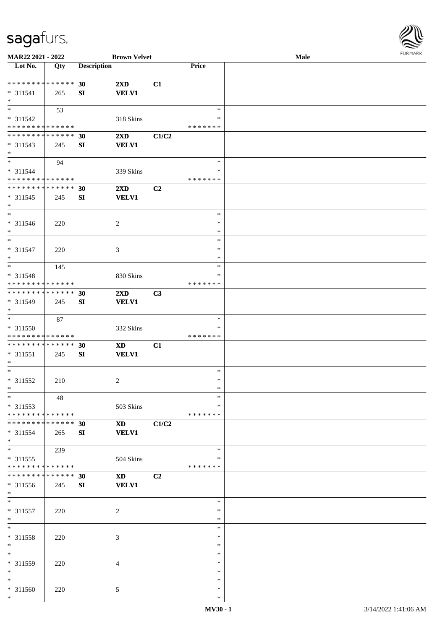

| MAR22 2021 - 2022             |     |                    | <b>Brown Velvet</b>     |                |               | Male |
|-------------------------------|-----|--------------------|-------------------------|----------------|---------------|------|
| Lot No.                       | Qty | <b>Description</b> |                         |                | Price         |      |
|                               |     |                    |                         |                |               |      |
| **************                |     | 30                 | $2\mathbf{X}\mathbf{D}$ | C1             |               |      |
|                               |     |                    |                         |                |               |      |
| $* 311541$                    | 265 | SI                 | <b>VELV1</b>            |                |               |      |
| $\ast$                        |     |                    |                         |                |               |      |
| $\overline{\phantom{0}}$      | 53  |                    |                         |                | $\ast$        |      |
| * 311542                      |     |                    | 318 Skins               |                | ∗             |      |
| * * * * * * * * * * * * * *   |     |                    |                         |                | * * * * * * * |      |
| **************                |     | 30                 | 2XD                     | C1/C2          |               |      |
| $* 311543$                    |     |                    |                         |                |               |      |
|                               | 245 | SI                 | <b>VELV1</b>            |                |               |      |
| $*$                           |     |                    |                         |                |               |      |
| $*$                           | 94  |                    |                         |                | $\ast$        |      |
| * 311544                      |     |                    | 339 Skins               |                | $\ast$        |      |
| * * * * * * * * * * * * * *   |     |                    |                         |                | * * * * * * * |      |
| ******** <mark>******</mark>  |     | 30                 | 2XD                     | C <sub>2</sub> |               |      |
| $* 311545$                    |     |                    |                         |                |               |      |
|                               | 245 | SI                 | <b>VELV1</b>            |                |               |      |
| $\ast$                        |     |                    |                         |                |               |      |
| $\overline{\phantom{a}^*}$    |     |                    |                         |                | $\ast$        |      |
| $* 311546$                    | 220 |                    | $\overline{2}$          |                | $\ast$        |      |
| $\ast$                        |     |                    |                         |                | $\ast$        |      |
| $\ast$                        |     |                    |                         |                | $\ast$        |      |
| $* 311547$                    |     |                    |                         |                | $\ast$        |      |
|                               | 220 |                    | 3                       |                |               |      |
| $\ast$                        |     |                    |                         |                | $\ast$        |      |
| $*$                           | 145 |                    |                         |                | $\ast$        |      |
| * 311548                      |     |                    | 830 Skins               |                | *             |      |
| * * * * * * * * * * * * * *   |     |                    |                         |                | * * * * * * * |      |
| **************                |     | 30                 | 2XD                     | C3             |               |      |
| * 311549                      |     | SI                 | <b>VELV1</b>            |                |               |      |
|                               | 245 |                    |                         |                |               |      |
| $*$                           |     |                    |                         |                |               |      |
| $\ast$                        | 87  |                    |                         |                | $\ast$        |      |
| * 311550                      |     |                    | 332 Skins               |                | *             |      |
| * * * * * * * * * * * * * *   |     |                    |                         |                | * * * * * * * |      |
| **************                |     | 30                 | <b>XD</b>               | C1             |               |      |
|                               |     |                    |                         |                |               |      |
| $* 311551$                    | 245 | SI                 | <b>VELV1</b>            |                |               |      |
| $\ast$                        |     |                    |                         |                |               |      |
| $*$                           |     |                    |                         |                | $\ast$        |      |
| $* 311552$                    | 210 |                    | 2                       |                | $\ast$        |      |
| $*$                           |     |                    |                         |                | $\ast$        |      |
| $*$                           | 48  |                    |                         |                | $\ast$        |      |
| $* 311553$                    |     |                    | 503 Skins               |                | *             |      |
|                               |     |                    |                         |                |               |      |
| * * * * * * * * * * * * * *   |     |                    |                         |                | * * * * * * * |      |
| * * * * * * * * * * * * * * * |     | 30                 | <b>XD</b>               | C1/C2          |               |      |
| * 311554                      | 265 | SI                 | <b>VELV1</b>            |                |               |      |
| $*$                           |     |                    |                         |                |               |      |
| $\overline{\phantom{a}^*}$    | 239 |                    |                         |                | $\ast$        |      |
| $* 311555$                    |     |                    |                         |                | *             |      |
| * * * * * * * * * * * * * *   |     |                    | 504 Skins               |                | * * * * * * * |      |
|                               |     |                    |                         |                |               |      |
| * * * * * * * * * * * * * * * |     | 30                 | <b>XD</b>               | C2             |               |      |
| * 311556                      | 245 | SI                 | <b>VELV1</b>            |                |               |      |
| $*$                           |     |                    |                         |                |               |      |
| $*$                           |     |                    |                         |                | $\ast$        |      |
| * 311557                      |     |                    |                         |                | $\ast$        |      |
|                               | 220 |                    | $\overline{c}$          |                |               |      |
| $*$                           |     |                    |                         |                | $\ast$        |      |
| $\ast$                        |     |                    |                         |                | $\ast$        |      |
| * 311558                      | 220 |                    | 3                       |                | $\ast$        |      |
| $\ast$                        |     |                    |                         |                | $\ast$        |      |
| $\ast$                        |     |                    |                         |                | $\ast$        |      |
|                               |     |                    |                         |                |               |      |
| * 311559                      | 220 |                    | 4                       |                | ∗             |      |
| $\ast$                        |     |                    |                         |                | $\ast$        |      |
| $*$                           |     |                    |                         |                | $\ast$        |      |
| * 311560                      | 220 |                    | 5                       |                | $\ast$        |      |
| $\ast$                        |     |                    |                         |                | $\ast$        |      |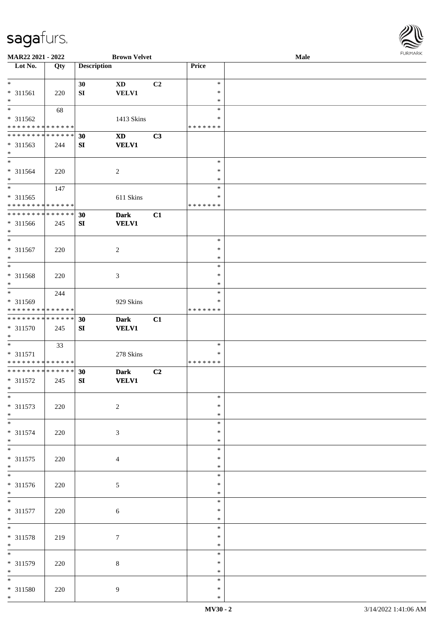

| MAR22 2021 - 2022           |     |                    | <b>Brown Velvet</b>    |    |               | Male |
|-----------------------------|-----|--------------------|------------------------|----|---------------|------|
| Lot No.                     | Qty | <b>Description</b> |                        |    | Price         |      |
|                             |     |                    |                        |    |               |      |
| $*$                         |     |                    |                        |    |               |      |
|                             |     | 30                 | <b>XD</b>              | C2 | $\ast$        |      |
| $* 311561$                  | 220 | ${\bf S}{\bf I}$   | <b>VELV1</b>           |    | $\ast$        |      |
| $\ast$                      |     |                    |                        |    | $\ast$        |      |
| $\overline{\phantom{0}}$    | 68  |                    |                        |    | $\ast$        |      |
|                             |     |                    |                        |    |               |      |
| $* 311562$                  |     |                    | 1413 Skins             |    | ∗             |      |
| * * * * * * * * * * * * * * |     |                    |                        |    | * * * * * * * |      |
| * * * * * * * * * * * * * * |     | 30                 | $\mathbf{X}\mathbf{D}$ | C3 |               |      |
| * 311563                    |     |                    | <b>VELV1</b>           |    |               |      |
|                             | 244 | ${\bf S}{\bf I}$   |                        |    |               |      |
| $\ast$                      |     |                    |                        |    |               |      |
| $\overline{\ast}$           |     |                    |                        |    | $\ast$        |      |
| $* 311564$                  | 220 |                    | $\boldsymbol{2}$       |    | $\ast$        |      |
| $*$                         |     |                    |                        |    | $\ast$        |      |
|                             |     |                    |                        |    |               |      |
| $*$                         | 147 |                    |                        |    | $\ast$        |      |
| $* 311565$                  |     |                    | 611 Skins              |    | $\ast$        |      |
| * * * * * * * * * * * * * * |     |                    |                        |    | * * * * * * * |      |
| * * * * * * * * * * * * * * |     |                    |                        |    |               |      |
|                             |     | 30                 | <b>Dark</b>            | C1 |               |      |
| $* 311566$                  | 245 | SI                 | <b>VELV1</b>           |    |               |      |
| $*$                         |     |                    |                        |    |               |      |
| $\ast$                      |     |                    |                        |    | $\ast$        |      |
|                             |     |                    |                        |    | $\ast$        |      |
| $* 311567$                  | 220 |                    | $\boldsymbol{2}$       |    |               |      |
| $\ast$                      |     |                    |                        |    | $\ast$        |      |
| $*$                         |     |                    |                        |    | $\ast$        |      |
| $* 311568$                  | 220 |                    | 3                      |    | $\ast$        |      |
|                             |     |                    |                        |    |               |      |
| $\ast$                      |     |                    |                        |    | $\ast$        |      |
| $*$                         | 244 |                    |                        |    | $\ast$        |      |
| * 311569                    |     |                    | 929 Skins              |    | $\ast$        |      |
| * * * * * * * * * * * * * * |     |                    |                        |    | * * * * * * * |      |
|                             |     |                    |                        |    |               |      |
| * * * * * * * * * * * * * * |     | 30                 | <b>Dark</b>            | C1 |               |      |
| * 311570                    | 245 | SI                 | <b>VELV1</b>           |    |               |      |
| $*$                         |     |                    |                        |    |               |      |
| $*$                         | 33  |                    |                        |    | $\ast$        |      |
|                             |     |                    |                        |    |               |      |
| $* 311571$                  |     |                    | 278 Skins              |    | $\ast$        |      |
| * * * * * * * * * * * * * * |     |                    |                        |    | * * * * * * * |      |
| * * * * * * * * * * * * * * |     | 30                 | <b>Dark</b>            | C2 |               |      |
| * 311572                    |     | SI                 | <b>VELV1</b>           |    |               |      |
|                             | 245 |                    |                        |    |               |      |
| $*$                         |     |                    |                        |    |               |      |
| $*$                         |     |                    |                        |    | $\ast$        |      |
| $* 311573$                  | 220 |                    | $\sqrt{2}$             |    | $\ast$        |      |
| $*$                         |     |                    |                        |    | $\ast$        |      |
| $\overline{\phantom{0}}$    |     |                    |                        |    |               |      |
|                             |     |                    |                        |    | $\ast$        |      |
| $* 311574$                  | 220 |                    | 3                      |    | ∗             |      |
| $*$                         |     |                    |                        |    | $\ast$        |      |
| $*$                         |     |                    |                        |    | $\ast$        |      |
|                             |     |                    |                        |    |               |      |
| $* 311575$                  | 220 |                    | 4                      |    | $\ast$        |      |
| $*$                         |     |                    |                        |    | $\ast$        |      |
| $\overline{\phantom{0}}$    |     |                    |                        |    | $\ast$        |      |
|                             |     |                    |                        |    | $\ast$        |      |
| * 311576                    | 220 |                    | 5                      |    |               |      |
| $*$                         |     |                    |                        |    | $\ast$        |      |
| $\overline{\phantom{0}}$    |     |                    |                        |    | $\ast$        |      |
| $* 311577$                  | 220 |                    | 6                      |    | $\ast$        |      |
|                             |     |                    |                        |    |               |      |
| $*$                         |     |                    |                        |    | $\ast$        |      |
| $\overline{\ast}$           |     |                    |                        |    | $\ast$        |      |
| * 311578                    | 219 |                    | $\tau$                 |    | $\ast$        |      |
| $*$                         |     |                    |                        |    | $\ast$        |      |
| $\overline{\phantom{0}}$    |     |                    |                        |    |               |      |
|                             |     |                    |                        |    | $\ast$        |      |
| * 311579                    | 220 |                    | 8                      |    | $\ast$        |      |
| $*$                         |     |                    |                        |    | $\ast$        |      |
| $\overline{\ast}$           |     |                    |                        |    | $\ast$        |      |
|                             |     |                    |                        |    |               |      |
| $* 311580$                  | 220 |                    | 9                      |    | $\ast$        |      |
| $*$                         |     |                    |                        |    | $\ast$        |      |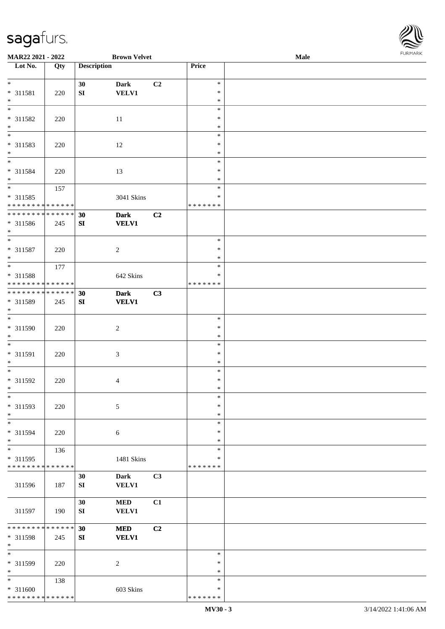\*

**MAR22 2021 - 2022 <b>Brown Velvet** 

**30 Dark C2**

**Lot No. Qty Description** 

|                  | <b>FURMARK</b> |  |
|------------------|----------------|--|
| Price            | Male           |  |
|                  |                |  |
| $\ast$           |                |  |
| $\ast$           |                |  |
| $\ast$           |                |  |
| $\ast$           |                |  |
| $\ast$           |                |  |
| $\ast$<br>$\ast$ |                |  |
| $\ast$           |                |  |
| $\ast$           |                |  |
| $\ast$           |                |  |
| $\ast$           |                |  |
| $\ast$           |                |  |
| $\ast$           |                |  |
| $\ast$           |                |  |
| * * * * * * *    |                |  |
|                  |                |  |
|                  |                |  |
| $\ast$           |                |  |
| $\ast$           |                |  |
| $\ast$           |                |  |
| $\ast$           |                |  |
| $\ast$           |                |  |
| * * * * * * *    |                |  |
|                  |                |  |
|                  |                |  |
| $\ast$           |                |  |
| $\ast$           |                |  |
| $\ast$           |                |  |
| $\ast$           |                |  |
| $\ast$           |                |  |
| $\ast$           |                |  |
| $\ast$           |                |  |
| $\ast$<br>$\ast$ |                |  |
| $\ast$           |                |  |
| $\ast$           |                |  |
| $\ast$           |                |  |
| $\ast$           |                |  |
| $\ast$           |                |  |
| $\ast$           |                |  |
| $\ast$           |                |  |
| $\ast$           |                |  |

| 311597                               | 190 | SI               | <b>VELV1</b>   |    |               |  |
|--------------------------------------|-----|------------------|----------------|----|---------------|--|
|                                      |     |                  |                |    |               |  |
|                                      |     | 30               | $\bf MED$      | C1 |               |  |
|                                      |     |                  |                |    |               |  |
| 311596                               | 187 | SI               | <b>VELV1</b>   |    |               |  |
|                                      |     | 30               | <b>Dark</b>    | C3 |               |  |
| * * * * * * * * * * * * * *          |     |                  |                |    | * * * * * * * |  |
| * 311595                             |     |                  | 1481 Skins     |    | ∗             |  |
|                                      | 136 |                  |                |    |               |  |
| $\ast$                               |     |                  |                |    | $\ast$        |  |
| $\ast$                               |     |                  |                |    | $\ast$        |  |
| * 311594                             | 220 |                  | $\sqrt{6}$     |    | $\ast$        |  |
| $*$ $-$                              |     |                  |                |    | $*$           |  |
| $*$                                  |     |                  |                |    | $\ast$        |  |
| * 311593                             | 220 |                  | $5\,$          |    | $\ast$        |  |
| $\overline{\ast}$                    |     |                  |                |    | $\ast$        |  |
|                                      |     |                  |                |    |               |  |
| $\ast$                               | 220 |                  | $\overline{4}$ |    | $\ast$        |  |
| * 311592                             |     |                  |                |    | $\ast$        |  |
| $*$                                  |     |                  |                |    | $\ast$        |  |
| $\ast$                               |     |                  |                |    | $\ast$        |  |
| $* 311591$                           | 220 |                  | $\mathfrak{Z}$ |    | $\ast$        |  |
| $\ast$                               |     |                  |                |    | $\ast$        |  |
| $\ast$                               |     |                  |                |    | $\ast$        |  |
| * 311590                             | 220 |                  | $\overline{c}$ |    | $\ast$        |  |
| $\ast$                               |     |                  |                |    | $\ast$        |  |
| $\ast$                               |     |                  |                |    |               |  |
| $* 311589$                           | 245 | SI               | <b>VELV1</b>   |    |               |  |
|                                      |     |                  | <b>Dark</b>    |    |               |  |
| ******** <mark>******</mark>         |     | 30               |                | C3 |               |  |
| **************                       |     |                  |                |    | * * * * * * * |  |
| * 311588                             |     |                  | 642 Skins      |    | $\ast$        |  |
| $\overline{\ast}$                    | 177 |                  |                |    | $\ast$        |  |
| $*$                                  |     |                  |                |    | $\ast$        |  |
| $* 311587$                           | 220 |                  | $\overline{2}$ |    | $\ast$        |  |
| $\overline{\ast}$                    |     |                  |                |    | $\ast$        |  |
| $*$                                  |     |                  |                |    |               |  |
| * 311586                             | 245 | SI               | <b>VELV1</b>   |    |               |  |
| ******** <mark>******</mark>         |     | 30               | <b>Dark</b>    | C2 |               |  |
| **************                       |     |                  |                |    | * * * * * * * |  |
| $* 311585$                           |     |                  | 3041 Skins     |    | $\ast$        |  |
| $\overline{\phantom{0}}$             | 157 |                  |                |    | $\ast$        |  |
| $\ast$                               |     |                  |                |    | $\ast$        |  |
| $* 311584$                           | 220 |                  | 13             |    | $\ast$        |  |
| $*$                                  |     |                  |                |    | $\ast$        |  |
| $\ast$                               |     |                  |                |    | $\ast$        |  |
| $* 311583$                           | 220 |                  | 12             |    | $\ast$        |  |
|                                      |     |                  |                |    | $\ast$        |  |
| $\ast$<br>$\overline{\phantom{a}^*}$ |     |                  |                |    | $\ast$        |  |
| * 311582                             | 220 |                  | 11             |    |               |  |
|                                      |     |                  |                |    | $\ast$        |  |
| $\ast$                               |     |                  |                |    | $\ast$        |  |
| $\ast$                               |     |                  |                |    | $\ast$        |  |
| * 311581                             | 220 | ${\bf S}{\bf I}$ | <b>VELV1</b>   |    | $\ast$        |  |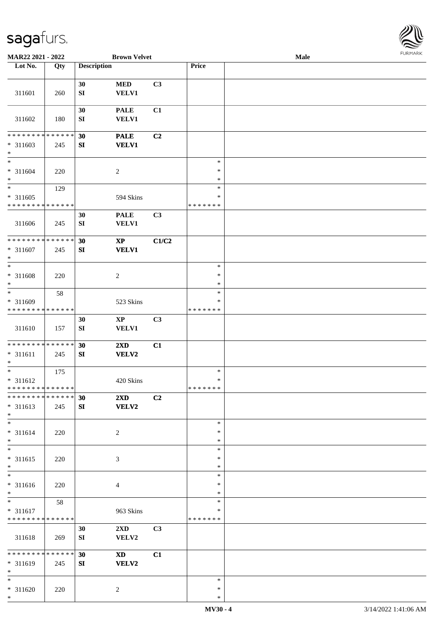\*



| MAR22 2021 - 2022                                                     |                    |                    | <b>Brown Velvet</b>              |                |                                   | Male | <b>FURMARK</b> |
|-----------------------------------------------------------------------|--------------------|--------------------|----------------------------------|----------------|-----------------------------------|------|----------------|
| Lot No.                                                               | Qty                | <b>Description</b> |                                  |                | Price                             |      |                |
| 311601                                                                | 260                | 30<br>SI           | $\bf MED$<br><b>VELV1</b>        | C3             |                                   |      |                |
| 311602                                                                | 180                | 30<br>${\bf SI}$   | <b>PALE</b><br><b>VELV1</b>      | C1             |                                   |      |                |
| * * * * * * * *<br>$* 311603$<br>$\ast$                               | * * * * * *<br>245 | 30<br>${\bf SI}$   | <b>PALE</b><br><b>VELV1</b>      | C <sub>2</sub> |                                   |      |                |
| $\ast$<br>$* 311604$<br>$\ast$                                        | 220                |                    | $\sqrt{2}$                       |                | $\ast$<br>$\ast$<br>$\ast$        |      |                |
| $\ast$<br>$* 311605$<br>* * * * * * * * * * * * * *                   | 129                |                    | 594 Skins                        |                | $\ast$<br>$\ast$<br>* * * * * * * |      |                |
| 311606                                                                | 245                | 30<br>${\bf SI}$   | <b>PALE</b><br><b>VELV1</b>      | C3             |                                   |      |                |
| **************<br>$* 311607$<br>$\ast$<br>$\overline{\phantom{0}}$    | 245                | 30<br>${\bf SI}$   | $\bold{XP}$<br><b>VELV1</b>      | C1/C2          |                                   |      |                |
| * 311608<br>$\ast$<br>$\overline{\phantom{0}}$                        | 220                |                    | $\overline{c}$                   |                | $\ast$<br>$\ast$<br>$\ast$        |      |                |
| * 311609<br>* * * * * * * * * * * * * *                               | 58                 |                    | 523 Skins                        |                | $\ast$<br>$\ast$<br>* * * * * * * |      |                |
| 311610                                                                | 157                | 30<br>SI           | $\bold{XP}$<br>VELV1             | C <sub>3</sub> |                                   |      |                |
| ******** <mark>******</mark><br>$* 311611$<br>$\ast$                  | 245                | 30<br>SI           | 2XD<br><b>VELV2</b>              | C1             |                                   |      |                |
| $\overline{\phantom{0}}$<br>$* 311612$<br>* * * * * * * * * * * * * * | 175                |                    | 420 Skins                        |                | $\ast$<br>$\ast$<br>* * * * * * * |      |                |
| * * * * * * * * * * * * * *<br>$* 311613$<br>$\ast$                   | 245                | 30<br>SI           | 2XD<br><b>VELV2</b>              | C <sub>2</sub> |                                   |      |                |
| $*$<br>* 311614<br>$\ast$                                             | 220                |                    | $\overline{2}$                   |                | $\ast$<br>$\ast$<br>$\ast$        |      |                |
| $\overline{\phantom{0}}$<br>$* 311615$<br>$\ast$                      | 220                |                    | $\mathfrak{Z}$                   |                | $\ast$<br>∗<br>$\ast$             |      |                |
| $\overline{\phantom{a}^*}$<br>$* 311616$<br>$\ast$                    | 220                |                    | $\overline{4}$                   |                | $\ast$<br>$\ast$<br>$\ast$        |      |                |
| $\ast$<br>$* 311617$<br>* * * * * * * * * * * * * *                   | 58                 |                    | 963 Skins                        |                | $\ast$<br>$\ast$<br>* * * * * * * |      |                |
| 311618                                                                | 269                | 30<br>SI           | $2\mathbf{X}\mathbf{D}$<br>VELV2 | C <sub>3</sub> |                                   |      |                |
| ******** <mark>*****</mark> *<br>* 311619<br>$\ast$                   | 245                | 30<br>SI           | <b>XD</b><br><b>VELV2</b>        | C1             |                                   |      |                |
| $\ast$<br>$* 311620$<br>$*$                                           | 220                |                    | 2                                |                | $\ast$<br>$\ast$<br>$\ast$        |      |                |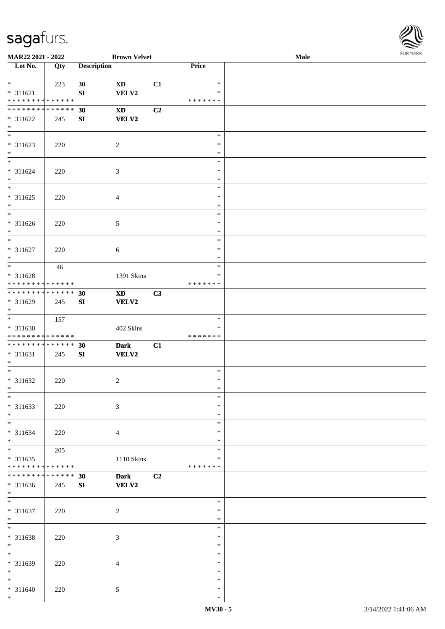

| MAR22 2021 - 2022                                |     |                    | <b>Brown Velvet</b>         |    |                                   | <b>Male</b> |  |
|--------------------------------------------------|-----|--------------------|-----------------------------|----|-----------------------------------|-------------|--|
| Lot No.                                          | Qty | <b>Description</b> |                             |    | Price                             |             |  |
| $*$<br>* 311621<br>* * * * * * * * * * * * * *   | 223 | 30<br>SI           | <b>XD</b><br>VELV2          | C1 | $\ast$<br>$\ast$<br>* * * * * * * |             |  |
| * * * * * * * * * * * * * * *<br>* 311622<br>$*$ | 245 | 30<br>SI           | <b>XD</b><br><b>VELV2</b>   | C2 |                                   |             |  |
| $\overline{\phantom{0}}$<br>$* 311623$<br>$*$    | 220 |                    | $\overline{c}$              |    | $\ast$<br>$\ast$<br>$\ast$        |             |  |
| $* 311624$<br>$*$                                | 220 |                    | 3                           |    | $\ast$<br>$\ast$<br>$\ast$        |             |  |
| * 311625<br>$*$                                  | 220 |                    | 4                           |    | $\ast$<br>$\ast$<br>$\ast$        |             |  |
| $\overline{\phantom{0}}$<br>* 311626<br>$*$      | 220 |                    | 5                           |    | $\ast$<br>$\ast$<br>$\ast$        |             |  |
| $*$<br>$* 311627$<br>$*$                         | 220 |                    | 6                           |    | $\ast$<br>$\ast$<br>$\ast$        |             |  |
| * 311628<br>* * * * * * * * * * * * * *          | 46  |                    | 1391 Skins                  |    | $\ast$<br>∗<br>* * * * * * *      |             |  |
| * * * * * * * * * * * * * * *<br>* 311629<br>$*$ | 245 | 30<br>SI           | <b>XD</b><br>VELV2          | C3 |                                   |             |  |
| $*$<br>$* 311630$<br>* * * * * * * * * * * * * * | 157 |                    | 402 Skins                   |    | $\ast$<br>∗<br>* * * * * * *      |             |  |
| * * * * * * * * * * * * * * *<br>* 311631<br>$*$ | 245 | 30<br>SI           | <b>Dark</b><br><b>VELV2</b> | C1 |                                   |             |  |
| $*$<br>$* 311632$<br>$*$                         | 220 |                    | $\overline{c}$              |    | $\ast$<br>$\ast$<br>$\ast$        |             |  |
| $\ast$<br>* 311633<br>$*$                        | 220 |                    | 3                           |    | $\ast$<br>$\ast$<br>$\ast$        |             |  |
| $*$<br>$* 311634$<br>$*$                         | 220 |                    | $\overline{4}$              |    | $\ast$<br>∗<br>$\ast$             |             |  |
| $*$<br>$* 311635$<br>* * * * * * * * * * * * * * | 205 |                    | 1110 Skins                  |    | $\ast$<br>$\ast$<br>* * * * * * * |             |  |
| * * * * * * * * * * * * * * *<br>* 311636<br>$*$ | 245 | 30<br>SI           | <b>Dark</b><br><b>VELV2</b> | C2 |                                   |             |  |
| $*$<br>* 311637<br>$*$                           | 220 |                    | $\boldsymbol{2}$            |    | $\ast$<br>$\ast$<br>$\ast$        |             |  |
| $*$<br>* 311638<br>$*$                           | 220 |                    | 3                           |    | $\ast$<br>$\ast$<br>$\ast$        |             |  |
| $\ast$<br>* 311639<br>$*$                        | 220 |                    | $\overline{4}$              |    | $\ast$<br>∗<br>$\ast$             |             |  |
| $*$<br>$* 311640$<br>$\ast$                      | 220 |                    | 5                           |    | $\ast$<br>$\ast$<br>$\ast$        |             |  |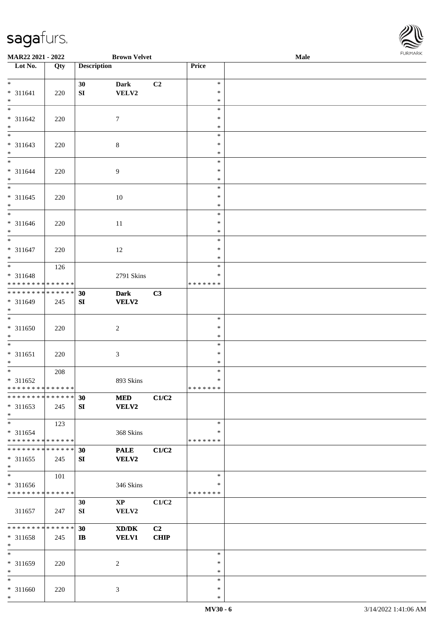

| 10111111111<br><b>Brown Velvet</b><br>MAR22 2021 - 2022<br>Male |             |                    |                        |             |               |  |  |
|-----------------------------------------------------------------|-------------|--------------------|------------------------|-------------|---------------|--|--|
| $\overline{\phantom{1}}$ Lot No.                                | Qty         | <b>Description</b> |                        |             | Price         |  |  |
|                                                                 |             |                    |                        |             |               |  |  |
| $*$                                                             |             | 30                 | <b>Dark</b>            | C2          | $\ast$        |  |  |
| * 311641                                                        | 220         | SI                 | VELV2                  |             | $\ast$        |  |  |
| $*$                                                             |             |                    |                        |             | $\ast$        |  |  |
|                                                                 |             |                    |                        |             | $\ast$        |  |  |
| * 311642                                                        | 220         |                    | $\tau$                 |             | $\ast$        |  |  |
| $*$                                                             |             |                    |                        |             | $\ast$        |  |  |
|                                                                 |             |                    |                        |             | $\ast$        |  |  |
| * 311643                                                        | 220         |                    | $\,8\,$                |             | $\ast$        |  |  |
| $*$                                                             |             |                    |                        |             | $\ast$        |  |  |
| $*$                                                             |             |                    |                        |             | $\ast$        |  |  |
| * 311644                                                        | 220         |                    | $\overline{9}$         |             | $\ast$        |  |  |
| $*$                                                             |             |                    |                        |             | $\ast$        |  |  |
| $\overline{\phantom{0}}$                                        |             |                    |                        |             | $\ast$        |  |  |
| $* 311645$                                                      | 220         |                    | 10                     |             | $\ast$        |  |  |
| $*$                                                             |             |                    |                        |             | $\ast$        |  |  |
| $*$                                                             |             |                    |                        |             | $\ast$        |  |  |
| * 311646                                                        | 220         |                    | 11                     |             | $\ast$        |  |  |
| $*$                                                             |             |                    |                        |             | $\ast$        |  |  |
| $\overline{\ast}$                                               |             |                    |                        |             | $\ast$        |  |  |
| * 311647                                                        | 220         |                    | 12                     |             | $\ast$        |  |  |
| $*$                                                             |             |                    |                        |             | $\ast$        |  |  |
|                                                                 | 126         |                    |                        |             | $\ast$        |  |  |
| * 311648                                                        |             |                    | 2791 Skins             |             | $\ast$        |  |  |
| ******** <mark>******</mark>                                    |             |                    |                        |             | * * * * * * * |  |  |
| ******** <mark>******</mark>                                    |             | 30                 | <b>Dark</b>            | C3          |               |  |  |
| * 311649                                                        | 245         | SI                 | <b>VELV2</b>           |             |               |  |  |
| $\ast$                                                          |             |                    |                        |             |               |  |  |
| $*$                                                             |             |                    |                        |             | $\ast$        |  |  |
| * 311650                                                        | 220         |                    | $\sqrt{2}$             |             | $\ast$        |  |  |
| $*$                                                             |             |                    |                        |             | $\ast$        |  |  |
| $*$                                                             |             |                    |                        |             | $\ast$        |  |  |
| $* 311651$                                                      |             |                    |                        |             | $\ast$        |  |  |
| $*$                                                             | 220         |                    | 3                      |             | $\ast$        |  |  |
| $*$                                                             |             |                    |                        |             | $\ast$        |  |  |
|                                                                 | 208         |                    |                        |             | $\ast$        |  |  |
| * 311652<br>* * * * * * * * * * * * * * *                       |             |                    | 893 Skins              |             | *******       |  |  |
| * * * * * * * * * * * * * * *                                   |             |                    |                        |             |               |  |  |
|                                                                 |             | 30                 | <b>MED</b>             | C1/C2       |               |  |  |
| $* 311653$                                                      | 245         | SI                 | <b>VELV2</b>           |             |               |  |  |
| $*$                                                             |             |                    |                        |             |               |  |  |
| $*$                                                             | 123         |                    |                        |             | $\ast$        |  |  |
| * 311654                                                        |             |                    | 368 Skins              |             | $\ast$        |  |  |
| * * * * * * * * * * * * * * *                                   |             |                    |                        |             | * * * * * * * |  |  |
| * * * * * * * *                                                 | * * * * * * | 30                 | <b>PALE</b>            | C1/C2       |               |  |  |
| $* 311655$                                                      | 245         | SI                 | <b>VELV2</b>           |             |               |  |  |
| $*$                                                             |             |                    |                        |             |               |  |  |
| $*$                                                             | 101         |                    |                        |             | $\ast$        |  |  |
| * 311656                                                        |             |                    | 346 Skins              |             | ∗             |  |  |
| * * * * * * * * * * * * * *                                     |             |                    |                        |             | * * * * * * * |  |  |
|                                                                 |             | 30                 | $\mathbf{X}\mathbf{P}$ | C1/C2       |               |  |  |
| 311657                                                          | 247         | SI                 | VELV2                  |             |               |  |  |
|                                                                 |             |                    |                        |             |               |  |  |
| * * * * * * * *                                                 | * * * * * * | 30                 | XD/DK                  | C2          |               |  |  |
| * 311658                                                        | 245         | $\mathbf{I}$       | <b>VELV1</b>           | <b>CHIP</b> |               |  |  |
| $*$                                                             |             |                    |                        |             |               |  |  |
| $*$                                                             |             |                    |                        |             | $\ast$        |  |  |
| * 311659                                                        | 220         |                    | 2                      |             | $\ast$        |  |  |
| $*$                                                             |             |                    |                        |             | $\ast$        |  |  |
| $*$                                                             |             |                    |                        |             | $\ast$        |  |  |
| $* 311660$                                                      | 220         |                    | 3                      |             | $\ast$        |  |  |
| $\ast$                                                          |             |                    |                        |             | $\ast$        |  |  |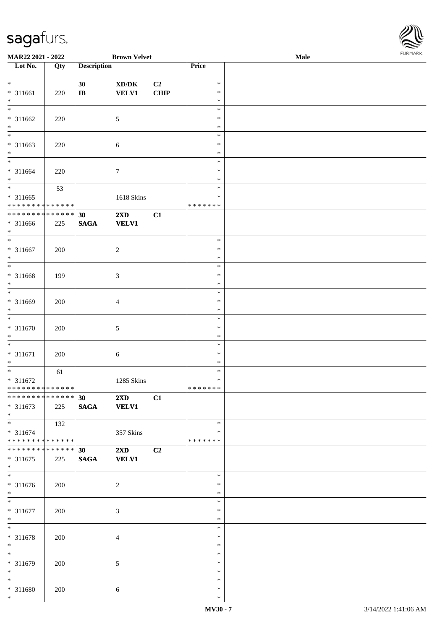

| MAR22 2021 - 2022             |     |                    | <b>Brown Velvet</b>                 |             |               | <b>Male</b> |  |
|-------------------------------|-----|--------------------|-------------------------------------|-------------|---------------|-------------|--|
| Lot No.                       | Qty | <b>Description</b> |                                     |             | Price         |             |  |
|                               |     |                    |                                     |             |               |             |  |
| $*$                           |     | 30                 | $\bold{X}\bold{D}/\bold{D}\bold{K}$ | C2          | $\ast$        |             |  |
| * 311661                      | 220 | $\bf I\bf B$       | <b>VELV1</b>                        | <b>CHIP</b> | $\ast$        |             |  |
| $*$                           |     |                    |                                     |             | $\ast$        |             |  |
| $\overline{\phantom{0}}$      |     |                    |                                     |             | $\ast$        |             |  |
|                               |     |                    |                                     |             | $\ast$        |             |  |
| $* 311662$                    | 220 |                    | $\mathfrak{S}$                      |             |               |             |  |
| $\ast$                        |     |                    |                                     |             | $\ast$        |             |  |
| $\overline{\phantom{0}}$      |     |                    |                                     |             | $\ast$        |             |  |
| * 311663                      | 220 |                    | $\sqrt{6}$                          |             | $\ast$        |             |  |
| $*$                           |     |                    |                                     |             | $\ast$        |             |  |
| $\overline{\ast}$             |     |                    |                                     |             | $\ast$        |             |  |
| * 311664                      | 220 |                    | $\boldsymbol{7}$                    |             | $\ast$        |             |  |
| $*$                           |     |                    |                                     |             | $\ast$        |             |  |
| $\overline{\phantom{0}}$      | 53  |                    |                                     |             | $\ast$        |             |  |
| $* 311665$                    |     |                    |                                     |             | $\ast$        |             |  |
|                               |     |                    | 1618 Skins                          |             |               |             |  |
| * * * * * * * * * * * * * *   |     |                    |                                     |             | *******       |             |  |
| * * * * * * * * * * * * * *   |     | 30                 | 2XD                                 | C1          |               |             |  |
| * 311666                      | 225 | <b>SAGA</b>        | <b>VELV1</b>                        |             |               |             |  |
| $*$                           |     |                    |                                     |             |               |             |  |
| $*$                           |     |                    |                                     |             | $\ast$        |             |  |
| $* 311667$                    | 200 |                    | $\sqrt{2}$                          |             | $\ast$        |             |  |
| $*$                           |     |                    |                                     |             | $\ast$        |             |  |
| $\overline{\ast}$             |     |                    |                                     |             | $\ast$        |             |  |
|                               |     |                    |                                     |             |               |             |  |
| * 311668                      | 199 |                    | $\mathfrak{Z}$                      |             | $\ast$        |             |  |
| $\ast$                        |     |                    |                                     |             | $\ast$        |             |  |
| $\overline{\ast}$             |     |                    |                                     |             | $\ast$        |             |  |
| * 311669                      | 200 |                    | $\overline{4}$                      |             | $\ast$        |             |  |
| $*$                           |     |                    |                                     |             | $\ast$        |             |  |
| $*$                           |     |                    |                                     |             | $\ast$        |             |  |
| $* 311670$                    | 200 |                    | 5                                   |             | $\ast$        |             |  |
| $*$                           |     |                    |                                     |             | $\ast$        |             |  |
| $*$                           |     |                    |                                     |             | $\ast$        |             |  |
|                               |     |                    |                                     |             | $\ast$        |             |  |
| $* 311671$                    | 200 |                    | $\boldsymbol{6}$                    |             |               |             |  |
| $*$                           |     |                    |                                     |             | $\ast$        |             |  |
| $*$                           | 61  |                    |                                     |             | $\ast$        |             |  |
| $* 311672$                    |     |                    | 1285 Skins                          |             | $\ast$        |             |  |
| ******** <mark>******</mark>  |     |                    |                                     |             | *******       |             |  |
| **************                |     | 30                 | 2XD                                 | C1          |               |             |  |
| $* 311673$                    | 225 | <b>SAGA</b>        | <b>VELV1</b>                        |             |               |             |  |
| $*$                           |     |                    |                                     |             |               |             |  |
|                               | 132 |                    |                                     |             | $\ast$        |             |  |
| * 311674                      |     |                    |                                     |             | ∗             |             |  |
| ******** <mark>******</mark>  |     |                    | 357 Skins                           |             | * * * * * * * |             |  |
|                               |     |                    |                                     |             |               |             |  |
| * * * * * * * * * * * * * * * |     | 30                 | $2\mathbf{X}\mathbf{D}$             | C2          |               |             |  |
| $* 311675$                    | 225 | <b>SAGA</b>        | <b>VELV1</b>                        |             |               |             |  |
| $*$                           |     |                    |                                     |             |               |             |  |
|                               |     |                    |                                     |             | $\ast$        |             |  |
| $* 311676$                    | 200 |                    | 2                                   |             | $\ast$        |             |  |
| $*$                           |     |                    |                                     |             | $\ast$        |             |  |
| $*$                           |     |                    |                                     |             | $\ast$        |             |  |
| $* 311677$                    | 200 |                    | $\mathfrak{Z}$                      |             | $\ast$        |             |  |
| $*$                           |     |                    |                                     |             | $\ast$        |             |  |
| $*$                           |     |                    |                                     |             | $\ast$        |             |  |
|                               |     |                    |                                     |             |               |             |  |
| * 311678                      | 200 |                    | $\overline{4}$                      |             | $\ast$        |             |  |
| $*$                           |     |                    |                                     |             | $\ast$        |             |  |
| $\overline{\ast}$             |     |                    |                                     |             | $\ast$        |             |  |
| * 311679                      | 200 |                    | 5                                   |             | $\ast$        |             |  |
| $*$                           |     |                    |                                     |             | $\ast$        |             |  |
| $*$                           |     |                    |                                     |             | $\ast$        |             |  |
| * 311680                      | 200 |                    | 6                                   |             | $\ast$        |             |  |
| $*$                           |     |                    |                                     |             | $\ast$        |             |  |
|                               |     |                    |                                     |             |               |             |  |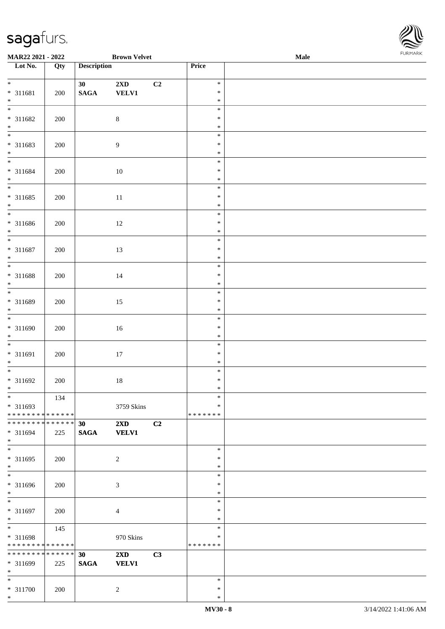\*



| <b>Brown Velvet</b><br>MAR22 2021 - 2022   |     |                    |                         |                | <b>FUNITANN</b><br>Male |  |  |
|--------------------------------------------|-----|--------------------|-------------------------|----------------|-------------------------|--|--|
| Lot No.                                    | Qty | <b>Description</b> |                         |                | Price                   |  |  |
|                                            |     |                    |                         |                |                         |  |  |
| $*$                                        |     | 30 <sup>°</sup>    | $2\mathbf{X}\mathbf{D}$ | C <sub>2</sub> | $\ast$                  |  |  |
| * 311681                                   | 200 | $\mathbf{SAGA}$    | <b>VELV1</b>            |                | $\ast$                  |  |  |
| $*$                                        |     |                    |                         |                | $\ast$<br>$\ast$        |  |  |
|                                            |     |                    |                         |                | $\ast$                  |  |  |
| * 311682<br>$*$                            | 200 |                    | $\,8\,$                 |                | $\ast$                  |  |  |
|                                            |     |                    |                         |                | $\ast$                  |  |  |
| * 311683                                   | 200 |                    | $\overline{9}$          |                | $\ast$                  |  |  |
| $*$                                        |     |                    |                         |                | $\ast$                  |  |  |
|                                            |     |                    |                         |                | $\ast$                  |  |  |
| * 311684                                   | 200 |                    | 10                      |                | $\ast$                  |  |  |
| $*$                                        |     |                    |                         |                | $\ast$                  |  |  |
|                                            |     |                    |                         |                | $\ast$                  |  |  |
| * 311685                                   | 200 |                    | $11\,$                  |                | $\ast$                  |  |  |
| $*$                                        |     |                    |                         |                | $\ast$                  |  |  |
|                                            |     |                    |                         |                | $\ast$                  |  |  |
| * 311686                                   | 200 |                    | 12                      |                | $\ast$                  |  |  |
| $*$                                        |     |                    |                         |                | $\ast$                  |  |  |
| $*$                                        |     |                    |                         |                | $\ast$                  |  |  |
| * 311687                                   | 200 |                    | 13                      |                | $\ast$                  |  |  |
| $*$                                        |     |                    |                         |                | $\ast$                  |  |  |
|                                            |     |                    |                         |                | $\ast$                  |  |  |
| * 311688                                   | 200 |                    | 14                      |                | $\ast$                  |  |  |
| $*$                                        |     |                    |                         |                | $\ast$                  |  |  |
|                                            |     |                    |                         |                | $\ast$                  |  |  |
| * 311689                                   | 200 |                    | 15                      |                | $\ast$                  |  |  |
| $*$                                        |     |                    |                         |                | $\ast$                  |  |  |
|                                            |     |                    |                         |                | $\ast$                  |  |  |
| * 311690<br>$*$                            | 200 |                    | 16                      |                | $\ast$<br>$\ast$        |  |  |
|                                            |     |                    |                         |                | $\ast$                  |  |  |
| * 311691                                   | 200 |                    |                         |                | $\ast$                  |  |  |
| $*$                                        |     |                    | 17                      |                | $\ast$                  |  |  |
|                                            |     |                    |                         |                | $\ast$                  |  |  |
| * 311692                                   | 200 |                    | $18\,$                  |                | $\ast$                  |  |  |
| $*$ $-$                                    |     |                    |                         |                | $*$                     |  |  |
| $*$                                        | 134 |                    |                         |                | $\ast$                  |  |  |
| * 311693                                   |     |                    | 3759 Skins              |                | $\ast$                  |  |  |
| * * * * * * * * <mark>* * * * * * *</mark> |     |                    |                         |                | *******                 |  |  |
| * * * * * * * * <mark>* * * * * * *</mark> |     | 30                 | $2\mathbf{X}\mathbf{D}$ | C2             |                         |  |  |
| * 311694                                   | 225 | <b>SAGA</b>        | <b>VELV1</b>            |                |                         |  |  |
| $*$                                        |     |                    |                         |                |                         |  |  |
| $*$                                        |     |                    |                         |                | $\ast$                  |  |  |
| * 311695                                   | 200 |                    | $\overline{2}$          |                | $\ast$                  |  |  |
| $*$<br>$\overline{\phantom{0}}$            |     |                    |                         |                | $\ast$                  |  |  |
|                                            |     |                    |                         |                | $\ast$                  |  |  |
| * 311696                                   | 200 |                    | 3                       |                | $\ast$                  |  |  |
| $*$                                        |     |                    |                         |                | $\ast$                  |  |  |
| $*$                                        |     |                    |                         |                | $\ast$                  |  |  |
| * 311697                                   | 200 |                    | $\overline{4}$          |                | $\ast$                  |  |  |
| $*$<br>$*$                                 |     |                    |                         |                | $\ast$<br>$\ast$        |  |  |
| * 311698                                   | 145 |                    | 970 Skins               |                | $\ast$                  |  |  |
| * * * * * * * * * * * * * *                |     |                    |                         |                | *******                 |  |  |
| * * * * * * * * <mark>* * * * * * *</mark> |     | 30                 | $2\mathbf{X}\mathbf{D}$ | C3             |                         |  |  |
| * 311699                                   | 225 | <b>SAGA</b>        | <b>VELV1</b>            |                |                         |  |  |
| $*$                                        |     |                    |                         |                |                         |  |  |
| $*$ $-$                                    |     |                    |                         |                | $\ast$                  |  |  |
| * 311700                                   | 200 |                    | 2                       |                | $\ast$                  |  |  |
| $*$                                        |     |                    |                         |                | $\ast$                  |  |  |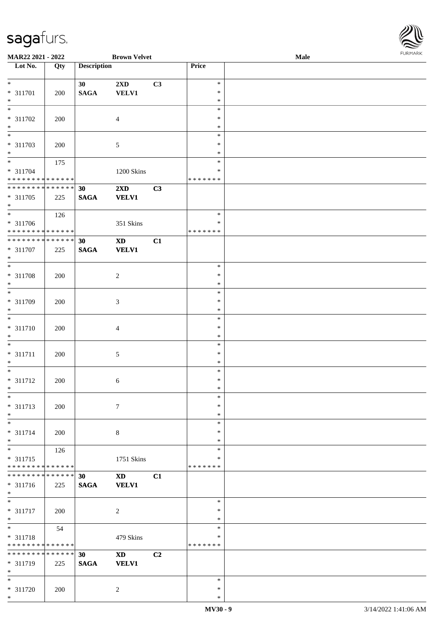

| MAR22 2021 - 2022             |     |                    | <b>Brown Velvet</b>        |    |               | Male |  |
|-------------------------------|-----|--------------------|----------------------------|----|---------------|------|--|
| Lot No.                       | Qty | <b>Description</b> |                            |    | Price         |      |  |
|                               |     |                    |                            |    |               |      |  |
| $*$                           |     | 30                 | 2XD                        | C3 | $\ast$        |      |  |
|                               |     |                    |                            |    |               |      |  |
| * 311701                      | 200 | <b>SAGA</b>        | <b>VELV1</b>               |    | $\ast$        |      |  |
| $*$                           |     |                    |                            |    | $\ast$        |      |  |
| $\overline{\phantom{0}}$      |     |                    |                            |    | $\ast$        |      |  |
| * 311702                      | 200 |                    | $\overline{4}$             |    | $\ast$        |      |  |
| $\ast$                        |     |                    |                            |    | $\ast$        |      |  |
| $\overline{\phantom{0}}$      |     |                    |                            |    |               |      |  |
|                               |     |                    |                            |    | $\ast$        |      |  |
| * 311703                      | 200 |                    | 5                          |    | $\ast$        |      |  |
| $*$                           |     |                    |                            |    | $\ast$        |      |  |
| $*$                           | 175 |                    |                            |    | $\ast$        |      |  |
| $* 311704$                    |     |                    | 1200 Skins                 |    | $\ast$        |      |  |
| * * * * * * * * * * * * * *   |     |                    |                            |    | * * * * * * * |      |  |
|                               |     |                    |                            |    |               |      |  |
| * * * * * * * * * * * * * *   |     | 30                 | $2\mathbf{X}\mathbf{D}$    | C3 |               |      |  |
| * 311705                      | 225 | <b>SAGA</b>        | <b>VELV1</b>               |    |               |      |  |
| $*$                           |     |                    |                            |    |               |      |  |
|                               | 126 |                    |                            |    | $\ast$        |      |  |
| * 311706                      |     |                    | 351 Skins                  |    | $\ast$        |      |  |
| * * * * * * * * * * * * * *   |     |                    |                            |    |               |      |  |
|                               |     |                    |                            |    | * * * * * * * |      |  |
| ******** <mark>******</mark>  |     | 30                 | $\boldsymbol{\mathrm{XD}}$ | C1 |               |      |  |
| * 311707                      | 225 | <b>SAGA</b>        | <b>VELV1</b>               |    |               |      |  |
| $*$                           |     |                    |                            |    |               |      |  |
|                               |     |                    |                            |    | $\ast$        |      |  |
|                               |     |                    |                            |    | $\ast$        |      |  |
| $* 311708$                    | 200 |                    | $\boldsymbol{2}$           |    |               |      |  |
| $\ast$                        |     |                    |                            |    | $\ast$        |      |  |
| $\overline{\ast}$             |     |                    |                            |    | $\ast$        |      |  |
| * 311709                      | 200 |                    | 3                          |    | $\ast$        |      |  |
| $*$                           |     |                    |                            |    | $\ast$        |      |  |
| $\overline{\phantom{0}}$      |     |                    |                            |    | $\ast$        |      |  |
|                               |     |                    |                            |    |               |      |  |
| * 311710                      | 200 |                    | 4                          |    | $\ast$        |      |  |
| $*$                           |     |                    |                            |    | $\ast$        |      |  |
| $*$                           |     |                    |                            |    | $\ast$        |      |  |
| $* 311711$                    | 200 |                    | 5                          |    | $\ast$        |      |  |
| $*$                           |     |                    |                            |    | $\ast$        |      |  |
| $*$                           |     |                    |                            |    | $\ast$        |      |  |
|                               |     |                    |                            |    |               |      |  |
| $* 311712$                    | 200 |                    | 6                          |    | $\ast$        |      |  |
| $*$                           |     |                    |                            |    | $\ast$        |      |  |
| $\ast$                        |     |                    |                            |    | $\ast$        |      |  |
| $* 311713$                    | 200 |                    | $7\phantom{.0}$            |    | $\ast$        |      |  |
| $*$                           |     |                    |                            |    | $\ast$        |      |  |
| $*$                           |     |                    |                            |    | $\ast$        |      |  |
|                               |     |                    |                            |    |               |      |  |
| * 311714                      | 200 |                    | 8                          |    | ∗             |      |  |
| $*$                           |     |                    |                            |    | $\ast$        |      |  |
| $\overline{\ast}$             | 126 |                    |                            |    | $\ast$        |      |  |
| * 311715                      |     |                    | 1751 Skins                 |    | $\ast$        |      |  |
| * * * * * * * * * * * * * *   |     |                    |                            |    | * * * * * * * |      |  |
| * * * * * * * * * * * * * * * |     |                    |                            |    |               |      |  |
|                               |     | 30                 | <b>XD</b>                  | C1 |               |      |  |
| * 311716                      | 225 | <b>SAGA</b>        | <b>VELV1</b>               |    |               |      |  |
| $*$                           |     |                    |                            |    |               |      |  |
| $*$                           |     |                    |                            |    | $\ast$        |      |  |
| $* 311717$                    | 200 |                    | $\sqrt{2}$                 |    | $\ast$        |      |  |
| $*$                           |     |                    |                            |    | $\ast$        |      |  |
| $*$                           |     |                    |                            |    | $\ast$        |      |  |
|                               | 54  |                    |                            |    |               |      |  |
| * 311718                      |     |                    | 479 Skins                  |    | $\ast$        |      |  |
| * * * * * * * * * * * * * *   |     |                    |                            |    | * * * * * * * |      |  |
| * * * * * * * * * * * * * * * |     | 30                 | <b>XD</b>                  | C2 |               |      |  |
| * 311719                      | 225 | <b>SAGA</b>        | <b>VELV1</b>               |    |               |      |  |
| $*$                           |     |                    |                            |    |               |      |  |
|                               |     |                    |                            |    |               |      |  |
| $*$                           |     |                    |                            |    | $\ast$        |      |  |
| * 311720                      | 200 |                    | 2                          |    | $\ast$        |      |  |
| $*$                           |     |                    |                            |    | $\ast$        |      |  |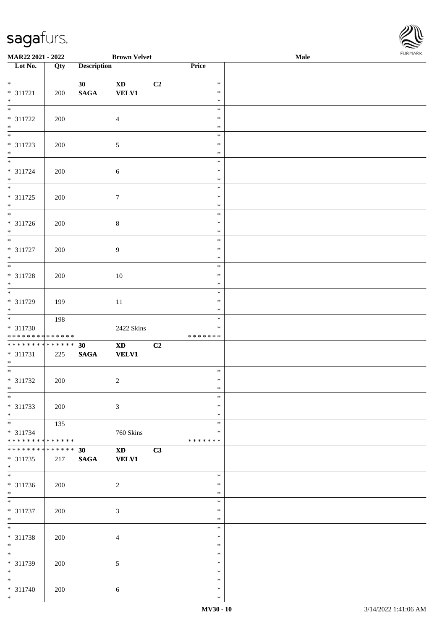| Lot No.                            | Qty | <b>Description</b> |                        |    | Price            |  |
|------------------------------------|-----|--------------------|------------------------|----|------------------|--|
| $\overline{\phantom{0}}$           |     |                    |                        |    |                  |  |
|                                    |     | 30                 | $\mathbf{X}\mathbf{D}$ | C2 | $\ast$           |  |
| $* 311721$                         | 200 | $\mathbf{SAGA}$    | <b>VELV1</b>           |    | $\ast$           |  |
| $\ast$<br>$\overline{\phantom{0}}$ |     |                    |                        |    | $\ast$<br>$\ast$ |  |
|                                    |     |                    |                        |    | $\ast$           |  |
| $* 311722$<br>$\ast$               | 200 |                    | $\overline{4}$         |    | $\ast$           |  |
| $\overline{\phantom{0}}$           |     |                    |                        |    | $\ast$           |  |
| $* 311723$                         | 200 |                    | $\sqrt{5}$             |    | $\ast$           |  |
| $*$                                |     |                    |                        |    | $\ast$           |  |
| $\overline{\phantom{0}}$           |     |                    |                        |    | $\ast$           |  |
| * 311724                           | 200 |                    | $\sqrt{6}$             |    | $\ast$           |  |
| $*$                                |     |                    |                        |    | $\ast$           |  |
|                                    |     |                    |                        |    | $\ast$           |  |
| $* 311725$                         | 200 |                    | $\boldsymbol{7}$       |    | $\ast$           |  |
| $\ast$                             |     |                    |                        |    | $\ast$           |  |
| $\overline{\phantom{0}}$           |     |                    |                        |    | $\ast$           |  |
| * 311726                           | 200 |                    | $\,8\,$                |    | $\ast$           |  |
| $\ast$                             |     |                    |                        |    | $\ast$           |  |
| $\overline{\phantom{0}}$           |     |                    |                        |    | $\ast$           |  |
| $* 311727$                         | 200 |                    | $\overline{9}$         |    | $\ast$           |  |
| $\ast$<br>$\overline{\phantom{0}}$ |     |                    |                        |    | $\ast$<br>$\ast$ |  |
|                                    |     |                    |                        |    | $\ast$           |  |
| $* 311728$<br>$*$                  | 200 |                    | $10\,$                 |    | $\ast$           |  |
| $\overline{\phantom{0}}$           |     |                    |                        |    | $\ast$           |  |
| * 311729                           | 199 |                    | $11\,$                 |    | $\ast$           |  |
| $*$                                |     |                    |                        |    | $\ast$           |  |
| $\overline{\phantom{0}}$           | 198 |                    |                        |    | $\ast$           |  |
| * 311730                           |     |                    | 2422 Skins             |    | *                |  |
| ******** <mark>******</mark>       |     |                    |                        |    | * * * * * * *    |  |
| ******** <mark>******</mark>       |     | 30                 | $\mathbf{X}\mathbf{D}$ | C2 |                  |  |
| $* 311731$                         | 225 | $\mathbf{SAGA}$    | <b>VELV1</b>           |    |                  |  |
| $\ast$<br>$\overline{\phantom{1}}$ |     |                    |                        |    |                  |  |
|                                    |     |                    |                        |    | $\ast$           |  |
| $* 311732$<br>$*$                  | 200 |                    | $\overline{c}$         |    | $\ast$           |  |
|                                    |     |                    |                        |    | $\ast$<br>*      |  |
| $* 311733$                         | 200 |                    | $\mathfrak{Z}$         |    | $\ast$           |  |
| $\ast$                             |     |                    |                        |    | $\ast$           |  |
| $\overline{\phantom{a}^*}$         | 135 |                    |                        |    | $\ast$           |  |
| $* 311734$                         |     |                    | $760~\rm Skins$        |    | $\ast$           |  |
| **************                     |     |                    |                        |    | *******          |  |
| **************                     |     | 30                 | $\mathbf{X}\mathbf{D}$ | C3 |                  |  |
| $* 311735$                         | 217 | $\mathbf{SAGA}$    | <b>VELV1</b>           |    |                  |  |
| $\ast$                             |     |                    |                        |    |                  |  |
| $\overline{\phantom{a}^*}$         |     |                    |                        |    | $\ast$           |  |
| $* 311736$                         | 200 |                    | $\overline{c}$         |    | $\ast$           |  |
| $*$<br>$\overline{\phantom{a}^*}$  |     |                    |                        |    | $\ast$           |  |
|                                    |     |                    |                        |    | $\ast$           |  |
| $* 311737$<br>$\ast$               | 200 |                    | 3                      |    | ∗<br>∗           |  |
| $\ast$                             |     |                    |                        |    | $\ast$           |  |
| * 311738                           | 200 |                    | 4                      |    | ∗                |  |
| $\ast$                             |     |                    |                        |    | $\ast$           |  |
| $\overline{\phantom{1}}$           |     |                    |                        |    | $\ast$           |  |
| * 311739                           | 200 |                    | $\sqrt{5}$             |    | $\ast$           |  |
| $*$                                |     |                    |                        |    | $\ast$           |  |
| $\overline{\phantom{a}^*}$         |     |                    |                        |    | $\ast$           |  |
| $* 311740$                         | 200 |                    | 6                      |    | $\ast$           |  |
| $*$                                |     |                    |                        |    | $\ast$           |  |

**MAR22 2021 - 2022 Brown Velvet Male**<br> **Description Price Price** 

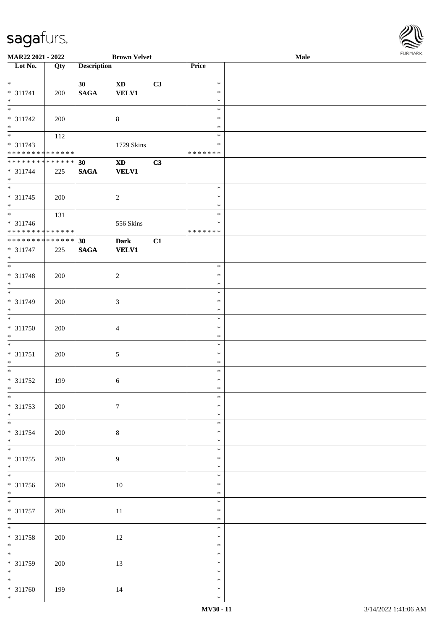| MAR22 2021 - 2022                          |     |                    | <b>Brown Velvet</b>        |    |                  | Male | <b>FURITARK</b> |
|--------------------------------------------|-----|--------------------|----------------------------|----|------------------|------|-----------------|
| Lot No.                                    | Qty | <b>Description</b> |                            |    | Price            |      |                 |
|                                            |     |                    |                            |    |                  |      |                 |
| $*$                                        |     | 30                 | $\boldsymbol{\mathrm{XD}}$ | C3 | $\ast$           |      |                 |
| $* 311741$                                 | 200 | $\mathbf{SAGA}$    | <b>VELV1</b>               |    | $\ast$           |      |                 |
| $*$                                        |     |                    |                            |    | $\ast$           |      |                 |
| $\frac{1}{1}$                              |     |                    |                            |    | $\ast$           |      |                 |
| * 311742                                   | 200 |                    | $\,8\,$                    |    | $\ast$           |      |                 |
| $*$                                        |     |                    |                            |    | $\ast$           |      |                 |
|                                            | 112 |                    |                            |    | $\ast$           |      |                 |
| * 311743                                   |     |                    | 1729 Skins                 |    | ∗                |      |                 |
| * * * * * * * * <mark>* * * * * * *</mark> |     |                    |                            |    | * * * * * * *    |      |                 |
| * * * * * * * * <mark>* * * * * * *</mark> |     | 30                 | $\boldsymbol{\mathrm{XD}}$ | C3 |                  |      |                 |
| $* 311744$                                 | 225 | <b>SAGA</b>        | <b>VELV1</b>               |    |                  |      |                 |
| $*$                                        |     |                    |                            |    |                  |      |                 |
|                                            |     |                    |                            |    | $\ast$           |      |                 |
| $* 311745$                                 | 200 |                    | $\overline{2}$             |    | $\ast$           |      |                 |
| $\ast$                                     |     |                    |                            |    | $\ast$           |      |                 |
|                                            | 131 |                    |                            |    | $\ast$           |      |                 |
| $* 311746$                                 |     |                    | 556 Skins                  |    | ∗                |      |                 |
| * * * * * * * * * * * * * *                |     |                    |                            |    | * * * * * * *    |      |                 |
| **************                             |     | 30                 | <b>Dark</b>                | C1 |                  |      |                 |
| $* 311747$                                 | 225 | <b>SAGA</b>        | <b>VELV1</b>               |    |                  |      |                 |
| $*$                                        |     |                    |                            |    |                  |      |                 |
|                                            |     |                    |                            |    | $\ast$           |      |                 |
| * 311748                                   | 200 |                    | $\overline{2}$             |    | $\ast$           |      |                 |
| $*$                                        |     |                    |                            |    | $\ast$           |      |                 |
|                                            |     |                    |                            |    | $\ast$           |      |                 |
| * 311749                                   | 200 |                    | $\mathfrak{Z}$             |    | $\ast$           |      |                 |
| $*$                                        |     |                    |                            |    | $\ast$           |      |                 |
|                                            |     |                    |                            |    | $\ast$           |      |                 |
| * 311750                                   | 200 |                    | $\overline{4}$             |    | $\ast$           |      |                 |
| $*$                                        |     |                    |                            |    | $\ast$           |      |                 |
| $*$                                        |     |                    |                            |    | $\ast$           |      |                 |
| $* 311751$                                 | 200 |                    | $\mathfrak{S}$             |    | $\ast$           |      |                 |
| $*$                                        |     |                    |                            |    | $\ast$           |      |                 |
|                                            |     |                    |                            |    | $\ast$           |      |                 |
| * 311752                                   | 199 |                    | $\sqrt{6}$                 |    | $\ast$           |      |                 |
| $*$ $*$<br>$\overline{\ast}$               |     |                    |                            |    | $\ast$           |      |                 |
|                                            |     |                    |                            |    | $\ast$           |      |                 |
| * 311753                                   | 200 |                    | $\boldsymbol{7}$           |    | $\ast$           |      |                 |
| $*$                                        |     |                    |                            |    | $\ast$<br>$\ast$ |      |                 |
|                                            |     |                    |                            |    | $\ast$           |      |                 |
| * 311754                                   | 200 |                    | $8\,$                      |    | $\ast$           |      |                 |
| $*$                                        |     |                    |                            |    | $\ast$           |      |                 |
| $* 311755$                                 |     |                    | 9                          |    | $\ast$           |      |                 |
| $*$                                        | 200 |                    |                            |    | $\ast$           |      |                 |
|                                            |     |                    |                            |    | $\ast$           |      |                 |
| * 311756                                   | 200 |                    | $10\,$                     |    | $\ast$           |      |                 |
| $*$                                        |     |                    |                            |    | $\ast$           |      |                 |
| $*$                                        |     |                    |                            |    | $\ast$           |      |                 |
| * 311757                                   | 200 |                    | 11                         |    | $\ast$           |      |                 |
| $*$                                        |     |                    |                            |    | $\ast$           |      |                 |
| $*$                                        |     |                    |                            |    | $\ast$           |      |                 |
| * 311758                                   | 200 |                    | $12\,$                     |    | $\ast$           |      |                 |
| $*$                                        |     |                    |                            |    | $\ast$           |      |                 |
|                                            |     |                    |                            |    | $\ast$           |      |                 |
| * 311759                                   | 200 |                    | 13                         |    | $\ast$           |      |                 |
| $*$                                        |     |                    |                            |    | $\ast$           |      |                 |
| $*$                                        |     |                    |                            |    | $\ast$           |      |                 |
| $* 311760$                                 | 199 |                    | 14                         |    | $\ast$           |      |                 |
| $\ast$                                     |     |                    |                            |    | $\ast$           |      |                 |
|                                            |     |                    |                            |    |                  |      |                 |

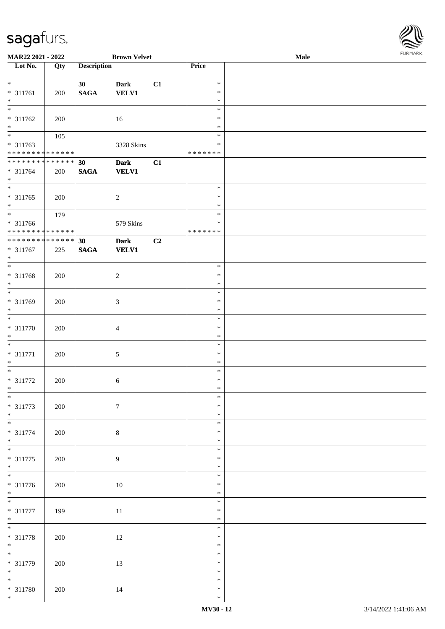| MAR22 2021 - 2022            |     |                    | <b>Brown Velvet</b> |    |                  | Male | <b>FURMARK</b> |
|------------------------------|-----|--------------------|---------------------|----|------------------|------|----------------|
| Lot No.                      | Qty | <b>Description</b> |                     |    | Price            |      |                |
| $\ast$                       |     |                    |                     |    | $\ast$           |      |                |
|                              |     | 30 <sup>°</sup>    | Dark                | C1 |                  |      |                |
| $* 311761$<br>$\ast$         | 200 | $\mathbf{SAGA}$    | VELV1               |    | ∗                |      |                |
| $\ast$                       |     |                    |                     |    | $\ast$<br>$\ast$ |      |                |
|                              |     |                    |                     |    |                  |      |                |
| * 311762                     | 200 |                    | 16                  |    | ∗                |      |                |
| $\ast$<br>$\ast$             |     |                    |                     |    | $\ast$           |      |                |
|                              | 105 |                    |                     |    | $\ast$           |      |                |
| * 311763                     |     |                    | 3328 Skins          |    | $\ast$           |      |                |
| ******** <mark>******</mark> |     |                    |                     |    | * * * * * * *    |      |                |
| **************               |     | 30                 | <b>Dark</b>         | C1 |                  |      |                |
| $* 311764$                   | 200 | $\mathbf{SAGA}$    | <b>VELV1</b>        |    |                  |      |                |
| $\ast$                       |     |                    |                     |    |                  |      |                |
| $\ast$                       |     |                    |                     |    | $\ast$           |      |                |
| $* 311765$                   | 200 |                    | $\overline{c}$      |    | $\ast$           |      |                |
| $\ast$                       |     |                    |                     |    | $\ast$           |      |                |
| $\ast$                       | 179 |                    |                     |    | $\ast$           |      |                |
| * 311766                     |     |                    | 579 Skins           |    | $\ast$           |      |                |
| ******** <mark>******</mark> |     |                    |                     |    | * * * * * * *    |      |                |
| **************               |     | 30                 | <b>Dark</b>         | C2 |                  |      |                |
| * 311767                     | 225 | <b>SAGA</b>        | <b>VELV1</b>        |    |                  |      |                |
| $\ast$                       |     |                    |                     |    |                  |      |                |
| $\ast$                       |     |                    |                     |    | $\ast$           |      |                |
| * 311768                     | 200 |                    | $\overline{c}$      |    | $\ast$           |      |                |
| $\ast$                       |     |                    |                     |    | $\ast$           |      |                |
| $\overline{\phantom{a}^*}$   |     |                    |                     |    | $\ast$           |      |                |
| * 311769                     | 200 |                    | 3                   |    | $\ast$           |      |                |
| $\ast$                       |     |                    |                     |    | $\ast$           |      |                |
| $\overline{\phantom{a}^*}$   |     |                    |                     |    | $\ast$           |      |                |
| $* 311770$                   | 200 |                    | $\overline{4}$      |    | $\ast$           |      |                |
| $\ast$                       |     |                    |                     |    | $\ast$           |      |                |
| $\overline{\phantom{a}^*}$   |     |                    |                     |    | $\ast$           |      |                |
| $* 311771$                   | 200 |                    | 5                   |    | $\ast$           |      |                |
| $\ast$                       |     |                    |                     |    | $\ast$           |      |                |
| $\ast$                       |     |                    |                     |    | $\ast$           |      |                |
| $* 311772$                   | 200 |                    | 6                   |    | $\ast$           |      |                |
| $\ast$                       |     |                    |                     |    | $\ast$           |      |                |
| $\ast$                       |     |                    |                     |    | $\ast$           |      |                |
| * 311773                     | 200 |                    | $\tau$              |    | ∗                |      |                |
| $\ast$                       |     |                    |                     |    | $\ast$           |      |                |
| $_{\ast}$                    |     |                    |                     |    | $\ast$           |      |                |
| * 311774                     | 200 |                    | 8                   |    | $\ast$           |      |                |
| $\ast$                       |     |                    |                     |    | $\ast$           |      |                |
| $\overline{\phantom{0}}$     |     |                    |                     |    | $\ast$           |      |                |
| * 311775                     | 200 |                    | 9                   |    | $\ast$           |      |                |
| $\ast$                       |     |                    |                     |    | $\ast$           |      |                |
| $\overline{\phantom{a}^*}$   |     |                    |                     |    | $\ast$           |      |                |
| $* 311776$                   | 200 |                    | $10\,$              |    | $\ast$           |      |                |
| $\ast$                       |     |                    |                     |    | $\ast$           |      |                |
| $\overline{\phantom{1}}$     |     |                    |                     |    | $\ast$           |      |                |
| $* 311777$                   | 199 |                    | $11\,$              |    | $\ast$           |      |                |
| $\ast$                       |     |                    |                     |    | $\ast$           |      |                |
| $\overline{\ast}$            |     |                    |                     |    | $\ast$           |      |                |
| * 311778                     | 200 |                    | $12\,$              |    | $\ast$           |      |                |
| $\ast$                       |     |                    |                     |    | $\ast$           |      |                |
| $\overline{\phantom{a}^*}$   |     |                    |                     |    | $\ast$           |      |                |
| * 311779                     | 200 |                    | 13                  |    | $\ast$           |      |                |
| $\ast$                       |     |                    |                     |    | $\ast$           |      |                |
| $\ast$                       |     |                    |                     |    | $\ast$           |      |                |
| * 311780                     | 200 |                    | 14                  |    | $\ast$           |      |                |
| $\ast$                       |     |                    |                     |    | $\ast$           |      |                |

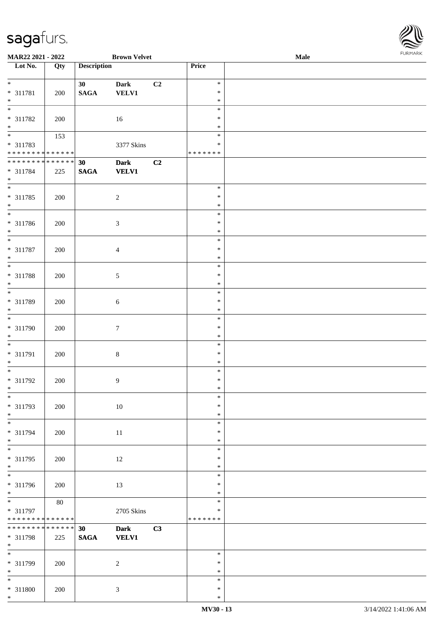\*

| MAR22 2021 - 2022                  |        |                    | <b>Brown Velvet</b> |    |                  | Male |  |
|------------------------------------|--------|--------------------|---------------------|----|------------------|------|--|
| Lot No.                            | Qty    | <b>Description</b> |                     |    | Price            |      |  |
|                                    |        |                    |                     |    |                  |      |  |
| $\ast$                             |        | 30 <sup>°</sup>    | <b>Dark</b>         | C2 | $\ast$           |      |  |
| * 311781                           | 200    | $\mathbf{SAGA}$    | <b>VELV1</b>        |    | $\ast$           |      |  |
| $\ast$<br>$\overline{\ast}$        |        |                    |                     |    | $\ast$           |      |  |
|                                    |        |                    |                     |    | $\ast$<br>$\ast$ |      |  |
| * 311782                           | 200    |                    | 16                  |    |                  |      |  |
| $\ast$<br>$\overline{\phantom{0}}$ |        |                    |                     |    | $\ast$<br>$\ast$ |      |  |
| * 311783                           | 153    |                    | 3377 Skins          |    | $\ast$           |      |  |
| * * * * * * * * * * * * * *        |        |                    |                     |    | * * * * * * *    |      |  |
| **************                     |        | 30                 | <b>Dark</b>         | C2 |                  |      |  |
| * 311784                           | 225    | $\mathbf{SAGA}$    | <b>VELV1</b>        |    |                  |      |  |
| $\ast$                             |        |                    |                     |    |                  |      |  |
| $\overline{\phantom{0}}$           |        |                    |                     |    | $\ast$           |      |  |
| * 311785                           | 200    |                    | $\sqrt{2}$          |    | $\ast$           |      |  |
| $*$                                |        |                    |                     |    | $\ast$           |      |  |
| $\overline{\phantom{a}^*}$         |        |                    |                     |    | $\ast$           |      |  |
| $* 311786$                         | 200    |                    | $\mathfrak{Z}$      |    | $\ast$           |      |  |
| $\ast$                             |        |                    |                     |    | $\ast$           |      |  |
| $\overline{\phantom{a}^*}$         |        |                    |                     |    | $\ast$           |      |  |
| $* 311787$                         | 200    |                    | $\overline{4}$      |    | $\ast$           |      |  |
| $\ast$                             |        |                    |                     |    | $\ast$           |      |  |
| $\overline{\phantom{0}}$           |        |                    |                     |    | $\ast$           |      |  |
| * 311788                           | 200    |                    | $\sqrt{5}$          |    | $\ast$           |      |  |
| $\ast$                             |        |                    |                     |    | $\ast$           |      |  |
| $\overline{\ast}$                  |        |                    |                     |    | $\ast$           |      |  |
| * 311789                           | 200    |                    | 6                   |    | $\ast$           |      |  |
| $*$                                |        |                    |                     |    | $\ast$           |      |  |
| $\overline{\phantom{0}}$           |        |                    |                     |    | $\ast$           |      |  |
| $* 311790$                         | 200    |                    | $\boldsymbol{7}$    |    | $\ast$           |      |  |
| $*$                                |        |                    |                     |    | $\ast$           |      |  |
| $\ast$                             |        |                    |                     |    | $\ast$           |      |  |
| $* 311791$                         | 200    |                    | $\bf 8$             |    | $\ast$           |      |  |
| $*$                                |        |                    |                     |    | $\ast$           |      |  |
| $\ast$                             |        |                    |                     |    | $\ast$           |      |  |
| * 311792                           | 200    |                    | $\overline{9}$      |    | $\ast$           |      |  |
| $*$                                |        |                    |                     |    | $\ast$           |      |  |
| $\ast$                             |        |                    |                     |    | $\ast$           |      |  |
| * 311793                           | 200    |                    | $10\,$              |    | $\ast$           |      |  |
| $\ast$                             |        |                    |                     |    | $\ast$           |      |  |
| $\overline{\phantom{a}^*}$         |        |                    |                     |    | $\ast$           |      |  |
| * 311794                           | 200    |                    | $11\,$              |    | $\ast$           |      |  |
| $\ast$                             |        |                    |                     |    | $\ast$           |      |  |
| $_{\ast}$                          |        |                    |                     |    | $\ast$           |      |  |
| $* 311795$                         | 200    |                    | 12                  |    | $\ast$           |      |  |
| $\ast$<br>$_{\ast}^{-}$            |        |                    |                     |    | $\ast$           |      |  |
|                                    |        |                    |                     |    | $\ast$           |      |  |
| * 311796                           | 200    |                    | 13                  |    | $\ast$           |      |  |
| $*$<br>$\overline{\ast}$           |        |                    |                     |    | $\ast$           |      |  |
|                                    | $80\,$ |                    |                     |    | $\ast$           |      |  |
| * 311797                           |        |                    | 2705 Skins          |    | $\ast$           |      |  |
| * * * * * * * * * * * * * *        |        |                    |                     |    | * * * * * * *    |      |  |
| * * * * * * * * * * * * * *        |        | 30                 | <b>Dark</b>         | C3 |                  |      |  |
| * 311798                           | 225    | $\mathbf{SAGA}$    | <b>VELV1</b>        |    |                  |      |  |
| $*$<br>$\overline{\phantom{a}^*}$  |        |                    |                     |    |                  |      |  |
|                                    |        |                    |                     |    | $\ast$           |      |  |
| * 311799                           | 200    |                    | $\overline{2}$      |    | $\ast$           |      |  |
| $\ast$                             |        |                    |                     |    | $\ast$           |      |  |
| $*$                                |        |                    |                     |    | $\ast$           |      |  |
| * 311800                           | 200    |                    | $\mathfrak{Z}$      |    | $\ast$           |      |  |

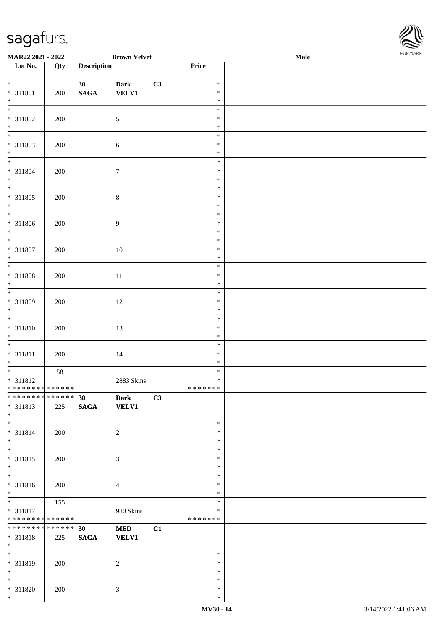| Lot No.                                                        | Qty       | <b>Description</b>                 |                             |    | Price                             |  |
|----------------------------------------------------------------|-----------|------------------------------------|-----------------------------|----|-----------------------------------|--|
| $*$<br>* 311801                                                | 200       | 30 <sup>°</sup><br>$\mathbf{SAGA}$ | <b>Dark</b><br><b>VELV1</b> | C3 | $\ast$<br>$\ast$                  |  |
| $*$ $*$<br>* 311802                                            | 200       |                                    | 5                           |    | $\ast$<br>$\ast$<br>$\ast$        |  |
| $\ast$<br>$\overline{\phantom{0}}$<br>* 311803                 | 200       |                                    | $\sqrt{6}$                  |    | $\ast$<br>$\ast$<br>$\ast$        |  |
| $*$ $*$<br>* 311804                                            | 200       |                                    | $\boldsymbol{7}$            |    | $\ast$<br>$\ast$<br>$\ast$        |  |
| $*$   *<br>$* 311805$                                          | 200       |                                    | $8\,$                       |    | $\ast$<br>$\ast$<br>$\ast$        |  |
| $\ast$<br>$\overline{\phantom{1}}$                             |           |                                    |                             |    | $\ast$<br>$\ast$                  |  |
| * 311806<br>$\ast$<br>$\overline{\phantom{a}^*}$               | 200       |                                    | 9                           |    | $\ast$<br>$\ast$<br>$\ast$        |  |
| $* 311807$<br>$\ast$<br>$\overline{\phantom{a}^*}$             | 200       |                                    | $10\,$                      |    | $\ast$<br>$\ast$<br>$\ast$        |  |
| * 311808<br>$\ast$<br>$\overline{\ast}$                        | 200       |                                    | $11\,$                      |    | $\ast$<br>$\ast$<br>$\ast$        |  |
| * 311809<br>$\ast$<br>$\overline{\phantom{a}^*}$               | 200       |                                    | $12\,$                      |    | $\ast$<br>$\ast$<br>$\ast$        |  |
| $* 311810$<br>$\ast$<br>$_{*}^{-}$                             | 200       |                                    | 13                          |    | $\ast$<br>$\ast$<br>$\ast$        |  |
| $* 311811$<br>$*$<br>$\overline{\ast}$                         | 200<br>58 |                                    | $14\,$                      |    | $\ast$<br>$\ast$<br>$\ast$        |  |
| * 311812<br>******** <mark>******</mark><br>*************** 30 |           |                                    | 2883 Skins<br>Dark C3       |    | $\ast$<br>*******                 |  |
| * 311813<br>$\ast$<br>$\overline{\phantom{0}}$                 | 225       | <b>SAGA</b>                        | <b>VELV1</b>                |    | $\ast$                            |  |
| $* 311814$<br>$*$<br>$\overline{\ast}$                         | 200       |                                    | $\sqrt{2}$                  |    | $\ast$<br>$\ast$                  |  |
| * 311815<br>$\ast$<br>$\overline{\phantom{1}}$                 | 200       |                                    | 3                           |    | $\ast$<br>$\ast$<br>$\ast$        |  |
| $* 311816$<br>$\ast$                                           | 200       |                                    | $\overline{4}$              |    | $\ast$<br>∗<br>$\ast$             |  |
| $_{\ast}^{-}$<br>* 311817<br>**************                    | 155       |                                    | 980 Skins                   |    | $\ast$<br>$\ast$<br>* * * * * * * |  |
| **************<br>$* 311818$<br>$*$                            | 225       | 30<br>$\mathbf{SAGA}$              | <b>MED</b><br><b>VELV1</b>  | C1 |                                   |  |
| $\ast$<br>* 311819<br>$\ast$                                   | 200       |                                    | $\sqrt{2}$                  |    | $\ast$<br>$\ast$<br>$\ast$        |  |
| $\overline{\phantom{a}^*}$<br>* 311820<br>$*$                  | 200       |                                    | $\mathfrak{Z}$              |    | $\ast$<br>$\ast$<br>$\ast$        |  |

**MAR22 2021 - 2022 Brown Velvet Male**

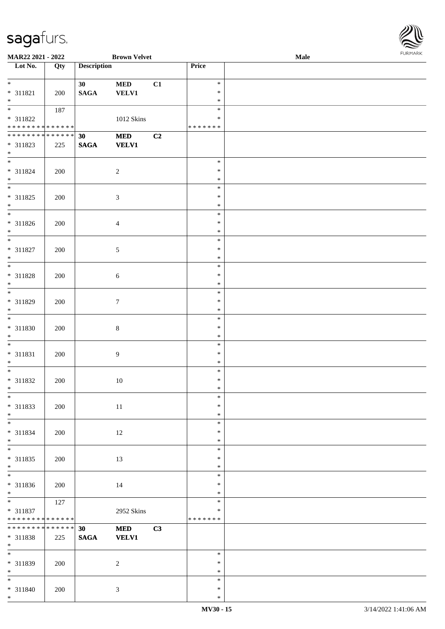| <b>FURMARK</b> |
|----------------|
|                |

| MAR22 2021 - 2022               |             |                    | <b>Brown Velvet</b> |    |               | Male |  |
|---------------------------------|-------------|--------------------|---------------------|----|---------------|------|--|
| Lot No.                         | Qty         | <b>Description</b> |                     |    | Price         |      |  |
|                                 |             |                    |                     |    |               |      |  |
| $*$                             |             | 30 <sup>°</sup>    | <b>MED</b>          | C1 | $\ast$        |      |  |
| $* 311821$                      | 200         | <b>SAGA</b>        | <b>VELV1</b>        |    | $\ast$        |      |  |
| $*$                             |             |                    |                     |    | $\ast$        |      |  |
|                                 | 187         |                    |                     |    | $\ast$        |      |  |
| * 311822                        |             |                    | $1012$ Skins        |    | $\ast$        |      |  |
| * * * * * * * * * * * * * *     |             |                    |                     |    | * * * * * * * |      |  |
| * * * * * * * * * * * * * * *   |             | 30                 | <b>MED</b>          | C2 |               |      |  |
| * 311823                        | 225         | <b>SAGA</b>        | <b>VELV1</b>        |    |               |      |  |
| $*$                             |             |                    |                     |    |               |      |  |
|                                 |             |                    |                     |    | $\ast$        |      |  |
|                                 |             |                    |                     |    | $\ast$        |      |  |
| * 311824                        | 200         |                    | $\overline{2}$      |    |               |      |  |
| $*$<br>$\overline{\phantom{0}}$ |             |                    |                     |    | $\ast$        |      |  |
|                                 |             |                    |                     |    | $\ast$        |      |  |
| * 311825                        | 200         |                    | $\mathfrak{Z}$      |    | $\ast$        |      |  |
| $*$                             |             |                    |                     |    | $\ast$        |      |  |
|                                 |             |                    |                     |    | $\ast$        |      |  |
| $* 311826$                      | 200         |                    | $\overline{4}$      |    | $\ast$        |      |  |
| $*$                             |             |                    |                     |    | $\ast$        |      |  |
|                                 |             |                    |                     |    | $\ast$        |      |  |
| * 311827                        | 200         |                    | $\sqrt{5}$          |    | $\ast$        |      |  |
| $*$                             |             |                    |                     |    | $\ast$        |      |  |
| $\overline{\phantom{0}}$        |             |                    |                     |    | $\ast$        |      |  |
| * 311828                        | 200         |                    | $\sqrt{6}$          |    | $\ast$        |      |  |
| $\ast$                          |             |                    |                     |    | $\ast$        |      |  |
|                                 |             |                    |                     |    | $\ast$        |      |  |
| * 311829                        | 200         |                    | $\tau$              |    | $\ast$        |      |  |
| $\ast$                          |             |                    |                     |    | $\ast$        |      |  |
|                                 |             |                    |                     |    | $\ast$        |      |  |
| * 311830                        |             |                    |                     |    | $\ast$        |      |  |
| $*$                             | 200         |                    | $8\,$               |    | $\ast$        |      |  |
| $\overline{\ast}$               |             |                    |                     |    | $\ast$        |      |  |
|                                 |             |                    |                     |    |               |      |  |
| * 311831                        | 200         |                    | $\overline{9}$      |    | $\ast$        |      |  |
| $*$                             |             |                    |                     |    | $\ast$        |      |  |
| $*$                             |             |                    |                     |    | $\ast$        |      |  |
| * 311832                        | 200         |                    | $10\,$              |    | $\ast$        |      |  |
| $*$                             |             |                    |                     |    | $\ast$        |      |  |
| $\ast$                          |             |                    |                     |    | $\ast$        |      |  |
| * 311833                        | 200         |                    | $11\,$              |    | $\ast$        |      |  |
| $*$                             |             |                    |                     |    | $\ast$        |      |  |
| $*$                             |             |                    |                     |    | $\ast$        |      |  |
| * 311834                        | 200         |                    | 12                  |    | $\ast$        |      |  |
| $*$                             |             |                    |                     |    | $\ast$        |      |  |
| $*$                             |             |                    |                     |    | $\ast$        |      |  |
| * 311835                        | 200         |                    | 13                  |    | $\ast$        |      |  |
| $*$                             |             |                    |                     |    | $\ast$        |      |  |
|                                 |             |                    |                     |    | $\ast$        |      |  |
| * 311836                        | 200         |                    | 14                  |    | $\ast$        |      |  |
| $*$                             |             |                    |                     |    | $\ast$        |      |  |
|                                 | 127         |                    |                     |    | $\ast$        |      |  |
| * 311837                        |             |                    | 2952 Skins          |    | $\ast$        |      |  |
| * * * * * * * *                 | * * * * * * |                    |                     |    | *******       |      |  |
| * * * * * * * * * * * * * * *   |             | 30                 |                     | C3 |               |      |  |
|                                 |             |                    | <b>MED</b>          |    |               |      |  |
| * 311838                        | 225         | $\mathbf{SAGA}$    | <b>VELV1</b>        |    |               |      |  |
| $*$                             |             |                    |                     |    |               |      |  |
|                                 |             |                    |                     |    | $\ast$        |      |  |
| * 311839                        | 200         |                    | 2                   |    | $\ast$        |      |  |
| $*$                             |             |                    |                     |    | $\ast$        |      |  |
| $*$                             |             |                    |                     |    | $\ast$        |      |  |
| * 311840                        | 200         |                    | $\mathfrak{Z}$      |    | $\ast$        |      |  |
| $*$                             |             |                    |                     |    | $\ast$        |      |  |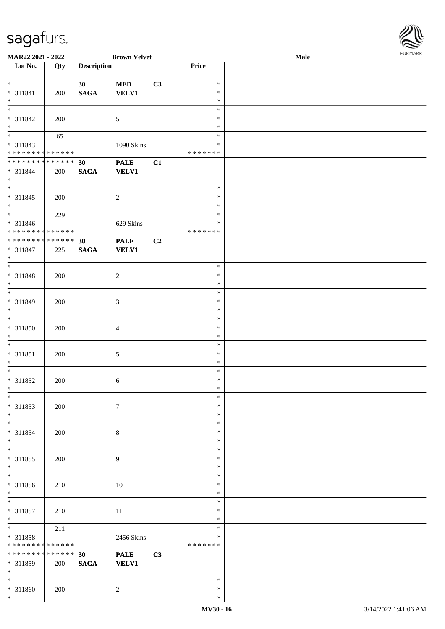\* \*

\*

\* 311859 | 200

\* 311860 | 200 | 2

**SAGA VELV1**

**MAR22 2021 - 2022 Brown Velvet Male**

| Lot No.                                                         | Qty | <b>Description</b>    |                             |                | Price                                       |  |
|-----------------------------------------------------------------|-----|-----------------------|-----------------------------|----------------|---------------------------------------------|--|
| $*$<br>$* 311841$                                               | 200 | 30<br>$\mathbf{SAGA}$ | <b>MED</b><br><b>VELV1</b>  | C3             | $\ast$<br>$\ast$                            |  |
| $*$<br>$\overline{\ast}$<br>$* 311842$                          | 200 |                       | $\sqrt{5}$                  |                | $\ast$<br>$\ast$<br>$\ast$                  |  |
| $\ast$<br>$\frac{1}{1}$<br>$* 311843$<br>**************         | 65  |                       | 1090 Skins                  |                | $\ast$<br>$\ast$<br>$\ast$<br>* * * * * * * |  |
| * * * * * * * * <mark>* * * * * * *</mark><br>$* 311844$<br>$*$ | 200 | 30<br><b>SAGA</b>     | <b>PALE</b><br><b>VELV1</b> | C1             |                                             |  |
| $\overline{\phantom{0}}$<br>$* 311845$<br>$*$                   | 200 |                       | $\sqrt{2}$                  |                | $\ast$<br>∗<br>$\ast$                       |  |
| * 311846<br>* * * * * * * * * * * * * *                         | 229 |                       | 629 Skins                   |                | $\ast$<br>$\ast$<br>* * * * * * *           |  |
| **************<br>$* 311847$<br>$*$                             | 225 | 30<br>$\mathbf{SAGA}$ | <b>PALE</b><br><b>VELV1</b> | C <sub>2</sub> |                                             |  |
| $\overline{\phantom{0}}$<br>$* 311848$<br>$\ast$                | 200 |                       | $\overline{c}$              |                | $\ast$<br>$\ast$<br>$\ast$                  |  |
| $\overline{\phantom{0}}$<br>* 311849<br>$\ast$                  | 200 |                       | $\mathfrak{Z}$              |                | $\ast$<br>$\ast$<br>$\ast$                  |  |
| $\overline{\phantom{a}^*}$<br>* 311850<br>$\ast$                | 200 |                       | $\overline{4}$              |                | $\ast$<br>$\ast$<br>$\ast$                  |  |
| $*$<br>* 311851<br>$\ast$                                       | 200 |                       | $\sqrt{5}$                  |                | $\ast$<br>∗<br>$\ast$                       |  |
| $\overline{\phantom{0}}$<br>$* 311852$<br>$*$                   | 200 |                       | $\sqrt{6}$                  |                | $\ast$<br>$\ast$<br>$\ast$                  |  |
| $*$<br>* 311853<br>$\ast$                                       | 200 |                       | $\tau$                      |                | $\ast$<br>$\ast$<br>$\ast$                  |  |
| $\ast$<br>$* 311854$<br>$*$                                     | 200 |                       | $\,8\,$                     |                | $\ast$<br>$\ast$<br>$\ast$                  |  |
| $_{\ast}$<br>$* 311855$<br>$*$                                  | 200 |                       | 9                           |                | $\ast$<br>∗<br>$\ast$                       |  |
| $\overline{\phantom{0}}$<br>* 311856<br>$\ast$                  | 210 |                       | $10\,$                      |                | $\ast$<br>$\ast$<br>$\ast$                  |  |
| $\ast$<br>$* 311857$<br>$*$                                     | 210 |                       | 11                          |                | $\ast$<br>∗<br>$\ast$                       |  |
| $*$<br>* 311858<br>* * * * * * * * * * * * * *                  | 211 |                       | 2456 Skins                  |                | $\ast$<br>$\ast$<br>* * * * * * *           |  |
| * * * * * * * * * * * * * * *                                   |     | 30                    | <b>PALE</b>                 | C3             |                                             |  |

\* \*

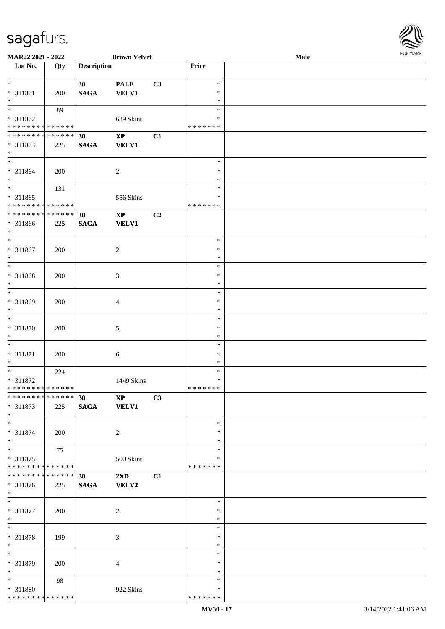| MAR22 2021 - 2022                                                       |     |                                    | <b>Brown Velvet</b>                     |    |                                   | <b>Male</b> | <b>FURMAR</b> |
|-------------------------------------------------------------------------|-----|------------------------------------|-----------------------------------------|----|-----------------------------------|-------------|---------------|
| $\overline{\phantom{1}}$ Lot No.                                        | Qty | <b>Description</b>                 |                                         |    | Price                             |             |               |
| $\ast$<br>* 311861<br>$\ast$                                            | 200 | 30 <sup>1</sup><br>$\mathbf{SAGA}$ | <b>PALE</b><br><b>VELV1</b>             | C3 | $\ast$<br>∗<br>$\ast$             |             |               |
| $\overline{\phantom{a}^*}$<br>* 311862<br>**************                | 89  |                                    | 689 Skins                               |    | $\ast$<br>∗<br>* * * * * * *      |             |               |
| **************<br>$* 311863$<br>$*$                                     | 225 | 30<br>$\mathbf{SAGA}$              | $\mathbf{X}\mathbf{P}$<br><b>VELV1</b>  | C1 |                                   |             |               |
| $\ast$<br>* 311864<br>$\ast$                                            | 200 |                                    | $\sqrt{2}$                              |    | $\ast$<br>$\ast$<br>$\ast$        |             |               |
| $\ast$<br>$* 311865$<br>******** <mark>******</mark>                    | 131 |                                    | 556 Skins                               |    | $\ast$<br>$\ast$<br>* * * * * * * |             |               |
| **************<br>* 311866<br>$\ast$                                    | 225 | 30<br><b>SAGA</b>                  | $\mathbf{X}\mathbf{P}$<br><b>VELV1</b>  | C2 |                                   |             |               |
| $*$<br>* 311867<br>$\ast$                                               | 200 |                                    | $\sqrt{2}$                              |    | $\ast$<br>$\ast$<br>$\ast$        |             |               |
| $\overline{\phantom{a}^*}$<br>* 311868<br>$\ast$                        | 200 |                                    | $\mathfrak{Z}$                          |    | $\ast$<br>$\ast$<br>$\ast$        |             |               |
| $_{*}$<br>* 311869<br>$\ast$                                            | 200 |                                    | $\overline{4}$                          |    | $\ast$<br>$\ast$<br>$\ast$        |             |               |
| $\ast$<br>* 311870<br>$\ast$                                            | 200 |                                    | $\sqrt{5}$                              |    | $\ast$<br>$\ast$<br>$\ast$        |             |               |
| $\overline{\phantom{a}^*}$<br>* 311871<br>$\ast$                        | 200 |                                    | $\sqrt{6}$                              |    | $\ast$<br>$\ast$<br>$\ast$        |             |               |
| $\ast$<br>* 311872<br>**************                                    | 224 |                                    | 1449 Skins                              |    | $\ast$<br>$\ast$<br>* * * * * * * |             |               |
| **************<br>* 311873<br>$\ast$                                    | 225 | 30<br><b>SAGA</b>                  | <b>XP</b><br><b>VELV1</b>               | C3 |                                   |             |               |
| $\overline{\phantom{0}}$<br>* 311874<br>$\ast$                          | 200 |                                    | $\overline{2}$                          |    | $\ast$<br>$\ast$<br>∗             |             |               |
| $\overline{\phantom{a}^*}$<br>$* 311875$<br>* * * * * * * * * * * * * * | 75  |                                    | 500 Skins                               |    | $\ast$<br>$\ast$<br>* * * * * * * |             |               |
| **************<br>$* 311876$<br>$\ast$                                  | 225 | 30<br><b>SAGA</b>                  | $2\mathbf{X}\mathbf{D}$<br><b>VELV2</b> | C1 |                                   |             |               |
| $\ast$<br>* 311877<br>$\ast$                                            | 200 |                                    | $\overline{2}$                          |    | $\ast$<br>$\ast$<br>$\ast$        |             |               |
| $\ast$<br>* 311878<br>$\ast$                                            | 199 |                                    | 3                                       |    | $\ast$<br>$\ast$<br>$\ast$        |             |               |
| $\ast$<br>* 311879<br>$\ast$                                            | 200 |                                    | $\overline{4}$                          |    | $\ast$<br>∗<br>$\ast$             |             |               |
| $\ast$<br>* 311880<br>******** <mark>******</mark>                      | 98  |                                    | 922 Skins                               |    | $\ast$<br>∗<br>* * * * * * *      |             |               |

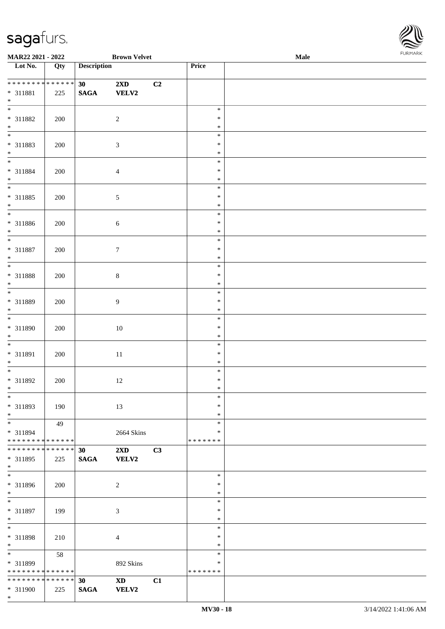

| MAR22 2021 - 2022                                                     |     |                       | <b>Brown Velvet</b>                    |    |                              | Male | . |
|-----------------------------------------------------------------------|-----|-----------------------|----------------------------------------|----|------------------------------|------|---|
| Lot No.                                                               | Qty | <b>Description</b>    |                                        |    | Price                        |      |   |
| **************<br>$* 311881$<br>$\ast$                                | 225 | 30<br>$\mathbf{SAGA}$ | 2XD<br><b>VELV2</b>                    | C2 |                              |      |   |
| $\overline{\phantom{0}}$<br>* 311882<br>$\ast$                        | 200 |                       | $\overline{c}$                         |    | $\ast$<br>∗<br>$\ast$        |      |   |
| $\overline{\phantom{0}}$<br>* 311883<br>$\ast$                        | 200 |                       | $\mathfrak{Z}$                         |    | $\ast$<br>$\ast$<br>$\ast$   |      |   |
| $\overline{\phantom{0}}$<br>* 311884<br>$\ast$                        | 200 |                       | $\overline{4}$                         |    | $\ast$<br>$\ast$<br>$\ast$   |      |   |
| $\overline{\phantom{0}}$<br>$* 311885$<br>$\ast$                      | 200 |                       | $\sqrt{5}$                             |    | $\ast$<br>$\ast$<br>$\ast$   |      |   |
| $\overline{\phantom{a}^*}$<br>$* 311886$<br>$\ast$                    | 200 |                       | $\sqrt{6}$                             |    | $\ast$<br>$\ast$<br>$\ast$   |      |   |
| $\overline{\ast}$<br>$* 311887$<br>$\ast$                             | 200 |                       | $\boldsymbol{7}$                       |    | $\ast$<br>$\ast$<br>$\ast$   |      |   |
| $\ast$<br>* 311888<br>$\ast$                                          | 200 |                       | $\,8\,$                                |    | $\ast$<br>$\ast$<br>$\ast$   |      |   |
| $\overline{\ast}$<br>* 311889<br>$\ast$                               | 200 |                       | $\boldsymbol{9}$                       |    | $\ast$<br>$\ast$<br>$\ast$   |      |   |
| $\overline{\phantom{0}}$<br>* 311890<br>$\ast$                        | 200 |                       | $10\,$                                 |    | $\ast$<br>$\ast$<br>$\ast$   |      |   |
| $\ast$<br>$* 311891$<br>$\ast$                                        | 200 |                       | $11\,$                                 |    | $\ast$<br>$\ast$<br>$\ast$   |      |   |
| $\ast$<br>$* 311892$<br>$*$                                           | 200 |                       | $12\,$                                 |    | $\ast$<br>$\ast$<br>$\ast$   |      |   |
| $*$<br>* 311893<br>$\ast$                                             | 190 |                       | 13                                     |    | $\ast$<br>$\ast$<br>$\ast$   |      |   |
| $\ast$<br>* 311894<br>* * * * * * * * * * * * * *                     | 49  |                       | 2664 Skins                             |    | $\ast$<br>*<br>* * * * * * * |      |   |
| **************<br>* 311895<br>$*$                                     | 225 | 30<br><b>SAGA</b>     | 2XD<br><b>VELV2</b>                    | C3 |                              |      |   |
| $\overline{\phantom{a}^*}$<br>* 311896<br>$*$                         | 200 |                       | $\sqrt{2}$                             |    | $\ast$<br>*<br>$\ast$        |      |   |
| $\ast$<br>* 311897<br>$\ast$                                          | 199 |                       | $\mathfrak{Z}$                         |    | $\ast$<br>$\ast$<br>$\ast$   |      |   |
| $\overline{\phantom{a}^*}$<br>* 311898<br>$\ast$                      | 210 |                       | $\overline{4}$                         |    | $\ast$<br>$\ast$<br>$\ast$   |      |   |
| $\overline{\phantom{a}^*}$<br>* 311899<br>* * * * * * * * * * * * * * | 58  |                       | 892 Skins                              |    | $\ast$<br>*<br>* * * * * * * |      |   |
| * * * * * * * * * * * * * * *<br>* 311900<br>$\ast$                   | 225 | 30<br><b>SAGA</b>     | $\mathbf{X}\mathbf{D}$<br><b>VELV2</b> | C1 |                              |      |   |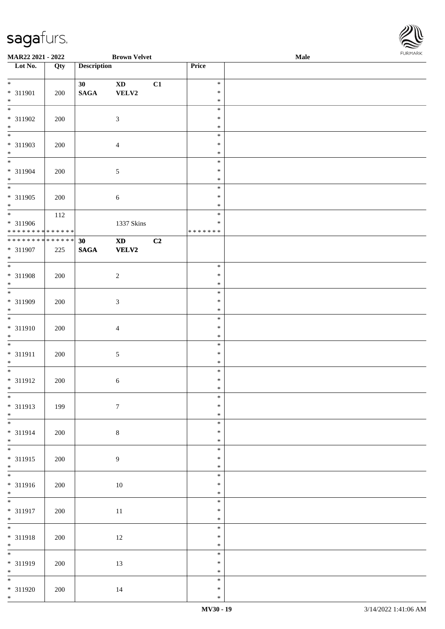

| MAR22 2021 - 2022                |                   |                    | <b>Brown Velvet</b>    |                |                  | Male | <b>FURPIARA</b> |
|----------------------------------|-------------------|--------------------|------------------------|----------------|------------------|------|-----------------|
| $\overline{\phantom{1}}$ Lot No. | $\overline{Q}$ ty | <b>Description</b> |                        |                | Price            |      |                 |
| $*$                              |                   |                    |                        |                |                  |      |                 |
|                                  |                   | 30 <sup>°</sup>    | $\mathbf{X}\mathbf{D}$ | C1             | $\ast$<br>$\ast$ |      |                 |
| * 311901<br>$\ast$               | 200               | $\mathbf{SAGA}$    | VELV2                  |                | $\ast$           |      |                 |
| $\overline{\ast}$                |                   |                    |                        |                | $\ast$           |      |                 |
| * 311902                         | 200               |                    | $\mathfrak{Z}$         |                | $\ast$           |      |                 |
| $*$                              |                   |                    |                        |                | $\ast$           |      |                 |
| $*$                              |                   |                    |                        |                | $\ast$           |      |                 |
| * 311903                         | 200               |                    | $\overline{4}$         |                | $\ast$           |      |                 |
| $*$                              |                   |                    |                        |                | $\ast$           |      |                 |
|                                  |                   |                    |                        |                | $\ast$           |      |                 |
| * 311904                         | 200               |                    | $\sqrt{5}$             |                | $\ast$           |      |                 |
| $*$                              |                   |                    |                        |                | $\ast$<br>$\ast$ |      |                 |
| * 311905                         | 200               |                    | $\sqrt{6}$             |                | $\ast$           |      |                 |
| $*$                              |                   |                    |                        |                | $\ast$           |      |                 |
| $\overline{\ast}$                | 112               |                    |                        |                | $\ast$           |      |                 |
| * 311906                         |                   |                    | 1337 Skins             |                | $\ast$           |      |                 |
| * * * * * * * * * * * * * * *    |                   |                    |                        |                | * * * * * * *    |      |                 |
| **************                   |                   | 30                 | $\mathbf{X}\mathbf{D}$ | C <sub>2</sub> |                  |      |                 |
| * 311907                         | 225               | $\mathbf{SAGA}$    | VELV2                  |                |                  |      |                 |
| $*$                              |                   |                    |                        |                |                  |      |                 |
|                                  |                   |                    |                        |                | $\ast$<br>$\ast$ |      |                 |
| * 311908<br>$*$                  | 200               |                    | $\sqrt{2}$             |                | $\ast$           |      |                 |
| $\overline{\ast}$                |                   |                    |                        |                | $\ast$           |      |                 |
| * 311909                         | 200               |                    | 3                      |                | $\ast$           |      |                 |
| $*$                              |                   |                    |                        |                | $\ast$           |      |                 |
|                                  |                   |                    |                        |                | $\ast$           |      |                 |
| * 311910                         | 200               |                    | $\overline{4}$         |                | $\ast$           |      |                 |
| $\ast$                           |                   |                    |                        |                | $\ast$           |      |                 |
|                                  |                   |                    |                        |                | $\ast$           |      |                 |
| * 311911<br>$*$                  | 200               |                    | $\mathfrak{S}$         |                | $\ast$<br>$\ast$ |      |                 |
| $*$                              |                   |                    |                        |                | $\ast$           |      |                 |
| $* 311912$                       | 200               |                    | 6                      |                | $\ast$           |      |                 |
| $*$ $-$                          |                   |                    |                        |                | $\ast$           |      |                 |
|                                  |                   |                    |                        |                | $\ast$           |      |                 |
| * 311913                         | 199               |                    | $\boldsymbol{7}$       |                | $\ast$           |      |                 |
| $*$                              |                   |                    |                        |                | $\ast$           |      |                 |
|                                  |                   |                    |                        |                | $\ast$           |      |                 |
| * 311914                         | 200               |                    | $8\,$                  |                | $\ast$           |      |                 |
| $*$                              |                   |                    |                        |                | $\ast$<br>$\ast$ |      |                 |
| * 311915                         | 200               |                    | 9                      |                | $\ast$           |      |                 |
| $*$                              |                   |                    |                        |                | $\ast$           |      |                 |
|                                  |                   |                    |                        |                | $\ast$           |      |                 |
| * 311916                         | 200               |                    | 10                     |                | $\ast$           |      |                 |
| $*$                              |                   |                    |                        |                | $\ast$           |      |                 |
|                                  |                   |                    |                        |                | $\ast$           |      |                 |
| * 311917                         | 200               |                    | 11                     |                | $\ast$           |      |                 |
| $*$<br>$*$                       |                   |                    |                        |                | $\ast$           |      |                 |
|                                  |                   |                    |                        |                | $\ast$<br>$\ast$ |      |                 |
| * 311918<br>$*$                  | 200               |                    | 12                     |                | $\ast$           |      |                 |
| $\overline{\ast}$                |                   |                    |                        |                | $\ast$           |      |                 |
| * 311919                         | 200               |                    | 13                     |                | $\ast$           |      |                 |
| $*$                              |                   |                    |                        |                | $\ast$           |      |                 |
|                                  |                   |                    |                        |                | $\ast$           |      |                 |
| * 311920                         | 200               |                    | 14                     |                | $\ast$           |      |                 |
| $*$                              |                   |                    |                        |                | $\ast$           |      |                 |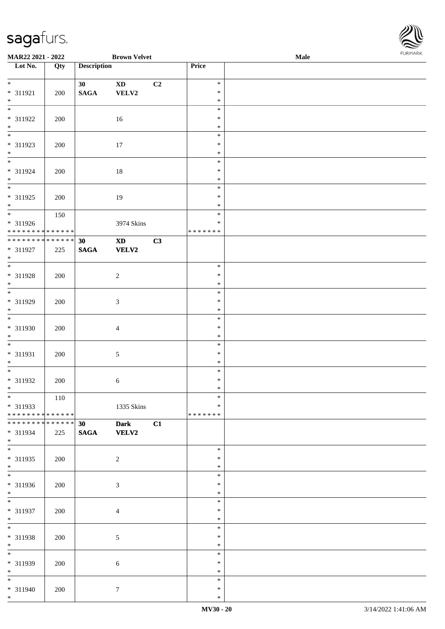\*

\*

\*

\*

\*

\*

\*

\*

\* 311937 200 4

\* 311938 200 5

\* 311939 200 6

\* 311940 200 7

| └── U                         |     |                    |                        |                |               |      | $\approx$      |
|-------------------------------|-----|--------------------|------------------------|----------------|---------------|------|----------------|
| MAR22 2021 - 2022             |     |                    | <b>Brown Velvet</b>    |                |               | Male | <b>FURMARK</b> |
| Lot No.                       | Qty | <b>Description</b> |                        |                | Price         |      |                |
|                               |     |                    |                        |                | $\ast$        |      |                |
|                               |     | 30                 | $\mathbf{X}\mathbf{D}$ | C <sub>2</sub> | $\ast$        |      |                |
| $* 311921$<br>$*$             | 200 | $\mathbf{SAGA}$    | VELV2                  |                |               |      |                |
| $*$                           |     |                    |                        |                | $\ast$        |      |                |
|                               |     |                    |                        |                | $\ast$        |      |                |
| $* 311922$                    | 200 |                    | 16                     |                | $\ast$        |      |                |
| $*$                           |     |                    |                        |                | $\ast$        |      |                |
| $\overline{\ast}$             |     |                    |                        |                | $\ast$        |      |                |
| * 311923                      | 200 |                    | 17                     |                | $\ast$        |      |                |
| $*$                           |     |                    |                        |                | $\ast$        |      |                |
| $\overline{\phantom{0}}$      |     |                    |                        |                | $\ast$        |      |                |
| * 311924                      | 200 |                    | 18                     |                | ∗             |      |                |
| $\ast$                        |     |                    |                        |                | $\ast$        |      |                |
| $\overline{\phantom{0}}$      |     |                    |                        |                | $\ast$        |      |                |
| * 311925                      | 200 |                    | 19                     |                | ∗             |      |                |
| $*$                           |     |                    |                        |                | $\ast$        |      |                |
|                               | 150 |                    |                        |                | $\ast$        |      |                |
| * 311926                      |     |                    | 3974 Skins             |                | ∗             |      |                |
| * * * * * * * * * * * * * *   |     |                    |                        |                | * * * * * * * |      |                |
| ******** <mark>******</mark>  |     | 30                 | $\mathbf{X}\mathbf{D}$ | C3             |               |      |                |
| * 311927                      | 225 | $\mathbf{SAGA}$    | <b>VELV2</b>           |                |               |      |                |
| $\ast$                        |     |                    |                        |                |               |      |                |
| $\ast$                        |     |                    |                        |                | $\ast$        |      |                |
| * 311928                      | 200 |                    | 2                      |                | $\ast$        |      |                |
| $*$                           |     |                    |                        |                | $\ast$        |      |                |
| $\ast$                        |     |                    |                        |                | $\ast$        |      |                |
| * 311929                      | 200 |                    | 3                      |                | $\ast$        |      |                |
| $\ast$                        |     |                    |                        |                | $\ast$        |      |                |
| $*$                           |     |                    |                        |                | $\ast$        |      |                |
| * 311930                      | 200 |                    | $\overline{4}$         |                | $\ast$        |      |                |
|                               |     |                    |                        |                | $\ast$        |      |                |
| $\ast$                        |     |                    |                        |                | $\ast$        |      |                |
| * 311931                      | 200 |                    | 5                      |                | ∗             |      |                |
| $\ast$                        |     |                    |                        |                | ∗             |      |                |
| $\overline{\phantom{0}}$      |     |                    |                        |                | $\ast$        |      |                |
| * 311932                      | 200 |                    | $6\,$                  |                | ∗             |      |                |
| $\ast$                        |     |                    |                        |                | $\ast$        |      |                |
| $\overline{\phantom{a}^*}$    | 110 |                    |                        |                | $\ast$        |      |                |
| * 311933                      |     |                    | 1335 Skins             |                | $\ast$        |      |                |
| * * * * * * * * * * * * * *   |     |                    |                        |                | * * * * * * * |      |                |
| * * * * * * * * * * * * * * * |     | 30                 | <b>Dark</b>            | C1             |               |      |                |
| $* 311934$                    | 225 | <b>SAGA</b>        | VELV2                  |                |               |      |                |
| $*$                           |     |                    |                        |                |               |      |                |
| $*$                           |     |                    |                        |                | $\ast$        |      |                |
| * 311935                      | 200 |                    | $\overline{c}$         |                | $\ast$        |      |                |
| $*$                           |     |                    |                        |                | $\ast$        |      |                |
| $\ast$                        |     |                    |                        |                | $\ast$        |      |                |
|                               |     |                    |                        |                | $\ast$        |      |                |
| * 311936                      | 200 |                    | 3                      |                |               |      |                |
| $*$                           |     |                    |                        |                | $\ast$        |      |                |

\* \* \*

\* \* \*

\* \* \*

\* \*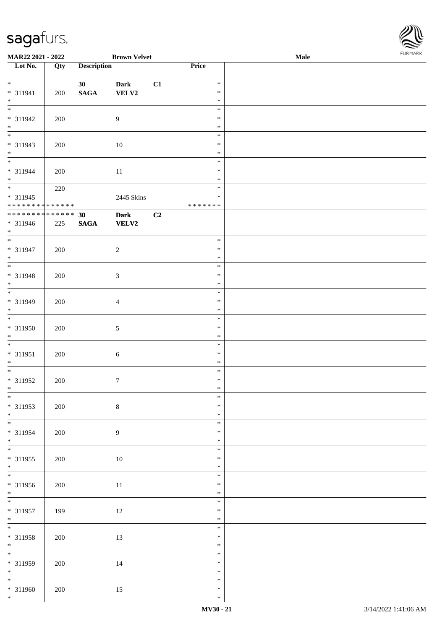| MAR22 2021 - 2022                          |     |                                    | <b>Brown Velvet</b> |    |                  | <b>Male</b> | <b>FURMARK</b> |
|--------------------------------------------|-----|------------------------------------|---------------------|----|------------------|-------------|----------------|
| Lot No.                                    | Qty | <b>Description</b>                 |                     |    | Price            |             |                |
| $\overline{\mathbf{r}}$                    |     |                                    |                     |    | $\ast$           |             |                |
| * 311941                                   | 200 | 30 <sub>1</sub><br>$\mathbf{SAGA}$ | Dark<br>VELV2       | C1 | $\ast$           |             |                |
| $*$                                        |     |                                    |                     |    | $\ast$           |             |                |
| $\overline{\ast}$                          |     |                                    |                     |    | $\ast$           |             |                |
| * 311942                                   | 200 |                                    | 9                   |    | $\ast$           |             |                |
| $*$<br>*                                   |     |                                    |                     |    | $\ast$           |             |                |
|                                            |     |                                    |                     |    | $\ast$           |             |                |
| * 311943                                   | 200 |                                    | 10                  |    | $\ast$           |             |                |
| $*$<br>*                                   |     |                                    |                     |    | $\ast$           |             |                |
|                                            |     |                                    |                     |    | $\ast$           |             |                |
| * 311944<br>$*$                            | 200 |                                    | 11                  |    | $\ast$<br>$\ast$ |             |                |
| $\overline{\mathbf{r}}$                    | 220 |                                    |                     |    | $\ast$           |             |                |
| * 311945                                   |     |                                    | 2445 Skins          |    | $\ast$           |             |                |
| * * * * * * * * <mark>* * * * * * *</mark> |     |                                    |                     |    | * * * * * * *    |             |                |
| * * * * * * * * * * * * * * *              |     | 30                                 | <b>Dark</b>         | C2 |                  |             |                |
| * 311946                                   | 225 | <b>SAGA</b>                        | <b>VELV2</b>        |    |                  |             |                |
| $*$                                        |     |                                    |                     |    |                  |             |                |
| $\overline{\mathbf{r}}$                    |     |                                    |                     |    | $\ast$           |             |                |
| * 311947                                   | 200 |                                    | $\overline{c}$      |    | $\ast$<br>$\ast$ |             |                |
| $*$<br>$\overline{\ast}$                   |     |                                    |                     |    | $\ast$           |             |                |
| * 311948                                   | 200 |                                    | $\mathfrak{Z}$      |    | $\ast$           |             |                |
| $*$                                        |     |                                    |                     |    | $\ast$           |             |                |
|                                            |     |                                    |                     |    | $\ast$           |             |                |
| * 311949                                   | 200 |                                    | 4                   |    | $\ast$           |             |                |
| $*$                                        |     |                                    |                     |    | $\ast$           |             |                |
|                                            |     |                                    |                     |    | $\ast$           |             |                |
| * 311950                                   | 200 |                                    | $\sqrt{5}$          |    | $\ast$           |             |                |
| $*$                                        |     |                                    |                     |    | $\ast$           |             |                |
| * 311951                                   |     |                                    |                     |    | $\ast$<br>$\ast$ |             |                |
| $\ast$                                     | 200 |                                    | $6\,$               |    | $\ast$           |             |                |
| $\overline{\ast}$                          |     |                                    |                     |    | $\ast$           |             |                |
| * 311952                                   | 200 |                                    | $\tau$              |    | $\ast$           |             |                |
| $*$                                        |     |                                    |                     |    | ∗                |             |                |
|                                            |     |                                    |                     |    | $\ast$           |             |                |
| * 311953                                   | 200 |                                    | $\,8\,$             |    | $\ast$           |             |                |
| $*$                                        |     |                                    |                     |    | $\ast$           |             |                |
|                                            |     |                                    |                     |    | $\ast$           |             |                |
| * 311954                                   | 200 |                                    | $\boldsymbol{9}$    |    | $\ast$<br>$\ast$ |             |                |
| $*$<br>$\overline{\phantom{0}}$            |     |                                    |                     |    | $\ast$           |             |                |
| * 311955                                   | 200 |                                    | 10                  |    | $\ast$           |             |                |
| $*$                                        |     |                                    |                     |    | $\ast$           |             |                |
| $\overline{\mathbf{r}}$                    |     |                                    |                     |    | $\ast$           |             |                |
| * 311956                                   | 200 |                                    | 11                  |    | $\ast$           |             |                |
| $*$                                        |     |                                    |                     |    | $\ast$           |             |                |
|                                            |     |                                    |                     |    | $\ast$           |             |                |
| * 311957                                   | 199 |                                    | 12                  |    | $\ast$           |             |                |
| $*$<br>$*$                                 |     |                                    |                     |    | $\ast$<br>$\ast$ |             |                |
| * 311958                                   | 200 |                                    | 13                  |    | $\ast$           |             |                |
| $*$                                        |     |                                    |                     |    | $\ast$           |             |                |
| $\overline{\mathbf{r}}$                    |     |                                    |                     |    | $\ast$           |             |                |
| * 311959                                   | 200 |                                    | 14                  |    | $\ast$           |             |                |
| $*$                                        |     |                                    |                     |    | $\ast$           |             |                |
| $\overline{\phantom{0}}$                   |     |                                    |                     |    | $\ast$           |             |                |
| * 311960                                   | 200 |                                    | 15                  |    | $\ast$           |             |                |
| $*$                                        |     |                                    |                     |    | $\ast$           |             |                |

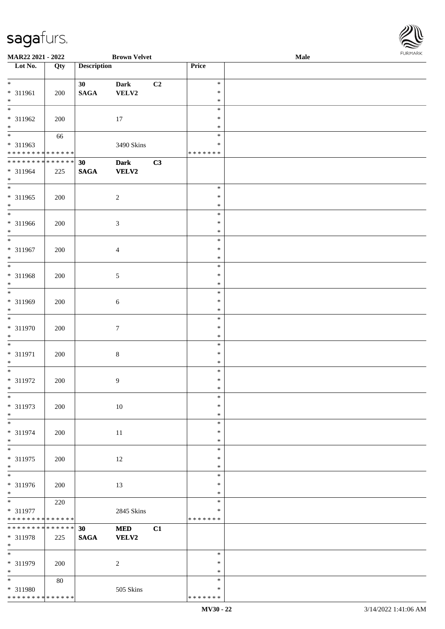| MAR22 2021 - 2022                       |     |                    | <b>Brown Velvet</b> |    |               | <b>Male</b> |  |
|-----------------------------------------|-----|--------------------|---------------------|----|---------------|-------------|--|
| Lot No.                                 | Qty | <b>Description</b> |                     |    | Price         |             |  |
|                                         |     |                    |                     |    |               |             |  |
| $*$                                     |     | 30                 | <b>Dark</b>         | C2 | $\ast$        |             |  |
| * 311961                                | 200 | <b>SAGA</b>        | VELV2               |    | $\ast$        |             |  |
| $\ast$                                  |     |                    |                     |    | $\ast$        |             |  |
|                                         |     |                    |                     |    | $\ast$        |             |  |
| * 311962                                | 200 |                    | $17\,$              |    | $\ast$        |             |  |
| $*$                                     |     |                    |                     |    | $\ast$        |             |  |
| $\overline{\phantom{0}}$                | 66  |                    |                     |    | $\ast$        |             |  |
| * 311963                                |     |                    | 3490 Skins          |    | $\ast$        |             |  |
| * * * * * * * * * * * * * *             |     |                    |                     |    | * * * * * * * |             |  |
| ******** <mark>******</mark>            |     |                    |                     |    |               |             |  |
|                                         |     | 30                 | <b>Dark</b>         | C3 |               |             |  |
| * 311964                                | 225 | <b>SAGA</b>        | <b>VELV2</b>        |    |               |             |  |
| $*$                                     |     |                    |                     |    |               |             |  |
|                                         |     |                    |                     |    | $\ast$        |             |  |
| * 311965                                | 200 |                    | $\sqrt{2}$          |    | $\ast$        |             |  |
| $*$                                     |     |                    |                     |    | $\ast$        |             |  |
| $\overline{\ast}$                       |     |                    |                     |    | $\ast$        |             |  |
| * 311966                                | 200 |                    | $\mathfrak{Z}$      |    | $\ast$        |             |  |
| $*$                                     |     |                    |                     |    | $\ast$        |             |  |
| $\ast$                                  |     |                    |                     |    | $\ast$        |             |  |
| $* 311967$                              | 200 |                    | $\overline{4}$      |    | $\ast$        |             |  |
| $*$                                     |     |                    |                     |    | $\ast$        |             |  |
| $\overline{\ast}$                       |     |                    |                     |    | $\ast$        |             |  |
| * 311968                                | 200 |                    | 5                   |    | $\ast$        |             |  |
| $*$                                     |     |                    |                     |    | $\ast$        |             |  |
| $*$                                     |     |                    |                     |    | $\ast$        |             |  |
|                                         |     |                    |                     |    | $\ast$        |             |  |
| * 311969                                | 200 |                    | 6                   |    |               |             |  |
| $*$<br>$*$                              |     |                    |                     |    | $\ast$        |             |  |
|                                         |     |                    |                     |    | $\ast$        |             |  |
| $* 311970$                              | 200 |                    | 7                   |    | $\ast$        |             |  |
| $*$                                     |     |                    |                     |    | $\ast$        |             |  |
| $*$                                     |     |                    |                     |    | $\ast$        |             |  |
| $* 311971$                              | 200 |                    | 8                   |    | $\ast$        |             |  |
| $*$                                     |     |                    |                     |    | $\ast$        |             |  |
| $*$                                     |     |                    |                     |    | $\ast$        |             |  |
| * 311972                                | 200 |                    | 9                   |    | $\ast$        |             |  |
| $*$                                     |     |                    |                     |    | $\ast$        |             |  |
| $*$                                     |     |                    |                     |    | $\ast$        |             |  |
| * 311973                                | 200 |                    | 10                  |    | $\ast$        |             |  |
| $*$                                     |     |                    |                     |    | $\ast$        |             |  |
| $*$                                     |     |                    |                     |    | $\ast$        |             |  |
| * 311974                                | 200 |                    |                     |    | $\ast$        |             |  |
| $*$                                     |     |                    | $11\,$              |    | $\ast$        |             |  |
| $*$                                     |     |                    |                     |    | $\ast$        |             |  |
|                                         |     |                    |                     |    |               |             |  |
| * 311975                                | 200 |                    | 12                  |    | $\ast$        |             |  |
| $*$<br>$\overline{\ast}$                |     |                    |                     |    | $\ast$        |             |  |
|                                         |     |                    |                     |    | $\ast$        |             |  |
| * 311976                                | 200 |                    | 13                  |    | $\ast$        |             |  |
| $*$                                     |     |                    |                     |    | $\ast$        |             |  |
|                                         | 220 |                    |                     |    | $\ast$        |             |  |
| * 311977                                |     |                    | 2845 Skins          |    | $\ast$        |             |  |
| * * * * * * * * * * * * * *             |     |                    |                     |    | * * * * * * * |             |  |
| * * * * * * * * * * * * * *             |     | 30                 | <b>MED</b>          | C1 |               |             |  |
| * 311978                                | 225 | <b>SAGA</b>        | <b>VELV2</b>        |    |               |             |  |
| $*$                                     |     |                    |                     |    |               |             |  |
| $\overline{\phantom{0}}$                |     |                    |                     |    | $\ast$        |             |  |
| * 311979                                | 200 |                    | 2                   |    | $\ast$        |             |  |
| $*$                                     |     |                    |                     |    | $\ast$        |             |  |
| $*$                                     | 80  |                    |                     |    | $\ast$        |             |  |
|                                         |     |                    |                     |    | $\ast$        |             |  |
| * 311980<br>* * * * * * * * * * * * * * |     |                    | 505 Skins           |    | * * * * * * * |             |  |
|                                         |     |                    |                     |    |               |             |  |

\* \* \* \* \* \* \*

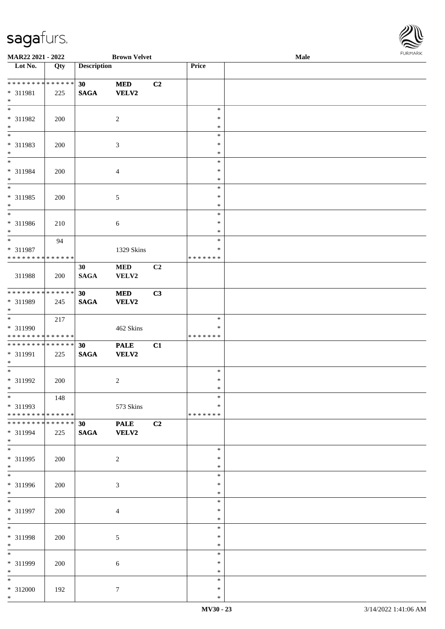

| MAR22 2021 - 2022                |     |                    | <b>Brown Velvet</b> |                |               | Male |  |
|----------------------------------|-----|--------------------|---------------------|----------------|---------------|------|--|
| $\overline{\phantom{1}}$ Lot No. | Qty | <b>Description</b> |                     |                | Price         |      |  |
|                                  |     |                    |                     |                |               |      |  |
| **************                   |     | 30 <sup>°</sup>    | <b>MED</b>          | C2             |               |      |  |
| * 311981                         | 225 | $\mathbf{SAGA}$    | VELV2               |                |               |      |  |
| $\ast$                           |     |                    |                     |                |               |      |  |
| $\overline{\phantom{a}^*}$       |     |                    |                     |                | $\ast$        |      |  |
| * 311982                         | 200 |                    | $\overline{c}$      |                | $\ast$        |      |  |
| $\ast$                           |     |                    |                     |                | $\ast$        |      |  |
| $\overline{\phantom{a}^*}$       |     |                    |                     |                | $\ast$        |      |  |
| * 311983                         | 200 |                    | $\mathfrak{Z}$      |                | $\ast$        |      |  |
| $\ast$                           |     |                    |                     |                | $\ast$        |      |  |
| $\overline{\phantom{a}^*}$       |     |                    |                     |                | $\ast$        |      |  |
| * 311984                         | 200 |                    | $\overline{4}$      |                | $\ast$        |      |  |
| $\ast$                           |     |                    |                     |                | $\ast$        |      |  |
| $\overline{\phantom{0}}$         |     |                    |                     |                | $\ast$        |      |  |
| * 311985                         | 200 |                    | $\sqrt{5}$          |                | $\ast$        |      |  |
| $\ast$                           |     |                    |                     |                | $\ast$        |      |  |
| $\ast$                           |     |                    |                     |                | $\ast$        |      |  |
| $* 311986$                       | 210 |                    | $\sqrt{6}$          |                | $\ast$        |      |  |
| $\ast$                           |     |                    |                     |                | $\ast$        |      |  |
| $\overline{\phantom{0}}$         | 94  |                    |                     |                | $\ast$        |      |  |
| * 311987                         |     |                    | 1329 Skins          |                | ∗             |      |  |
| * * * * * * * * * * * * * *      |     |                    |                     |                | * * * * * * * |      |  |
|                                  |     | 30                 | $\bf MED$           | C <sub>2</sub> |               |      |  |
| 311988                           | 200 | <b>SAGA</b>        | VELV2               |                |               |      |  |
|                                  |     |                    |                     |                |               |      |  |
| **************                   |     | 30                 | <b>MED</b>          | C3             |               |      |  |
| * 311989                         | 245 | $\mathbf{SAGA}$    | <b>VELV2</b>        |                |               |      |  |
| $*$                              |     |                    |                     |                |               |      |  |
| $\overline{\phantom{0}}$         | 217 |                    |                     |                | $\ast$        |      |  |
| * 311990                         |     |                    | 462 Skins           |                | ∗             |      |  |
| * * * * * * * * * * * * * * *    |     |                    |                     |                | * * * * * * * |      |  |
| **************                   |     | 30                 | <b>PALE</b>         | C1             |               |      |  |
| * 311991                         | 225 | $\mathbf{SAGA}$    | <b>VELV2</b>        |                |               |      |  |
| $*$                              |     |                    |                     |                |               |      |  |
| $\ast$                           |     |                    |                     |                | $\ast$        |      |  |
| * 311992                         | 200 |                    | $\overline{c}$      |                | $\ast$        |      |  |
| $*$                              |     |                    |                     |                | $\ast$        |      |  |
| $*$                              | 148 |                    |                     |                | $\ast$        |      |  |
| * 311993                         |     |                    | 573 Skins           |                | ∗             |      |  |
| * * * * * * * * * * * * * * *    |     |                    |                     |                | * * * * * * * |      |  |
| * * * * * * * * * * * * * * *    |     | 30 <sup>°</sup>    | <b>PALE</b>         | C2             |               |      |  |
| * 311994                         | 225 | <b>SAGA</b>        | VELV2               |                |               |      |  |
| $*$                              |     |                    |                     |                |               |      |  |
| $\overline{\ast}$                |     |                    |                     |                | $\ast$        |      |  |
| * 311995                         | 200 |                    | $\overline{c}$      |                | ∗             |      |  |
| $*$                              |     |                    |                     |                | $\ast$        |      |  |
| $\overline{\phantom{a}^*}$       |     |                    |                     |                | $\ast$        |      |  |
| * 311996                         | 200 |                    | $\mathfrak{Z}$      |                | $\ast$        |      |  |
| $*$                              |     |                    |                     |                | $\ast$        |      |  |
| $\overline{\phantom{0}}$         |     |                    |                     |                | $\ast$        |      |  |
| * 311997                         | 200 |                    | $\overline{4}$      |                | $\ast$        |      |  |
| $*$                              |     |                    |                     |                | $\ast$        |      |  |
| $\ast$                           |     |                    |                     |                | $\ast$        |      |  |
| * 311998                         | 200 |                    | $\sqrt{5}$          |                | $\ast$        |      |  |
| $*$                              |     |                    |                     |                | $\ast$        |      |  |
| $\frac{1}{*}$                    |     |                    |                     |                | $\ast$        |      |  |
| * 311999                         | 200 |                    | 6                   |                | $\ast$        |      |  |
| $*$                              |     |                    |                     |                | ∗             |      |  |
| $\overline{\phantom{0}}$         |     |                    |                     |                | $\ast$        |      |  |
| * 312000                         | 192 |                    | $\boldsymbol{7}$    |                | $\ast$        |      |  |
| $*$                              |     |                    |                     |                | $\ast$        |      |  |
|                                  |     |                    |                     |                |               |      |  |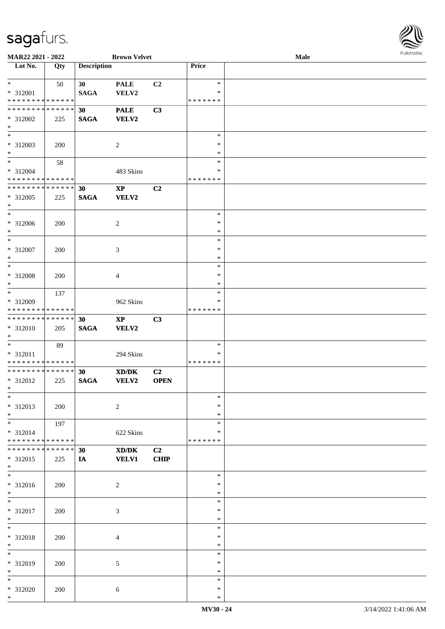

| MAR22 2021 - 2022                          |     |                    | <b>Brown Velvet</b>                                                                                  |                |               | Male |
|--------------------------------------------|-----|--------------------|------------------------------------------------------------------------------------------------------|----------------|---------------|------|
| Lot No.                                    | Qty | <b>Description</b> |                                                                                                      |                | Price         |      |
|                                            |     |                    |                                                                                                      |                |               |      |
| $*$                                        | 50  | 30                 | <b>PALE</b>                                                                                          | C <sub>2</sub> | $\ast$        |      |
|                                            |     |                    |                                                                                                      |                | ∗             |      |
| * 312001                                   |     | <b>SAGA</b>        | VELV2                                                                                                |                |               |      |
| * * * * * * * * * * * * * *                |     |                    |                                                                                                      |                | * * * * * * * |      |
| * * * * * * * * * * * * * *                |     | 30                 | <b>PALE</b>                                                                                          | C3             |               |      |
| * 312002                                   | 225 | <b>SAGA</b>        | <b>VELV2</b>                                                                                         |                |               |      |
| $*$                                        |     |                    |                                                                                                      |                |               |      |
| $\ast$                                     |     |                    |                                                                                                      |                | $\ast$        |      |
| $* 312003$                                 |     |                    |                                                                                                      |                | $\ast$        |      |
|                                            | 200 |                    | $\overline{c}$                                                                                       |                |               |      |
| $*$                                        |     |                    |                                                                                                      |                | $\ast$        |      |
| $\ast$                                     | 58  |                    |                                                                                                      |                | $\ast$        |      |
| $* 312004$                                 |     |                    | 483 Skins                                                                                            |                | $\ast$        |      |
| * * * * * * * * * * * * * *                |     |                    |                                                                                                      |                | * * * * * * * |      |
| * * * * * * * * * * * * * *                |     | 30                 | $\bold{XP}$                                                                                          | C2             |               |      |
| * 312005                                   |     |                    |                                                                                                      |                |               |      |
|                                            | 225 | <b>SAGA</b>        | VELV2                                                                                                |                |               |      |
| $\ast$                                     |     |                    |                                                                                                      |                |               |      |
| $\ast$                                     |     |                    |                                                                                                      |                | $\ast$        |      |
| $* 312006$                                 | 200 |                    | $\overline{c}$                                                                                       |                | $\ast$        |      |
| $*$                                        |     |                    |                                                                                                      |                | $\ast$        |      |
| $\ast$                                     |     |                    |                                                                                                      |                | $\ast$        |      |
| $* 312007$                                 | 200 |                    | 3                                                                                                    |                | $\ast$        |      |
|                                            |     |                    |                                                                                                      |                |               |      |
| $\ast$                                     |     |                    |                                                                                                      |                | $\ast$        |      |
| $*$                                        |     |                    |                                                                                                      |                | $\ast$        |      |
| * 312008                                   | 200 |                    | 4                                                                                                    |                | $\ast$        |      |
| $*$                                        |     |                    |                                                                                                      |                | $\ast$        |      |
| $*$                                        | 137 |                    |                                                                                                      |                | $\ast$        |      |
| * 312009                                   |     |                    | 962 Skins                                                                                            |                | $\ast$        |      |
|                                            |     |                    |                                                                                                      |                | * * * * * * * |      |
| * * * * * * * * * * * * * *                |     |                    |                                                                                                      |                |               |      |
| * * * * * * * * * * * * * *                |     | 30                 | $\bold{XP}$                                                                                          | C3             |               |      |
| * 312010                                   | 205 | $\mathbf{SAGA}$    | VELV2                                                                                                |                |               |      |
| $*$                                        |     |                    |                                                                                                      |                |               |      |
| $*$                                        | 89  |                    |                                                                                                      |                | $\ast$        |      |
| * 312011                                   |     |                    | 294 Skins                                                                                            |                | $\ast$        |      |
|                                            |     |                    |                                                                                                      |                |               |      |
| * * * * * * * * <mark>* * * * * * *</mark> |     |                    |                                                                                                      |                | * * * * * * * |      |
| * * * * * * * * * * * * * *                |     | 30                 | $\boldsymbol{\text{X}}\boldsymbol{\text{D}}\boldsymbol{/}\boldsymbol{\text{D}}\boldsymbol{\text{K}}$ | C2             |               |      |
| * 312012                                   | 225 | <b>SAGA</b>        | <b>VELV2</b>                                                                                         | <b>OPEN</b>    |               |      |
| $*$                                        |     |                    |                                                                                                      |                |               |      |
| $\ast$                                     |     |                    |                                                                                                      |                | $\ast$        |      |
| * 312013                                   | 200 |                    | $\overline{c}$                                                                                       |                | $\ast$        |      |
|                                            |     |                    |                                                                                                      |                |               |      |
| $*$                                        |     |                    |                                                                                                      |                | $\ast$        |      |
| $*$                                        | 197 |                    |                                                                                                      |                | $\ast$        |      |
| * 312014                                   |     |                    | 622 Skins                                                                                            |                | ∗             |      |
| * * * * * * * * * * * * * *                |     |                    |                                                                                                      |                | * * * * * * * |      |
| * * * * * * * * * * * * * *                |     | 30                 | XD/DK                                                                                                | C2             |               |      |
| * 312015                                   | 225 | IA                 | <b>VELV1</b>                                                                                         | <b>CHIP</b>    |               |      |
| $*$                                        |     |                    |                                                                                                      |                |               |      |
| $\overline{\phantom{0}}$                   |     |                    |                                                                                                      |                |               |      |
|                                            |     |                    |                                                                                                      |                | $\ast$        |      |
| * 312016                                   | 200 |                    | $\overline{c}$                                                                                       |                | $\ast$        |      |
| $*$                                        |     |                    |                                                                                                      |                | $\ast$        |      |
| $*$                                        |     |                    |                                                                                                      |                | $\ast$        |      |
| * 312017                                   | 200 |                    | 3                                                                                                    |                | $\ast$        |      |
|                                            |     |                    |                                                                                                      |                |               |      |
| $*$                                        |     |                    |                                                                                                      |                | $\ast$        |      |
| $\ast$                                     |     |                    |                                                                                                      |                | $\ast$        |      |
| * 312018                                   | 200 |                    | 4                                                                                                    |                | $\ast$        |      |
| $\ast$                                     |     |                    |                                                                                                      |                | $\ast$        |      |
| $\overline{\ast}$                          |     |                    |                                                                                                      |                | $\ast$        |      |
|                                            |     |                    |                                                                                                      |                | $\ast$        |      |
| * 312019                                   | 200 |                    | 5                                                                                                    |                |               |      |
| $\ast$                                     |     |                    |                                                                                                      |                | $\ast$        |      |
| $*$                                        |     |                    |                                                                                                      |                | $\ast$        |      |
| * 312020                                   | 200 |                    | 6                                                                                                    |                | $\ast$        |      |
| $*$                                        |     |                    |                                                                                                      |                | $\ast$        |      |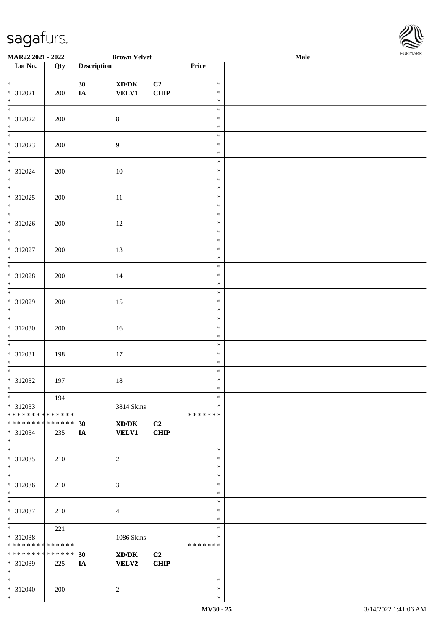

| MAR22 2021 - 2022                |     |                    | <b>Brown Velvet</b>                                                                                  |             |               | Male |  |
|----------------------------------|-----|--------------------|------------------------------------------------------------------------------------------------------|-------------|---------------|------|--|
| $\overline{\phantom{1}}$ Lot No. | Qty | <b>Description</b> |                                                                                                      |             | Price         |      |  |
|                                  |     |                    |                                                                                                      |             |               |      |  |
| $*$                              |     | 30                 | $\bold{X}\bold{D}/\bold{D}\bold{K}$                                                                  | C2          | $\ast$        |      |  |
| $* 312021$                       | 200 | IA                 | <b>VELV1</b>                                                                                         | <b>CHIP</b> | $\ast$        |      |  |
| $*$                              |     |                    |                                                                                                      |             | $\ast$        |      |  |
| $\overline{\ast}$                |     |                    |                                                                                                      |             | $\ast$        |      |  |
| * 312022                         | 200 |                    | $8\,$                                                                                                |             | $\ast$        |      |  |
| $*$                              |     |                    |                                                                                                      |             | $\ast$        |      |  |
|                                  |     |                    |                                                                                                      |             | $\ast$        |      |  |
| * 312023                         | 200 |                    | 9                                                                                                    |             | $\ast$        |      |  |
| $*$                              |     |                    |                                                                                                      |             | $\ast$        |      |  |
| $*$                              |     |                    |                                                                                                      |             | $\ast$        |      |  |
| $* 312024$                       | 200 |                    | $10\,$                                                                                               |             | $\ast$        |      |  |
| $*$                              |     |                    |                                                                                                      |             | $\ast$        |      |  |
| $\overline{\phantom{0}}$         |     |                    |                                                                                                      |             | $\ast$        |      |  |
| * 312025                         | 200 |                    | $11\,$                                                                                               |             | $\ast$        |      |  |
| $*$                              |     |                    |                                                                                                      |             | $\ast$        |      |  |
|                                  |     |                    |                                                                                                      |             | $\ast$        |      |  |
| * 312026                         | 200 |                    | 12                                                                                                   |             | $\ast$        |      |  |
| $*$                              |     |                    |                                                                                                      |             | $\ast$        |      |  |
|                                  |     |                    |                                                                                                      |             | $\ast$        |      |  |
| $* 312027$                       | 200 |                    | 13                                                                                                   |             | $\ast$        |      |  |
| $*$                              |     |                    |                                                                                                      |             | $\ast$        |      |  |
|                                  |     |                    |                                                                                                      |             | $\ast$        |      |  |
| * 312028                         | 200 |                    | 14                                                                                                   |             | $\ast$        |      |  |
| $*$                              |     |                    |                                                                                                      |             | $\ast$        |      |  |
| $\overline{\phantom{0}}$         |     |                    |                                                                                                      |             | $\ast$        |      |  |
| * 312029                         | 200 |                    | 15                                                                                                   |             | $\ast$        |      |  |
| $*$                              |     |                    |                                                                                                      |             | $\ast$        |      |  |
|                                  |     |                    |                                                                                                      |             | $\ast$        |      |  |
| * 312030                         | 200 |                    | 16                                                                                                   |             | $\ast$        |      |  |
| $*$                              |     |                    |                                                                                                      |             | $\ast$        |      |  |
|                                  |     |                    |                                                                                                      |             | $\ast$        |      |  |
| * 312031                         | 198 |                    | $17\,$                                                                                               |             | $\ast$        |      |  |
| $*$                              |     |                    |                                                                                                      |             | $\ast$        |      |  |
| $*$                              |     |                    |                                                                                                      |             | $\ast$        |      |  |
| $* 312032$                       | 197 |                    | $18\,$                                                                                               |             | $\ast$        |      |  |
| $*$ $-$                          |     |                    |                                                                                                      |             | $\ast$        |      |  |
| $*$                              | 194 |                    |                                                                                                      |             | $\ast$        |      |  |
| * 312033                         |     |                    | 3814 Skins                                                                                           |             | $\ast$        |      |  |
| * * * * * * * * * * * * * * *    |     |                    |                                                                                                      |             | * * * * * * * |      |  |
| * * * * * * * * * * * * * * *    |     | 30                 | XD/DK                                                                                                | C2          |               |      |  |
| * 312034                         | 235 | IA                 | <b>VELV1</b>                                                                                         | <b>CHIP</b> |               |      |  |
| $*$                              |     |                    |                                                                                                      |             |               |      |  |
| $*$                              |     |                    |                                                                                                      |             | $\ast$        |      |  |
| $* 312035$                       | 210 |                    | $\overline{c}$                                                                                       |             | ∗             |      |  |
| $*$                              |     |                    |                                                                                                      |             | $\ast$        |      |  |
| $*$                              |     |                    |                                                                                                      |             | $\ast$        |      |  |
| * 312036                         | 210 |                    | 3                                                                                                    |             | $\ast$        |      |  |
| $*$                              |     |                    |                                                                                                      |             | $\ast$        |      |  |
| $*$                              |     |                    |                                                                                                      |             | $\ast$        |      |  |
| $* 312037$                       | 210 |                    | $\overline{4}$                                                                                       |             | $\ast$        |      |  |
| $*$                              |     |                    |                                                                                                      |             | $\ast$        |      |  |
| $*$                              | 221 |                    |                                                                                                      |             | $\ast$        |      |  |
| * 312038                         |     |                    | 1086 Skins                                                                                           |             | ∗             |      |  |
| * * * * * * * * * * * * * *      |     |                    |                                                                                                      |             | * * * * * * * |      |  |
| * * * * * * * * * * * * * * *    |     | 30                 | $\boldsymbol{\text{X}}\boldsymbol{\text{D}}\boldsymbol{/}\boldsymbol{\text{D}}\boldsymbol{\text{K}}$ | C2          |               |      |  |
| * 312039                         | 225 | IA                 | VELV2                                                                                                | <b>CHIP</b> |               |      |  |
| $*$                              |     |                    |                                                                                                      |             |               |      |  |
| $*$                              |     |                    |                                                                                                      |             | $\ast$        |      |  |
| * 312040                         | 200 |                    | 2                                                                                                    |             | $\ast$        |      |  |
| $*$                              |     |                    |                                                                                                      |             | $\ast$        |      |  |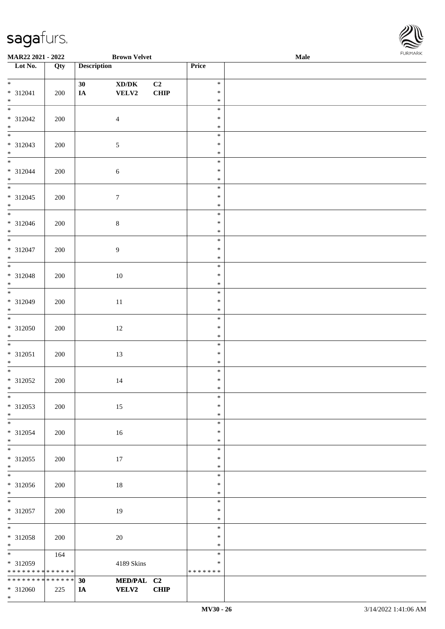

| <b>MAR22 2021 - 2022</b>        |     |                    | <b>Brown Velvet</b>                         |                |                  | <b>Male</b> | . |
|---------------------------------|-----|--------------------|---------------------------------------------|----------------|------------------|-------------|---|
| Lot No.                         | Qty | <b>Description</b> |                                             |                | Price            |             |   |
|                                 |     |                    |                                             |                |                  |             |   |
| $*$                             |     | 30                 | $\mathbf{X}\mathbf{D}/\mathbf{D}\mathbf{K}$ | C <sub>2</sub> | $\ast$           |             |   |
| $* 312041$                      | 200 | IA                 | ${\bf VELV2}$                               | CHIP           | $\ast$           |             |   |
| $*$                             |     |                    |                                             |                | $\ast$           |             |   |
|                                 |     |                    |                                             |                | $\ast$           |             |   |
| * 312042                        | 200 |                    | $\overline{4}$                              |                | $\ast$           |             |   |
| $\ast$                          |     |                    |                                             |                | $\ast$           |             |   |
|                                 |     |                    |                                             |                | $\ast$           |             |   |
| $* 312043$                      | 200 |                    | $\mathfrak{S}$                              |                | $\ast$           |             |   |
| $*$<br>$\overline{\phantom{0}}$ |     |                    |                                             |                | $\ast$           |             |   |
|                                 |     |                    |                                             |                | $\ast$           |             |   |
| $* 312044$                      | 200 |                    | $\sqrt{6}$                                  |                | $\ast$           |             |   |
| $*$<br>$\overline{\phantom{0}}$ |     |                    |                                             |                | $\ast$<br>$\ast$ |             |   |
|                                 |     |                    |                                             |                |                  |             |   |
| $* 312045$<br>$*$               | 200 |                    | $\tau$                                      |                | $\ast$<br>$\ast$ |             |   |
| $\overline{\phantom{0}}$        |     |                    |                                             |                | $\ast$           |             |   |
| $* 312046$                      | 200 |                    | $8\,$                                       |                | $\ast$           |             |   |
| $*$                             |     |                    |                                             |                | $\ast$           |             |   |
| $\overline{\phantom{a}^*}$      |     |                    |                                             |                | $\ast$           |             |   |
| $* 312047$                      | 200 |                    | $\overline{9}$                              |                | $\ast$           |             |   |
| $*$                             |     |                    |                                             |                | $\ast$           |             |   |
|                                 |     |                    |                                             |                | $\ast$           |             |   |
| $* 312048$                      | 200 |                    | 10                                          |                | $\ast$           |             |   |
| $*$                             |     |                    |                                             |                | $\ast$           |             |   |
|                                 |     |                    |                                             |                | $\ast$           |             |   |
| $* 312049$                      | 200 |                    | $11\,$                                      |                | $\ast$           |             |   |
| $*$                             |     |                    |                                             |                | $\ast$           |             |   |
|                                 |     |                    |                                             |                | $\ast$           |             |   |
| $* 312050$                      | 200 |                    | $12\,$                                      |                | $\ast$           |             |   |
| $*$                             |     |                    |                                             |                | $\ast$           |             |   |
| $*$                             |     |                    |                                             |                | $\ast$           |             |   |
| $* 312051$                      | 200 |                    | $13\,$                                      |                | $\ast$           |             |   |
| $*$                             |     |                    |                                             |                | $\ast$           |             |   |
| $*$                             |     |                    |                                             |                | $\ast$           |             |   |
| $* 312052$                      | 200 |                    | $14\,$                                      |                | $\ast$           |             |   |
| $*$                             |     |                    |                                             |                | $\ast$           |             |   |
| $\ast$                          |     |                    |                                             |                | $\ast$           |             |   |
| * 312053                        | 200 |                    | 15                                          |                | $\ast$           |             |   |
| $*$                             |     |                    |                                             |                | $\ast$           |             |   |
|                                 |     |                    |                                             |                | $\ast$<br>$\ast$ |             |   |
| * 312054<br>$*$                 | 200 |                    | 16                                          |                | $\ast$           |             |   |
| $\overline{\phantom{0}}$        |     |                    |                                             |                | $\ast$           |             |   |
| * 312055                        | 200 |                    | 17                                          |                | $\ast$           |             |   |
| $*$                             |     |                    |                                             |                | $\ast$           |             |   |
| $\overline{\ast}$               |     |                    |                                             |                | $\ast$           |             |   |
| $* 312056$                      | 200 |                    | 18                                          |                | $\ast$           |             |   |
| $*$                             |     |                    |                                             |                | $\ast$           |             |   |
| $*$                             |     |                    |                                             |                | $\ast$           |             |   |
| $* 312057$                      | 200 |                    | 19                                          |                | $\ast$           |             |   |
| $*$                             |     |                    |                                             |                | $\ast$           |             |   |
| $*$                             |     |                    |                                             |                | $\ast$           |             |   |
| $* 312058$                      | 200 |                    | $20\,$                                      |                | $\ast$           |             |   |
| $*$                             |     |                    |                                             |                | $\ast$           |             |   |
|                                 | 164 |                    |                                             |                | $\ast$           |             |   |
| * 312059                        |     |                    | 4189 Skins                                  |                | ∗                |             |   |
| * * * * * * * * * * * * * *     |     |                    |                                             |                | * * * * * * *    |             |   |
| * * * * * * * * * * * * * * *   |     | 30                 | MED/PAL C2                                  |                |                  |             |   |
| $* 312060$                      | 225 | IA                 | <b>VELV2</b>                                | <b>CHIP</b>    |                  |             |   |
| $*$                             |     |                    |                                             |                |                  |             |   |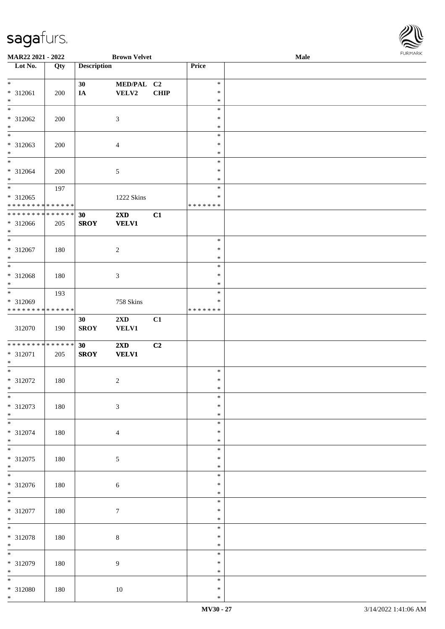

| MAR22 2021 - 2022                  |         |                    | <b>Brown Velvet</b>     |             |               | Male |  |
|------------------------------------|---------|--------------------|-------------------------|-------------|---------------|------|--|
| Lot No.                            | Qty     | <b>Description</b> |                         |             | Price         |      |  |
|                                    |         |                    |                         |             |               |      |  |
| $\ast$                             |         | 30                 | MED/PAL C2              |             | $\ast$        |      |  |
| * 312061                           | 200     | IA                 | <b>VELV2</b>            | <b>CHIP</b> | $\ast$        |      |  |
| $\ast$                             |         |                    |                         |             | $\ast$        |      |  |
| $\ast$                             |         |                    |                         |             | $\ast$        |      |  |
| * 312062                           |         |                    |                         |             | $\ast$        |      |  |
|                                    | 200     |                    | $\mathfrak{Z}$          |             |               |      |  |
| $\ast$<br>$\overline{\phantom{0}}$ |         |                    |                         |             | $\ast$        |      |  |
|                                    |         |                    |                         |             | $\ast$        |      |  |
| * 312063                           | 200     |                    | $\overline{4}$          |             | $\ast$        |      |  |
| $\ast$                             |         |                    |                         |             | $\ast$        |      |  |
| $\overline{\ast}$                  |         |                    |                         |             | $\ast$        |      |  |
| * 312064                           | 200     |                    | 5                       |             | $\ast$        |      |  |
| $\ast$                             |         |                    |                         |             | $\ast$        |      |  |
| $\ast$                             |         |                    |                         |             | $\ast$        |      |  |
|                                    | 197     |                    |                         |             |               |      |  |
| $* 312065$                         |         |                    | 1222 Skins              |             | $\ast$        |      |  |
| * * * * * * * * * * * * * *        |         |                    |                         |             | * * * * * * * |      |  |
| ******** <mark>******</mark>       |         | 30                 | 2XD                     | C1          |               |      |  |
| * 312066                           | 205     | <b>SROY</b>        | <b>VELV1</b>            |             |               |      |  |
| $*$                                |         |                    |                         |             |               |      |  |
| $\overline{\ast}$                  |         |                    |                         |             | $\ast$        |      |  |
|                                    |         |                    |                         |             | $\ast$        |      |  |
| * 312067                           | 180     |                    | $\sqrt{2}$              |             | $\ast$        |      |  |
| $\ast$                             |         |                    |                         |             |               |      |  |
| $\ast$                             |         |                    |                         |             | $\ast$        |      |  |
| * 312068                           | 180     |                    | $\mathfrak{Z}$          |             | $\ast$        |      |  |
| $\ast$                             |         |                    |                         |             | $\ast$        |      |  |
| $\ast$                             | 193     |                    |                         |             | $\ast$        |      |  |
| * 312069                           |         |                    | 758 Skins               |             | $\ast$        |      |  |
| **************                     |         |                    |                         |             | * * * * * * * |      |  |
|                                    |         |                    |                         |             |               |      |  |
|                                    |         | 30                 | 2XD                     | C1          |               |      |  |
| 312070                             | 190     | <b>SROY</b>        | <b>VELV1</b>            |             |               |      |  |
|                                    |         |                    |                         |             |               |      |  |
| * * * * * * * * * * * * * *        |         | 30                 | $2\mathbf{X}\mathbf{D}$ | C2          |               |      |  |
| * 312071                           | 205     | <b>SROY</b>        | <b>VELV1</b>            |             |               |      |  |
| $\ast$                             |         |                    |                         |             |               |      |  |
| $\ast$                             |         |                    |                         |             | $\ast$        |      |  |
| * 312072                           | 180     |                    | $\sqrt{2}$              |             | $\ast$        |      |  |
| $*$                                |         |                    |                         |             | $\ast$        |      |  |
| $*$                                |         |                    |                         |             | $\ast$        |      |  |
|                                    |         |                    |                         |             |               |      |  |
| * 312073                           | 180     |                    | $\mathfrak{Z}$          |             | $\ast$        |      |  |
| $\ast$                             |         |                    |                         |             | $\ast$        |      |  |
| $\overline{\phantom{1}}$           |         |                    |                         |             | $\ast$        |      |  |
| * 312074                           | 180     |                    | $\overline{4}$          |             | $\ast$        |      |  |
| $\ast$                             |         |                    |                         |             | $\ast$        |      |  |
| $\overline{\phantom{1}}$           |         |                    |                         |             | $\ast$        |      |  |
| * 312075                           | 180     |                    | $\sqrt{5}$              |             | $\ast$        |      |  |
| $*$                                |         |                    |                         |             | $\ast$        |      |  |
| $\overline{\phantom{1}}$           |         |                    |                         |             | $\ast$        |      |  |
|                                    |         |                    |                         |             |               |      |  |
| * 312076                           | $180\,$ |                    | $\sqrt{6}$              |             | $\ast$        |      |  |
| $*$                                |         |                    |                         |             | $\ast$        |      |  |
| $\overline{\phantom{a}^*}$         |         |                    |                         |             | $\ast$        |      |  |
| $* 312077$                         | 180     |                    | $\tau$                  |             | $\ast$        |      |  |
| $\ast$                             |         |                    |                         |             | $\ast$        |      |  |
| $\overline{\ast}$                  |         |                    |                         |             | $\ast$        |      |  |
|                                    |         |                    |                         |             | $\ast$        |      |  |
| * 312078                           | 180     |                    | $8\,$                   |             |               |      |  |
| $\ast$                             |         |                    |                         |             | $\ast$        |      |  |
| $\overline{\phantom{a}^*}$         |         |                    |                         |             | $\ast$        |      |  |
| * 312079                           | 180     |                    | $\overline{9}$          |             | $\ast$        |      |  |
| $*$                                |         |                    |                         |             | $\ast$        |      |  |
| $\overline{\phantom{0}}$           |         |                    |                         |             | $\ast$        |      |  |
| $* 312080$                         | 180     |                    | 10                      |             | $\ast$        |      |  |
| $*$                                |         |                    |                         |             | $\ast$        |      |  |
|                                    |         |                    |                         |             |               |      |  |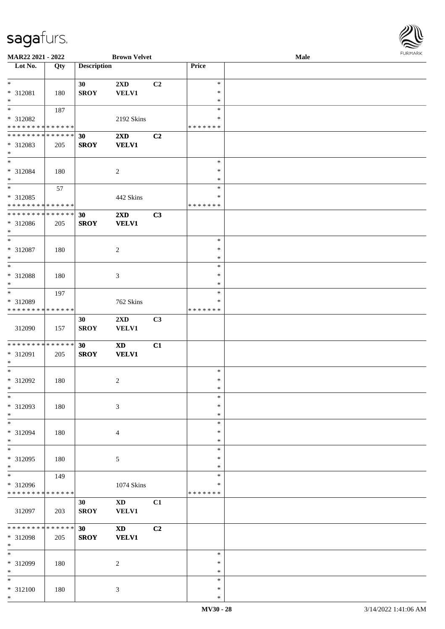

| MAR22 2021 - 2022            |             |                    | <b>Brown Velvet</b>        |                |               | <b>Male</b> |  |
|------------------------------|-------------|--------------------|----------------------------|----------------|---------------|-------------|--|
| Lot No.                      | Qty         | <b>Description</b> |                            |                | Price         |             |  |
|                              |             |                    |                            |                |               |             |  |
| $\ast$                       |             | 30                 | 2XD                        | C <sub>2</sub> | $\ast$        |             |  |
| * 312081                     | 180         | <b>SROY</b>        | <b>VELV1</b>               |                | $\ast$        |             |  |
| $\ast$                       |             |                    |                            |                | $\ast$        |             |  |
| $\overline{\ast}$            |             |                    |                            |                | $\ast$        |             |  |
|                              | 187         |                    |                            |                |               |             |  |
| * 312082                     |             |                    | 2192 Skins                 |                | ∗             |             |  |
| * * * * * * * * * * * * * *  |             |                    |                            |                | * * * * * * * |             |  |
| * * * * * * * * * * * * * *  |             | 30                 | 2XD                        | C <sub>2</sub> |               |             |  |
| * 312083                     | 205         | <b>SROY</b>        | <b>VELV1</b>               |                |               |             |  |
| $*$                          |             |                    |                            |                |               |             |  |
| $\ast$                       |             |                    |                            |                | $\ast$        |             |  |
| * 312084                     | 180         |                    | $\overline{c}$             |                | $\ast$        |             |  |
| $\ast$                       |             |                    |                            |                | $\ast$        |             |  |
| $\ast$                       |             |                    |                            |                | $\ast$        |             |  |
|                              | 57          |                    |                            |                |               |             |  |
| $* 312085$                   |             |                    | 442 Skins                  |                | $\ast$        |             |  |
| * * * * * * * * * * * * * *  |             |                    |                            |                | * * * * * * * |             |  |
| ******** <mark>******</mark> |             | 30                 | $2\mathbf{X}\mathbf{D}$    | C3             |               |             |  |
| $* 312086$                   | 205         | <b>SROY</b>        | <b>VELV1</b>               |                |               |             |  |
| $\ast$                       |             |                    |                            |                |               |             |  |
| $\ast$                       |             |                    |                            |                | $\ast$        |             |  |
| $* 312087$                   | 180         |                    | $\overline{c}$             |                | $\ast$        |             |  |
| $\ast$                       |             |                    |                            |                | $\ast$        |             |  |
| $\ast$                       |             |                    |                            |                |               |             |  |
|                              |             |                    |                            |                | $\ast$        |             |  |
| * 312088                     | 180         |                    | $\mathfrak{Z}$             |                | $\ast$        |             |  |
| $\ast$                       |             |                    |                            |                | $\ast$        |             |  |
| $\ast$                       | 197         |                    |                            |                | $\ast$        |             |  |
| * 312089                     |             |                    | 762 Skins                  |                | $\ast$        |             |  |
| * * * * * * * * * * * * * *  |             |                    |                            |                | * * * * * * * |             |  |
|                              |             | 30                 | 2XD                        | C3             |               |             |  |
| 312090                       | 157         | <b>SROY</b>        | <b>VELV1</b>               |                |               |             |  |
|                              |             |                    |                            |                |               |             |  |
| **************               |             |                    |                            |                |               |             |  |
|                              |             | 30                 | $\boldsymbol{\textbf{XD}}$ | C1             |               |             |  |
| * 312091                     | 205         | <b>SROY</b>        | <b>VELV1</b>               |                |               |             |  |
| $\ast$                       |             |                    |                            |                |               |             |  |
| $\ast$                       |             |                    |                            |                | $\ast$        |             |  |
| $* 312092$                   | 180         |                    | $\overline{c}$             |                | $\ast$        |             |  |
| $*$                          |             |                    |                            |                | $\ast$        |             |  |
| $*$                          |             |                    |                            |                | $\ast$        |             |  |
| * 312093                     | 180         |                    | $\mathfrak{Z}$             |                | $\ast$        |             |  |
| $\ast$                       |             |                    |                            |                | $\ast$        |             |  |
| $\ast$                       |             |                    |                            |                | $\ast$        |             |  |
|                              |             |                    |                            |                |               |             |  |
| * 312094                     | 180         |                    | $\overline{4}$             |                | ∗             |             |  |
| $\ast$                       |             |                    |                            |                | $\ast$        |             |  |
| $_{\ast}$                    |             |                    |                            |                | $\ast$        |             |  |
| * 312095                     | 180         |                    | 5                          |                | $\ast$        |             |  |
| $*$                          |             |                    |                            |                | $\ast$        |             |  |
| $\overline{\phantom{a}^*}$   | 149         |                    |                            |                | $\ast$        |             |  |
| * 312096                     |             |                    | 1074 Skins                 |                | ∗             |             |  |
| * * * * * * * * * * * * * *  |             |                    |                            |                | * * * * * * * |             |  |
|                              |             | 30                 | $\mathbf{X}\mathbf{D}$     | C1             |               |             |  |
|                              |             |                    |                            |                |               |             |  |
| 312097                       | 203         | <b>SROY</b>        | <b>VELV1</b>               |                |               |             |  |
|                              |             |                    |                            |                |               |             |  |
| ********                     | * * * * * * | 30 <sup>°</sup>    | $\mathbf{X}\mathbf{D}$     | C <sub>2</sub> |               |             |  |
| * 312098                     | 205         | <b>SROY</b>        | <b>VELV1</b>               |                |               |             |  |
| $\ast$                       |             |                    |                            |                |               |             |  |
| $\overline{\ast}$            |             |                    |                            |                | $\ast$        |             |  |
| * 312099                     | 180         |                    | 2                          |                | ∗             |             |  |
| $\ast$                       |             |                    |                            |                | $\ast$        |             |  |
| $*$                          |             |                    |                            |                | $\ast$        |             |  |
| * 312100                     | 180         |                    |                            |                | $\ast$        |             |  |
| $\ast$                       |             |                    | $\mathfrak{Z}$             |                | $\ast$        |             |  |
|                              |             |                    |                            |                |               |             |  |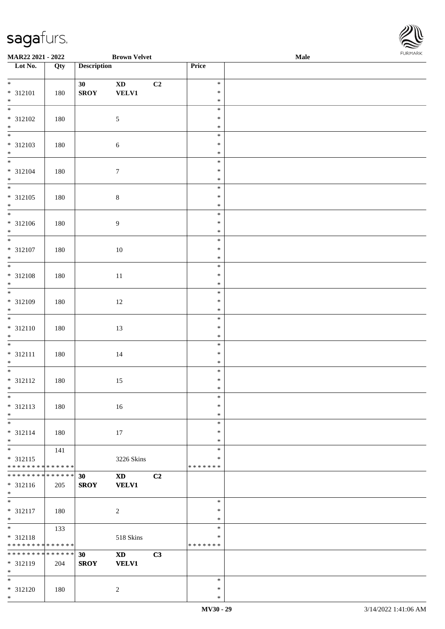

| MAR22 2021 - 2022             |     |                    | <b>Brown Velvet</b>    |                |                  | Male | <b>FUNITANN</b> |
|-------------------------------|-----|--------------------|------------------------|----------------|------------------|------|-----------------|
| Lot No.                       | Qty | <b>Description</b> |                        |                | Price            |      |                 |
|                               |     |                    |                        |                |                  |      |                 |
| $*$                           |     | 30                 | $\mathbf{X}\mathbf{D}$ | C <sub>2</sub> | $\ast$           |      |                 |
| * 312101                      | 180 | <b>SROY</b>        | <b>VELV1</b>           |                | $\ast$           |      |                 |
| $*$                           |     |                    |                        |                | $\ast$           |      |                 |
|                               |     |                    |                        |                | $\ast$<br>$\ast$ |      |                 |
| $* 312102$<br>$*$             | 180 |                    | $\sqrt{5}$             |                | $\ast$           |      |                 |
|                               |     |                    |                        |                | $\ast$           |      |                 |
| $* 312103$                    | 180 |                    |                        |                | $\ast$           |      |                 |
| $*$                           |     |                    | $\sqrt{6}$             |                | $\ast$           |      |                 |
| $\overline{\mathbf{r}}$       |     |                    |                        |                | $\ast$           |      |                 |
| * 312104                      | 180 |                    | $\boldsymbol{7}$       |                | $\ast$           |      |                 |
| $\ast$                        |     |                    |                        |                | $\ast$           |      |                 |
|                               |     |                    |                        |                | $\ast$           |      |                 |
| $* 312105$                    | 180 |                    | $\,8\,$                |                | $\ast$           |      |                 |
| $*$                           |     |                    |                        |                | $\ast$           |      |                 |
| $\overline{\phantom{0}}$      |     |                    |                        |                | $\ast$           |      |                 |
| $* 312106$                    | 180 |                    | $\overline{9}$         |                | $\ast$           |      |                 |
| $*$                           |     |                    |                        |                | $\ast$           |      |                 |
|                               |     |                    |                        |                | $\ast$           |      |                 |
| $* 312107$                    | 180 |                    | $10\,$                 |                | $\ast$           |      |                 |
| $*$                           |     |                    |                        |                | $\ast$           |      |                 |
| $\overline{\phantom{0}}$      |     |                    |                        |                | $\ast$           |      |                 |
| $* 312108$                    | 180 |                    | $11\,$                 |                | $\ast$           |      |                 |
| $*$                           |     |                    |                        |                | $\ast$           |      |                 |
| $\overline{\phantom{0}}$      |     |                    |                        |                | $\ast$           |      |                 |
| $* 312109$                    | 180 |                    | 12                     |                | $\ast$           |      |                 |
| $\ast$<br>$\overline{\ast}$   |     |                    |                        |                | $\ast$           |      |                 |
|                               |     |                    |                        |                | $\ast$           |      |                 |
| $* 312110$<br>$\ast$          | 180 |                    | 13                     |                | $\ast$<br>$\ast$ |      |                 |
|                               |     |                    |                        |                | $\ast$           |      |                 |
| * 312111                      |     |                    |                        |                | $\ast$           |      |                 |
| $*$                           | 180 |                    | 14                     |                | $\ast$           |      |                 |
|                               |     |                    |                        |                | $\ast$           |      |                 |
| $* 312112$                    | 180 |                    | 15                     |                | $\ast$           |      |                 |
| $*$ $-$                       |     |                    |                        |                | $\ast$           |      |                 |
| $*$                           |     |                    |                        |                | $\ast$           |      |                 |
| $* 312113$                    | 180 |                    | 16                     |                | $\ast$           |      |                 |
| $*$                           |     |                    |                        |                | $\ast$           |      |                 |
| $\overline{\phantom{0}}$      |     |                    |                        |                | $\ast$           |      |                 |
| * 312114                      | 180 |                    | 17                     |                | $\ast$           |      |                 |
| $*$                           |     |                    |                        |                | $\ast$           |      |                 |
| $*$                           | 141 |                    |                        |                | $\ast$           |      |                 |
| $* 312115$                    |     |                    | 3226 Skins             |                | $\ast$           |      |                 |
| * * * * * * * * * * * * * * * |     |                    |                        |                | * * * * * * *    |      |                 |
| * * * * * * * * * * * * * * * |     | 30                 | $\mathbf{X}\mathbf{D}$ | C2             |                  |      |                 |
| * 312116                      | 205 | <b>SROY</b>        | <b>VELV1</b>           |                |                  |      |                 |
| $*$                           |     |                    |                        |                | $\ast$           |      |                 |
|                               |     |                    |                        |                | $\ast$           |      |                 |
| * 312117<br>$*$               | 180 |                    | $\sqrt{2}$             |                | $\ast$           |      |                 |
| $\overline{\ast}$             | 133 |                    |                        |                | $\ast$           |      |                 |
| * 312118                      |     |                    | 518 Skins              |                | $\ast$           |      |                 |
| * * * * * * * * * * * * * *   |     |                    |                        |                | *******          |      |                 |
| * * * * * * * * * * * * * * * |     | 30                 | <b>XD</b>              | C3             |                  |      |                 |
| * 312119                      | 204 | <b>SROY</b>        | <b>VELV1</b>           |                |                  |      |                 |
| $*$ $-$                       |     |                    |                        |                |                  |      |                 |
| $*$                           |     |                    |                        |                | $\ast$           |      |                 |
| $* 312120$                    | 180 |                    | 2                      |                | $\ast$           |      |                 |
| $*$                           |     |                    |                        |                | $\ast$           |      |                 |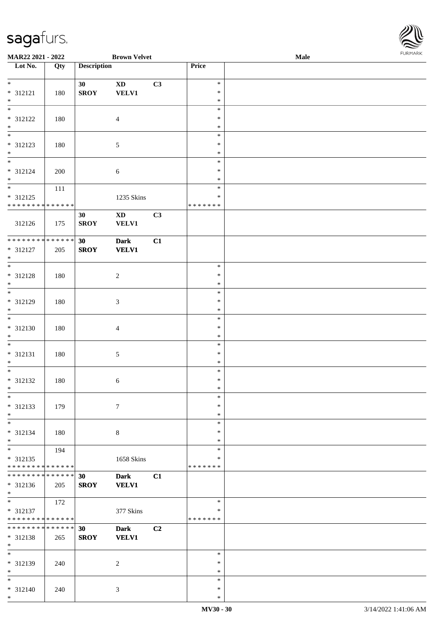\*

| MAR22 2021 - 2022                                             |     |                    | <b>Brown Velvet</b>             |                |                                   | Male | FURMARK |
|---------------------------------------------------------------|-----|--------------------|---------------------------------|----------------|-----------------------------------|------|---------|
| Lot No.                                                       | Qty | <b>Description</b> |                                 |                | Price                             |      |         |
| $*$<br>* 312121<br>$*$                                        | 180 | 30<br><b>SROY</b>  | $\mathbf{X}\mathbf{D}$<br>VELV1 | C3             | $\ast$<br>$\ast$<br>$\ast$        |      |         |
| $\ast$<br>* 312122<br>$*$                                     | 180 |                    | $\overline{4}$                  |                | $\ast$<br>$\ast$<br>$\ast$        |      |         |
| $*$<br>* 312123<br>$*$                                        | 180 |                    | 5                               |                | $\ast$<br>$\ast$<br>$\ast$        |      |         |
| * 312124<br>$*$                                               | 200 |                    | 6                               |                | $\ast$<br>$\ast$<br>$\ast$        |      |         |
| * 312125<br>* * * * * * * * * * * * * *                       | 111 |                    | 1235 Skins                      |                | $\ast$<br>$\ast$<br>* * * * * * * |      |         |
| 312126                                                        | 175 | 30<br><b>SROY</b>  | <b>XD</b><br><b>VELV1</b>       | C3             |                                   |      |         |
| **************<br>* 312127<br>$*$<br>$\overline{\phantom{0}}$ | 205 | 30<br><b>SROY</b>  | <b>Dark</b><br><b>VELV1</b>     | C1             |                                   |      |         |
| * 312128<br>$*$                                               | 180 |                    | $\sqrt{2}$                      |                | $\ast$<br>$\ast$<br>$\ast$        |      |         |
| * 312129<br>$*$<br>$\frac{1}{1}$                              | 180 |                    | $\mathfrak{Z}$                  |                | $\ast$<br>$\ast$<br>$\ast$        |      |         |
| * 312130<br>$*$                                               | 180 |                    | $\overline{\mathcal{A}}$        |                | $\ast$<br>$\ast$<br>$\ast$        |      |         |
| $*$<br>* 312131<br>$*$                                        | 180 |                    | 5                               |                | $\ast$<br>$\ast$<br>$\ast$        |      |         |
| * 312132<br>$*$<br>$\frac{1}{\ast}$                           | 180 |                    | 6                               |                | $\ast$<br>$\ast$<br>∗             |      |         |
| * 312133<br>$*$                                               | 179 |                    | $\tau$                          |                | $\ast$<br>$\ast$<br>$\ast$        |      |         |
| $*$<br>* 312134<br>$*$                                        | 180 |                    | $\,8\,$                         |                | $\ast$<br>$\ast$<br>$\ast$        |      |         |
| $*$<br>$* 312135$<br>* * * * * * * * * * * * * *              | 194 |                    | 1658 Skins                      |                | $\ast$<br>$\ast$<br>* * * * * * * |      |         |
| * * * * * * * * * * * * * *<br>* 312136<br>$*$                | 205 | 30<br><b>SROY</b>  | <b>Dark</b><br><b>VELV1</b>     | C1             |                                   |      |         |
| $\ast$<br>* 312137<br>* * * * * * * * * * * * * * *           | 172 |                    | 377 Skins                       |                | $\ast$<br>*<br>* * * * * * *      |      |         |
| * * * * * * * * <mark>* * * * * *</mark> *<br>* 312138<br>$*$ | 265 | 30<br><b>SROY</b>  | <b>Dark</b><br><b>VELV1</b>     | C <sub>2</sub> |                                   |      |         |
| $*$<br>* 312139<br>$*$                                        | 240 |                    | $\overline{2}$                  |                | $\ast$<br>$\ast$<br>$\ast$        |      |         |
| $*$<br>* 312140                                               | 240 |                    | $\mathfrak{Z}$                  |                | $\ast$<br>$\ast$                  |      |         |

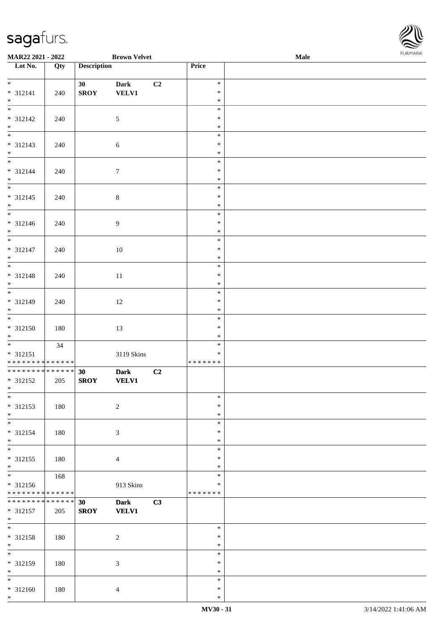

| MAR22 2021 - 2022                                              |     |                    | <b>Brown Velvet</b>         |                |                  | Male | FURMARK |
|----------------------------------------------------------------|-----|--------------------|-----------------------------|----------------|------------------|------|---------|
| Lot No.                                                        | Qty | <b>Description</b> |                             |                | Price            |      |         |
|                                                                |     | 30                 | <b>Dark</b>                 | C <sub>2</sub> | $\ast$           |      |         |
| $* 312141$                                                     | 240 | <b>SROY</b>        | <b>VELV1</b>                |                | $\ast$           |      |         |
| $*$                                                            |     |                    |                             |                | $\ast$           |      |         |
| $*$                                                            |     |                    |                             |                | $\ast$           |      |         |
| * 312142                                                       | 240 |                    | $\sqrt{5}$                  |                | $\ast$           |      |         |
| $*$                                                            |     |                    |                             |                | $\ast$           |      |         |
|                                                                |     |                    |                             |                | $\ast$           |      |         |
| * 312143                                                       | 240 |                    | $\sqrt{6}$                  |                | $\ast$           |      |         |
| $*$                                                            |     |                    |                             |                | $\ast$<br>$\ast$ |      |         |
| * 312144                                                       | 240 |                    | $\tau$                      |                | $\ast$           |      |         |
| $*$                                                            |     |                    |                             |                | $\ast$           |      |         |
|                                                                |     |                    |                             |                | $\ast$           |      |         |
| $* 312145$                                                     | 240 |                    | $\,8\,$                     |                | $\ast$           |      |         |
| $*$                                                            |     |                    |                             |                | $\ast$           |      |         |
|                                                                |     |                    |                             |                | $\ast$           |      |         |
| * 312146                                                       | 240 |                    | $\overline{9}$              |                | $\ast$           |      |         |
| $*$                                                            |     |                    |                             |                | $\ast$           |      |         |
|                                                                |     |                    |                             |                | $\ast$           |      |         |
| $* 312147$<br>$*$                                              | 240 |                    | 10                          |                | $\ast$<br>$\ast$ |      |         |
|                                                                |     |                    |                             |                | $\ast$           |      |         |
| * 312148                                                       | 240 |                    | 11                          |                | $\ast$           |      |         |
| $*$                                                            |     |                    |                             |                | $\ast$           |      |         |
|                                                                |     |                    |                             |                | $\ast$           |      |         |
| * 312149                                                       | 240 |                    | 12                          |                | $\ast$           |      |         |
| $*$                                                            |     |                    |                             |                | $\ast$           |      |         |
|                                                                |     |                    |                             |                | $\ast$           |      |         |
| $* 312150$<br>$*$                                              | 180 |                    | 13                          |                | $\ast$<br>$\ast$ |      |         |
|                                                                | 34  |                    |                             |                | $\ast$           |      |         |
| * 312151                                                       |     |                    | 3119 Skins                  |                | $\ast$           |      |         |
| * * * * * * * * * * * * * * <mark>*</mark>                     |     |                    |                             |                | * * * * * * *    |      |         |
| ******** <mark>******</mark>                                   |     | 30                 | <b>Dark</b>                 | C2             |                  |      |         |
| * 312152                                                       | 205 | <b>SROY</b>        | <b>VELV1</b>                |                |                  |      |         |
| $*$                                                            |     |                    |                             |                |                  |      |         |
| $\overline{\ast}$                                              |     |                    |                             |                | $\ast$           |      |         |
| * 312153                                                       | 180 |                    | $\overline{2}$              |                | $\ast$           |      |         |
| $*$<br>$\overline{\phantom{0}}$                                |     |                    |                             |                | $\ast$<br>$\ast$ |      |         |
| * 312154                                                       | 180 |                    | $\mathfrak{Z}$              |                | $\ast$           |      |         |
| $*$                                                            |     |                    |                             |                | $\ast$           |      |         |
| $\overline{\phantom{0}}$                                       |     |                    |                             |                | $\ast$           |      |         |
| $* 312155$                                                     | 180 |                    | $\overline{4}$              |                | $\ast$           |      |         |
| $*$                                                            |     |                    |                             |                | $\ast$           |      |         |
|                                                                | 168 |                    |                             |                | $\ast$           |      |         |
| $* 312156$                                                     |     |                    | 913 Skins                   |                | ∗                |      |         |
| * * * * * * * * * * * * * * *<br>* * * * * * * * * * * * * * * |     |                    |                             |                | * * * * * * *    |      |         |
| * 312157                                                       | 205 | 30<br><b>SROY</b>  | <b>Dark</b><br><b>VELV1</b> | C3             |                  |      |         |
| $*$                                                            |     |                    |                             |                |                  |      |         |
| $*$                                                            |     |                    |                             |                | $\ast$           |      |         |
| * 312158                                                       | 180 |                    | $\overline{c}$              |                | $\ast$           |      |         |
| $*$                                                            |     |                    |                             |                | $\ast$           |      |         |
| $\overline{\phantom{0}}$                                       |     |                    |                             |                | $\ast$           |      |         |
| * 312159                                                       | 180 |                    | $\mathfrak{Z}$              |                | $\ast$           |      |         |
| $*$                                                            |     |                    |                             |                | $\ast$           |      |         |
| $*$<br>* 312160                                                | 180 |                    |                             |                | $\ast$<br>$\ast$ |      |         |
| $*$                                                            |     |                    | $\overline{4}$              |                | $\ast$           |      |         |
|                                                                |     |                    |                             |                |                  |      |         |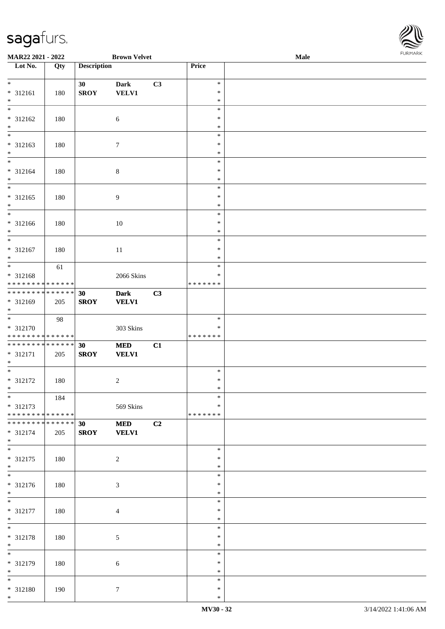

| <b>MAR22 2021 - 2022</b>                                                |     |                    | <b>Brown Velvet</b>         |    |                             | Male | $. 0.0147$ $. 0.0147$ |
|-------------------------------------------------------------------------|-----|--------------------|-----------------------------|----|-----------------------------|------|-----------------------|
| Lot No.                                                                 | Qty | <b>Description</b> |                             |    | <b>Price</b>                |      |                       |
| $\ddot{x}$<br>* 312161                                                  | 180 | 30<br><b>SROY</b>  | <b>Dark</b><br><b>VELV1</b> | C3 | $\ast$<br>$\ast$            |      |                       |
| $\ast$                                                                  |     |                    |                             |    | $\ast$<br>$\ast$            |      |                       |
| * 312162<br>$*$                                                         | 180 |                    | 6                           |    | $\ast$<br>$\ast$<br>$\ast$  |      |                       |
| * 312163<br>$*$                                                         | 180 |                    | $\tau$                      |    | $\ast$<br>$\ast$            |      |                       |
| * 312164<br>$*$                                                         | 180 |                    | $\,8\,$                     |    | $\ast$<br>$\ast$<br>$\ast$  |      |                       |
| $\overline{\phantom{0}}$<br>* 312165<br>$*$<br>$\overline{\phantom{0}}$ | 180 |                    | $\overline{9}$              |    | $\ast$<br>$\ast$<br>$\ast$  |      |                       |
| * 312166<br>$*$                                                         | 180 |                    | 10                          |    | $\ast$<br>$\ast$<br>$\ast$  |      |                       |
| $\overline{\phantom{0}}$<br>* 312167<br>$\ast$                          | 180 |                    | 11                          |    | $\ast$<br>$\ast$<br>$\ast$  |      |                       |
| * 312168<br>* * * * * * * * <mark>* * * * * * *</mark>                  | 61  |                    | 2066 Skins                  |    | $\ast$<br>$\ast$<br>******* |      |                       |
| * * * * * * * * <mark>* * * * * * *</mark><br>* 312169<br>$*$           | 205 | 30<br><b>SROY</b>  | <b>Dark</b><br><b>VELV1</b> | C3 |                             |      |                       |
| * 312170<br>* * * * * * * * * * * * * *                                 | 98  |                    | 303 Skins                   |    | $\ast$<br>∗<br>*******      |      |                       |
| * * * * * * * * <mark>* * * * * * *</mark><br>* 312171<br>$*$           | 205 | 30<br><b>SROY</b>  | <b>MED</b><br><b>VELV1</b>  | C1 |                             |      |                       |
| $*$<br>* 312172<br>$*$ $-$                                              | 180 |                    | 2                           |    | $\ast$<br>$\ast$<br>$\ast$  |      |                       |
| $*$<br>* 312173<br>* * * * * * * * <mark>* * * * * * *</mark>           | 184 |                    | 569 Skins                   |    | $\ast$<br>$\ast$<br>******* |      |                       |
| * * * * * * * * <mark>* * * * * * *</mark><br>* 312174<br>$*$           | 205 | 30<br><b>SROY</b>  | <b>MED</b><br><b>VELV1</b>  | C2 |                             |      |                       |
| * 312175<br>$*$                                                         | 180 |                    | 2                           |    | $\ast$<br>$\ast$<br>$\ast$  |      |                       |
| $*$<br>* 312176<br>$*$                                                  | 180 |                    | $\mathfrak{Z}$              |    | $\ast$<br>$\ast$<br>$\ast$  |      |                       |
| $\overline{\phantom{0}}$<br>* 312177<br>$*$                             | 180 |                    | $\overline{4}$              |    | $\ast$<br>$\ast$<br>$\ast$  |      |                       |
| $*$<br>* 312178<br>$*$                                                  | 180 |                    | 5                           |    | $\ast$<br>$\ast$<br>$\ast$  |      |                       |
| * 312179<br>$*$                                                         | 180 |                    | 6                           |    | $\ast$<br>$\ast$<br>$\ast$  |      |                       |
| $*$<br>* 312180<br>$*$                                                  | 190 |                    | $\tau$                      |    | $\ast$<br>$\ast$<br>$\ast$  |      |                       |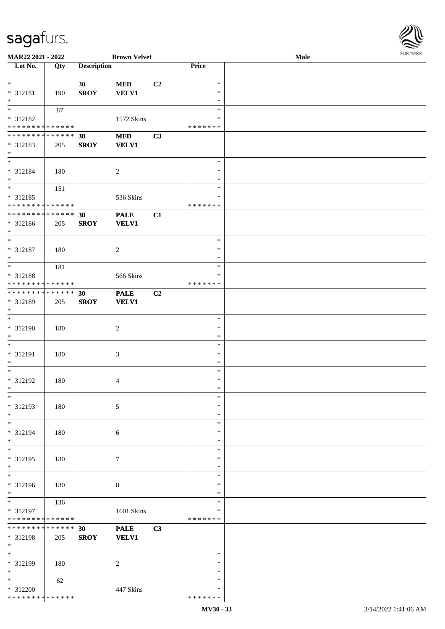

| MAR22 2021 - 2022            |     |                    | <b>Brown Velvet</b> |                |               | Male |
|------------------------------|-----|--------------------|---------------------|----------------|---------------|------|
| Lot No.                      | Qty | <b>Description</b> |                     |                | Price         |      |
|                              |     |                    |                     |                |               |      |
| $\ast$                       |     | 30                 | $\bf MED$           | C <sub>2</sub> | $\ast$        |      |
| * 312181                     | 190 | <b>SROY</b>        | <b>VELV1</b>        |                | $\ast$        |      |
| $\ast$                       |     |                    |                     |                | $\ast$        |      |
| $\overline{\phantom{0}}$     | 87  |                    |                     |                | $\ast$        |      |
|                              |     |                    |                     |                | ∗             |      |
| * 312182                     |     |                    | 1572 Skins          |                |               |      |
| * * * * * * * * * * * * * *  |     |                    |                     |                | * * * * * * * |      |
| **************               |     | 30                 | $\bf MED$           | C3             |               |      |
| * 312183                     | 205 | <b>SROY</b>        | <b>VELV1</b>        |                |               |      |
| $\ast$                       |     |                    |                     |                |               |      |
| $\overline{\phantom{a}^*}$   |     |                    |                     |                | $\ast$        |      |
| * 312184                     | 180 |                    | $\boldsymbol{2}$    |                | $\ast$        |      |
| $\ast$                       |     |                    |                     |                | $\ast$        |      |
| $\overline{\phantom{0}}$     | 151 |                    |                     |                | $\ast$        |      |
| $* 312185$                   |     |                    | 536 Skins           |                | $\ast$        |      |
| * * * * * * * * * * * * * *  |     |                    |                     |                | * * * * * * * |      |
|                              |     |                    |                     |                |               |      |
| ******** <mark>******</mark> |     | 30                 | <b>PALE</b>         | C1             |               |      |
| * 312186                     | 205 | <b>SROY</b>        | <b>VELV1</b>        |                |               |      |
| $\ast$                       |     |                    |                     |                |               |      |
| $\ast$                       |     |                    |                     |                | $\ast$        |      |
| $* 312187$                   | 180 |                    | $\boldsymbol{2}$    |                | $\ast$        |      |
| $\ast$                       |     |                    |                     |                | $\ast$        |      |
| $\ast$                       | 181 |                    |                     |                | $\ast$        |      |
| * 312188                     |     |                    | 566 Skins           |                | *             |      |
| * * * * * * * * * * * * * *  |     |                    |                     |                | * * * * * * * |      |
| **************               |     |                    |                     |                |               |      |
|                              |     | 30                 | <b>PALE</b>         | C2             |               |      |
| * 312189                     | 205 | <b>SROY</b>        | <b>VELV1</b>        |                |               |      |
| $\ast$                       |     |                    |                     |                |               |      |
| $\ast$                       |     |                    |                     |                | $\ast$        |      |
| $* 312190$                   | 180 |                    | $\boldsymbol{2}$    |                | $\ast$        |      |
| $\ast$                       |     |                    |                     |                | $\ast$        |      |
| $\ast$                       |     |                    |                     |                | $\ast$        |      |
| $* 312191$                   | 180 |                    | $\mathfrak{Z}$      |                | $\ast$        |      |
| $\ast$                       |     |                    |                     |                | $\ast$        |      |
| $\ast$                       |     |                    |                     |                | $\ast$        |      |
|                              |     |                    |                     |                | $\ast$        |      |
| $* 312192$                   | 180 |                    | 4                   |                |               |      |
| $*$                          |     |                    |                     |                | $\ast$        |      |
| $*$                          |     |                    |                     |                | $\ast$        |      |
| * 312193                     | 180 |                    | 5                   |                | ∗             |      |
| $\ast$                       |     |                    |                     |                | $\ast$        |      |
| $*$                          |     |                    |                     |                | $\ast$        |      |
| * 312194                     | 180 |                    | 6                   |                | *             |      |
| $*$                          |     |                    |                     |                | $\ast$        |      |
| $*$                          |     |                    |                     |                | $\ast$        |      |
| * 312195                     | 180 |                    | 7                   |                | $\ast$        |      |
| $*$                          |     |                    |                     |                | $\ast$        |      |
| $\overline{\phantom{a}^*}$   |     |                    |                     |                | $\ast$        |      |
|                              |     |                    |                     |                |               |      |
| * 312196                     | 180 |                    | $\,8\,$             |                | ∗             |      |
| $*$                          |     |                    |                     |                | $\ast$        |      |
| $*$                          | 136 |                    |                     |                | $\ast$        |      |
| * 312197                     |     |                    | 1601 Skins          |                | *             |      |
| * * * * * * * * * * * * * *  |     |                    |                     |                | *******       |      |
| * * * * * * * * * * * * * *  |     | 30                 | <b>PALE</b>         | C3             |               |      |
| * 312198                     | 205 | <b>SROY</b>        | <b>VELV1</b>        |                |               |      |
| $*$                          |     |                    |                     |                |               |      |
| $\overline{\phantom{0}}$     |     |                    |                     |                | $\ast$        |      |
| * 312199                     |     |                    |                     |                | ∗             |      |
|                              | 180 |                    | $\overline{2}$      |                |               |      |
| $\ast$                       |     |                    |                     |                | $\ast$        |      |
| $*$                          | 62  |                    |                     |                | $\ast$        |      |
| * 312200                     |     |                    | 447 Skins           |                | $\ast$        |      |
| * * * * * * * * * * * * * *  |     |                    |                     |                | * * * * * * * |      |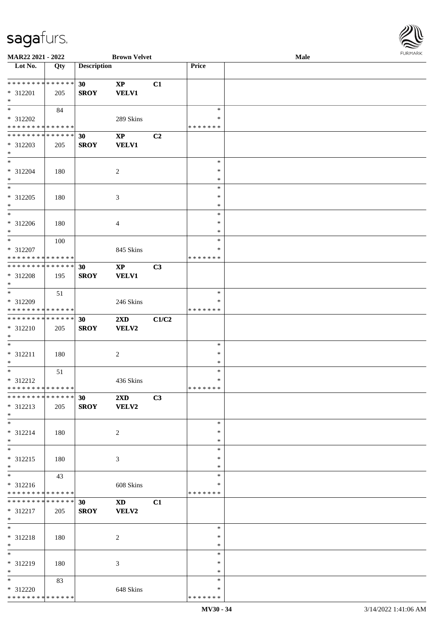

| MAR22 2021 - 2022             |                   |                    | <b>Brown Velvet</b>                                                                                                                                                                                                            |                |               | <b>Male</b> |
|-------------------------------|-------------------|--------------------|--------------------------------------------------------------------------------------------------------------------------------------------------------------------------------------------------------------------------------|----------------|---------------|-------------|
| Lot No.                       | $\overline{Q}$ ty | <b>Description</b> |                                                                                                                                                                                                                                |                | Price         |             |
|                               |                   |                    |                                                                                                                                                                                                                                |                |               |             |
| **************                |                   | 30                 | $\mathbf{X}\mathbf{P}$                                                                                                                                                                                                         | C1             |               |             |
| * 312201                      | 205               | <b>SROY</b>        | <b>VELV1</b>                                                                                                                                                                                                                   |                |               |             |
| $\ast$                        |                   |                    |                                                                                                                                                                                                                                |                |               |             |
| $*$                           |                   |                    |                                                                                                                                                                                                                                |                | $\ast$        |             |
|                               | 84                |                    |                                                                                                                                                                                                                                |                |               |             |
| * 312202                      |                   |                    | 289 Skins                                                                                                                                                                                                                      |                | ∗             |             |
| * * * * * * * * * * * * * *   |                   |                    |                                                                                                                                                                                                                                |                | * * * * * * * |             |
| * * * * * * * * * * * * * *   |                   | 30                 | $\bold{XP}$                                                                                                                                                                                                                    | C <sub>2</sub> |               |             |
| * 312203                      | 205               | <b>SROY</b>        | <b>VELV1</b>                                                                                                                                                                                                                   |                |               |             |
| $*$                           |                   |                    |                                                                                                                                                                                                                                |                |               |             |
| $\ast$                        |                   |                    |                                                                                                                                                                                                                                |                | $\ast$        |             |
| * 312204                      | 180               |                    | 2                                                                                                                                                                                                                              |                | $\ast$        |             |
| $\ast$                        |                   |                    |                                                                                                                                                                                                                                |                | $\ast$        |             |
| $\ast$                        |                   |                    |                                                                                                                                                                                                                                |                | $\ast$        |             |
|                               |                   |                    |                                                                                                                                                                                                                                |                |               |             |
| * 312205                      | 180               |                    | $\mathfrak{Z}$                                                                                                                                                                                                                 |                | $\ast$        |             |
| $\ast$                        |                   |                    |                                                                                                                                                                                                                                |                | $\ast$        |             |
| $\overline{\phantom{1}}$      |                   |                    |                                                                                                                                                                                                                                |                | $\ast$        |             |
| $* 312206$                    | 180               |                    | $\overline{4}$                                                                                                                                                                                                                 |                | $\ast$        |             |
| $\ast$                        |                   |                    |                                                                                                                                                                                                                                |                | $\ast$        |             |
| $\ast$                        | 100               |                    |                                                                                                                                                                                                                                |                | $\ast$        |             |
| * 312207                      |                   |                    | 845 Skins                                                                                                                                                                                                                      |                | ∗             |             |
| * * * * * * * * * * * * * *   |                   |                    |                                                                                                                                                                                                                                |                | * * * * * * * |             |
| * * * * * * * * * * * * * *   |                   |                    |                                                                                                                                                                                                                                |                |               |             |
|                               |                   | 30                 | $\mathbf{XP}$                                                                                                                                                                                                                  | C3             |               |             |
| * 312208                      | 195               | <b>SROY</b>        | <b>VELV1</b>                                                                                                                                                                                                                   |                |               |             |
| $\ast$                        |                   |                    |                                                                                                                                                                                                                                |                |               |             |
| $\ast$                        | 51                |                    |                                                                                                                                                                                                                                |                | $\ast$        |             |
| * 312209                      |                   |                    | 246 Skins                                                                                                                                                                                                                      |                | ∗             |             |
| * * * * * * * * * * * * * *   |                   |                    |                                                                                                                                                                                                                                |                | * * * * * * * |             |
| **************                |                   | 30                 | 2XD                                                                                                                                                                                                                            | C1/C2          |               |             |
| * 312210                      | 205               | <b>SROY</b>        | VELV2                                                                                                                                                                                                                          |                |               |             |
| $\ast$                        |                   |                    |                                                                                                                                                                                                                                |                |               |             |
| $\ast$                        |                   |                    |                                                                                                                                                                                                                                |                |               |             |
|                               |                   |                    |                                                                                                                                                                                                                                |                | $\ast$        |             |
| $* 312211$                    | 180               |                    | $\overline{c}$                                                                                                                                                                                                                 |                | $\ast$        |             |
| $\ast$                        |                   |                    |                                                                                                                                                                                                                                |                | $\ast$        |             |
| $\ast$                        | 51                |                    |                                                                                                                                                                                                                                |                | $\ast$        |             |
| $* 312212$                    |                   |                    | 436 Skins                                                                                                                                                                                                                      |                | $\ast$        |             |
| **************                |                   |                    |                                                                                                                                                                                                                                |                | *******       |             |
| * * * * * * * * * * * * * *   |                   | 30                 | $2\mathbf{X}\mathbf{D}$                                                                                                                                                                                                        | C3             |               |             |
| * 312213                      | 205               | <b>SROY</b>        | VELV2                                                                                                                                                                                                                          |                |               |             |
| $*$                           |                   |                    |                                                                                                                                                                                                                                |                |               |             |
| $*$                           |                   |                    |                                                                                                                                                                                                                                |                | $\ast$        |             |
|                               |                   |                    |                                                                                                                                                                                                                                |                |               |             |
| * 312214                      | 180               |                    | $\overline{2}$                                                                                                                                                                                                                 |                | ∗             |             |
| $*$                           |                   |                    |                                                                                                                                                                                                                                |                | $\ast$        |             |
| $\overline{\ast}$             |                   |                    |                                                                                                                                                                                                                                |                | $\ast$        |             |
| * 312215                      | 180               |                    | 3                                                                                                                                                                                                                              |                | $\ast$        |             |
| $*$                           |                   |                    |                                                                                                                                                                                                                                |                | $\ast$        |             |
| $\overline{\phantom{0}}$      | 43                |                    |                                                                                                                                                                                                                                |                | $\ast$        |             |
| * 312216                      |                   |                    | 608 Skins                                                                                                                                                                                                                      |                | ∗             |             |
| * * * * * * * * * * * * * *   |                   |                    |                                                                                                                                                                                                                                |                | * * * * * * * |             |
| * * * * * * * * * * * * * * * |                   | 30                 | XD and the set of the set of the set of the set of the set of the set of the set of the set of the set of the set of the set of the set of the set of the set of the set of the set of the set of the set of the set of the se | C1             |               |             |
|                               |                   |                    |                                                                                                                                                                                                                                |                |               |             |
| * 312217                      | 205               | <b>SROY</b>        | <b>VELV2</b>                                                                                                                                                                                                                   |                |               |             |
| $*$                           |                   |                    |                                                                                                                                                                                                                                |                |               |             |
| $*$                           |                   |                    |                                                                                                                                                                                                                                |                | $\ast$        |             |
| * 312218                      | 180               |                    | 2                                                                                                                                                                                                                              |                | $\ast$        |             |
| $*$                           |                   |                    |                                                                                                                                                                                                                                |                | $\ast$        |             |
| $\overline{\phantom{0}}$      |                   |                    |                                                                                                                                                                                                                                |                | $\ast$        |             |
| * 312219                      | 180               |                    | 3                                                                                                                                                                                                                              |                | $\ast$        |             |
| $\ast$                        |                   |                    |                                                                                                                                                                                                                                |                | $\ast$        |             |
| $*$                           | 83                |                    |                                                                                                                                                                                                                                |                | $\ast$        |             |
| * 312220                      |                   |                    |                                                                                                                                                                                                                                |                | ∗             |             |
|                               |                   |                    | 648 Skins                                                                                                                                                                                                                      |                | * * * * * * * |             |
| * * * * * * * * * * * * * *   |                   |                    |                                                                                                                                                                                                                                |                |               |             |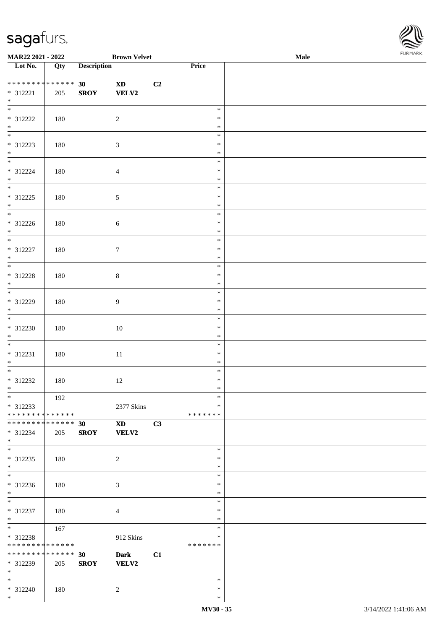\*



| MAR22 2021 - 2022                                                     |     |                                | <b>Brown Velvet</b>                                              |    |                              | $\bf Male$ | FURMARK |  |
|-----------------------------------------------------------------------|-----|--------------------------------|------------------------------------------------------------------|----|------------------------------|------------|---------|--|
| Lot No.                                                               | Qty | <b>Description</b>             |                                                                  |    | Price                        |            |         |  |
| **************<br>$* 312221$<br>$*$                                   | 205 | 30 <sub>1</sub><br><b>SROY</b> | $\mathbf{X}\mathbf{D}$<br><b>VELV2</b>                           | C2 |                              |            |         |  |
| $\overline{\phantom{0}}$<br>* 312222<br>$*$                           | 180 |                                | $\sqrt{2}$                                                       |    | $\ast$<br>$\ast$<br>$\ast$   |            |         |  |
| $*$<br>$* 312223$<br>$*$ $*$                                          | 180 |                                | $\mathfrak{Z}$                                                   |    | $\ast$<br>$\ast$<br>$\ast$   |            |         |  |
| $* 312224$<br>$\ast$<br>$\overline{\phantom{0}}$                      | 180 |                                | $\overline{4}$                                                   |    | $\ast$<br>$\ast$<br>$\ast$   |            |         |  |
| $* 312225$<br>$\ast$                                                  | 180 |                                | $\sqrt{5}$                                                       |    | $\ast$<br>$\ast$<br>$\ast$   |            |         |  |
| $* 312226$<br>$*$<br>$\overline{\phantom{0}}$                         | 180 |                                | 6                                                                |    | $\ast$<br>$\ast$<br>$\ast$   |            |         |  |
| $* 312227$<br>$\ast$<br>$\overline{\phantom{a}^*}$                    | 180 |                                | $\tau$                                                           |    | $\ast$<br>$\ast$<br>$\ast$   |            |         |  |
| * 312228<br>$\ast$<br>$\overline{\ast}$                               | 180 |                                | $\,8\,$                                                          |    | $\ast$<br>$\ast$<br>$\ast$   |            |         |  |
| * 312229<br>$\ast$<br>$\frac{1}{*}$                                   | 180 |                                | $\boldsymbol{9}$                                                 |    | $\ast$<br>$\ast$<br>$\ast$   |            |         |  |
| * 312230<br>$\ast$<br>$\overline{\phantom{a}^*}$                      | 180 |                                | $10\,$                                                           |    | $\ast$<br>$\ast$<br>$\ast$   |            |         |  |
| $* 312231$<br>$\ast$<br>$*$                                           | 180 |                                | $11\,$                                                           |    | $\ast$<br>$\ast$<br>$\ast$   |            |         |  |
| $* 312232$<br>$*$<br>$\overline{\phantom{0}}$                         | 180 |                                | 12                                                               |    | $\ast$<br>$\ast$<br>∗        |            |         |  |
| * 312233<br>* * * * * * * * * * * * * * *                             | 192 |                                | 2377 Skins                                                       |    | $\ast$<br>∗<br>* * * * * * * |            |         |  |
| **************<br>* 312234<br>$*$<br>$\overline{\ast}$                | 205 | 30<br><b>SROY</b>              | $\boldsymbol{\mathrm{X}}\boldsymbol{\mathrm{D}}$<br><b>VELV2</b> | C3 |                              |            |         |  |
| $* 312235$<br>$*$<br>$\overline{\phantom{0}}$                         | 180 |                                | $\overline{c}$                                                   |    | $\ast$<br>$\ast$<br>$\ast$   |            |         |  |
| $* 312236$<br>$*$<br>$\overline{\phantom{0}}$                         | 180 |                                | 3                                                                |    | $\ast$<br>$\ast$<br>∗        |            |         |  |
| * 312237<br>$\ast$                                                    | 180 |                                | $\overline{4}$                                                   |    | $\ast$<br>$\ast$<br>$\ast$   |            |         |  |
| $*$<br>* 312238<br>* * * * * * * * * * * * * *                        | 167 |                                | 912 Skins                                                        |    | $\ast$<br>∗<br>* * * * * * * |            |         |  |
| * * * * * * * * * * * * * * *<br>* 312239<br>$*$<br>$\overline{\ast}$ | 205 | 30<br><b>SROY</b>              | <b>Dark</b><br><b>VELV2</b>                                      | C1 |                              |            |         |  |
| $* 312240$<br>$*$                                                     | 180 |                                | $\overline{2}$                                                   |    | $\ast$<br>$\ast$<br>$\ast$   |            |         |  |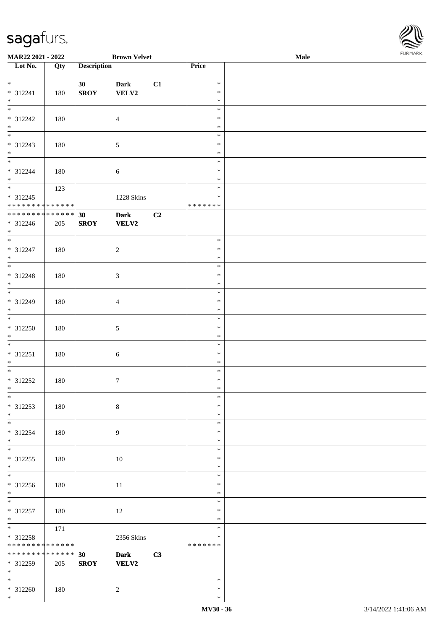\*

| MAR22 2021 - 2022               |     |                    | <b>Brown Velvet</b> |    |                  | Male | <b>FURPIARR</b> |
|---------------------------------|-----|--------------------|---------------------|----|------------------|------|-----------------|
| Lot No.                         | Qty | <b>Description</b> |                     |    | Price            |      |                 |
| $*$                             |     |                    |                     |    |                  |      |                 |
|                                 |     | 30 <sup>°</sup>    | Dark<br>VELV2       | C1 | $\ast$<br>$\ast$ |      |                 |
| $* 312241$<br>$*$               | 180 | <b>SROY</b>        |                     |    | $\ast$           |      |                 |
| $*$                             |     |                    |                     |    | $\ast$           |      |                 |
| $* 312242$                      | 180 |                    | $\overline{4}$      |    | $\ast$           |      |                 |
| $*$                             |     |                    |                     |    | $\ast$           |      |                 |
| $\overline{\phantom{0}}$        |     |                    |                     |    | $\ast$           |      |                 |
| $* 312243$                      | 180 |                    | $\mathfrak{S}$      |    | $\ast$           |      |                 |
| $*$                             |     |                    |                     |    | $\ast$           |      |                 |
| $\overline{\phantom{0}}$        |     |                    |                     |    | $\ast$           |      |                 |
| * 312244<br>$*$                 | 180 |                    | 6                   |    | $\ast$           |      |                 |
|                                 |     |                    |                     |    | $\ast$<br>$\ast$ |      |                 |
| $* 312245$                      | 123 |                    | 1228 Skins          |    | *                |      |                 |
| * * * * * * * * * * * * * *     |     |                    |                     |    | * * * * * * *    |      |                 |
| * * * * * * * * * * * * * *     |     | 30                 | <b>Dark</b>         | C2 |                  |      |                 |
| * 312246                        | 205 | <b>SROY</b>        | <b>VELV2</b>        |    |                  |      |                 |
| $*$                             |     |                    |                     |    |                  |      |                 |
|                                 |     |                    |                     |    | $\ast$           |      |                 |
| * 312247                        | 180 |                    | $\overline{c}$      |    | $\ast$           |      |                 |
| $*$                             |     |                    |                     |    | $\ast$           |      |                 |
| $\overline{\phantom{0}}$        |     |                    |                     |    | $\ast$           |      |                 |
| $* 312248$                      | 180 |                    | $\mathfrak{Z}$      |    | $\ast$           |      |                 |
| $*$<br>$\overline{\phantom{0}}$ |     |                    |                     |    | $\ast$<br>$\ast$ |      |                 |
| * 312249                        | 180 |                    | $\overline{4}$      |    | $\ast$           |      |                 |
| $*$                             |     |                    |                     |    | $\ast$           |      |                 |
| $\overline{\phantom{0}}$        |     |                    |                     |    | $\ast$           |      |                 |
| $* 312250$                      | 180 |                    | $\mathfrak{S}$      |    | $\ast$           |      |                 |
| $\ast$                          |     |                    |                     |    | $\ast$           |      |                 |
| $*$                             |     |                    |                     |    | $\ast$           |      |                 |
| $* 312251$                      | 180 |                    | 6                   |    | $\ast$           |      |                 |
| $*$                             |     |                    |                     |    | $\ast$           |      |                 |
|                                 |     |                    |                     |    | $\ast$           |      |                 |
| $* 312252$                      | 180 |                    | $\tau$              |    | $\ast$           |      |                 |
| $*$<br>$\ast$                   |     |                    |                     |    | $\ast$<br>$\ast$ |      |                 |
| * 312253                        | 180 |                    | $\,8\,$             |    | $\ast$           |      |                 |
| $*$                             |     |                    |                     |    | $\ast$           |      |                 |
| $*$                             |     |                    |                     |    | $\ast$           |      |                 |
| * 312254                        | 180 |                    | 9                   |    | $\ast$           |      |                 |
| $*$                             |     |                    |                     |    | $\ast$           |      |                 |
| $\overline{\phantom{0}}$        |     |                    |                     |    | $\ast$           |      |                 |
| $* 312255$                      | 180 |                    | 10                  |    | $\ast$           |      |                 |
| $*$                             |     |                    |                     |    | $\ast$           |      |                 |
| $\overline{\phantom{0}}$        |     |                    |                     |    | $\ast$           |      |                 |
| * 312256                        | 180 |                    | 11                  |    | $\ast$           |      |                 |
| $*$<br>$*$                      |     |                    |                     |    | $\ast$           |      |                 |
|                                 |     |                    |                     |    | $\ast$<br>$\ast$ |      |                 |
| $* 312257$<br>$*$               | 180 |                    | 12                  |    | $\ast$           |      |                 |
|                                 | 171 |                    |                     |    | $\ast$           |      |                 |
| * 312258                        |     |                    | 2356 Skins          |    | *                |      |                 |
| * * * * * * * * * * * * * *     |     |                    |                     |    | * * * * * * *    |      |                 |
| * * * * * * * * * * * * * * *   |     | 30                 | <b>Dark</b>         | C3 |                  |      |                 |
| * 312259                        | 205 | <b>SROY</b>        | <b>VELV2</b>        |    |                  |      |                 |
| $*$                             |     |                    |                     |    |                  |      |                 |
| $*$                             |     |                    |                     |    | $\ast$           |      |                 |
| $* 312260$                      | 180 |                    | $\overline{2}$      |    | $\ast$           |      |                 |

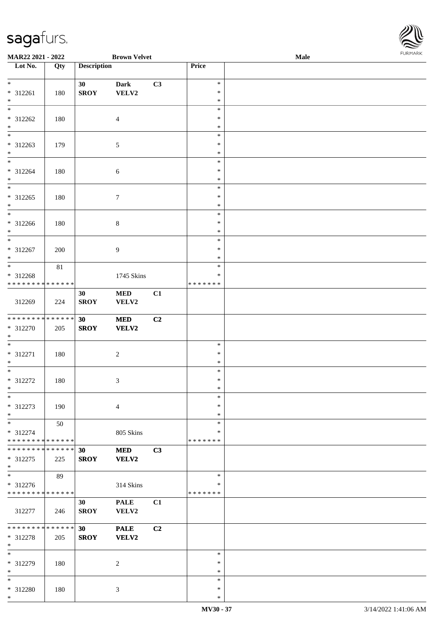

| MAR22 2021 - 2022                |        |                    | <b>Brown Velvet</b> |    |               | Male | <b>I ORI IMPORT</b> |
|----------------------------------|--------|--------------------|---------------------|----|---------------|------|---------------------|
| $\overline{\phantom{1}}$ Lot No. | Qty    | <b>Description</b> |                     |    | Price         |      |                     |
|                                  |        |                    |                     |    |               |      |                     |
| $*$                              |        | 30                 | <b>Dark</b>         | C3 | $\ast$        |      |                     |
| * 312261                         | 180    | <b>SROY</b>        | VELV2               |    | $\ast$        |      |                     |
| $*$                              |        |                    |                     |    | $\ast$        |      |                     |
| $\overline{\ast}$                |        |                    |                     |    | $\ast$        |      |                     |
| $* 312262$                       | 180    |                    | $\overline{4}$      |    | $\ast$        |      |                     |
| $*$                              |        |                    |                     |    | $\ast$        |      |                     |
| $\overline{\phantom{0}}$         |        |                    |                     |    | $\ast$        |      |                     |
| * 312263                         | 179    |                    | $\sqrt{5}$          |    | $\ast$        |      |                     |
| $\ast$                           |        |                    |                     |    | $\ast$        |      |                     |
| $\overline{\phantom{0}}$         |        |                    |                     |    | $\ast$        |      |                     |
| * 312264                         | 180    |                    | $\sqrt{6}$          |    | $\ast$        |      |                     |
| $*$                              |        |                    |                     |    | $\ast$        |      |                     |
|                                  |        |                    |                     |    | $\ast$        |      |                     |
| $* 312265$                       | 180    |                    | 7                   |    | $\ast$        |      |                     |
| $*$                              |        |                    |                     |    | $\ast$        |      |                     |
| $*$                              |        |                    |                     |    | $\ast$        |      |                     |
| * 312266                         | 180    |                    | $8\,$               |    | $\ast$        |      |                     |
| $*$                              |        |                    |                     |    | $\ast$        |      |                     |
| $*$                              |        |                    |                     |    | $\ast$        |      |                     |
| $* 312267$                       | 200    |                    | $\overline{9}$      |    | $\ast$        |      |                     |
| $*$                              |        |                    |                     |    | *             |      |                     |
| $\overline{\phantom{0}}$         | $81\,$ |                    |                     |    | $\ast$        |      |                     |
| * 312268                         |        |                    | 1745 Skins          |    | ∗             |      |                     |
| * * * * * * * * * * * * * *      |        |                    |                     |    | * * * * * * * |      |                     |
|                                  |        | 30                 | <b>MED</b>          | C1 |               |      |                     |
| 312269                           | 224    | <b>SROY</b>        | VELV2               |    |               |      |                     |
|                                  |        |                    |                     |    |               |      |                     |
| * * * * * * * * * * * * * * *    |        | 30                 | <b>MED</b>          | C2 |               |      |                     |
| * 312270                         | 205    | <b>SROY</b>        | VELV2               |    |               |      |                     |
| $*$                              |        |                    |                     |    |               |      |                     |
| $\overline{\phantom{0}}$         |        |                    |                     |    | $\ast$        |      |                     |
| $* 312271$                       | 180    |                    | $\sqrt{2}$          |    | $\ast$        |      |                     |
| $*$                              |        |                    |                     |    | $\ast$        |      |                     |
| $*$                              |        |                    |                     |    | $\ast$        |      |                     |
| $* 312272$                       | 180    |                    | 3                   |    | $\ast$        |      |                     |
| $*$                              |        |                    |                     |    | $\ast$        |      |                     |
| $*$                              |        |                    |                     |    | $\ast$        |      |                     |
| $* 312273$                       | 190    |                    | $\overline{4}$      |    | $\ast$        |      |                     |
| $*$                              |        |                    |                     |    | $\ast$        |      |                     |
| $*$                              | 50     |                    |                     |    | $\ast$        |      |                     |
| * 312274                         |        |                    | 805 Skins           |    | ∗             |      |                     |
| * * * * * * * * * * * * * *      |        |                    |                     |    | * * * * * * * |      |                     |
| * * * * * * * * * * * * * * *    |        | 30                 | <b>MED</b>          | C3 |               |      |                     |
| * 312275                         | 225    | <b>SROY</b>        | <b>VELV2</b>        |    |               |      |                     |
| $*$                              |        |                    |                     |    |               |      |                     |
| $*$                              | 89     |                    |                     |    | $\ast$        |      |                     |
| * 312276                         |        |                    | 314 Skins           |    | ∗             |      |                     |
| * * * * * * * * * * * * * *      |        |                    |                     |    | * * * * * * * |      |                     |
|                                  |        | 30                 | <b>PALE</b>         | C1 |               |      |                     |
| 312277                           | 246    | <b>SROY</b>        | VELV2               |    |               |      |                     |
|                                  |        |                    |                     |    |               |      |                     |
| * * * * * * * * * * * * * * *    |        | 30                 | <b>PALE</b>         | C2 |               |      |                     |
| * 312278                         | 205    | <b>SROY</b>        | VELV2               |    |               |      |                     |
| $*$                              |        |                    |                     |    |               |      |                     |
| $*$                              |        |                    |                     |    | $\ast$        |      |                     |
| * 312279                         | 180    |                    | 2                   |    | $\ast$        |      |                     |
| $\ast$                           |        |                    |                     |    | $\ast$        |      |                     |
| $*$                              |        |                    |                     |    | $\ast$        |      |                     |
| * 312280                         | 180    |                    | 3                   |    | ∗             |      |                     |
| $*$                              |        |                    |                     |    | $\ast$        |      |                     |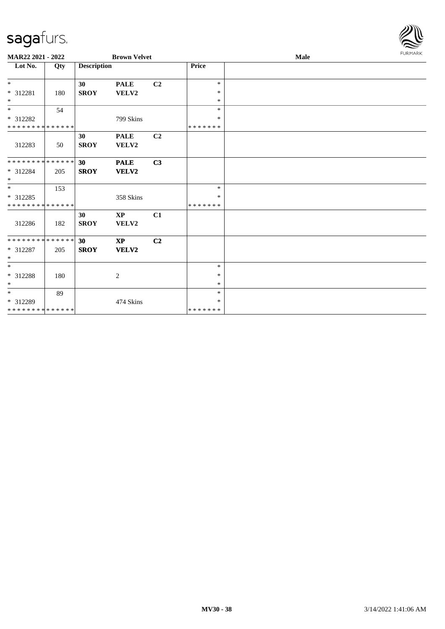

| MAR22 2021 - 2022                         |     |                    | <b>Brown Velvet</b>             |                |                         | Male |  |  |  |
|-------------------------------------------|-----|--------------------|---------------------------------|----------------|-------------------------|------|--|--|--|
| Lot No.                                   | Qty | <b>Description</b> |                                 |                | Price                   |      |  |  |  |
| $*$                                       |     | 30                 | <b>PALE</b>                     | C <sub>2</sub> | $\ast$                  |      |  |  |  |
| $* 312281$<br>$*$                         | 180 | <b>SROY</b>        | VELV2                           |                | $\ast$<br>$\ast$        |      |  |  |  |
| $\overline{\phantom{0}}$                  | 54  |                    |                                 |                | $\ast$                  |      |  |  |  |
| * 312282                                  |     |                    | 799 Skins                       |                | $\ast$                  |      |  |  |  |
| * * * * * * * * * * * * * *               |     |                    |                                 |                | *******                 |      |  |  |  |
| 312283                                    | 50  | 30<br><b>SROY</b>  | <b>PALE</b><br>VELV2            | C2             |                         |      |  |  |  |
| * * * * * * * * * * * * * *               |     | 30                 | <b>PALE</b>                     | C3             |                         |      |  |  |  |
| * 312284<br>$\ast$                        | 205 | <b>SROY</b>        | VELV2                           |                |                         |      |  |  |  |
| $*$                                       | 153 |                    |                                 |                | $\ast$                  |      |  |  |  |
| * 312285<br>* * * * * * * * * * * * * *   |     |                    | 358 Skins                       |                | $\ast$<br>* * * * * * * |      |  |  |  |
| 312286                                    | 182 | 30<br><b>SROY</b>  | $\mathbf{X}\mathbf{P}$<br>VELV2 | C1             |                         |      |  |  |  |
| * * * * * * * * * * * * * *               |     | 30                 | $\mathbf{X}\mathbf{P}$          | C <sub>2</sub> |                         |      |  |  |  |
| $* 312287$<br>$\ast$                      | 205 | <b>SROY</b>        | VELV2                           |                |                         |      |  |  |  |
| $\overline{\phantom{0}}$                  |     |                    |                                 |                | $\ast$                  |      |  |  |  |
| * 312288<br>$*$                           | 180 |                    | $\overline{c}$                  |                | $\ast$<br>$\ast$        |      |  |  |  |
| $*$                                       | 89  |                    |                                 |                | $\ast$                  |      |  |  |  |
| $* 312289$<br>* * * * * * * * * * * * * * |     |                    | 474 Skins                       |                | $\ast$<br>* * * * * * * |      |  |  |  |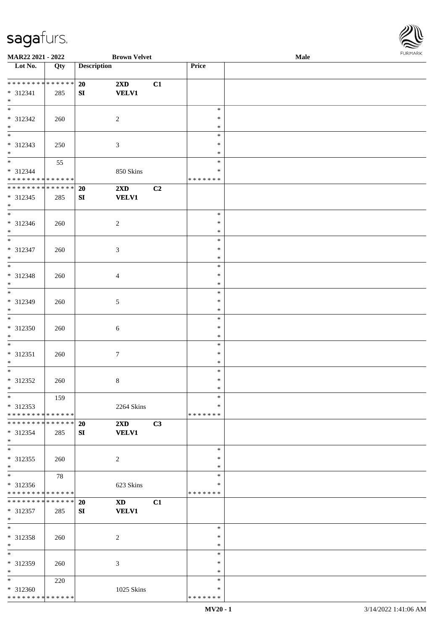

| MAR22 2021 - 2022             |     |                    | <b>Brown Velvet</b>     |    |               | <b>Male</b> |
|-------------------------------|-----|--------------------|-------------------------|----|---------------|-------------|
| Lot No.                       | Qty | <b>Description</b> |                         |    | Price         |             |
|                               |     |                    |                         |    |               |             |
| ******** <mark>******</mark>  |     | 20                 | 2XD                     | C1 |               |             |
| * 312341                      | 285 | SI                 | <b>VELV1</b>            |    |               |             |
| $*$                           |     |                    |                         |    |               |             |
| $\overline{\phantom{0}}$      |     |                    |                         |    | $\ast$        |             |
| * 312342                      | 260 |                    | $\overline{c}$          |    | $\ast$        |             |
| $\ast$                        |     |                    |                         |    | $\ast$        |             |
| $\overline{\phantom{0}}$      |     |                    |                         |    |               |             |
|                               |     |                    |                         |    | $\ast$        |             |
| * 312343                      | 250 |                    | $\mathfrak{Z}$          |    | $\ast$        |             |
| $*$                           |     |                    |                         |    | $\ast$        |             |
| $\overline{\phantom{0}}$      | 55  |                    |                         |    | $\ast$        |             |
| * 312344                      |     |                    | 850 Skins               |    | $\ast$        |             |
| * * * * * * * * * * * * * * * |     |                    |                         |    | * * * * * * * |             |
| ******** <mark>******</mark>  |     | 20                 | $2\mathbf{X}\mathbf{D}$ | C2 |               |             |
| $* 312345$                    | 285 | SI                 | <b>VELV1</b>            |    |               |             |
| $*$                           |     |                    |                         |    |               |             |
| $\overline{\phantom{0}}$      |     |                    |                         |    | $\ast$        |             |
| $* 312346$                    | 260 |                    | $\overline{c}$          |    | $\ast$        |             |
| $*$                           |     |                    |                         |    | $\ast$        |             |
| $\overline{\phantom{0}}$      |     |                    |                         |    | $\ast$        |             |
|                               |     |                    |                         |    |               |             |
| $* 312347$                    | 260 |                    | $\mathfrak{Z}$          |    | $\ast$        |             |
| $\ast$                        |     |                    |                         |    | $\ast$        |             |
| $\ast$                        |     |                    |                         |    | $\ast$        |             |
| * 312348                      | 260 |                    | $\overline{4}$          |    | $\ast$        |             |
| $\ast$                        |     |                    |                         |    | $\ast$        |             |
| $\overline{\phantom{a}^*}$    |     |                    |                         |    | $\ast$        |             |
| * 312349                      | 260 |                    | $\sqrt{5}$              |    | $\ast$        |             |
| $*$                           |     |                    |                         |    | $\ast$        |             |
| $\overline{\phantom{0}}$      |     |                    |                         |    | $\ast$        |             |
| * 312350                      | 260 |                    | 6                       |    | $\ast$        |             |
| $*$                           |     |                    |                         |    | $\ast$        |             |
| $\ast$                        |     |                    |                         |    | $\ast$        |             |
|                               |     |                    |                         |    |               |             |
| $* 312351$                    | 260 |                    | $\tau$                  |    | $\ast$        |             |
| $\ast$                        |     |                    |                         |    | $\ast$        |             |
| $\ast$                        |     |                    |                         |    | $\ast$        |             |
| $* 312352$                    | 260 |                    | $\,8\,$                 |    | $\ast$        |             |
| $*$                           |     |                    |                         |    | $\ast$        |             |
| $*$                           | 159 |                    |                         |    | $\ast$        |             |
| $* 312353$                    |     |                    | 2264 Skins              |    | ∗             |             |
| * * * * * * * * * * * * * * * |     |                    |                         |    | * * * * * * * |             |
| * * * * * * * * * * * * * * * |     | 20                 | $2\mathbf{X}\mathbf{D}$ | C3 |               |             |
| $*312354$                     | 285 | SI                 | <b>VELV1</b>            |    |               |             |
| $*$                           |     |                    |                         |    |               |             |
| $\ast$                        |     |                    |                         |    | $\ast$        |             |
| * 312355                      | 260 |                    | 2                       |    | $\ast$        |             |
| $*$                           |     |                    |                         |    | $\ast$        |             |
| $\overline{\phantom{0}}$      |     |                    |                         |    | $\ast$        |             |
|                               | 78  |                    |                         |    |               |             |
| $* 312356$                    |     |                    | 623 Skins               |    | ∗             |             |
| * * * * * * * * * * * * * * * |     |                    |                         |    | * * * * * * * |             |
| **************                |     | 20                 | <b>XD</b>               | C1 |               |             |
| * 312357                      | 285 | SI                 | <b>VELV1</b>            |    |               |             |
| $*$                           |     |                    |                         |    |               |             |
| $*$                           |     |                    |                         |    | $\ast$        |             |
| * 312358                      | 260 |                    | 2                       |    | $\ast$        |             |
| $*$                           |     |                    |                         |    | $\ast$        |             |
| $\overline{\phantom{0}}$      |     |                    |                         |    | $\ast$        |             |
| * 312359                      | 260 |                    | 3                       |    | $\ast$        |             |
| $\ast$                        |     |                    |                         |    | $\ast$        |             |
| $*$                           |     |                    |                         |    | $\ast$        |             |
|                               | 220 |                    |                         |    |               |             |
| * 312360                      |     |                    | 1025 Skins              |    | ∗             |             |
| * * * * * * * * * * * * * *   |     |                    |                         |    | * * * * * * * |             |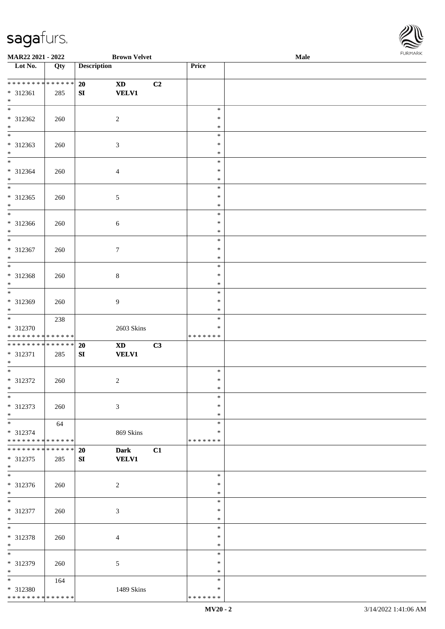

| MAR22 2021 - 2022                                                     |     | <b>Brown Velvet</b>                                                     |    |                              | Male |  |
|-----------------------------------------------------------------------|-----|-------------------------------------------------------------------------|----|------------------------------|------|--|
| $\overline{\phantom{1}}$ Lot No.                                      | Qty | <b>Description</b>                                                      |    | Price                        |      |  |
| **************<br>$* 312361$<br>$\ast$                                | 285 | 20<br>$\mathbf{X}\mathbf{D}$<br><b>VELV1</b><br>${\bf SI}$              | C2 |                              |      |  |
| $\overline{\phantom{a}^*}$<br>$* 312362$<br>$\ast$                    | 260 | $\sqrt{2}$                                                              |    | $\ast$<br>$\ast$<br>$\ast$   |      |  |
| $\ast$<br>$* 312363$<br>$\ast$                                        | 260 | $\sqrt{3}$                                                              |    | $\ast$<br>$\ast$<br>$\ast$   |      |  |
| $\overline{\phantom{0}}$<br>* 312364<br>$\ast$                        | 260 | $\overline{4}$                                                          |    | $\ast$<br>$\ast$<br>$\ast$   |      |  |
| $\overline{\phantom{a}^*}$<br>$* 312365$<br>$\ast$                    | 260 | $\sqrt{5}$                                                              |    | $\ast$<br>$\ast$<br>$\ast$   |      |  |
| $\ast$<br>$* 312366$<br>$\ast$                                        | 260 | $\sqrt{6}$                                                              |    | $\ast$<br>$\ast$<br>$\ast$   |      |  |
| $\frac{1}{*}$<br>$* 312367$<br>$\ast$                                 | 260 | $\tau$                                                                  |    | $\ast$<br>$\ast$<br>$\ast$   |      |  |
| $\overline{\ast}$<br>* 312368<br>$\ast$                               | 260 | $\,8\,$                                                                 |    | $\ast$<br>$\ast$<br>$\ast$   |      |  |
| $\ast$<br>* 312369<br>$\ast$                                          | 260 | $\boldsymbol{9}$                                                        |    | $\ast$<br>$\ast$<br>$\ast$   |      |  |
| $\overline{\phantom{0}}$<br>* 312370<br>* * * * * * * * * * * * * * * | 238 | 2603 Skins                                                              |    | $\ast$<br>*<br>* * * * * * * |      |  |
| **************<br>$* 312371$<br>$*$                                   | 285 | 20<br>$\boldsymbol{\textbf{X}\textbf{D}}$<br><b>VELV1</b><br>${\bf SI}$ | C3 |                              |      |  |
| $*$<br>$* 312372$<br>$*$                                              | 260 | $\sqrt{2}$                                                              |    | $\ast$<br>$\ast$<br>$\ast$   |      |  |
| $\ast$<br>* 312373<br>$\ast$                                          | 260 | 3                                                                       |    | $\ast$<br>*<br>∗             |      |  |
| $_{\ast}$<br>* 312374<br>* * * * * * * * * * * * * *                  | 64  | 869 Skins                                                               |    | $\ast$<br>∗<br>* * * * * * * |      |  |
| * * * * * * * * * * * * * *<br>* 312375<br>$\ast$                     | 285 | <b>Dark</b><br>20<br><b>VELV1</b><br>SI                                 | C1 |                              |      |  |
| $\overline{\phantom{a}^*}$<br>* 312376<br>$*$                         | 260 | $\overline{c}$                                                          |    | $\ast$<br>$\ast$<br>$\ast$   |      |  |
| $_{\rm *}$<br>* 312377<br>$*$                                         | 260 | $\mathfrak{Z}$                                                          |    | $\ast$<br>$\ast$<br>$\ast$   |      |  |
| $*$<br>* 312378<br>$\ast$                                             | 260 | $\overline{4}$                                                          |    | $\ast$<br>$\ast$<br>$\ast$   |      |  |
| $\overline{\phantom{a}^*}$<br>* 312379<br>$\ast$                      | 260 | 5                                                                       |    | $\ast$<br>$\ast$<br>*        |      |  |
| $\overline{\phantom{0}}$<br>* 312380<br>* * * * * * * * * * * * * *   | 164 | 1489 Skins                                                              |    | $\ast$<br>∗<br>* * * * * * * |      |  |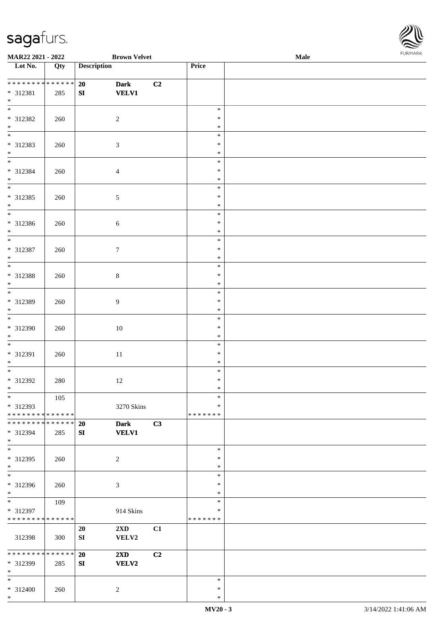

| MAR22 2021 - 2022                |     | <b>Brown Velvet</b>           |    |               | Male | <b>I ORI IMPORT</b> |
|----------------------------------|-----|-------------------------------|----|---------------|------|---------------------|
| $\overline{\phantom{1}}$ Lot No. | Qty | <b>Description</b>            |    | Price         |      |                     |
|                                  |     |                               |    |               |      |                     |
| * * * * * * * * * * * * * * *    |     | 20<br><b>Dark</b>             | C2 |               |      |                     |
| * 312381                         | 285 | <b>VELV1</b><br>${\bf SI}$    |    |               |      |                     |
| $*$                              |     |                               |    |               |      |                     |
| $\overline{\ast}$                |     |                               |    | $\ast$        |      |                     |
| $* 312382$                       | 260 | $\overline{2}$                |    | $\ast$        |      |                     |
| $*$                              |     |                               |    | $\ast$        |      |                     |
| $\overline{\ast}$                |     |                               |    | $\ast$        |      |                     |
| * 312383                         | 260 | $\mathfrak{Z}$                |    | $\ast$        |      |                     |
| $\ast$                           |     |                               |    | $\ast$        |      |                     |
| $\overline{\phantom{0}}$         |     |                               |    | $\ast$        |      |                     |
| * 312384                         | 260 | $\overline{4}$                |    | $\ast$        |      |                     |
| $*$                              |     |                               |    | $\ast$        |      |                     |
| $\overline{\phantom{0}}$         |     |                               |    | $\ast$        |      |                     |
| $* 312385$                       | 260 | $\sqrt{5}$                    |    | $\ast$        |      |                     |
| $*$                              |     |                               |    | $\ast$        |      |                     |
| $*$                              |     |                               |    | $\ast$        |      |                     |
| $* 312386$                       | 260 | $\sqrt{6}$                    |    | $\ast$        |      |                     |
| $*$                              |     |                               |    | $\ast$        |      |                     |
| $*$                              |     |                               |    | $\ast$        |      |                     |
| $* 312387$                       | 260 | $\boldsymbol{7}$              |    | $\ast$        |      |                     |
| $*$                              |     |                               |    | $\ast$        |      |                     |
| $\overline{\phantom{0}}$         |     |                               |    | $\ast$        |      |                     |
| * 312388                         | 260 | $8\,$                         |    | $\ast$        |      |                     |
| $*$                              |     |                               |    | $\ast$        |      |                     |
| $\overline{\phantom{0}}$         |     |                               |    | $\ast$        |      |                     |
| * 312389                         | 260 | 9                             |    | $\ast$        |      |                     |
| $\ast$                           |     |                               |    | $\ast$        |      |                     |
|                                  |     |                               |    | $\ast$        |      |                     |
| $* 312390$                       | 260 | 10                            |    | $\ast$        |      |                     |
| $*$                              |     |                               |    | $\ast$        |      |                     |
| $\overline{\phantom{0}}$         |     |                               |    | $\ast$        |      |                     |
| * 312391                         | 260 | $11\,$                        |    | $\ast$        |      |                     |
| $*$                              |     |                               |    | $\ast$        |      |                     |
| $\ast$                           |     |                               |    | $\ast$        |      |                     |
| $* 312392$                       | 280 | 12                            |    | $\ast$        |      |                     |
| $*$                              |     |                               |    | $\ast$        |      |                     |
| $*$                              | 105 |                               |    | $\ast$        |      |                     |
| * 312393                         |     | 3270 Skins                    |    | $\ast$        |      |                     |
| * * * * * * * * * * * * * *      |     |                               |    | * * * * * * * |      |                     |
| * * * * * * * * * * * * * *      |     | 20<br><b>Dark</b>             | C3 |               |      |                     |
| * 312394                         | 285 | <b>VELV1</b><br>${\bf SI}$    |    |               |      |                     |
| $*$                              |     |                               |    |               |      |                     |
| $*$                              |     |                               |    | $\ast$        |      |                     |
| * 312395                         | 260 | $\overline{2}$                |    | $\ast$        |      |                     |
| $*$                              |     |                               |    | $\ast$        |      |                     |
| $*$                              |     |                               |    | $\ast$        |      |                     |
| $* 312396$                       | 260 | 3                             |    | $\ast$        |      |                     |
| $*$                              |     |                               |    | $\ast$        |      |                     |
| $*$                              | 109 |                               |    | $\ast$        |      |                     |
| * 312397                         |     | 914 Skins                     |    | ∗             |      |                     |
| * * * * * * * * * * * * * *      |     |                               |    | * * * * * * * |      |                     |
|                                  |     | 20<br>$2\mathbf{X}\mathbf{D}$ | C1 |               |      |                     |
| 312398                           | 300 | SI<br>VELV2                   |    |               |      |                     |
|                                  |     |                               |    |               |      |                     |
| ******** <mark>******</mark>     |     | 20<br>$2\mathbf{X}\mathbf{D}$ | C2 |               |      |                     |
| * 312399                         | 285 | VELV2<br>SI                   |    |               |      |                     |
| $*$                              |     |                               |    |               |      |                     |
| $*$                              |     |                               |    | $\ast$        |      |                     |
| * 312400                         | 260 | 2                             |    | $\ast$        |      |                     |
| $*$                              |     |                               |    | $\ast$        |      |                     |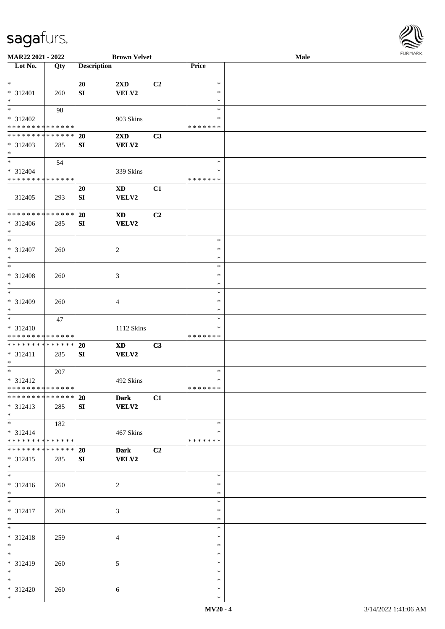

| MAR22 2021 - 2022             |     |                    | <b>Brown Velvet</b>    |                |               | Male |  |
|-------------------------------|-----|--------------------|------------------------|----------------|---------------|------|--|
| Lot No.                       | Qty | <b>Description</b> |                        |                | Price         |      |  |
|                               |     |                    |                        |                |               |      |  |
| $*$                           |     | 20                 | 2XD                    | C <sub>2</sub> | $\ast$        |      |  |
|                               |     |                    |                        |                |               |      |  |
| * 312401                      | 260 | SI                 | VELV2                  |                | $\ast$        |      |  |
| $\ast$                        |     |                    |                        |                | $\ast$        |      |  |
| $*$                           | 98  |                    |                        |                | $\ast$        |      |  |
| * 312402                      |     |                    | 903 Skins              |                | ∗             |      |  |
| * * * * * * * * * * * * * *   |     |                    |                        |                | * * * * * * * |      |  |
| * * * * * * * * * * * * * *   |     |                    |                        |                |               |      |  |
|                               |     | 20                 | 2XD                    | C3             |               |      |  |
| $* 312403$                    | 285 | SI                 | <b>VELV2</b>           |                |               |      |  |
| $*$                           |     |                    |                        |                |               |      |  |
| $\ast$                        | 54  |                    |                        |                | $\ast$        |      |  |
| * 312404                      |     |                    | 339 Skins              |                | $\ast$        |      |  |
| * * * * * * * * * * * * * *   |     |                    |                        |                | * * * * * * * |      |  |
|                               |     |                    |                        |                |               |      |  |
|                               |     | 20                 | $\mathbf{X}\mathbf{D}$ | C1             |               |      |  |
| 312405                        | 293 | SI                 | VELV2                  |                |               |      |  |
|                               |     |                    |                        |                |               |      |  |
| * * * * * * * * * * * * * *   |     | 20                 | $\mathbf{X}\mathbf{D}$ | C2             |               |      |  |
| * 312406                      | 285 | SI                 | <b>VELV2</b>           |                |               |      |  |
| $*$                           |     |                    |                        |                |               |      |  |
|                               |     |                    |                        |                |               |      |  |
| $\ast$                        |     |                    |                        |                | $\ast$        |      |  |
| $* 312407$                    | 260 |                    | 2                      |                | $\ast$        |      |  |
| $\ast$                        |     |                    |                        |                | $\ast$        |      |  |
| $*$                           |     |                    |                        |                | $\ast$        |      |  |
| * 312408                      | 260 |                    | 3                      |                | $\ast$        |      |  |
| $\ast$                        |     |                    |                        |                | $\ast$        |      |  |
| $\ast$                        |     |                    |                        |                | $\ast$        |      |  |
|                               |     |                    |                        |                |               |      |  |
| * 312409                      | 260 |                    | 4                      |                | $\ast$        |      |  |
| $*$                           |     |                    |                        |                | $\ast$        |      |  |
| $*$                           | 47  |                    |                        |                | $\ast$        |      |  |
| * 312410                      |     |                    | 1112 Skins             |                | $\ast$        |      |  |
| * * * * * * * * * * * * * *   |     |                    |                        |                | * * * * * * * |      |  |
| * * * * * * * * * * * * * *   |     | 20                 | <b>XD</b>              | C3             |               |      |  |
|                               |     |                    |                        |                |               |      |  |
| * 312411                      | 285 | SI                 | VELV2                  |                |               |      |  |
| $*$                           |     |                    |                        |                |               |      |  |
| $*$                           | 207 |                    |                        |                | $\ast$        |      |  |
| * 312412                      |     |                    | 492 Skins              |                | $\ast$        |      |  |
| **************                |     |                    |                        |                | *******       |      |  |
| * * * * * * * * * * * * * * * |     | 20                 | <b>Dark</b>            | C1             |               |      |  |
| * 312413                      | 285 | SI                 | VELV2                  |                |               |      |  |
|                               |     |                    |                        |                |               |      |  |
| $*$<br>$\overline{\ast}$      |     |                    |                        |                |               |      |  |
|                               | 182 |                    |                        |                | $\ast$        |      |  |
| $* 312414$                    |     |                    | 467 Skins              |                | ∗             |      |  |
| * * * * * * * * * * * * * *   |     |                    |                        |                | * * * * * * * |      |  |
| * * * * * * * * * * * * * *   |     | <b>20</b>          | <b>Dark</b>            | C2             |               |      |  |
| * 312415                      | 285 | SI                 | <b>VELV2</b>           |                |               |      |  |
| $*$                           |     |                    |                        |                |               |      |  |
| $\overline{\phantom{0}}$      |     |                    |                        |                |               |      |  |
|                               |     |                    |                        |                | $\ast$        |      |  |
| $* 312416$                    | 260 |                    | 2                      |                | $\ast$        |      |  |
| $*$                           |     |                    |                        |                | $\ast$        |      |  |
| $*$                           |     |                    |                        |                | $\ast$        |      |  |
| * 312417                      | 260 |                    | 3                      |                | $\ast$        |      |  |
| $*$                           |     |                    |                        |                | $\ast$        |      |  |
| $*$                           |     |                    |                        |                | $\ast$        |      |  |
|                               |     |                    |                        |                |               |      |  |
| $* 312418$                    | 259 |                    | 4                      |                | $\ast$        |      |  |
| $*$                           |     |                    |                        |                | $\ast$        |      |  |
| $\overline{\phantom{0}}$      |     |                    |                        |                | $\ast$        |      |  |
| * 312419                      | 260 |                    | 5                      |                | $\ast$        |      |  |
| $*$                           |     |                    |                        |                | $\ast$        |      |  |
| $*$                           |     |                    |                        |                | $\ast$        |      |  |
| * 312420                      | 260 |                    | $\sqrt{6}$             |                | $\ast$        |      |  |
| $*$                           |     |                    |                        |                | $\ast$        |      |  |
|                               |     |                    |                        |                |               |      |  |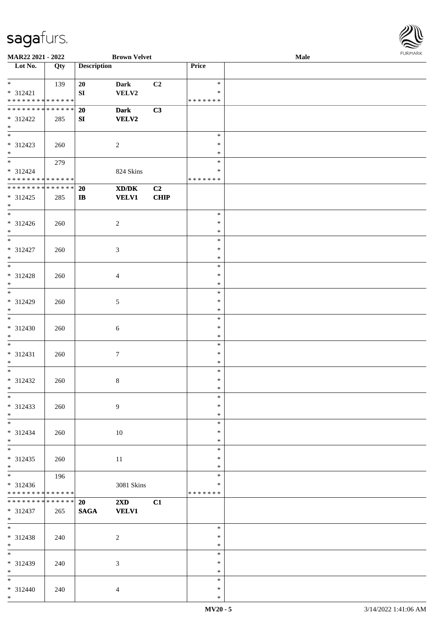

| MAR22 2021 - 2022             |     |                    | <b>Brown Velvet</b>                                                                                  |             |               | Male |  |
|-------------------------------|-----|--------------------|------------------------------------------------------------------------------------------------------|-------------|---------------|------|--|
| Lot No.                       | Qty | <b>Description</b> |                                                                                                      |             | Price         |      |  |
|                               |     |                    |                                                                                                      |             |               |      |  |
| $*$                           | 139 | 20                 | <b>Dark</b>                                                                                          | C2          | $\ast$        |      |  |
| $* 312421$                    |     | ${\bf S}{\bf I}$   | VELV2                                                                                                |             | $\ast$        |      |  |
| * * * * * * * * * * * * * *   |     |                    |                                                                                                      |             | * * * * * * * |      |  |
| * * * * * * * * * * * * * *   |     |                    |                                                                                                      | C3          |               |      |  |
|                               |     | 20                 | <b>Dark</b>                                                                                          |             |               |      |  |
| * 312422                      | 285 | SI                 | <b>VELV2</b>                                                                                         |             |               |      |  |
| $*$                           |     |                    |                                                                                                      |             |               |      |  |
| $\overline{\phantom{0}}$      |     |                    |                                                                                                      |             | $\ast$        |      |  |
| * 312423                      | 260 |                    | $\sqrt{2}$                                                                                           |             | $\ast$        |      |  |
| $*$                           |     |                    |                                                                                                      |             | $\ast$        |      |  |
|                               | 279 |                    |                                                                                                      |             | $\ast$        |      |  |
| $* 312424$                    |     |                    | 824 Skins                                                                                            |             | $\ast$        |      |  |
| * * * * * * * * * * * * * *   |     |                    |                                                                                                      |             | * * * * * * * |      |  |
| * * * * * * * * * * * * * *   |     | <b>20</b>          | $\boldsymbol{\text{X}}\boldsymbol{\text{D}}\boldsymbol{/}\boldsymbol{\text{D}}\boldsymbol{\text{K}}$ | C2          |               |      |  |
| * 312425                      | 285 |                    | <b>VELV1</b>                                                                                         | <b>CHIP</b> |               |      |  |
| $*$                           |     | $\mathbf{I}$       |                                                                                                      |             |               |      |  |
| $\ast$                        |     |                    |                                                                                                      |             |               |      |  |
|                               |     |                    |                                                                                                      |             | $\ast$        |      |  |
| $* 312426$                    | 260 |                    | $\overline{c}$                                                                                       |             | $\ast$        |      |  |
| $*$                           |     |                    |                                                                                                      |             | $\ast$        |      |  |
| $\overline{\phantom{a}^*}$    |     |                    |                                                                                                      |             | $\ast$        |      |  |
| $* 312427$                    | 260 |                    | $\mathfrak{Z}$                                                                                       |             | $\ast$        |      |  |
| $\ast$                        |     |                    |                                                                                                      |             | $\ast$        |      |  |
| $*$                           |     |                    |                                                                                                      |             | $\ast$        |      |  |
| $* 312428$                    | 260 |                    | $\overline{4}$                                                                                       |             | $\ast$        |      |  |
| $*$                           |     |                    |                                                                                                      |             | $\ast$        |      |  |
| $*$                           |     |                    |                                                                                                      |             | $\ast$        |      |  |
| * 312429                      |     |                    |                                                                                                      |             | $\ast$        |      |  |
| $*$                           | 260 |                    | 5                                                                                                    |             | $\ast$        |      |  |
| $*$                           |     |                    |                                                                                                      |             |               |      |  |
|                               |     |                    |                                                                                                      |             | $\ast$        |      |  |
| $* 312430$                    | 260 |                    | 6                                                                                                    |             | $\ast$        |      |  |
| $*$                           |     |                    |                                                                                                      |             | $\ast$        |      |  |
| $*$                           |     |                    |                                                                                                      |             | $\ast$        |      |  |
| $* 312431$                    | 260 |                    | $\tau$                                                                                               |             | $\ast$        |      |  |
| $*$                           |     |                    |                                                                                                      |             | $\ast$        |      |  |
| $*$                           |     |                    |                                                                                                      |             | $\ast$        |      |  |
| $* 312432$                    | 260 |                    | $\,8\,$                                                                                              |             | $\ast$        |      |  |
| $*$                           |     |                    |                                                                                                      |             | $\ast$        |      |  |
| $\ast$                        |     |                    |                                                                                                      |             | $\ast$        |      |  |
| * 312433                      | 260 |                    | 9                                                                                                    |             | ∗             |      |  |
| $*$                           |     |                    |                                                                                                      |             | $\ast$        |      |  |
|                               |     |                    |                                                                                                      |             | $\ast$        |      |  |
|                               |     |                    |                                                                                                      |             | $\ast$        |      |  |
| * 312434<br>$*$               | 260 |                    | 10                                                                                                   |             | $\ast$        |      |  |
|                               |     |                    |                                                                                                      |             |               |      |  |
| $\ast$                        |     |                    |                                                                                                      |             | $\ast$        |      |  |
| $* 312435$                    | 260 |                    | 11                                                                                                   |             | $\ast$        |      |  |
| $*$                           |     |                    |                                                                                                      |             | $\ast$        |      |  |
|                               | 196 |                    |                                                                                                      |             | $\ast$        |      |  |
| * 312436                      |     |                    | 3081 Skins                                                                                           |             | ∗             |      |  |
| * * * * * * * * * * * * * *   |     |                    |                                                                                                      |             | * * * * * * * |      |  |
| * * * * * * * * * * * * * * * |     | <b>20</b>          | $2\mathbf{X}\mathbf{D}$                                                                              | C1          |               |      |  |
| * 312437                      | 265 | <b>SAGA</b>        | <b>VELV1</b>                                                                                         |             |               |      |  |
| $*$ $-$                       |     |                    |                                                                                                      |             |               |      |  |
| $*$                           |     |                    |                                                                                                      |             | $\ast$        |      |  |
| * 312438                      | 240 |                    | $\overline{c}$                                                                                       |             | $\ast$        |      |  |
| $*$                           |     |                    |                                                                                                      |             | $\ast$        |      |  |
| $\overline{\phantom{0}}$      |     |                    |                                                                                                      |             | $\ast$        |      |  |
| * 312439                      |     |                    |                                                                                                      |             | $\ast$        |      |  |
| $*$                           | 240 |                    | 3                                                                                                    |             | $\ast$        |      |  |
| $*$ $*$                       |     |                    |                                                                                                      |             | $\ast$        |      |  |
|                               |     |                    |                                                                                                      |             |               |      |  |
| * 312440                      | 240 |                    | 4                                                                                                    |             | $\ast$        |      |  |
| $*$                           |     |                    |                                                                                                      |             | $\ast$        |      |  |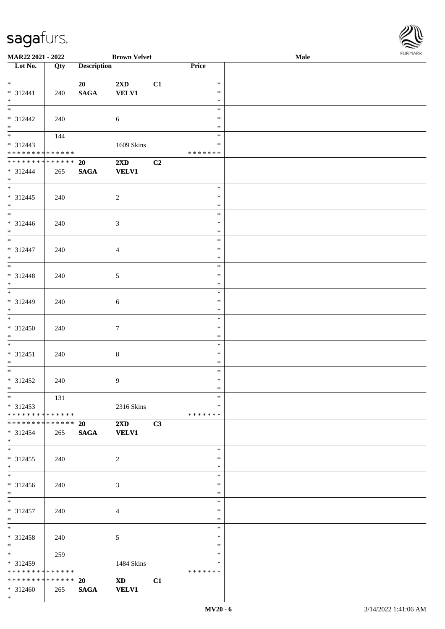\* \*

| MAR22 2021 - 2022                |     |                    | <b>Brown Velvet</b>     |    |                  | Male | <b>FURMARI</b> |
|----------------------------------|-----|--------------------|-------------------------|----|------------------|------|----------------|
| $\overline{\phantom{1}}$ Lot No. | Qty | <b>Description</b> |                         |    | Price            |      |                |
| $*$ $*$                          |     | 20                 | $2\mathbf{X}\mathbf{D}$ | C1 | $\ast$           |      |                |
| $* 312441$                       | 240 | <b>SAGA</b>        | VELV1                   |    | $\ast$           |      |                |
| $\ast$                           |     |                    |                         |    | $\ast$           |      |                |
| $\overline{\phantom{a}^*}$       |     |                    |                         |    | $\ast$           |      |                |
| * 312442<br>$\ast$               | 240 |                    | $\sqrt{6}$              |    | $\ast$<br>$\ast$ |      |                |
| $\overline{\phantom{a}^*}$       | 144 |                    |                         |    | $\ast$           |      |                |
| $* 312443$                       |     |                    | 1609 Skins              |    | $\ast$           |      |                |
| ******** <mark>******</mark>     |     |                    |                         |    | * * * * * * *    |      |                |
| **************                   |     | 20                 | $2\mathbf{X}\mathbf{D}$ | C2 |                  |      |                |
| $* 312444$<br>$*$                | 265 | <b>SAGA</b>        | <b>VELV1</b>            |    |                  |      |                |
| $\overline{\phantom{a}^*}$       |     |                    |                         |    | $\ast$           |      |                |
| $* 312445$                       | 240 |                    | $\overline{c}$          |    | ∗                |      |                |
| $\ast$                           |     |                    |                         |    | $\ast$           |      |                |
| $\overline{\phantom{0}}$         |     |                    |                         |    | $\ast$           |      |                |
| $* 312446$<br>$*$                | 240 |                    | $\mathfrak{Z}$          |    | $\ast$<br>$\ast$ |      |                |
| $\ast$                           |     |                    |                         |    | $\ast$           |      |                |
| $* 312447$                       | 240 |                    | $\overline{4}$          |    | $\ast$           |      |                |
| $\ast$                           |     |                    |                         |    | $\ast$           |      |                |
| $\ast$                           |     |                    |                         |    | $\ast$           |      |                |
| $* 312448$<br>$*$                | 240 |                    | 5                       |    | $\ast$<br>$\ast$ |      |                |
| $\overline{\phantom{a}^*}$       |     |                    |                         |    | $\ast$           |      |                |
| * 312449                         | 240 |                    | 6                       |    | $\ast$           |      |                |
| $\ast$                           |     |                    |                         |    | $\ast$           |      |                |
| $\ast$                           |     |                    |                         |    | $\ast$           |      |                |
| * 312450<br>$\ast$               | 240 |                    | $\tau$                  |    | $\ast$           |      |                |
| $\ast$                           |     |                    |                         |    | $\ast$<br>$\ast$ |      |                |
| $* 312451$                       | 240 |                    | $8\,$                   |    | $\ast$           |      |                |
| $\ast$                           |     |                    |                         |    | $\ast$           |      |                |
| $\overline{\phantom{a}^*}$       |     |                    |                         |    | $\ast$           |      |                |
| * 312452<br>$\ast$               | 240 |                    | 9                       |    | $\ast$<br>$\ast$ |      |                |
| $\ast$                           | 131 |                    |                         |    | $\ast$           |      |                |
| $* 312453$                       |     |                    | 2316 Skins              |    | $\ast$           |      |                |
| ******** <mark>******</mark>     |     |                    |                         |    | * * * * * * *    |      |                |
| ******** <mark>******</mark>     |     | 20                 | $2\mathbf{X}\mathbf{D}$ | C3 |                  |      |                |
| $* 312454$<br>$*$                | 265 | <b>SAGA</b>        | <b>VELV1</b>            |    |                  |      |                |
| $\ast$                           |     |                    |                         |    | $\ast$           |      |                |
| $* 312455$                       | 240 |                    | 2                       |    | $\ast$           |      |                |
| $\ast$                           |     |                    |                         |    | $\ast$           |      |                |
| $\ast$                           |     |                    |                         |    | $\ast$           |      |                |
| * 312456<br>$\ast$               | 240 |                    | 3                       |    | $\ast$<br>$\ast$ |      |                |
| $\ast$                           |     |                    |                         |    | $\ast$           |      |                |
| * 312457                         | 240 |                    | $\overline{4}$          |    | $\ast$           |      |                |
| $\ast$                           |     |                    |                         |    | $\ast$           |      |                |
| $_{\ast}^{-}$                    |     |                    |                         |    | $\ast$           |      |                |
| * 312458<br>$\ast$               | 240 |                    | 5                       |    | $\ast$<br>$\ast$ |      |                |
| $\overline{\phantom{a}^*}$       | 259 |                    |                         |    | $\ast$           |      |                |
| * 312459                         |     |                    | 1484 Skins              |    | $\ast$           |      |                |
| **************                   |     |                    |                         |    | * * * * * * *    |      |                |
| **************                   |     | <b>20</b>          | XD 3                    | C1 |                  |      |                |
| $* 312460$                       | 265 | <b>SAGA</b>        | <b>VELV1</b>            |    |                  |      |                |

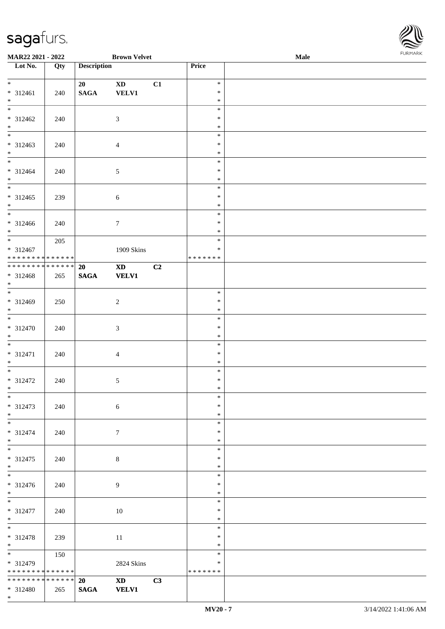

| MAR22 2021 - 2022               |     |                    | <b>Brown Velvet</b>                                                                                                                                                                                                            |                |                  | Male | <b>FUNITANN</b> |
|---------------------------------|-----|--------------------|--------------------------------------------------------------------------------------------------------------------------------------------------------------------------------------------------------------------------------|----------------|------------------|------|-----------------|
| Lot No.                         | Qty | <b>Description</b> |                                                                                                                                                                                                                                |                | Price            |      |                 |
|                                 |     |                    |                                                                                                                                                                                                                                |                |                  |      |                 |
| $*$                             |     | 20                 | $\mathbf{X}\mathbf{D}$                                                                                                                                                                                                         | C1             | $\ast$           |      |                 |
| * 312461                        | 240 | $\mathbf{SAGA}$    | <b>VELV1</b>                                                                                                                                                                                                                   |                | $\ast$           |      |                 |
| $*$                             |     |                    |                                                                                                                                                                                                                                |                | $\ast$           |      |                 |
|                                 |     |                    |                                                                                                                                                                                                                                |                | $\ast$<br>$\ast$ |      |                 |
| $* 312462$<br>$*$               | 240 |                    | $\sqrt{3}$                                                                                                                                                                                                                     |                | $\ast$           |      |                 |
|                                 |     |                    |                                                                                                                                                                                                                                |                | $\ast$           |      |                 |
| $* 312463$                      | 240 |                    | $\overline{4}$                                                                                                                                                                                                                 |                | $\ast$           |      |                 |
| $*$                             |     |                    |                                                                                                                                                                                                                                |                | $\ast$           |      |                 |
|                                 |     |                    |                                                                                                                                                                                                                                |                | $\ast$           |      |                 |
| * 312464                        | 240 |                    | $\mathfrak{S}$                                                                                                                                                                                                                 |                | $\ast$           |      |                 |
| $*$                             |     |                    |                                                                                                                                                                                                                                |                | $\ast$           |      |                 |
|                                 |     |                    |                                                                                                                                                                                                                                |                | $\ast$           |      |                 |
| $* 312465$                      | 239 |                    | $\sqrt{6}$                                                                                                                                                                                                                     |                | $\ast$           |      |                 |
| $*$                             |     |                    |                                                                                                                                                                                                                                |                | $\ast$           |      |                 |
| $\overline{\phantom{0}}$        |     |                    |                                                                                                                                                                                                                                |                | $\ast$           |      |                 |
| $* 312466$                      | 240 |                    | $\boldsymbol{7}$                                                                                                                                                                                                               |                | $\ast$           |      |                 |
| $*$                             |     |                    |                                                                                                                                                                                                                                |                | $\ast$           |      |                 |
| $*$                             | 205 |                    |                                                                                                                                                                                                                                |                | $\ast$           |      |                 |
| $* 312467$                      |     |                    | 1909 Skins                                                                                                                                                                                                                     |                | $\ast$           |      |                 |
| * * * * * * * * * * * * * * *   |     |                    |                                                                                                                                                                                                                                |                | *******          |      |                 |
|                                 |     | 20                 | <b>XD</b>                                                                                                                                                                                                                      | C <sub>2</sub> |                  |      |                 |
| * 312468                        | 265 | <b>SAGA</b>        | <b>VELV1</b>                                                                                                                                                                                                                   |                |                  |      |                 |
| $*$<br>$\overline{\phantom{0}}$ |     |                    |                                                                                                                                                                                                                                |                |                  |      |                 |
|                                 |     |                    |                                                                                                                                                                                                                                |                | $\ast$           |      |                 |
| $* 312469$<br>$\ast$            | 250 |                    | $\overline{c}$                                                                                                                                                                                                                 |                | $\ast$<br>$\ast$ |      |                 |
| $\overline{\phantom{0}}$        |     |                    |                                                                                                                                                                                                                                |                | $\ast$           |      |                 |
| $* 312470$                      | 240 |                    | $\mathfrak{Z}$                                                                                                                                                                                                                 |                | $\ast$           |      |                 |
| $*$                             |     |                    |                                                                                                                                                                                                                                |                | $\ast$           |      |                 |
| $*$                             |     |                    |                                                                                                                                                                                                                                |                | $\ast$           |      |                 |
| $* 312471$                      | 240 |                    | $\overline{4}$                                                                                                                                                                                                                 |                | $\ast$           |      |                 |
| $*$                             |     |                    |                                                                                                                                                                                                                                |                | $\ast$           |      |                 |
| $*$                             |     |                    |                                                                                                                                                                                                                                |                | $\ast$           |      |                 |
| $* 312472$                      | 240 |                    | $\sqrt{5}$                                                                                                                                                                                                                     |                | $\ast$           |      |                 |
| $*$ $-$                         |     |                    |                                                                                                                                                                                                                                |                | $\ast$           |      |                 |
| $*$                             |     |                    |                                                                                                                                                                                                                                |                | $\ast$           |      |                 |
| $* 312473$                      | 240 |                    | $6\,$                                                                                                                                                                                                                          |                | $\ast$           |      |                 |
| $*$                             |     |                    |                                                                                                                                                                                                                                |                | $\ast$           |      |                 |
|                                 |     |                    |                                                                                                                                                                                                                                |                | $\ast$           |      |                 |
| * 312474                        | 240 |                    | $\tau$                                                                                                                                                                                                                         |                | $\ast$           |      |                 |
| $*$                             |     |                    |                                                                                                                                                                                                                                |                | $\ast$           |      |                 |
|                                 |     |                    |                                                                                                                                                                                                                                |                | $\ast$           |      |                 |
| $* 312475$                      | 240 |                    | 8                                                                                                                                                                                                                              |                | $\ast$           |      |                 |
| $*$                             |     |                    |                                                                                                                                                                                                                                |                | $\ast$<br>$\ast$ |      |                 |
| * 312476                        |     |                    | 9                                                                                                                                                                                                                              |                | $\ast$           |      |                 |
| $*$                             | 240 |                    |                                                                                                                                                                                                                                |                | $\ast$           |      |                 |
| $\overline{\ast}$               |     |                    |                                                                                                                                                                                                                                |                | $\ast$           |      |                 |
| * 312477                        | 240 |                    | $10\,$                                                                                                                                                                                                                         |                | $\ast$           |      |                 |
| $*$ $-$                         |     |                    |                                                                                                                                                                                                                                |                | $\ast$           |      |                 |
| $*$                             |     |                    |                                                                                                                                                                                                                                |                | $\ast$           |      |                 |
| * 312478                        | 239 |                    | 11                                                                                                                                                                                                                             |                | $\ast$           |      |                 |
| $*$ $*$                         |     |                    |                                                                                                                                                                                                                                |                | $\ast$           |      |                 |
|                                 | 150 |                    |                                                                                                                                                                                                                                |                | $\ast$           |      |                 |
| $* 312479$                      |     |                    | 2824 Skins                                                                                                                                                                                                                     |                | $\ast$           |      |                 |
| * * * * * * * * * * * * * * *   |     |                    |                                                                                                                                                                                                                                |                | *******          |      |                 |
| * * * * * * * * * * * * * * *   |     | 20                 | XD and the set of the set of the set of the set of the set of the set of the set of the set of the set of the set of the set of the set of the set of the set of the set of the set of the set of the set of the set of the se | C3             |                  |      |                 |
| * 312480                        | 265 | <b>SAGA</b>        | <b>VELV1</b>                                                                                                                                                                                                                   |                |                  |      |                 |
| $*$                             |     |                    |                                                                                                                                                                                                                                |                |                  |      |                 |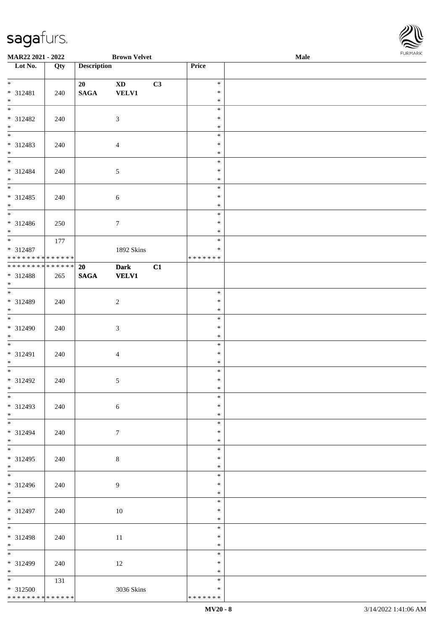

| MAR22 2021 - 2022                        |     |                          | <b>Brown Velvet</b>         |    |                  | <b>Male</b> | . |
|------------------------------------------|-----|--------------------------|-----------------------------|----|------------------|-------------|---|
| Lot No.                                  | Qty | <b>Description</b>       |                             |    | Price            |             |   |
| $\overline{\phantom{0}}$                 |     | 20                       | $\mathbf{X}\mathbf{D}$      | C3 | $\ast$           |             |   |
| * 312481<br>$\ast$                       | 240 | <b>SAGA</b>              | <b>VELV1</b>                |    | $\ast$<br>$\ast$ |             |   |
|                                          |     |                          |                             |    | $\ast$           |             |   |
| * 312482                                 | 240 |                          | $\mathfrak{Z}$              |    | $\ast$<br>$\ast$ |             |   |
| $*$ $*$                                  |     |                          |                             |    | $\ast$           |             |   |
| * 312483<br>$\ast$                       | 240 |                          | $\overline{4}$              |    | $\ast$<br>$\ast$ |             |   |
| $\overline{\phantom{a}^*}$               |     |                          |                             |    | $\ast$           |             |   |
| * 312484<br>$*$                          | 240 |                          | $\sqrt{5}$                  |    | $\ast$<br>$\ast$ |             |   |
| $\overline{\phantom{0}}$                 |     |                          |                             |    | $\ast$<br>$\ast$ |             |   |
| $* 312485$<br>$\ast$                     | 240 |                          | $6\,$                       |    | $\ast$           |             |   |
| $\overline{\phantom{a}^*}$<br>$* 312486$ | 250 |                          | $\boldsymbol{7}$            |    | $\ast$<br>$\ast$ |             |   |
| $*$                                      |     |                          |                             |    | $\ast$           |             |   |
| $\overline{\ast}$<br>* 312487            | 177 |                          | 1892 Skins                  |    | $\ast$<br>∗      |             |   |
| * * * * * * * * * * * * * *              |     |                          |                             |    | * * * * * * *    |             |   |
| **************<br>* 312488               | 265 | <b>20</b><br><b>SAGA</b> | <b>Dark</b><br><b>VELV1</b> | C1 |                  |             |   |
| $*$<br>$\overline{\phantom{0}}$          |     |                          |                             |    |                  |             |   |
| * 312489                                 | 240 |                          | $\sqrt{2}$                  |    | $\ast$<br>$\ast$ |             |   |
| $*$<br>$\overline{\phantom{0}}$          |     |                          |                             |    | $\ast$<br>$\ast$ |             |   |
| $* 312490$                               | 240 |                          | $\sqrt{3}$                  |    | $\ast$           |             |   |
| $*$<br>$\ast$                            |     |                          |                             |    | $\ast$<br>$\ast$ |             |   |
| $* 312491$                               | 240 |                          | $\overline{4}$              |    | $\ast$           |             |   |
| $*$<br>$*$                               |     |                          |                             |    | $\ast$<br>$\ast$ |             |   |
| $* 312492$<br>$*$                        | 240 |                          | $\sqrt{5}$                  |    | $\ast$           |             |   |
| $*$                                      |     |                          |                             |    | $\ast$<br>$\ast$ |             |   |
| * 312493<br>$*$                          | 240 |                          | $6\,$                       |    | $\ast$<br>$\ast$ |             |   |
|                                          |     |                          |                             |    | $\ast$           |             |   |
| * 312494<br>$*$                          | 240 |                          | $\tau$                      |    | $\ast$<br>$\ast$ |             |   |
| $\overline{\phantom{0}}$                 |     |                          |                             |    | $\ast$           |             |   |
| $* 312495$<br>$*$                        | 240 |                          | 8                           |    | $\ast$<br>$\ast$ |             |   |
| $\overline{\phantom{0}}$                 |     |                          |                             |    | $\ast$<br>*      |             |   |
| $* 312496$<br>$*$                        | 240 |                          | 9                           |    | $\ast$           |             |   |
| $*$<br>* 312497                          | 240 |                          | 10                          |    | $\ast$<br>$\ast$ |             |   |
| $*$                                      |     |                          |                             |    | $\ast$           |             |   |
| $\overline{\phantom{a}^*}$<br>* 312498   | 240 |                          | 11                          |    | $\ast$<br>$\ast$ |             |   |
| $*$<br>$\overline{\phantom{0}}$          |     |                          |                             |    | $\ast$           |             |   |
| * 312499                                 | 240 |                          | 12                          |    | $\ast$<br>∗      |             |   |
| $*$<br>$\overline{\ast}$                 |     |                          |                             |    | $\ast$           |             |   |
| * 312500                                 | 131 |                          | 3036 Skins                  |    | $\ast$<br>$\ast$ |             |   |
| * * * * * * * * * * * * * * *            |     |                          |                             |    | * * * * * * *    |             |   |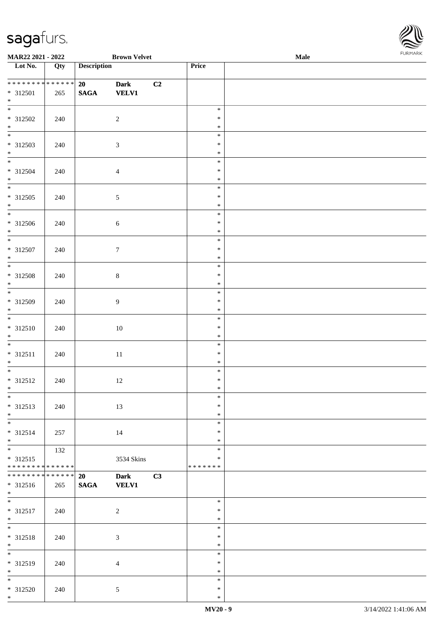

| MAR22 2021 - 2022            |     | <b>Brown Velvet</b> |                  |    | <b>Male</b>      |  |  |
|------------------------------|-----|---------------------|------------------|----|------------------|--|--|
| Lot No.                      | Qty | <b>Description</b>  |                  |    | Price            |  |  |
|                              |     |                     |                  |    |                  |  |  |
| * * * * * * * * * * * * * *  |     | 20                  | <b>Dark</b>      | C2 |                  |  |  |
| * 312501                     | 265 | $\mathbf{SAGA}$     | <b>VELV1</b>     |    |                  |  |  |
| $*$                          |     |                     |                  |    |                  |  |  |
|                              |     |                     |                  |    | $\ast$           |  |  |
| $* 312502$                   | 240 |                     | $\overline{c}$   |    | $\ast$           |  |  |
| $*$                          |     |                     |                  |    | $\ast$           |  |  |
|                              |     |                     |                  |    | $\ast$           |  |  |
| $* 312503$                   | 240 |                     | $\sqrt{3}$       |    | $\ast$           |  |  |
| $*$                          |     |                     |                  |    | $\ast$           |  |  |
|                              |     |                     |                  |    | $\ast$           |  |  |
|                              |     |                     |                  |    | $\ast$           |  |  |
| $* 312504$                   | 240 |                     | $\overline{4}$   |    |                  |  |  |
| $*$                          |     |                     |                  |    | $\ast$           |  |  |
|                              |     |                     |                  |    | $\ast$           |  |  |
| $* 312505$                   | 240 |                     | $\sqrt{5}$       |    | $\ast$           |  |  |
| $*$                          |     |                     |                  |    | $\ast$           |  |  |
| $\overline{\phantom{0}}$     |     |                     |                  |    | $\ast$           |  |  |
| $* 312506$                   | 240 |                     | $\sqrt{6}$       |    | $\ast$           |  |  |
| $*$                          |     |                     |                  |    | $\ast$           |  |  |
|                              |     |                     |                  |    | $\ast$           |  |  |
| $* 312507$                   | 240 |                     | $\boldsymbol{7}$ |    | $\ast$           |  |  |
| $*$                          |     |                     |                  |    | $\ast$           |  |  |
|                              |     |                     |                  |    | $\ast$           |  |  |
| $* 312508$                   | 240 |                     | $\,8\,$          |    | $\ast$           |  |  |
| $*$                          |     |                     |                  |    | $\ast$           |  |  |
|                              |     |                     |                  |    | $\ast$           |  |  |
| * 312509                     | 240 |                     | $\overline{9}$   |    | $\ast$           |  |  |
| $*$                          |     |                     |                  |    | $\ast$           |  |  |
|                              |     |                     |                  |    | $\ast$           |  |  |
|                              |     |                     |                  |    | $\ast$           |  |  |
| $* 312510$                   | 240 |                     | $10\,$           |    | $\ast$           |  |  |
| $*$<br>$*$                   |     |                     |                  |    |                  |  |  |
|                              |     |                     |                  |    | $\ast$           |  |  |
| $* 312511$                   | 240 |                     | $11\,$           |    | $\ast$           |  |  |
| $*$                          |     |                     |                  |    | $\ast$           |  |  |
|                              |     |                     |                  |    | $\ast$           |  |  |
| $* 312512$                   | 240 |                     | 12               |    | $\ast$           |  |  |
| $*$                          |     |                     |                  |    | $\ast$           |  |  |
| $*$                          |     |                     |                  |    | $\ast$           |  |  |
| * 312513                     | 240 |                     | 13               |    | $\ast$           |  |  |
| $*$                          |     |                     |                  |    | $\ast$           |  |  |
|                              |     |                     |                  |    | $\ast$           |  |  |
| * 312514                     | 257 |                     | 14               |    | $\ast$           |  |  |
| $*$                          |     |                     |                  |    | $\ast$           |  |  |
| $*$                          | 132 |                     |                  |    | $\ast$           |  |  |
| $* 312515$                   |     |                     | 3534 Skins       |    | $\ast$           |  |  |
| ******** <mark>******</mark> |     |                     |                  |    | *******          |  |  |
| ******** <mark>******</mark> |     | <b>20</b>           | <b>Dark</b>      | C3 |                  |  |  |
| * 312516                     | 265 | <b>SAGA</b>         | <b>VELV1</b>     |    |                  |  |  |
| $*$                          |     |                     |                  |    |                  |  |  |
|                              |     |                     |                  |    | $\ast$           |  |  |
|                              |     |                     |                  |    | $\ast$           |  |  |
| * 312517                     | 240 |                     | $\sqrt{2}$       |    |                  |  |  |
| $*$<br>$*$                   |     |                     |                  |    | $\ast$<br>$\ast$ |  |  |
|                              |     |                     |                  |    |                  |  |  |
| * 312518                     | 240 |                     | $\mathfrak{Z}$   |    | $\ast$           |  |  |
| $*$                          |     |                     |                  |    | $\ast$           |  |  |
|                              |     |                     |                  |    | $\ast$           |  |  |
| * 312519                     | 240 |                     | $\overline{4}$   |    | $\ast$           |  |  |
| $*$                          |     |                     |                  |    | $\ast$           |  |  |
| $*$                          |     |                     |                  |    | $\ast$           |  |  |
| * 312520                     | 240 |                     | $5\overline{)}$  |    | $\ast$           |  |  |
| $*$                          |     |                     |                  |    | $\ast$           |  |  |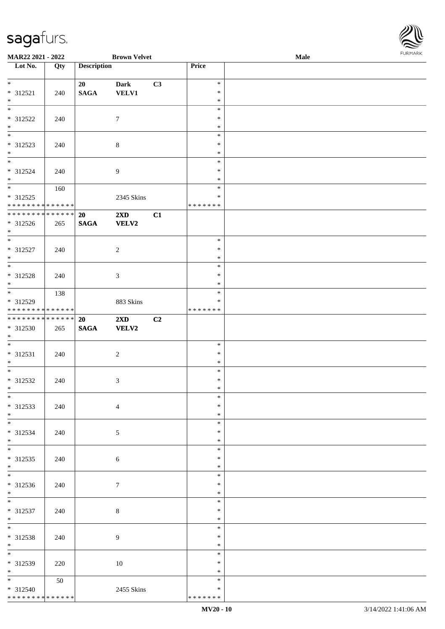| MAR22 2021 - 2022                        |     |                    | <b>Brown Velvet</b>     |    |                         | Male | <b>FUNITANN</b> |
|------------------------------------------|-----|--------------------|-------------------------|----|-------------------------|------|-----------------|
| Lot No.                                  | Qty | <b>Description</b> |                         |    | Price                   |      |                 |
|                                          |     |                    |                         |    |                         |      |                 |
| $*$                                      |     | 20                 | <b>Dark</b>             | C3 | $\ast$                  |      |                 |
| $* 312521$                               | 240 | $\mathbf{SAGA}$    | <b>VELV1</b>            |    | $\ast$                  |      |                 |
| $*$<br>$\frac{1}{*}$                     |     |                    |                         |    | $\ast$                  |      |                 |
|                                          |     |                    |                         |    | $\ast$                  |      |                 |
| $* 312522$                               | 240 |                    | $\tau$                  |    | $\ast$                  |      |                 |
| $\ast$<br>$\overline{\phantom{0}}$       |     |                    |                         |    | $\ast$<br>$\ast$        |      |                 |
| * 312523                                 |     |                    |                         |    | $\ast$                  |      |                 |
| $\ast$                                   | 240 |                    | $\,8\,$                 |    | $\ast$                  |      |                 |
| $\overline{\ast}$                        |     |                    |                         |    | $\ast$                  |      |                 |
| * 312524                                 | 240 |                    | $\boldsymbol{9}$        |    | $\ast$                  |      |                 |
| $*$                                      |     |                    |                         |    | $\ast$                  |      |                 |
|                                          | 160 |                    |                         |    | $\ast$                  |      |                 |
| * 312525                                 |     |                    | 2345 Skins              |    | $\ast$                  |      |                 |
| * * * * * * * * * * * * * *              |     |                    |                         |    | * * * * * * *           |      |                 |
| ******** <mark>******</mark>             |     | 20                 | 2XD                     | C1 |                         |      |                 |
| $* 312526$                               | 265 | <b>SAGA</b>        | <b>VELV2</b>            |    |                         |      |                 |
| $*$                                      |     |                    |                         |    |                         |      |                 |
| $*$                                      |     |                    |                         |    | $\ast$                  |      |                 |
| $* 312527$                               | 240 |                    | $\sqrt{2}$              |    | $\ast$                  |      |                 |
| $*$<br>$\overline{\phantom{0}}$          |     |                    |                         |    | $\ast$                  |      |                 |
|                                          |     |                    |                         |    | $\ast$                  |      |                 |
| * 312528                                 | 240 |                    | $\mathfrak{Z}$          |    | $\ast$                  |      |                 |
| $*$<br>$\overline{\phantom{0}}$          |     |                    |                         |    | $\ast$                  |      |                 |
|                                          | 138 |                    |                         |    | $\ast$                  |      |                 |
| * 312529<br>******** <mark>******</mark> |     |                    | 883 Skins               |    | $\ast$<br>* * * * * * * |      |                 |
| * * * * * * * * * * * * * * *            |     | 20                 | $2\mathbf{X}\mathbf{D}$ | C2 |                         |      |                 |
| * 312530                                 | 265 | <b>SAGA</b>        | <b>VELV2</b>            |    |                         |      |                 |
| $*$                                      |     |                    |                         |    |                         |      |                 |
| $*$                                      |     |                    |                         |    | $\ast$                  |      |                 |
| $* 312531$                               | 240 |                    | $\overline{c}$          |    | $\ast$                  |      |                 |
| $*$                                      |     |                    |                         |    | $\ast$                  |      |                 |
| $\overline{\ast}$                        |     |                    |                         |    | $\ast$                  |      |                 |
| $* 312532$                               | 240 |                    | $\mathfrak{Z}$          |    | $\ast$                  |      |                 |
| $*$ $*$                                  |     |                    |                         |    | $*$                     |      |                 |
| $*$                                      |     |                    |                         |    | $\ast$                  |      |                 |
| * 312533                                 | 240 |                    | $\overline{4}$          |    | $\ast$                  |      |                 |
| $*$                                      |     |                    |                         |    | $\ast$                  |      |                 |
|                                          |     |                    |                         |    | $\ast$                  |      |                 |
| * 312534                                 | 240 |                    | 5                       |    | $\ast$                  |      |                 |
| $*$<br>$\overline{\phantom{0}}$          |     |                    |                         |    | $\ast$                  |      |                 |
|                                          |     |                    |                         |    | $\ast$<br>$\ast$        |      |                 |
| * 312535<br>$*$                          | 240 |                    | 6                       |    | $\ast$                  |      |                 |
|                                          |     |                    |                         |    | $\ast$                  |      |                 |
| * 312536                                 | 240 |                    | $\tau$                  |    | $\ast$                  |      |                 |
| $*$                                      |     |                    |                         |    | $\ast$                  |      |                 |
| $*$                                      |     |                    |                         |    | $\ast$                  |      |                 |
| * 312537                                 | 240 |                    | 8                       |    | $\ast$                  |      |                 |
| $*$                                      |     |                    |                         |    | $\ast$                  |      |                 |
| $*$                                      |     |                    |                         |    | $\ast$                  |      |                 |
| * 312538                                 | 240 |                    | 9                       |    | $\ast$                  |      |                 |
| $*$                                      |     |                    |                         |    | $\ast$                  |      |                 |
| $*$                                      |     |                    |                         |    | $\ast$                  |      |                 |
| * 312539                                 | 220 |                    | $10\,$                  |    | $\ast$                  |      |                 |
| $*$                                      |     |                    |                         |    | $\ast$                  |      |                 |
| $*$ $-$                                  | 50  |                    |                         |    | $\ast$                  |      |                 |
| * 312540                                 |     |                    | 2455 Skins              |    | $\ast$                  |      |                 |
| ******** <mark>******</mark>             |     |                    |                         |    | * * * * * * *           |      |                 |

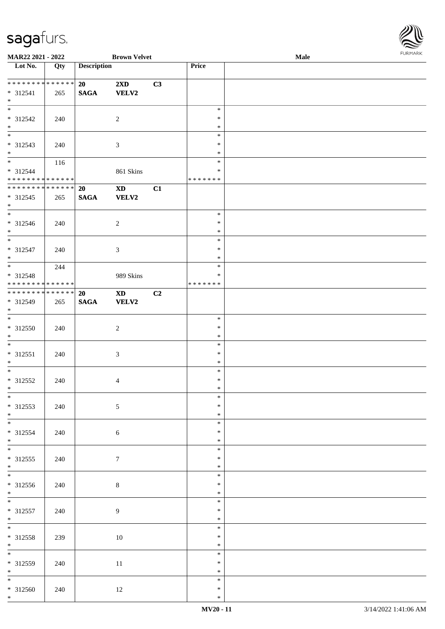

| <b>MAR22 2021 - 2022</b>                |     |                    | <b>Brown Velvet</b>    |    |                  | Male |  |
|-----------------------------------------|-----|--------------------|------------------------|----|------------------|------|--|
| Lot No.                                 | Qty | <b>Description</b> |                        |    | Price            |      |  |
|                                         |     |                    |                        |    |                  |      |  |
| * * * * * * * * * * * * * *             |     | 20                 | 2XD                    | C3 |                  |      |  |
| $* 312541$<br>$*$                       | 265 | <b>SAGA</b>        | <b>VELV2</b>           |    |                  |      |  |
|                                         |     |                    |                        |    | $\ast$           |      |  |
| * 312542                                | 240 |                    | $\overline{2}$         |    | $\ast$           |      |  |
| $\ast$                                  |     |                    |                        |    | $\ast$           |      |  |
|                                         |     |                    |                        |    | $\ast$           |      |  |
| * 312543                                | 240 |                    | $\mathfrak{Z}$         |    | $\ast$           |      |  |
| $*$                                     |     |                    |                        |    | $\ast$           |      |  |
| $*$                                     | 116 |                    |                        |    | $\ast$           |      |  |
| * 312544                                |     |                    | 861 Skins              |    | $\ast$           |      |  |
| * * * * * * * * * * * * * *             |     |                    |                        |    | * * * * * * *    |      |  |
| * * * * * * * * * * * * * *             |     | 20                 | $\mathbf{X}\mathbf{D}$ | C1 |                  |      |  |
| $* 312545$                              | 265 | <b>SAGA</b>        | <b>VELV2</b>           |    |                  |      |  |
| $*$                                     |     |                    |                        |    |                  |      |  |
| $\overline{\phantom{0}}$                |     |                    |                        |    | $\ast$           |      |  |
| $* 312546$                              | 240 |                    | $\overline{2}$         |    | $\ast$           |      |  |
| $*$<br>$\overline{\phantom{0}}$         |     |                    |                        |    | $\ast$           |      |  |
|                                         |     |                    |                        |    | $\ast$           |      |  |
| $* 312547$                              | 240 |                    | $\mathfrak{Z}$         |    | $\ast$           |      |  |
| $*$<br>$\overline{\ast}$                |     |                    |                        |    | $\ast$<br>$\ast$ |      |  |
|                                         | 244 |                    |                        |    | ∗                |      |  |
| * 312548<br>* * * * * * * * * * * * * * |     |                    | 989 Skins              |    | * * * * * * *    |      |  |
| ******** <mark>******</mark>            |     | <b>20</b>          | <b>XD</b>              | C2 |                  |      |  |
| * 312549                                | 265 | <b>SAGA</b>        | <b>VELV2</b>           |    |                  |      |  |
| $*$                                     |     |                    |                        |    |                  |      |  |
| $\overline{\phantom{0}}$                |     |                    |                        |    | $\ast$           |      |  |
| $* 312550$                              | 240 |                    | $\overline{c}$         |    | $\ast$           |      |  |
| $*$                                     |     |                    |                        |    | $\ast$           |      |  |
| $*$                                     |     |                    |                        |    | $\ast$           |      |  |
| $* 312551$                              | 240 |                    | $\mathfrak{Z}$         |    | $\ast$           |      |  |
| $*$                                     |     |                    |                        |    | $\ast$           |      |  |
| $*$                                     |     |                    |                        |    | $\ast$           |      |  |
| $* 312552$                              | 240 |                    | $\overline{4}$         |    | $\ast$           |      |  |
| $*$                                     |     |                    |                        |    | $\ast$           |      |  |
| $*$                                     |     |                    |                        |    | $\ast$           |      |  |
| * 312553                                | 240 |                    | $5\phantom{.0}$        |    | $\ast$           |      |  |
| $*$                                     |     |                    |                        |    | $\ast$           |      |  |
|                                         |     |                    |                        |    | $\ast$<br>∗      |      |  |
| * 312554<br>$*$                         | 240 |                    | 6                      |    | $\ast$           |      |  |
|                                         |     |                    |                        |    | $\ast$           |      |  |
| $* 312555$                              | 240 |                    | $\tau$                 |    | $\ast$           |      |  |
| $*$                                     |     |                    |                        |    | $\ast$           |      |  |
|                                         |     |                    |                        |    | $\ast$           |      |  |
| $* 312556$                              | 240 |                    | $8\,$                  |    | ∗                |      |  |
| $*$                                     |     |                    |                        |    | $\ast$           |      |  |
| $*$                                     |     |                    |                        |    | $\ast$           |      |  |
| $* 312557$                              | 240 |                    | 9                      |    | $\ast$           |      |  |
| $*$                                     |     |                    |                        |    | $\ast$           |      |  |
| $*$                                     |     |                    |                        |    | $\ast$           |      |  |
| $* 312558$                              | 239 |                    | 10                     |    | $\ast$           |      |  |
| $*$                                     |     |                    |                        |    | $\ast$           |      |  |
|                                         |     |                    |                        |    | $\ast$           |      |  |
| $* 312559$                              | 240 |                    | $11\,$                 |    | $\ast$           |      |  |
| $*$                                     |     |                    |                        |    | $\ast$           |      |  |
|                                         |     |                    |                        |    | $\ast$           |      |  |
| $* 312560$                              | 240 |                    | 12                     |    | $\ast$           |      |  |
| $*$                                     |     |                    |                        |    | $\ast$           |      |  |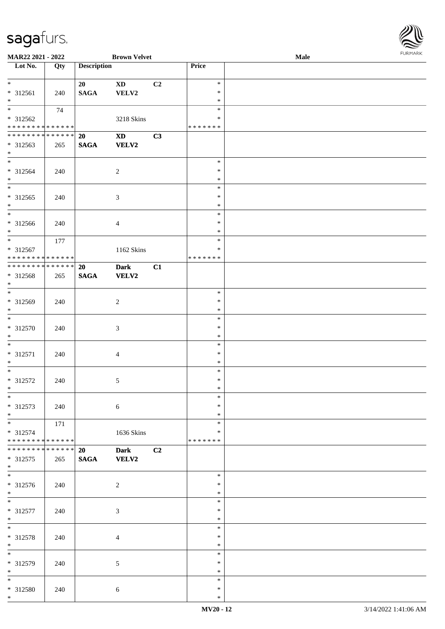

| MAR22 2021 - 2022             |     |                    | <b>Brown Velvet</b>        |    |               | Male |
|-------------------------------|-----|--------------------|----------------------------|----|---------------|------|
| Lot No.                       | Qty | <b>Description</b> |                            |    | Price         |      |
|                               |     |                    |                            |    |               |      |
| $\ast$                        |     | 20                 | <b>XD</b>                  | C2 | $\ast$        |      |
| * 312561                      | 240 | <b>SAGA</b>        | VELV2                      |    | $\ast$        |      |
| $*$                           |     |                    |                            |    | $\ast$        |      |
| $\overline{\ast}$             |     |                    |                            |    | $\ast$        |      |
|                               | 74  |                    |                            |    |               |      |
| * 312562                      |     |                    | 3218 Skins                 |    | *             |      |
| * * * * * * * * * * * * * * * |     |                    |                            |    | * * * * * * * |      |
| * * * * * * * * * * * * * * * |     | 20                 | $\boldsymbol{\mathrm{XD}}$ | C3 |               |      |
| * 312563                      | 265 | <b>SAGA</b>        | <b>VELV2</b>               |    |               |      |
| $*$                           |     |                    |                            |    |               |      |
| $*$                           |     |                    |                            |    | $\ast$        |      |
| * 312564                      | 240 |                    | $\overline{2}$             |    | $\ast$        |      |
| $*$                           |     |                    |                            |    | $\ast$        |      |
|                               |     |                    |                            |    | $\ast$        |      |
| $* 312565$                    |     |                    |                            |    | $\ast$        |      |
| $*$                           | 240 |                    | $\mathfrak{Z}$             |    | $\ast$        |      |
| $\overline{\phantom{0}}$      |     |                    |                            |    |               |      |
|                               |     |                    |                            |    | $\ast$        |      |
| $* 312566$                    | 240 |                    | $\overline{4}$             |    | $\ast$        |      |
| $*$                           |     |                    |                            |    | $\ast$        |      |
|                               | 177 |                    |                            |    | $\ast$        |      |
| * 312567                      |     |                    | 1162 Skins                 |    | $\ast$        |      |
| * * * * * * * * * * * * * * * |     |                    |                            |    | *******       |      |
| * * * * * * * * * * * * * * * |     | <b>20</b>          | <b>Dark</b>                | C1 |               |      |
| * 312568                      | 265 | <b>SAGA</b>        | <b>VELV2</b>               |    |               |      |
| $*$                           |     |                    |                            |    |               |      |
| $\overline{\ast}$             |     |                    |                            |    | $\ast$        |      |
| * 312569                      | 240 |                    | $\boldsymbol{2}$           |    | $\ast$        |      |
| $*$                           |     |                    |                            |    | $\ast$        |      |
| $*$                           |     |                    |                            |    | $\ast$        |      |
|                               |     |                    |                            |    |               |      |
| $* 312570$                    | 240 |                    | $\mathfrak{Z}$             |    | $\ast$        |      |
| $*$                           |     |                    |                            |    | $\ast$        |      |
| $*$                           |     |                    |                            |    | $\ast$        |      |
| $* 312571$                    | 240 |                    | $\overline{4}$             |    | $\ast$        |      |
| $*$                           |     |                    |                            |    | $\ast$        |      |
| $*$                           |     |                    |                            |    | $\ast$        |      |
| $* 312572$                    | 240 |                    | 5                          |    | $\ast$        |      |
| $*$                           |     |                    |                            |    | $\ast$        |      |
| $*$                           |     |                    |                            |    | $\ast$        |      |
| * 312573                      | 240 |                    | 6                          |    | $\ast$        |      |
| $*$                           |     |                    |                            |    | $\ast$        |      |
| $*$                           | 171 |                    |                            |    | $\ast$        |      |
| * 312574                      |     |                    | 1636 Skins                 |    | *             |      |
| * * * * * * * * * * * * * *   |     |                    |                            |    | * * * * * * * |      |
|                               |     |                    |                            |    |               |      |
| * * * * * * * * * * * * * * * |     | 20                 | <b>Dark</b>                | C2 |               |      |
| * 312575                      | 265 | $\mathbf{SAGA}$    | VELV2                      |    |               |      |
| $*$                           |     |                    |                            |    |               |      |
|                               |     |                    |                            |    | $\ast$        |      |
| $* 312576$                    | 240 |                    | 2                          |    | $\ast$        |      |
| $*$                           |     |                    |                            |    | $\ast$        |      |
| $*$                           |     |                    |                            |    | $\ast$        |      |
| $* 312577$                    | 240 |                    | $\mathfrak{Z}$             |    | $\ast$        |      |
| $*$                           |     |                    |                            |    | $\ast$        |      |
| $*$                           |     |                    |                            |    | $\ast$        |      |
| * 312578                      | 240 |                    | $\overline{4}$             |    | $\ast$        |      |
| $*$                           |     |                    |                            |    | $\ast$        |      |
| $\ast$                        |     |                    |                            |    | $\ast$        |      |
|                               |     |                    |                            |    |               |      |
| * 312579                      | 240 |                    | $5\,$                      |    | $\ast$        |      |
| $*$                           |     |                    |                            |    | $\ast$        |      |
| $*$                           |     |                    |                            |    | $\ast$        |      |
| * 312580                      | 240 |                    | 6                          |    | $\ast$        |      |
| $\ast$                        |     |                    |                            |    | $\ast$        |      |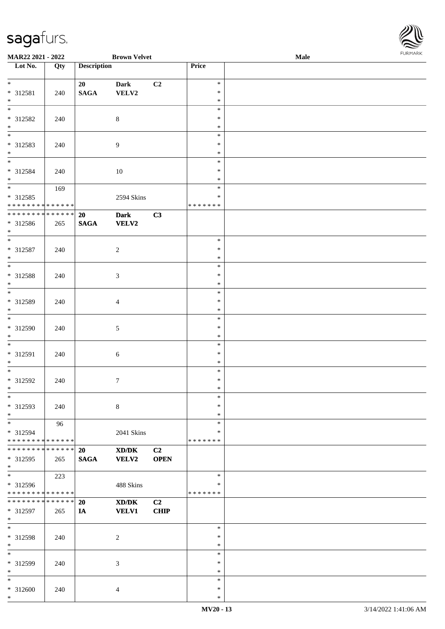| MAR22 2021 - 2022                              |     |                       | <b>Brown Velvet</b>                                                                                                  |                   |                              | $\bf Male$ | FURMARK |
|------------------------------------------------|-----|-----------------------|----------------------------------------------------------------------------------------------------------------------|-------------------|------------------------------|------------|---------|
| $\overline{\phantom{1}}$ Lot No.               | Qty | <b>Description</b>    |                                                                                                                      |                   | Price                        |            |         |
| $\overline{\phantom{0}}$<br>$* 312581$<br>$*$  | 240 | 20<br>$\mathbf{SAGA}$ | <b>Dark</b><br>VELV2                                                                                                 | C <sub>2</sub>    | $\ast$<br>∗<br>$\ast$        |            |         |
| $*$<br>* 312582<br>$*$                         | 240 |                       | $8\,$                                                                                                                |                   | $\ast$<br>$\ast$<br>$\ast$   |            |         |
| $*$<br>* 312583<br>$*$                         | 240 |                       | $\overline{9}$                                                                                                       |                   | $\ast$<br>$\ast$<br>$\ast$   |            |         |
| $*$<br>* 312584<br>$*$                         | 240 |                       | 10                                                                                                                   |                   | $\ast$<br>$\ast$<br>$\ast$   |            |         |
| * 312585<br>* * * * * * * * * * * * * *        | 169 |                       | 2594 Skins                                                                                                           |                   | $\ast$<br>∗<br>* * * * * * * |            |         |
| * * * * * * * * * * * * * *<br>* 312586<br>$*$ | 265 | 20<br><b>SAGA</b>     | <b>Dark</b><br><b>VELV2</b>                                                                                          | C3                |                              |            |         |
| * 312587<br>$*$                                | 240 |                       | $\overline{c}$                                                                                                       |                   | $\ast$<br>∗<br>$\ast$        |            |         |
| $\overline{\phantom{0}}$<br>* 312588<br>$*$    | 240 |                       | $\mathfrak{Z}$                                                                                                       |                   | $\ast$<br>$\ast$<br>$\ast$   |            |         |
| $*$<br>* 312589<br>$*$                         | 240 |                       | $\overline{4}$                                                                                                       |                   | $\ast$<br>$\ast$<br>$\ast$   |            |         |
| $*$<br>* 312590<br>$*$                         | 240 |                       | $\mathfrak{S}$                                                                                                       |                   | $\ast$<br>$\ast$<br>$\ast$   |            |         |
| $*$<br>* 312591<br>$*$                         | 240 |                       | $6\,$                                                                                                                |                   | $\ast$<br>$\ast$<br>$\ast$   |            |         |
| $*$<br>$* 312592$<br>∗                         | 240 |                       | $7\phantom{.0}$                                                                                                      |                   | $\ast$<br>$\ast$<br>∗        |            |         |
| $\overline{\phantom{0}}$<br>* 312593<br>$*$    | 240 |                       | $\,8\,$                                                                                                              |                   | $\ast$<br>∗<br>$\ast$        |            |         |
| * 312594<br>* * * * * * * * * * * * * *        | 96  |                       | 2041 Skins                                                                                                           |                   | $\ast$<br>∗<br>*******       |            |         |
| * * * * * * * * * * * * * *<br>* 312595<br>$*$ | 265 | 20<br><b>SAGA</b>     | $\boldsymbol{\text{X}}\boldsymbol{\text{D}}\boldsymbol{/}\boldsymbol{\text{D}}\boldsymbol{\text{K}}$<br><b>VELV2</b> | C2<br><b>OPEN</b> |                              |            |         |
| $*$<br>* 312596<br>* * * * * * * * * * * * * * | 223 |                       | 488 Skins                                                                                                            |                   | $\ast$<br>*<br>* * * * * * * |            |         |
| * * * * * * * * * * * * * *<br>* 312597<br>$*$ | 265 | 20<br>IA              | XD/DK<br><b>VELV1</b>                                                                                                | C2<br><b>CHIP</b> |                              |            |         |
| $*$<br>$* 312598$<br>$*$                       | 240 |                       | $\overline{c}$                                                                                                       |                   | $\ast$<br>$\ast$<br>$\ast$   |            |         |
| $*$<br>* 312599<br>$*$                         | 240 |                       | $\mathfrak{Z}$                                                                                                       |                   | $\ast$<br>$\ast$<br>$\ast$   |            |         |
| $*$<br>$* 312600$<br>$*$                       | 240 |                       | $\overline{4}$                                                                                                       |                   | $\ast$<br>$\ast$<br>$\ast$   |            |         |

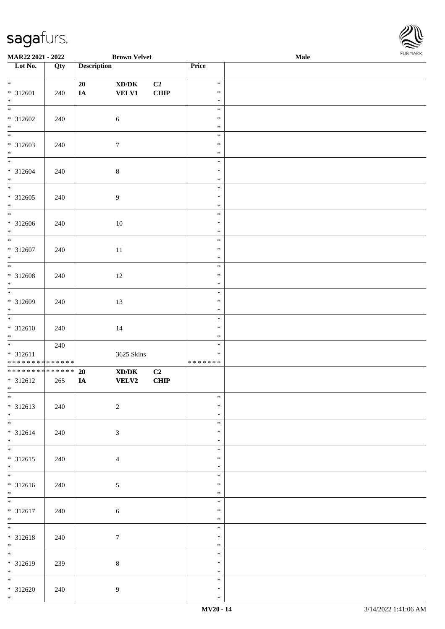

| MAR22 2021 - 2022                          |     |                    | <b>Brown Velvet</b>                                                                                  |             |               | <b>Male</b> |  |
|--------------------------------------------|-----|--------------------|------------------------------------------------------------------------------------------------------|-------------|---------------|-------------|--|
| Lot No.                                    | Qty | <b>Description</b> |                                                                                                      |             | Price         |             |  |
|                                            |     |                    |                                                                                                      |             |               |             |  |
| $*$                                        |     | 20                 | $\boldsymbol{\text{XD}}\boldsymbol{/}\boldsymbol{\text{DK}}$                                         | C2          | $\ast$        |             |  |
| $* 312601$                                 | 240 | $I\!\!A$           | <b>VELV1</b>                                                                                         | <b>CHIP</b> | $\ast$        |             |  |
| $*$                                        |     |                    |                                                                                                      |             | $\ast$        |             |  |
|                                            |     |                    |                                                                                                      |             | $\ast$        |             |  |
| $* 312602$                                 | 240 |                    | $\sqrt{6}$                                                                                           |             | $\ast$        |             |  |
| $\ast$                                     |     |                    |                                                                                                      |             | $\ast$        |             |  |
| $\overline{\phantom{0}}$                   |     |                    |                                                                                                      |             | $\ast$        |             |  |
| * 312603                                   | 240 |                    | $\boldsymbol{7}$                                                                                     |             | $\ast$        |             |  |
| $*$                                        |     |                    |                                                                                                      |             | $\ast$        |             |  |
| $*$                                        |     |                    |                                                                                                      |             | $\ast$        |             |  |
|                                            |     |                    |                                                                                                      |             |               |             |  |
| $* 312604$                                 | 240 |                    | $8\,$                                                                                                |             | $\ast$        |             |  |
| $*$<br>$\overline{\phantom{0}}$            |     |                    |                                                                                                      |             | $\ast$        |             |  |
|                                            |     |                    |                                                                                                      |             | $\ast$        |             |  |
| $* 312605$                                 | 240 |                    | 9                                                                                                    |             | $\ast$        |             |  |
| $*$                                        |     |                    |                                                                                                      |             | $\ast$        |             |  |
| $\overline{\phantom{0}}$                   |     |                    |                                                                                                      |             | $\ast$        |             |  |
| $* 312606$                                 | 240 |                    | 10                                                                                                   |             | $\ast$        |             |  |
| $*$                                        |     |                    |                                                                                                      |             | $\ast$        |             |  |
| $\overline{\ast}$                          |     |                    |                                                                                                      |             | $\ast$        |             |  |
| $* 312607$                                 | 240 |                    | 11                                                                                                   |             | $\ast$        |             |  |
| $*$                                        |     |                    |                                                                                                      |             | $\ast$        |             |  |
|                                            |     |                    |                                                                                                      |             | $\ast$        |             |  |
| $* 312608$                                 | 240 |                    | 12                                                                                                   |             | $\ast$        |             |  |
| $*$                                        |     |                    |                                                                                                      |             | $\ast$        |             |  |
|                                            |     |                    |                                                                                                      |             | $\ast$        |             |  |
|                                            |     |                    |                                                                                                      |             |               |             |  |
| $* 312609$                                 | 240 |                    | 13                                                                                                   |             | $\ast$        |             |  |
| $*$<br>$\overline{\phantom{0}}$            |     |                    |                                                                                                      |             | $\ast$        |             |  |
|                                            |     |                    |                                                                                                      |             | $\ast$        |             |  |
| $* 312610$                                 | 240 |                    | 14                                                                                                   |             | $\ast$        |             |  |
| $*$                                        |     |                    |                                                                                                      |             | $\ast$        |             |  |
| $*$                                        | 240 |                    |                                                                                                      |             | $\ast$        |             |  |
| $* 312611$                                 |     |                    | 3625 Skins                                                                                           |             | $\ast$        |             |  |
| * * * * * * * * <mark>* * * * * * *</mark> |     |                    |                                                                                                      |             | * * * * * * * |             |  |
| ******** <mark>******</mark>               |     | 20                 | $\boldsymbol{\text{X}}\boldsymbol{\text{D}}\boldsymbol{/}\boldsymbol{\text{D}}\boldsymbol{\text{K}}$ | C2          |               |             |  |
| * 312612                                   | 265 | IA                 | <b>VELV2</b>                                                                                         | CHIP        |               |             |  |
| $*$                                        |     |                    |                                                                                                      |             |               |             |  |
| $*$                                        |     |                    |                                                                                                      |             | $\ast$        |             |  |
| $* 312613$                                 | 240 |                    | $\sqrt{2}$                                                                                           |             | $\ast$        |             |  |
| $*$                                        |     |                    |                                                                                                      |             | $\ast$        |             |  |
|                                            |     |                    |                                                                                                      |             | $\ast$        |             |  |
| $* 312614$                                 |     |                    |                                                                                                      |             | $\ast$        |             |  |
| $*$                                        | 240 |                    | 3                                                                                                    |             | $\ast$        |             |  |
|                                            |     |                    |                                                                                                      |             |               |             |  |
|                                            |     |                    |                                                                                                      |             | $\ast$        |             |  |
| $* 312615$                                 | 240 |                    | $\overline{4}$                                                                                       |             | $\ast$        |             |  |
| $*$                                        |     |                    |                                                                                                      |             | $\ast$        |             |  |
| $\overline{\ast}$                          |     |                    |                                                                                                      |             | $\ast$        |             |  |
| $* 312616$                                 | 240 |                    | $\mathfrak{S}$                                                                                       |             | $\ast$        |             |  |
| $*$                                        |     |                    |                                                                                                      |             | $\ast$        |             |  |
| $*$                                        |     |                    |                                                                                                      |             | $\ast$        |             |  |
| $* 312617$                                 | 240 |                    | $\sqrt{6}$                                                                                           |             | $\ast$        |             |  |
| $*$                                        |     |                    |                                                                                                      |             | $\ast$        |             |  |
| $*$                                        |     |                    |                                                                                                      |             | $\ast$        |             |  |
| $* 312618$                                 | 240 |                    | $\tau$                                                                                               |             | $\ast$        |             |  |
| $*$                                        |     |                    |                                                                                                      |             | $\ast$        |             |  |
|                                            |     |                    |                                                                                                      |             | $\ast$        |             |  |
|                                            |     |                    |                                                                                                      |             | $\ast$        |             |  |
| * 312619                                   | 239 |                    | $8\,$                                                                                                |             |               |             |  |
| $*$                                        |     |                    |                                                                                                      |             | $\ast$        |             |  |
| $*$                                        |     |                    |                                                                                                      |             | $\ast$        |             |  |
| * 312620                                   | 240 |                    | $\overline{9}$                                                                                       |             | $\ast$        |             |  |
| $*$                                        |     |                    |                                                                                                      |             | $\ast$        |             |  |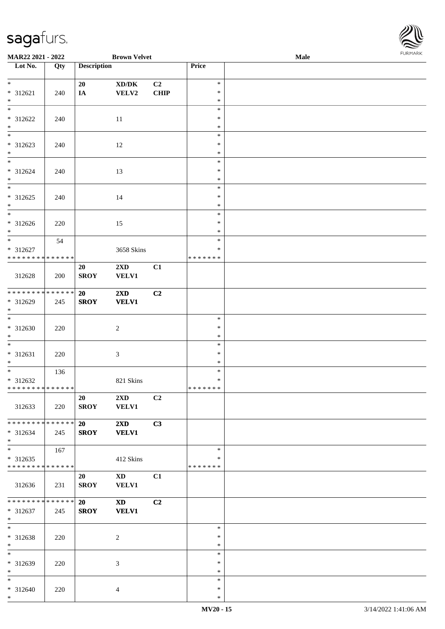

| MAR22 2021 - 2022             |     |                    | <b>Brown Velvet</b>     |                |         | <b>Male</b> |
|-------------------------------|-----|--------------------|-------------------------|----------------|---------|-------------|
| Lot No.                       | Qty | <b>Description</b> |                         |                | Price   |             |
|                               |     |                    |                         |                |         |             |
| $*$                           |     | 20                 | XD/DK                   | C2             | $\ast$  |             |
| * 312621                      | 240 | IA                 | VELV2                   | <b>CHIP</b>    | $\ast$  |             |
| $*$                           |     |                    |                         |                | $\ast$  |             |
|                               |     |                    |                         |                | $\ast$  |             |
| * 312622                      | 240 |                    | 11                      |                | $\ast$  |             |
| $\ast$                        |     |                    |                         |                | $\ast$  |             |
| $\overline{\phantom{0}}$      |     |                    |                         |                | $\ast$  |             |
|                               |     |                    |                         |                | $\ast$  |             |
| * 312623                      | 240 |                    | 12                      |                |         |             |
| $*$<br>$*$                    |     |                    |                         |                | $\ast$  |             |
|                               |     |                    |                         |                | $\ast$  |             |
| * 312624                      | 240 |                    | 13                      |                | $\ast$  |             |
| $*$                           |     |                    |                         |                | $\ast$  |             |
| $\overline{\phantom{0}}$      |     |                    |                         |                | $\ast$  |             |
| $* 312625$                    | 240 |                    | 14                      |                | $\ast$  |             |
| $*$                           |     |                    |                         |                | $\ast$  |             |
| $\overline{\phantom{0}}$      |     |                    |                         |                | $\ast$  |             |
| $* 312626$                    | 220 |                    | 15                      |                | $\ast$  |             |
| $*$                           |     |                    |                         |                | $\ast$  |             |
| $*$                           | 54  |                    |                         |                | $\ast$  |             |
| * 312627                      |     |                    | 3658 Skins              |                | $\ast$  |             |
| * * * * * * * * * * * * * *   |     |                    |                         |                | ******* |             |
|                               |     |                    |                         |                |         |             |
|                               |     | 20                 | $2\mathbf{X}\mathbf{D}$ | C1             |         |             |
| 312628                        | 200 | <b>SROY</b>        | <b>VELV1</b>            |                |         |             |
|                               |     |                    |                         |                |         |             |
| ******** <mark>******</mark>  |     | <b>20</b>          | 2XD                     | C2             |         |             |
| * 312629                      | 245 | <b>SROY</b>        | <b>VELV1</b>            |                |         |             |
| $*$                           |     |                    |                         |                |         |             |
|                               |     |                    |                         |                | $\ast$  |             |
| $* 312630$                    | 220 |                    | $\sqrt{2}$              |                | $\ast$  |             |
| $*$                           |     |                    |                         |                | $\ast$  |             |
| $*$                           |     |                    |                         |                | $\ast$  |             |
| $* 312631$                    | 220 |                    | $\mathfrak{Z}$          |                | $\ast$  |             |
| $*$                           |     |                    |                         |                | $\ast$  |             |
| $*$                           | 136 |                    |                         |                | $\ast$  |             |
| * 312632                      |     |                    | 821 Skins               |                | $\ast$  |             |
| ******** <mark>******</mark>  |     |                    |                         |                | ******* |             |
|                               |     |                    |                         |                |         |             |
|                               |     | 20                 | $2\mathbf{X}\mathbf{D}$ | C <sub>2</sub> |         |             |
| 312633                        | 220 | <b>SROY</b>        | <b>VELV1</b>            |                |         |             |
|                               |     |                    |                         |                |         |             |
| * * * * * * * * * * * * * * * |     | 20                 | $2\mathbf{X}\mathbf{D}$ | C3             |         |             |
| * 312634                      | 245 | <b>SROY</b>        | <b>VELV1</b>            |                |         |             |
| $*$                           |     |                    |                         |                |         |             |
| $*$                           | 167 |                    |                         |                | $\ast$  |             |
| $* 312635$                    |     |                    | 412 Skins               |                | $\ast$  |             |
| * * * * * * * * * * * * * *   |     |                    |                         |                | ******* |             |
|                               |     | 20                 | XD <sub>1</sub>         | C1             |         |             |
| 312636                        | 231 | <b>SROY</b>        | VELV1                   |                |         |             |
|                               |     |                    |                         |                |         |             |
| * * * * * * * * * * * * * * * |     |                    |                         |                |         |             |
|                               |     | 20                 | <b>XD</b>               | C2             |         |             |
| * 312637                      | 245 | <b>SROY</b>        | <b>VELV1</b>            |                |         |             |
| $*$ $-$                       |     |                    |                         |                |         |             |
| $*$                           |     |                    |                         |                | $\ast$  |             |
| * 312638                      | 220 |                    | 2                       |                | $\ast$  |             |
| $*$                           |     |                    |                         |                | $\ast$  |             |
| $*$                           |     |                    |                         |                | $\ast$  |             |
| * 312639                      | 220 |                    | 3                       |                | $\ast$  |             |
| $*$                           |     |                    |                         |                | $\ast$  |             |
| $*$                           |     |                    |                         |                | $\ast$  |             |
| * 312640                      | 220 |                    | 4                       |                | $\ast$  |             |
| $*$                           |     |                    |                         |                | $\ast$  |             |
|                               |     |                    |                         |                |         |             |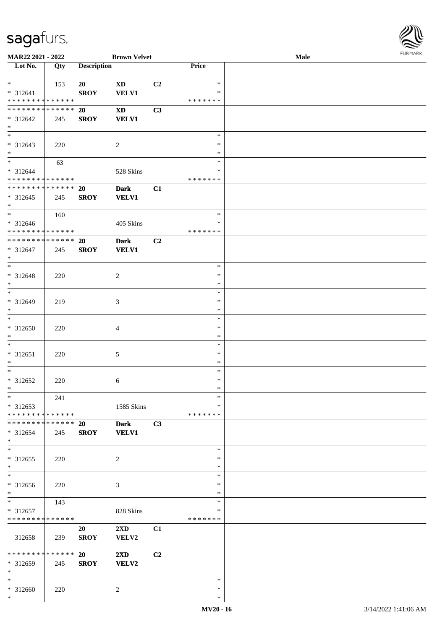

| MAR22 2021 - 2022                |     |                    | <b>Brown Velvet</b>     |    |                  | Male | $1 \times 1 \times 1 \times 1 \times 1$ |
|----------------------------------|-----|--------------------|-------------------------|----|------------------|------|-----------------------------------------|
| $\overline{\phantom{1}}$ Lot No. | Qty | <b>Description</b> |                         |    | Price            |      |                                         |
|                                  |     |                    |                         |    |                  |      |                                         |
| $*$                              | 153 | 20                 | $\mathbf{X}\mathbf{D}$  | C2 | $\ast$           |      |                                         |
| * 312641                         |     | <b>SROY</b>        | VELV1                   |    | $\ast$           |      |                                         |
| * * * * * * * * * * * * * *      |     |                    |                         |    | * * * * * * *    |      |                                         |
| * * * * * * * * * * * * * *      |     | 20                 | $\mathbf{X}\mathbf{D}$  | C3 |                  |      |                                         |
| * 312642                         | 245 | <b>SROY</b>        | <b>VELV1</b>            |    |                  |      |                                         |
| $*$                              |     |                    |                         |    |                  |      |                                         |
| $*$                              |     |                    |                         |    | $\ast$<br>$\ast$ |      |                                         |
| * 312643<br>$\ast$               | 220 |                    | $\overline{c}$          |    | $\ast$           |      |                                         |
| $\overline{\phantom{0}}$         | 63  |                    |                         |    | $\ast$           |      |                                         |
| * 312644                         |     |                    | 528 Skins               |    | $\ast$           |      |                                         |
| * * * * * * * * * * * * * *      |     |                    |                         |    | * * * * * * *    |      |                                         |
| * * * * * * * * * * * * * *      |     | 20                 | <b>Dark</b>             | C1 |                  |      |                                         |
| * 312645                         | 245 | <b>SROY</b>        | <b>VELV1</b>            |    |                  |      |                                         |
| $*$                              |     |                    |                         |    |                  |      |                                         |
| $*$                              | 160 |                    |                         |    | $\ast$           |      |                                         |
| $* 312646$                       |     |                    | 405 Skins               |    | $\ast$           |      |                                         |
| * * * * * * * * * * * * * *      |     |                    |                         |    | * * * * * * *    |      |                                         |
| * * * * * * * * * * * * * *      |     | 20                 | <b>Dark</b>             | C2 |                  |      |                                         |
| $* 312647$                       | 245 | <b>SROY</b>        | <b>VELV1</b>            |    |                  |      |                                         |
| $*$                              |     |                    |                         |    |                  |      |                                         |
| $*$                              |     |                    |                         |    | $\ast$           |      |                                         |
| * 312648                         | 220 |                    | 2                       |    | ∗                |      |                                         |
| $*$                              |     |                    |                         |    | $\ast$           |      |                                         |
| $*$                              |     |                    |                         |    | $\ast$           |      |                                         |
| * 312649                         | 219 |                    | 3                       |    | $\ast$           |      |                                         |
| $*$                              |     |                    |                         |    | $\ast$           |      |                                         |
| $*$                              |     |                    |                         |    | $\ast$           |      |                                         |
| * 312650                         | 220 |                    | 4                       |    | $\ast$           |      |                                         |
| $*$                              |     |                    |                         |    | $\ast$           |      |                                         |
| $*$                              |     |                    |                         |    | $\ast$           |      |                                         |
| * 312651                         | 220 |                    | 5                       |    | ∗                |      |                                         |
| $*$<br>$*$                       |     |                    |                         |    | $\ast$<br>$\ast$ |      |                                         |
| $* 312652$                       |     |                    |                         |    | $\ast$           |      |                                         |
| $*$                              | 220 |                    | 6                       |    | $\ast$           |      |                                         |
| $*$                              | 241 |                    |                         |    | $\ast$           |      |                                         |
| * 312653                         |     |                    | 1585 Skins              |    | $\ast$           |      |                                         |
| * * * * * * * * * * * * * *      |     |                    |                         |    | * * * * * * *    |      |                                         |
| * * * * * * * * * * * * * *      |     | 20                 | <b>Dark</b>             | C3 |                  |      |                                         |
| $* 312654$                       | 245 | <b>SROY</b>        | <b>VELV1</b>            |    |                  |      |                                         |
| $*$                              |     |                    |                         |    |                  |      |                                         |
| $*$                              |     |                    |                         |    | $\ast$           |      |                                         |
| * 312655                         | 220 |                    | 2                       |    | ∗                |      |                                         |
| $*$                              |     |                    |                         |    | *                |      |                                         |
| $*$                              |     |                    |                         |    | $\ast$           |      |                                         |
| * 312656                         | 220 |                    | 3                       |    | $\ast$           |      |                                         |
| $*$                              |     |                    |                         |    | $\ast$           |      |                                         |
| $*$                              | 143 |                    |                         |    | *                |      |                                         |
| * 312657                         |     |                    | 828 Skins               |    | *                |      |                                         |
| * * * * * * * * * * * * * *      |     |                    |                         |    | * * * * * * *    |      |                                         |
|                                  |     | 20                 | $2\mathbf{X}\mathbf{D}$ | C1 |                  |      |                                         |
| 312658                           | 239 | <b>SROY</b>        | VELV2                   |    |                  |      |                                         |
| * * * * * * * * * * * * * * *    |     |                    |                         |    |                  |      |                                         |
|                                  |     | <b>20</b>          | $2\mathbf{X}\mathbf{D}$ | C2 |                  |      |                                         |
| * 312659<br>$*$                  | 245 | <b>SROY</b>        | VELV2                   |    |                  |      |                                         |
| $*$                              |     |                    |                         |    | $\ast$           |      |                                         |
| * 312660                         | 220 |                    | 2                       |    | ∗                |      |                                         |
| $*$                              |     |                    |                         |    | $\ast$           |      |                                         |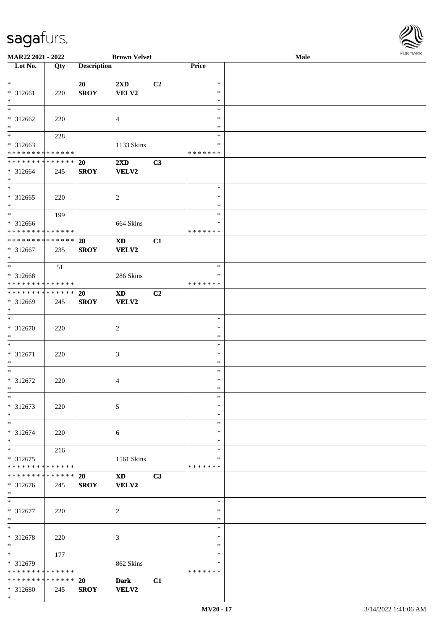

| MAR22 2021 - 2022             |     |                    | <b>Brown Velvet</b>    |                |               | <b>Male</b> |
|-------------------------------|-----|--------------------|------------------------|----------------|---------------|-------------|
| Lot No.                       | Qty | <b>Description</b> |                        |                | Price         |             |
|                               |     |                    |                        |                |               |             |
| $\ast$                        |     | 20                 | 2XD                    | C <sub>2</sub> | $\ast$        |             |
| * 312661                      | 220 | <b>SROY</b>        | VELV2                  |                | $\ast$        |             |
| $*$                           |     |                    |                        |                | $\ast$        |             |
|                               |     |                    |                        |                | $\ast$        |             |
|                               |     |                    |                        |                |               |             |
| * 312662                      | 220 |                    | 4                      |                | $\ast$        |             |
| $*$                           |     |                    |                        |                | $\ast$        |             |
|                               | 228 |                    |                        |                | $\ast$        |             |
| * 312663                      |     |                    | 1133 Skins             |                | $\ast$        |             |
| * * * * * * * * * * * * * *   |     |                    |                        |                | * * * * * * * |             |
| ******** <mark>******</mark>  |     | 20                 | 2XD                    | C3             |               |             |
| * 312664                      | 245 | <b>SROY</b>        | VELV2                  |                |               |             |
| $*$                           |     |                    |                        |                |               |             |
| $*$                           |     |                    |                        |                | $\ast$        |             |
| $* 312665$                    |     |                    |                        |                | $\ast$        |             |
| $*$                           | 220 |                    | $\sqrt{2}$             |                | $\ast$        |             |
| $*$                           |     |                    |                        |                |               |             |
|                               | 199 |                    |                        |                | $\ast$        |             |
| $* 312666$                    |     |                    | 664 Skins              |                | $\ast$        |             |
| * * * * * * * * * * * * * *   |     |                    |                        |                | * * * * * * * |             |
| ******** <mark>******</mark>  |     | 20                 | <b>XD</b>              | C1             |               |             |
| * 312667                      | 235 | <b>SROY</b>        | VELV2                  |                |               |             |
| $*$                           |     |                    |                        |                |               |             |
| $*$                           | 51  |                    |                        |                | $\ast$        |             |
| * 312668                      |     |                    | 286 Skins              |                | ∗             |             |
| * * * * * * * * * * * * * *   |     |                    |                        |                | *******       |             |
| * * * * * * * * * * * * * * * |     |                    |                        |                |               |             |
|                               |     | <b>20</b>          | <b>XD</b>              | C2             |               |             |
| * 312669                      | 245 | <b>SROY</b>        | VELV2                  |                |               |             |
| $*$                           |     |                    |                        |                |               |             |
| $*$                           |     |                    |                        |                | $\ast$        |             |
| $* 312670$                    | 220 |                    | $\overline{2}$         |                | $\ast$        |             |
| $*$                           |     |                    |                        |                | $\ast$        |             |
| $*$                           |     |                    |                        |                | $\ast$        |             |
| $* 312671$                    | 220 |                    | 3                      |                | $\ast$        |             |
| $*$                           |     |                    |                        |                | $\ast$        |             |
| $*$                           |     |                    |                        |                | $\ast$        |             |
|                               |     |                    |                        |                | $\ast$        |             |
| $* 312672$                    | 220 |                    | 4                      |                |               |             |
| $*$                           |     |                    |                        |                | $\ast$        |             |
| $*$                           |     |                    |                        |                | $\ast$        |             |
| $* 312673$                    | 220 |                    | 5                      |                | $\ast$        |             |
| $*$                           |     |                    |                        |                | $\ast$        |             |
| $*$                           |     |                    |                        |                | $\ast$        |             |
| * 312674                      | 220 |                    | 6                      |                | ∗             |             |
| $*$                           |     |                    |                        |                | $\ast$        |             |
| $*$                           | 216 |                    |                        |                | $\ast$        |             |
| $* 312675$                    |     |                    | 1561 Skins             |                | $\ast$        |             |
| * * * * * * * * * * * * * *   |     |                    |                        |                | *******       |             |
| * * * * * * * * * * * * * * * |     | <b>20</b>          | $\mathbf{X}\mathbf{D}$ | C3             |               |             |
|                               |     |                    |                        |                |               |             |
| * 312676                      | 245 | <b>SROY</b>        | VELV2                  |                |               |             |
| $*$                           |     |                    |                        |                |               |             |
| $*$                           |     |                    |                        |                | $\ast$        |             |
| * 312677                      | 220 |                    | $\sqrt{2}$             |                | $\ast$        |             |
| $*$                           |     |                    |                        |                | $\ast$        |             |
| $*$                           |     |                    |                        |                | $\ast$        |             |
| * 312678                      | 220 |                    | 3                      |                | $\ast$        |             |
| $*$                           |     |                    |                        |                | $\ast$        |             |
| $*$                           | 177 |                    |                        |                | $\ast$        |             |
| * 312679                      |     |                    | 862 Skins              |                | ∗             |             |
| * * * * * * * * * * * * * *   |     |                    |                        |                | *******       |             |
|                               |     |                    |                        |                |               |             |
| * * * * * * * * * * * * * * * |     | 20                 | <b>Dark</b>            | C1             |               |             |
| * 312680                      | 245 | <b>SROY</b>        | VELV2                  |                |               |             |
| $*$                           |     |                    |                        |                |               |             |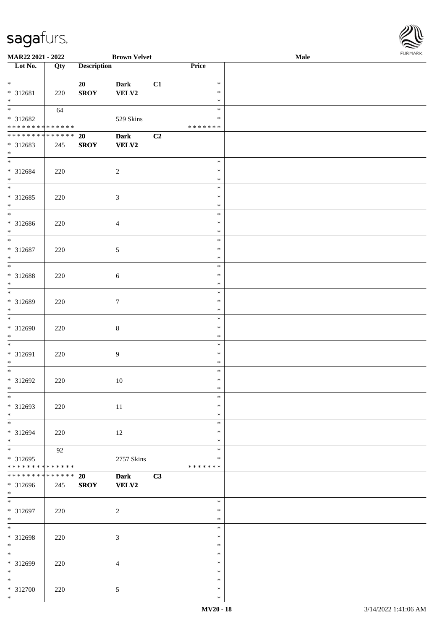| ۱           |
|-------------|
| URMARK<br>F |

| MAR22 2021 - 2022                          | <b>Brown Velvet</b> |                    |                |    |                  | Male | <b>FURMARK</b> |
|--------------------------------------------|---------------------|--------------------|----------------|----|------------------|------|----------------|
| Lot No.                                    | Qty                 | <b>Description</b> |                |    | Price            |      |                |
|                                            |                     |                    |                |    |                  |      |                |
| $*$                                        |                     | 20                 | Dark           | C1 | $\ast$           |      |                |
| * 312681                                   | 220                 | <b>SROY</b>        | VELV2          |    | $\ast$           |      |                |
| $*$                                        |                     |                    |                |    | $\ast$<br>$\ast$ |      |                |
| * 312682                                   | 64                  |                    |                |    | $\ast$           |      |                |
| * * * * * * * * * * * * * * *              |                     |                    | 529 Skins      |    | *******          |      |                |
| * * * * * * * * <mark>* * * * * * *</mark> |                     | 20                 | <b>Dark</b>    | C2 |                  |      |                |
| * 312683                                   | 245                 | <b>SROY</b>        | VELV2          |    |                  |      |                |
| $*$                                        |                     |                    |                |    |                  |      |                |
|                                            |                     |                    |                |    | $\ast$           |      |                |
| * 312684                                   | 220                 |                    | $\overline{c}$ |    | $\ast$           |      |                |
| $*$                                        |                     |                    |                |    | $\ast$           |      |                |
|                                            |                     |                    |                |    | $\ast$           |      |                |
| * 312685                                   | 220                 |                    | $\mathfrak{Z}$ |    | $\ast$           |      |                |
| $*$                                        |                     |                    |                |    | $\ast$           |      |                |
| $\overline{\phantom{0}}$                   |                     |                    |                |    | $\ast$           |      |                |
| * 312686                                   | 220                 |                    | $\overline{4}$ |    | $\ast$           |      |                |
| $*$                                        |                     |                    |                |    | $\ast$           |      |                |
|                                            |                     |                    |                |    | $\ast$           |      |                |
| * 312687                                   | 220                 |                    | $\sqrt{5}$     |    | $\ast$           |      |                |
| $*$                                        |                     |                    |                |    | $\ast$           |      |                |
|                                            |                     |                    |                |    | $\ast$           |      |                |
| * 312688                                   | 220                 |                    | $\sqrt{6}$     |    | $\ast$           |      |                |
| $*$                                        |                     |                    |                |    | $\ast$           |      |                |
|                                            |                     |                    |                |    | $\ast$           |      |                |
| * 312689                                   | 220                 |                    | $\tau$         |    | $\ast$           |      |                |
| $*$                                        |                     |                    |                |    | $\ast$           |      |                |
|                                            |                     |                    |                |    | $\ast$           |      |                |
| * 312690                                   | 220                 |                    | $\,8\,$        |    | $\ast$           |      |                |
| $*$                                        |                     |                    |                |    | $\ast$           |      |                |
|                                            |                     |                    |                |    | $\ast$           |      |                |
| * 312691                                   | 220                 |                    | $\overline{9}$ |    | $\ast$           |      |                |
| $*$<br>$\overline{\ast}$                   |                     |                    |                |    | $\ast$           |      |                |
|                                            |                     |                    |                |    | $\ast$           |      |                |
| * 312692<br>$*$                            | 220                 |                    | 10             |    | $\ast$<br>∗      |      |                |
|                                            |                     |                    |                |    | $\ast$           |      |                |
| * 312693                                   | 220                 |                    |                |    | $\ast$           |      |                |
| $*$                                        |                     |                    | 11             |    | $\ast$           |      |                |
| $\overline{\ast}$                          |                     |                    |                |    | $\ast$           |      |                |
| * 312694                                   | 220                 |                    | 12             |    | $\ast$           |      |                |
| $*$                                        |                     |                    |                |    | $\ast$           |      |                |
| $\overline{\ast}$                          | 92                  |                    |                |    | $\ast$           |      |                |
| * 312695                                   |                     |                    | 2757 Skins     |    | ∗                |      |                |
| * * * * * * * * <mark>* * * * * * *</mark> |                     |                    |                |    | * * * * * * *    |      |                |
| * * * * * * * * <mark>*</mark>             | * * * * * *         | 20                 | <b>Dark</b>    | C3 |                  |      |                |
| * 312696                                   | 245                 | <b>SROY</b>        | <b>VELV2</b>   |    |                  |      |                |
| $*$                                        |                     |                    |                |    |                  |      |                |
|                                            |                     |                    |                |    | $\ast$           |      |                |
| * 312697                                   | 220                 |                    | $\overline{c}$ |    | ∗                |      |                |
| $*$                                        |                     |                    |                |    | $\ast$           |      |                |
| $*$                                        |                     |                    |                |    | $\ast$           |      |                |
| * 312698                                   | 220                 |                    | $\mathfrak{Z}$ |    | $\ast$           |      |                |
| $*$                                        |                     |                    |                |    | $\ast$           |      |                |
| $*$                                        |                     |                    |                |    | $\ast$           |      |                |
| * 312699                                   | 220                 |                    | $\overline{4}$ |    | $\ast$           |      |                |
| $*$                                        |                     |                    |                |    | $\ast$           |      |                |
| $*$                                        |                     |                    |                |    | $\ast$           |      |                |
| * 312700                                   | 220                 |                    | $\mathfrak{S}$ |    | $\ast$           |      |                |
| $*$                                        |                     |                    |                |    | $\ast$           |      |                |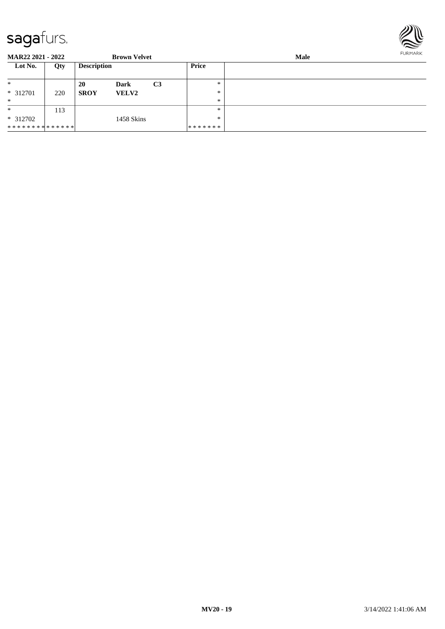\* \* \* \* \* \* \* \* \* \* \* \* \* \*

113

\*

\* 312702



**MAR22 2021 - 2022 Brown Velvet Male Lot No. Qty Description Price** \* \* 312701 220 \* **20 Dark C3 SROY VELV2** \* \* \*

> \* \*

\* \* \* \* \* \* \*

1458 Skins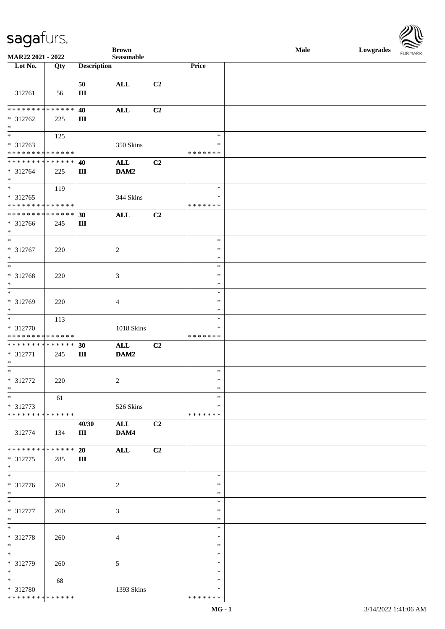

|                                                |     |                    | <b>Brown</b>       |    |                         | Male | Lowgrades FURMARK |
|------------------------------------------------|-----|--------------------|--------------------|----|-------------------------|------|-------------------|
| MAR22 2021 - 2022<br>Lot No.                   | Qty | <b>Description</b> | $\bf Seasonable$   |    | Price                   |      |                   |
|                                                |     |                    |                    |    |                         |      |                   |
|                                                |     | 50                 | $\mathbf{ALL}$     | C2 |                         |      |                   |
| 312761                                         | 56  | $\rm III$          |                    |    |                         |      |                   |
|                                                |     |                    |                    |    |                         |      |                   |
| **************                                 |     | 40                 | $\mathbf{ALL}$     | C2 |                         |      |                   |
| $* 312762$                                     | 225 | $\rm III$          |                    |    |                         |      |                   |
| $\ast$                                         |     |                    |                    |    |                         |      |                   |
| $\overline{\phantom{a}}$                       | 125 |                    |                    |    | $\ast$                  |      |                   |
| * 312763                                       |     |                    | 350 Skins          |    | $\ast$                  |      |                   |
| **************                                 |     |                    |                    |    | * * * * * * *           |      |                   |
| **************                                 |     | 40                 | ALL                | C2 |                         |      |                   |
| $* 312764$                                     | 225 | $\rm III$          | DAM2               |    |                         |      |                   |
| $*$<br>$\ast$                                  |     |                    |                    |    |                         |      |                   |
|                                                | 119 |                    |                    |    | $\ast$                  |      |                   |
| * 312765<br>**************                     |     |                    | 344 Skins          |    | $\ast$<br>* * * * * * * |      |                   |
| **************                                 |     | 30                 | <b>ALL</b>         | C2 |                         |      |                   |
| $* 312766$                                     | 245 | $\rm III$          |                    |    |                         |      |                   |
| $\ast$                                         |     |                    |                    |    |                         |      |                   |
| $\ast$                                         |     |                    |                    |    | $\ast$                  |      |                   |
| * 312767                                       | 220 |                    | $\overline{c}$     |    | $\ast$                  |      |                   |
| $\ast$                                         |     |                    |                    |    | $\ast$                  |      |                   |
| $\overline{\phantom{a}}$                       |     |                    |                    |    | $\ast$                  |      |                   |
| * 312768                                       | 220 |                    | 3                  |    | $\ast$                  |      |                   |
| $\ast$                                         |     |                    |                    |    | $\ast$                  |      |                   |
| $\overline{\phantom{1}}$                       |     |                    |                    |    | $\ast$                  |      |                   |
| * 312769                                       | 220 |                    | 4                  |    | $\ast$                  |      |                   |
| $\ast$                                         |     |                    |                    |    | $\ast$                  |      |                   |
| $\ast$                                         | 113 |                    |                    |    | $\ast$                  |      |                   |
| * 312770                                       |     |                    | 1018 Skins         |    | $\ast$                  |      |                   |
| ******** <mark>******</mark><br>************** |     |                    |                    |    | * * * * * * *           |      |                   |
| * 312771                                       | 245 | 30<br>$\rm III$    | <b>ALL</b><br>DAM2 | C2 |                         |      |                   |
| $\ast$                                         |     |                    |                    |    |                         |      |                   |
| $\ast$                                         |     |                    |                    |    | $\ast$                  |      |                   |
| * 312772                                       | 220 |                    | $\overline{2}$     |    | $\ast$                  |      |                   |
| $\ast$                                         |     |                    |                    |    | $\ast$                  |      |                   |
| $\ast$                                         | 61  |                    |                    |    | *                       |      |                   |
| $* 312773$                                     |     |                    | 526 Skins          |    | $\ast$                  |      |                   |
| * * * * * * * * * * * * * *                    |     |                    |                    |    | * * * * * * *           |      |                   |
|                                                |     | 40/30              | <b>ALL</b>         | C2 |                         |      |                   |
| 312774                                         | 134 | Ш                  | DAM4               |    |                         |      |                   |
| * * * * * * * * * * * * * *                    |     |                    |                    |    |                         |      |                   |
| $* 312775$                                     | 285 | 20<br>$\rm III$    | $\mathbf{ALL}$     | C2 |                         |      |                   |
| $\ast$                                         |     |                    |                    |    |                         |      |                   |
| $\ast$                                         |     |                    |                    |    | $\ast$                  |      |                   |
| * 312776                                       | 260 |                    | $\overline{c}$     |    | $\ast$                  |      |                   |
| $\ast$                                         |     |                    |                    |    | $\ast$                  |      |                   |
| $\ast$                                         |     |                    |                    |    | $\ast$                  |      |                   |
| * 312777                                       | 260 |                    | 3                  |    | $\ast$                  |      |                   |
| $\ast$                                         |     |                    |                    |    | $\ast$                  |      |                   |
| $\ast$                                         |     |                    |                    |    | $\ast$                  |      |                   |
| * 312778                                       | 260 |                    | 4                  |    | $\ast$                  |      |                   |
| $\ast$                                         |     |                    |                    |    | $\ast$                  |      |                   |
| $\ast$                                         |     |                    |                    |    | $\ast$                  |      |                   |
| * 312779                                       | 260 |                    | 5                  |    | $\ast$                  |      |                   |
| $\ast$<br>$\overline{\phantom{a}^*}$           |     |                    |                    |    | $\ast$<br>*             |      |                   |
| * 312780                                       | 68  |                    |                    |    | ∗                       |      |                   |
| * * * * * * * * * * * * * *                    |     |                    | 1393 Skins         |    | * * * * * * *           |      |                   |
|                                                |     |                    |                    |    |                         |      |                   |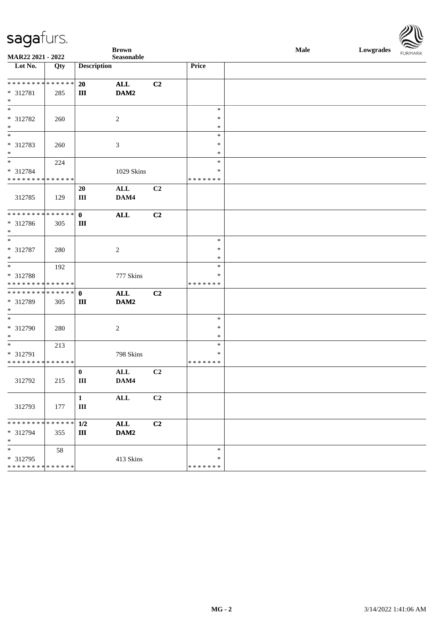

|                                         |             |                    | <b>Brown</b>   |                |                    | <b>Male</b> | Lowgrades FURMARK |  |
|-----------------------------------------|-------------|--------------------|----------------|----------------|--------------------|-------------|-------------------|--|
| MAR22 2021 - 2022<br>Lot No.            | Qty         | <b>Description</b> | Seasonable     |                | Price              |             |                   |  |
|                                         |             |                    |                |                |                    |             |                   |  |
| **************                          |             | 20                 | <b>ALL</b>     | C2             |                    |             |                   |  |
| * 312781                                | 285         | $\rm III$          | DAM2           |                |                    |             |                   |  |
| $\ast$<br>$\overline{\phantom{0}}$      |             |                    |                |                |                    |             |                   |  |
|                                         |             |                    |                |                | $\ast$<br>$\ast$   |             |                   |  |
| * 312782<br>$\ast$                      | 260         |                    | $\overline{c}$ |                | $\ast$             |             |                   |  |
| $*$                                     |             |                    |                |                | $\ast$             |             |                   |  |
| * 312783                                | 260         |                    | $\mathfrak{Z}$ |                | $\ast$             |             |                   |  |
| $\ast$                                  |             |                    |                |                | $\ast$             |             |                   |  |
| $\overline{\phantom{a}^*}$              | 224         |                    |                |                | $\ast$             |             |                   |  |
| * 312784                                |             |                    | 1029 Skins     |                | $\ast$             |             |                   |  |
| * * * * * * * * * * * * * *             |             | 20                 | $\mathbf{ALL}$ | C2             | * * * * * * *      |             |                   |  |
| 312785                                  | 129         | $\rm III$          | DAM4           |                |                    |             |                   |  |
|                                         |             |                    |                |                |                    |             |                   |  |
| **************                          |             | $\mathbf{0}$       | $\mathbf{ALL}$ | C2             |                    |             |                   |  |
| * 312786                                | 305         | $\rm III$          |                |                |                    |             |                   |  |
| $\ast$<br>$\overline{\phantom{a}^*}$    |             |                    |                |                |                    |             |                   |  |
| $* 312787$                              |             |                    | $\overline{2}$ |                | $\ast$<br>$\ast$   |             |                   |  |
| $\ast$                                  | 280         |                    |                |                | $\ast$             |             |                   |  |
| $\overline{\phantom{0}}$                | 192         |                    |                |                | $\ast$             |             |                   |  |
| * 312788                                |             |                    | 777 Skins      |                | ∗                  |             |                   |  |
| * * * * * * * * * * * * * *             |             |                    |                |                | * * * * * * *      |             |                   |  |
| ******** <mark>******</mark>            |             | $\mathbf{0}$       | $\mathbf{ALL}$ | C <sub>2</sub> |                    |             |                   |  |
| * 312789<br>$*$                         | 305         | $\rm III$          | DAM2           |                |                    |             |                   |  |
| $*$                                     |             |                    |                |                | $\ast$             |             |                   |  |
| $* 312790$                              | 280         |                    | $\overline{2}$ |                | $\ast$             |             |                   |  |
| $\ast$<br>$\frac{1}{1}$                 |             |                    |                |                | $\ast$             |             |                   |  |
|                                         | 213         |                    |                |                | $\ast$             |             |                   |  |
| * 312791<br>* * * * * * * * * * * * * * |             |                    | 798 Skins      |                | ∗<br>* * * * * * * |             |                   |  |
|                                         |             | $\bf{0}$           | $\mathbf{ALL}$ | C2             |                    |             |                   |  |
| 312792                                  | 215         | Ш                  | DAM4           |                |                    |             |                   |  |
|                                         |             |                    |                |                |                    |             |                   |  |
|                                         |             | $\mathbf{1}$       | $\mathbf{ALL}$ | C <sub>2</sub> |                    |             |                   |  |
| 312793                                  | 177         | $\rm III$          |                |                |                    |             |                   |  |
| * * * * * * * *                         | * * * * * * | 1/2                | $\mathbf{ALL}$ | C2             |                    |             |                   |  |
| * 312794                                | 355         | Ш                  | DAM2           |                |                    |             |                   |  |
| $\ast$                                  |             |                    |                |                |                    |             |                   |  |
| $\ast$                                  | 58          |                    |                |                | $\ast$             |             |                   |  |
| * 312795                                |             |                    | 413 Skins      |                | $\ast$             |             |                   |  |
| * * * * * * * * * * * * * *             |             |                    |                |                | * * * * * * *      |             |                   |  |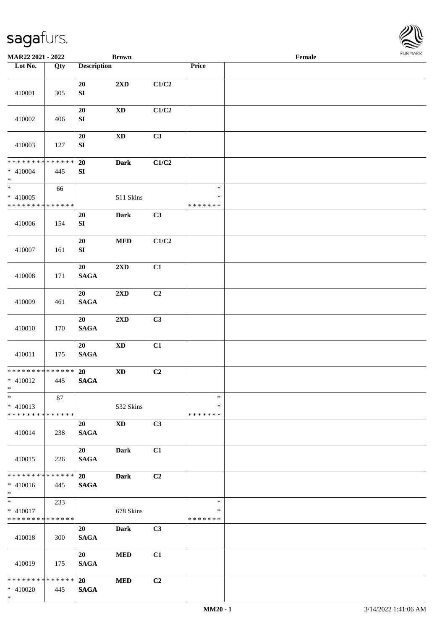

| MAR22 2021 - 2022                                              |     |                       | <b>Brown</b>            |                |                                   | Female |  |
|----------------------------------------------------------------|-----|-----------------------|-------------------------|----------------|-----------------------------------|--------|--|
| Lot No.                                                        | Qty | <b>Description</b>    |                         |                | Price                             |        |  |
| 410001                                                         | 305 | 20<br>${\bf SI}$      | $2{\bf X}{\bf D}$       | C1/C2          |                                   |        |  |
| 410002                                                         | 406 | $20\,$<br>${\bf SI}$  | $\mathbf{X}\mathbf{D}$  | C1/C2          |                                   |        |  |
| 410003                                                         | 127 | 20<br>${\bf SI}$      | $\mathbf{X}\mathbf{D}$  | C3             |                                   |        |  |
| ******** <mark>******</mark><br>$* 410004$<br>$\ast$           | 445 | 20<br>${\bf SI}$      | <b>Dark</b>             | C1/C2          |                                   |        |  |
| $\ast$<br>$* 410005$<br>* * * * * * * * * * * * * *            | 66  |                       | 511 Skins               |                | $\ast$<br>$\ast$<br>* * * * * * * |        |  |
| 410006                                                         | 154 | 20<br>${\bf SI}$      | <b>Dark</b>             | C3             |                                   |        |  |
| 410007                                                         | 161 | 20<br>${\bf SI}$      | $\bf MED$               | C1/C2          |                                   |        |  |
| 410008                                                         | 171 | 20<br><b>SAGA</b>     | $2\mathbf{X}\mathbf{D}$ | C1             |                                   |        |  |
| 410009                                                         | 461 | 20<br>$\mathbf{SAGA}$ | $2\mathbf{X}\mathbf{D}$ | C <sub>2</sub> |                                   |        |  |
| 410010                                                         | 170 | 20<br>$\mathbf{SAGA}$ | $2{\bf X}{\bf D}$       | C3             |                                   |        |  |
| 410011                                                         | 175 | 20<br>$\mathbf{SAGA}$ | $\mathbf{X}\mathbf{D}$  | C1             |                                   |        |  |
| ******** <mark>******</mark><br>* 410012<br>$*$                | 445 | 20<br><b>SAGA</b>     | $\mathbf{X}\mathbf{D}$  | C <sub>2</sub> |                                   |        |  |
| $\ast$<br>$* 410013$<br>* * * * * * * * * * * * * *            | 87  |                       | 532 Skins               |                | $\ast$<br>∗<br>* * * * * * *      |        |  |
| 410014                                                         | 238 | 20<br><b>SAGA</b>     | <b>XD</b>               | C3             |                                   |        |  |
| 410015                                                         | 226 | 20<br><b>SAGA</b>     | Dark                    | C1             |                                   |        |  |
| * * * * * * * * * * * * * *<br>$* 410016$<br>$*$               | 445 | 20<br><b>SAGA</b>     | <b>Dark</b>             | C <sub>2</sub> |                                   |        |  |
| $\overline{\ast}$<br>$* 410017$<br>* * * * * * * * * * * * * * | 233 |                       | 678 Skins               |                | $\ast$<br>$\ast$<br>* * * * * * * |        |  |
| 410018                                                         | 300 | 20<br><b>SAGA</b>     | Dark                    | C <sub>3</sub> |                                   |        |  |
| 410019                                                         | 175 | 20<br><b>SAGA</b>     | $\bf MED$               | C1             |                                   |        |  |
| * * * * * * * * * * * * * * *<br>$* 410020$<br>$*$             | 445 | 20<br><b>SAGA</b>     | <b>MED</b>              | C2             |                                   |        |  |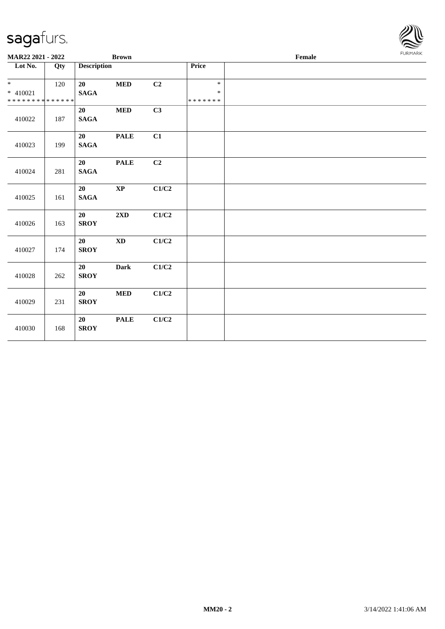

| MAR22 2021 - 2022                                |     |                       | <b>Brown</b>           |                |                                   | Female | FURMARK |
|--------------------------------------------------|-----|-----------------------|------------------------|----------------|-----------------------------------|--------|---------|
| Lot No.                                          | Qty | <b>Description</b>    |                        |                | Price                             |        |         |
| $*$<br>$* 410021$<br>* * * * * * * * * * * * * * | 120 | 20<br><b>SAGA</b>     | $\bf MED$              | C2             | $\ast$<br>$\ast$<br>* * * * * * * |        |         |
| 410022                                           | 187 | 20<br><b>SAGA</b>     | $\bf MED$              | C3             |                                   |        |         |
| 410023                                           | 199 | 20<br><b>SAGA</b>     | <b>PALE</b>            | C1             |                                   |        |         |
| 410024                                           | 281 | 20<br>$\mathbf{SAGA}$ | <b>PALE</b>            | C <sub>2</sub> |                                   |        |         |
| 410025                                           | 161 | 20<br><b>SAGA</b>     | $\bold{XP}$            | C1/C2          |                                   |        |         |
| 410026                                           | 163 | 20<br><b>SROY</b>     | $2{\bf X}{\bf D}$      | C1/C2          |                                   |        |         |
| 410027                                           | 174 | 20<br><b>SROY</b>     | $\mathbf{X}\mathbf{D}$ | C1/C2          |                                   |        |         |
| 410028                                           | 262 | 20<br><b>SROY</b>     | Dark                   | C1/C2          |                                   |        |         |
| 410029                                           | 231 | 20<br><b>SROY</b>     | $\bf MED$              | C1/C2          |                                   |        |         |
| 410030                                           | 168 | 20<br><b>SROY</b>     | <b>PALE</b>            | C1/C2          |                                   |        |         |
|                                                  |     |                       |                        |                |                                   |        |         |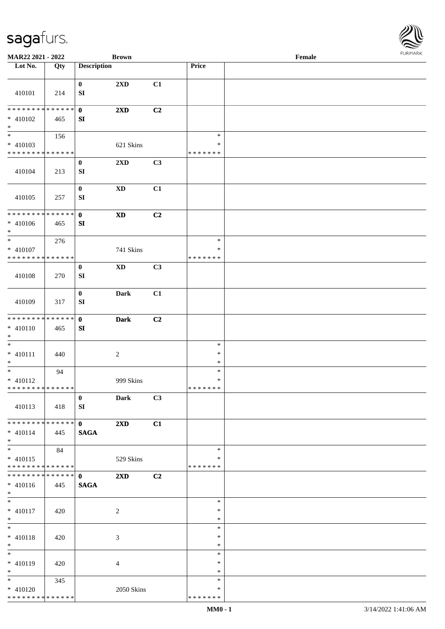

| MAR22 2021 - 2022            |     |                        | <b>Brown</b>               |    |                         | Female |  |
|------------------------------|-----|------------------------|----------------------------|----|-------------------------|--------|--|
| Lot No.                      | Qty | <b>Description</b>     |                            |    | <b>Price</b>            |        |  |
|                              |     |                        |                            |    |                         |        |  |
| 410101                       | 214 | $\bf{0}$<br>${\bf SI}$ | 2XD                        | C1 |                         |        |  |
| * * * * * * * * * * * * * *  |     |                        |                            |    |                         |        |  |
| $* 410102$<br>$\ast$         | 465 | $\mathbf 0$<br>SI      | 2XD                        | C2 |                         |        |  |
| $\overline{\phantom{a}^*}$   | 156 |                        |                            |    | $\ast$                  |        |  |
| $* 410103$                   |     |                        | 621 Skins                  |    | $\ast$                  |        |  |
| * * * * * * * * * * * * * *  |     |                        |                            |    | * * * * * * *           |        |  |
|                              |     | $\bf{0}$               | $2{\bf X}{\bf D}$          | C3 |                         |        |  |
| 410104                       | 213 | ${\bf SI}$             |                            |    |                         |        |  |
|                              |     | $\boldsymbol{0}$       | $\mathbf{X}\mathbf{D}$     | C1 |                         |        |  |
| 410105                       | 257 | SI                     |                            |    |                         |        |  |
| **************               |     | $\mathbf 0$            | $\mathbf{X}\mathbf{D}$     | C2 |                         |        |  |
| $* 410106$<br>$\ast$         | 465 | SI                     |                            |    |                         |        |  |
| $\frac{1}{1}$                | 276 |                        |                            |    | $\ast$                  |        |  |
| $* 410107$                   |     |                        | 741 Skins                  |    | ∗                       |        |  |
| * * * * * * * * * * * * * *  |     |                        |                            |    | * * * * * * *           |        |  |
| 410108                       | 270 | $\boldsymbol{0}$<br>SI | $\boldsymbol{\mathrm{XD}}$ | C3 |                         |        |  |
| 410109                       | 317 | $\pmb{0}$<br>SI        | <b>Dark</b>                | C1 |                         |        |  |
| * * * * * * * * * * * * * *  |     | $\mathbf{0}$           | <b>Dark</b>                | C2 |                         |        |  |
| $* 410110$<br>$\ast$         | 465 | SI                     |                            |    |                         |        |  |
| $\ast$                       |     |                        |                            |    | $\ast$                  |        |  |
| $* 410111$                   | 440 |                        | $\sqrt{2}$                 |    | $\ast$                  |        |  |
| $\ast$                       |     |                        |                            |    | $\ast$                  |        |  |
| $\ast$                       | 94  |                        |                            |    | $\ast$                  |        |  |
| $* 410112$                   |     |                        | 999 Skins                  |    | $\ast$                  |        |  |
| **************               |     |                        |                            |    | *******                 |        |  |
| 410113                       | 418 | $\mathbf{0}$<br>SI     | <b>Dark</b>                | C3 |                         |        |  |
| ******** <mark>******</mark> |     | $\mathbf{0}$           | $2\mathbf{X}\mathbf{D}$    | C1 |                         |        |  |
| $* 410114$<br>$*$            | 445 | <b>SAGA</b>            |                            |    |                         |        |  |
| $_{*}^{-}$                   | 84  |                        |                            |    | $\ast$                  |        |  |
| $* 410115$<br>************** |     |                        | 529 Skins                  |    | $\ast$<br>* * * * * * * |        |  |
| **************               |     | $\mathbf{0}$           | $2\mathbf{X}\mathbf{D}$    | C2 |                         |        |  |
| $* 410116$<br>$*$            | 445 | <b>SAGA</b>            |                            |    |                         |        |  |
| $\ast$                       |     |                        |                            |    | $\ast$                  |        |  |
| $* 410117$                   | 420 |                        | $\overline{c}$             |    | $\ast$                  |        |  |
| $*$                          |     |                        |                            |    | $\ast$                  |        |  |
| $\ast$                       |     |                        |                            |    | $\ast$                  |        |  |
| $* 410118$                   | 420 |                        | $\mathfrak{Z}$             |    | $\ast$                  |        |  |
| $*$                          |     |                        |                            |    | $\ast$                  |        |  |
| $_{\ast}^{-}$                |     |                        |                            |    | $\ast$                  |        |  |
| $* 410119$                   | 420 |                        | $\overline{4}$             |    | *                       |        |  |
| $*$                          |     |                        |                            |    | $\ast$                  |        |  |
| $*$                          | 345 |                        |                            |    | $\ast$                  |        |  |
| $* 410120$                   |     |                        | 2050 Skins                 |    | $\ast$                  |        |  |
| * * * * * * * * * * * * * *  |     |                        |                            |    | * * * * * * *           |        |  |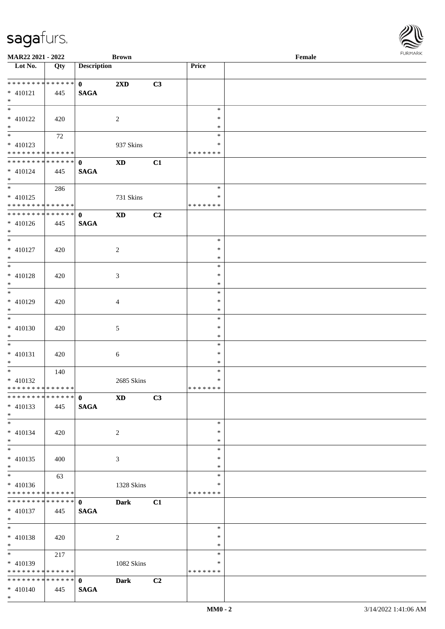| MAR22 2021 - 2022                          |     |                    | <b>Brown</b>            |                |               | Female |  |
|--------------------------------------------|-----|--------------------|-------------------------|----------------|---------------|--------|--|
| Lot No.                                    | Qty | <b>Description</b> |                         |                | Price         |        |  |
|                                            |     |                    |                         |                |               |        |  |
|                                            |     | $\mathbf{0}$       | $2\mathbf{X}\mathbf{D}$ | C3             |               |        |  |
| $* 410121$                                 | 445 | <b>SAGA</b>        |                         |                |               |        |  |
| $*$                                        |     |                    |                         |                |               |        |  |
|                                            |     |                    |                         |                | $\ast$        |        |  |
| * 410122                                   | 420 |                    | $\overline{2}$          |                | $\ast$        |        |  |
| $*$                                        |     |                    |                         |                | $\ast$        |        |  |
|                                            |     |                    |                         |                | $\ast$        |        |  |
|                                            | 72  |                    |                         |                |               |        |  |
| $* 410123$                                 |     |                    | 937 Skins               |                | *             |        |  |
| * * * * * * * * <mark>* * * * * * *</mark> |     |                    |                         |                | * * * * * * * |        |  |
| **************                             |     | $\mathbf{0}$       | $\mathbf{X}\mathbf{D}$  | C1             |               |        |  |
| * 410124                                   | 445 | <b>SAGA</b>        |                         |                |               |        |  |
| $*$                                        |     |                    |                         |                |               |        |  |
|                                            | 286 |                    |                         |                | $\ast$        |        |  |
| * 410125                                   |     |                    | 731 Skins               |                | $\ast$        |        |  |
| * * * * * * * * * * * * * * *              |     |                    |                         |                | * * * * * * * |        |  |
| ******** <mark>******</mark>               |     | $\mathbf{0}$       | $\mathbf{X}\mathbf{D}$  | C2             |               |        |  |
| $* 410126$                                 | 445 | <b>SAGA</b>        |                         |                |               |        |  |
| $*$                                        |     |                    |                         |                |               |        |  |
| $*$                                        |     |                    |                         |                | $\ast$        |        |  |
|                                            |     |                    |                         |                |               |        |  |
| * 410127                                   | 420 |                    | $\overline{2}$          |                | $\ast$        |        |  |
| $*$                                        |     |                    |                         |                | $\ast$        |        |  |
|                                            |     |                    |                         |                | $\ast$        |        |  |
| * 410128                                   | 420 |                    | 3                       |                | $\ast$        |        |  |
| $*$                                        |     |                    |                         |                | $\ast$        |        |  |
| $\overline{\phantom{0}}$                   |     |                    |                         |                | $\ast$        |        |  |
| * 410129                                   | 420 |                    | 4                       |                | $\ast$        |        |  |
| $*$                                        |     |                    |                         |                | $\ast$        |        |  |
| $\overline{\ast}$                          |     |                    |                         |                | $\ast$        |        |  |
| * 410130                                   |     |                    |                         |                | $\ast$        |        |  |
|                                            | 420 |                    | 5                       |                |               |        |  |
| $*$                                        |     |                    |                         |                | $\ast$        |        |  |
| $*$                                        |     |                    |                         |                | $\ast$        |        |  |
| $* 410131$                                 | 420 |                    | 6                       |                | $\ast$        |        |  |
| $*$                                        |     |                    |                         |                | $\ast$        |        |  |
| $*$                                        | 140 |                    |                         |                | $\ast$        |        |  |
| $* 410132$                                 |     |                    | 2685 Skins              |                | $\ast$        |        |  |
| * * * * * * * * * * * * * * *              |     |                    |                         |                | *******       |        |  |
| ******** <mark>******</mark>               |     | $\mathbf{0}$       | <b>XD</b>               | C3             |               |        |  |
| $* 410133$                                 | 445 | <b>SAGA</b>        |                         |                |               |        |  |
| $*$                                        |     |                    |                         |                |               |        |  |
| $*$                                        |     |                    |                         |                | $\ast$        |        |  |
| $* 410134$                                 | 420 |                    | $\overline{2}$          |                | $\ast$        |        |  |
| $*$                                        |     |                    |                         |                | $\ast$        |        |  |
| $*$                                        |     |                    |                         |                | $\ast$        |        |  |
|                                            |     |                    |                         |                | $\ast$        |        |  |
| $* 410135$                                 | 400 |                    | 3                       |                |               |        |  |
| $*$                                        |     |                    |                         |                | $\ast$        |        |  |
|                                            | 63  |                    |                         |                | $\ast$        |        |  |
| $* 410136$                                 |     |                    | 1328 Skins              |                | *             |        |  |
| * * * * * * * * <mark>* * * * * * *</mark> |     |                    |                         |                | * * * * * * * |        |  |
| * * * * * * * * <mark>* * * * * * *</mark> |     | $\mathbf{0}$       | <b>Dark</b>             | C1             |               |        |  |
| * 410137                                   | 445 | <b>SAGA</b>        |                         |                |               |        |  |
| $*$                                        |     |                    |                         |                |               |        |  |
| $*$                                        |     |                    |                         |                | $\ast$        |        |  |
| * 410138                                   | 420 |                    | 2                       |                | $\ast$        |        |  |
| $*$                                        |     |                    |                         |                | $\ast$        |        |  |
|                                            |     |                    |                         |                | $\ast$        |        |  |
|                                            | 217 |                    |                         |                |               |        |  |
| $* 410139$                                 |     |                    | 1082 Skins              |                | $\ast$        |        |  |
| * * * * * * * * * * * * * *                |     |                    |                         |                | * * * * * * * |        |  |
| * * * * * * * * * * * * * * <mark>*</mark> |     | $\mathbf{0}$       | <b>Dark</b>             | C <sub>2</sub> |               |        |  |
| $* 410140$                                 | 445 | <b>SAGA</b>        |                         |                |               |        |  |
| $*$                                        |     |                    |                         |                |               |        |  |

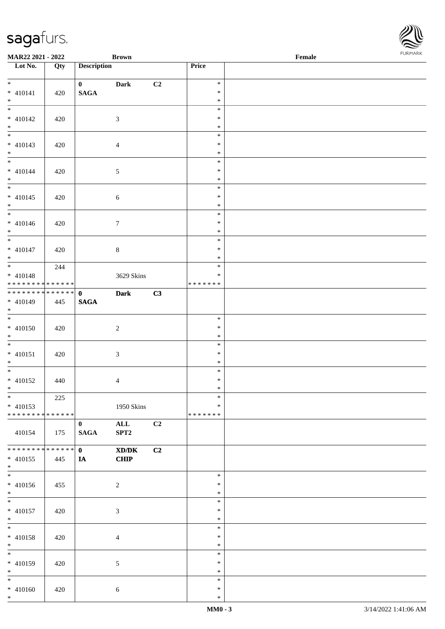\* \* \*

\* \* \*

\* \* \*

\* \* \*

\* \* \*

\* \* \*

\*

\* \*

\* \* \*

\* \* \*

\* \* \*

\*

 $* *$ 

\* \*

\* \* \*

\* \* \*

\* \* \*

| Lot No.                                                  | Qty | <b>Description</b> |                                                                                                      |    | Price                   |  |
|----------------------------------------------------------|-----|--------------------|------------------------------------------------------------------------------------------------------|----|-------------------------|--|
| $*$                                                      |     | $\mathbf{0}$       | <b>Dark</b>                                                                                          | C2 | $\ast$                  |  |
| $* 410141$                                               | 420 | $\mathbf{SAGA}$    |                                                                                                      |    | $\ast$                  |  |
| $*$                                                      |     |                    |                                                                                                      |    | $\ast$                  |  |
|                                                          |     |                    |                                                                                                      |    | $\ast$                  |  |
| $* 410142$                                               | 420 |                    | 3                                                                                                    |    | $\ast$                  |  |
| $*$<br>$\overline{\mathbf{r}}$                           |     |                    |                                                                                                      |    | $\ast$                  |  |
| $* 410143$                                               |     |                    |                                                                                                      |    | $\ast$<br>$\ast$        |  |
| $*$                                                      | 420 |                    | $\overline{4}$                                                                                       |    | $\ast$                  |  |
| $\ddot{*}$                                               |     |                    |                                                                                                      |    | $\ast$                  |  |
| $* 410144$                                               | 420 |                    | $\mathfrak{S}$                                                                                       |    | $\ast$                  |  |
| $*$                                                      |     |                    |                                                                                                      |    | $\ast$                  |  |
|                                                          |     |                    |                                                                                                      |    | $\ast$                  |  |
| $* 410145$                                               | 420 |                    | $6\,$                                                                                                |    | $\ast$                  |  |
| $*$                                                      |     |                    |                                                                                                      |    | $\ast$<br>$\ast$        |  |
| $* 410146$                                               | 420 |                    | $\boldsymbol{7}$                                                                                     |    | $\ast$                  |  |
|                                                          |     |                    |                                                                                                      |    | $\ast$                  |  |
| $*$                                                      |     |                    |                                                                                                      |    | $\ast$                  |  |
| $* 410147$                                               | 420 |                    | $8\,$                                                                                                |    | $\ast$                  |  |
| $*$                                                      |     |                    |                                                                                                      |    | $\ast$                  |  |
|                                                          | 244 |                    |                                                                                                      |    | $\ast$                  |  |
| $* 410148$<br>* * * * * * * * <mark>* * * * * * *</mark> |     |                    | 3629 Skins                                                                                           |    | $\ast$<br>* * * * * * * |  |
| * * * * * * * * <mark>* * * * * * *</mark>               |     | $\mathbf{0}$       | <b>Dark</b>                                                                                          | C3 |                         |  |
| * 410149                                                 | 445 | <b>SAGA</b>        |                                                                                                      |    |                         |  |
| $*$                                                      |     |                    |                                                                                                      |    |                         |  |
| $\overline{\mathbf{r}}$                                  |     |                    |                                                                                                      |    | $\ast$                  |  |
| $* 410150$                                               | 420 |                    | $\overline{c}$                                                                                       |    | $\ast$                  |  |
| $*$                                                      |     |                    |                                                                                                      |    | $\ast$<br>$\ast$        |  |
| $* 410151$                                               | 420 |                    | $\mathfrak{Z}$                                                                                       |    | $\ast$                  |  |
| $*$                                                      |     |                    |                                                                                                      |    | $\ast$                  |  |
|                                                          |     |                    |                                                                                                      |    | $\ast$                  |  |
| * 410152                                                 | 440 |                    | $\overline{4}$                                                                                       |    | $\ast$                  |  |
| $*$                                                      |     |                    |                                                                                                      |    | $\ast$                  |  |
|                                                          | 225 |                    |                                                                                                      |    | $\ast$                  |  |
| $* 410153$<br>* * * * * * * * <mark>* * * * * * *</mark> |     |                    | 1950 Skins                                                                                           |    | $\ast$<br>*******       |  |
|                                                          |     | $\bf{0}$           | $\mathbf{ALL}$                                                                                       | C2 |                         |  |
| 410154                                                   | 175 | <b>SAGA</b>        | SPT2                                                                                                 |    |                         |  |
|                                                          |     |                    |                                                                                                      |    |                         |  |
| * * * * * * * * <mark>* * * * * *</mark>                 |     | $\mathbf{0}$       | $\boldsymbol{\text{X}}\boldsymbol{\text{D}}\boldsymbol{/}\boldsymbol{\text{D}}\boldsymbol{\text{K}}$ | C2 |                         |  |
| * 410155                                                 | 445 | IA                 | <b>CHIP</b>                                                                                          |    |                         |  |
| $*$<br>$\overline{\ast}$                                 |     |                    |                                                                                                      |    | $\ast$                  |  |
| * 410156                                                 | 455 |                    | $\overline{c}$                                                                                       |    | $\ast$                  |  |
| $*$                                                      |     |                    |                                                                                                      |    | $\ast$                  |  |
|                                                          |     |                    |                                                                                                      |    | $\ast$                  |  |
| * 410157                                                 | 420 |                    | $\mathfrak{Z}$                                                                                       |    | $\ast$                  |  |
| $*$                                                      |     |                    |                                                                                                      |    | $\ast$                  |  |
| $\overline{\phantom{0}}$                                 |     |                    |                                                                                                      |    | $\ast$                  |  |
| * 410158<br>$*$                                          | 420 |                    | $\overline{4}$                                                                                       |    | $\ast$<br>$\ast$        |  |
|                                                          |     |                    |                                                                                                      |    | $\ast$                  |  |
| * 410159                                                 | 420 |                    | $\mathfrak{S}$                                                                                       |    | $\ast$                  |  |
| $*$                                                      |     |                    |                                                                                                      |    | $\ast$                  |  |
| $*$                                                      |     |                    |                                                                                                      |    | $\ast$                  |  |
| * 410160                                                 | 420 |                    | $6\,$                                                                                                |    | $\ast$                  |  |
| $*$                                                      |     |                    |                                                                                                      |    | $\ast$                  |  |

**MAR22 2021 - 2022 Brown Female**

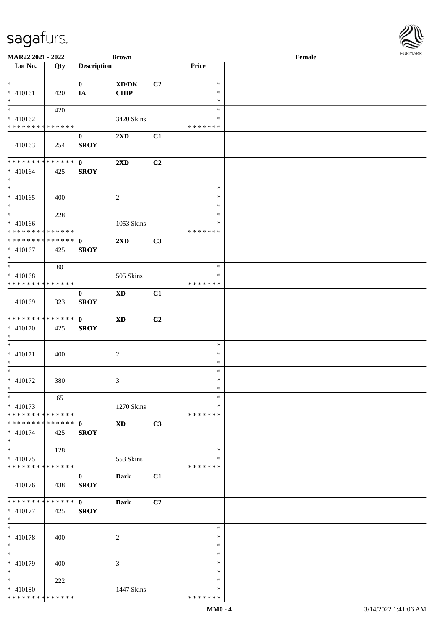| MAR22 2021 - 2022                          |             |                    | <b>Brown</b>               |    |               | Female | $1 \times 1 \times 1 \times 1 \times 1$ |
|--------------------------------------------|-------------|--------------------|----------------------------|----|---------------|--------|-----------------------------------------|
| $\overline{\phantom{1}}$ Lot No.           | Qty         | <b>Description</b> |                            |    | Price         |        |                                         |
|                                            |             |                    |                            |    |               |        |                                         |
| $*$                                        |             | $\mathbf{0}$       | XD/DK                      | C2 | $\ast$        |        |                                         |
| $* 410161$                                 | 420         | IA                 | <b>CHIP</b>                |    | $\ast$        |        |                                         |
| $*$                                        |             |                    |                            |    | $\ast$        |        |                                         |
|                                            | 420         |                    |                            |    | $\ast$        |        |                                         |
| $* 410162$                                 |             |                    | 3420 Skins                 |    | $\ast$        |        |                                         |
| * * * * * * * * * * * * * *                |             |                    |                            |    | * * * * * * * |        |                                         |
|                                            |             | $\bf{0}$           | $2\mathbf{X}\mathbf{D}$    | C1 |               |        |                                         |
| 410163                                     | 254         | <b>SROY</b>        |                            |    |               |        |                                         |
|                                            |             |                    |                            |    |               |        |                                         |
| * * * * * * * * * * * * * * *              |             | $\mathbf{0}$       | $2\mathbf{X}\mathbf{D}$    | C2 |               |        |                                         |
| $* 410164$                                 | 425         | <b>SROY</b>        |                            |    |               |        |                                         |
| $*$                                        |             |                    |                            |    |               |        |                                         |
|                                            |             |                    |                            |    | $\ast$        |        |                                         |
| $* 410165$                                 | 400         |                    | 2                          |    | $\ast$        |        |                                         |
| $*$                                        |             |                    |                            |    | $\ast$        |        |                                         |
| $*$                                        | 228         |                    |                            |    | $\ast$        |        |                                         |
| $* 410166$                                 |             |                    | 1053 Skins                 |    | $\ast$        |        |                                         |
| * * * * * * * * <mark>* * * * * * *</mark> |             |                    |                            |    | * * * * * * * |        |                                         |
| * * * * * * * * * * * * * *                |             | $\mathbf{0}$       | 2XD                        | C3 |               |        |                                         |
| $* 410167$                                 | 425         | <b>SROY</b>        |                            |    |               |        |                                         |
| $*$                                        |             |                    |                            |    |               |        |                                         |
| $\overline{\phantom{0}}$                   | 80          |                    |                            |    | $\ast$        |        |                                         |
| $* 410168$                                 |             |                    | 505 Skins                  |    | ∗             |        |                                         |
| * * * * * * * * * * * * * *                |             |                    |                            |    | * * * * * * * |        |                                         |
|                                            |             | $\bf{0}$           | <b>XD</b>                  | C1 |               |        |                                         |
| 410169                                     | 323         | <b>SROY</b>        |                            |    |               |        |                                         |
|                                            |             |                    |                            |    |               |        |                                         |
| * * * * * * * * * * * * * *                |             | $\mathbf{0}$       | $\boldsymbol{\mathrm{XD}}$ | C2 |               |        |                                         |
| $* 410170$                                 | 425         | <b>SROY</b>        |                            |    |               |        |                                         |
| $*$                                        |             |                    |                            |    |               |        |                                         |
| $\ast$                                     |             |                    |                            |    | $\ast$        |        |                                         |
| $* 410171$                                 | 400         |                    | $\overline{c}$             |    | $\ast$        |        |                                         |
| $*$                                        |             |                    |                            |    | $\ast$        |        |                                         |
| $*$                                        |             |                    |                            |    | $\ast$        |        |                                         |
| $* 410172$                                 | 380         |                    | 3                          |    | $\ast$        |        |                                         |
| $*$                                        |             |                    |                            |    | $\ast$        |        |                                         |
| $*$                                        | 65          |                    |                            |    | $\ast$        |        |                                         |
| $* 410173$                                 |             |                    | 1270 Skins                 |    | $\ast$        |        |                                         |
| * * * * * * * * * * * * * *                |             |                    |                            |    | * * * * * * * |        |                                         |
| * * * * * * * * * * * * * *                |             | $\mathbf{0}$       | <b>XD</b>                  | C3 |               |        |                                         |
| $* 410174$                                 | 425         | <b>SROY</b>        |                            |    |               |        |                                         |
| $*$                                        |             |                    |                            |    |               |        |                                         |
| $*$                                        | 128         |                    |                            |    | $\ast$        |        |                                         |
| $* 410175$                                 |             |                    | 553 Skins                  |    | ∗             |        |                                         |
| * * * * * * * * * * * * * *                |             |                    |                            |    | * * * * * * * |        |                                         |
|                                            |             | $\bf{0}$           | Dark                       | C1 |               |        |                                         |
| 410176                                     | 438         | <b>SROY</b>        |                            |    |               |        |                                         |
|                                            |             |                    |                            |    |               |        |                                         |
| * * * * * * * *                            | * * * * * * | $\mathbf{0}$       | <b>Dark</b>                | C2 |               |        |                                         |
| $* 410177$                                 | 425         | <b>SROY</b>        |                            |    |               |        |                                         |
| $*$                                        |             |                    |                            |    |               |        |                                         |
| $*$                                        |             |                    |                            |    | $\ast$        |        |                                         |
| $* 410178$                                 | 400         |                    | $\sqrt{2}$                 |    | $\ast$        |        |                                         |
| $*$                                        |             |                    |                            |    | $\ast$        |        |                                         |
| $*$                                        |             |                    |                            |    | $\ast$        |        |                                         |
|                                            |             |                    |                            |    | $\ast$        |        |                                         |
| $* 410179$<br>$*$                          | 400         |                    | 3                          |    | $\ast$        |        |                                         |
| $*$                                        |             |                    |                            |    | $\ast$        |        |                                         |
|                                            | 222         |                    |                            |    |               |        |                                         |
| $* 410180$                                 |             |                    | 1447 Skins                 |    | ∗             |        |                                         |
| * * * * * * * * * * * * * *                |             |                    |                            |    | * * * * * * * |        |                                         |

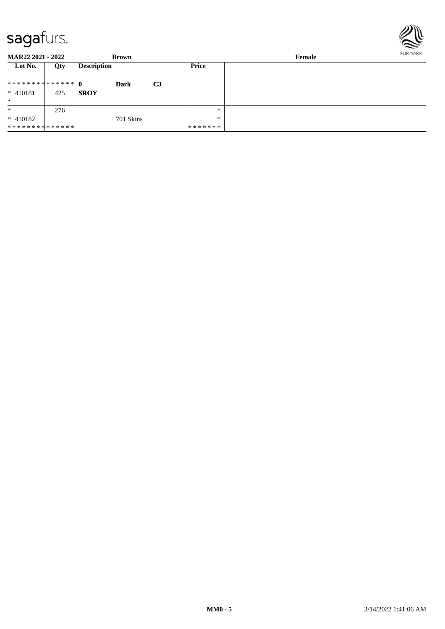

**MAR22 2021 - 2022 Brown Female Lot No. Qty Description Price 0 Dark C3 SROY** \* \* \* \* \* \* \* \* \* \* \* \* \* \* \* 410181 425 \* \* \* 410182 \* \* \* \* \* \* \* \* \* \* \* \* \* \* 276 701 Skins \* \* \* \* \* \* \* \* \*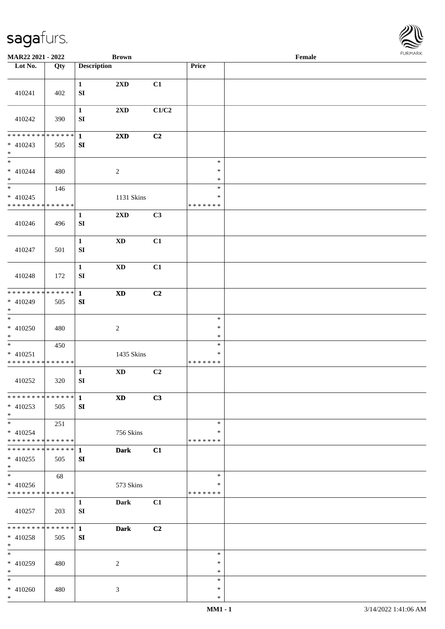

| MAR22 2021 - 2022                                                     |     |                                  | <b>Brown</b>               |       |                                   | Female |  |
|-----------------------------------------------------------------------|-----|----------------------------------|----------------------------|-------|-----------------------------------|--------|--|
| Lot No.                                                               | Qty | <b>Description</b>               |                            |       | Price                             |        |  |
| 410241                                                                | 402 | $\mathbf{1}$<br>${\bf S}{\bf I}$ | 2XD                        | C1    |                                   |        |  |
| 410242                                                                | 390 | $\mathbf{1}$<br>${\bf SI}$       | 2XD                        | C1/C2 |                                   |        |  |
| * * * * * * * * * * * * * *<br>$* 410243$<br>$*$                      | 505 | $\mathbf{1}$<br>${\bf SI}$       | 2XD                        | C2    |                                   |        |  |
| $\overline{\phantom{0}}$<br>$* 410244$<br>$\ast$                      | 480 |                                  | $\boldsymbol{2}$           |       | $\ast$<br>$\ast$<br>$\ast$        |        |  |
| $\ast$<br>$* 410245$<br>* * * * * * * * * * * * * *                   | 146 |                                  | 1131 Skins                 |       | $\ast$<br>$\ast$<br>* * * * * * * |        |  |
| 410246                                                                | 496 | $\mathbf{1}$<br>${\bf S}{\bf I}$ | $2{\bf X}{\bf D}$          | C3    |                                   |        |  |
| 410247                                                                | 501 | $\mathbf{1}$<br>${\bf SI}$       | $\mathbf{X}\mathbf{D}$     | C1    |                                   |        |  |
| 410248                                                                | 172 | $\mathbf{1}$<br>${\bf SI}$       | $\mathbf{X}\mathbf{D}$     | C1    |                                   |        |  |
| * * * * * * * * * * * * * *<br>* 410249<br>$*$                        | 505 | $\mathbf{1}$<br>${\bf SI}$       | $\boldsymbol{\mathrm{XD}}$ | C2    |                                   |        |  |
| $\overline{\phantom{0}}$<br>$* 410250$<br>$*$                         | 480 |                                  | $\sqrt{2}$                 |       | $\ast$<br>$\ast$<br>$\ast$        |        |  |
| $*$<br>$* 410251$<br>* * * * * * * * * * * * * *                      | 450 |                                  | 1435 Skins                 |       | $\ast$<br>$\ast$<br>* * * * * * * |        |  |
| 410252                                                                | 320 | $\mathbf{1}$<br>${\bf SI}$       | $\mathbf{X}\mathbf{D}$     | C2    |                                   |        |  |
| ******** <mark>******</mark><br>$* 410253$<br>$*$                     | 505 | $\mathbf{1}$<br>SI               | <b>XD</b>                  | C3    |                                   |        |  |
| $*$<br>$* 410254$<br>* * * * * * * * * * * * * *                      | 251 |                                  | 756 Skins                  |       | $\ast$<br>∗<br>* * * * * * *      |        |  |
| * * * * * * * * * * * * * * *<br>$* 410255$<br>$*$                    | 505 | 1<br>SI                          | <b>Dark</b>                | C1    |                                   |        |  |
| $\overline{\phantom{0}}$<br>$* 410256$<br>* * * * * * * * * * * * * * | 68  |                                  | 573 Skins                  |       | $\ast$<br>∗<br>* * * * * * *      |        |  |
| 410257                                                                | 203 | $\mathbf{1}$<br>SI               | Dark                       | C1    |                                   |        |  |
| * * * * * * * * * * * * * * *<br>$* 410258$<br>$*$                    | 505 | $\mathbf{1}$<br>SI               | <b>Dark</b>                | C2    |                                   |        |  |
| $\ast$<br>* 410259<br>$*$                                             | 480 |                                  | 2                          |       | $\ast$<br>∗<br>$\ast$             |        |  |
| $*$<br>$* 410260$<br>$*$                                              | 480 |                                  | 3                          |       | $\ast$<br>$\ast$<br>$\ast$        |        |  |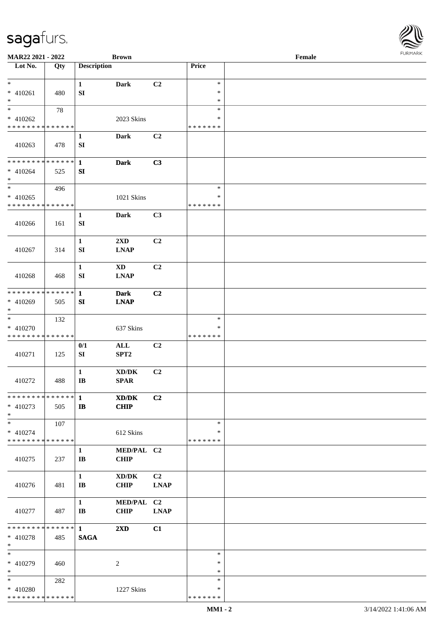| MAR22 2021 - 2022             |     |                    | <b>Brown</b>                                |             |               | Female |  |
|-------------------------------|-----|--------------------|---------------------------------------------|-------------|---------------|--------|--|
| Lot No.                       | Qty | <b>Description</b> |                                             |             | Price         |        |  |
| $\ast$                        |     | $\mathbf{1}$       | <b>Dark</b>                                 | C2          | $\ast$        |        |  |
| $* 410261$                    | 480 | ${\bf SI}$         |                                             |             | $\ast$        |        |  |
| $\ast$                        |     |                    |                                             |             | $\ast$        |        |  |
| $\overline{\ast}$             | 78  |                    |                                             |             | $\ast$        |        |  |
| $* 410262$                    |     |                    | 2023 Skins                                  |             | $\ast$        |        |  |
| * * * * * * * * * * * * * *   |     |                    |                                             |             | *******       |        |  |
|                               |     | $\mathbf{1}$       | <b>Dark</b>                                 | C2          |               |        |  |
| 410263                        | 478 | SI                 |                                             |             |               |        |  |
|                               |     |                    |                                             |             |               |        |  |
| **************                |     | $\mathbf{1}$       | <b>Dark</b>                                 | C3          |               |        |  |
| $* 410264$<br>$\ast$          | 525 | ${\bf S}{\bf I}$   |                                             |             |               |        |  |
| $\ast$                        | 496 |                    |                                             |             | $\ast$        |        |  |
| $* 410265$                    |     |                    | 1021 Skins                                  |             | $\ast$        |        |  |
| * * * * * * * * * * * * * *   |     |                    |                                             |             | *******       |        |  |
|                               |     | $\mathbf{1}$       | <b>Dark</b>                                 | C3          |               |        |  |
| 410266                        | 161 | SI                 |                                             |             |               |        |  |
|                               |     |                    |                                             |             |               |        |  |
|                               |     | $\mathbf 1$        | 2XD                                         | C2          |               |        |  |
| 410267                        | 314 | SI                 | <b>LNAP</b>                                 |             |               |        |  |
|                               |     |                    |                                             |             |               |        |  |
|                               |     | $\mathbf{1}$       | <b>XD</b>                                   | C2          |               |        |  |
| 410268                        | 468 | SI                 | <b>LNAP</b>                                 |             |               |        |  |
| * * * * * * * * * * * * * * * |     |                    |                                             |             |               |        |  |
| * 410269                      | 505 | $\mathbf{1}$<br>SI | <b>Dark</b><br><b>LNAP</b>                  | C2          |               |        |  |
| $\ast$                        |     |                    |                                             |             |               |        |  |
| $\ast$                        | 132 |                    |                                             |             | $\ast$        |        |  |
| $* 410270$                    |     |                    | 637 Skins                                   |             | *             |        |  |
| * * * * * * * * * * * * * *   |     |                    |                                             |             | *******       |        |  |
|                               |     | 0/1                | $\mathbf{ALL}$                              | C2          |               |        |  |
| 410271                        | 125 | ${\bf SI}$         | SPT <sub>2</sub>                            |             |               |        |  |
|                               |     |                    |                                             |             |               |        |  |
|                               |     | $\mathbf 1$        | $\mathbf{X}\mathbf{D}/\mathbf{D}\mathbf{K}$ | C2          |               |        |  |
| 410272                        | 488 | IB                 | SPAR                                        |             |               |        |  |
| * * * * * * * * * * * * * * * |     | $\mathbf{1}$       |                                             |             |               |        |  |
| $* 410273$                    | 505 | $\mathbf{I}$       | XD/DK<br><b>CHIP</b>                        | C2          |               |        |  |
| $*$                           |     |                    |                                             |             |               |        |  |
| $\ast$                        | 107 |                    |                                             |             | $\ast$        |        |  |
| $* 410274$                    |     |                    | 612 Skins                                   |             | *             |        |  |
| * * * * * * * * * * * * * *   |     |                    |                                             |             | *******       |        |  |
|                               |     | 1                  | MED/PAL C2                                  |             |               |        |  |
| 410275                        | 237 | IB                 | <b>CHIP</b>                                 |             |               |        |  |
|                               |     |                    |                                             |             |               |        |  |
|                               |     | $\mathbf{1}$       | XD/DK                                       | C2          |               |        |  |
| 410276                        | 481 | $\mathbf{I}$       | <b>CHIP</b>                                 | <b>LNAP</b> |               |        |  |
|                               |     | $\mathbf{1}$       | MED/PAL C2                                  |             |               |        |  |
| 410277                        | 487 | $\mathbf{I}$       | <b>CHIP</b>                                 | <b>LNAP</b> |               |        |  |
|                               |     |                    |                                             |             |               |        |  |
| * * * * * * * * * * * * * * * |     | $\mathbf{1}$       | $2\mathbf{X}\mathbf{D}$                     | C1          |               |        |  |
| $* 410278$                    | 485 | <b>SAGA</b>        |                                             |             |               |        |  |
| $\ast$                        |     |                    |                                             |             |               |        |  |
| $\ast$                        |     |                    |                                             |             | $\ast$        |        |  |
| $* 410279$                    | 460 |                    | $\overline{2}$                              |             | $\ast$        |        |  |
| $\ast$                        |     |                    |                                             |             | $\ast$        |        |  |
| $*$                           | 282 |                    |                                             |             | $\ast$        |        |  |
| * 410280                      |     |                    | 1227 Skins                                  |             | $\ast$        |        |  |
| * * * * * * * * * * * * * *   |     |                    |                                             |             | * * * * * * * |        |  |

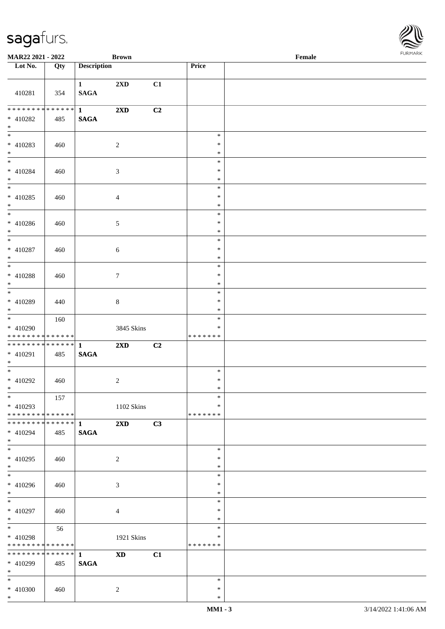

| <b>MAR22 2021 - 2022</b>                                 |                   |                             | <b>Brown</b>            |    |                                   | Female |  |
|----------------------------------------------------------|-------------------|-----------------------------|-------------------------|----|-----------------------------------|--------|--|
| Lot No.                                                  | Qty               | <b>Description</b>          |                         |    | <b>Price</b>                      |        |  |
|                                                          |                   |                             |                         |    |                                   |        |  |
| 410281                                                   | 354               | $\mathbf{1}$<br><b>SAGA</b> | 2XD                     | C1 |                                   |        |  |
| * 410282<br>$*$                                          | 485               | <b>SAGA</b>                 | 2XD                     | C2 |                                   |        |  |
| * 410283<br>$*$<br>$*$                                   | 460               |                             | $\overline{2}$          |    | $\ast$<br>$\ast$<br>$\ast$        |        |  |
| * 410284<br>$*$                                          | 460               |                             | $\mathfrak{Z}$          |    | $\ast$<br>$\ast$<br>$\ast$        |        |  |
| $* 410285$<br>$*$                                        | 460               |                             | $\overline{4}$          |    | $\ast$<br>$\ast$<br>$\ast$        |        |  |
| $* 410286$<br>$*$                                        | 460               |                             | $\mathfrak{S}$          |    | $\ast$<br>$\ast$<br>$\ast$        |        |  |
| $* 410287$<br>$*$                                        | 460               |                             | $\sqrt{6}$              |    | $\ast$<br>$\ast$<br>$\ast$        |        |  |
| * 410288<br>$*$<br>$\overline{\phantom{0}}$              | 460               |                             | $\tau$                  |    | $\ast$<br>$\ast$<br>$\ast$        |        |  |
| * 410289<br>$*$<br>$*$                                   | 440               |                             | $8\,$                   |    | $\ast$<br>$\ast$<br>$\ast$        |        |  |
| * 410290<br>* * * * * * * * <mark>* * * * * *</mark>     | 160               |                             | 3845 Skins              |    | $\ast$<br>∗<br>*******            |        |  |
| * 410291<br>$*$                                          | 485               | <b>SAGA</b>                 | 2XD                     | C2 |                                   |        |  |
| $*$ $-$<br>$* 410292$<br>$*$ $\qquad$                    | 460               |                             | 2                       |    | $\ast$<br>$\ast$<br>$\ast$        |        |  |
| $*$<br>$* 410293$<br>* * * * * * * * * * * * * * *       | 157               |                             | 1102 Skins              |    | $\ast$<br>$\ast$<br>*******       |        |  |
| * 410294<br>$*$                                          | 485               | <b>SAGA</b>                 | $2\mathbf{X}\mathbf{D}$ | C3 |                                   |        |  |
| $\overline{\mathbf{r}}$<br>* 410295<br>$*$               | 460               |                             | 2                       |    | $\ast$<br>$\ast$<br>$\ast$        |        |  |
| * 410296<br>$*$                                          | 460               |                             | $\mathfrak{Z}$          |    | $\ast$<br>$\ast$<br>$\ast$        |        |  |
| $*$<br>* 410297<br>$*$                                   | 460               |                             | $\overline{4}$          |    | $\ast$<br>$\ast$<br>$\ast$        |        |  |
| $\overline{\mathbf{r}^*}$<br>* 410298<br>* * * * * * * * | 56<br>* * * * * * |                             | 1921 Skins              |    | $\ast$<br>$\ast$<br>* * * * * * * |        |  |
| $* 410299$<br>$*$ $*$                                    | 485               | <b>SAGA</b>                 | <b>XD</b>               | C1 |                                   |        |  |
| $*$<br>* 410300<br>$*$                                   | 460               |                             | 2                       |    | $\ast$<br>$\ast$<br>$\ast$        |        |  |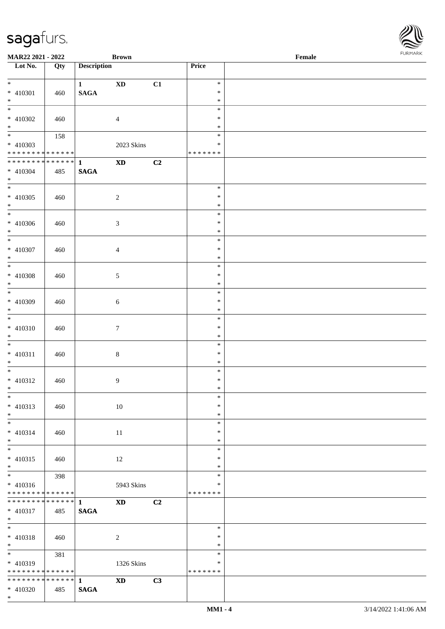| <b>MAR22 2021 - 2022</b>                                                            |     |                             | <b>Brown</b>           |                |                                   | Female |  |
|-------------------------------------------------------------------------------------|-----|-----------------------------|------------------------|----------------|-----------------------------------|--------|--|
| Lot No.                                                                             | Qty | <b>Description</b>          |                        |                | Price                             |        |  |
| $*$<br>* 410301<br>$*$                                                              | 460 | $\mathbf{1}$<br><b>SAGA</b> | <b>XD</b>              | C1             | $\ast$<br>$\ast$<br>$\ast$        |        |  |
| * 410302<br>$*$                                                                     | 460 |                             | $\overline{4}$         |                | $\ast$<br>$\ast$<br>$\ast$        |        |  |
| * 410303<br>* * * * * * * * <mark>* * * * * * *</mark>                              | 158 |                             | 2023 Skins             |                | $\ast$<br>$\ast$<br>* * * * * * * |        |  |
| * * * * * * * * * * * * * * <mark>*</mark><br>* 410304<br>$*$                       | 485 | $\mathbf{1}$<br><b>SAGA</b> | $\mathbf{X}\mathbf{D}$ | C <sub>2</sub> |                                   |        |  |
| $*$<br>* 410305<br>$*$                                                              | 460 |                             | $\overline{2}$         |                | $\ast$<br>$\ast$<br>$\ast$        |        |  |
| $\overline{\ast}$<br>* 410306<br>$*$                                                | 460 |                             | $\mathfrak{Z}$         |                | $\ast$<br>$\ast$<br>$\ast$        |        |  |
| $\overline{\phantom{0}}$<br>* 410307<br>$\ast$                                      | 460 |                             | $\overline{4}$         |                | $\ast$<br>$\ast$<br>$\ast$        |        |  |
| $\overline{\mathbf{r}}$<br>* 410308<br>$\ast$                                       | 460 |                             | $\mathfrak{S}$         |                | $\ast$<br>$\ast$<br>$\ast$        |        |  |
| * 410309<br>$*$                                                                     | 460 |                             | $\sqrt{6}$             |                | $\ast$<br>$\ast$<br>$\ast$        |        |  |
| $\overline{\phantom{0}}$<br>* 410310<br>$*$                                         | 460 |                             | $\tau$                 |                | $\ast$<br>$\ast$<br>$\ast$        |        |  |
| $* 410311$<br>$*$                                                                   | 460 |                             | $8\,$                  |                | $\ast$<br>$\ast$<br>$\ast$        |        |  |
| $\overline{\ast}$<br>* 410312<br>$*$                                                | 460 |                             | 9                      |                | $\ast$<br>$\ast$<br>$\ast$        |        |  |
| $\ast$<br>$* 410313$<br>$*$                                                         | 460 |                             | 10                     |                | $\ast$<br>$\ast$<br>$\ast$        |        |  |
| $\ddot{x}$<br>$* 410314$<br>$*$                                                     | 460 |                             | 11                     |                | $\ast$<br>$\ast$<br>$\ast$        |        |  |
| $*$<br>* 410315<br>$*$                                                              | 460 |                             | 12                     |                | $\ast$<br>$\ast$<br>$\ast$        |        |  |
| $\overline{\mathbf{r}}$<br>$* 410316$<br>* * * * * * * * <mark>* * * * * * *</mark> | 398 |                             | 5943 Skins             |                | $\ast$<br>∗<br>* * * * * * *      |        |  |
| $* 410317$<br>$*$                                                                   | 485 | <b>SAGA</b>                 | <b>XD</b>              | C2             |                                   |        |  |
| $\overline{\ast}$<br>* 410318<br>$*$                                                | 460 |                             | $\overline{c}$         |                | $\ast$<br>$\ast$<br>$\ast$        |        |  |
| * 410319<br>* * * * * * * * <mark>* * * * * * *</mark>                              | 381 |                             | 1326 Skins             |                | $\ast$<br>$\ast$<br>* * * * * * * |        |  |
| * 410320                                                                            | 485 | <b>SAGA</b>                 | $\mathbf{X}\mathbf{D}$ | C3             |                                   |        |  |

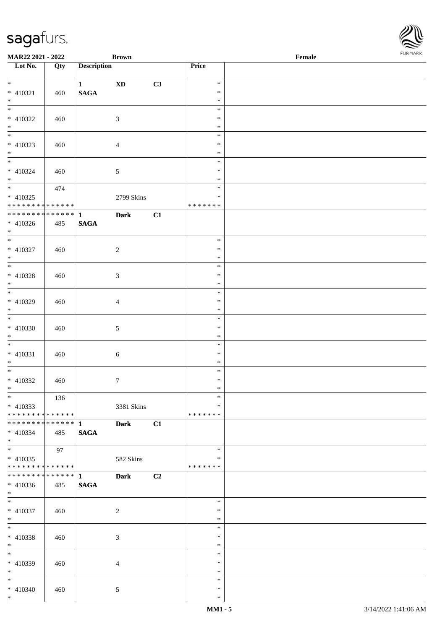| <b>MAR22 2021 - 2022</b>                   |     |                    | <b>Brown</b>    |    |               | Female |  |
|--------------------------------------------|-----|--------------------|-----------------|----|---------------|--------|--|
| Lot No.                                    | Qty | <b>Description</b> |                 |    | Price         |        |  |
|                                            |     |                    |                 |    |               |        |  |
| $*$                                        |     | $\mathbf{1}$       | <b>XD</b>       | C3 | $\ast$        |        |  |
| * 410321                                   | 460 | <b>SAGA</b>        |                 |    | $\ast$        |        |  |
| $*$                                        |     |                    |                 |    | $\ast$        |        |  |
|                                            |     |                    |                 |    | $\ast$        |        |  |
| * 410322                                   | 460 |                    | $\mathfrak{Z}$  |    | $\ast$        |        |  |
| $\ast$                                     |     |                    |                 |    | $\ast$        |        |  |
|                                            |     |                    |                 |    | $\ast$        |        |  |
| $* 410323$                                 | 460 |                    | $\overline{4}$  |    | $\ast$        |        |  |
| $*$                                        |     |                    |                 |    | $\ast$        |        |  |
|                                            |     |                    |                 |    | $\ast$        |        |  |
| $* 410324$                                 | 460 |                    | $\mathfrak{S}$  |    | $\ast$        |        |  |
| $*$                                        |     |                    |                 |    | $\ast$        |        |  |
|                                            | 474 |                    |                 |    | $\ast$        |        |  |
| $* 410325$                                 |     |                    | 2799 Skins      |    | $\ast$        |        |  |
| * * * * * * * * * * * * * *                |     |                    |                 |    | *******       |        |  |
| * * * * * * * * <mark>* * * * * * *</mark> |     | $\mathbf{1}$       | <b>Dark</b>     | C1 |               |        |  |
| $* 410326$                                 | 485 | <b>SAGA</b>        |                 |    |               |        |  |
| $*$                                        |     |                    |                 |    |               |        |  |
| $\overline{\phantom{0}}$                   |     |                    |                 |    | $\ast$        |        |  |
| $* 410327$                                 | 460 |                    | $\overline{c}$  |    | $\ast$        |        |  |
| $*$                                        |     |                    |                 |    | $\ast$        |        |  |
|                                            |     |                    |                 |    | $\ast$        |        |  |
| $* 410328$                                 | 460 |                    | $\mathfrak{Z}$  |    | $\ast$        |        |  |
| $\ast$                                     |     |                    |                 |    | $\ast$        |        |  |
|                                            |     |                    |                 |    | $\ast$        |        |  |
| * 410329                                   | 460 |                    | $\overline{4}$  |    | $\ast$        |        |  |
| $*$                                        |     |                    |                 |    | $\ast$        |        |  |
| $*$                                        |     |                    |                 |    | $\ast$        |        |  |
| $* 410330$                                 |     |                    |                 |    | $\ast$        |        |  |
| $*$                                        | 460 |                    | $\mathfrak{S}$  |    | $\ast$        |        |  |
| $*$                                        |     |                    |                 |    | $\ast$        |        |  |
|                                            |     |                    |                 |    |               |        |  |
| $* 410331$                                 | 460 |                    | 6               |    | $\ast$        |        |  |
| $*$<br>$*$                                 |     |                    |                 |    | $\ast$        |        |  |
|                                            |     |                    |                 |    | $\ast$        |        |  |
| $* 410332$                                 | 460 |                    | $7\phantom{.0}$ |    | $\ast$        |        |  |
| $*$                                        |     |                    |                 |    | $*$           |        |  |
| $\ast$                                     | 136 |                    |                 |    | $\ast$        |        |  |
| $* 410333$                                 |     |                    | 3381 Skins      |    | $\ast$        |        |  |
| * * * * * * * * * * * * * * *              |     |                    |                 |    | * * * * * * * |        |  |
|                                            |     |                    | <b>Dark</b>     | C1 |               |        |  |
| $* 410334$                                 | 485 | <b>SAGA</b>        |                 |    |               |        |  |
| $*$                                        |     |                    |                 |    |               |        |  |
| $*$                                        | 97  |                    |                 |    | $\ast$        |        |  |
| $* 410335$                                 |     |                    | 582 Skins       |    | $\ast$        |        |  |
| ******** <mark>******</mark>               |     |                    |                 |    | * * * * * * * |        |  |
| ******** <mark>******</mark>               |     | $\mathbf{1}$       | <b>Dark</b>     | C2 |               |        |  |
| $* 410336$                                 | 485 | <b>SAGA</b>        |                 |    |               |        |  |
| $*$                                        |     |                    |                 |    |               |        |  |
| $*$                                        |     |                    |                 |    | $\ast$        |        |  |
| * 410337                                   | 460 |                    | $\overline{c}$  |    | $\ast$        |        |  |
| $*$                                        |     |                    |                 |    | $\ast$        |        |  |
| $*$                                        |     |                    |                 |    | $\ast$        |        |  |
| * 410338                                   | 460 |                    | $\mathfrak{Z}$  |    | $\ast$        |        |  |
| $*$                                        |     |                    |                 |    | $\ast$        |        |  |
| $*$                                        |     |                    |                 |    | $\ast$        |        |  |
| * 410339                                   | 460 |                    | $\overline{4}$  |    | $\ast$        |        |  |
| $*$                                        |     |                    |                 |    | $\ast$        |        |  |
| $*$                                        |     |                    |                 |    | $\ast$        |        |  |
| $* 410340$                                 | 460 |                    | 5               |    | $\ast$        |        |  |
| $*$                                        |     |                    |                 |    | $\ast$        |        |  |
|                                            |     |                    |                 |    |               |        |  |

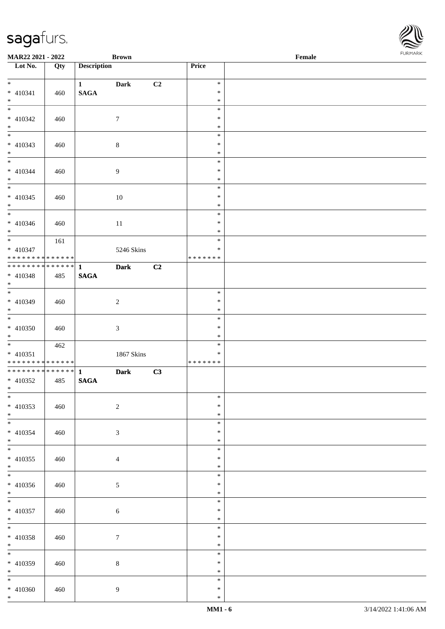\*

| Lot No.                                   | Qty | <b>Description</b> |                  |    | <b>Price</b>      |  |
|-------------------------------------------|-----|--------------------|------------------|----|-------------------|--|
| $\overline{\phantom{0}}$                  |     | $1 \qquad \qquad$  | <b>Dark</b>      | C2 | $\ast$            |  |
| $* 410341$                                | 460 | $\mathbf{SAGA}$    |                  |    | $\ast$            |  |
| $\ast$                                    |     |                    |                  |    | $\ast$            |  |
| $\overline{\phantom{a}^*}$                |     |                    |                  |    | $\ast$            |  |
| $* 410342$                                | 460 |                    | $\boldsymbol{7}$ |    | $\ast$            |  |
| $\ast$                                    |     |                    |                  |    | $\ast$            |  |
|                                           |     |                    |                  |    | $\ast$            |  |
| $* 410343$                                | 460 |                    | $8\,$            |    | $\ast$            |  |
| $*$                                       |     |                    |                  |    | $\ast$            |  |
|                                           |     |                    |                  |    | $\ast$            |  |
| $* 410344$                                | 460 |                    | $\overline{9}$   |    | $\ast$            |  |
| $\ast$<br>$\overline{\phantom{0}}$        |     |                    |                  |    | $\ast$            |  |
|                                           |     |                    |                  |    | $\ast$            |  |
| $* 410345$                                | 460 |                    | $10\,$           |    | $\ast$            |  |
| $*$<br>$\overline{\phantom{0}}$           |     |                    |                  |    | $\ast$<br>$\ast$  |  |
|                                           |     |                    |                  |    | $\ast$            |  |
| $* 410346$<br>$*$                         | 460 |                    | $11\,$           |    | $\ast$            |  |
| $\overline{\phantom{0}}$                  | 161 |                    |                  |    | $\ast$            |  |
| $* 410347$                                |     |                    | 5246 Skins       |    | $\ast$            |  |
| **************                            |     |                    |                  |    | * * * * * * *     |  |
| ************** 1                          |     |                    | <b>Dark</b>      | C2 |                   |  |
| $* 410348$                                | 485 | <b>SAGA</b>        |                  |    |                   |  |
| $*$                                       |     |                    |                  |    |                   |  |
|                                           |     |                    |                  |    | $\ast$            |  |
| $* 410349$                                | 460 |                    | $\sqrt{2}$       |    | $\ast$            |  |
| $*$                                       |     |                    |                  |    | $\ast$            |  |
|                                           |     |                    |                  |    | $\ast$            |  |
| $* 410350$                                | 460 |                    | $\mathfrak{Z}$   |    | $\ast$            |  |
| $*$<br>$\overline{\phantom{0}}$           |     |                    |                  |    | $\ast$            |  |
|                                           | 462 |                    |                  |    | $\ast$            |  |
| $* 410351$<br>* * * * * * * * * * * * * * |     |                    | 1867 Skins       |    | $\ast$<br>******* |  |
| ******** <mark>******</mark>              |     | $\mathbf{1}$       | <b>Dark</b>      | C3 |                   |  |
| $* 410352$                                | 485 | $\mathbf{SAGA}$    |                  |    |                   |  |
| $*$                                       |     |                    |                  |    |                   |  |
|                                           |     |                    |                  |    | $\ast$            |  |
| $* 410353$                                | 460 |                    | $\sqrt{2}$       |    | $\ast$            |  |
| $\ast$                                    |     |                    |                  |    | $\ast$            |  |
| $\overline{\phantom{a}^*}$                |     |                    |                  |    | $\ast$            |  |
| $* 410354$                                | 460 |                    | $\mathfrak{Z}$   |    | $\ast$            |  |
| $*$                                       |     |                    |                  |    | $\ast$            |  |
| $*$                                       |     |                    |                  |    | $\ast$            |  |
| $* 410355$                                | 460 |                    | $\overline{4}$   |    | $\ast$            |  |
| $*$<br>$\frac{1}{*}$                      |     |                    |                  |    | $\ast$            |  |
|                                           |     |                    |                  |    | $\ast$            |  |
| $* 410356$                                | 460 |                    | $\mathfrak{S}$   |    | $\ast$            |  |
| $*$<br>$\overline{\phantom{0}}$           |     |                    |                  |    | $\ast$<br>$\ast$  |  |
|                                           |     |                    |                  |    | $\ast$            |  |
| $* 410357$<br>$*$                         | 460 |                    | $\sqrt{6}$       |    | $\ast$            |  |
| $*$                                       |     |                    |                  |    | $\ast$            |  |
| $* 410358$                                | 460 |                    | $\boldsymbol{7}$ |    | $\ast$            |  |
| $*$                                       |     |                    |                  |    | $\ast$            |  |
| $\overline{\phantom{0}}$                  |     |                    |                  |    | $\ast$            |  |
| $* 410359$                                | 460 |                    | $8\,$            |    | $\ast$            |  |
| $*$                                       |     |                    |                  |    | $\ast$            |  |
| $\overline{\phantom{0}}$                  |     |                    |                  |    | $\ast$            |  |
| $* 410360$                                | 460 |                    | 9                |    | $\ast$            |  |
| $*$                                       |     |                    |                  |    | $\ast$            |  |

**MAR22 2021 - 2022 Brown Female**

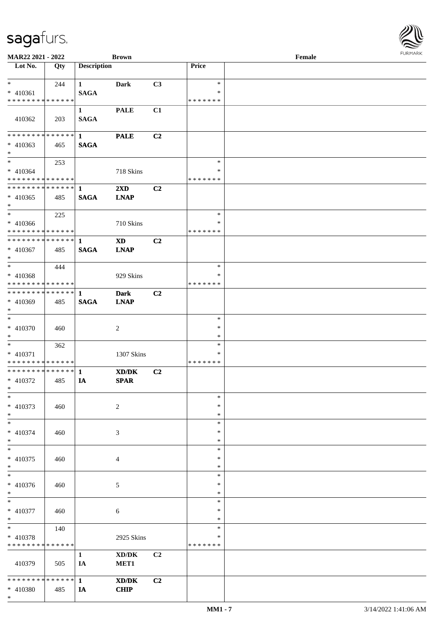| MAR22 2021 - 2022                           |     |                    | <b>Brown</b>                                                 |    |                         | Female |  |
|---------------------------------------------|-----|--------------------|--------------------------------------------------------------|----|-------------------------|--------|--|
| Lot No.                                     | Qty | <b>Description</b> |                                                              |    | Price                   |        |  |
|                                             |     |                    |                                                              |    |                         |        |  |
| $*$                                         | 244 | $\mathbf{1}$       | <b>Dark</b>                                                  | C3 | $\ast$                  |        |  |
| $* 410361$<br>* * * * * * * * * * * * * *   |     | <b>SAGA</b>        |                                                              |    | $\ast$<br>* * * * * * * |        |  |
|                                             |     | $\mathbf{1}$       | <b>PALE</b>                                                  | C1 |                         |        |  |
| 410362                                      | 203 | <b>SAGA</b>        |                                                              |    |                         |        |  |
|                                             |     |                    | <b>PALE</b>                                                  | C2 |                         |        |  |
| $* 410363$                                  | 465 | <b>SAGA</b>        |                                                              |    |                         |        |  |
| $*$                                         |     |                    |                                                              |    |                         |        |  |
| $*$                                         | 253 |                    |                                                              |    | $\ast$                  |        |  |
| $* 410364$<br>* * * * * * * * * * * * * * * |     |                    | 718 Skins                                                    |    | $\ast$<br>* * * * * * * |        |  |
| ************** 1                            |     |                    | $2\mathbf{X}\mathbf{D}$                                      | C2 |                         |        |  |
| $* 410365$                                  | 485 | <b>SAGA</b>        | <b>LNAP</b>                                                  |    |                         |        |  |
| $*$                                         |     |                    |                                                              |    |                         |        |  |
| $*$                                         | 225 |                    |                                                              |    | $\ast$                  |        |  |
| $* 410366$                                  |     |                    | 710 Skins                                                    |    | $\ast$                  |        |  |
| * * * * * * * * * * * * * * *               |     |                    |                                                              |    | * * * * * * *           |        |  |
| ************** 1                            |     |                    | <b>XD</b>                                                    | C2 |                         |        |  |
| $* 410367$<br>$*$                           | 485 | <b>SAGA</b>        | <b>LNAP</b>                                                  |    |                         |        |  |
| $*$                                         | 444 |                    |                                                              |    | $\ast$                  |        |  |
| $* 410368$                                  |     |                    | 929 Skins                                                    |    | *                       |        |  |
| * * * * * * * * * * * * * * *               |     |                    |                                                              |    | *******                 |        |  |
| ************** 1                            |     |                    | <b>Dark</b>                                                  | C2 |                         |        |  |
| * 410369                                    | 485 | <b>SAGA</b>        | <b>LNAP</b>                                                  |    |                         |        |  |
| $*$<br>$\ast$                               |     |                    |                                                              |    |                         |        |  |
| $* 410370$                                  | 460 |                    | $\overline{c}$                                               |    | $\ast$<br>$\ast$        |        |  |
| $*$                                         |     |                    |                                                              |    | $\ast$                  |        |  |
| $*$                                         | 362 |                    |                                                              |    | $\ast$                  |        |  |
| $* 410371$                                  |     |                    | 1307 Skins                                                   |    | $\ast$                  |        |  |
| * * * * * * * * * * * * * *                 |     |                    |                                                              |    | * * * * * * *           |        |  |
| ************** 1                            |     |                    | XD/DK                                                        | C2 |                         |        |  |
| $* 410372$<br>$*$ $*$                       | 485 | IA                 | <b>SPAR</b>                                                  |    |                         |        |  |
| $*$                                         |     |                    |                                                              |    | $\ast$                  |        |  |
| $* 410373$                                  | 460 |                    | $\sqrt{2}$                                                   |    | $\ast$                  |        |  |
| $*$                                         |     |                    |                                                              |    | $\ast$                  |        |  |
| $*$                                         |     |                    |                                                              |    | $\ast$                  |        |  |
| $* 410374$                                  | 460 |                    | 3                                                            |    | ∗                       |        |  |
| $*$                                         |     |                    |                                                              |    | $\ast$                  |        |  |
| $*$                                         |     |                    |                                                              |    | $\ast$<br>$\ast$        |        |  |
| $* 410375$<br>$*$                           | 460 |                    | 4                                                            |    | $\ast$                  |        |  |
| $*$                                         |     |                    |                                                              |    | $\ast$                  |        |  |
| * 410376                                    | 460 |                    | 5                                                            |    | $\ast$                  |        |  |
| $*$                                         |     |                    |                                                              |    | $\ast$                  |        |  |
| $*$                                         |     |                    |                                                              |    | $\ast$                  |        |  |
| $* 410377$                                  | 460 |                    | $\sqrt{6}$                                                   |    | $\ast$                  |        |  |
| $*$<br>$*$                                  |     |                    |                                                              |    | $\ast$<br>$\ast$        |        |  |
| * 410378                                    | 140 |                    | 2925 Skins                                                   |    | $\ast$                  |        |  |
| * * * * * * * * * * * * * *                 |     |                    |                                                              |    | * * * * * * *           |        |  |
|                                             |     | $\mathbf{1}$       | $\boldsymbol{\text{XD}}\boldsymbol{/}\boldsymbol{\text{DK}}$ | C2 |                         |        |  |
| 410379                                      | 505 | IA                 | MET1                                                         |    |                         |        |  |
|                                             |     |                    |                                                              |    |                         |        |  |
|                                             |     |                    | $\mathbf{X}\mathbf{D}/\mathbf{D}\mathbf{K}$                  | C2 |                         |        |  |
| * 410380                                    | 485 | <b>IA</b>          | <b>CHIP</b>                                                  |    |                         |        |  |

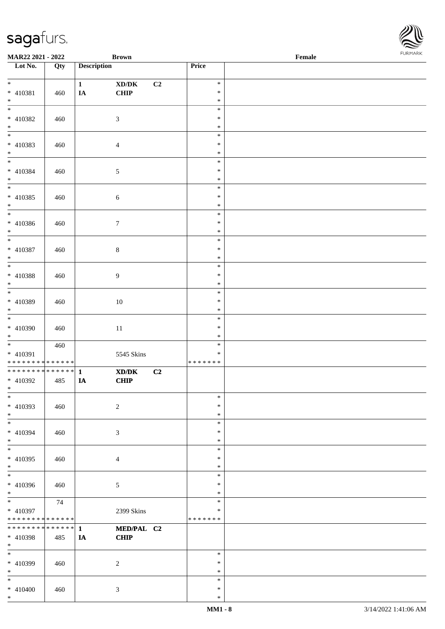| <b>MAR22 2021 - 2022</b>                   |     |                    | <b>Brown</b>                                                |    |                  | Female |  |
|--------------------------------------------|-----|--------------------|-------------------------------------------------------------|----|------------------|--------|--|
| Lot No.                                    | Qty | <b>Description</b> |                                                             |    | <b>Price</b>     |        |  |
|                                            |     |                    |                                                             |    |                  |        |  |
| $*$                                        |     | $\mathbf{1}$       | $\bold{X}\bold{D}/\bold{D}\bold{K}$                         | C2 | $\ast$           |        |  |
| * 410381                                   | 460 | IA                 | CHIP                                                        |    | $\ast$           |        |  |
| $*$                                        |     |                    |                                                             |    | $\ast$           |        |  |
|                                            |     |                    |                                                             |    | $\ast$           |        |  |
| * 410382                                   | 460 |                    | $\mathfrak{Z}$                                              |    | $\ast$           |        |  |
| $*$                                        |     |                    |                                                             |    | $\ast$           |        |  |
|                                            |     |                    |                                                             |    | $\ast$           |        |  |
| * 410383                                   | 460 |                    | $\overline{4}$                                              |    | $\ast$           |        |  |
| $*$                                        |     |                    |                                                             |    | $\ast$<br>$\ast$ |        |  |
|                                            |     |                    |                                                             |    | $\ast$           |        |  |
| * 410384<br>$*$                            | 460 |                    | $\sqrt{5}$                                                  |    | $\ast$           |        |  |
| $\overline{\ }$                            |     |                    |                                                             |    | $\ast$           |        |  |
| * 410385                                   |     |                    |                                                             |    | $\ast$           |        |  |
| $*$                                        | 460 |                    | $\sqrt{6}$                                                  |    | $\ast$           |        |  |
| $\overline{\phantom{0}}$                   |     |                    |                                                             |    | $\ast$           |        |  |
| * 410386                                   | 460 |                    | $\tau$                                                      |    | $\ast$           |        |  |
| $*$                                        |     |                    |                                                             |    | $\ast$           |        |  |
|                                            |     |                    |                                                             |    | $\ast$           |        |  |
| * 410387                                   | 460 |                    | $8\,$                                                       |    | $\ast$           |        |  |
| $*$                                        |     |                    |                                                             |    | $\ast$           |        |  |
|                                            |     |                    |                                                             |    | $\ast$           |        |  |
| * 410388                                   | 460 |                    | 9                                                           |    | $\ast$           |        |  |
| $*$                                        |     |                    |                                                             |    | $\ast$           |        |  |
| $\overline{\phantom{0}}$                   |     |                    |                                                             |    | $\ast$           |        |  |
| * 410389                                   | 460 |                    | $10\,$                                                      |    | $\ast$           |        |  |
| $*$                                        |     |                    |                                                             |    | $\ast$           |        |  |
| $*$                                        |     |                    |                                                             |    | $\ast$           |        |  |
| * 410390                                   | 460 |                    | $11\,$                                                      |    | $\ast$           |        |  |
| $*$                                        |     |                    |                                                             |    | $\ast$           |        |  |
|                                            | 460 |                    |                                                             |    | $\ast$           |        |  |
| * 410391                                   |     |                    | 5545 Skins                                                  |    | $\ast$           |        |  |
| * * * * * * * * <mark>* * * * * * *</mark> |     |                    |                                                             |    | * * * * * * *    |        |  |
| * * * * * * * * <mark>* * * * * * *</mark> |     | $\mathbf{1}$       | $\boldsymbol{\text{X} \text{D} \text{/} \text{D} \text{K}}$ | C2 |                  |        |  |
| * 410392                                   | 485 | IA                 | <b>CHIP</b>                                                 |    |                  |        |  |
| $*$ $*$                                    |     |                    |                                                             |    |                  |        |  |
| $\overline{\ast}$                          |     |                    |                                                             |    | $\ast$           |        |  |
| * 410393                                   | 460 |                    | $\overline{2}$                                              |    | $\ast$           |        |  |
| $*$                                        |     |                    |                                                             |    | $\ast$           |        |  |
| $*$                                        |     |                    |                                                             |    | $\ast$           |        |  |
| * 410394                                   | 460 |                    | 3                                                           |    | $\ast$           |        |  |
| $*$                                        |     |                    |                                                             |    | $\ast$           |        |  |
|                                            |     |                    |                                                             |    | $\ast$           |        |  |
| * 410395                                   | 460 |                    | 4                                                           |    | $\ast$           |        |  |
| $*$                                        |     |                    |                                                             |    | $\ast$<br>$\ast$ |        |  |
|                                            |     |                    |                                                             |    |                  |        |  |
| * 410396<br>$*$                            | 460 |                    | $5\phantom{.0}$                                             |    | $\ast$<br>$\ast$ |        |  |
|                                            | 74  |                    |                                                             |    | $\ast$           |        |  |
| * 410397                                   |     |                    | 2399 Skins                                                  |    | $\ast$           |        |  |
| * * * * * * * * <mark>* * * * * *</mark>   |     |                    |                                                             |    | *******          |        |  |
| * * * * * * * * <mark>* * * * * * *</mark> |     | $\mathbf{1}$       | MED/PAL C2                                                  |    |                  |        |  |
| * 410398                                   | 485 | IA                 | <b>CHIP</b>                                                 |    |                  |        |  |
| $*$                                        |     |                    |                                                             |    |                  |        |  |
| $*$                                        |     |                    |                                                             |    | $\ast$           |        |  |
| * 410399                                   | 460 |                    | 2                                                           |    | $\ast$           |        |  |
| $*$                                        |     |                    |                                                             |    | $\ast$           |        |  |
| $*$                                        |     |                    |                                                             |    | $\ast$           |        |  |
| $* 410400$                                 | 460 |                    | $\mathfrak{Z}$                                              |    | $\ast$           |        |  |
| $*$                                        |     |                    |                                                             |    | $\ast$           |        |  |

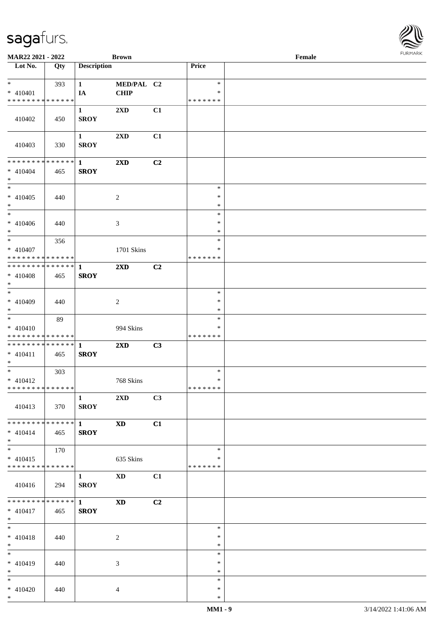\*

\* 410420 440 4

| Lot No.                                          | Qty | <b>Description</b>          |                            |    | Price            |  |
|--------------------------------------------------|-----|-----------------------------|----------------------------|----|------------------|--|
| $\ast$                                           | 393 | $\mathbf{1}$                | MED/PAL C2                 |    | $\ast$           |  |
| $* 410401$                                       |     | IA                          | <b>CHIP</b>                |    | $\ast$           |  |
| * * * * * * * * * * * * * *                      |     |                             |                            |    | * * * * * * *    |  |
| 410402                                           | 450 | $\mathbf{1}$<br><b>SROY</b> | 2XD                        | C1 |                  |  |
| 410403                                           | 330 | $\mathbf{1}$<br><b>SROY</b> | 2XD                        | C1 |                  |  |
| * * * * * * * * <mark>* * * * * * *</mark>       |     | $\mathbf{1}$                | $2\mathbf{X}\mathbf{D}$    | C2 |                  |  |
| $* 410404$<br>$*$                                | 465 | <b>SROY</b>                 |                            |    |                  |  |
|                                                  |     |                             |                            |    | $\ast$           |  |
| $* 410405$                                       | 440 |                             | $\sqrt{2}$                 |    | $\ast$           |  |
| $\ast$<br>$\overline{\phantom{0}}$               |     |                             |                            |    | $\ast$           |  |
| $* 410406$                                       | 440 |                             | $\mathfrak{Z}$             |    | $\ast$<br>$\ast$ |  |
| $*$                                              |     |                             |                            |    | $\ast$           |  |
| $\overline{\phantom{0}}$                         | 356 |                             |                            |    | $\ast$           |  |
| $* 410407$                                       |     |                             | 1701 Skins                 |    | $\ast$           |  |
| * * * * * * * * * * * * * *                      |     |                             |                            |    | * * * * * * *    |  |
| ******** <mark>******</mark>                     |     | $\mathbf{1}$                | $2\mathbf{X}\mathbf{D}$    | C2 |                  |  |
| $* 410408$<br>$*$                                | 465 | <b>SROY</b>                 |                            |    |                  |  |
| $\overline{\ast}$                                |     |                             |                            |    | $\ast$           |  |
| $* 410409$                                       | 440 |                             | $\overline{2}$             |    | $\ast$           |  |
| $*$<br>$\overline{\phantom{a}^*}$                |     |                             |                            |    | $\ast$           |  |
|                                                  | 89  |                             |                            |    | $\ast$           |  |
| $* 410410$                                       |     |                             | 994 Skins                  |    | ∗                |  |
| ******** <mark>******</mark>                     |     |                             |                            |    | * * * * * * *    |  |
| $* 410411$                                       | 465 | <b>SROY</b>                 | $2\mathbf{X}\mathbf{D}$    | C3 |                  |  |
| $*$                                              |     |                             |                            |    |                  |  |
| $\overline{\phantom{a}^*}$                       | 303 |                             |                            |    | $\ast$           |  |
| $* 410412$<br>******** <mark>******</mark>       |     |                             | 768 Skins                  |    | $\ast$           |  |
| 410413                                           | 370 | $\vert$ 1<br><b>SROY</b>    | $2XD$ $C3$                 |    | * * * * * * *    |  |
|                                                  |     |                             |                            |    |                  |  |
| * * * * * * * * * * * * * *                      |     | $\mathbf{1}$                | $\boldsymbol{\mathrm{XD}}$ | C1 |                  |  |
| $* 410414$<br>$*$                                | 465 | <b>SROY</b>                 |                            |    |                  |  |
| $\ast$                                           | 170 |                             |                            |    | $\ast$           |  |
| $* 410415$                                       |     |                             | 635 Skins                  |    | $\ast$           |  |
| * * * * * * * * * * * * * *                      |     |                             |                            |    | * * * * * * *    |  |
| 410416                                           | 294 | $\mathbf{1}$<br><b>SROY</b> | <b>XD</b>                  | C1 |                  |  |
| * * * * * * * * * * * * * *<br>$* 410417$<br>$*$ | 465 | $\mathbf{1}$<br><b>SROY</b> | $\boldsymbol{\mathrm{XD}}$ | C2 |                  |  |
| $\ast$                                           |     |                             |                            |    | $\ast$           |  |
| $* 410418$<br>$*$                                | 440 |                             | $\sqrt{2}$                 |    | $\ast$<br>$\ast$ |  |
| $\overline{\phantom{a}^*}$                       |     |                             |                            |    | $\ast$           |  |
| $* 410419$                                       | 440 |                             | $\mathfrak{Z}$             |    | $\ast$           |  |
| $\ast$                                           |     |                             |                            |    | $\ast$           |  |
| $\ast$                                           |     |                             |                            |    | $\ast$           |  |
|                                                  |     |                             |                            |    |                  |  |

**MAR22 2021 - 2022 Brown Female**

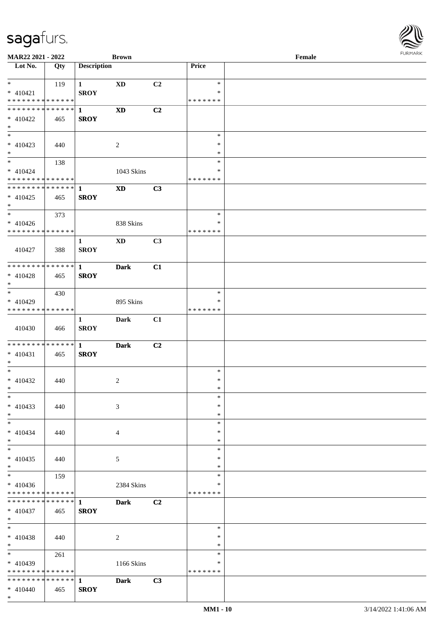

| MAR22 2021 - 2022                          |     |                    | <b>Brown</b>           |    |               | Female |
|--------------------------------------------|-----|--------------------|------------------------|----|---------------|--------|
| Lot No.                                    | Qty | <b>Description</b> |                        |    | Price         |        |
|                                            |     |                    |                        |    |               |        |
| $*$                                        |     |                    |                        |    | $\ast$        |        |
|                                            | 119 | $\mathbf{1}$       | <b>XD</b>              | C2 |               |        |
| $* 410421$                                 |     | <b>SROY</b>        |                        |    | ∗             |        |
| * * * * * * * * * * * * * *                |     |                    |                        |    | * * * * * * * |        |
| * * * * * * * * * * * * * * *              |     | $\mathbf{1}$       | <b>XD</b>              | C2 |               |        |
| $* 410422$                                 | 465 | <b>SROY</b>        |                        |    |               |        |
|                                            |     |                    |                        |    |               |        |
| $*$                                        |     |                    |                        |    |               |        |
| $\overline{\phantom{0}}$                   |     |                    |                        |    | $\ast$        |        |
| $* 410423$                                 | 440 |                    | 2                      |    | $\ast$        |        |
| $*$                                        |     |                    |                        |    | $\ast$        |        |
| $\overline{\ast}$                          |     |                    |                        |    | $\ast$        |        |
|                                            | 138 |                    |                        |    |               |        |
| $* 410424$                                 |     |                    | 1043 Skins             |    | $\ast$        |        |
| * * * * * * * * * * * * * *                |     |                    |                        |    | *******       |        |
| * * * * * * * * * * * * * * *              |     | $\mathbf{1}$       | $\mathbf{X}\mathbf{D}$ | C3 |               |        |
| $* 410425$                                 | 465 | <b>SROY</b>        |                        |    |               |        |
|                                            |     |                    |                        |    |               |        |
| $*$                                        |     |                    |                        |    |               |        |
| $*$                                        | 373 |                    |                        |    | $\ast$        |        |
| $* 410426$                                 |     |                    | 838 Skins              |    | $\ast$        |        |
| * * * * * * * * * * * * * *                |     |                    |                        |    | * * * * * * * |        |
|                                            |     | $\mathbf{1}$       | XD                     | C3 |               |        |
|                                            |     |                    |                        |    |               |        |
| 410427                                     | 388 | <b>SROY</b>        |                        |    |               |        |
|                                            |     |                    |                        |    |               |        |
| * * * * * * * * * * * * * * *              |     | $\mathbf{1}$       | <b>Dark</b>            | C1 |               |        |
| $* 410428$                                 | 465 | <b>SROY</b>        |                        |    |               |        |
| $*$                                        |     |                    |                        |    |               |        |
| $\overline{\phantom{0}}$                   |     |                    |                        |    |               |        |
|                                            | 430 |                    |                        |    | $\ast$        |        |
| $* 410429$                                 |     |                    | 895 Skins              |    | ∗             |        |
| * * * * * * * * * * * * * *                |     |                    |                        |    | * * * * * * * |        |
|                                            |     | $\mathbf{1}$       | <b>Dark</b>            | C1 |               |        |
| 410430                                     |     | <b>SROY</b>        |                        |    |               |        |
|                                            | 466 |                    |                        |    |               |        |
|                                            |     |                    |                        |    |               |        |
| * * * * * * * * <mark>* * * * * * *</mark> |     | $\mathbf{1}$       | <b>Dark</b>            | C2 |               |        |
| $* 410431$                                 | 465 | <b>SROY</b>        |                        |    |               |        |
| $*$                                        |     |                    |                        |    |               |        |
| $*$                                        |     |                    |                        |    | $\ast$        |        |
|                                            |     |                    |                        |    |               |        |
| $* 410432$                                 | 440 |                    | $\overline{c}$         |    | $\ast$        |        |
| $*$                                        |     |                    |                        |    | $\ast$        |        |
| $*$                                        |     |                    |                        |    | $\ast$        |        |
| $* 410433$                                 | 440 |                    | 3                      |    | $\ast$        |        |
| $*$                                        |     |                    |                        |    | $\ast$        |        |
|                                            |     |                    |                        |    |               |        |
| $*$                                        |     |                    |                        |    | $\ast$        |        |
| $* 410434$                                 | 440 |                    | 4                      |    | ∗             |        |
| $*$                                        |     |                    |                        |    | ∗             |        |
| $*$                                        |     |                    |                        |    | $\ast$        |        |
| $* 410435$                                 | 440 |                    | 5                      |    | $\ast$        |        |
| $*$                                        |     |                    |                        |    | $\ast$        |        |
|                                            |     |                    |                        |    |               |        |
|                                            | 159 |                    |                        |    | $\ast$        |        |
| $* 410436$                                 |     |                    | 2384 Skins             |    | ∗             |        |
| * * * * * * * * * * * * * *                |     |                    |                        |    | *******       |        |
| * * * * * * * * * * * * * * *              |     | $\mathbf{1}$       | <b>Dark</b>            | C2 |               |        |
|                                            |     |                    |                        |    |               |        |
| $* 410437$                                 | 465 | <b>SROY</b>        |                        |    |               |        |
| $*$                                        |     |                    |                        |    |               |        |
| $*$                                        |     |                    |                        |    | $\ast$        |        |
| $* 410438$                                 | 440 |                    | 2                      |    | $\ast$        |        |
| $*$                                        |     |                    |                        |    | $\ast$        |        |
| $*$ $*$                                    |     |                    |                        |    | $\ast$        |        |
|                                            | 261 |                    |                        |    |               |        |
| $* 410439$                                 |     |                    | 1166 Skins             |    | ∗             |        |
| * * * * * * * * * * * * * *                |     |                    |                        |    | * * * * * * * |        |
| * * * * * * * * * * * * * * *              |     | $\mathbf{1}$       | Dark                   | C3 |               |        |
| $* 410440$                                 | 465 | <b>SROY</b>        |                        |    |               |        |
| $*$                                        |     |                    |                        |    |               |        |
|                                            |     |                    |                        |    |               |        |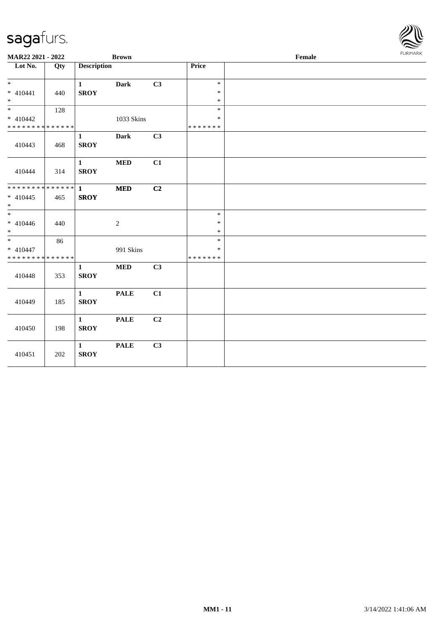| MAR22 2021 - 2022           |     |                             | <b>Brown</b>   |    |                  | Female | <b>FURMARK</b> |
|-----------------------------|-----|-----------------------------|----------------|----|------------------|--------|----------------|
| Lot No.                     | Qty | <b>Description</b>          |                |    | <b>Price</b>     |        |                |
| $*$                         |     | $\mathbf{1}$                | Dark           | C3 | $\ast$           |        |                |
| $* 410441$<br>$*$           | 440 | <b>SROY</b>                 |                |    | $\ast$<br>$\ast$ |        |                |
| $\overline{\ast}$           | 128 |                             |                |    | $\ast$           |        |                |
| $* 410442$                  |     |                             | 1033 Skins     |    | $\ast$           |        |                |
| * * * * * * * * * * * * * * |     |                             |                |    | * * * * * * *    |        |                |
| 410443                      | 468 | $\mathbf{1}$<br><b>SROY</b> | <b>Dark</b>    | C3 |                  |        |                |
| 410444                      | 314 | $\mathbf{1}$<br><b>SROY</b> | $\bf MED$      | C1 |                  |        |                |
|                             |     |                             | $\bf MED$      | C2 |                  |        |                |
| $* 410445$<br>$*$           | 465 | <b>SROY</b>                 |                |    |                  |        |                |
| $*$                         |     |                             |                |    | $\ast$           |        |                |
| $* 410446$                  | 440 |                             | $\overline{c}$ |    | $\ast$           |        |                |
| $*$                         |     |                             |                |    | $\ast$           |        |                |
|                             | 86  |                             |                |    | $\ast$           |        |                |
| $* 410447$                  |     |                             | 991 Skins      |    | $\ast$           |        |                |
| * * * * * * * * * * * * * * |     |                             |                |    | * * * * * * *    |        |                |
| 410448                      | 353 | $\mathbf{1}$<br><b>SROY</b> | $\bf MED$      | C3 |                  |        |                |
| 410449                      | 185 | $\mathbf{1}$<br><b>SROY</b> | <b>PALE</b>    | C1 |                  |        |                |
| 410450                      | 198 | $\mathbf{1}$<br><b>SROY</b> | <b>PALE</b>    | C2 |                  |        |                |
| 410451                      | 202 | $\mathbf{1}$<br><b>SROY</b> | <b>PALE</b>    | C3 |                  |        |                |

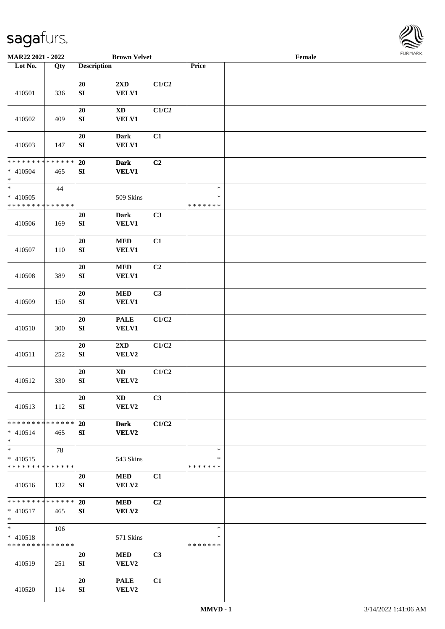

| MAR22 2021 - 2022                                   |     | <b>Brown Velvet</b>                                                  |       |                                   | Female |  |
|-----------------------------------------------------|-----|----------------------------------------------------------------------|-------|-----------------------------------|--------|--|
| Lot No.                                             | Qty | <b>Description</b>                                                   |       | Price                             |        |  |
|                                                     |     |                                                                      |       |                                   |        |  |
| 410501                                              | 336 | 2XD<br>20<br>${\bf SI}$<br>VELV1                                     | C1/C2 |                                   |        |  |
| 410502                                              | 409 | $20\,$<br>$\mathbf{X}\mathbf{D}$<br>${\bf S}{\bf I}$<br><b>VELV1</b> | C1/C2 |                                   |        |  |
| 410503                                              | 147 | $20\,$<br>Dark<br>VELV1<br>${\bf S}{\bf I}$                          | C1    |                                   |        |  |
| ******** <mark>******</mark><br>* 410504<br>$\ast$  | 465 | $20\,$<br><b>Dark</b><br>${\bf SI}$<br><b>VELV1</b>                  | C2    |                                   |        |  |
| $*$<br>$* 410505$<br>* * * * * * * * * * * * * *    | 44  | 509 Skins                                                            |       | $\ast$<br>$\ast$<br>* * * * * * * |        |  |
| 410506                                              | 169 | 20<br><b>Dark</b><br>${\bf SI}$<br>VELV1                             | C3    |                                   |        |  |
| 410507                                              | 110 | <b>MED</b><br>20<br>${\bf SI}$<br><b>VELV1</b>                       | C1    |                                   |        |  |
| 410508                                              | 389 | 20<br><b>MED</b><br>SI<br><b>VELV1</b>                               | C2    |                                   |        |  |
| 410509                                              | 150 | $20\,$<br><b>MED</b><br>${\bf SI}$<br><b>VELV1</b>                   | C3    |                                   |        |  |
| 410510                                              | 300 | $20\,$<br><b>PALE</b><br>${\bf S}{\bf I}$<br>VELV1                   | C1/C2 |                                   |        |  |
| 410511                                              | 252 | ${\bf 20}$<br>$2{\bf X}{\bf D}$<br>${\bf SI}$<br>VELV2               | C1/C2 |                                   |        |  |
| 410512                                              | 330 | $\mathbf{X}\mathbf{D}$<br>$20\,$<br>${\bf SI}$<br>VELV2              | C1/C2 |                                   |        |  |
| 410513                                              | 112 | 20<br><b>XD</b><br>VELV2<br>SI                                       | C3    |                                   |        |  |
| * * * * * * * * * * * * * *<br>$* 410514$<br>$*$    | 465 | 20<br><b>Dark</b><br>VELV2<br>SI                                     | C1/C2 |                                   |        |  |
| $\ast$<br>$* 410515$<br>* * * * * * * * * * * * * * | 78  | 543 Skins                                                            |       | $\ast$<br>$\ast$<br>* * * * * * * |        |  |
| 410516                                              | 132 | 20<br><b>MED</b><br>VELV2<br>SI                                      | C1    |                                   |        |  |
| * * * * * * * * * * * * * * *<br>$* 410517$<br>$*$  | 465 | 20<br><b>MED</b><br>VELV2<br>SI                                      | C2    |                                   |        |  |
| $*$<br>$* 410518$<br>* * * * * * * * * * * * * *    | 106 | 571 Skins                                                            |       | $\ast$<br>$\ast$<br>* * * * * * * |        |  |
| 410519                                              | 251 | 20<br><b>MED</b><br>SI<br>VELV2                                      | C3    |                                   |        |  |
| 410520                                              | 114 | <b>PALE</b><br>20<br>VELV2<br>SI                                     | C1    |                                   |        |  |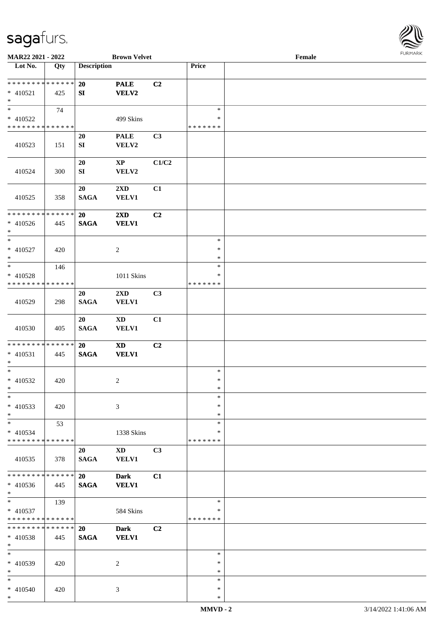

| MAR22 2021 - 2022                       |     |                    | <b>Brown Velvet</b>    |                |               | Female |  |
|-----------------------------------------|-----|--------------------|------------------------|----------------|---------------|--------|--|
| Lot No.                                 | Qty | <b>Description</b> |                        |                | Price         |        |  |
|                                         |     |                    |                        |                |               |        |  |
| **************                          |     | <b>20</b>          | <b>PALE</b>            | C2             |               |        |  |
| $* 410521$                              | 425 | SI                 | <b>VELV2</b>           |                |               |        |  |
| $*$                                     |     |                    |                        |                |               |        |  |
| $\overline{\phantom{a}^*}$              | 74  |                    |                        |                | $\ast$        |        |  |
| * 410522                                |     |                    | 499 Skins              |                | $\ast$        |        |  |
| * * * * * * * * * * * * * *             |     |                    |                        |                | * * * * * * * |        |  |
|                                         |     |                    |                        |                |               |        |  |
|                                         |     | 20                 | <b>PALE</b>            | C <sub>3</sub> |               |        |  |
| 410523                                  | 151 | ${\bf SI}$         | VELV2                  |                |               |        |  |
|                                         |     |                    |                        |                |               |        |  |
|                                         |     | 20                 | $\bold{XP}$            | C1/C2          |               |        |  |
| 410524                                  | 300 | ${\bf SI}$         | VELV2                  |                |               |        |  |
|                                         |     |                    |                        |                |               |        |  |
|                                         |     | 20                 | 2XD                    | C1             |               |        |  |
| 410525                                  | 358 | <b>SAGA</b>        | <b>VELV1</b>           |                |               |        |  |
|                                         |     |                    |                        |                |               |        |  |
| * * * * * * * * * * * * * *             |     | 20                 | 2XD                    | C2             |               |        |  |
| $* 410526$                              | 445 | <b>SAGA</b>        | <b>VELV1</b>           |                |               |        |  |
| $\ast$                                  |     |                    |                        |                |               |        |  |
| $\ast$                                  |     |                    |                        |                | $\ast$        |        |  |
| $* 410527$                              | 420 |                    | $\overline{2}$         |                | $\ast$        |        |  |
| $\ast$                                  |     |                    |                        |                | $\ast$        |        |  |
| $\ast$                                  | 146 |                    |                        |                | $\ast$        |        |  |
|                                         |     |                    |                        |                | *             |        |  |
| * 410528<br>* * * * * * * * * * * * * * |     |                    | $1011$ Skins           |                | * * * * * * * |        |  |
|                                         |     |                    |                        |                |               |        |  |
|                                         |     | 20                 | 2XD                    | C3             |               |        |  |
| 410529                                  | 298 | <b>SAGA</b>        | VELV1                  |                |               |        |  |
|                                         |     |                    |                        |                |               |        |  |
|                                         |     | 20                 | $\mathbf{X}\mathbf{D}$ | C1             |               |        |  |
| 410530                                  | 405 | <b>SAGA</b>        | <b>VELV1</b>           |                |               |        |  |
|                                         |     |                    |                        |                |               |        |  |
| * * * * * * * * * * * * * * *           |     | 20                 | <b>XD</b>              | C <sub>2</sub> |               |        |  |
| $* 410531$                              | 445 | $\mathbf{SAGA}$    | <b>VELV1</b>           |                |               |        |  |
| $*$                                     |     |                    |                        |                |               |        |  |
| $\ast$                                  |     |                    |                        |                | $\ast$        |        |  |
| $* 410532$                              | 420 |                    | $\overline{c}$         |                | $\ast$        |        |  |
| $*$                                     |     |                    |                        |                | $*$           |        |  |
| $\ast$                                  |     |                    |                        |                | $\ast$        |        |  |
| $* 410533$                              | 420 |                    | 3                      |                | ∗             |        |  |
| $\ast$                                  |     |                    |                        |                | $\ast$        |        |  |
| $\ast$                                  | 53  |                    |                        |                | $\ast$        |        |  |
| $* 410534$                              |     |                    | 1338 Skins             |                | *             |        |  |
| * * * * * * * * * * * * * *             |     |                    |                        |                | * * * * * * * |        |  |
|                                         |     |                    |                        |                |               |        |  |
|                                         |     | 20                 | <b>XD</b>              | C3             |               |        |  |
| 410535                                  | 378 | <b>SAGA</b>        | <b>VELV1</b>           |                |               |        |  |
| * * * * * * * * * * * * * *             |     |                    |                        |                |               |        |  |
|                                         |     | 20                 | <b>Dark</b>            | C1             |               |        |  |
| $* 410536$                              | 445 | <b>SAGA</b>        | <b>VELV1</b>           |                |               |        |  |
| $*$                                     |     |                    |                        |                |               |        |  |
| $*$                                     | 139 |                    |                        |                | $\ast$        |        |  |
| $* 410537$                              |     |                    | 584 Skins              |                | *             |        |  |
| * * * * * * * * * * * * * *             |     |                    |                        |                | * * * * * * * |        |  |
| * * * * * * * * * * * * * *             |     | 20                 | <b>Dark</b>            | C <sub>2</sub> |               |        |  |
| * 410538                                | 445 | <b>SAGA</b>        | <b>VELV1</b>           |                |               |        |  |
| $*$                                     |     |                    |                        |                |               |        |  |
| $\ast$                                  |     |                    |                        |                | $\ast$        |        |  |
| * 410539                                | 420 |                    | 2                      |                | ∗             |        |  |
| $\ast$                                  |     |                    |                        |                | $\ast$        |        |  |
| $*$                                     |     |                    |                        |                | $\ast$        |        |  |
| * 410540                                | 420 |                    | 3                      |                | $\ast$        |        |  |
| $*$                                     |     |                    |                        |                | $\ast$        |        |  |
|                                         |     |                    |                        |                |               |        |  |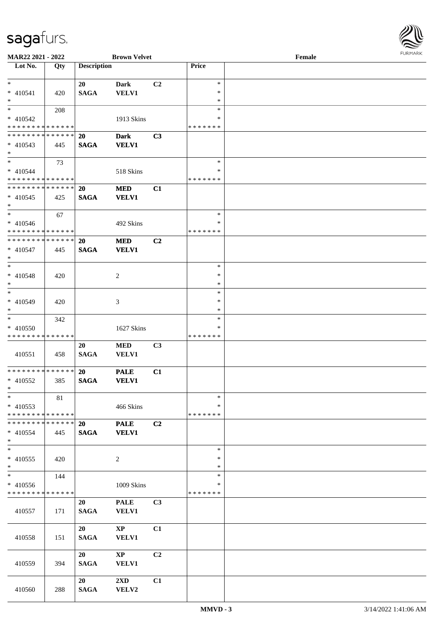

| <b>MAR22 2021 - 2022</b>                   |     |                    | <b>Brown Velvet</b>    |                |               | Female |  |
|--------------------------------------------|-----|--------------------|------------------------|----------------|---------------|--------|--|
| $\overline{\phantom{1}}$ Lot No.           | Qty | <b>Description</b> |                        |                | Price         |        |  |
|                                            |     |                    |                        |                |               |        |  |
| $*$                                        |     | 20                 | <b>Dark</b>            | C2             | $\ast$        |        |  |
| $* 410541$                                 | 420 | <b>SAGA</b>        | <b>VELV1</b>           |                | $\ast$        |        |  |
| $*$                                        |     |                    |                        |                | $\ast$        |        |  |
| $*$                                        | 208 |                    |                        |                | $\ast$        |        |  |
| * 410542                                   |     |                    | 1913 Skins             |                | ∗             |        |  |
| * * * * * * * * * * * * * *                |     |                    |                        |                | *******       |        |  |
| * * * * * * * * <mark>* * * * * * *</mark> |     | <b>20</b>          | <b>Dark</b>            | C <sub>3</sub> |               |        |  |
| $* 410543$                                 | 445 | <b>SAGA</b>        | <b>VELV1</b>           |                |               |        |  |
| $*$                                        |     |                    |                        |                |               |        |  |
| $\overline{\ast}$                          | 73  |                    |                        |                | $\ast$        |        |  |
| $* 410544$                                 |     |                    | 518 Skins              |                | ∗             |        |  |
| * * * * * * * * * * * * * *                |     |                    |                        |                | * * * * * * * |        |  |
| * * * * * * * * <mark>* * * * * * *</mark> |     | <b>20</b>          | <b>MED</b>             | C1             |               |        |  |
| $* 410545$                                 | 425 | <b>SAGA</b>        | <b>VELV1</b>           |                |               |        |  |
| $*$                                        |     |                    |                        |                |               |        |  |
| $*$ $-$                                    | 67  |                    |                        |                | $\ast$        |        |  |
| $* 410546$                                 |     |                    | 492 Skins              |                | $\ast$        |        |  |
| * * * * * * * * * * * * * *                |     |                    |                        |                | * * * * * * * |        |  |
| * * * * * * * * * * * * * *                |     |                    |                        |                |               |        |  |
|                                            |     | 20                 | <b>MED</b>             | C <sub>2</sub> |               |        |  |
| $* 410547$                                 | 445 | <b>SAGA</b>        | <b>VELV1</b>           |                |               |        |  |
| $*$                                        |     |                    |                        |                |               |        |  |
| $*$                                        |     |                    |                        |                | $\ast$        |        |  |
| $* 410548$                                 | 420 |                    | 2                      |                | $\ast$        |        |  |
| $*$                                        |     |                    |                        |                | $\ast$        |        |  |
| $*$                                        |     |                    |                        |                | $\ast$        |        |  |
| * 410549                                   | 420 |                    | 3                      |                | $\ast$        |        |  |
| $*$                                        |     |                    |                        |                | $\ast$        |        |  |
| $*$ $-$                                    | 342 |                    |                        |                | $\ast$        |        |  |
| $* 410550$                                 |     |                    | 1627 Skins             |                | *             |        |  |
| * * * * * * * * * * * * * *                |     |                    |                        |                | * * * * * * * |        |  |
|                                            |     | 20                 | <b>MED</b>             | C <sub>3</sub> |               |        |  |
| 410551                                     | 458 | <b>SAGA</b>        | <b>VELV1</b>           |                |               |        |  |
|                                            |     |                    |                        |                |               |        |  |
| ******** <mark>******</mark>               |     | <b>20</b>          | <b>PALE</b>            | C1             |               |        |  |
| * 410552                                   | 385 | <b>SAGA</b>        | <b>VELV1</b>           |                |               |        |  |
| $*$ $-$                                    |     |                    |                        |                |               |        |  |
| $*$                                        | 81  |                    |                        |                | $\ast$        |        |  |
| * 410553                                   |     |                    | 466 Skins              |                | ∗             |        |  |
| * * * * * * * * * * * * * *                |     |                    |                        |                | * * * * * * * |        |  |
| * * * * * * * * * * * * * * *              |     | 20                 | <b>PALE</b>            | C2             |               |        |  |
| $* 410554$                                 | 445 | <b>SAGA</b>        | <b>VELV1</b>           |                |               |        |  |
| $*$                                        |     |                    |                        |                |               |        |  |
| $*$                                        |     |                    |                        |                | $\ast$        |        |  |
| $* 410555$                                 | 420 |                    | 2                      |                | $\ast$        |        |  |
| $*$                                        |     |                    |                        |                | $\ast$        |        |  |
| $*$                                        | 144 |                    |                        |                | $\ast$        |        |  |
| * 410556                                   |     |                    | 1009 Skins             |                | $\ast$        |        |  |
| * * * * * * * * * * * * * *                |     |                    |                        |                | * * * * * * * |        |  |
|                                            |     | 20                 | <b>PALE</b>            | C <sub>3</sub> |               |        |  |
| 410557                                     | 171 | <b>SAGA</b>        | <b>VELV1</b>           |                |               |        |  |
|                                            |     |                    |                        |                |               |        |  |
|                                            |     | 20                 | $\mathbf{X}\mathbf{P}$ | C1             |               |        |  |
| 410558                                     | 151 | <b>SAGA</b>        | <b>VELV1</b>           |                |               |        |  |
|                                            |     |                    |                        |                |               |        |  |
|                                            |     | 20                 | $\mathbf{X}\mathbf{P}$ | C2             |               |        |  |
|                                            | 394 | <b>SAGA</b>        | VELV1                  |                |               |        |  |
| 410559                                     |     |                    |                        |                |               |        |  |
|                                            |     | 20                 |                        |                |               |        |  |
|                                            |     |                    | $2\rm{XD}$             | C1             |               |        |  |
| 410560                                     | 288 | <b>SAGA</b>        | VELV2                  |                |               |        |  |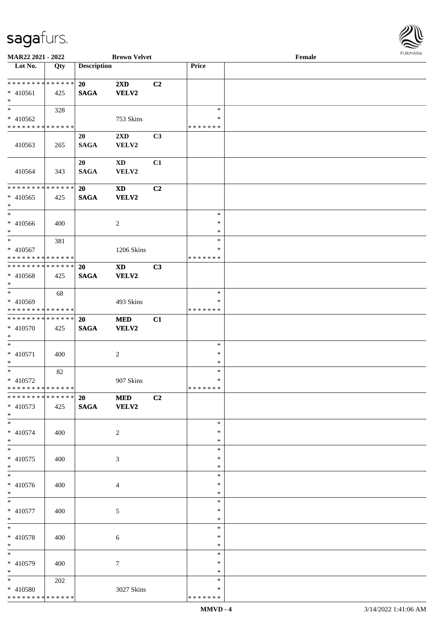

| MAR22 2021 - 2022            |     |                    | <b>Brown Velvet</b>     |                |               | Female |  |
|------------------------------|-----|--------------------|-------------------------|----------------|---------------|--------|--|
| Lot No.                      | Qty | <b>Description</b> |                         |                | Price         |        |  |
|                              |     |                    |                         |                |               |        |  |
| ******** <mark>******</mark> |     | 20                 | 2XD                     | C2             |               |        |  |
| $* 410561$                   | 425 | <b>SAGA</b>        | <b>VELV2</b>            |                |               |        |  |
| $\ast$                       |     |                    |                         |                |               |        |  |
| $*$                          |     |                    |                         |                | $\ast$        |        |  |
|                              | 328 |                    |                         |                |               |        |  |
| * 410562                     |     |                    | 753 Skins               |                | ∗             |        |  |
| * * * * * * * * * * * * * *  |     |                    |                         |                | * * * * * * * |        |  |
|                              |     | 20                 | $2\mathbf{X}\mathbf{D}$ | C3             |               |        |  |
| 410563                       | 265 | <b>SAGA</b>        | VELV2                   |                |               |        |  |
|                              |     |                    |                         |                |               |        |  |
|                              |     | 20                 | <b>XD</b>               | C1             |               |        |  |
| 410564                       | 343 | <b>SAGA</b>        | VELV2                   |                |               |        |  |
|                              |     |                    |                         |                |               |        |  |
| * * * * * * * * * * * * * *  |     | 20                 | <b>XD</b>               | C2             |               |        |  |
|                              |     |                    |                         |                |               |        |  |
| $* 410565$                   | 425 | <b>SAGA</b>        | VELV2                   |                |               |        |  |
| $\ast$                       |     |                    |                         |                |               |        |  |
| $\ast$                       |     |                    |                         |                | $\ast$        |        |  |
| $* 410566$                   | 400 |                    | 2                       |                | $\ast$        |        |  |
| $*$                          |     |                    |                         |                | $\ast$        |        |  |
| $\ast$                       | 381 |                    |                         |                | $\ast$        |        |  |
| $* 410567$                   |     |                    | 1206 Skins              |                | ∗             |        |  |
| * * * * * * * * * * * * * *  |     |                    |                         |                | * * * * * * * |        |  |
| * * * * * * * * * * * * * *  |     | 20                 | <b>XD</b>               | C3             |               |        |  |
| $* 410568$                   | 425 | <b>SAGA</b>        | <b>VELV2</b>            |                |               |        |  |
| $*$                          |     |                    |                         |                |               |        |  |
| $\ast$                       |     |                    |                         |                | $\ast$        |        |  |
|                              | 68  |                    |                         |                | $\ast$        |        |  |
| * 410569                     |     |                    | 493 Skins               |                |               |        |  |
| * * * * * * * * * * * * * *  |     |                    |                         |                | * * * * * * * |        |  |
| * * * * * * * * * * * * * *  |     | 20                 | <b>MED</b>              | C1             |               |        |  |
| * 410570                     | 425 | $\mathbf{SAGA}$    | VELV2                   |                |               |        |  |
| $*$                          |     |                    |                         |                |               |        |  |
| $*$                          |     |                    |                         |                | $\ast$        |        |  |
| $* 410571$                   | 400 |                    | $\overline{c}$          |                | $\ast$        |        |  |
| $*$                          |     |                    |                         |                | $\ast$        |        |  |
| $\ast$                       | 82  |                    |                         |                | $\ast$        |        |  |
| $* 410572$                   |     |                    | 907 Skins               |                | $\ast$        |        |  |
| **************               |     |                    |                         |                | *******       |        |  |
| ******** <mark>******</mark> |     | <b>20 MED</b>      |                         | C <sub>2</sub> |               |        |  |
| $* 410573$                   | 425 | SAGA VELV2         |                         |                |               |        |  |
|                              |     |                    |                         |                |               |        |  |
| $*$<br>$*$                   |     |                    |                         |                |               |        |  |
|                              |     |                    |                         |                | $\ast$        |        |  |
| $* 410574$                   | 400 |                    | 2                       |                | ∗             |        |  |
| $*$                          |     |                    |                         |                | $\ast$        |        |  |
| $*$                          |     |                    |                         |                | $\ast$        |        |  |
| * 410575                     | 400 |                    | 3                       |                | $\ast$        |        |  |
| $*$                          |     |                    |                         |                | $\ast$        |        |  |
| $\overline{\phantom{0}}$     |     |                    |                         |                | $\ast$        |        |  |
| * 410576                     | 400 |                    | 4                       |                | $\ast$        |        |  |
| $*$                          |     |                    |                         |                | $\ast$        |        |  |
| $*$                          |     |                    |                         |                | $\ast$        |        |  |
| $* 410577$                   | 400 |                    | 5                       |                | $\ast$        |        |  |
| $*$                          |     |                    |                         |                | $\ast$        |        |  |
| $\ast$                       |     |                    |                         |                | $\ast$        |        |  |
|                              |     |                    |                         |                |               |        |  |
| $* 410578$                   | 400 |                    | 6                       |                | $\ast$        |        |  |
| $*$                          |     |                    |                         |                | $\ast$        |        |  |
| $\overline{\phantom{0}}$     |     |                    |                         |                | $\ast$        |        |  |
| * 410579                     | 400 |                    | $\tau$                  |                | ∗             |        |  |
| $*$                          |     |                    |                         |                | $\ast$        |        |  |
| $*$                          | 202 |                    |                         |                | $\ast$        |        |  |
| * 410580                     |     |                    | 3027 Skins              |                | ∗             |        |  |
| * * * * * * * * * * * * * *  |     |                    |                         |                | * * * * * * * |        |  |
|                              |     |                    |                         |                |               |        |  |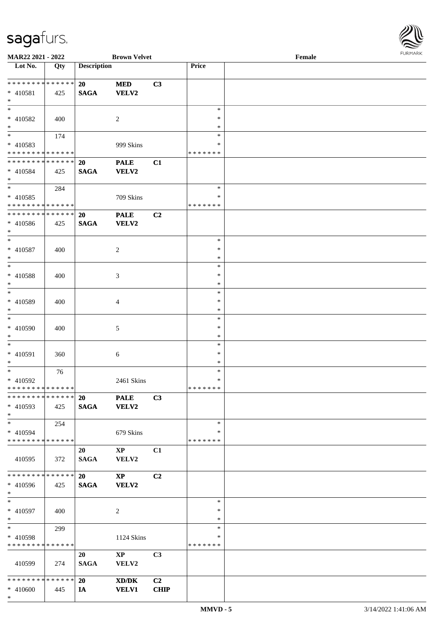

| MAR22 2021 - 2022                |                   |                    | <b>Brown Velvet</b>    |             |               | Female | . 0.13. 0.03. 0.002 |
|----------------------------------|-------------------|--------------------|------------------------|-------------|---------------|--------|---------------------|
| $\overline{\phantom{1}}$ Lot No. | $\overline{Q}$ ty | <b>Description</b> |                        |             | Price         |        |                     |
| * * * * * * * * * * * * * *      |                   | 20                 | <b>MED</b>             | C3          |               |        |                     |
|                                  |                   |                    |                        |             |               |        |                     |
| * 410581<br>$*$                  | 425               | <b>SAGA</b>        | <b>VELV2</b>           |             |               |        |                     |
| $\overline{\phantom{0}}$         |                   |                    |                        |             |               |        |                     |
|                                  |                   |                    |                        |             | $\ast$        |        |                     |
| $* 410582$                       | 400               |                    | $\overline{c}$         |             | $\ast$        |        |                     |
| $*$                              |                   |                    |                        |             | $\ast$        |        |                     |
| $*$                              | 174               |                    |                        |             | ∗             |        |                     |
| $* 410583$                       |                   |                    | 999 Skins              |             | ∗             |        |                     |
| * * * * * * * * * * * * * *      |                   |                    |                        |             | * * * * * * * |        |                     |
| * * * * * * * * * * * * * *      |                   | 20                 | <b>PALE</b>            | C1          |               |        |                     |
| * 410584                         | 425               | <b>SAGA</b>        | <b>VELV2</b>           |             |               |        |                     |
| $*$                              |                   |                    |                        |             |               |        |                     |
| $\ast$                           | 284               |                    |                        |             | $\ast$        |        |                     |
| $* 410585$                       |                   |                    | 709 Skins              |             | ∗             |        |                     |
| * * * * * * * * * * * * * *      |                   |                    |                        |             | * * * * * * * |        |                     |
| * * * * * * * * * * * * * *      |                   | 20                 | <b>PALE</b>            | C2          |               |        |                     |
| * 410586                         | 425               | <b>SAGA</b>        | <b>VELV2</b>           |             |               |        |                     |
| $*$                              |                   |                    |                        |             |               |        |                     |
| $*$                              |                   |                    |                        |             | $\ast$        |        |                     |
| $* 410587$                       | 400               |                    |                        |             | ∗             |        |                     |
| $*$                              |                   |                    | $\overline{2}$         |             | $\ast$        |        |                     |
| $\ast$                           |                   |                    |                        |             | $\ast$        |        |                     |
|                                  |                   |                    |                        |             |               |        |                     |
| * 410588                         | 400               |                    | 3                      |             | $\ast$        |        |                     |
| $\ast$                           |                   |                    |                        |             | $\ast$        |        |                     |
| $*$                              |                   |                    |                        |             | $\ast$        |        |                     |
| * 410589                         | 400               |                    | 4                      |             | $\ast$        |        |                     |
| $*$                              |                   |                    |                        |             | $\ast$        |        |                     |
| $*$                              |                   |                    |                        |             | $\ast$        |        |                     |
| $* 410590$                       | 400               |                    | 5                      |             | ∗             |        |                     |
| $*$                              |                   |                    |                        |             | ∗             |        |                     |
| $\ast$                           |                   |                    |                        |             | $\ast$        |        |                     |
| $* 410591$                       | 360               |                    | 6                      |             | $\ast$        |        |                     |
| $*$                              |                   |                    |                        |             | $\ast$        |        |                     |
| $*$                              | 76                |                    |                        |             | $\ast$        |        |                     |
| * 410592                         |                   |                    | 2461 Skins             |             | $\ast$        |        |                     |
| * * * * * * * * * * * * * * *    |                   |                    |                        |             | *******       |        |                     |
| * * * * * * * * * * * * * *      |                   | <b>20</b>          | <b>PALE</b>            | C3          |               |        |                     |
| * 410593                         | 425               | <b>SAGA</b>        | VELV2                  |             |               |        |                     |
| $*$                              |                   |                    |                        |             |               |        |                     |
| $\ast$                           | 254               |                    |                        |             | $\ast$        |        |                     |
| * 410594                         |                   |                    | 679 Skins              |             | ∗             |        |                     |
| * * * * * * * * * * * * * *      |                   |                    |                        |             | * * * * * * * |        |                     |
|                                  |                   |                    |                        |             |               |        |                     |
|                                  |                   | 20                 | $\mathbf{X}\mathbf{P}$ | C1          |               |        |                     |
| 410595                           | 372               | <b>SAGA</b>        | VELV2                  |             |               |        |                     |
|                                  |                   |                    |                        |             |               |        |                     |
| * * * * * * * * * * * * * *      |                   | 20                 | $\mathbf{X}\mathbf{P}$ | C2          |               |        |                     |
| $* 410596$                       | 425               | <b>SAGA</b>        | VELV2                  |             |               |        |                     |
| $*$                              |                   |                    |                        |             |               |        |                     |
| $\ast$                           |                   |                    |                        |             | $\ast$        |        |                     |
| * 410597                         | 400               |                    | 2                      |             | $\ast$        |        |                     |
| $*$                              |                   |                    |                        |             | $\ast$        |        |                     |
| $*$                              | 299               |                    |                        |             | $\ast$        |        |                     |
| * 410598                         |                   |                    | 1124 Skins             |             | ∗             |        |                     |
| * * * * * * * * * * * * * *      |                   |                    |                        |             | * * * * * * * |        |                     |
|                                  |                   | 20                 | $\mathbf{X}\mathbf{P}$ | C3          |               |        |                     |
| 410599                           | 274               | <b>SAGA</b>        | VELV2                  |             |               |        |                     |
|                                  |                   |                    |                        |             |               |        |                     |
| * * * * * * * * * * * * * * *    |                   | <b>20</b>          | XD/DK                  | C2          |               |        |                     |
| $* 410600$                       | 445               | IA                 | <b>VELV1</b>           | <b>CHIP</b> |               |        |                     |
| $*$                              |                   |                    |                        |             |               |        |                     |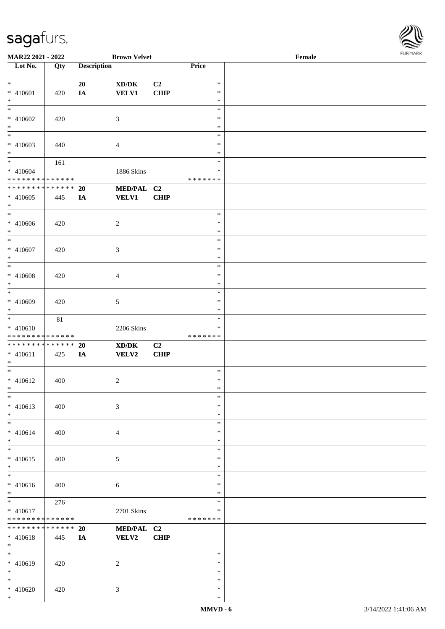\*



| <b>MAR22 2021 - 2022</b>                   |     |                    | <b>Brown Velvet</b>                         |                |         | Female |  |
|--------------------------------------------|-----|--------------------|---------------------------------------------|----------------|---------|--------|--|
| Lot No.                                    | Qty | <b>Description</b> |                                             |                | Price   |        |  |
|                                            |     |                    |                                             |                |         |        |  |
| $*$                                        |     | 20                 | XD/DK                                       | C <sub>2</sub> | $\ast$  |        |  |
| * 410601                                   | 420 | IA                 | <b>VELV1</b>                                | CHIP           | $\ast$  |        |  |
| $*$                                        |     |                    |                                             |                | $\ast$  |        |  |
| $\overline{\ast}$                          |     |                    |                                             |                | $\ast$  |        |  |
|                                            |     |                    |                                             |                |         |        |  |
| * 410602                                   | 420 |                    | 3                                           |                | $\ast$  |        |  |
| $*$                                        |     |                    |                                             |                | $\ast$  |        |  |
| $\overline{\phantom{0}}$                   |     |                    |                                             |                | $\ast$  |        |  |
| * 410603                                   | 440 |                    | $\overline{4}$                              |                | $\ast$  |        |  |
| $*$                                        |     |                    |                                             |                | $\ast$  |        |  |
| $*$                                        | 161 |                    |                                             |                | $\ast$  |        |  |
| * 410604                                   |     |                    | 1886 Skins                                  |                | $\ast$  |        |  |
| * * * * * * * * * * * * * *                |     |                    |                                             |                | ******* |        |  |
| * * * * * * * * <mark>* * * * * * *</mark> |     |                    |                                             |                |         |        |  |
|                                            |     | 20                 | MED/PAL C2                                  |                |         |        |  |
| $* 410605$                                 | 445 | IA                 | <b>VELV1</b>                                | <b>CHIP</b>    |         |        |  |
| $*$                                        |     |                    |                                             |                |         |        |  |
|                                            |     |                    |                                             |                | $\ast$  |        |  |
| * 410606                                   | 420 |                    | $\sqrt{2}$                                  |                | $\ast$  |        |  |
| $*$                                        |     |                    |                                             |                | $\ast$  |        |  |
|                                            |     |                    |                                             |                | $\ast$  |        |  |
| $* 410607$                                 | 420 |                    | 3                                           |                | $\ast$  |        |  |
| $*$                                        |     |                    |                                             |                | $\ast$  |        |  |
| $*$                                        |     |                    |                                             |                | $\ast$  |        |  |
|                                            |     |                    |                                             |                |         |        |  |
| * 410608                                   | 420 |                    | 4                                           |                | $\ast$  |        |  |
| $*$                                        |     |                    |                                             |                | $\ast$  |        |  |
| $\overline{\phantom{0}}$                   |     |                    |                                             |                | $\ast$  |        |  |
| * 410609                                   | 420 |                    | $5\,$                                       |                | $\ast$  |        |  |
| $*$                                        |     |                    |                                             |                | $\ast$  |        |  |
|                                            | 81  |                    |                                             |                | $\ast$  |        |  |
| $* 410610$                                 |     |                    | 2206 Skins                                  |                | $\ast$  |        |  |
| * * * * * * * * * * * * * *                |     |                    |                                             |                | ******* |        |  |
| * * * * * * * * * * * * * *                |     | 20                 | $\mathbf{X}\mathbf{D}/\mathbf{D}\mathbf{K}$ | C2             |         |        |  |
|                                            |     |                    |                                             |                |         |        |  |
| $* 410611$                                 | 425 | IA                 | <b>VELV2</b>                                | CHIP           |         |        |  |
| $\ast$                                     |     |                    |                                             |                |         |        |  |
| $*$                                        |     |                    |                                             |                | $\ast$  |        |  |
| * 410612                                   | 400 |                    | $\overline{c}$                              |                | $\ast$  |        |  |
| $*$                                        |     |                    |                                             |                | $\ast$  |        |  |
| $*$                                        |     |                    |                                             |                | $\ast$  |        |  |
| $* 410613$                                 | 400 |                    | $\mathfrak{Z}$                              |                | $\ast$  |        |  |
| $*$                                        |     |                    |                                             |                | $\ast$  |        |  |
| $*$                                        |     |                    |                                             |                | $\ast$  |        |  |
| $* 410614$                                 | 400 |                    | $\overline{4}$                              |                | $\ast$  |        |  |
| $*$                                        |     |                    |                                             |                | $\ast$  |        |  |
| $*$                                        |     |                    |                                             |                | $\ast$  |        |  |
|                                            |     |                    |                                             |                |         |        |  |
| $* 410615$                                 | 400 |                    | $\mathfrak{S}$                              |                | $\ast$  |        |  |
| $*$                                        |     |                    |                                             |                | $\ast$  |        |  |
| $*$                                        |     |                    |                                             |                | $\ast$  |        |  |
| * 410616                                   | 400 |                    | $\boldsymbol{6}$                            |                | $\ast$  |        |  |
| $*$                                        |     |                    |                                             |                | $\ast$  |        |  |
|                                            | 276 |                    |                                             |                | $\ast$  |        |  |
| $* 410617$                                 |     |                    | 2701 Skins                                  |                | $\ast$  |        |  |
| * * * * * * * * <mark>* * * * * * *</mark> |     |                    |                                             |                | ******* |        |  |
| * * * * * * * * * * * * * *                |     | <b>20</b>          | MED/PAL C2                                  |                |         |        |  |
|                                            |     |                    | VELV2                                       | <b>CHIP</b>    |         |        |  |
| * 410618                                   | 445 | IA                 |                                             |                |         |        |  |
| $*$                                        |     |                    |                                             |                |         |        |  |
| $*$                                        |     |                    |                                             |                | $\ast$  |        |  |
| * 410619                                   | 420 |                    | 2                                           |                | $\ast$  |        |  |
| $*$                                        |     |                    |                                             |                | $\ast$  |        |  |
| $*$                                        |     |                    |                                             |                | $\ast$  |        |  |
| * 410620                                   | 420 |                    | $\mathbf{3}$                                |                | $\ast$  |        |  |
| $*$                                        |     |                    |                                             |                | $\ast$  |        |  |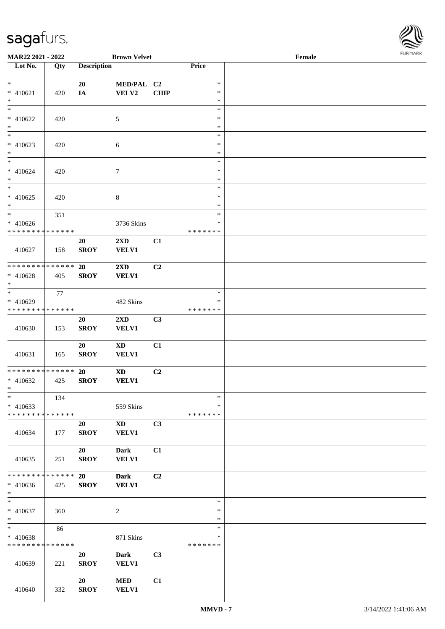

| <b>MAR22 2021 - 2022</b>      |                 |                    | <b>Brown Velvet</b>     |                |               | Female |  |
|-------------------------------|-----------------|--------------------|-------------------------|----------------|---------------|--------|--|
| Lot No.                       | Qty             | <b>Description</b> |                         |                | Price         |        |  |
|                               |                 |                    |                         |                |               |        |  |
| $*$                           |                 | 20                 | MED/PAL C2              |                | $\ast$        |        |  |
| $* 410621$                    | 420             | IA                 | ${\bf VELV2}$           | <b>CHIP</b>    | $\ast$        |        |  |
| $*$                           |                 |                    |                         |                | $\ast$        |        |  |
|                               |                 |                    |                         |                | $\ast$        |        |  |
| * 410622                      | 420             |                    | 5                       |                | $\ast$        |        |  |
| $*$                           |                 |                    |                         |                | $\ast$        |        |  |
|                               |                 |                    |                         |                | $\ast$        |        |  |
| $* 410623$                    | 420             |                    | 6                       |                | $\ast$        |        |  |
| $*$                           |                 |                    |                         |                | $\ast$        |        |  |
| $*$                           |                 |                    |                         |                | $\ast$        |        |  |
| $* 410624$                    | 420             |                    | $\boldsymbol{7}$        |                | $\ast$        |        |  |
| $*$                           |                 |                    |                         |                | $\ast$        |        |  |
|                               |                 |                    |                         |                | $\ast$        |        |  |
| $* 410625$                    | 420             |                    | $\,8\,$                 |                | $\ast$        |        |  |
| $*$                           |                 |                    |                         |                | $\ast$        |        |  |
| $*$                           | 351             |                    |                         |                | $\ast$        |        |  |
| $* 410626$                    |                 |                    | 3736 Skins              |                | $\ast$        |        |  |
| * * * * * * * * * * * * * * * |                 |                    |                         |                | * * * * * * * |        |  |
|                               |                 | 20                 | $2\mathbf{X}\mathbf{D}$ | C1             |               |        |  |
| 410627                        | 158             | <b>SROY</b>        | <b>VELV1</b>            |                |               |        |  |
|                               |                 |                    |                         |                |               |        |  |
| * * * * * * * * * * * * * * * |                 | 20                 | $2\mathbf{X}\mathbf{D}$ | C2             |               |        |  |
| $* 410628$                    | 405             | <b>SROY</b>        | <b>VELV1</b>            |                |               |        |  |
| $\ast$                        |                 |                    |                         |                |               |        |  |
| $*$                           | 77              |                    |                         |                | $\ast$        |        |  |
| $* 410629$                    |                 |                    | 482 Skins               |                | $\ast$        |        |  |
| * * * * * * * * * * * * * *   |                 |                    |                         |                | *******       |        |  |
|                               |                 | 20                 | $2\mathbf{X}\mathbf{D}$ | C3             |               |        |  |
| 410630                        | 153             | <b>SROY</b>        | <b>VELV1</b>            |                |               |        |  |
|                               |                 |                    |                         |                |               |        |  |
|                               |                 | 20                 | <b>XD</b>               | C1             |               |        |  |
| 410631                        | 165             | <b>SROY</b>        | <b>VELV1</b>            |                |               |        |  |
|                               |                 |                    |                         |                |               |        |  |
| * * * * * * * * * * * * * * * |                 | 20                 | <b>XD</b>               | C2             |               |        |  |
| $* 410632$                    | 425             | <b>SROY</b>        | <b>VELV1</b>            |                |               |        |  |
| $*$                           |                 |                    |                         |                |               |        |  |
| $\ast$                        | 134             |                    |                         |                | $\ast$        |        |  |
| $* 410633$                    |                 |                    | 559 Skins               |                | ∗             |        |  |
| * * * * * * * * * * * * * * * |                 |                    |                         |                | * * * * * * * |        |  |
|                               |                 | 20                 | $\mathbf{X}\mathbf{D}$  | C3             |               |        |  |
| 410634                        | 177             | <b>SROY</b>        | <b>VELV1</b>            |                |               |        |  |
|                               |                 |                    |                         |                |               |        |  |
|                               |                 | 20                 | <b>Dark</b>             | C1             |               |        |  |
| 410635                        | 251             | <b>SROY</b>        | <b>VELV1</b>            |                |               |        |  |
|                               |                 |                    |                         |                |               |        |  |
| * * * * * * * *               | $* * * * * * *$ | 20                 | <b>Dark</b>             | C <sub>2</sub> |               |        |  |
| $* 410636$                    | 425             | <b>SROY</b>        | <b>VELV1</b>            |                |               |        |  |
| $*$                           |                 |                    |                         |                |               |        |  |
| $*$                           |                 |                    |                         |                | $\ast$        |        |  |
| $* 410637$                    | 360             |                    | $\overline{c}$          |                | $\ast$        |        |  |
| $*$                           |                 |                    |                         |                | $\ast$        |        |  |
| $*$                           | 86              |                    |                         |                | $\ast$        |        |  |
| * 410638                      |                 |                    | 871 Skins               |                | $\ast$        |        |  |
| * * * * * * * * * * * * * *   |                 |                    |                         |                | *******       |        |  |
|                               |                 |                    |                         | C3             |               |        |  |
|                               |                 | 20                 | Dark                    |                |               |        |  |
| 410639                        | 221             | <b>SROY</b>        | <b>VELV1</b>            |                |               |        |  |
|                               |                 |                    |                         |                |               |        |  |
|                               |                 | 20                 | <b>MED</b>              | C1             |               |        |  |
| 410640                        | 332             | <b>SROY</b>        | <b>VELV1</b>            |                |               |        |  |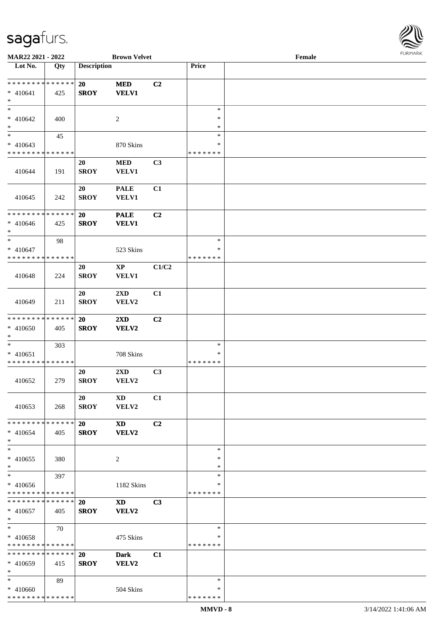

| MAR22 2021 - 2022                                    |     |                          | <b>Brown Velvet</b>             |                |                                   | Female | 101111111111 |
|------------------------------------------------------|-----|--------------------------|---------------------------------|----------------|-----------------------------------|--------|--------------|
| Lot No.                                              | Qty | <b>Description</b>       |                                 |                | Price                             |        |              |
| * * * * * * * * * * * * * *<br>$* 410641$<br>$\ast$  | 425 | 20<br><b>SROY</b>        | $\bf MED$<br><b>VELV1</b>       | C <sub>2</sub> |                                   |        |              |
| $\ast$<br>$* 410642$<br>$\ast$                       | 400 |                          | $\overline{c}$                  |                | $\ast$<br>$\ast$<br>$\ast$        |        |              |
| $_{*}$<br>$* 410643$<br>* * * * * * * * * * * * * *  | 45  |                          | 870 Skins                       |                | $\ast$<br>∗<br>* * * * * * *      |        |              |
| 410644                                               | 191 | 20<br><b>SROY</b>        | $\bf MED$<br>VELV1              | C3             |                                   |        |              |
| 410645                                               | 242 | 20<br><b>SROY</b>        | <b>PALE</b><br>VELV1            | C1             |                                   |        |              |
| ******** <mark>******</mark><br>$* 410646$<br>$\ast$ | 425 | 20<br><b>SROY</b>        | <b>PALE</b><br><b>VELV1</b>     | C <sub>2</sub> |                                   |        |              |
| $\ast$<br>$* 410647$<br>* * * * * * * * * * * * * *  | 98  |                          | 523 Skins                       |                | $\ast$<br>$\ast$<br>* * * * * * * |        |              |
| 410648                                               | 224 | 20<br><b>SROY</b>        | $\mathbf{XP}$<br>VELV1          | C1/C2          |                                   |        |              |
| 410649                                               | 211 | 20<br><b>SROY</b>        | 2XD<br>VELV2                    | C1             |                                   |        |              |
| * * * * * * * * * * * * * *<br>$* 410650$<br>$\ast$  | 405 | 20<br><b>SROY</b>        | 2XD<br>VELV2                    | C <sub>2</sub> |                                   |        |              |
| $\ast$<br>$* 410651$<br>* * * * * * * * * * * * * *  | 303 |                          | 708 Skins                       |                | $\ast$<br>$\ast$<br>* * * * * * * |        |              |
| 410652                                               | 279 | 20<br><b>SROY</b>        | $2{\bf X}{\bf D}$<br>VELV2      | C3             |                                   |        |              |
| 410653                                               | 268 | 20<br><b>SROY</b>        | $\mathbf{X}\mathbf{D}$<br>VELV2 | C1             |                                   |        |              |
| * * * * * * * * * * * * * *<br>$* 410654$<br>$\ast$  | 405 | <b>20</b><br><b>SROY</b> | <b>XD</b><br>VELV2              | C <sub>2</sub> |                                   |        |              |
| $\ast$<br>$* 410655$<br>$\ast$                       | 380 |                          | 2                               |                | $\ast$<br>∗<br>$\ast$             |        |              |
| $\ast$<br>$* 410656$<br>* * * * * * * * * * * * * *  | 397 |                          | 1182 Skins                      |                | $\ast$<br>$\ast$<br>* * * * * * * |        |              |
| * * * * * * * * * * * * * * *<br>$* 410657$<br>$*$   | 405 | <b>20</b><br><b>SROY</b> | <b>XD</b><br>VELV2              | C <sub>3</sub> |                                   |        |              |
| $\ast$<br>* 410658<br>* * * * * * * * * * * * * *    | 70  |                          | 475 Skins                       |                | $\ast$<br>∗<br>* * * * * * *      |        |              |
| * * * * * * * * * * * * * *<br>$* 410659$<br>$*$     | 415 | 20<br><b>SROY</b>        | <b>Dark</b><br>VELV2            | C1             |                                   |        |              |
| $*$<br>* 410660<br>* * * * * * * * * * * * * *       | 89  |                          | 504 Skins                       |                | ∗<br>∗<br>* * * * * * *           |        |              |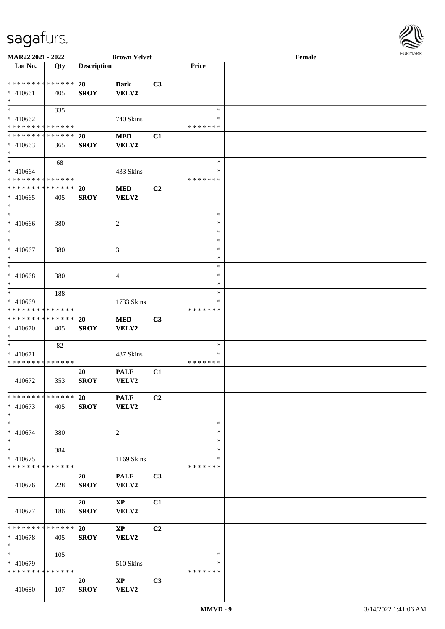

| MAR22 2021 - 2022             |     |                    | <b>Brown Velvet</b>    |                |               | Female |
|-------------------------------|-----|--------------------|------------------------|----------------|---------------|--------|
| Lot No.                       | Qty | <b>Description</b> |                        |                | Price         |        |
|                               |     |                    |                        |                |               |        |
| ******** <mark>******</mark>  |     | 20                 | Dark                   | C3             |               |        |
| * 410661                      | 405 | <b>SROY</b>        | VELV2                  |                |               |        |
| $*$                           |     |                    |                        |                |               |        |
| $*$                           | 335 |                    |                        |                | $\ast$        |        |
| * 410662                      |     |                    | 740 Skins              |                | ∗             |        |
| * * * * * * * * * * * * * *   |     |                    |                        |                | * * * * * * * |        |
| * * * * * * * * * * * * * *   |     | <b>20</b>          | <b>MED</b>             | C1             |               |        |
|                               |     |                    |                        |                |               |        |
| $* 410663$                    | 365 | <b>SROY</b>        | VELV2                  |                |               |        |
| $*$                           |     |                    |                        |                |               |        |
| $*$                           | 68  |                    |                        |                | $\ast$        |        |
| $* 410664$                    |     |                    | 433 Skins              |                | $\ast$        |        |
| * * * * * * * * * * * * * *   |     |                    |                        |                | *******       |        |
| * * * * * * * * * * * * * *   |     | 20                 | <b>MED</b>             | C2             |               |        |
| $* 410665$                    | 405 | <b>SROY</b>        | VELV2                  |                |               |        |
| $\ast$                        |     |                    |                        |                |               |        |
| $*$                           |     |                    |                        |                | $\ast$        |        |
| $* 410666$                    | 380 |                    | 2                      |                | $\ast$        |        |
| $*$                           |     |                    |                        |                | $\ast$        |        |
| $\ast$                        |     |                    |                        |                | $\ast$        |        |
| $* 410667$                    | 380 |                    | 3                      |                | $\ast$        |        |
| $\ast$                        |     |                    |                        |                | $\ast$        |        |
| $*$                           |     |                    |                        |                | $\ast$        |        |
|                               |     |                    |                        |                | $\ast$        |        |
| $* 410668$                    | 380 |                    | 4                      |                |               |        |
| $*$                           |     |                    |                        |                | ∗             |        |
| $*$                           | 188 |                    |                        |                | $\ast$        |        |
| * 410669                      |     |                    | 1733 Skins             |                | ∗             |        |
| * * * * * * * * * * * * * *   |     |                    |                        |                | * * * * * * * |        |
| * * * * * * * * * * * * * *   |     | <b>20</b>          | <b>MED</b>             | C3             |               |        |
| * 410670                      | 405 | <b>SROY</b>        | VELV2                  |                |               |        |
| $*$                           |     |                    |                        |                |               |        |
| $*$                           | 82  |                    |                        |                | $\ast$        |        |
| * 410671                      |     |                    | 487 Skins              |                | ∗             |        |
| * * * * * * * * * * * * * *   |     |                    |                        |                | *******       |        |
|                               |     | 20                 | <b>PALE</b>            | C1             |               |        |
| 410672                        | 353 | <b>SROY</b>        | VELV2                  |                |               |        |
|                               |     |                    |                        |                |               |        |
| * * * * * * * * * * * * * * * |     | 20                 | <b>PALE</b>            | C <sub>2</sub> |               |        |
| $* 410673$                    | 405 | <b>SROY</b>        | VELV2                  |                |               |        |
| $*$                           |     |                    |                        |                |               |        |
| $*$                           |     |                    |                        |                | $\ast$        |        |
|                               |     |                    |                        |                |               |        |
| $* 410674$                    | 380 |                    | 2                      |                | $\ast$        |        |
| $*$                           |     |                    |                        |                | $\ast$        |        |
| $*$                           | 384 |                    |                        |                | $\ast$        |        |
| $* 410675$                    |     |                    | 1169 Skins             |                | $\ast$        |        |
| * * * * * * * * * * * * * *   |     |                    |                        |                | * * * * * * * |        |
|                               |     | 20                 | <b>PALE</b>            | C <sub>3</sub> |               |        |
| 410676                        | 228 | <b>SROY</b>        | VELV2                  |                |               |        |
|                               |     |                    |                        |                |               |        |
|                               |     | 20                 | $\mathbf{X}\mathbf{P}$ | C1             |               |        |
| 410677                        | 186 | <b>SROY</b>        | VELV2                  |                |               |        |
|                               |     |                    |                        |                |               |        |
| ******** <mark>******</mark>  |     | <b>20</b>          | $\mathbf{X}\mathbf{P}$ | C2             |               |        |
| $* 410678$                    | 405 | <b>SROY</b>        | VELV2                  |                |               |        |
| $*$                           |     |                    |                        |                |               |        |
| $*$                           | 105 |                    |                        |                | $\ast$        |        |
|                               |     |                    |                        |                | ∗             |        |
| * 410679                      |     |                    | 510 Skins              |                |               |        |
| * * * * * * * * * * * * * *   |     |                    |                        |                | * * * * * * * |        |
|                               |     | 20                 | $\mathbf{X}\mathbf{P}$ | C3             |               |        |
| 410680                        | 107 | <b>SROY</b>        | VELV2                  |                |               |        |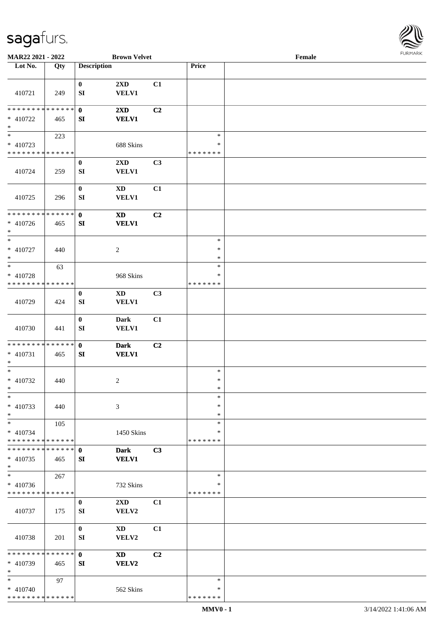

| MAR22 2021 - 2022                         |             |                        | <b>Brown Velvet</b>                    |                |                    | Female |  |
|-------------------------------------------|-------------|------------------------|----------------------------------------|----------------|--------------------|--------|--|
| Lot No.                                   | Qty         | <b>Description</b>     |                                        |                | Price              |        |  |
|                                           |             |                        |                                        |                |                    |        |  |
| 410721                                    | 249         | $\bf{0}$<br>SI         | 2XD<br><b>VELV1</b>                    | C1             |                    |        |  |
| * * * * * * * * * * * * * *               |             | $\mathbf{0}$           | $2\mathbf{X}\mathbf{D}$                | C <sub>2</sub> |                    |        |  |
| $* 410722$<br>$\ast$                      | 465         | SI                     | <b>VELV1</b>                           |                |                    |        |  |
| $_{\ast}$                                 | 223         |                        |                                        |                | $\ast$             |        |  |
| $* 410723$                                |             |                        | 688 Skins                              |                | $\ast$             |        |  |
| * * * * * * * * * * * * * *               |             |                        |                                        |                | * * * * * * *      |        |  |
|                                           |             | $\bf{0}$               | 2XD                                    | C3             |                    |        |  |
| 410724                                    | 259         | ${\bf SI}$             | <b>VELV1</b>                           |                |                    |        |  |
|                                           |             | $\bf{0}$               | $\mathbf{X}\mathbf{D}$                 | C1             |                    |        |  |
| 410725                                    | 296         | SI                     | <b>VELV1</b>                           |                |                    |        |  |
| * * * * * * * * * * * * * *               |             | $\mathbf 0$            | $\mathbf{X}\mathbf{D}$                 | C2             |                    |        |  |
| $* 410726$<br>$\ast$                      | 465         | SI                     | <b>VELV1</b>                           |                |                    |        |  |
| $\ast$                                    |             |                        |                                        |                | $\ast$             |        |  |
| * 410727<br>$\ast$                        | 440         |                        | $\overline{c}$                         |                | $\ast$<br>$\ast$   |        |  |
| $\ast$                                    | 63          |                        |                                        |                | $\ast$             |        |  |
| * 410728                                  |             |                        | 968 Skins                              |                | ∗                  |        |  |
| * * * * * * * * * * * * * *               |             |                        |                                        |                | * * * * * * *      |        |  |
| 410729                                    | 424         | $\bf{0}$<br>${\bf SI}$ | $\mathbf{X}\mathbf{D}$<br><b>VELV1</b> | C3             |                    |        |  |
| 410730                                    | 441         | $\bf{0}$<br>SI         | <b>Dark</b><br><b>VELV1</b>            | C1             |                    |        |  |
| * * * * * * * * * * * * * * *             |             | $\mathbf{0}$           | <b>Dark</b>                            | C <sub>2</sub> |                    |        |  |
| $* 410731$<br>$\ast$                      | 465         | SI                     | <b>VELV1</b>                           |                |                    |        |  |
| $\ast$                                    |             |                        |                                        |                | $\ast$             |        |  |
| $* 410732$                                | 440         |                        | $\overline{c}$                         |                | $\ast$             |        |  |
| $*$                                       |             |                        |                                        |                | $\ast$             |        |  |
| $\ast$                                    |             |                        |                                        |                | $\ast$             |        |  |
| * 410733                                  | 440         |                        | 3                                      |                | $\ast$             |        |  |
| $\ast$                                    |             |                        |                                        |                | $\ast$             |        |  |
| $\ast$                                    | 105         |                        |                                        |                | $\ast$             |        |  |
| $* 410734$                                |             |                        | 1450 Skins                             |                | ∗                  |        |  |
| * * * * * * * * * * * * * *               |             |                        |                                        |                | * * * * * * *      |        |  |
| * * * * * * * * * * * * * *<br>$* 410735$ | 465         | $\mathbf 0$<br>SI      | <b>Dark</b><br><b>VELV1</b>            | C3             |                    |        |  |
| $\ast$                                    |             |                        |                                        |                |                    |        |  |
| $\ast$                                    | 267         |                        |                                        |                | $\ast$             |        |  |
| $* 410736$<br>* * * * * * * * * * * * * * |             |                        | 732 Skins                              |                | ∗<br>* * * * * * * |        |  |
|                                           |             | $\bf{0}$               | 2XD                                    | C1             |                    |        |  |
| 410737                                    | 175         | SI                     | VELV2                                  |                |                    |        |  |
|                                           |             | $\bf{0}$               | <b>XD</b>                              | C1             |                    |        |  |
| 410738                                    | 201         | SI                     | VELV2                                  |                |                    |        |  |
| * * * * * * * *                           | * * * * * * | $\mathbf{0}$           | <b>XD</b>                              | C <sub>2</sub> |                    |        |  |
| * 410739<br>$\ast$                        | 465         | SI                     | VELV2                                  |                |                    |        |  |
| $\ast$                                    | 97          |                        |                                        |                | $\ast$             |        |  |
| $* 410740$                                |             |                        | 562 Skins                              |                | ∗                  |        |  |
| * * * * * * * * * * * * * *               |             |                        |                                        |                | * * * * * * *      |        |  |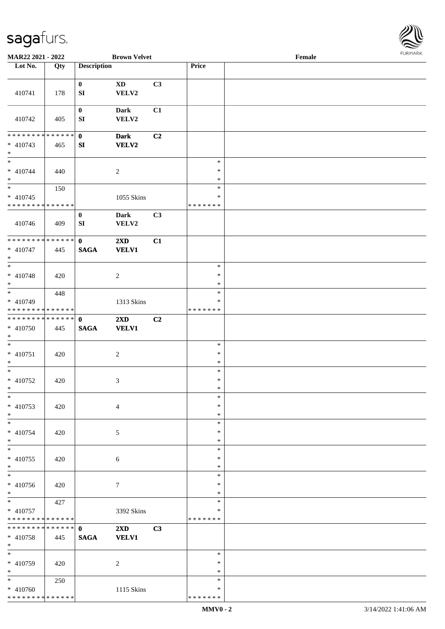

| MAR22 2021 - 2022                                     |     |                             | <b>Brown Velvet</b>                     |                |                                   | Female |  |
|-------------------------------------------------------|-----|-----------------------------|-----------------------------------------|----------------|-----------------------------------|--------|--|
| Lot No.                                               | Qty | <b>Description</b>          |                                         |                | Price                             |        |  |
|                                                       |     |                             |                                         |                |                                   |        |  |
| 410741                                                | 178 | $\bf{0}$<br>${\bf SI}$      | <b>XD</b><br>VELV2                      | C3             |                                   |        |  |
| 410742                                                | 405 | $\bf{0}$<br>SI              | <b>Dark</b><br>VELV2                    | C1             |                                   |        |  |
| * * * * * * * * * * * * * * *<br>$* 410743$<br>$\ast$ | 465 | $\mathbf 0$<br>SI           | <b>Dark</b><br><b>VELV2</b>             | C2             |                                   |        |  |
| $\overline{\ast}$<br>$* 410744$<br>$\ast$             | 440 |                             | $\overline{c}$                          |                | $\ast$<br>$\ast$<br>$\ast$        |        |  |
| $\ast$<br>$* 410745$<br>* * * * * * * * * * * * * *   | 150 |                             | 1055 Skins                              |                | $\ast$<br>$\ast$<br>* * * * * * * |        |  |
| 410746                                                | 409 | $\bf{0}$<br>SI              | <b>Dark</b><br>VELV2                    | C3             |                                   |        |  |
| * * * * * * * * * * * * * *<br>$* 410747$<br>$\ast$   | 445 | $\mathbf{0}$<br><b>SAGA</b> | 2XD<br><b>VELV1</b>                     | C1             |                                   |        |  |
| $\overline{\ast}$<br>$* 410748$<br>$\ast$             | 420 |                             | $\sqrt{2}$                              |                | $\ast$<br>$\ast$<br>$\ast$        |        |  |
| $*$<br>* 410749<br>* * * * * * * * * * * * * *        | 448 |                             | 1313 Skins                              |                | $\ast$<br>$\ast$<br>* * * * * * * |        |  |
| **************<br>$* 410750$<br>$*$                   | 445 | $\mathbf{0}$<br><b>SAGA</b> | 2XD<br><b>VELV1</b>                     | C <sub>2</sub> |                                   |        |  |
| $\ast$<br>$* 410751$<br>$*$                           | 420 |                             | $\overline{c}$                          |                | $\ast$<br>$\ast$<br>$\ast$        |        |  |
| $\ast$<br>$* 410752$<br>$*$                           | 420 |                             | 3                                       |                | $\ast$<br>$\ast$<br>$\ast$        |        |  |
| $\ast$<br>$* 410753$<br>$*$                           | 420 |                             | $\overline{4}$                          |                | $\ast$<br>$\ast$<br>$\ast$        |        |  |
| $\ast$<br>* 410754<br>$\ast$                          | 420 |                             | 5                                       |                | $\ast$<br>∗<br>$\ast$             |        |  |
| $\ast$<br>* 410755<br>$*$                             | 420 |                             | 6                                       |                | $\ast$<br>$\ast$<br>$\ast$        |        |  |
| $\overline{\phantom{0}}$<br>$* 410756$<br>$*$         | 420 |                             | $\overline{7}$                          |                | $\ast$<br>$\ast$<br>$\ast$        |        |  |
| $*$ $*$<br>$* 410757$<br>* * * * * * * * * * * * * *  | 427 |                             | 3392 Skins                              |                | $\ast$<br>$\ast$<br>* * * * * * * |        |  |
| ******** <mark>******</mark><br>$* 410758$<br>$*$     | 445 | $\mathbf{0}$<br><b>SAGA</b> | $2\mathbf{X}\mathbf{D}$<br><b>VELV1</b> | C3             |                                   |        |  |
| $\overline{\phantom{a}^*}$<br>* 410759<br>$*$         | 420 |                             | 2                                       |                | $\ast$<br>∗<br>$\ast$             |        |  |
| $*$<br>$* 410760$<br>* * * * * * * * * * * * * *      | 250 |                             | 1115 Skins                              |                | $\ast$<br>∗<br>* * * * * * *      |        |  |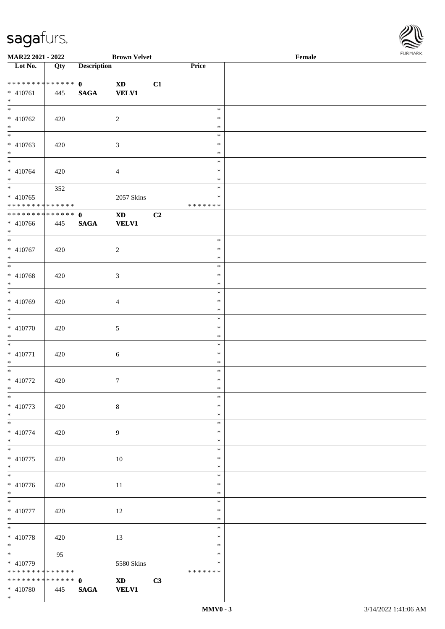

| MAR22 2021 - 2022                |             |                    | <b>Brown Velvet</b>                                                                                                                                                                                                            |    |               | Female | 101111111111 |
|----------------------------------|-------------|--------------------|--------------------------------------------------------------------------------------------------------------------------------------------------------------------------------------------------------------------------------|----|---------------|--------|--------------|
| $\overline{\phantom{1}}$ Lot No. | Qty         | <b>Description</b> |                                                                                                                                                                                                                                |    | <b>Price</b>  |        |              |
|                                  |             |                    |                                                                                                                                                                                                                                |    |               |        |              |
| **************                   |             | $\mathbf{0}$       | $\mathbf{X}\mathbf{D}$                                                                                                                                                                                                         | C1 |               |        |              |
| $* 410761$                       | 445         | $\mathbf{SAGA}$    | <b>VELV1</b>                                                                                                                                                                                                                   |    |               |        |              |
| $*$                              |             |                    |                                                                                                                                                                                                                                |    |               |        |              |
| $\overline{\ast}$                |             |                    |                                                                                                                                                                                                                                |    | $\ast$        |        |              |
| $* 410762$                       | 420         |                    | $\overline{c}$                                                                                                                                                                                                                 |    | $\ast$        |        |              |
|                                  |             |                    |                                                                                                                                                                                                                                |    | $\ast$        |        |              |
| $*$                              |             |                    |                                                                                                                                                                                                                                |    | $\ast$        |        |              |
| $* 410763$                       |             |                    |                                                                                                                                                                                                                                |    | $\ast$        |        |              |
| $\ast$                           | 420         |                    | 3                                                                                                                                                                                                                              |    | $\ast$        |        |              |
| $\overline{\phantom{0}}$         |             |                    |                                                                                                                                                                                                                                |    | $\ast$        |        |              |
|                                  |             |                    |                                                                                                                                                                                                                                |    |               |        |              |
| $* 410764$                       | 420         |                    | $\overline{4}$                                                                                                                                                                                                                 |    | $\ast$        |        |              |
| $*$                              |             |                    |                                                                                                                                                                                                                                |    | $\ast$        |        |              |
| $\overline{\ast}$                | 352         |                    |                                                                                                                                                                                                                                |    | $\ast$        |        |              |
| $* 410765$                       |             |                    | 2057 Skins                                                                                                                                                                                                                     |    | $\ast$        |        |              |
| * * * * * * * * * * * * * *      |             |                    |                                                                                                                                                                                                                                |    | * * * * * * * |        |              |
| ******** <mark>******</mark>     |             | $\mathbf{0}$       | $\mathbf{X}\mathbf{D}$                                                                                                                                                                                                         | C2 |               |        |              |
| $* 410766$                       | 445         | $\mathbf{SAGA}$    | VELV1                                                                                                                                                                                                                          |    |               |        |              |
| $*$                              |             |                    |                                                                                                                                                                                                                                |    |               |        |              |
| $\overline{\phantom{a}^*}$       |             |                    |                                                                                                                                                                                                                                |    | $\ast$        |        |              |
| $* 410767$                       | 420         |                    | $\sqrt{2}$                                                                                                                                                                                                                     |    | $\ast$        |        |              |
| $\ast$                           |             |                    |                                                                                                                                                                                                                                |    | $\ast$        |        |              |
| $\overline{\ast}$                |             |                    |                                                                                                                                                                                                                                |    | $\ast$        |        |              |
| $* 410768$                       | 420         |                    | 3                                                                                                                                                                                                                              |    | $\ast$        |        |              |
| $\ast$                           |             |                    |                                                                                                                                                                                                                                |    | $\ast$        |        |              |
| $\overline{\phantom{0}}$         |             |                    |                                                                                                                                                                                                                                |    | $\ast$        |        |              |
|                                  |             |                    |                                                                                                                                                                                                                                |    | $\ast$        |        |              |
| * 410769                         | 420         |                    | 4                                                                                                                                                                                                                              |    |               |        |              |
| $\ast$                           |             |                    |                                                                                                                                                                                                                                |    | $\ast$        |        |              |
| $\ast$                           |             |                    |                                                                                                                                                                                                                                |    | $\ast$        |        |              |
| $* 410770$                       | 420         |                    | $\mathfrak{S}$                                                                                                                                                                                                                 |    | $\ast$        |        |              |
| $\ast$                           |             |                    |                                                                                                                                                                                                                                |    | $\ast$        |        |              |
| $\ast$                           |             |                    |                                                                                                                                                                                                                                |    | $\ast$        |        |              |
| $* 410771$                       | 420         |                    | 6                                                                                                                                                                                                                              |    | $\ast$        |        |              |
| $*$                              |             |                    |                                                                                                                                                                                                                                |    | $\ast$        |        |              |
| $\ast$                           |             |                    |                                                                                                                                                                                                                                |    | $\ast$        |        |              |
| $* 410772$                       | 420         |                    | $\boldsymbol{7}$                                                                                                                                                                                                               |    | $\ast$        |        |              |
| $*$ $-$                          |             |                    |                                                                                                                                                                                                                                |    | $\ast$        |        |              |
| $*$                              |             |                    |                                                                                                                                                                                                                                |    | $\ast$        |        |              |
| $* 410773$                       | 420         |                    | $8\,$                                                                                                                                                                                                                          |    | $\ast$        |        |              |
| $*$                              |             |                    |                                                                                                                                                                                                                                |    | $\ast$        |        |              |
| $\overline{\phantom{0}}$         |             |                    |                                                                                                                                                                                                                                |    | $\ast$        |        |              |
| $* 410774$                       | 420         |                    | 9                                                                                                                                                                                                                              |    | $\ast$        |        |              |
| $*$                              |             |                    |                                                                                                                                                                                                                                |    | $\ast$        |        |              |
| $\overline{\phantom{a}^*}$       |             |                    |                                                                                                                                                                                                                                |    | $\ast$        |        |              |
|                                  |             |                    |                                                                                                                                                                                                                                |    | $\ast$        |        |              |
| $* 410775$<br>$*$                | 420         |                    | 10                                                                                                                                                                                                                             |    | $\ast$        |        |              |
| $\overline{\phantom{a}^*}$       |             |                    |                                                                                                                                                                                                                                |    | $\ast$        |        |              |
|                                  |             |                    |                                                                                                                                                                                                                                |    |               |        |              |
| * 410776                         | 420         |                    | $11\,$                                                                                                                                                                                                                         |    | $\ast$        |        |              |
| $*$                              |             |                    |                                                                                                                                                                                                                                |    | $\ast$        |        |              |
| $*$                              |             |                    |                                                                                                                                                                                                                                |    | $\ast$        |        |              |
| $* 410777$                       | 420         |                    | 12                                                                                                                                                                                                                             |    | $\ast$        |        |              |
| $*$                              |             |                    |                                                                                                                                                                                                                                |    | $\ast$        |        |              |
| $\ast$                           |             |                    |                                                                                                                                                                                                                                |    | $\ast$        |        |              |
| $* 410778$                       | 420         |                    | 13                                                                                                                                                                                                                             |    | $\ast$        |        |              |
| $*$                              |             |                    |                                                                                                                                                                                                                                |    | $\ast$        |        |              |
| $\overline{\phantom{0}}$         | 95          |                    |                                                                                                                                                                                                                                |    | $\ast$        |        |              |
| * 410779                         |             |                    | 5580 Skins                                                                                                                                                                                                                     |    | $\ast$        |        |              |
| * * * * * * * *                  | * * * * * * |                    |                                                                                                                                                                                                                                |    | * * * * * * * |        |              |
| **************                   |             | $\mathbf{0}$       | XD and the set of the set of the set of the set of the set of the set of the set of the set of the set of the set of the set of the set of the set of the set of the set of the set of the set of the set of the set of the se | C3 |               |        |              |
| $* 410780$                       | 445         | <b>SAGA</b>        | <b>VELV1</b>                                                                                                                                                                                                                   |    |               |        |              |
| $*$                              |             |                    |                                                                                                                                                                                                                                |    |               |        |              |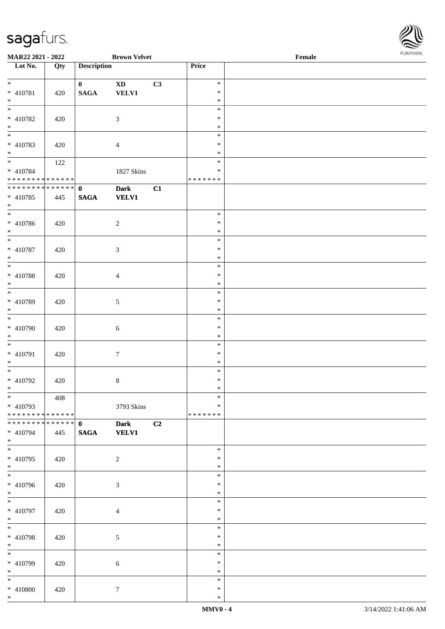

| <b>MAR22 2021 - 2022</b>                   |     |                    | <b>Brown Velvet</b> |    |               | Female |  |
|--------------------------------------------|-----|--------------------|---------------------|----|---------------|--------|--|
| Lot No.                                    | Qty | <b>Description</b> |                     |    | Price         |        |  |
|                                            |     |                    |                     |    |               |        |  |
| $*$                                        |     | $\mathbf{0}$       | <b>XD</b>           | C3 | $\ast$        |        |  |
| * 410781                                   | 420 | <b>SAGA</b>        | <b>VELV1</b>        |    | $\ast$        |        |  |
| $*$                                        |     |                    |                     |    | $\ast$        |        |  |
|                                            |     |                    |                     |    | $\ast$        |        |  |
| * 410782                                   | 420 |                    | $\mathfrak{Z}$      |    | $\ast$        |        |  |
| $*$                                        |     |                    |                     |    | $\ast$        |        |  |
|                                            |     |                    |                     |    | $\ast$        |        |  |
| * 410783                                   | 420 |                    | $\overline{4}$      |    | $\ast$        |        |  |
| $*$                                        |     |                    |                     |    | $\ast$        |        |  |
|                                            |     |                    |                     |    | $\ast$        |        |  |
|                                            | 122 |                    |                     |    |               |        |  |
| * 410784                                   |     |                    | 1827 Skins          |    | $\ast$        |        |  |
| * * * * * * * * * * * * * *                |     |                    |                     |    | * * * * * * * |        |  |
| * * * * * * * * * * * * * * *              |     | $\mathbf{0}$       | <b>Dark</b>         | C1 |               |        |  |
| * 410785                                   | 445 | <b>SAGA</b>        | <b>VELV1</b>        |    |               |        |  |
| $*$                                        |     |                    |                     |    |               |        |  |
| $\overline{\phantom{0}}$                   |     |                    |                     |    | $\ast$        |        |  |
| * 410786                                   | 420 |                    | $\overline{2}$      |    | $\ast$        |        |  |
| $*$                                        |     |                    |                     |    | $\ast$        |        |  |
| $\overline{\ast}$                          |     |                    |                     |    | $\ast$        |        |  |
| * 410787                                   | 420 |                    | $\mathfrak{Z}$      |    | $\ast$        |        |  |
| $*$                                        |     |                    |                     |    | $\ast$        |        |  |
| $\overline{\ }$                            |     |                    |                     |    | $\ast$        |        |  |
| * 410788                                   | 420 |                    | $\overline{4}$      |    | $\ast$        |        |  |
| $*$                                        |     |                    |                     |    | $\ast$        |        |  |
| $\overline{\phantom{0}}$                   |     |                    |                     |    | $\ast$        |        |  |
|                                            |     |                    |                     |    |               |        |  |
| * 410789                                   | 420 |                    | $\mathfrak{S}$      |    | $\ast$        |        |  |
| $*$                                        |     |                    |                     |    | $\ast$        |        |  |
|                                            |     |                    |                     |    | $\ast$        |        |  |
| * 410790                                   | 420 |                    | 6                   |    | $\ast$        |        |  |
| $*$                                        |     |                    |                     |    | $\ast$        |        |  |
| $*$                                        |     |                    |                     |    | $\ast$        |        |  |
| * 410791                                   | 420 |                    | $\boldsymbol{7}$    |    | $\ast$        |        |  |
| $*$                                        |     |                    |                     |    | $\ast$        |        |  |
| $*$                                        |     |                    |                     |    | $\ast$        |        |  |
| * 410792                                   | 420 |                    | $\,8\,$             |    | $\ast$        |        |  |
| $*$ $-$                                    |     |                    |                     |    | $\ast$        |        |  |
| $*$                                        | 408 |                    |                     |    | $\ast$        |        |  |
| * 410793                                   |     |                    | 3793 Skins          |    | ∗             |        |  |
| * * * * * * * * * * * * * * <mark>*</mark> |     |                    |                     |    | *******       |        |  |
| * * * * * * * * * * * * * * *              |     |                    |                     |    |               |        |  |
|                                            |     | $\mathbf{0}$       | <b>Dark</b>         | C2 |               |        |  |
| * 410794                                   | 445 | <b>SAGA</b>        | <b>VELV1</b>        |    |               |        |  |
| $*$<br>$\overline{\mathbf{r}}$             |     |                    |                     |    |               |        |  |
|                                            |     |                    |                     |    | $\ast$        |        |  |
| * 410795                                   | 420 |                    | 2                   |    | $\ast$        |        |  |
| $*$                                        |     |                    |                     |    | $\ast$        |        |  |
|                                            |     |                    |                     |    | $\ast$        |        |  |
| * 410796                                   | 420 |                    | $\mathfrak{Z}$      |    | $\ast$        |        |  |
| $*$                                        |     |                    |                     |    | $\ast$        |        |  |
| $*$                                        |     |                    |                     |    | $\ast$        |        |  |
| * 410797                                   | 420 |                    | $\overline{4}$      |    | $\ast$        |        |  |
| $*$                                        |     |                    |                     |    | $\ast$        |        |  |
| $*$                                        |     |                    |                     |    | $\ast$        |        |  |
| * 410798                                   | 420 |                    | 5                   |    | $\ast$        |        |  |
| $*$                                        |     |                    |                     |    | $\ast$        |        |  |
| $*$                                        |     |                    |                     |    | $\ast$        |        |  |
| * 410799                                   | 420 |                    | 6                   |    | $\ast$        |        |  |
| $*$                                        |     |                    |                     |    | $\ast$        |        |  |
| $*$                                        |     |                    |                     |    | $\ast$        |        |  |
|                                            |     |                    |                     |    |               |        |  |
| * 410800                                   | 420 |                    | $\tau$              |    | $\ast$        |        |  |
| $\ast$                                     |     |                    |                     |    | $\ast$        |        |  |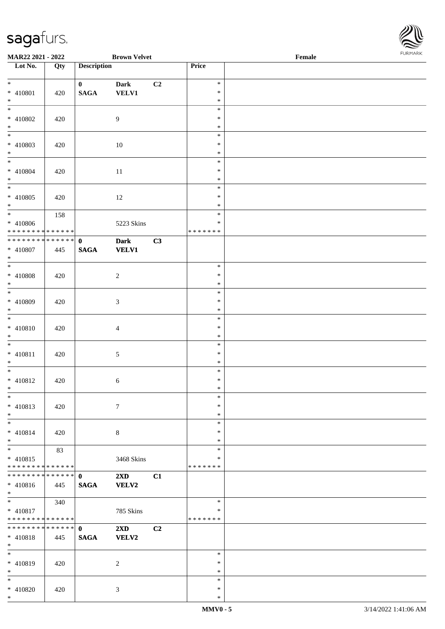

| MAR22 2021 - 2022                          |     |                    | <b>Brown Velvet</b>     |    |                  | Female | <b>FURPIARA</b> |
|--------------------------------------------|-----|--------------------|-------------------------|----|------------------|--------|-----------------|
| Lot No.                                    | Qty | <b>Description</b> |                         |    | Price            |        |                 |
|                                            |     |                    |                         |    |                  |        |                 |
| $\ddot{x}$                                 |     | $\mathbf{0}$       | <b>Dark</b>             | C2 | $\ast$           |        |                 |
| * 410801                                   | 420 | $\mathbf{SAGA}$    | <b>VELV1</b>            |    | $\ast$<br>$\ast$ |        |                 |
| $*$                                        |     |                    |                         |    | $\ast$           |        |                 |
| * 410802                                   |     |                    | 9                       |    | $\ast$           |        |                 |
| $*$                                        | 420 |                    |                         |    | $\ast$           |        |                 |
|                                            |     |                    |                         |    | $\ast$           |        |                 |
| * 410803                                   | 420 |                    | 10                      |    | $\ast$           |        |                 |
| $*$                                        |     |                    |                         |    | $\ast$           |        |                 |
| $\overline{\phantom{0}}$                   |     |                    |                         |    | $\ast$           |        |                 |
| * 410804                                   | 420 |                    | 11                      |    | $\ast$           |        |                 |
| $*$                                        |     |                    |                         |    | $\ast$           |        |                 |
|                                            |     |                    |                         |    | $\ast$           |        |                 |
| * 410805                                   | 420 |                    | 12                      |    | $\ast$           |        |                 |
| $*$                                        |     |                    |                         |    | $\ast$           |        |                 |
| $\overline{\ast}$                          | 158 |                    |                         |    | $\ast$           |        |                 |
| * 410806                                   |     |                    | 5223 Skins              |    | $\ast$           |        |                 |
| * * * * * * * * <mark>* * * * * *</mark>   |     |                    |                         |    | *******          |        |                 |
| ******** <mark>******</mark>               |     | $\mathbf{0}$       | <b>Dark</b>             | C3 |                  |        |                 |
| * 410807                                   | 445 | <b>SAGA</b>        | <b>VELV1</b>            |    |                  |        |                 |
| $*$                                        |     |                    |                         |    | $\ast$           |        |                 |
|                                            |     |                    |                         |    | $\ast$           |        |                 |
| * 410808<br>$*$                            | 420 |                    | $\sqrt{2}$              |    | $\ast$           |        |                 |
|                                            |     |                    |                         |    | $\ast$           |        |                 |
| * 410809                                   | 420 |                    | 3                       |    | $\ast$           |        |                 |
| $*$                                        |     |                    |                         |    | $\ast$           |        |                 |
| $\overline{\ast}$                          |     |                    |                         |    | $\ast$           |        |                 |
| * 410810                                   | 420 |                    | $\overline{4}$          |    | $\ast$           |        |                 |
| $\ast$                                     |     |                    |                         |    | $\ast$           |        |                 |
|                                            |     |                    |                         |    | $\ast$           |        |                 |
| * 410811                                   | 420 |                    | $\mathfrak{S}$          |    | $\ast$           |        |                 |
| $\ast$                                     |     |                    |                         |    | $\ast$           |        |                 |
| $*$                                        |     |                    |                         |    | $\ast$           |        |                 |
| $* 410812$                                 | 420 |                    | 6                       |    | $\ast$           |        |                 |
| $\ddot{x}$                                 |     |                    |                         |    | *                |        |                 |
| $\ast$                                     |     |                    |                         |    | $\ast$           |        |                 |
| $* 410813$                                 | 420 |                    | $\tau$                  |    | $\ast$           |        |                 |
| $*$<br>$\overline{\ }$                     |     |                    |                         |    | $\ast$           |        |                 |
|                                            |     |                    |                         |    | $\ast$<br>$\ast$ |        |                 |
| $* 410814$<br>$*$                          | 420 |                    | $8\,$                   |    | $\ast$           |        |                 |
| $\overline{\phantom{0}}$                   | 83  |                    |                         |    | $\ast$           |        |                 |
| $* 410815$                                 |     |                    | 3468 Skins              |    | $\ast$           |        |                 |
| * * * * * * * * * * * * * * *              |     |                    |                         |    | *******          |        |                 |
|                                            |     |                    | $2\mathbf{X}\mathbf{D}$ | C1 |                  |        |                 |
| $* 410816$                                 | 445 | <b>SAGA</b>        | <b>VELV2</b>            |    |                  |        |                 |
| $*$                                        |     |                    |                         |    |                  |        |                 |
| $*$                                        | 340 |                    |                         |    | $\ast$           |        |                 |
| * 410817                                   |     |                    | 785 Skins               |    | $\ast$           |        |                 |
| * * * * * * * * <mark>* * * * * * *</mark> |     |                    |                         |    | *******          |        |                 |
|                                            |     |                    | $2\mathbf{X}\mathbf{D}$ | C2 |                  |        |                 |
| * 410818                                   | 445 | <b>SAGA</b>        | <b>VELV2</b>            |    |                  |        |                 |
| $*$<br>$\overline{\ast}$                   |     |                    |                         |    |                  |        |                 |
|                                            |     |                    |                         |    | $\ast$           |        |                 |
| * 410819                                   | 420 |                    | 2                       |    | $\ast$<br>$\ast$ |        |                 |
| $*$<br>$\ast$                              |     |                    |                         |    | $\ast$           |        |                 |
| * 410820                                   | 420 |                    | 3                       |    | $\ast$           |        |                 |
| $\ast$                                     |     |                    |                         |    | $\ast$           |        |                 |
|                                            |     |                    |                         |    |                  |        |                 |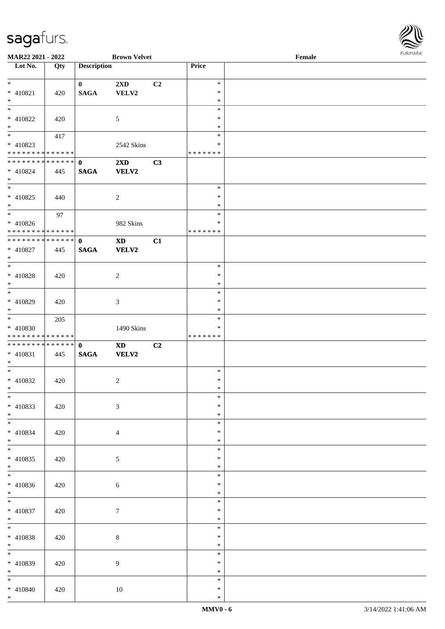

| <b>MAR22 2021 - 2022</b>      |     |                    | <b>Brown Velvet</b>     |                |         | Female |  |
|-------------------------------|-----|--------------------|-------------------------|----------------|---------|--------|--|
| Lot No.                       | Qty | <b>Description</b> |                         |                | Price   |        |  |
|                               |     |                    |                         |                |         |        |  |
| $*$                           |     | $\mathbf{0}$       | $2\mathbf{X}\mathbf{D}$ | C <sub>2</sub> | $\ast$  |        |  |
| * 410821                      | 420 | <b>SAGA</b>        | VELV2                   |                | $\ast$  |        |  |
| $\ast$                        |     |                    |                         |                | $\ast$  |        |  |
|                               |     |                    |                         |                | $\ast$  |        |  |
|                               |     |                    |                         |                |         |        |  |
| $* 410822$                    | 420 |                    | 5                       |                | $\ast$  |        |  |
| $*$                           |     |                    |                         |                | $\ast$  |        |  |
|                               | 417 |                    |                         |                | $\ast$  |        |  |
| $* 410823$                    |     |                    | 2542 Skins              |                | $\ast$  |        |  |
| * * * * * * * * * * * * * * * |     |                    |                         |                | ******* |        |  |
| ******** <mark>******</mark>  |     | $\mathbf{0}$       | 2XD                     | C3             |         |        |  |
| $* 410824$                    | 445 | <b>SAGA</b>        | <b>VELV2</b>            |                |         |        |  |
| $*$                           |     |                    |                         |                |         |        |  |
|                               |     |                    |                         |                | $\ast$  |        |  |
| $* 410825$                    | 440 |                    |                         |                | $\ast$  |        |  |
| $*$                           |     |                    | $\overline{2}$          |                | $\ast$  |        |  |
|                               |     |                    |                         |                |         |        |  |
| $*$                           | 97  |                    |                         |                | $\ast$  |        |  |
| $* 410826$                    |     |                    | 982 Skins               |                | $\ast$  |        |  |
| * * * * * * * * * * * * * * * |     |                    |                         |                | ******* |        |  |
| ******** <mark>******</mark>  |     | $\mathbf{0}$       | $\mathbf{X}\mathbf{D}$  | C1             |         |        |  |
| * 410827                      | 445 | <b>SAGA</b>        | <b>VELV2</b>            |                |         |        |  |
| $*$                           |     |                    |                         |                |         |        |  |
|                               |     |                    |                         |                | $\ast$  |        |  |
| $* 410828$                    | 420 |                    | 2                       |                | $\ast$  |        |  |
| $*$                           |     |                    |                         |                | $\ast$  |        |  |
|                               |     |                    |                         |                | $\ast$  |        |  |
|                               |     |                    |                         |                | $\ast$  |        |  |
| * 410829                      | 420 |                    | 3                       |                |         |        |  |
| $*$                           |     |                    |                         |                | $\ast$  |        |  |
|                               | 205 |                    |                         |                | $\ast$  |        |  |
| $* 410830$                    |     |                    | 1490 Skins              |                | $\ast$  |        |  |
| * * * * * * * * * * * * * * * |     |                    |                         |                | ******* |        |  |
|                               |     |                    | $\mathbf{X}\mathbf{D}$  | C2             |         |        |  |
| * 410831                      | 445 | <b>SAGA</b>        | <b>VELV2</b>            |                |         |        |  |
| $*$                           |     |                    |                         |                |         |        |  |
| $*$                           |     |                    |                         |                | $\ast$  |        |  |
| * 410832                      | 420 |                    | $\overline{c}$          |                | $\ast$  |        |  |
| $*$ $-$                       |     |                    |                         |                | $\ast$  |        |  |
| $*$                           |     |                    |                         |                | $\ast$  |        |  |
| $* 410833$                    | 420 |                    | 3                       |                | $\ast$  |        |  |
| $*$                           |     |                    |                         |                | $\ast$  |        |  |
| $*$                           |     |                    |                         |                | $\ast$  |        |  |
|                               |     |                    |                         |                |         |        |  |
| $* 410834$                    | 420 |                    | $\overline{4}$          |                | $\ast$  |        |  |
| $*$                           |     |                    |                         |                | $\ast$  |        |  |
| $*$                           |     |                    |                         |                | $\ast$  |        |  |
| $* 410835$                    | 420 |                    | $\mathfrak{S}$          |                | $\ast$  |        |  |
| $*$                           |     |                    |                         |                | $\ast$  |        |  |
| $*$                           |     |                    |                         |                | $\ast$  |        |  |
| * 410836                      | 420 |                    | 6                       |                | $\ast$  |        |  |
| $*$                           |     |                    |                         |                | $\ast$  |        |  |
| $*$                           |     |                    |                         |                | $\ast$  |        |  |
| * 410837                      | 420 |                    | $7\phantom{.0}$         |                | $\ast$  |        |  |
| $*$                           |     |                    |                         |                | $\ast$  |        |  |
| $*$                           |     |                    |                         |                |         |        |  |
|                               |     |                    |                         |                | $\ast$  |        |  |
| * 410838                      | 420 |                    | 8                       |                | $\ast$  |        |  |
| $*$                           |     |                    |                         |                | $\ast$  |        |  |
| $*$                           |     |                    |                         |                | $\ast$  |        |  |
| * 410839                      | 420 |                    | 9                       |                | $\ast$  |        |  |
| $*$                           |     |                    |                         |                | $\ast$  |        |  |
| $*$                           |     |                    |                         |                | $\ast$  |        |  |
| * 410840                      | 420 |                    | 10                      |                | $\ast$  |        |  |
| $*$                           |     |                    |                         |                | $\ast$  |        |  |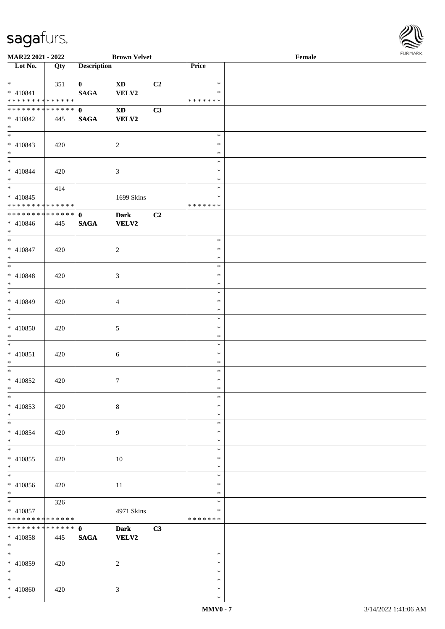\*



| MAR22 2021 - 2022                                                |     |                             | <b>Brown Velvet</b>                    |                |                                   | Female |  |
|------------------------------------------------------------------|-----|-----------------------------|----------------------------------------|----------------|-----------------------------------|--------|--|
| Lot No.                                                          | Qty | <b>Description</b>          |                                        |                | Price                             |        |  |
| $*$ $*$<br>$* 410841$<br>* * * * * * * * * * * * * *             | 351 | $\mathbf{0}$<br><b>SAGA</b> | <b>XD</b><br>VELV2                     | C <sub>2</sub> | $\ast$<br>$\ast$<br>* * * * * * * |        |  |
| * * * * * * * * * * * * * * *<br>$* 410842$<br>$*$               | 445 | $\mathbf{0}$<br><b>SAGA</b> | $\mathbf{X}\mathbf{D}$<br><b>VELV2</b> | C3             |                                   |        |  |
| $* 410843$<br>$*$                                                | 420 |                             | $\overline{c}$                         |                | $\ast$<br>$\ast$<br>$\ast$        |        |  |
| $* 410844$<br>$*$                                                | 420 |                             | 3                                      |                | $\ast$<br>$\ast$<br>$\ast$        |        |  |
| $\overline{\ast}$<br>$* 410845$<br>* * * * * * * * * * * * * * * | 414 |                             | 1699 Skins                             |                | $\ast$<br>$\ast$<br>* * * * * * * |        |  |
| * * * * * * * * * * * * * * *<br>$* 410846$<br>$*$               | 445 | $\mathbf{0}$<br><b>SAGA</b> | <b>Dark</b><br><b>VELV2</b>            | C2             |                                   |        |  |
| $* 410847$<br>$*$                                                | 420 |                             | $\overline{c}$                         |                | $\ast$<br>$\ast$<br>$\ast$        |        |  |
| $* 410848$<br>$*$                                                | 420 |                             | 3                                      |                | $\ast$<br>$\ast$<br>$\ast$        |        |  |
| $* 410849$<br>$*$                                                | 420 |                             | $\overline{4}$                         |                | $\ast$<br>$\ast$<br>$\ast$        |        |  |
| $* 410850$<br>$*$                                                | 420 |                             | 5                                      |                | $\ast$<br>$\ast$<br>$\ast$        |        |  |
| $*$<br>$* 410851$<br>$*$                                         | 420 |                             | 6                                      |                | $\ast$<br>$\ast$<br>$\ast$        |        |  |
| $*$<br>$* 410852$<br>$*$                                         | 420 |                             | $\tau$                                 |                | $\ast$<br>$\ast$<br>$\ast$        |        |  |
| $\ast$<br>$* 410853$<br>$*$                                      | 420 |                             | $8\,$                                  |                | $\ast$<br>$\ast$<br>$\ast$        |        |  |
| $*$<br>* 410854<br>$*$                                           | 420 |                             | 9                                      |                | $\ast$<br>$\ast$<br>$\ast$        |        |  |
| $*$<br>$* 410855$<br>$*$<br>$\overline{\phantom{0}}$             | 420 |                             | $10\,$                                 |                | $\ast$<br>$\ast$<br>$\ast$        |        |  |
| $* 410856$<br>$*$                                                | 420 |                             | 11                                     |                | $\ast$<br>$\ast$<br>$\ast$        |        |  |
| $*$<br>$* 410857$<br>* * * * * * * * * * * * * *                 | 326 |                             | 4971 Skins                             |                | $\ast$<br>$\ast$<br>* * * * * * * |        |  |
| * * * * * * * * * * * * * * *<br>$* 410858$<br>$*$               | 445 | $\mathbf{0}$<br><b>SAGA</b> | <b>Dark</b><br><b>VELV2</b>            | C3             |                                   |        |  |
| $*$<br>* 410859<br>$*$                                           | 420 |                             | $\overline{c}$                         |                | $\ast$<br>$\ast$<br>$\ast$        |        |  |
| $*$<br>* 410860<br>$*$                                           | 420 |                             | 3                                      |                | $\ast$<br>$\ast$<br>$\ast$        |        |  |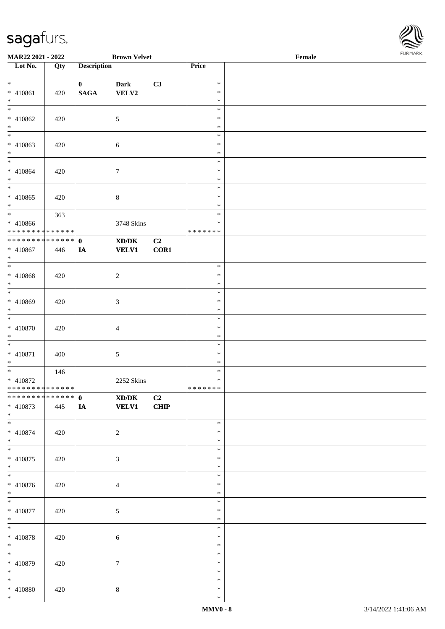

| MAR22 2021 - 2022                                                         |     |                                 | <b>Brown Velvet</b>                                         |                        |                  | $\ensuremath{\textnormal{\textbf{Female}}}$ | <b>FUNITANN</b> |
|---------------------------------------------------------------------------|-----|---------------------------------|-------------------------------------------------------------|------------------------|------------------|---------------------------------------------|-----------------|
| Lot No.                                                                   | Qty | <b>Description</b>              |                                                             |                        | Price            |                                             |                 |
| $*$                                                                       |     |                                 |                                                             |                        | $\ast$           |                                             |                 |
| * 410861                                                                  | 420 | $\mathbf{0}$<br>$\mathbf{SAGA}$ | <b>Dark</b><br>VELV2                                        | C3                     | $\ast$           |                                             |                 |
| $*$                                                                       |     |                                 |                                                             |                        | $\ast$           |                                             |                 |
| $\overline{\ }$                                                           |     |                                 |                                                             |                        | $\ast$           |                                             |                 |
| * 410862                                                                  | 420 |                                 | $\mathfrak{S}$                                              |                        | $\ast$           |                                             |                 |
| $*$                                                                       |     |                                 |                                                             |                        | $\ast$           |                                             |                 |
| $\frac{1}{1}$                                                             |     |                                 |                                                             |                        | $\ast$           |                                             |                 |
| * 410863                                                                  | 420 |                                 | 6                                                           |                        | $\ast$           |                                             |                 |
| $*$<br>$\overline{\mathbf{r}}$                                            |     |                                 |                                                             |                        | $\ast$           |                                             |                 |
| * 410864                                                                  |     |                                 |                                                             |                        | $\ast$<br>$\ast$ |                                             |                 |
| $*$                                                                       | 420 |                                 | $\tau$                                                      |                        | $\ast$           |                                             |                 |
|                                                                           |     |                                 |                                                             |                        | $\ast$           |                                             |                 |
| * 410865                                                                  | 420 |                                 | $\,8\,$                                                     |                        | $\ast$           |                                             |                 |
| $*$                                                                       |     |                                 |                                                             |                        | $\ast$           |                                             |                 |
|                                                                           | 363 |                                 |                                                             |                        | $\ast$           |                                             |                 |
| * 410866                                                                  |     |                                 | 3748 Skins                                                  |                        | $\ast$           |                                             |                 |
| * * * * * * * * * * * * * *<br>* * * * * * * * <mark>* * * * * * *</mark> |     |                                 |                                                             |                        | * * * * * * *    |                                             |                 |
| * 410867                                                                  |     | $\mathbf 0$                     | $\mathbf{X}\mathbf{D}/\mathbf{D}\mathbf{K}$<br><b>VELV1</b> | C <sub>2</sub><br>COR1 |                  |                                             |                 |
| $*$                                                                       | 446 | IA                              |                                                             |                        |                  |                                             |                 |
| $\overline{\ast}$                                                         |     |                                 |                                                             |                        | $\ast$           |                                             |                 |
| * 410868                                                                  | 420 |                                 | $\sqrt{2}$                                                  |                        | $\ast$           |                                             |                 |
| $*$                                                                       |     |                                 |                                                             |                        | $\ast$           |                                             |                 |
|                                                                           |     |                                 |                                                             |                        | $\ast$           |                                             |                 |
| * 410869                                                                  | 420 |                                 | 3                                                           |                        | $\ast$           |                                             |                 |
| $*$                                                                       |     |                                 |                                                             |                        | $\ast$<br>$\ast$ |                                             |                 |
| $* 410870$                                                                | 420 |                                 |                                                             |                        | $\ast$           |                                             |                 |
| $*$                                                                       |     |                                 | $\overline{4}$                                              |                        | $\ast$           |                                             |                 |
| $\overline{\phantom{0}}$                                                  |     |                                 |                                                             |                        | $\ast$           |                                             |                 |
| * 410871                                                                  | 400 |                                 | 5                                                           |                        | $\ast$           |                                             |                 |
| $*$                                                                       |     |                                 |                                                             |                        | $\ast$           |                                             |                 |
|                                                                           | 146 |                                 |                                                             |                        | $\ast$           |                                             |                 |
| * 410872                                                                  |     |                                 | 2252 Skins                                                  |                        | $\ast$           |                                             |                 |
| * * * * * * * * * * * * * *                                               |     |                                 |                                                             |                        | *******          |                                             |                 |
| * 410873                                                                  | 445 | <b>IA</b>                       | $\mathbf{X}\mathbf{D}/\mathbf{D}\mathbf{K}$<br><b>VELV1</b> | C2<br><b>CHIP</b>      |                  |                                             |                 |
| $*$                                                                       |     |                                 |                                                             |                        |                  |                                             |                 |
| $*$                                                                       |     |                                 |                                                             |                        | $\ast$           |                                             |                 |
| $* 410874$                                                                | 420 |                                 | 2                                                           |                        | $\ast$           |                                             |                 |
| $*$                                                                       |     |                                 |                                                             |                        | $\ast$           |                                             |                 |
|                                                                           |     |                                 |                                                             |                        | $\ast$           |                                             |                 |
| * 410875<br>$*$                                                           | 420 |                                 | 3                                                           |                        | $\ast$<br>$\ast$ |                                             |                 |
|                                                                           |     |                                 |                                                             |                        | $\ast$           |                                             |                 |
| * 410876                                                                  | 420 |                                 | $\overline{4}$                                              |                        | $\ast$           |                                             |                 |
| $*$                                                                       |     |                                 |                                                             |                        | $\ast$           |                                             |                 |
|                                                                           |     |                                 |                                                             |                        | $\ast$           |                                             |                 |
| * 410877                                                                  | 420 |                                 | 5                                                           |                        | $\ast$           |                                             |                 |
| $*$                                                                       |     |                                 |                                                             |                        | $\ast$           |                                             |                 |
| $*$                                                                       |     |                                 |                                                             |                        | $\ast$           |                                             |                 |
| * 410878<br>$*$                                                           | 420 |                                 | $\sqrt{6}$                                                  |                        | $\ast$<br>$\ast$ |                                             |                 |
|                                                                           |     |                                 |                                                             |                        | $\ast$           |                                             |                 |
| * 410879                                                                  | 420 |                                 | $\tau$                                                      |                        | $\ast$           |                                             |                 |
| $*$                                                                       |     |                                 |                                                             |                        | $\ast$           |                                             |                 |
| $*$                                                                       |     |                                 |                                                             |                        | $\ast$           |                                             |                 |
| * 410880                                                                  | 420 |                                 | $8\,$                                                       |                        | $\ast$           |                                             |                 |
| $*$                                                                       |     |                                 |                                                             |                        | $\ast$           |                                             |                 |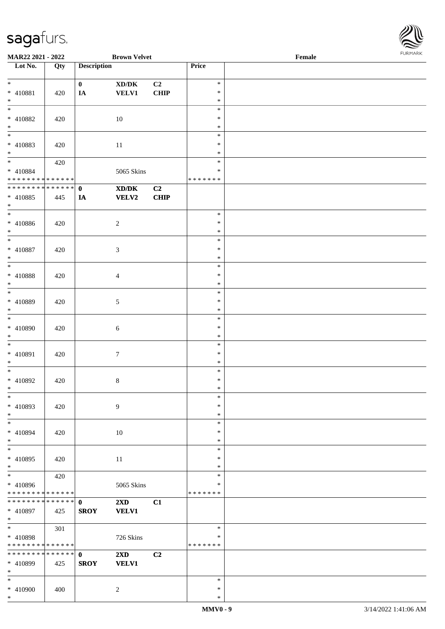

| <b>MAR22 2021 - 2022</b>                   |     |                    | <b>Brown Velvet</b>                 |             |               | Female |  |
|--------------------------------------------|-----|--------------------|-------------------------------------|-------------|---------------|--------|--|
| Lot No.                                    | Qty | <b>Description</b> |                                     |             | Price         |        |  |
|                                            |     |                    |                                     |             |               |        |  |
| $*$                                        |     | $\mathbf{0}$       | $\bold{X}\bold{D}/\bold{D}\bold{K}$ | C2          | $\ast$        |        |  |
| * 410881                                   | 420 | IA                 | <b>VELV1</b>                        | <b>CHIP</b> | $\ast$        |        |  |
| $*$                                        |     |                    |                                     |             | $\ast$        |        |  |
|                                            |     |                    |                                     |             | $\ast$        |        |  |
| * 410882                                   |     |                    |                                     |             | $\ast$        |        |  |
|                                            | 420 |                    | 10                                  |             |               |        |  |
| $*$                                        |     |                    |                                     |             | $\ast$        |        |  |
| $\overline{\phantom{0}}$                   |     |                    |                                     |             | $\ast$        |        |  |
| * 410883                                   | 420 |                    | 11                                  |             | $\ast$        |        |  |
| $*$                                        |     |                    |                                     |             | $\ast$        |        |  |
| $*$                                        | 420 |                    |                                     |             | $\ast$        |        |  |
| $* 410884$                                 |     |                    | 5065 Skins                          |             | $\ast$        |        |  |
| * * * * * * * * * * * * * * *              |     |                    |                                     |             | * * * * * * * |        |  |
| * * * * * * * * * * * * * * *              |     | $\mathbf 0$        | XD/DK                               | C2          |               |        |  |
|                                            |     |                    |                                     |             |               |        |  |
| * 410885                                   | 445 | IA                 | VELV2                               | <b>CHIP</b> |               |        |  |
| $*$                                        |     |                    |                                     |             |               |        |  |
| $*$                                        |     |                    |                                     |             | $\ast$        |        |  |
| * 410886                                   | 420 |                    | $\sqrt{2}$                          |             | $\ast$        |        |  |
| $*$                                        |     |                    |                                     |             | $\ast$        |        |  |
| $*$                                        |     |                    |                                     |             | $\ast$        |        |  |
| $* 410887$                                 | 420 |                    | 3                                   |             | $\ast$        |        |  |
| $\ast$                                     |     |                    |                                     |             | $\ast$        |        |  |
|                                            |     |                    |                                     |             |               |        |  |
|                                            |     |                    |                                     |             | $\ast$        |        |  |
| $* 410888$                                 | 420 |                    | $\overline{4}$                      |             | $\ast$        |        |  |
| $*$                                        |     |                    |                                     |             | $\ast$        |        |  |
| $*$                                        |     |                    |                                     |             | $\ast$        |        |  |
| * 410889                                   | 420 |                    | $\sqrt{5}$                          |             | $\ast$        |        |  |
| $*$                                        |     |                    |                                     |             | $\ast$        |        |  |
|                                            |     |                    |                                     |             | $\ast$        |        |  |
| $* 410890$                                 |     |                    |                                     |             | $\ast$        |        |  |
|                                            | 420 |                    | 6                                   |             |               |        |  |
| $*$                                        |     |                    |                                     |             | $\ast$        |        |  |
| $\ast$                                     |     |                    |                                     |             | $\ast$        |        |  |
| * 410891                                   | 420 |                    | $\boldsymbol{7}$                    |             | $\ast$        |        |  |
| $*$                                        |     |                    |                                     |             | $\ast$        |        |  |
| $*$                                        |     |                    |                                     |             | $\ast$        |        |  |
| * 410892                                   | 420 |                    | $\,8\,$                             |             | $\ast$        |        |  |
| $*$                                        |     |                    |                                     |             | $\ast$        |        |  |
| $\ast$                                     |     |                    |                                     |             | $\ast$        |        |  |
| * 410893                                   |     |                    |                                     |             | $\ast$        |        |  |
|                                            | 420 |                    | 9                                   |             |               |        |  |
| $*$                                        |     |                    |                                     |             | $\ast$        |        |  |
| $*$                                        |     |                    |                                     |             | $\ast$        |        |  |
| * 410894                                   | 420 |                    | 10                                  |             | $\ast$        |        |  |
| $*$                                        |     |                    |                                     |             | $\ast$        |        |  |
| $\ast$                                     |     |                    |                                     |             | $\ast$        |        |  |
| * 410895                                   | 420 |                    | 11                                  |             | $\ast$        |        |  |
| $*$                                        |     |                    |                                     |             | $\ast$        |        |  |
| $*$                                        | 420 |                    |                                     |             | $\ast$        |        |  |
| * 410896                                   |     |                    | 5065 Skins                          |             | ∗             |        |  |
| * * * * * * * * * * * * * *                |     |                    |                                     |             | *******       |        |  |
|                                            |     |                    |                                     |             |               |        |  |
| * * * * * * * * <mark>* * * * * * *</mark> |     | $\mathbf{0}$       | $2\mathbf{X}\mathbf{D}$             | C1          |               |        |  |
| * 410897                                   | 425 | <b>SROY</b>        | <b>VELV1</b>                        |             |               |        |  |
| $*$                                        |     |                    |                                     |             |               |        |  |
| $*$                                        | 301 |                    |                                     |             | $\ast$        |        |  |
| * 410898                                   |     |                    | 726 Skins                           |             | $\ast$        |        |  |
| * * * * * * * * * * * * * *                |     |                    |                                     |             | * * * * * * * |        |  |
| * * * * * * * * * * * * * * *              |     | $\mathbf{0}$       | $2\mathbf{X}\mathbf{D}$             | C2          |               |        |  |
| * 410899                                   |     |                    | <b>VELV1</b>                        |             |               |        |  |
|                                            | 425 | <b>SROY</b>        |                                     |             |               |        |  |
| $*$                                        |     |                    |                                     |             |               |        |  |
| $*$                                        |     |                    |                                     |             | $\ast$        |        |  |
| * 410900                                   | 400 |                    | $\overline{c}$                      |             | $\ast$        |        |  |
| $\ast$                                     |     |                    |                                     |             | $\ast$        |        |  |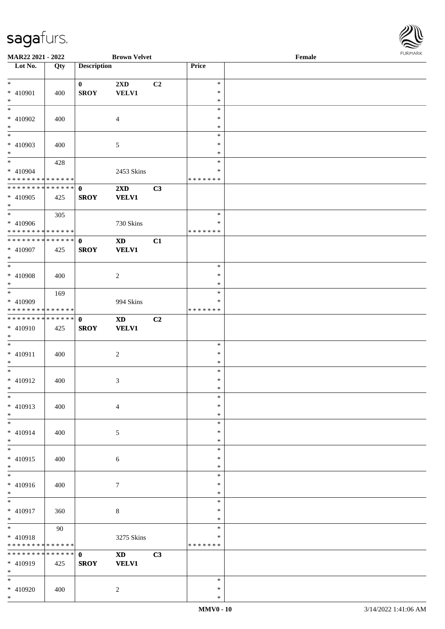\*



| MAR22 2021 - 2022                                      |     |                             | <b>Brown Velvet</b>     |    |                         | $\ensuremath{\textnormal{\textbf{Female}}}$ | <b>I ORI IMPORT</b> |
|--------------------------------------------------------|-----|-----------------------------|-------------------------|----|-------------------------|---------------------------------------------|---------------------|
| $\overline{\phantom{1}}$ Lot No.                       | Qty | <b>Description</b>          |                         |    | Price                   |                                             |                     |
| $*$                                                    |     |                             |                         |    | $\ast$                  |                                             |                     |
| * 410901                                               | 400 | $\mathbf{0}$<br><b>SROY</b> | 2XD<br><b>VELV1</b>     | C2 | $\ast$                  |                                             |                     |
| $*$                                                    |     |                             |                         |    | $\ast$                  |                                             |                     |
| $\overline{\phantom{0}}$                               |     |                             |                         |    | $\ast$                  |                                             |                     |
| * 410902                                               | 400 |                             | $\overline{4}$          |    | $\ast$                  |                                             |                     |
| $*$                                                    |     |                             |                         |    | $\ast$                  |                                             |                     |
|                                                        |     |                             |                         |    | $\ast$                  |                                             |                     |
| * 410903                                               | 400 |                             | 5                       |    | $\ast$                  |                                             |                     |
| $\ast$                                                 |     |                             |                         |    | $\ast$                  |                                             |                     |
| $*$                                                    | 428 |                             |                         |    | $\ast$                  |                                             |                     |
| * 410904<br>* * * * * * * * <mark>* * * * * * *</mark> |     |                             | 2453 Skins              |    | $\ast$<br>* * * * * * * |                                             |                     |
| * * * * * * * * * * * * * * *                          |     | $\mathbf{0}$                | $2\mathbf{X}\mathbf{D}$ | C3 |                         |                                             |                     |
| * 410905                                               | 425 | <b>SROY</b>                 | <b>VELV1</b>            |    |                         |                                             |                     |
| $*$                                                    |     |                             |                         |    |                         |                                             |                     |
| $*$                                                    | 305 |                             |                         |    | $\ast$                  |                                             |                     |
| * 410906                                               |     |                             | 730 Skins               |    | $\ast$                  |                                             |                     |
| * * * * * * * * * * * * * *                            |     |                             |                         |    | *******                 |                                             |                     |
| * * * * * * * * <mark>* * * * * * *</mark>             |     | $\mathbf{0}$                | <b>XD</b>               | C1 |                         |                                             |                     |
| * 410907                                               | 425 | <b>SROY</b>                 | <b>VELV1</b>            |    |                         |                                             |                     |
| $*$<br>$\overline{\ }$                                 |     |                             |                         |    |                         |                                             |                     |
|                                                        |     |                             |                         |    | $\ast$                  |                                             |                     |
| * 410908<br>$*$                                        | 400 |                             | 2                       |    | $\ast$<br>$\ast$        |                                             |                     |
| $*$                                                    | 169 |                             |                         |    | $\ast$                  |                                             |                     |
| * 410909                                               |     |                             | 994 Skins               |    | ∗                       |                                             |                     |
| * * * * * * * * * * * * * *                            |     |                             |                         |    | *******                 |                                             |                     |
| * * * * * * * * * * * * * * <mark>*</mark>             |     | $\mathbf 0$                 | <b>XD</b>               | C2 |                         |                                             |                     |
| * 410910                                               | 425 | <b>SROY</b>                 | <b>VELV1</b>            |    |                         |                                             |                     |
| $*$                                                    |     |                             |                         |    |                         |                                             |                     |
| $\overline{\phantom{0}}$                               |     |                             |                         |    | $\ast$                  |                                             |                     |
| * 410911                                               | 400 |                             | 2                       |    | $\ast$                  |                                             |                     |
| $*$<br>$*$ $-$                                         |     |                             |                         |    | $\ast$                  |                                             |                     |
| * 410912                                               |     |                             |                         |    | $\ast$<br>$\ast$        |                                             |                     |
| $*$ $-$                                                | 400 |                             | 3                       |    | $\ast$                  |                                             |                     |
| $*$                                                    |     |                             |                         |    | $\ast$                  |                                             |                     |
| $* 410913$                                             | 400 |                             | $\overline{4}$          |    | $\ast$                  |                                             |                     |
| $*$                                                    |     |                             |                         |    | $\ast$                  |                                             |                     |
| $*$                                                    |     |                             |                         |    | $\ast$                  |                                             |                     |
| * 410914                                               | 400 |                             | 5                       |    | ∗                       |                                             |                     |
| $*$                                                    |     |                             |                         |    | $\ast$                  |                                             |                     |
| $*$                                                    |     |                             |                         |    | $\ast$                  |                                             |                     |
| * 410915                                               | 400 |                             | $\sqrt{6}$              |    | $\ast$                  |                                             |                     |
| $*$<br>$*$                                             |     |                             |                         |    | $\ast$<br>$\ast$        |                                             |                     |
| * 410916                                               | 400 |                             | $\tau$                  |    | $\ast$                  |                                             |                     |
| $*$                                                    |     |                             |                         |    | $\ast$                  |                                             |                     |
| $\overline{\phantom{0}}$                               |     |                             |                         |    | $\ast$                  |                                             |                     |
| * 410917                                               | 360 |                             | $8\,$                   |    | $\ast$                  |                                             |                     |
| $*$                                                    |     |                             |                         |    | $\ast$                  |                                             |                     |
|                                                        | 90  |                             |                         |    | $\ast$                  |                                             |                     |
| * 410918                                               |     |                             | 3275 Skins              |    | $\ast$                  |                                             |                     |
| * * * * * * * * * * * * * *                            |     |                             |                         |    | *******                 |                                             |                     |
| * * * * * * * * <mark>* * * * * *</mark> *             |     | $\mathbf{0}$                | <b>XD</b>               | C3 |                         |                                             |                     |
| * 410919                                               | 425 | <b>SROY</b>                 | <b>VELV1</b>            |    |                         |                                             |                     |
| $*$<br>$*$                                             |     |                             |                         |    | $\ast$                  |                                             |                     |
| * 410920                                               | 400 |                             | 2                       |    | $\ast$                  |                                             |                     |
|                                                        |     |                             |                         |    |                         |                                             |                     |

\*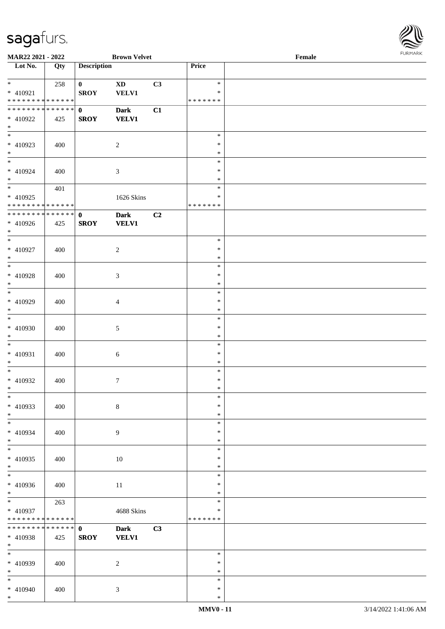

| MAR22 2021 - 2022                                                |     |                             | <b>Brown Velvet</b>         |    |                                   | Female |  |
|------------------------------------------------------------------|-----|-----------------------------|-----------------------------|----|-----------------------------------|--------|--|
| Lot No.                                                          | Qty | <b>Description</b>          |                             |    | Price                             |        |  |
| $*$<br>* 410921<br>* * * * * * * * * * * * * *                   | 258 | $\mathbf{0}$<br><b>SROY</b> | <b>XD</b><br><b>VELV1</b>   | C3 | $\ast$<br>$\ast$<br>* * * * * * * |        |  |
| * * * * * * * * * * * * * * *<br>* 410922<br>$*$                 | 425 | $\mathbf{0}$<br><b>SROY</b> | <b>Dark</b><br><b>VELV1</b> | C1 |                                   |        |  |
| $\overline{\phantom{0}}$<br>$* 410923$<br>$*$<br>$*$             | 400 |                             | $\sqrt{2}$                  |    | $\ast$<br>$\ast$<br>$\ast$        |        |  |
| * 410924<br>$*$                                                  | 400 |                             | 3                           |    | $\ast$<br>$\ast$<br>$\ast$        |        |  |
| $\overline{\ast}$<br>$* 410925$<br>* * * * * * * * * * * * * * * | 401 |                             | 1626 Skins                  |    | $\ast$<br>$\ast$<br>* * * * * * * |        |  |
| * * * * * * * * * * * * * * *<br>* 410926<br>$*$                 | 425 | $\mathbf{0}$<br><b>SROY</b> | <b>Dark</b><br><b>VELV1</b> | C2 |                                   |        |  |
| $*$<br>$* 410927$<br>$*$                                         | 400 |                             | $\overline{c}$              |    | $\ast$<br>$\ast$<br>$\ast$        |        |  |
| $\overline{\ast}$<br>$* 410928$<br>$*$                           | 400 |                             | 3                           |    | $\ast$<br>$\ast$<br>$\ast$        |        |  |
| $*$<br>* 410929<br>$*$<br>$\overline{\phantom{0}}$               | 400 |                             | $\overline{4}$              |    | $\ast$<br>$\ast$<br>$\ast$        |        |  |
| $* 410930$<br>$*$                                                | 400 |                             | 5                           |    | $\ast$<br>$\ast$<br>$\ast$        |        |  |
| $*$<br>$* 410931$<br>$*$                                         | 400 |                             | 6                           |    | $\ast$<br>$\ast$<br>$\ast$        |        |  |
| $*$<br>$* 410932$<br>$*$<br>$\ast$                               | 400 |                             | $\tau$                      |    | $\ast$<br>$\ast$<br>$*$<br>$\ast$ |        |  |
| $* 410933$<br>$*$                                                | 400 |                             | $8\,$                       |    | $\ast$<br>$\ast$                  |        |  |
| $*$<br>* 410934<br>$*$<br>$\overline{\ast}$                      | 400 |                             | 9                           |    | $\ast$<br>$\ast$<br>$\ast$        |        |  |
| $* 410935$<br>$*$<br>$\overline{\phantom{0}}$                    | 400 |                             | $10\,$                      |    | $\ast$<br>$\ast$<br>$\ast$        |        |  |
| $* 410936$<br>$*$<br>$*$                                         | 400 |                             | 11                          |    | $\ast$<br>$\ast$<br>$\ast$        |        |  |
| $* 410937$<br>* * * * * * * * * * * * * *                        | 263 |                             | 4688 Skins                  |    | $\ast$<br>$\ast$<br>* * * * * * * |        |  |
| * * * * * * * * * * * * * * *<br>* 410938<br>$*$                 | 425 | $\mathbf 0$<br><b>SROY</b>  | <b>Dark</b><br><b>VELV1</b> | C3 |                                   |        |  |
| $*$<br>* 410939<br>$*$                                           | 400 |                             | $\overline{c}$              |    | $\ast$<br>$\ast$<br>$\ast$        |        |  |
| $*$<br>$* 410940$<br>$*$                                         | 400 |                             | 3                           |    | $\ast$<br>$\ast$<br>$\ast$        |        |  |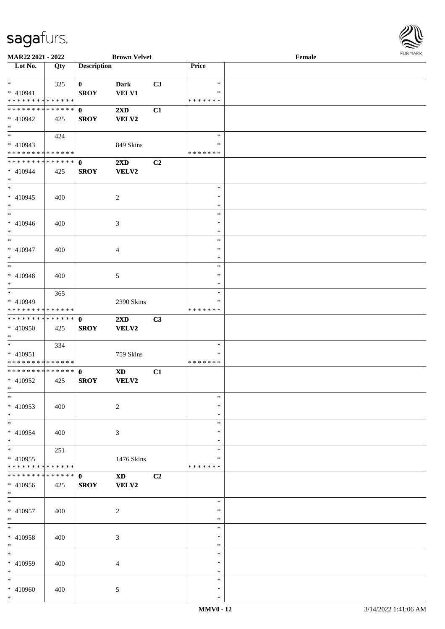

| MAR22 2021 - 2022             |        |                    | <b>Brown Velvet</b>     |    |               | Female |
|-------------------------------|--------|--------------------|-------------------------|----|---------------|--------|
| Lot No.                       | Qty    | <b>Description</b> |                         |    | Price         |        |
|                               |        |                    |                         |    |               |        |
| $*$                           | 325    | $\mathbf{0}$       | Dark                    | C3 | $\ast$        |        |
| * 410941                      |        | <b>SROY</b>        | <b>VELV1</b>            |    | ∗             |        |
| * * * * * * * * * * * * * *   |        |                    |                         |    | * * * * * * * |        |
| * * * * * * * * * * * * * * * |        | $\mathbf{0}$       | $2\mathbf{X}\mathbf{D}$ | C1 |               |        |
| * 410942                      |        |                    |                         |    |               |        |
|                               | 425    | <b>SROY</b>        | VELV2                   |    |               |        |
| $*$                           |        |                    |                         |    |               |        |
|                               | 424    |                    |                         |    | $\ast$        |        |
| * 410943                      |        |                    | 849 Skins               |    | $\ast$        |        |
| * * * * * * * * * * * * * *   |        |                    |                         |    | * * * * * * * |        |
| * * * * * * * * * * * * * * * |        | $\mathbf{0}$       | 2XD                     | C2 |               |        |
| $* 410944$                    | 425    | <b>SROY</b>        | <b>VELV2</b>            |    |               |        |
| $*$                           |        |                    |                         |    |               |        |
| $*$                           |        |                    |                         |    | $\ast$        |        |
| $* 410945$                    | 400    |                    | $\boldsymbol{2}$        |    | $\ast$        |        |
| $*$                           |        |                    |                         |    | $\ast$        |        |
| $*$                           |        |                    |                         |    | $\ast$        |        |
|                               |        |                    |                         |    |               |        |
| $* 410946$                    | 400    |                    | 3                       |    | $\ast$        |        |
| $*$                           |        |                    |                         |    | $\ast$        |        |
| $*$                           |        |                    |                         |    | $\ast$        |        |
| * 410947                      | 400    |                    | 4                       |    | $\ast$        |        |
| $*$                           |        |                    |                         |    | $\ast$        |        |
| $*$                           |        |                    |                         |    | $\ast$        |        |
| * 410948                      | 400    |                    | 5                       |    | $\ast$        |        |
| $*$                           |        |                    |                         |    | *             |        |
| $*$                           | 365    |                    |                         |    | $\ast$        |        |
| * 410949                      |        |                    | 2390 Skins              |    | $\ast$        |        |
| * * * * * * * * * * * * * *   |        |                    |                         |    | * * * * * * * |        |
| * * * * * * * * * * * * * * * |        | $\mathbf{0}$       |                         |    |               |        |
|                               |        |                    | 2XD                     | C3 |               |        |
| * 410950                      | 425    | <b>SROY</b>        | VELV2                   |    |               |        |
| $*$                           |        |                    |                         |    |               |        |
| $*$                           | 334    |                    |                         |    | $\ast$        |        |
| * 410951                      |        |                    | 759 Skins               |    | $\ast$        |        |
| * * * * * * * * * * * * * *   |        |                    |                         |    | * * * * * * * |        |
| * * * * * * * * * * * * * * * |        | $\mathbf{0}$       | <b>XD</b>               | C1 |               |        |
| * 410952                      | 425    | <b>SROY</b>        | VELV2                   |    |               |        |
| $*$ $*$                       |        |                    |                         |    |               |        |
| $\ast$                        |        |                    |                         |    | $\ast$        |        |
| $* 410953$                    | 400    |                    | $\overline{c}$          |    | $\ast$        |        |
| $*$                           |        |                    |                         |    | $\ast$        |        |
| $*$                           |        |                    |                         |    | $\ast$        |        |
| $* 410954$                    |        |                    |                         |    | ∗             |        |
|                               | 400    |                    | 3                       |    |               |        |
| $*$                           |        |                    |                         |    | *             |        |
| $*$                           | 251    |                    |                         |    | $\ast$        |        |
| * 410955                      |        |                    | 1476 Skins              |    | $\ast$        |        |
| * * * * * * * * * * * * * *   |        |                    |                         |    | * * * * * * * |        |
| * * * * * * * *               | ****** | $\mathbf{0}$       | $\mathbf{X}\mathbf{D}$  | C2 |               |        |
| * 410956                      | 425    | <b>SROY</b>        | VELV2                   |    |               |        |
| $*$                           |        |                    |                         |    |               |        |
| $*$                           |        |                    |                         |    | $\ast$        |        |
| * 410957                      | 400    |                    | $\overline{c}$          |    | $\ast$        |        |
| $*$                           |        |                    |                         |    | $\ast$        |        |
| $*$                           |        |                    |                         |    | $\ast$        |        |
|                               |        |                    |                         |    | $\ast$        |        |
| * 410958                      | 400    |                    | 3                       |    |               |        |
| $*$                           |        |                    |                         |    | $\ast$        |        |
| $*$                           |        |                    |                         |    | $\ast$        |        |
| * 410959                      | 400    |                    | 4                       |    | ∗             |        |
| $*$                           |        |                    |                         |    | $\ast$        |        |
| $*$                           |        |                    |                         |    | $\ast$        |        |
| * 410960                      | 400    |                    | 5                       |    | $\ast$        |        |
| $*$                           |        |                    |                         |    | $\ast$        |        |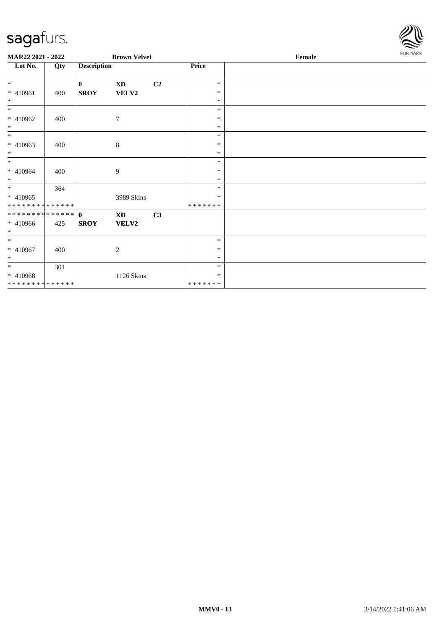

| MAR22 2021 - 2022 |     |                    | <b>Brown Velvet</b>    |    |         | Female | <b>FURMARK</b> |
|-------------------|-----|--------------------|------------------------|----|---------|--------|----------------|
| Lot No.           | Qty | <b>Description</b> |                        |    | Price   |        |                |
| $\ast$            |     | $\mathbf{0}$       | $\mathbf{X}\mathbf{D}$ | C2 | $\ast$  |        |                |
| * 410961          | 400 | <b>SROY</b>        | <b>VELV2</b>           |    | $\ast$  |        |                |
| $\ast$            |     |                    |                        |    | $\ast$  |        |                |
| $\ast$            |     |                    |                        |    | $\ast$  |        |                |
| * 410962          | 400 |                    | 7                      |    | $\ast$  |        |                |
| $\ast$            |     |                    |                        |    | $\ast$  |        |                |
| $\overline{\ast}$ |     |                    |                        |    | $\ast$  |        |                |
| * 410963          | 400 |                    | $\,8\,$                |    | $\ast$  |        |                |
| $*$               |     |                    |                        |    | $\ast$  |        |                |
| $*$               |     |                    |                        |    | $\ast$  |        |                |
| $* 410964$        | 400 |                    | 9                      |    | $\ast$  |        |                |
| $\ast$            |     |                    |                        |    | $\ast$  |        |                |
| $*$               | 364 |                    |                        |    | $\ast$  |        |                |
| * 410965          |     |                    | 3989 Skins             |    | $\ast$  |        |                |
| **************    |     |                    |                        |    | ******* |        |                |
| **************    |     | $\mathbf{0}$       | <b>XD</b>              | C3 |         |        |                |
| $* 410966$        | 425 | <b>SROY</b>        | <b>VELV2</b>           |    |         |        |                |
| $*$               |     |                    |                        |    |         |        |                |
| $*$               |     |                    |                        |    | $\ast$  |        |                |
| * 410967          | 400 |                    | 2                      |    | $\ast$  |        |                |
| $*$               |     |                    |                        |    | $\ast$  |        |                |
| $*$               | 301 |                    |                        |    | $\ast$  |        |                |
| $* 410968$        |     |                    | 1126 Skins             |    | $\ast$  |        |                |
| **************    |     |                    |                        |    | ******* |        |                |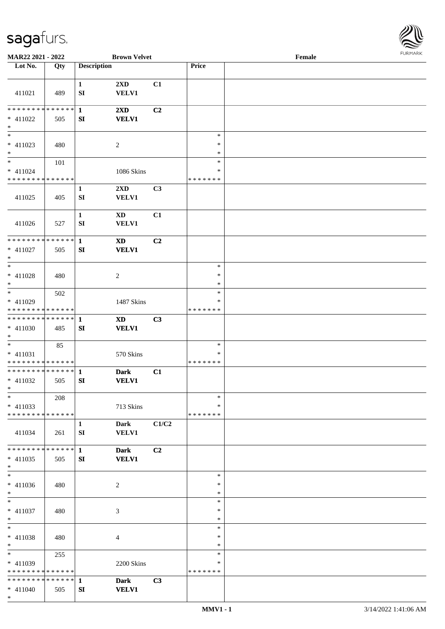

| MAR22 2021 - 2022                                     |     |                    | <b>Brown Velvet</b>             |                |                                   | Female |  |
|-------------------------------------------------------|-----|--------------------|---------------------------------|----------------|-----------------------------------|--------|--|
| Lot No.                                               | Qty | <b>Description</b> |                                 |                | Price                             |        |  |
|                                                       |     |                    |                                 |                |                                   |        |  |
| 411021                                                | 489 | $\mathbf{1}$<br>SI | 2XD<br>VELV1                    | C1             |                                   |        |  |
| * * * * * * * * * * * * * * *<br>$* 411022$<br>$\ast$ | 505 | $\mathbf{1}$<br>SI | 2XD<br><b>VELV1</b>             | C2             |                                   |        |  |
| $\overline{\phantom{0}}$<br>$* 411023$<br>$*$         | 480 |                    | $\boldsymbol{2}$                |                | $\ast$<br>$\ast$<br>$\ast$        |        |  |
| $\ast$<br>$* 411024$<br>* * * * * * * * * * * * * *   | 101 |                    | 1086 Skins                      |                | $\ast$<br>$\ast$<br>*******       |        |  |
| 411025                                                | 405 | $\mathbf 1$<br>SI  | 2XD<br>VELV1                    | C3             |                                   |        |  |
| 411026                                                | 527 | $\mathbf{1}$<br>SI | $\mathbf{X}\mathbf{D}$<br>VELV1 | C1             |                                   |        |  |
| * * * * * * * * * * * * * * *<br>$* 411027$<br>$*$    | 505 | $\mathbf{1}$<br>SI | <b>XD</b><br><b>VELV1</b>       | C2             |                                   |        |  |
| $*$<br>$* 411028$<br>$*$                              | 480 |                    | $\overline{c}$                  |                | $\ast$<br>$\ast$<br>$\ast$        |        |  |
| $*$<br>$* 411029$<br>* * * * * * * * * * * * * *      | 502 |                    | 1487 Skins                      |                | $\ast$<br>$\ast$<br>* * * * * * * |        |  |
| **************<br>$* 411030$<br>$*$                   | 485 | $\mathbf{1}$<br>SI | <b>XD</b><br><b>VELV1</b>       | C3             |                                   |        |  |
| $*$<br>$* 411031$<br>* * * * * * * * * * * * * *      | 85  |                    | 570 Skins                       |                | $\ast$<br>$\ast$<br>*******       |        |  |
| **************<br>* 411032<br>$*$                     | 505 | $\mathbf{1}$<br>SI | <b>Dark</b><br><b>VELV1</b>     | C1             |                                   |        |  |
| $*$<br>$* 411033$<br>* * * * * * * * * * * * * *      | 208 |                    | 713 Skins                       |                | $\ast$<br>∗<br>*******            |        |  |
| 411034                                                | 261 | $\mathbf{1}$<br>SI | Dark<br><b>VELV1</b>            | C1/C2          |                                   |        |  |
| * * * * * * * * * * * * * * *<br>$* 411035$<br>$*$    | 505 | $\mathbf{1}$<br>SI | <b>Dark</b><br><b>VELV1</b>     | C <sub>2</sub> |                                   |        |  |
| $\ast$<br>$* 411036$<br>$*$                           | 480 |                    | 2                               |                | $\ast$<br>$\ast$<br>$\ast$        |        |  |
| $*$<br>$* 411037$<br>$*$                              | 480 |                    | 3                               |                | $\ast$<br>$\ast$<br>$\ast$        |        |  |
| $*$<br>$* 411038$<br>$*$                              | 480 |                    | 4                               |                | $\ast$<br>$\ast$<br>$\ast$        |        |  |
| $*$<br>$* 411039$<br>* * * * * * * * * * * * * *      | 255 |                    | 2200 Skins                      |                | $\ast$<br>∗<br>* * * * * * *      |        |  |
| * * * * * * * * * * * * * * *<br>$* 411040$<br>$*$    | 505 | 1<br>SI            | <b>Dark</b><br><b>VELV1</b>     | C3             |                                   |        |  |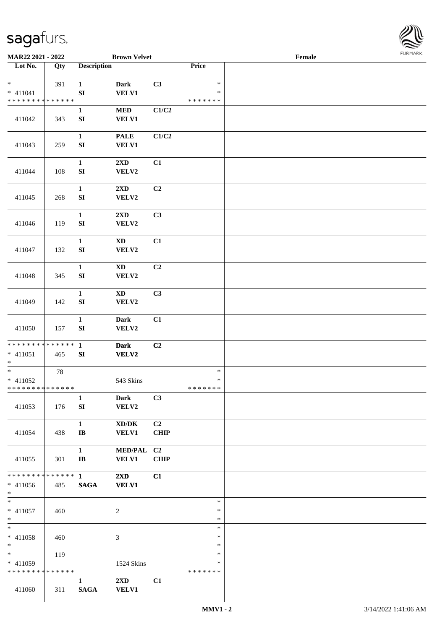

| MAR22 2021 - 2022                                               |     |                                        | <b>Brown Velvet</b>                                 |                   |                                   | Female |  |
|-----------------------------------------------------------------|-----|----------------------------------------|-----------------------------------------------------|-------------------|-----------------------------------|--------|--|
| Lot No.                                                         | Qty | <b>Description</b>                     |                                                     |                   | Price                             |        |  |
| $*$<br>$* 411041$<br>* * * * * * * * * * * * * *                | 391 | $\mathbf{1}$<br>${\bf SI}$             | Dark<br><b>VELV1</b>                                | C3                | $\ast$<br>$\ast$<br>* * * * * * * |        |  |
| 411042                                                          | 343 | $\mathbf{1}$<br>SI                     | <b>MED</b><br><b>VELV1</b>                          | C1/C2             |                                   |        |  |
| 411043                                                          | 259 | $\mathbf{1}$<br>SI                     | <b>PALE</b><br><b>VELV1</b>                         | C1/C2             |                                   |        |  |
| 411044                                                          | 108 | $\mathbf{1}$<br>${\bf SI}$             | 2XD<br>VELV2                                        | C1                |                                   |        |  |
| 411045                                                          | 268 | $\mathbf{1}$<br>SI                     | 2XD<br>VELV2                                        | C2                |                                   |        |  |
| 411046                                                          | 119 | $\mathbf 1$<br>${\bf SI}$              | 2XD<br>VELV2                                        | C3                |                                   |        |  |
| 411047                                                          | 132 | $\mathbf{1}$<br>${\bf SI}$             | $\mathbf{X}\mathbf{D}$<br>VELV2                     | C1                |                                   |        |  |
| 411048                                                          | 345 | $\mathbf 1$<br>SI                      | <b>XD</b><br>VELV2                                  | C2                |                                   |        |  |
| 411049                                                          | 142 | $\mathbf{1}$<br>SI                     | XD<br>VELV2                                         | C3                |                                   |        |  |
| 411050                                                          | 157 | $\mathbf{1}$<br>${\bf SI}$             | Dark<br>VELV2                                       | C1                |                                   |        |  |
| ******** <mark>******</mark><br>$* 411051$<br>$*$               | 465 | $\mathbf{1}$<br>SI                     | <b>Dark</b><br>VELV2                                | C2                |                                   |        |  |
| $\overline{\ast}$<br>$* 411052$<br>******** <mark>******</mark> | 78  |                                        | 543 Skins                                           |                   | $\ast$<br>$\ast$<br>*******       |        |  |
| 411053                                                          | 176 | $\mathbf{1}$<br>SI                     | Dark<br>VELV2                                       | C3                |                                   |        |  |
| 411054                                                          | 438 | $\mathbf{1}$<br>$\mathbf{I}\mathbf{B}$ | $\bold{X}\bold{D}/\bold{D}\bold{K}$<br><b>VELV1</b> | C2<br><b>CHIP</b> |                                   |        |  |
| 411055                                                          | 301 | $\mathbf{1}$<br>$\mathbf{I}$ <b>B</b>  | MED/PAL C2<br><b>VELV1</b>                          | <b>CHIP</b>       |                                   |        |  |
| * * * * * * * * * * * * * * *<br>$* 411056$<br>$*$              | 485 | $\mathbf{1}$<br><b>SAGA</b>            | $2\mathbf{X}\mathbf{D}$<br><b>VELV1</b>             | C1                |                                   |        |  |
| $*$<br>$* 411057$<br>$*$                                        | 460 |                                        | $\overline{c}$                                      |                   | $\ast$<br>$\ast$<br>$\ast$        |        |  |
| $*$<br>* 411058<br>$*$                                          | 460 |                                        | 3                                                   |                   | $\ast$<br>$\ast$<br>$\ast$        |        |  |
| $* 411059$<br>* * * * * * * * * * * * * *                       | 119 |                                        | 1524 Skins                                          |                   | $\ast$<br>∗<br>* * * * * * *      |        |  |
| 411060                                                          | 311 | $\mathbf{1}$<br><b>SAGA</b>            | $2\mathbf{X}\mathbf{D}$<br><b>VELV1</b>             | C1                |                                   |        |  |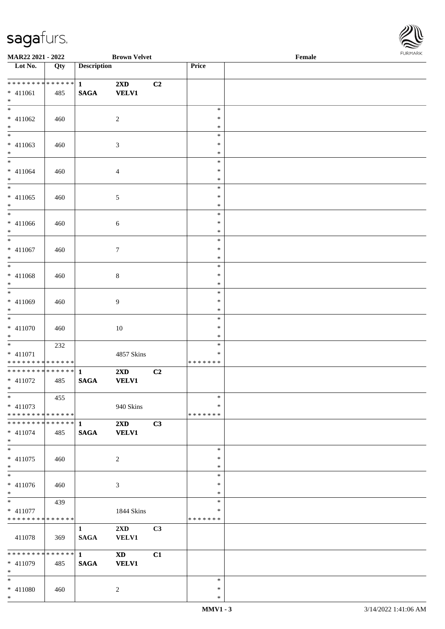\*



| <b>MAR22 2021 - 2022</b>                                        |     |                                  | <b>Brown Velvet</b>                     |    |                             | Female |  |
|-----------------------------------------------------------------|-----|----------------------------------|-----------------------------------------|----|-----------------------------|--------|--|
| Lot No.                                                         | Qty | <b>Description</b>               |                                         |    | Price                       |        |  |
| ************** 1<br>$* 411061$<br>$\ast$                        | 485 | <b>SAGA</b>                      | $2\mathbf{X}\mathbf{D}$<br><b>VELV1</b> | C2 |                             |        |  |
| $* 411062$<br>$\ast$                                            | 460 |                                  | $\overline{c}$                          |    | $\ast$<br>$\ast$<br>$\ast$  |        |  |
| $* 411063$<br>$*$                                               | 460 |                                  | $\mathfrak{Z}$                          |    | $\ast$<br>$\ast$<br>$\ast$  |        |  |
| $*$<br>$* 411064$<br>$*$                                        | 460 |                                  | $\overline{4}$                          |    | $\ast$<br>$\ast$<br>$\ast$  |        |  |
| $* 411065$<br>$*$                                               | 460 |                                  | $\sqrt{5}$                              |    | $\ast$<br>$\ast$<br>$\ast$  |        |  |
| $* 411066$<br>$*$                                               | 460 |                                  | 6                                       |    | $\ast$<br>$\ast$<br>$\ast$  |        |  |
| $*$<br>$* 411067$<br>$*$                                        | 460 |                                  | $\tau$                                  |    | $\ast$<br>$\ast$<br>$\ast$  |        |  |
| $* 411068$<br>$*$                                               | 460 |                                  | $8\,$                                   |    | $\ast$<br>$\ast$<br>$\ast$  |        |  |
| * 411069<br>$\ast$                                              | 460 |                                  | 9                                       |    | $\ast$<br>$\ast$<br>$\ast$  |        |  |
| $* 411070$<br>$*$                                               | 460 |                                  | $10\,$                                  |    | $\ast$<br>$\ast$<br>$\ast$  |        |  |
| $*$<br>$* 411071$<br>* * * * * * * * <mark>* * * * * * *</mark> | 232 |                                  | 4857 Skins                              |    | $\ast$<br>$\ast$<br>******* |        |  |
| ************** 1<br>$* 411072$<br>$*$ $*$                       | 485 | <b>SAGA</b>                      | $2\mathbf{X}\mathbf{D}$<br><b>VELV1</b> | C2 |                             |        |  |
| $*$<br>$* 411073$<br>* * * * * * * * * * * * * * *              | 455 |                                  | 940 Skins                               |    | $\ast$<br>∗<br>*******      |        |  |
| $* 411074$<br>$*$                                               | 485 | <b>SAGA</b>                      | $2\mathbf{X}\mathbf{D}$<br><b>VELV1</b> | C3 |                             |        |  |
| $*$<br>$* 411075$<br>$*$                                        | 460 |                                  | $\overline{c}$                          |    | $\ast$<br>$\ast$<br>$\ast$  |        |  |
| $*$<br>$* 411076$<br>$*$                                        | 460 |                                  | $\mathfrak{Z}$                          |    | $\ast$<br>$\ast$<br>$\ast$  |        |  |
| $*$ $*$<br>$* 411077$<br>* * * * * * * * * * * * * *            | 439 |                                  | 1844 Skins                              |    | $\ast$<br>$\ast$<br>******* |        |  |
| 411078                                                          | 369 | $\mathbf{1}$<br><b>SAGA</b>      | $2\mathbf{X}\mathbf{D}$<br><b>VELV1</b> | C3 |                             |        |  |
| ******** <mark>******</mark><br>$* 411079$<br>$*$ $*$           | 485 | $1 \qquad \qquad$<br><b>SAGA</b> | <b>XD</b><br><b>VELV1</b>               | C1 |                             |        |  |
| $*$<br>* 411080<br>$*$                                          | 460 |                                  | 2                                       |    | $\ast$<br>$\ast$<br>$\ast$  |        |  |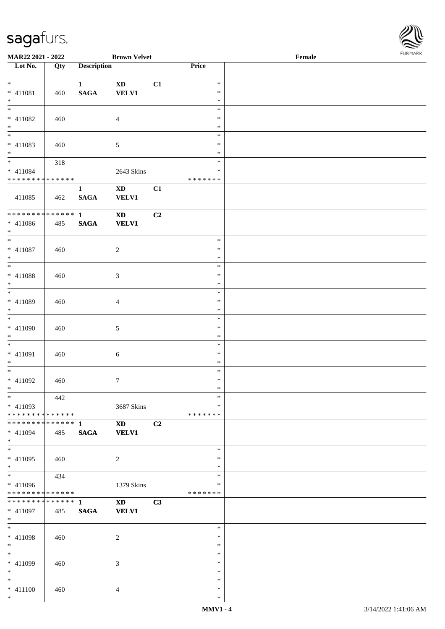\*

\* 411100 | 460 | 4

| <b>Brown Velvet</b><br>MAR22 2021 - 2022 |     |                    |                        |    | $\ensuremath{\textnormal{\textbf{Female}}}$ |  |  |  |
|------------------------------------------|-----|--------------------|------------------------|----|---------------------------------------------|--|--|--|
| Lot No.                                  | Qty | <b>Description</b> |                        |    | Price                                       |  |  |  |
| $\overline{\ast}$                        |     | 1                  | $\mathbf{X}\mathbf{D}$ | C1 | $\ast$                                      |  |  |  |
| * 411081                                 | 460 | $\mathbf{SAGA}$    | VELV1                  |    | $\ast$                                      |  |  |  |
| $*$                                      |     |                    |                        |    | $\ast$                                      |  |  |  |
| $*$                                      |     |                    |                        |    | $\ast$                                      |  |  |  |
|                                          |     |                    |                        |    | $\ast$                                      |  |  |  |
| $* 411082$                               | 460 |                    | $\overline{4}$         |    |                                             |  |  |  |
| $*$ $*$                                  |     |                    |                        |    | $\ast$                                      |  |  |  |
|                                          |     |                    |                        |    | $\ast$                                      |  |  |  |
| $* 411083$                               | 460 |                    | $\mathfrak{S}$         |    | $\ast$                                      |  |  |  |
| $*$                                      |     |                    |                        |    | $\ast$                                      |  |  |  |
|                                          | 318 |                    |                        |    | $\ast$                                      |  |  |  |
| $* 411084$                               |     |                    | 2643 Skins             |    | $\ast$                                      |  |  |  |
| * * * * * * * * * * * * * *              |     |                    |                        |    | *******                                     |  |  |  |
|                                          |     | $\mathbf{1}$       | <b>XD</b>              | C1 |                                             |  |  |  |
| 411085                                   | 462 | <b>SAGA</b>        | <b>VELV1</b>           |    |                                             |  |  |  |
|                                          |     |                    |                        |    |                                             |  |  |  |
| **************                           |     | $\mathbf{1}$       | $\mathbf{X}\mathbf{D}$ | C2 |                                             |  |  |  |
| $* 411086$                               | 485 | <b>SAGA</b>        | <b>VELV1</b>           |    |                                             |  |  |  |
| $*$                                      |     |                    |                        |    |                                             |  |  |  |
| $\overline{\ }$                          |     |                    |                        |    | $\ast$                                      |  |  |  |
| $* 411087$                               | 460 |                    | $\overline{2}$         |    | $\ast$                                      |  |  |  |
| $*$                                      |     |                    |                        |    | $\ast$                                      |  |  |  |
| $\overline{\phantom{0}}$                 |     |                    |                        |    | $\ast$                                      |  |  |  |
| $* 411088$                               | 460 |                    | $\mathfrak{Z}$         |    | $\ast$                                      |  |  |  |
| $\ast$                                   |     |                    |                        |    | $\ast$                                      |  |  |  |
| $\overline{\phantom{0}}$                 |     |                    |                        |    | $\ast$                                      |  |  |  |
| $* 411089$                               | 460 |                    | $\overline{4}$         |    | $\ast$                                      |  |  |  |
| $\ast$                                   |     |                    |                        |    | $\ast$                                      |  |  |  |
| $\overline{\phantom{a}^*}$               |     |                    |                        |    | $\ast$                                      |  |  |  |
| * 411090                                 | 460 |                    | $5\phantom{.0}$        |    | $\ast$                                      |  |  |  |
| $\ast$                                   |     |                    |                        |    | $\ast$                                      |  |  |  |
| $*$                                      |     |                    |                        |    | $\ast$                                      |  |  |  |
| $* 411091$                               |     |                    |                        |    | $\ast$                                      |  |  |  |
| $\ast$                                   | 460 |                    | $6\,$                  |    | $\ast$                                      |  |  |  |
| $\overline{\phantom{0}}$                 |     |                    |                        |    | $\ast$                                      |  |  |  |
|                                          |     |                    |                        |    | $\ast$                                      |  |  |  |
| $* 411092$<br>$*$                        | 460 |                    | $7\phantom{.0}$        |    | $\ast$                                      |  |  |  |
| $\ast$                                   |     |                    |                        |    | $\ast$                                      |  |  |  |
|                                          | 442 |                    |                        |    |                                             |  |  |  |
| $* 411093$                               |     |                    | 3687 Skins             |    | $\ast$                                      |  |  |  |
| * * * * * * * * * * * * * *              |     |                    |                        |    | *******                                     |  |  |  |
| **************                           |     | $\mathbf{1}$       | $\mathbf{X}\mathbf{D}$ | C2 |                                             |  |  |  |
| $* 411094$                               | 485 | <b>SAGA</b>        | VELV1                  |    |                                             |  |  |  |
| $*$<br>$\frac{1}{*}$                     |     |                    |                        |    |                                             |  |  |  |
|                                          |     |                    |                        |    | $\ast$                                      |  |  |  |
| $* 411095$                               | 460 |                    | $\overline{2}$         |    | $\ast$                                      |  |  |  |
| $*$                                      |     |                    |                        |    | $\ast$                                      |  |  |  |
| $\overline{\phantom{a}^*}$               | 434 |                    |                        |    | $\ast$                                      |  |  |  |
| * 411096                                 |     |                    | 1379 Skins             |    | $\ast$                                      |  |  |  |
| ******** <mark>******</mark>             |     |                    |                        |    | *******                                     |  |  |  |
| ************** 1                         |     |                    | <b>XD</b>              | C3 |                                             |  |  |  |
| $* 411097$                               | 485 | <b>SAGA</b>        | <b>VELV1</b>           |    |                                             |  |  |  |
| $*$                                      |     |                    |                        |    |                                             |  |  |  |
| $\ast$                                   |     |                    |                        |    | $\ast$                                      |  |  |  |
| * 411098                                 | 460 |                    | $\overline{c}$         |    | $\ast$                                      |  |  |  |
| $*$                                      |     |                    |                        |    | $\ast$                                      |  |  |  |
| $\overline{\phantom{a}^*}$               |     |                    |                        |    | $\ast$                                      |  |  |  |
| * 411099                                 | 460 |                    | $\mathfrak{Z}$         |    | $\ast$                                      |  |  |  |
| $\ast$                                   |     |                    |                        |    | $\ast$                                      |  |  |  |
| $\ast$                                   |     |                    |                        |    | $\ast$                                      |  |  |  |
|                                          |     |                    |                        |    |                                             |  |  |  |

\*

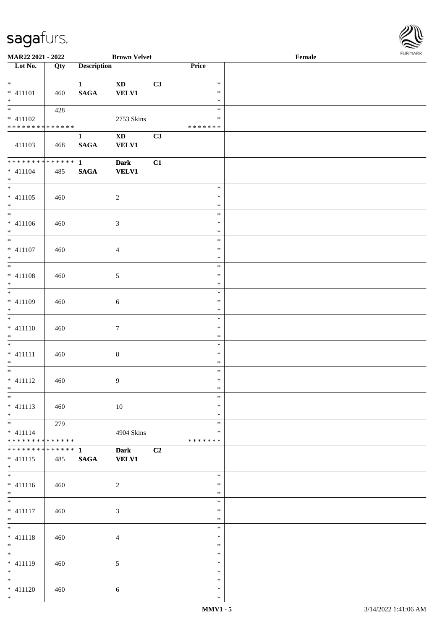| <b>FURMARK</b> |
|----------------|
|                |

| <b>MAR22 2021 - 2022</b>                   |     |                    | <b>Brown Velvet</b>    |    |               | Female |
|--------------------------------------------|-----|--------------------|------------------------|----|---------------|--------|
| Lot No.                                    | Qty | <b>Description</b> |                        |    | Price         |        |
|                                            |     |                    |                        |    |               |        |
| $*$                                        |     | $\mathbf{1}$       | <b>XD</b>              | C3 | $\ast$        |        |
| * 411101                                   | 460 | <b>SAGA</b>        | <b>VELV1</b>           |    | $\ast$        |        |
| $*$                                        |     |                    |                        |    | $\ast$        |        |
|                                            | 428 |                    |                        |    | $\ast$        |        |
| * 411102                                   |     |                    |                        |    | $\ast$        |        |
| * * * * * * * * * * * * * *                |     |                    | 2753 Skins             |    |               |        |
|                                            |     |                    |                        |    | * * * * * * * |        |
|                                            |     | $\mathbf{1}$       | $\mathbf{X}\mathbf{D}$ | C3 |               |        |
| 411103                                     | 468 | <b>SAGA</b>        | <b>VELV1</b>           |    |               |        |
|                                            |     |                    |                        |    |               |        |
| ******** <mark>******</mark>               |     | $\mathbf{1}$       | <b>Dark</b>            | C1 |               |        |
| $* 411104$                                 | 485 | $\mathbf{SAGA}$    | <b>VELV1</b>           |    |               |        |
| $*$                                        |     |                    |                        |    |               |        |
|                                            |     |                    |                        |    | $\ast$        |        |
| $* 411105$                                 | 460 |                    | $\sqrt{2}$             |    | $\ast$        |        |
| $*$                                        |     |                    |                        |    | $\ast$        |        |
| $\overline{\phantom{0}}$                   |     |                    |                        |    | $\ast$        |        |
| $* 411106$                                 |     |                    |                        |    | $\ast$        |        |
|                                            | 460 |                    | 3                      |    | $\ast$        |        |
| $*$<br>$*$                                 |     |                    |                        |    |               |        |
|                                            |     |                    |                        |    | $\ast$        |        |
| $* 411107$                                 | 460 |                    | $\overline{4}$         |    | $\ast$        |        |
| $*$                                        |     |                    |                        |    | $\ast$        |        |
|                                            |     |                    |                        |    | $\ast$        |        |
| * 411108                                   | 460 |                    | 5                      |    | $\ast$        |        |
| $*$                                        |     |                    |                        |    | $\ast$        |        |
|                                            |     |                    |                        |    | $\ast$        |        |
| * 411109                                   | 460 |                    | 6                      |    | $\ast$        |        |
| $*$                                        |     |                    |                        |    | $\ast$        |        |
|                                            |     |                    |                        |    | $\ast$        |        |
| $* 411110$                                 |     |                    | $\boldsymbol{7}$       |    | $\ast$        |        |
| $*$                                        | 460 |                    |                        |    | $\ast$        |        |
| $*$                                        |     |                    |                        |    |               |        |
|                                            |     |                    |                        |    | $\ast$        |        |
| $* 411111$                                 | 460 |                    | $\,8\,$                |    | $\ast$        |        |
| $*$                                        |     |                    |                        |    | $\ast$        |        |
| $*$                                        |     |                    |                        |    | $\ast$        |        |
| $* 411112$                                 | 460 |                    | $\boldsymbol{9}$       |    | $\ast$        |        |
| $*$                                        |     |                    |                        |    | $\ast$        |        |
| $*$                                        |     |                    |                        |    | $\ast$        |        |
| $* 411113$                                 | 460 |                    | 10                     |    | $\ast$        |        |
| $*$                                        |     |                    |                        |    | $\ast$        |        |
| $*$ $*$                                    | 279 |                    |                        |    | $\ast$        |        |
| $* 411114$                                 |     |                    | 4904 Skins             |    | ∗             |        |
| * * * * * * * * <mark>* * * * * * *</mark> |     |                    |                        |    | * * * * * * * |        |
| ************** 1                           |     |                    | <b>Dark</b>            | C2 |               |        |
| $* 411115$                                 | 485 | <b>SAGA</b>        | <b>VELV1</b>           |    |               |        |
| $*$                                        |     |                    |                        |    |               |        |
|                                            |     |                    |                        |    | $\ast$        |        |
|                                            |     |                    |                        |    | $\ast$        |        |
| $* 411116$                                 | 460 |                    | $\overline{c}$         |    |               |        |
| $*$                                        |     |                    |                        |    | $\ast$        |        |
| $*$                                        |     |                    |                        |    | $\ast$        |        |
| $* 411117$                                 | 460 |                    | $\mathfrak{Z}$         |    | $\ast$        |        |
| $*$                                        |     |                    |                        |    | $\ast$        |        |
| $*$                                        |     |                    |                        |    | $\ast$        |        |
| $* 411118$                                 | 460 |                    | $\overline{4}$         |    | $\ast$        |        |
| $*$                                        |     |                    |                        |    | $\ast$        |        |
| $*$                                        |     |                    |                        |    | $\ast$        |        |
| * 411119                                   | 460 |                    | $\sqrt{5}$             |    | $\ast$        |        |
| $*$                                        |     |                    |                        |    | $\ast$        |        |
| $*$                                        |     |                    |                        |    | $\ast$        |        |
| $* 411120$                                 | 460 |                    | $\sqrt{6}$             |    | $\ast$        |        |
| $*$                                        |     |                    |                        |    | $\ast$        |        |
|                                            |     |                    |                        |    |               |        |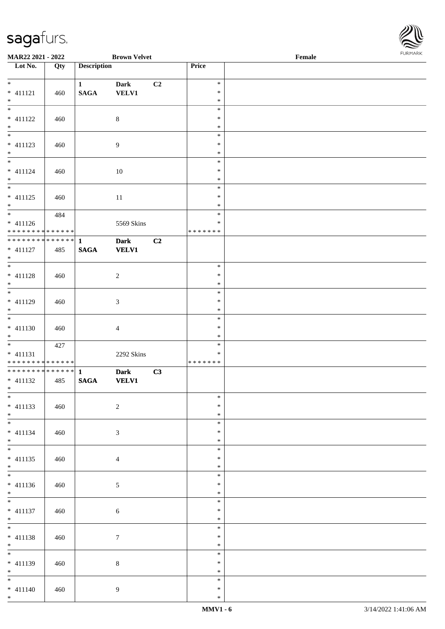

| MAR22 2021 - 2022                          |     |                    | <b>Brown Velvet</b> |    |                  | Female | <b>FURPIARA</b> |
|--------------------------------------------|-----|--------------------|---------------------|----|------------------|--------|-----------------|
| Lot No.                                    | Qty | <b>Description</b> |                     |    | Price            |        |                 |
|                                            |     |                    |                     |    |                  |        |                 |
| $*$                                        |     | $1 \qquad \qquad$  | <b>Dark</b>         | C2 | $\ast$           |        |                 |
| $* 411121$                                 | 460 | <b>SAGA</b>        | <b>VELV1</b>        |    | $\ast$           |        |                 |
| $*$                                        |     |                    |                     |    | $\ast$<br>$\ast$ |        |                 |
|                                            |     |                    |                     |    | $\ast$           |        |                 |
| $* 411122$                                 | 460 |                    | $\,8\,$             |    | $\ast$           |        |                 |
| $*$                                        |     |                    |                     |    | $\ast$           |        |                 |
| * 411123                                   |     |                    |                     |    | $\ast$           |        |                 |
| $*$                                        | 460 |                    | $\overline{9}$      |    | $\ast$           |        |                 |
|                                            |     |                    |                     |    | $\ast$           |        |                 |
| $* 411124$                                 | 460 |                    | 10                  |    | $\ast$           |        |                 |
| $*$                                        |     |                    |                     |    | $\ast$           |        |                 |
|                                            |     |                    |                     |    | $\ast$           |        |                 |
| $* 411125$                                 | 460 |                    | 11                  |    | $\ast$           |        |                 |
| $*$                                        |     |                    |                     |    | $\ast$           |        |                 |
|                                            | 484 |                    |                     |    | $\ast$           |        |                 |
| $* 411126$                                 |     |                    | 5569 Skins          |    | $\ast$           |        |                 |
| * * * * * * * * * * * * * * *              |     |                    |                     |    | *******          |        |                 |
| * * * * * * * * * * * * * * *              |     | $\mathbf{1}$       | <b>Dark</b>         | C2 |                  |        |                 |
| $* 411127$                                 | 485 | <b>SAGA</b>        | <b>VELV1</b>        |    |                  |        |                 |
| $*$                                        |     |                    |                     |    |                  |        |                 |
|                                            |     |                    |                     |    | $\ast$           |        |                 |
| $* 411128$                                 | 460 |                    | $\overline{c}$      |    | $\ast$           |        |                 |
| $*$                                        |     |                    |                     |    | $\ast$           |        |                 |
|                                            |     |                    |                     |    | $\ast$           |        |                 |
| $* 411129$                                 | 460 |                    | 3                   |    | $\ast$           |        |                 |
| $*$                                        |     |                    |                     |    | $\ast$           |        |                 |
|                                            |     |                    |                     |    | $\ast$<br>$\ast$ |        |                 |
| $* 411130$<br>$*$                          | 460 |                    | $\overline{4}$      |    | $\ast$           |        |                 |
|                                            | 427 |                    |                     |    | $\ast$           |        |                 |
| $* 411131$                                 |     |                    | 2292 Skins          |    | $\ast$           |        |                 |
| * * * * * * * * <mark>* * * * * * *</mark> |     |                    |                     |    | *******          |        |                 |
|                                            |     |                    | <b>Dark</b>         | C3 |                  |        |                 |
| $* 411132$                                 | 485 | <b>SAGA</b>        | <b>VELV1</b>        |    |                  |        |                 |
| $*$ $*$                                    |     |                    |                     |    |                  |        |                 |
|                                            |     |                    |                     |    | $\ast$           |        |                 |
| $* 411133$                                 | 460 |                    | $\overline{2}$      |    | $\ast$           |        |                 |
| $*$                                        |     |                    |                     |    | $\ast$           |        |                 |
|                                            |     |                    |                     |    | $\ast$           |        |                 |
| $* 411134$                                 | 460 |                    | $\mathfrak{Z}$      |    | $\ast$           |        |                 |
| $*$ $-$                                    |     |                    |                     |    | $\ast$           |        |                 |
| $\overline{\ast}$                          |     |                    |                     |    | $\ast$           |        |                 |
| * 411135                                   | 460 |                    | $\overline{4}$      |    | $\ast$           |        |                 |
| $*$                                        |     |                    |                     |    | $\ast$           |        |                 |
|                                            |     |                    |                     |    | $\ast$           |        |                 |
| $* 411136$                                 | 460 |                    | 5                   |    | $\ast$<br>$\ast$ |        |                 |
| $*$                                        |     |                    |                     |    | $\ast$           |        |                 |
| * 411137                                   |     |                    |                     |    | $\ast$           |        |                 |
| $*$                                        | 460 |                    | $\sqrt{6}$          |    | $\ast$           |        |                 |
| $*$                                        |     |                    |                     |    | $\ast$           |        |                 |
| * 411138                                   | 460 |                    | $\tau$              |    | $\ast$           |        |                 |
| $*$                                        |     |                    |                     |    | $\ast$           |        |                 |
| $*$                                        |     |                    |                     |    | $\ast$           |        |                 |
| $* 411139$                                 | 460 |                    | $8\,$               |    | $\ast$           |        |                 |
| $*$                                        |     |                    |                     |    | $\ast$           |        |                 |
| $*$ $-$                                    |     |                    |                     |    | $\ast$           |        |                 |
| $* 411140$                                 | 460 |                    | $\overline{9}$      |    | $\ast$           |        |                 |
| $*$                                        |     |                    |                     |    | $\ast$           |        |                 |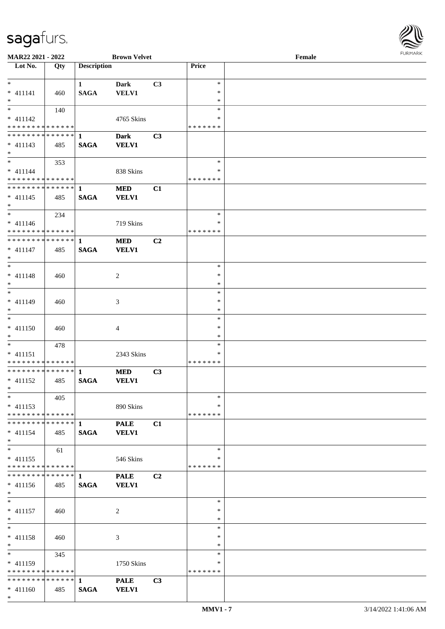

| <b>MAR22 2021 - 2022</b>                    |     |                    | <b>Brown Velvet</b> |    |               | Female |  |
|---------------------------------------------|-----|--------------------|---------------------|----|---------------|--------|--|
| Lot No.                                     | Qty | <b>Description</b> |                     |    | Price         |        |  |
|                                             |     |                    |                     |    |               |        |  |
| $*$                                         |     | $\mathbf{1}$       | <b>Dark</b>         | C3 | $\ast$        |        |  |
| $* 411141$                                  | 460 | <b>SAGA</b>        | <b>VELV1</b>        |    | $\ast$        |        |  |
| $*$                                         |     |                    |                     |    | $\ast$        |        |  |
| $\overline{\ast}$                           | 140 |                    |                     |    | $\ast$        |        |  |
| $* 411142$                                  |     |                    | 4765 Skins          |    | ∗             |        |  |
| * * * * * * * * * * * * * *                 |     |                    |                     |    | * * * * * * * |        |  |
|                                             |     |                    |                     |    |               |        |  |
|                                             |     |                    | <b>Dark</b>         | C3 |               |        |  |
| $* 411143$                                  | 485 | <b>SAGA</b>        | <b>VELV1</b>        |    |               |        |  |
| $*$                                         |     |                    |                     |    |               |        |  |
| $*$                                         | 353 |                    |                     |    | $\ast$        |        |  |
| $* 411144$                                  |     |                    | 838 Skins           |    | ∗             |        |  |
| * * * * * * * * * * * * * * *               |     |                    |                     |    | * * * * * * * |        |  |
| ******** <mark>******</mark>                |     | $\mathbf{1}$       | <b>MED</b>          | C1 |               |        |  |
| $* 411145$                                  | 485 | <b>SAGA</b>        | <b>VELV1</b>        |    |               |        |  |
| $*$                                         |     |                    |                     |    |               |        |  |
| $*$                                         | 234 |                    |                     |    | $\ast$        |        |  |
|                                             |     |                    |                     |    | $\ast$        |        |  |
| $* 411146$<br>* * * * * * * * * * * * * * * |     |                    | 719 Skins           |    | * * * * * * * |        |  |
|                                             |     |                    |                     |    |               |        |  |
| * * * * * * * * * * * * * * *               |     | $\mathbf{1}$       | <b>MED</b>          | C2 |               |        |  |
| $* 411147$                                  | 485 | <b>SAGA</b>        | <b>VELV1</b>        |    |               |        |  |
| $*$                                         |     |                    |                     |    |               |        |  |
| $*$                                         |     |                    |                     |    | $\ast$        |        |  |
| $* 411148$                                  | 460 |                    | 2                   |    | $\ast$        |        |  |
| $\ast$                                      |     |                    |                     |    | $\ast$        |        |  |
| $*$                                         |     |                    |                     |    | $\ast$        |        |  |
| * 411149                                    | 460 |                    | 3                   |    | $\ast$        |        |  |
| $*$                                         |     |                    |                     |    | $\ast$        |        |  |
| $\overline{\ }$                             |     |                    |                     |    | $\ast$        |        |  |
|                                             |     |                    |                     |    | $\ast$        |        |  |
| $* 411150$                                  | 460 |                    | 4                   |    |               |        |  |
| $*$                                         |     |                    |                     |    | $\ast$        |        |  |
| $*$                                         | 478 |                    |                     |    | $\ast$        |        |  |
| $* 411151$                                  |     |                    | 2343 Skins          |    | ∗             |        |  |
| * * * * * * * * <mark>* * * * * * *</mark>  |     |                    |                     |    | * * * * * * * |        |  |
|                                             |     |                    | <b>MED</b>          | C3 |               |        |  |
| $* 411152$                                  | 485 | <b>SAGA</b>        | <b>VELV1</b>        |    |               |        |  |
| $*$ $*$                                     |     |                    |                     |    |               |        |  |
| $*$                                         | 405 |                    |                     |    | $\ast$        |        |  |
| $* 411153$                                  |     |                    | 890 Skins           |    | ∗             |        |  |
| * * * * * * * * <mark>* * * * * * *</mark>  |     |                    |                     |    | *******       |        |  |
|                                             |     |                    | <b>PALE</b>         | C1 |               |        |  |
|                                             |     |                    |                     |    |               |        |  |
| $* 411154$                                  | 485 | <b>SAGA</b>        | <b>VELV1</b>        |    |               |        |  |
| $*$                                         |     |                    |                     |    |               |        |  |
| $*$                                         | 61  |                    |                     |    | $\ast$        |        |  |
| $* 411155$                                  |     |                    | 546 Skins           |    | ∗             |        |  |
| * * * * * * * * * * * * * * *               |     |                    |                     |    | * * * * * * * |        |  |
|                                             |     |                    | <b>PALE</b>         | C2 |               |        |  |
| $* 411156$                                  | 485 | <b>SAGA</b>        | <b>VELV1</b>        |    |               |        |  |
| $*$                                         |     |                    |                     |    |               |        |  |
| $*$                                         |     |                    |                     |    | $\ast$        |        |  |
| $* 411157$                                  | 460 |                    | 2                   |    | $\ast$        |        |  |
| $*$                                         |     |                    |                     |    | $\ast$        |        |  |
| $*$                                         |     |                    |                     |    | $\ast$        |        |  |
|                                             |     |                    |                     |    | $\ast$        |        |  |
| * 411158                                    | 460 |                    | 3                   |    |               |        |  |
| $*$                                         |     |                    |                     |    | $\ast$        |        |  |
| $*$ $*$                                     | 345 |                    |                     |    | $\ast$        |        |  |
| * 411159                                    |     |                    | 1750 Skins          |    | ∗             |        |  |
| * * * * * * * * * * * * * * *               |     |                    |                     |    | * * * * * * * |        |  |
|                                             |     |                    | <b>PALE</b>         | C3 |               |        |  |
| $* 411160$                                  | 485 | <b>SAGA</b>        | <b>VELV1</b>        |    |               |        |  |
| $*$                                         |     |                    |                     |    |               |        |  |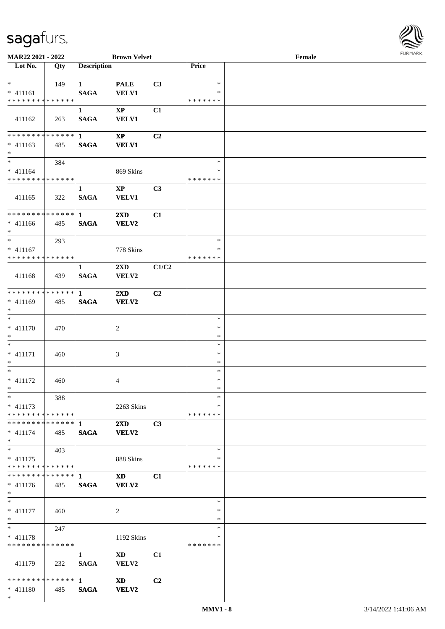\*

 $\overline{\phantom{a}}$ 



| MAR22 2021 - 2022                         |     |                    | <b>Brown Velvet</b>     |                |                  | Female |  |
|-------------------------------------------|-----|--------------------|-------------------------|----------------|------------------|--------|--|
| Lot No.                                   | Qty | <b>Description</b> |                         |                | Price            |        |  |
|                                           |     |                    |                         |                |                  |        |  |
| $\ast$                                    | 149 | $\mathbf{1}$       | <b>PALE</b>             | C3             | $\ast$           |        |  |
| $* 411161$                                |     | <b>SAGA</b>        | <b>VELV1</b>            |                | *                |        |  |
| * * * * * * * * * * * * * *               |     |                    |                         |                | * * * * * * *    |        |  |
|                                           |     | $\mathbf{1}$       | $\mathbf{XP}$           | C1             |                  |        |  |
| 411162                                    | 263 | <b>SAGA</b>        | <b>VELV1</b>            |                |                  |        |  |
|                                           |     |                    |                         |                |                  |        |  |
| * * * * * * * * * * * * * * *             |     | $\mathbf{1}$       | $\mathbf{X}\mathbf{P}$  | C <sub>2</sub> |                  |        |  |
| $* 411163$                                | 485 | <b>SAGA</b>        | <b>VELV1</b>            |                |                  |        |  |
| $*$                                       |     |                    |                         |                |                  |        |  |
| $\ast$                                    | 384 |                    |                         |                | $\ast$           |        |  |
| $* 411164$                                |     |                    | 869 Skins               |                | *                |        |  |
| * * * * * * * * * * * * * *               |     |                    |                         |                | * * * * * * *    |        |  |
|                                           |     | $\mathbf{1}$       | $\mathbf{X}\mathbf{P}$  | C3             |                  |        |  |
| 411165                                    | 322 | <b>SAGA</b>        | <b>VELV1</b>            |                |                  |        |  |
|                                           |     |                    |                         |                |                  |        |  |
| **************                            |     | $\mathbf{1}$       | $2\mathbf{X}\mathbf{D}$ | C1             |                  |        |  |
| $* 411166$<br>$*$                         | 485 | <b>SAGA</b>        | <b>VELV2</b>            |                |                  |        |  |
| $*$                                       |     |                    |                         |                | $\ast$           |        |  |
|                                           | 293 |                    |                         |                | *                |        |  |
| $* 411167$<br>* * * * * * * * * * * * * * |     |                    | 778 Skins               |                | * * * * * * *    |        |  |
|                                           |     |                    |                         |                |                  |        |  |
|                                           |     | $\mathbf{1}$       | 2XD                     | C1/C2          |                  |        |  |
| 411168                                    | 439 | <b>SAGA</b>        | VELV2                   |                |                  |        |  |
| **************                            |     | $\mathbf{1}$       | $2\mathbf{X}\mathbf{D}$ | C <sub>2</sub> |                  |        |  |
| $* 411169$                                | 485 | <b>SAGA</b>        | VELV2                   |                |                  |        |  |
| $*$                                       |     |                    |                         |                |                  |        |  |
| $\ast$                                    |     |                    |                         |                | $\ast$           |        |  |
| $* 411170$                                | 470 |                    | $\sqrt{2}$              |                | $\ast$           |        |  |
| $*$                                       |     |                    |                         |                | $\ast$           |        |  |
| $*$                                       |     |                    |                         |                | $\ast$           |        |  |
| $* 411171$                                | 460 |                    | 3                       |                | $\ast$           |        |  |
| $*$                                       |     |                    |                         |                | $\ast$           |        |  |
| $\ast$                                    |     |                    |                         |                | $\ast$           |        |  |
| $* 411172$                                | 460 |                    | 4                       |                | $\ast$           |        |  |
| $*$                                       |     |                    |                         |                | $\ast$           |        |  |
| $*$                                       | 388 |                    |                         |                | $\ast$           |        |  |
| $* 411173$                                |     |                    | 2263 Skins              |                | *                |        |  |
| * * * * * * * * * * * * * * *             |     |                    |                         |                | * * * * * * *    |        |  |
| ************** 1                          |     |                    | $2\mathbf{X}\mathbf{D}$ | C3             |                  |        |  |
| $* 411174$                                | 485 | <b>SAGA</b>        | <b>VELV2</b>            |                |                  |        |  |
| $*$                                       |     |                    |                         |                |                  |        |  |
| $\ast$                                    | 403 |                    |                         |                | $\ast$           |        |  |
| $* 411175$                                |     |                    | 888 Skins               |                | ∗                |        |  |
| * * * * * * * * * * * * * *               |     |                    |                         |                | * * * * * * *    |        |  |
| ************** 1                          |     |                    | XD 1                    | C1             |                  |        |  |
| $* 411176$                                | 485 | <b>SAGA</b>        | <b>VELV2</b>            |                |                  |        |  |
| $*$                                       |     |                    |                         |                |                  |        |  |
| $*$                                       |     |                    |                         |                | $\ast$           |        |  |
| $* 411177$                                | 460 |                    | 2                       |                | $\ast$           |        |  |
| $*$<br>$*$                                |     |                    |                         |                | $\ast$<br>$\ast$ |        |  |
|                                           | 247 |                    |                         |                | *                |        |  |
| $* 411178$<br>* * * * * * * * * * * * * * |     |                    | 1192 Skins              |                | * * * * * * *    |        |  |
|                                           |     |                    |                         |                |                  |        |  |
|                                           |     | $\mathbf{1}$       | $\mathbf{X}\mathbf{D}$  | C1             |                  |        |  |
| 411179                                    | 232 | <b>SAGA</b>        | VELV2                   |                |                  |        |  |
|                                           |     |                    | <b>XD</b>               | C2             |                  |        |  |
| * 411180                                  | 485 | <b>SAGA</b>        | <b>VELV2</b>            |                |                  |        |  |
|                                           |     |                    |                         |                |                  |        |  |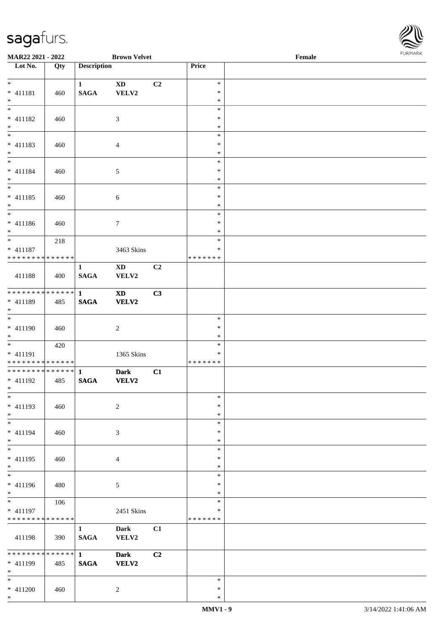\*



| MAR22 2021 - 2022                           |     |                             | <b>Brown Velvet</b>             |    |                  | $\ensuremath{\textnormal{\textbf{Female}}}$ | <b>FURPIARR</b> |
|---------------------------------------------|-----|-----------------------------|---------------------------------|----|------------------|---------------------------------------------|-----------------|
| Lot No.                                     | Qty | <b>Description</b>          |                                 |    | Price            |                                             |                 |
| $*$                                         |     |                             |                                 |    | $\ast$           |                                             |                 |
| $* 411181$                                  | 460 | $\mathbf{1}$<br><b>SAGA</b> | $\mathbf{X}\mathbf{D}$<br>VELV2 | C2 | $\ast$           |                                             |                 |
| $*$                                         |     |                             |                                 |    | $\ast$           |                                             |                 |
|                                             |     |                             |                                 |    | $\ast$           |                                             |                 |
| $* 411182$                                  | 460 |                             | 3                               |    | $\ast$           |                                             |                 |
| $*$                                         |     |                             |                                 |    | $\ast$           |                                             |                 |
|                                             |     |                             |                                 |    | $\ast$           |                                             |                 |
| $* 411183$                                  | 460 |                             | $\overline{4}$                  |    | $\ast$           |                                             |                 |
| $*$<br>$\overline{\mathbf{r}}$              |     |                             |                                 |    | $\ast$           |                                             |                 |
| $* 411184$                                  |     |                             |                                 |    | $\ast$<br>$\ast$ |                                             |                 |
| $*$                                         | 460 |                             | $\mathfrak{S}$                  |    | $\ast$           |                                             |                 |
|                                             |     |                             |                                 |    | $\ast$           |                                             |                 |
| $* 411185$                                  | 460 |                             | 6                               |    | $\ast$           |                                             |                 |
| $*$                                         |     |                             |                                 |    | $\ast$           |                                             |                 |
| $\overline{\phantom{0}}$                    |     |                             |                                 |    | $\ast$           |                                             |                 |
| $* 411186$                                  | 460 |                             | $\tau$                          |    | $\ast$           |                                             |                 |
| $*$<br>$*$                                  |     |                             |                                 |    | $\ast$           |                                             |                 |
|                                             | 218 |                             |                                 |    | $\ast$<br>$\ast$ |                                             |                 |
| $* 411187$<br>* * * * * * * * * * * * * * * |     |                             | 3463 Skins                      |    | *******          |                                             |                 |
|                                             |     | $\mathbf{1}$                | $\mathbf{X}\mathbf{D}$          | C2 |                  |                                             |                 |
| 411188                                      | 400 | <b>SAGA</b>                 | VELV2                           |    |                  |                                             |                 |
|                                             |     |                             |                                 |    |                  |                                             |                 |
| * * * * * * * * * * * * * * *               |     | $\mathbf{1}$                | <b>XD</b>                       | C3 |                  |                                             |                 |
| * 411189                                    | 485 | <b>SAGA</b>                 | VELV2                           |    |                  |                                             |                 |
| $*$                                         |     |                             |                                 |    |                  |                                             |                 |
|                                             |     |                             |                                 |    | $\ast$           |                                             |                 |
| * 411190<br>$*$                             | 460 |                             | $\overline{c}$                  |    | $\ast$<br>$\ast$ |                                             |                 |
|                                             | 420 |                             |                                 |    | $\ast$           |                                             |                 |
| * 411191                                    |     |                             | 1365 Skins                      |    | $\ast$           |                                             |                 |
| * * * * * * * * <mark>* * * * * * *</mark>  |     |                             |                                 |    | *******          |                                             |                 |
| ******** <mark>******</mark>                |     | $\mathbf{1}$                | <b>Dark</b>                     | C1 |                  |                                             |                 |
| $* 411192$                                  | 485 | <b>SAGA</b>                 | VELV2                           |    |                  |                                             |                 |
| $*$ $*$                                     |     |                             |                                 |    |                  |                                             |                 |
| $*$                                         |     |                             |                                 |    | $\ast$<br>$\ast$ |                                             |                 |
| $* 411193$<br>$*$                           | 460 |                             | $\overline{2}$                  |    | $\ast$           |                                             |                 |
| $*$                                         |     |                             |                                 |    | $\ast$           |                                             |                 |
| * 411194                                    | 460 |                             | 3                               |    | $\ast$           |                                             |                 |
| $*$                                         |     |                             |                                 |    | $\ast$           |                                             |                 |
| $*$                                         |     |                             |                                 |    | $\ast$           |                                             |                 |
| * 411195                                    | 460 |                             | $\overline{4}$                  |    | $\ast$           |                                             |                 |
| $\ast$                                      |     |                             |                                 |    | $\ast$           |                                             |                 |
| $*$                                         |     |                             |                                 |    | $\ast$           |                                             |                 |
| * 411196<br>$*$                             | 480 |                             | 5                               |    | $\ast$<br>$\ast$ |                                             |                 |
|                                             | 106 |                             |                                 |    | $\ast$           |                                             |                 |
| * 411197                                    |     |                             | 2451 Skins                      |    | ∗                |                                             |                 |
| * * * * * * * * * * * * * *                 |     |                             |                                 |    | *******          |                                             |                 |
|                                             |     | $\mathbf{1}$                | <b>Dark</b>                     | C1 |                  |                                             |                 |
| 411198                                      | 390 | <b>SAGA</b>                 | VELV2                           |    |                  |                                             |                 |
|                                             |     |                             |                                 |    |                  |                                             |                 |
| * * * * * * * * <mark>* * * * * * *</mark>  |     | 1                           | <b>Dark</b>                     | C2 |                  |                                             |                 |
| * 411199<br>$*$                             | 485 | $\mathbf{SAGA}$             | <b>VELV2</b>                    |    |                  |                                             |                 |
| $*$                                         |     |                             |                                 |    | $\ast$           |                                             |                 |
| $* 411200$                                  | 460 |                             | 2                               |    | $\ast$           |                                             |                 |
| $*$                                         |     |                             |                                 |    | $\ast$           |                                             |                 |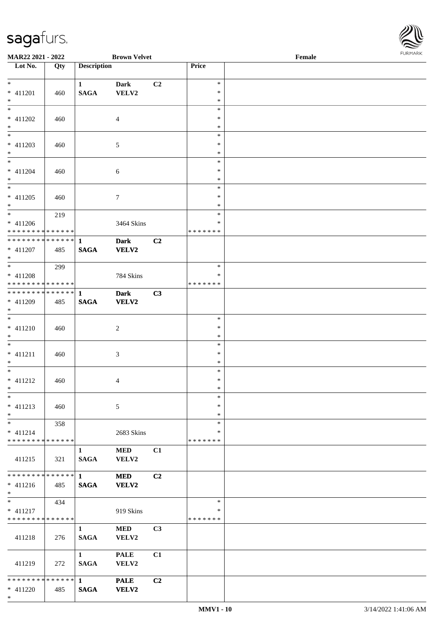

| MAR22 2021 - 2022                          |     |                        | <b>Brown Velvet</b> |                |                  | Female | $1 \times 1$ |
|--------------------------------------------|-----|------------------------|---------------------|----------------|------------------|--------|--------------|
| $\overline{\phantom{1}}$ Lot No.           | Qty | <b>Description</b>     |                     |                | Price            |        |              |
|                                            |     |                        |                     |                |                  |        |              |
| $*$                                        |     | $\mathbf{1}$           | <b>Dark</b>         | C2             | $\ast$           |        |              |
| $* 411201$<br>$*$                          | 460 | <b>SAGA</b>            | VELV2               |                | $\ast$<br>$\ast$ |        |              |
|                                            |     |                        |                     |                | $\ast$           |        |              |
| * 411202                                   | 460 |                        | $\overline{4}$      |                | $\ast$           |        |              |
| $*$                                        |     |                        |                     |                | $\ast$           |        |              |
|                                            |     |                        |                     |                | $\ast$           |        |              |
| * 411203                                   | 460 |                        | 5                   |                | $\ast$           |        |              |
| $\ast$                                     |     |                        |                     |                | $\ast$           |        |              |
|                                            |     |                        |                     |                | $\ast$           |        |              |
| * 411204                                   | 460 |                        | 6                   |                | $\ast$           |        |              |
| $*$                                        |     |                        |                     |                | $\ast$           |        |              |
|                                            |     |                        |                     |                | $\ast$           |        |              |
| * 411205                                   | 460 |                        | 7                   |                | ∗                |        |              |
| $*$                                        |     |                        |                     |                | $\ast$           |        |              |
| $*$                                        | 219 |                        |                     |                | $\ast$           |        |              |
| $* 411206$                                 |     |                        | 3464 Skins          |                | $\ast$           |        |              |
| * * * * * * * * * * * * * *                |     |                        |                     |                | * * * * * * *    |        |              |
| * * * * * * * * <mark>* * * * * * *</mark> |     | $\mathbf{1}$           | <b>Dark</b>         | C2             |                  |        |              |
| $* 411207$                                 | 485 | <b>SAGA</b>            | <b>VELV2</b>        |                |                  |        |              |
| $*$                                        |     |                        |                     |                | $\ast$           |        |              |
|                                            | 299 |                        |                     |                | ∗                |        |              |
| $* 411208$<br>* * * * * * * * * * * * * *  |     |                        | 784 Skins           |                | * * * * * * *    |        |              |
| * * * * * * * * * * * * * * <mark>*</mark> |     | $\mathbf{1}$           | <b>Dark</b>         | C3             |                  |        |              |
| * 411209                                   | 485 | <b>SAGA</b>            | VELV2               |                |                  |        |              |
| $*$                                        |     |                        |                     |                |                  |        |              |
|                                            |     |                        |                     |                | $\ast$           |        |              |
| $* 411210$                                 | 460 |                        | $\overline{c}$      |                | $\ast$           |        |              |
| $*$                                        |     |                        |                     |                | $\ast$           |        |              |
| $\overline{\phantom{0}}$                   |     |                        |                     |                | $\ast$           |        |              |
| $* 411211$                                 | 460 |                        | 3                   |                | ∗                |        |              |
| $*$                                        |     |                        |                     |                | $\ast$           |        |              |
| $*$ $-$                                    |     |                        |                     |                | $\ast$           |        |              |
| $* 411212$                                 | 460 |                        | 4                   |                | $\ast$           |        |              |
| $*$ $-$                                    |     |                        |                     |                | $\ast$           |        |              |
| $*$                                        |     |                        |                     |                | $\ast$           |        |              |
| $* 411213$                                 | 460 |                        | $\mathfrak{S}$      |                | $\ast$           |        |              |
| $*$                                        |     |                        |                     |                | $\ast$           |        |              |
| $*$                                        | 358 |                        |                     |                | *                |        |              |
| $* 411214$                                 |     |                        | 2683 Skins          |                | ∗                |        |              |
| * * * * * * * * * * * * * * *              |     |                        |                     |                | * * * * * * *    |        |              |
|                                            |     | $\mathbf{1}$           | <b>MED</b>          | C1             |                  |        |              |
| 411215                                     | 321 | <b>SAGA</b>            | <b>VELV2</b>        |                |                  |        |              |
| * * * * * * * * <mark>* * * * * *</mark>   |     | $1 \quad \blacksquare$ | <b>MED</b>          | C <sub>2</sub> |                  |        |              |
| $* 411216$                                 | 485 | <b>SAGA</b>            | VELV2               |                |                  |        |              |
| $*$                                        |     |                        |                     |                |                  |        |              |
| $*$                                        | 434 |                        |                     |                | $\ast$           |        |              |
| $* 411217$                                 |     |                        | 919 Skins           |                | ∗                |        |              |
| * * * * * * * * * * * * * *                |     |                        |                     |                | * * * * * * *    |        |              |
|                                            |     | $\mathbf{1}$           | <b>MED</b>          | C3             |                  |        |              |
| 411218                                     | 276 | <b>SAGA</b>            | VELV2               |                |                  |        |              |
|                                            |     |                        |                     |                |                  |        |              |
|                                            |     | $\mathbf{1}$           | <b>PALE</b>         | C1             |                  |        |              |
| 411219                                     | 272 | <b>SAGA</b>            | VELV2               |                |                  |        |              |
|                                            |     |                        |                     |                |                  |        |              |
| * * * * * * * * * * * * * * <mark>*</mark> |     | $1 \quad \blacksquare$ | <b>PALE</b>         | C2             |                  |        |              |
| $* 411220$                                 | 485 | <b>SAGA</b>            | VELV2               |                |                  |        |              |
| $\ast$                                     |     |                        |                     |                |                  |        |              |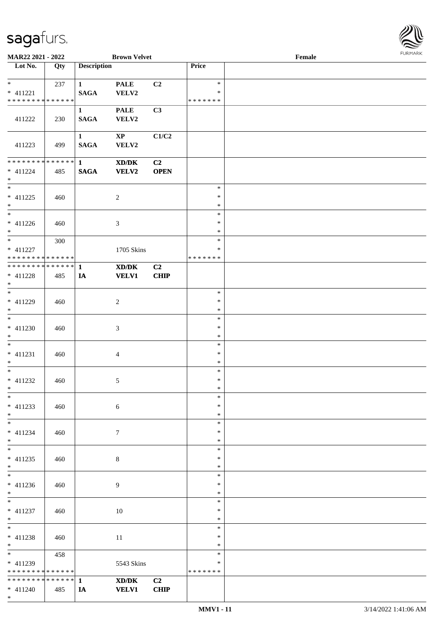

| MAR22 2021 - 2022                                    |     |                             | <b>Brown Velvet</b>                                  |                               |                                   | Female |  |
|------------------------------------------------------|-----|-----------------------------|------------------------------------------------------|-------------------------------|-----------------------------------|--------|--|
| Lot No.                                              | Qty | <b>Description</b>          |                                                      |                               | Price                             |        |  |
| $*$ $*$<br>$* 411221$<br>* * * * * * * * * * * * * * | 237 | $\mathbf{1}$<br><b>SAGA</b> | <b>PALE</b><br>VELV2                                 | C <sub>2</sub>                | $\ast$<br>$\ast$<br>* * * * * * * |        |  |
| 411222                                               | 230 | $\mathbf{1}$<br><b>SAGA</b> | <b>PALE</b><br>VELV2                                 | C3                            |                                   |        |  |
| 411223                                               | 499 | $\mathbf{1}$<br><b>SAGA</b> | $\mathbf{X}\mathbf{P}$<br>VELV2                      | C1/C2                         |                                   |        |  |
| ******** <mark>******</mark><br>$* 411224$<br>$*$    | 485 | $1 \quad$<br><b>SAGA</b>    | $\mathbf{X}\mathbf{D}/\mathbf{D}\mathbf{K}$<br>VELV2 | C2<br><b>OPEN</b>             |                                   |        |  |
| $* 411225$<br>$*$                                    | 460 |                             | $\sqrt{2}$                                           |                               | $\ast$<br>$\ast$<br>$\ast$        |        |  |
| $\overline{\phantom{0}}$<br>$* 411226$<br>$*$        | 460 |                             | 3                                                    |                               | $\ast$<br>$\ast$<br>*             |        |  |
| $*$<br>* 411227<br>* * * * * * * * * * * * * * *     | 300 |                             | 1705 Skins                                           |                               | $\ast$<br>∗<br>* * * * * * *      |        |  |
| ************** 1<br>* 411228<br>$*$                  | 485 | IA                          | XD/DK<br><b>VELV1</b>                                | C <sub>2</sub><br>CHIP        |                                   |        |  |
| * 411229<br>$*$                                      | 460 |                             | $\overline{c}$                                       |                               | $\ast$<br>$\ast$<br>$\ast$        |        |  |
| $* 411230$<br>$*$                                    | 460 |                             | 3                                                    |                               | $\ast$<br>$\ast$<br>$\ast$        |        |  |
| $*$<br>$* 411231$<br>$*$                             | 460 |                             | 4                                                    |                               | $\ast$<br>$\ast$<br>$\ast$        |        |  |
| $*$<br>$* 411232$<br>$*$                             | 460 |                             | 5                                                    |                               | $\ast$<br>$\ast$<br>$\ast$        |        |  |
| $*$<br>$* 411233$<br>$*$                             | 460 |                             | 6                                                    |                               | $\ast$<br>∗<br>$\ast$             |        |  |
| $*$<br>* 411234<br>$*$                               | 460 |                             | $\tau$                                               |                               | $\ast$<br>*<br>$\ast$             |        |  |
| $* 411235$<br>$*$<br>$*$                             | 460 |                             | 8                                                    |                               | $\ast$<br>$\ast$<br>$\ast$        |        |  |
| $* 411236$<br>$*$<br>$*$                             | 460 |                             | 9                                                    |                               | $\ast$<br>∗<br>$\ast$             |        |  |
| $* 411237$<br>$*$                                    | 460 |                             | 10                                                   |                               | $\ast$<br>$\ast$<br>$\ast$        |        |  |
| $*$<br>* 411238<br>$*$<br>$*$ and $*$                | 460 |                             | 11                                                   |                               | $\ast$<br>$\ast$<br>$\ast$        |        |  |
| * 411239<br>* * * * * * * * * * * * * *              | 458 |                             | 5543 Skins                                           |                               | $\ast$<br>∗<br>* * * * * * *      |        |  |
| $* 411240$<br>$*$                                    | 485 | IA                          | XD/DK<br><b>VELV1</b>                                | C <sub>2</sub><br><b>CHIP</b> |                                   |        |  |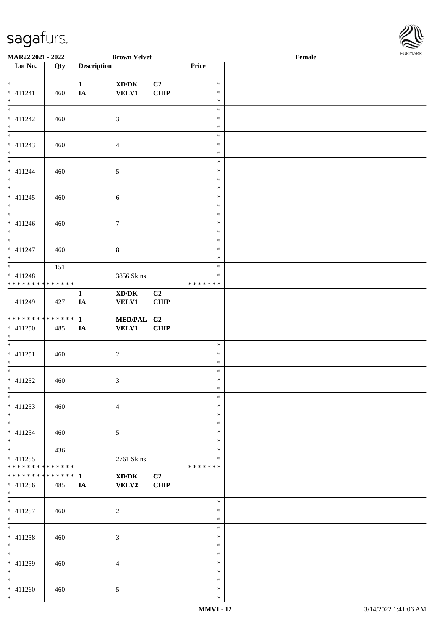

| MAR22 2021 - 2022                                            |     |                    | <b>Brown Velvet</b>                         |                |               | Female |  |
|--------------------------------------------------------------|-----|--------------------|---------------------------------------------|----------------|---------------|--------|--|
| Lot No.                                                      | Qty | <b>Description</b> |                                             |                | Price         |        |  |
|                                                              |     |                    |                                             |                |               |        |  |
| $*$                                                          |     | $\mathbf{1}$       | $\bold{X}\bold{D}/\bold{D}\bold{K}$         | C2             | $\ast$        |        |  |
| $* 411241$                                                   | 460 | IA                 | <b>VELV1</b>                                | CHIP           | $\ast$        |        |  |
| $*$                                                          |     |                    |                                             |                | $\ast$        |        |  |
| $\overline{\phantom{0}}$                                     |     |                    |                                             |                | $\ast$        |        |  |
| $* 411242$                                                   | 460 |                    | 3                                           |                | $\ast$        |        |  |
| $*$                                                          |     |                    |                                             |                | $\ast$        |        |  |
|                                                              |     |                    |                                             |                | $\ast$        |        |  |
| $* 411243$                                                   | 460 |                    | $\overline{4}$                              |                | $\ast$        |        |  |
| $*$                                                          |     |                    |                                             |                | $\ast$        |        |  |
| $\overline{\phantom{0}}$                                     |     |                    |                                             |                | $\ast$        |        |  |
|                                                              |     |                    |                                             |                | $\ast$        |        |  |
| $* 411244$                                                   | 460 |                    | 5                                           |                |               |        |  |
| $*$                                                          |     |                    |                                             |                | $\ast$        |        |  |
|                                                              |     |                    |                                             |                | $\ast$        |        |  |
| $* 411245$                                                   | 460 |                    | $\sqrt{6}$                                  |                | $\ast$        |        |  |
| $*$                                                          |     |                    |                                             |                | $\ast$        |        |  |
| $\overline{\phantom{0}}$                                     |     |                    |                                             |                | $\ast$        |        |  |
| $* 411246$                                                   | 460 |                    | $\tau$                                      |                | $\ast$        |        |  |
| $*$                                                          |     |                    |                                             |                | $\ast$        |        |  |
|                                                              |     |                    |                                             |                | $\ast$        |        |  |
| $* 411247$                                                   | 460 |                    | $8\,$                                       |                | $\ast$        |        |  |
| $*$                                                          |     |                    |                                             |                | $\ast$        |        |  |
|                                                              | 151 |                    |                                             |                | $\ast$        |        |  |
| $* 411248$                                                   |     |                    | 3856 Skins                                  |                | $\ast$        |        |  |
| * * * * * * * * * * * * * *                                  |     |                    |                                             |                | * * * * * * * |        |  |
|                                                              |     |                    | $\bold{X}\bold{D}/\bold{D}\bold{K}$         | C <sub>2</sub> |               |        |  |
| 411249                                                       |     | $\mathbf{1}$       |                                             |                |               |        |  |
|                                                              | 427 | IA                 | <b>VELV1</b>                                | <b>CHIP</b>    |               |        |  |
| * * * * * * * * * * * * * * *                                |     |                    |                                             |                |               |        |  |
|                                                              |     | $\mathbf{1}$       | MED/PAL C2                                  |                |               |        |  |
| $* 411250$                                                   | 485 | IA                 | <b>VELV1</b>                                | CHIP           |               |        |  |
| $*$                                                          |     |                    |                                             |                |               |        |  |
| $*$                                                          |     |                    |                                             |                | $\ast$        |        |  |
| $* 411251$                                                   | 460 |                    | $\boldsymbol{2}$                            |                | $\ast$        |        |  |
| $*$                                                          |     |                    |                                             |                | $\ast$        |        |  |
| $*$                                                          |     |                    |                                             |                | $\ast$        |        |  |
| $* 411252$                                                   | 460 |                    | 3                                           |                | $\ast$        |        |  |
| $*$ $*$                                                      |     |                    |                                             |                | $\ast$        |        |  |
| $*$                                                          |     |                    |                                             |                | $\ast$        |        |  |
| $* 411253$                                                   | 460 |                    | $\overline{4}$                              |                | $\ast$        |        |  |
| $*$                                                          |     |                    |                                             |                | $\ast$        |        |  |
| $*$                                                          |     |                    |                                             |                | $\ast$        |        |  |
| $* 411254$                                                   | 460 |                    | $\mathfrak{S}$                              |                | $\ast$        |        |  |
| $*$                                                          |     |                    |                                             |                | $\ast$        |        |  |
| $*$                                                          | 436 |                    |                                             |                | $\ast$        |        |  |
|                                                              |     |                    |                                             |                | $\ast$        |        |  |
| $* 411255$                                                   |     |                    | 2761 Skins                                  |                |               |        |  |
| * * * * * * * * * * * * * *<br>* * * * * * * * * * * * * * * |     |                    |                                             |                | * * * * * * * |        |  |
|                                                              |     | 1                  | $\mathbf{X}\mathbf{D}/\mathbf{D}\mathbf{K}$ | C2             |               |        |  |
| $* 411256$                                                   | 485 | IA                 | <b>VELV2</b>                                | <b>CHIP</b>    |               |        |  |
| $*$ $-$                                                      |     |                    |                                             |                |               |        |  |
| $*$                                                          |     |                    |                                             |                | $\ast$        |        |  |
| $* 411257$                                                   | 460 |                    | $\overline{c}$                              |                | $\ast$        |        |  |
| $*$                                                          |     |                    |                                             |                | $\ast$        |        |  |
| $*$                                                          |     |                    |                                             |                | $\ast$        |        |  |
| * 411258                                                     | 460 |                    | 3                                           |                | $\ast$        |        |  |
| $*$                                                          |     |                    |                                             |                | $\ast$        |        |  |
| $*$                                                          |     |                    |                                             |                | $\ast$        |        |  |
| * 411259                                                     | 460 |                    | $\overline{4}$                              |                | ∗             |        |  |
| $*$                                                          |     |                    |                                             |                | $\ast$        |        |  |
| $*$                                                          |     |                    |                                             |                | $\ast$        |        |  |
| $* 411260$                                                   | 460 |                    | 5                                           |                | $\ast$        |        |  |
| $*$                                                          |     |                    |                                             |                | $\ast$        |        |  |
|                                                              |     |                    |                                             |                |               |        |  |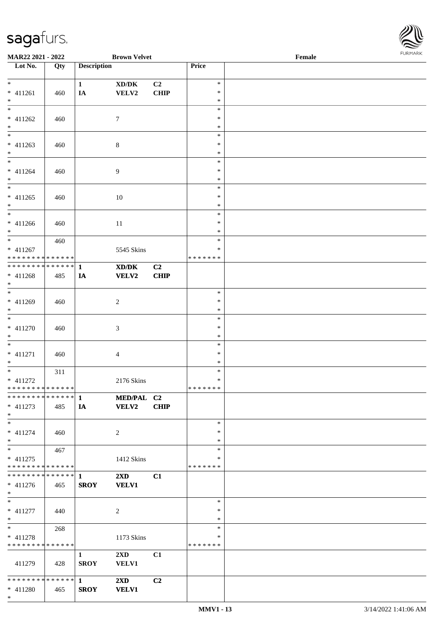

| MAR22 2021 - 2022                         |     |                    | <b>Brown Velvet</b>                                              |                |               | Female |  |
|-------------------------------------------|-----|--------------------|------------------------------------------------------------------|----------------|---------------|--------|--|
| Lot No.                                   | Qty | <b>Description</b> |                                                                  |                | Price         |        |  |
|                                           |     |                    |                                                                  |                |               |        |  |
| $*$                                       |     | $\mathbf{1}$       | $\boldsymbol{\mathrm{XD}}\boldsymbol{/}\boldsymbol{\mathrm{DK}}$ | C <sub>2</sub> | $\ast$        |        |  |
| * 411261                                  | 460 | IA                 | VELV2                                                            | <b>CHIP</b>    | $\ast$        |        |  |
| $*$                                       |     |                    |                                                                  |                | $\ast$        |        |  |
| $\overline{\phantom{0}}$                  |     |                    |                                                                  |                | $\ast$        |        |  |
| $* 411262$                                | 460 |                    | 7                                                                |                | ∗             |        |  |
| $\ast$                                    |     |                    |                                                                  |                | $\ast$        |        |  |
| $\overline{\phantom{0}}$                  |     |                    |                                                                  |                | $\ast$        |        |  |
|                                           |     |                    |                                                                  |                |               |        |  |
| $* 411263$                                | 460 |                    | 8                                                                |                | $\ast$        |        |  |
| $*$                                       |     |                    |                                                                  |                | $\ast$        |        |  |
|                                           |     |                    |                                                                  |                | $\ast$        |        |  |
| $* 411264$                                | 460 |                    | 9                                                                |                | $\ast$        |        |  |
| $*$                                       |     |                    |                                                                  |                | $\ast$        |        |  |
|                                           |     |                    |                                                                  |                | $\ast$        |        |  |
| $* 411265$                                | 460 |                    | 10                                                               |                | $\ast$        |        |  |
| $*$                                       |     |                    |                                                                  |                | $\ast$        |        |  |
| $\overline{\ast}$                         |     |                    |                                                                  |                | $\ast$        |        |  |
| $* 411266$                                | 460 |                    | 11                                                               |                | $\ast$        |        |  |
| $*$                                       |     |                    |                                                                  |                | *             |        |  |
| $*$                                       |     |                    |                                                                  |                | $\ast$        |        |  |
|                                           | 460 |                    |                                                                  |                |               |        |  |
| $* 411267$                                |     |                    | 5545 Skins                                                       |                | ∗             |        |  |
| * * * * * * * * * * * * * * *             |     |                    |                                                                  |                | * * * * * * * |        |  |
| ************** 1                          |     |                    | XD/DK                                                            | C <sub>2</sub> |               |        |  |
| * 411268                                  | 485 | IA                 | <b>VELV2</b>                                                     | <b>CHIP</b>    |               |        |  |
| $*$                                       |     |                    |                                                                  |                |               |        |  |
| $\overline{\phantom{0}}$                  |     |                    |                                                                  |                | $\ast$        |        |  |
| * 411269                                  | 460 |                    | $\overline{c}$                                                   |                | $\ast$        |        |  |
| $*$                                       |     |                    |                                                                  |                | $\ast$        |        |  |
|                                           |     |                    |                                                                  |                | $\ast$        |        |  |
| $* 411270$                                | 460 |                    | 3                                                                |                | $\ast$        |        |  |
| $*$                                       |     |                    |                                                                  |                | $\ast$        |        |  |
| $*$                                       |     |                    |                                                                  |                | $\ast$        |        |  |
|                                           |     |                    |                                                                  |                |               |        |  |
| $* 411271$                                | 460 |                    | 4                                                                |                | $\ast$        |        |  |
| $*$                                       |     |                    |                                                                  |                | $\ast$        |        |  |
| $*$                                       | 311 |                    |                                                                  |                | $\ast$        |        |  |
| $* 411272$                                |     |                    | 2176 Skins                                                       |                | $\ast$        |        |  |
| ******** <mark>******</mark>              |     |                    |                                                                  |                | * * * * * * * |        |  |
|                                           |     |                    | MED/PAL C2                                                       |                |               |        |  |
| $* 411273$                                | 485 | IA                 | <b>VELV2</b>                                                     | <b>CHIP</b>    |               |        |  |
| $*$                                       |     |                    |                                                                  |                |               |        |  |
| $*$                                       |     |                    |                                                                  |                | $\ast$        |        |  |
| $* 411274$                                | 460 |                    | 2                                                                |                | $\ast$        |        |  |
| $*$                                       |     |                    |                                                                  |                | $\ast$        |        |  |
| $*$                                       |     |                    |                                                                  |                | $\ast$        |        |  |
|                                           | 467 |                    |                                                                  |                |               |        |  |
| $* 411275$                                |     |                    | 1412 Skins                                                       |                | *             |        |  |
| * * * * * * * * * * * * * * *             |     |                    |                                                                  |                | * * * * * * * |        |  |
|                                           |     |                    | $2\mathbf{X}\mathbf{D}$                                          | C1             |               |        |  |
| $* 411276$                                | 465 | <b>SROY</b>        | <b>VELV1</b>                                                     |                |               |        |  |
| $*$                                       |     |                    |                                                                  |                |               |        |  |
| $*$                                       |     |                    |                                                                  |                | $\ast$        |        |  |
| $* 411277$                                | 440 |                    | 2                                                                |                | $\ast$        |        |  |
| $*$                                       |     |                    |                                                                  |                | $\ast$        |        |  |
| $*$ $*$                                   | 268 |                    |                                                                  |                | $\ast$        |        |  |
|                                           |     |                    |                                                                  |                | $\ast$        |        |  |
| $* 411278$<br>* * * * * * * * * * * * * * |     |                    | 1173 Skins                                                       |                | * * * * * * * |        |  |
|                                           |     |                    |                                                                  |                |               |        |  |
|                                           |     | $\mathbf{1}$       | $2\mathbf{X}\mathbf{D}$                                          | C1             |               |        |  |
| 411279                                    | 428 | <b>SROY</b>        | <b>VELV1</b>                                                     |                |               |        |  |
|                                           |     |                    |                                                                  |                |               |        |  |
|                                           |     |                    | $2\mathbf{X}\mathbf{D}$                                          | C2             |               |        |  |
| $* 411280$                                | 465 | <b>SROY</b>        | <b>VELV1</b>                                                     |                |               |        |  |
| $*$                                       |     |                    |                                                                  |                |               |        |  |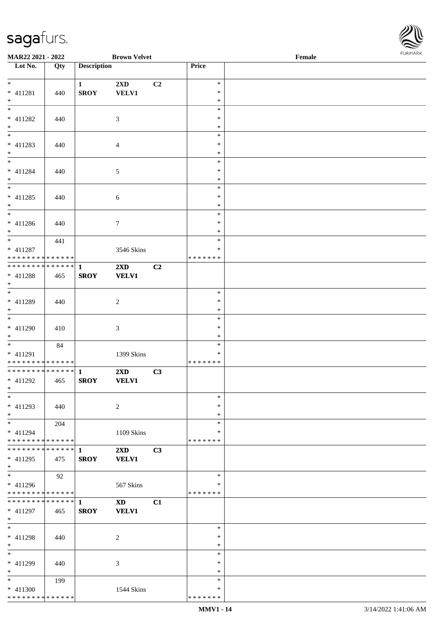

| MAR22 2021 - 2022                |     |                    | <b>Brown Velvet</b>     |    |               | Female | $. 0.0147$ $. 0.0147$ |
|----------------------------------|-----|--------------------|-------------------------|----|---------------|--------|-----------------------|
| $\overline{\phantom{1}}$ Lot No. | Qty | <b>Description</b> |                         |    | Price         |        |                       |
|                                  |     |                    |                         |    |               |        |                       |
| $\overline{\ }$                  |     | $\mathbf{1}$       | 2XD                     | C2 | $\ast$        |        |                       |
| $* 411281$                       | 440 | <b>SROY</b>        | <b>VELV1</b>            |    | $\ast$        |        |                       |
| $\ast$                           |     |                    |                         |    | $\ast$        |        |                       |
| $\overline{\phantom{0}}$         |     |                    |                         |    | $\ast$        |        |                       |
| $* 411282$                       | 440 |                    | 3                       |    | $\ast$        |        |                       |
| $\ast$                           |     |                    |                         |    | $\ast$        |        |                       |
| $\overline{\phantom{0}}$         |     |                    |                         |    | $\ast$        |        |                       |
| $* 411283$                       |     |                    |                         |    | $\ast$        |        |                       |
|                                  | 440 |                    | 4                       |    |               |        |                       |
| $*$<br>$\frac{1}{*}$             |     |                    |                         |    | $\ast$        |        |                       |
|                                  |     |                    |                         |    | $\ast$        |        |                       |
| $* 411284$                       | 440 |                    | $\sqrt{5}$              |    | $\ast$        |        |                       |
| $\ast$                           |     |                    |                         |    | $\ast$        |        |                       |
| $\overline{\phantom{0}}$         |     |                    |                         |    | $\ast$        |        |                       |
| $* 411285$                       | 440 |                    | $6\,$                   |    | $\ast$        |        |                       |
| $*$                              |     |                    |                         |    | $\ast$        |        |                       |
| $\overline{\ast}$                |     |                    |                         |    | $\ast$        |        |                       |
| $* 411286$                       | 440 |                    | $\boldsymbol{7}$        |    | $\ast$        |        |                       |
| $\ast$                           |     |                    |                         |    | $\ast$        |        |                       |
| $\overline{\phantom{0}}$         | 441 |                    |                         |    | $\ast$        |        |                       |
| $* 411287$                       |     |                    | 3546 Skins              |    | ∗             |        |                       |
| **************                   |     |                    |                         |    | * * * * * * * |        |                       |
| **************                   |     |                    |                         |    |               |        |                       |
|                                  |     | $\mathbf{1}$       | $2\mathbf{X}\mathbf{D}$ | C2 |               |        |                       |
| $* 411288$                       | 465 | <b>SROY</b>        | <b>VELV1</b>            |    |               |        |                       |
| $*$                              |     |                    |                         |    |               |        |                       |
| $\overline{\ast}$                |     |                    |                         |    | $\ast$        |        |                       |
| * 411289                         | 440 |                    | $\overline{c}$          |    | $\ast$        |        |                       |
| $*$                              |     |                    |                         |    | $\ast$        |        |                       |
| $\overline{\phantom{a}^*}$       |     |                    |                         |    | $\ast$        |        |                       |
| $* 411290$                       | 410 |                    | $\mathfrak{Z}$          |    | $\ast$        |        |                       |
| $*$                              |     |                    |                         |    | $\ast$        |        |                       |
| $\overline{\phantom{a}^*}$       | 84  |                    |                         |    | $\ast$        |        |                       |
| $* 411291$                       |     |                    | 1399 Skins              |    | $\ast$        |        |                       |
| * * * * * * * * * * * * * *      |     |                    |                         |    | * * * * * * * |        |                       |
| ******** <mark>******</mark>     |     | $\mathbf{1}$       | 2XD                     | C3 |               |        |                       |
| $* 411292$                       | 465 | <b>SROY</b>        | <b>VELV1</b>            |    |               |        |                       |
| $*$ $*$                          |     |                    |                         |    |               |        |                       |
| $*$                              |     |                    |                         |    | $\ast$        |        |                       |
|                                  |     |                    |                         |    | ∗             |        |                       |
| $* 411293$                       | 440 |                    | $\overline{c}$          |    |               |        |                       |
| $\ast$                           |     |                    |                         |    | ∗             |        |                       |
| $\ast$                           | 204 |                    |                         |    | $\ast$        |        |                       |
| $* 411294$                       |     |                    | 1109 Skins              |    | ∗             |        |                       |
| * * * * * * * * * * * * * *      |     |                    |                         |    | * * * * * * * |        |                       |
| * * * * * * * * * * * * * * *    |     | 1                  | $2\mathbf{X}\mathbf{D}$ | C3 |               |        |                       |
| $* 411295$                       | 475 | <b>SROY</b>        | <b>VELV1</b>            |    |               |        |                       |
| $*$                              |     |                    |                         |    |               |        |                       |
| $\overline{\phantom{a}^*}$       | 92  |                    |                         |    | $\ast$        |        |                       |
| $* 411296$                       |     |                    | 567 Skins               |    | $\ast$        |        |                       |
| * * * * * * * * * * * * * *      |     |                    |                         |    | * * * * * * * |        |                       |
| * * * * * * * * * * * * * * *    |     | $\mathbf{1}$       | $\mathbf{X}\mathbf{D}$  | C1 |               |        |                       |
| * 411297                         | 465 | <b>SROY</b>        | <b>VELV1</b>            |    |               |        |                       |
| $*$                              |     |                    |                         |    |               |        |                       |
| $\ast$                           |     |                    |                         |    | $\ast$        |        |                       |
|                                  |     |                    |                         |    | $\ast$        |        |                       |
| * 411298                         | 440 |                    | $\overline{c}$          |    |               |        |                       |
| $*$                              |     |                    |                         |    | $\ast$        |        |                       |
| $*$                              |     |                    |                         |    | $\ast$        |        |                       |
| * 411299                         | 440 |                    | 3                       |    | $\ast$        |        |                       |
| $\ast$                           |     |                    |                         |    | $\ast$        |        |                       |
| $\ast$                           | 199 |                    |                         |    | $\ast$        |        |                       |
| * 411300                         |     |                    | 1544 Skins              |    | $\ast$        |        |                       |
| * * * * * * * * * * * * * *      |     |                    |                         |    | * * * * * * * |        |                       |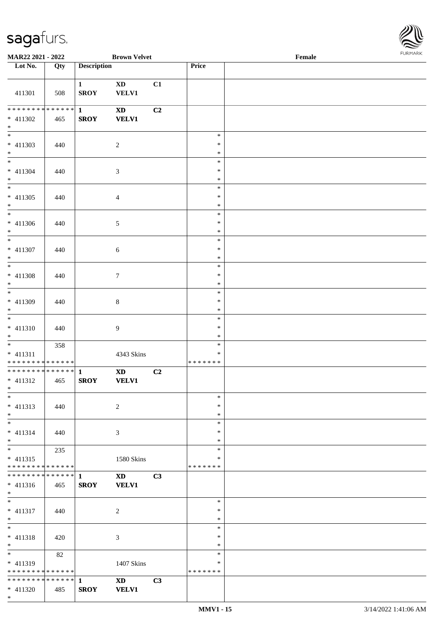

| MAR22 2021 - 2022                                  |     |                             | <b>Brown Velvet</b>                    |    |                                   | Female |  |
|----------------------------------------------------|-----|-----------------------------|----------------------------------------|----|-----------------------------------|--------|--|
| Lot No.                                            | Qty | <b>Description</b>          |                                        |    | Price                             |        |  |
| 411301                                             | 508 | $\mathbf{1}$<br><b>SROY</b> | $\mathbf{X}\mathbf{D}$<br><b>VELV1</b> | C1 |                                   |        |  |
| ******** <mark>******</mark><br>* 411302<br>$*$    | 465 | $\mathbf{1}$<br><b>SROY</b> | <b>XD</b><br><b>VELV1</b>              | C2 |                                   |        |  |
| $\overline{\phantom{0}}$<br>$* 411303$<br>$*$      | 440 |                             | $\overline{2}$                         |    | $\ast$<br>$\ast$<br>$\ast$        |        |  |
| $\overline{\phantom{0}}$<br>$* 411304$<br>$*$      | 440 |                             | $\mathfrak{Z}$                         |    | $\ast$<br>$\ast$<br>$\ast$        |        |  |
| $\overline{\phantom{0}}$<br>$* 411305$<br>$*$      | 440 |                             | $\overline{4}$                         |    | $\ast$<br>$\ast$<br>$\ast$        |        |  |
| $\overline{\phantom{0}}$<br>$* 411306$<br>$*$      | 440 |                             | $\mathfrak{S}$                         |    | $\ast$<br>$\ast$<br>$\ast$        |        |  |
| $\overline{\phantom{a}^*}$<br>$* 411307$<br>$*$    | 440 |                             | 6                                      |    | $\ast$<br>$\ast$<br>$\ast$        |        |  |
| $* 411308$<br>$*$                                  | 440 |                             | $\boldsymbol{7}$                       |    | $\ast$<br>$\ast$<br>$\ast$        |        |  |
| $\overline{\phantom{0}}$<br>* 411309<br>$*$        | 440 |                             | $\,8\,$                                |    | $\ast$<br>$\ast$<br>$\ast$        |        |  |
| $\overline{\phantom{0}}$<br>$* 411310$<br>$*$      | 440 |                             | $\overline{9}$                         |    | $\ast$<br>$\ast$<br>$\ast$        |        |  |
| $*$<br>$* 411311$<br>* * * * * * * * * * * * * *   | 358 |                             | 4343 Skins                             |    | $\ast$<br>$\ast$<br>* * * * * * * |        |  |
| ******** <mark>******</mark><br>$* 411312$<br>$*$  | 465 | $\mathbf{1}$<br><b>SROY</b> | $\mathbf{X}\mathbf{D}$<br><b>VELV1</b> | C2 |                                   |        |  |
| $\ast$<br>$* 411313$<br>$*$                        | 440 |                             | $\overline{2}$                         |    | $\ast$<br>$\ast$<br>$\ast$        |        |  |
| $\overline{\phantom{0}}$<br>$* 411314$<br>$*$      | 440 |                             | 3                                      |    | $\ast$<br>∗<br>∗                  |        |  |
| $* 411315$<br>* * * * * * * * * * * * * *          | 235 |                             | 1580 Skins                             |    | $\ast$<br>∗<br>* * * * * * *      |        |  |
| **************<br>$* 411316$<br>$*$                | 465 | $\mathbf{1}$<br><b>SROY</b> | <b>XD</b><br><b>VELV1</b>              | C3 |                                   |        |  |
| $*$<br>$* 411317$<br>$*$                           | 440 |                             | 2                                      |    | $\ast$<br>$\ast$<br>$\ast$        |        |  |
| $*$<br>$* 411318$<br>$*$                           | 420 |                             | 3                                      |    | $\ast$<br>$\ast$<br>$\ast$        |        |  |
| * 411319<br>* * * * * * * * * * * * * *            | 82  |                             | 1407 Skins                             |    | $\ast$<br>∗<br>* * * * * * *      |        |  |
| * * * * * * * * * * * * * * *<br>$* 411320$<br>$*$ | 485 | 1<br><b>SROY</b>            | <b>XD</b><br><b>VELV1</b>              | C3 |                                   |        |  |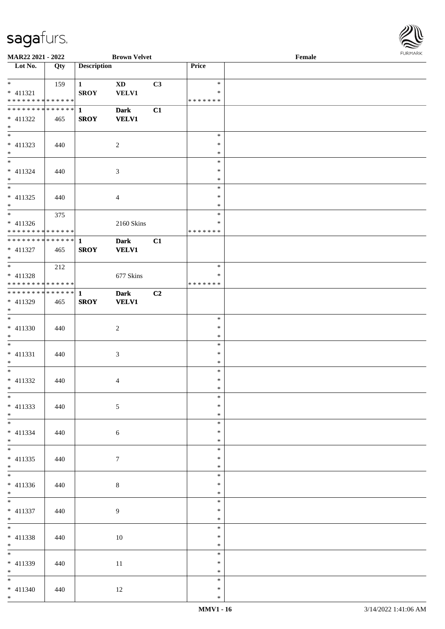

| <b>MAR22 2021 - 2022</b>                   |     |                    | <b>Brown Velvet</b> |    |               | Female |  |
|--------------------------------------------|-----|--------------------|---------------------|----|---------------|--------|--|
| $\overline{\phantom{1}}$ Lot No.           | Qty | <b>Description</b> |                     |    | Price         |        |  |
|                                            |     |                    |                     |    |               |        |  |
| $*$                                        | 159 | $\mathbf{1}$       | <b>XD</b>           | C3 | $\ast$        |        |  |
| $* 411321$                                 |     | <b>SROY</b>        | <b>VELV1</b>        |    | $\ast$        |        |  |
| * * * * * * * * * * * * * * *              |     |                    |                     |    | * * * * * * * |        |  |
| * * * * * * * * * * * * * * *              |     | $\mathbf{1}$       | <b>Dark</b>         | C1 |               |        |  |
| * 411322                                   | 465 | <b>SROY</b>        | <b>VELV1</b>        |    |               |        |  |
| $*$                                        |     |                    |                     |    |               |        |  |
|                                            |     |                    |                     |    | $\ast$        |        |  |
| $* 411323$                                 | 440 |                    | $\sqrt{2}$          |    | $\ast$        |        |  |
| $*$                                        |     |                    |                     |    | $\ast$        |        |  |
|                                            |     |                    |                     |    | $\ast$        |        |  |
| * 411324                                   | 440 |                    | $\mathfrak{Z}$      |    | $\ast$        |        |  |
| $*$                                        |     |                    |                     |    | $\ast$        |        |  |
|                                            |     |                    |                     |    | $\ast$        |        |  |
| $* 411325$                                 | 440 |                    | $\overline{4}$      |    | $\ast$        |        |  |
| $*$                                        |     |                    |                     |    | $\ast$        |        |  |
|                                            | 375 |                    |                     |    | $\ast$        |        |  |
| $* 411326$                                 |     |                    | 2160 Skins          |    | $\ast$        |        |  |
| * * * * * * * * <mark>* * * * * * *</mark> |     |                    |                     |    | * * * * * * * |        |  |
| ******** <mark>******</mark>               |     | $\mathbf{1}$       | <b>Dark</b>         | C1 |               |        |  |
| $* 411327$                                 | 465 | <b>SROY</b>        | <b>VELV1</b>        |    |               |        |  |
| $*$                                        |     |                    |                     |    |               |        |  |
|                                            | 212 |                    |                     |    | $\ast$        |        |  |
| $* 411328$                                 |     |                    | 677 Skins           |    | ∗             |        |  |
| * * * * * * * * * * * * * * *              |     |                    |                     |    | * * * * * * * |        |  |
| * * * * * * * * * * * * * * *              |     | 1                  | <b>Dark</b>         | C2 |               |        |  |
| * 411329                                   | 465 | <b>SROY</b>        | <b>VELV1</b>        |    |               |        |  |
| $\ast$                                     |     |                    |                     |    |               |        |  |
| $\overline{\phantom{0}}$                   |     |                    |                     |    | $\ast$        |        |  |
| $* 411330$                                 | 440 |                    |                     |    | $\ast$        |        |  |
| $*$                                        |     |                    | $\overline{c}$      |    | $\ast$        |        |  |
| $*$                                        |     |                    |                     |    | $\ast$        |        |  |
|                                            |     |                    |                     |    | $\ast$        |        |  |
| $* 411331$                                 | 440 |                    | $\mathfrak{Z}$      |    |               |        |  |
| $*$                                        |     |                    |                     |    | $\ast$        |        |  |
| $*$                                        |     |                    |                     |    | $\ast$        |        |  |
| * 411332                                   | 440 |                    | 4                   |    | $\ast$        |        |  |
| $*$ $-$                                    |     |                    |                     |    | $*$           |        |  |
| $*$                                        |     |                    |                     |    | $\ast$        |        |  |
| $* 411333$                                 | 440 |                    | $\mathfrak{S}$      |    | $\ast$        |        |  |
| $*$                                        |     |                    |                     |    | $\ast$        |        |  |
| $*$                                        |     |                    |                     |    | $\ast$        |        |  |
| $* 411334$                                 | 440 |                    | $6\phantom{.}6$     |    | $\ast$        |        |  |
| $*$                                        |     |                    |                     |    | $\ast$        |        |  |
|                                            |     |                    |                     |    | $\ast$        |        |  |
| $* 411335$                                 | 440 |                    | $\tau$              |    | $\ast$        |        |  |
| $*$                                        |     |                    |                     |    | $\ast$        |        |  |
| $\overline{\ast}$                          |     |                    |                     |    | $\ast$        |        |  |
| * 411336                                   | 440 |                    | $8\,$               |    | $\ast$        |        |  |
| $*$                                        |     |                    |                     |    | $\ast$        |        |  |
| $*$                                        |     |                    |                     |    | $\ast$        |        |  |
| $* 411337$                                 | 440 |                    | 9                   |    | $\ast$        |        |  |
| $*$                                        |     |                    |                     |    | $\ast$        |        |  |
| $*$                                        |     |                    |                     |    | $\ast$        |        |  |
| * 411338                                   | 440 |                    | 10                  |    | $\ast$        |        |  |
| $*$                                        |     |                    |                     |    | $\ast$        |        |  |
| $*$                                        |     |                    |                     |    | $\ast$        |        |  |
| * 411339                                   | 440 |                    | 11                  |    | $\ast$        |        |  |
| $*$                                        |     |                    |                     |    | $\ast$        |        |  |
| $*$                                        |     |                    |                     |    | $\ast$        |        |  |
| $* 411340$                                 | 440 |                    | 12                  |    | $\ast$        |        |  |
| $*$                                        |     |                    |                     |    | $\ast$        |        |  |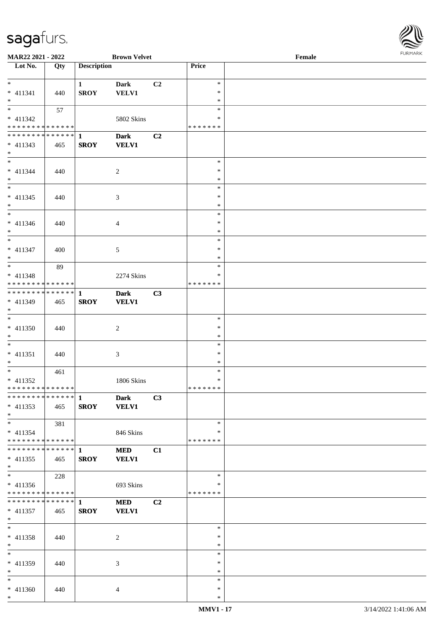

| <b>MAR22 2021 - 2022</b>                    |     |                    | <b>Brown Velvet</b> |                |                  | Female | 101111111111 |
|---------------------------------------------|-----|--------------------|---------------------|----------------|------------------|--------|--------------|
| Lot No.                                     | Qty | <b>Description</b> |                     |                | Price            |        |              |
|                                             |     |                    |                     |                |                  |        |              |
| $*$ $-$                                     |     | $\mathbf{1}$       | <b>Dark</b>         | C2             | $\ast$           |        |              |
| $* 411341$                                  | 440 | <b>SROY</b>        | <b>VELV1</b>        |                | $\ast$           |        |              |
| $*$                                         |     |                    |                     |                | $\ast$           |        |              |
| $*$                                         | 57  |                    |                     |                | $\ast$           |        |              |
| $* 411342$                                  |     |                    | 5802 Skins          |                | $\ast$           |        |              |
| * * * * * * * * <mark>* * * * * * *</mark>  |     |                    |                     |                | *******          |        |              |
|                                             |     |                    | <b>Dark</b>         | C2             |                  |        |              |
| $* 411343$                                  | 465 | <b>SROY</b>        | <b>VELV1</b>        |                |                  |        |              |
| $*$                                         |     |                    |                     |                |                  |        |              |
| $*$                                         |     |                    |                     |                | $\ast$           |        |              |
| $* 411344$                                  | 440 |                    | 2                   |                | $\ast$           |        |              |
| $*$                                         |     |                    |                     |                | $\ast$           |        |              |
|                                             |     |                    |                     |                | $\ast$           |        |              |
| * 411345                                    | 440 |                    | 3                   |                | $\ast$           |        |              |
| $*$                                         |     |                    |                     |                | $\ast$           |        |              |
|                                             |     |                    |                     |                | $\ast$           |        |              |
| $* 411346$                                  | 440 |                    | $\overline{4}$      |                | $\ast$           |        |              |
| $*$                                         |     |                    |                     |                | $\ast$           |        |              |
|                                             |     |                    |                     |                | $\ast$           |        |              |
| * 411347                                    | 400 |                    | 5                   |                | $\ast$           |        |              |
| $*$                                         |     |                    |                     |                | $\ast$           |        |              |
|                                             | 89  |                    |                     |                | $\ast$           |        |              |
| * 411348                                    |     |                    | 2274 Skins          |                | $\ast$           |        |              |
| * * * * * * * * <mark>* * * * * * *</mark>  |     |                    |                     |                | *******          |        |              |
|                                             |     |                    | <b>Dark</b>         | C3             |                  |        |              |
| * 411349                                    | 465 | <b>SROY</b>        | <b>VELV1</b>        |                |                  |        |              |
| $*$                                         |     |                    |                     |                |                  |        |              |
|                                             |     |                    |                     |                | $\ast$           |        |              |
| * 411350                                    |     |                    |                     |                | $\ast$           |        |              |
| $*$                                         | 440 |                    | 2                   |                | $\ast$           |        |              |
| $*$                                         |     |                    |                     |                | $\ast$           |        |              |
|                                             |     |                    |                     |                | $\ast$           |        |              |
| $* 411351$                                  | 440 |                    | $\mathfrak{Z}$      |                |                  |        |              |
| $*$<br>$*$                                  |     |                    |                     |                | $\ast$<br>$\ast$ |        |              |
|                                             | 461 |                    |                     |                | $\ast$           |        |              |
| $* 411352$<br>* * * * * * * * * * * * * * * |     |                    | 1806 Skins          |                | *******          |        |              |
|                                             |     |                    |                     |                |                  |        |              |
|                                             |     |                    | <b>Dark</b>         | C3             |                  |        |              |
| $* 411353$                                  | 465 | <b>SROY</b>        | <b>VELV1</b>        |                |                  |        |              |
| $*$                                         |     |                    |                     |                |                  |        |              |
| $*$                                         | 381 |                    |                     |                | $\ast$           |        |              |
| $* 411354$                                  |     |                    | 846 Skins           |                | ∗                |        |              |
| * * * * * * * * <mark>* * * * * * *</mark>  |     |                    |                     |                | * * * * * * *    |        |              |
|                                             |     |                    | <b>MED</b>          | C1             |                  |        |              |
| $* 411355$                                  | 465 | <b>SROY</b>        | <b>VELV1</b>        |                |                  |        |              |
| $*$                                         |     |                    |                     |                |                  |        |              |
| $*$                                         | 228 |                    |                     |                | $\ast$           |        |              |
| $* 411356$                                  |     |                    | 693 Skins           |                | ∗                |        |              |
| * * * * * * * * <mark>* * * * * * *</mark>  |     |                    |                     |                | * * * * * * *    |        |              |
|                                             |     |                    | <b>MED</b>          | C <sub>2</sub> |                  |        |              |
| $* 411357$                                  | 465 | <b>SROY</b>        | <b>VELV1</b>        |                |                  |        |              |
| $*$                                         |     |                    |                     |                |                  |        |              |
| $*$ $-$                                     |     |                    |                     |                | $\ast$           |        |              |
| * 411358                                    | 440 |                    | 2                   |                | $\ast$           |        |              |
| $*$                                         |     |                    |                     |                | $\ast$           |        |              |
| $*$                                         |     |                    |                     |                | $\ast$           |        |              |
| * 411359                                    | 440 |                    | 3                   |                | $\ast$           |        |              |
| $*$                                         |     |                    |                     |                | $\ast$           |        |              |
| $*$                                         |     |                    |                     |                | $\ast$           |        |              |
| * 411360                                    | 440 |                    | $\overline{4}$      |                | $\ast$           |        |              |
| $*$                                         |     |                    |                     |                | $\ast$           |        |              |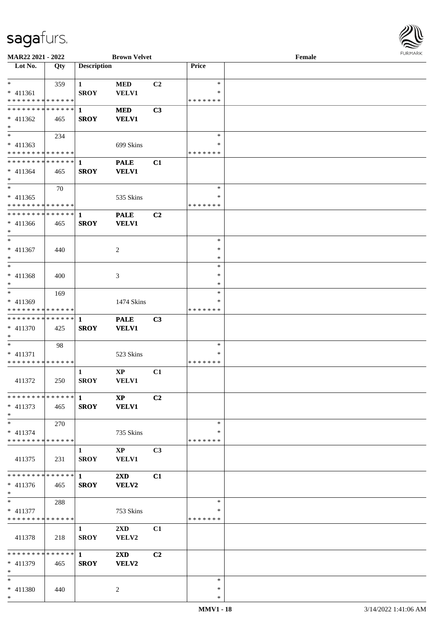

| MAR22 2021 - 2022             |     |                        | <b>Brown Velvet</b>     |                |               | Female |  |
|-------------------------------|-----|------------------------|-------------------------|----------------|---------------|--------|--|
| Lot No.                       | Qty | <b>Description</b>     |                         |                | Price         |        |  |
|                               |     |                        |                         |                |               |        |  |
| $*$                           | 359 | $\mathbf{1}$           | <b>MED</b>              | C2             | $\ast$        |        |  |
| * 411361                      |     | <b>SROY</b>            | <b>VELV1</b>            |                | ∗             |        |  |
| * * * * * * * * * * * * * *   |     |                        |                         |                | * * * * * * * |        |  |
| * * * * * * * * * * * * * * * |     | 1                      | <b>MED</b>              | C3             |               |        |  |
| $* 411362$                    | 465 | <b>SROY</b>            | <b>VELV1</b>            |                |               |        |  |
| $*$                           |     |                        |                         |                |               |        |  |
| $\overline{\phantom{0}}$      | 234 |                        |                         |                | $\ast$        |        |  |
| $* 411363$                    |     |                        | 699 Skins               |                | $\ast$        |        |  |
| * * * * * * * * * * * * * *   |     |                        |                         |                | * * * * * * * |        |  |
| * * * * * * * * * * * * * * * |     | 1                      | <b>PALE</b>             | C1             |               |        |  |
| $* 411364$                    | 465 | <b>SROY</b>            | <b>VELV1</b>            |                |               |        |  |
| $*$                           |     |                        |                         |                |               |        |  |
| $*$                           | 70  |                        |                         |                | $\ast$        |        |  |
| $* 411365$                    |     |                        | 535 Skins               |                | *             |        |  |
| * * * * * * * * * * * * * *   |     |                        |                         |                | * * * * * * * |        |  |
| * * * * * * * * * * * * * *   |     | $\mathbf{1}$           | <b>PALE</b>             | C2             |               |        |  |
| $* 411366$                    | 465 | <b>SROY</b>            | <b>VELV1</b>            |                |               |        |  |
| $*$                           |     |                        |                         |                |               |        |  |
| $*$                           |     |                        |                         |                | $\ast$        |        |  |
| $* 411367$                    | 440 |                        | 2                       |                | $\ast$        |        |  |
| $*$                           |     |                        |                         |                | $\ast$        |        |  |
| $*$                           |     |                        |                         |                | $\ast$        |        |  |
| $* 411368$                    | 400 |                        | 3                       |                | ∗             |        |  |
| $*$                           |     |                        |                         |                | *             |        |  |
| $*$                           | 169 |                        |                         |                | $\ast$        |        |  |
| * 411369                      |     |                        | 1474 Skins              |                | $\ast$        |        |  |
| * * * * * * * * * * * * * *   |     |                        |                         |                | * * * * * * * |        |  |
| * * * * * * * * * * * * * * * |     | 1                      | <b>PALE</b>             | C3             |               |        |  |
| * 411370                      | 425 | <b>SROY</b>            | <b>VELV1</b>            |                |               |        |  |
| $*$                           |     |                        |                         |                |               |        |  |
| $*$                           | 98  |                        |                         |                | $\ast$        |        |  |
| * 411371                      |     |                        | 523 Skins               |                | *             |        |  |
| * * * * * * * * * * * * * *   |     |                        |                         |                | * * * * * * * |        |  |
|                               |     | 1                      | $\mathbf{XP}$           | C1             |               |        |  |
| 411372                        | 250 | <b>SROY</b>            | VELV1                   |                |               |        |  |
|                               |     |                        |                         |                |               |        |  |
|                               |     |                        | <b>XP</b>               | C <sub>2</sub> |               |        |  |
| $* 411373$                    | 465 | <b>SROY</b>            | <b>VELV1</b>            |                |               |        |  |
| $*$                           |     |                        |                         |                |               |        |  |
| $*$                           | 270 |                        |                         |                | $\ast$        |        |  |
| $* 411374$                    |     |                        | 735 Skins               |                | *             |        |  |
| * * * * * * * * * * * * * * * |     |                        |                         |                | * * * * * * * |        |  |
|                               |     | $\mathbf{1}$           | $\bold{XP}$             | C <sub>3</sub> |               |        |  |
| 411375                        | 231 | <b>SROY</b>            | <b>VELV1</b>            |                |               |        |  |
| * * * * * * * * * * * * * * * |     | $1 \quad \blacksquare$ |                         |                |               |        |  |
|                               |     |                        | $2\mathbf{X}\mathbf{D}$ | C1             |               |        |  |
| $* 411376$<br>$*$             | 465 | <b>SROY</b>            | VELV2                   |                |               |        |  |
| $*$ $*$                       | 288 |                        |                         |                | $\ast$        |        |  |
| * 411377                      |     |                        | 753 Skins               |                | *             |        |  |
| * * * * * * * * * * * * * *   |     |                        |                         |                | * * * * * * * |        |  |
|                               |     | $\mathbf{1}$           | $2\mathbf{X}\mathbf{D}$ | C1             |               |        |  |
| 411378                        | 218 | <b>SROY</b>            | VELV2                   |                |               |        |  |
|                               |     |                        |                         |                |               |        |  |
| * * * * * * * * * * * * * * * |     | $\mathbf{1}$           | $2\mathbf{X}\mathbf{D}$ | C2             |               |        |  |
| * 411379                      | 465 | <b>SROY</b>            | VELV2                   |                |               |        |  |
| $*$                           |     |                        |                         |                |               |        |  |
| $*$                           |     |                        |                         |                | $\ast$        |        |  |
| * 411380                      | 440 |                        | 2                       |                | $\ast$        |        |  |
| $*$                           |     |                        |                         |                | $\ast$        |        |  |
|                               |     |                        |                         |                |               |        |  |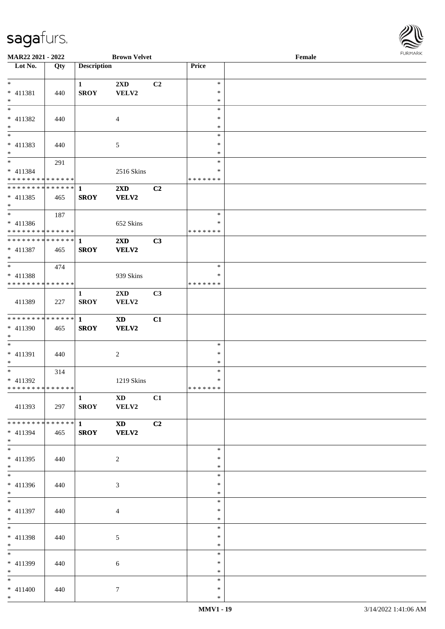

| <b>MAR22 2021 - 2022</b>                   |     |                    | <b>Brown Velvet</b>     |                |               | Female |  |
|--------------------------------------------|-----|--------------------|-------------------------|----------------|---------------|--------|--|
| Lot No.                                    | Qty | <b>Description</b> |                         |                | Price         |        |  |
|                                            |     |                    |                         |                |               |        |  |
| $*$                                        |     | $\mathbf{1}$       | 2XD                     | C <sub>2</sub> | $\ast$        |        |  |
| * 411381                                   | 440 | <b>SROY</b>        | VELV2                   |                | $\ast$        |        |  |
| $*$                                        |     |                    |                         |                | $\ast$        |        |  |
|                                            |     |                    |                         |                | $\ast$        |        |  |
|                                            |     |                    |                         |                |               |        |  |
| * 411382                                   | 440 |                    | 4                       |                | ∗             |        |  |
| $*$                                        |     |                    |                         |                | $\ast$        |        |  |
| $\overline{\phantom{0}}$                   |     |                    |                         |                | $\ast$        |        |  |
| * 411383                                   | 440 |                    | 5                       |                | $\ast$        |        |  |
| $*$                                        |     |                    |                         |                | *             |        |  |
| $*$                                        | 291 |                    |                         |                | $\ast$        |        |  |
|                                            |     |                    |                         |                | ∗             |        |  |
| * 411384                                   |     |                    | 2516 Skins              |                |               |        |  |
| * * * * * * * * * * * * * * *              |     |                    |                         |                | * * * * * * * |        |  |
| ******** <mark>******</mark>               |     | $\mathbf{1}$       | $2\mathbf{X}\mathbf{D}$ | C2             |               |        |  |
| $* 411385$                                 | 465 | <b>SROY</b>        | VELV2                   |                |               |        |  |
| $*$                                        |     |                    |                         |                |               |        |  |
|                                            | 187 |                    |                         |                | $\ast$        |        |  |
| $* 411386$                                 |     |                    | 652 Skins               |                | $\ast$        |        |  |
| * * * * * * * * <mark>* * * * * * *</mark> |     |                    |                         |                | * * * * * * * |        |  |
| ******** <mark>******</mark>               |     |                    |                         |                |               |        |  |
|                                            |     | $\mathbf{1}$       | $2\mathbf{X}\mathbf{D}$ | C3             |               |        |  |
| * 411387                                   | 465 | <b>SROY</b>        | <b>VELV2</b>            |                |               |        |  |
| $\ast$                                     |     |                    |                         |                |               |        |  |
| $*$                                        | 474 |                    |                         |                | $\ast$        |        |  |
| * 411388                                   |     |                    | 939 Skins               |                | ∗             |        |  |
| * * * * * * * * * * * * * *                |     |                    |                         |                | * * * * * * * |        |  |
|                                            |     | $\mathbf{1}$       | $2\mathbf{X}\mathbf{D}$ | C3             |               |        |  |
| 411389                                     | 227 | <b>SROY</b>        |                         |                |               |        |  |
|                                            |     |                    | VELV2                   |                |               |        |  |
|                                            |     |                    |                         |                |               |        |  |
| ******** <mark>******</mark>               |     | $\mathbf{1}$       | <b>XD</b>               | C1             |               |        |  |
| * 411390                                   | 465 | <b>SROY</b>        | VELV2                   |                |               |        |  |
| $*$                                        |     |                    |                         |                |               |        |  |
| $*$                                        |     |                    |                         |                | $\ast$        |        |  |
| * 411391                                   | 440 |                    | $\sqrt{2}$              |                | $\ast$        |        |  |
| $*$                                        |     |                    |                         |                | $\ast$        |        |  |
| $*$                                        |     |                    |                         |                | $\ast$        |        |  |
|                                            | 314 |                    |                         |                |               |        |  |
| * 411392                                   |     |                    | 1219 Skins              |                | $\ast$        |        |  |
| * * * * * * * * * * * * * * *              |     |                    |                         |                | *******       |        |  |
|                                            |     | $\mathbf{1}$       | <b>XD</b>               | C1             |               |        |  |
| 411393                                     | 297 | <b>SROY</b>        | <b>VELV2</b>            |                |               |        |  |
|                                            |     |                    |                         |                |               |        |  |
| * * * * * * * * <mark>* * * * * * *</mark> |     | $1 \qquad \qquad$  | $\mathbf{X}\mathbf{D}$  | C2             |               |        |  |
|                                            |     | <b>SROY</b>        | <b>VELV2</b>            |                |               |        |  |
| * 411394<br>$*$                            | 465 |                    |                         |                |               |        |  |
|                                            |     |                    |                         |                |               |        |  |
| $*$                                        |     |                    |                         |                | $\ast$        |        |  |
| $* 411395$                                 | 440 |                    | $\overline{2}$          |                | $\ast$        |        |  |
| $*$                                        |     |                    |                         |                | $\ast$        |        |  |
| $*$                                        |     |                    |                         |                | $\ast$        |        |  |
| $* 411396$                                 | 440 |                    | 3                       |                | ∗             |        |  |
| $*$                                        |     |                    |                         |                | $\ast$        |        |  |
| $*$                                        |     |                    |                         |                | $\ast$        |        |  |
|                                            |     |                    |                         |                |               |        |  |
| * 411397                                   | 440 |                    | $\overline{4}$          |                | $\ast$        |        |  |
| $*$                                        |     |                    |                         |                | $\ast$        |        |  |
| $*$                                        |     |                    |                         |                | $\ast$        |        |  |
| * 411398                                   | 440 |                    | 5                       |                | $\ast$        |        |  |
| $*$                                        |     |                    |                         |                | $\ast$        |        |  |
| $*$                                        |     |                    |                         |                | $\ast$        |        |  |
|                                            |     |                    |                         |                | ∗             |        |  |
| * 411399                                   | 440 |                    | 6                       |                |               |        |  |
| $*$                                        |     |                    |                         |                | $\ast$        |        |  |
| $*$                                        |     |                    |                         |                | $\ast$        |        |  |
| $* 411400$                                 | 440 |                    | $\tau$                  |                | $\ast$        |        |  |
| $*$                                        |     |                    |                         |                | $\ast$        |        |  |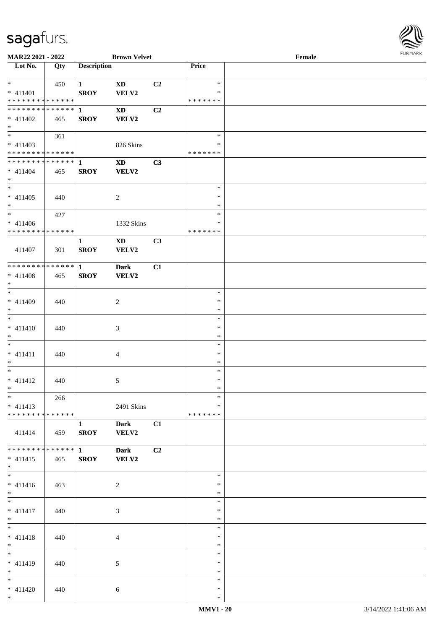

| MAR22 2021 - 2022             |     |                    | <b>Brown Velvet</b>    |    |         | Female |
|-------------------------------|-----|--------------------|------------------------|----|---------|--------|
| Lot No.                       | Qty | <b>Description</b> |                        |    | Price   |        |
|                               |     |                    |                        |    |         |        |
| $*$                           | 450 | $\mathbf{1}$       | <b>XD</b>              | C2 | $\ast$  |        |
| $* 411401$                    |     | <b>SROY</b>        | VELV2                  |    | $\ast$  |        |
|                               |     |                    |                        |    |         |        |
| * * * * * * * * * * * * * *   |     |                    |                        |    | ******* |        |
| * * * * * * * * * * * * * * * |     | $\mathbf{1}$       | <b>XD</b>              | C2 |         |        |
| $* 411402$                    | 465 | <b>SROY</b>        | <b>VELV2</b>           |    |         |        |
| $*$                           |     |                    |                        |    |         |        |
|                               | 361 |                    |                        |    | $\ast$  |        |
| $* 411403$                    |     |                    | 826 Skins              |    | $\ast$  |        |
| * * * * * * * * * * * * * *   |     |                    |                        |    | ******* |        |
|                               |     |                    |                        |    |         |        |
| ******** <mark>******</mark>  |     | $\mathbf{1}$       | $\mathbf{X}\mathbf{D}$ | C3 |         |        |
| $* 411404$                    | 465 | <b>SROY</b>        | VELV2                  |    |         |        |
| $*$                           |     |                    |                        |    |         |        |
|                               |     |                    |                        |    | $\ast$  |        |
| $* 411405$                    | 440 |                    | $\sqrt{2}$             |    | $\ast$  |        |
| $*$                           |     |                    |                        |    | $\ast$  |        |
| $\ast$                        |     |                    |                        |    | $\ast$  |        |
|                               | 427 |                    |                        |    |         |        |
| $* 411406$                    |     |                    | 1332 Skins             |    | $\ast$  |        |
| * * * * * * * * * * * * * *   |     |                    |                        |    | ******* |        |
|                               |     | $\mathbf{1}$       | $\mathbf{X}\mathbf{D}$ | C3 |         |        |
| 411407                        | 301 | <b>SROY</b>        | VELV2                  |    |         |        |
|                               |     |                    |                        |    |         |        |
| * * * * * * * * * * * * * * * |     |                    |                        |    |         |        |
|                               |     | $\mathbf{1}$       | <b>Dark</b>            | C1 |         |        |
| $* 411408$                    | 465 | <b>SROY</b>        | VELV2                  |    |         |        |
| $*$                           |     |                    |                        |    |         |        |
| $*$                           |     |                    |                        |    | $\ast$  |        |
| $* 411409$                    | 440 |                    | $\overline{c}$         |    | $\ast$  |        |
| $*$                           |     |                    |                        |    | $\ast$  |        |
| $*$                           |     |                    |                        |    | $\ast$  |        |
|                               |     |                    |                        |    |         |        |
| $* 411410$                    | 440 |                    | 3                      |    | $\ast$  |        |
| $*$                           |     |                    |                        |    | $\ast$  |        |
| $*$                           |     |                    |                        |    | $\ast$  |        |
| $* 411411$                    | 440 |                    | $\overline{4}$         |    | $\ast$  |        |
| $*$                           |     |                    |                        |    | $\ast$  |        |
| $*$                           |     |                    |                        |    | $\ast$  |        |
|                               |     |                    |                        |    |         |        |
| $* 411412$                    | 440 |                    | 5                      |    | $\ast$  |        |
| $*$ $*$                       |     |                    |                        |    | $\ast$  |        |
| $*$                           | 266 |                    |                        |    | $\ast$  |        |
| $* 411413$                    |     |                    | 2491 Skins             |    | $\ast$  |        |
| * * * * * * * * * * * * * * * |     |                    |                        |    | ******* |        |
|                               |     |                    |                        |    |         |        |
|                               |     | $\mathbf{1}$       | Dark                   | C1 |         |        |
| 411414                        | 459 | <b>SROY</b>        | VELV2                  |    |         |        |
|                               |     |                    |                        |    |         |        |
| * * * * * * * * * * * * * * * |     | $1 \quad$          | <b>Dark</b>            | C2 |         |        |
| $* 411415$                    | 465 | <b>SROY</b>        | VELV2                  |    |         |        |
| $*$                           |     |                    |                        |    |         |        |
| $\overline{\phantom{0}}$      |     |                    |                        |    | $\ast$  |        |
|                               |     |                    |                        |    |         |        |
| $* 411416$                    | 463 |                    | 2                      |    | $\ast$  |        |
| $*$                           |     |                    |                        |    | $\ast$  |        |
| $*$                           |     |                    |                        |    | $\ast$  |        |
| $* 411417$                    | 440 |                    | 3                      |    | $\ast$  |        |
| $*$ $-$                       |     |                    |                        |    | $\ast$  |        |
| $*$                           |     |                    |                        |    | $\ast$  |        |
|                               |     |                    |                        |    |         |        |
| $* 411418$                    | 440 |                    | $\overline{4}$         |    | $\ast$  |        |
| $*$                           |     |                    |                        |    | $\ast$  |        |
| $*$                           |     |                    |                        |    | $\ast$  |        |
| * 411419                      | 440 |                    | 5                      |    | $\ast$  |        |
| $*$                           |     |                    |                        |    | $\ast$  |        |
| $*$                           |     |                    |                        |    | $\ast$  |        |
|                               |     |                    |                        |    |         |        |
| $* 411420$                    | 440 |                    | 6                      |    | $\ast$  |        |
| $*$                           |     |                    |                        |    | $\ast$  |        |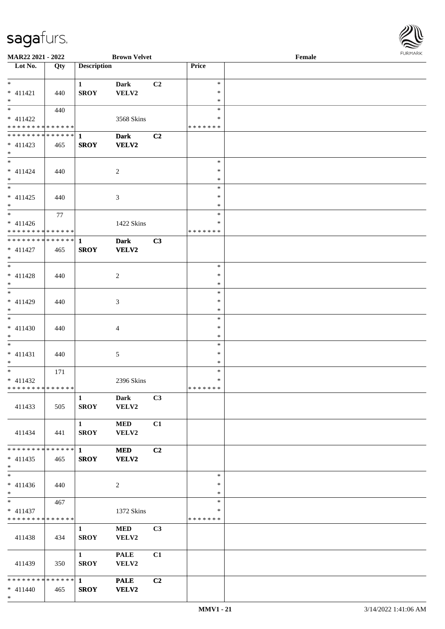

| <b>MAR22 2021 - 2022</b>                   |     |                        | <b>Brown Velvet</b> |                |               | Female |  |
|--------------------------------------------|-----|------------------------|---------------------|----------------|---------------|--------|--|
| Lot No.                                    | Qty | <b>Description</b>     |                     |                | Price         |        |  |
|                                            |     |                        |                     |                |               |        |  |
| $*$                                        |     | $\mathbf{1}$           | <b>Dark</b>         | C2             | $\ast$        |        |  |
| $* 411421$                                 | 440 | <b>SROY</b>            | VELV2               |                | $\ast$        |        |  |
| $\ast$                                     |     |                        |                     |                | $\ast$        |        |  |
|                                            | 440 |                        |                     |                | $\ast$        |        |  |
| $* 411422$                                 |     |                        |                     |                | ∗             |        |  |
|                                            |     |                        | 3568 Skins          |                |               |        |  |
| * * * * * * * * * * * * * *                |     |                        |                     |                | * * * * * * * |        |  |
| ************** 1                           |     |                        | <b>Dark</b>         | C2             |               |        |  |
| $* 411423$                                 | 465 | <b>SROY</b>            | VELV2               |                |               |        |  |
| $*$                                        |     |                        |                     |                |               |        |  |
|                                            |     |                        |                     |                | $\ast$        |        |  |
| $* 411424$                                 | 440 |                        | 2                   |                | $\ast$        |        |  |
| $*$                                        |     |                        |                     |                | $\ast$        |        |  |
|                                            |     |                        |                     |                | $\ast$        |        |  |
| $* 411425$                                 | 440 |                        | $\mathfrak{Z}$      |                | $\ast$        |        |  |
| $*$                                        |     |                        |                     |                | $\ast$        |        |  |
| $*$                                        |     |                        |                     |                | $\ast$        |        |  |
|                                            | 77  |                        |                     |                |               |        |  |
| $* 411426$                                 |     |                        | 1422 Skins          |                | $\ast$        |        |  |
| ******** <mark>******</mark>               |     |                        |                     |                | * * * * * * * |        |  |
| ******** <mark>******</mark>               |     | $\mathbf{1}$           | <b>Dark</b>         | C3             |               |        |  |
| $* 411427$                                 | 465 | <b>SROY</b>            | VELV2               |                |               |        |  |
| $*$                                        |     |                        |                     |                |               |        |  |
|                                            |     |                        |                     |                | $\ast$        |        |  |
| $* 411428$                                 | 440 |                        | 2                   |                | $\ast$        |        |  |
| $*$                                        |     |                        |                     |                | $\ast$        |        |  |
|                                            |     |                        |                     |                | $\ast$        |        |  |
| * 411429                                   | 440 |                        | 3                   |                | $\ast$        |        |  |
| $*$                                        |     |                        |                     |                | $\ast$        |        |  |
|                                            |     |                        |                     |                | $\ast$        |        |  |
|                                            |     |                        |                     |                | $\ast$        |        |  |
| $* 411430$                                 | 440 |                        | $\overline{4}$      |                |               |        |  |
| $*$                                        |     |                        |                     |                | $\ast$        |        |  |
| $*$                                        |     |                        |                     |                | $\ast$        |        |  |
| $* 411431$                                 | 440 |                        | 5                   |                | $\ast$        |        |  |
| $*$                                        |     |                        |                     |                | $\ast$        |        |  |
| $*$                                        | 171 |                        |                     |                | $\ast$        |        |  |
| $* 411432$                                 |     |                        | 2396 Skins          |                | $\ast$        |        |  |
| * * * * * * * * <mark>* * * * * * *</mark> |     |                        |                     |                | * * * * * * * |        |  |
|                                            |     | $\mathbf{1}$           | <b>Dark</b>         | C3             |               |        |  |
| 411433                                     | 505 | <b>SROY</b>            | VELV2               |                |               |        |  |
|                                            |     |                        |                     |                |               |        |  |
|                                            |     | $1 \quad \blacksquare$ | <b>MED</b>          | C1             |               |        |  |
| 411434                                     | 441 | <b>SROY</b>            | VELV2               |                |               |        |  |
|                                            |     |                        |                     |                |               |        |  |
| * * * * * * * * * * * * * * *              |     | $\mathbf{1}$           | <b>MED</b>          | C2             |               |        |  |
|                                            |     |                        |                     |                |               |        |  |
| $* 411435$                                 | 465 | <b>SROY</b>            | VELV2               |                |               |        |  |
| $*$                                        |     |                        |                     |                |               |        |  |
| $*$                                        |     |                        |                     |                | $\ast$        |        |  |
| $* 411436$                                 | 440 |                        | $\overline{c}$      |                | $\ast$        |        |  |
| $*$                                        |     |                        |                     |                | $\ast$        |        |  |
| $*$ $*$                                    | 467 |                        |                     |                | $\ast$        |        |  |
| $* 411437$                                 |     |                        | 1372 Skins          |                | $\ast$        |        |  |
| * * * * * * * * * * * * * *                |     |                        |                     |                | *******       |        |  |
|                                            |     | $\mathbf{1}$           | <b>MED</b>          | C <sub>3</sub> |               |        |  |
| 411438                                     | 434 | <b>SROY</b>            | VELV2               |                |               |        |  |
|                                            |     |                        |                     |                |               |        |  |
|                                            |     | $1 \quad \blacksquare$ | <b>PALE</b>         | C1             |               |        |  |
| 411439                                     | 350 | <b>SROY</b>            | VELV2               |                |               |        |  |
|                                            |     |                        |                     |                |               |        |  |
|                                            |     |                        |                     |                |               |        |  |
|                                            |     |                        | <b>PALE</b>         | C2             |               |        |  |
| $* 411440$                                 | 465 | <b>SROY</b>            | VELV2               |                |               |        |  |
| $*$                                        |     |                        |                     |                |               |        |  |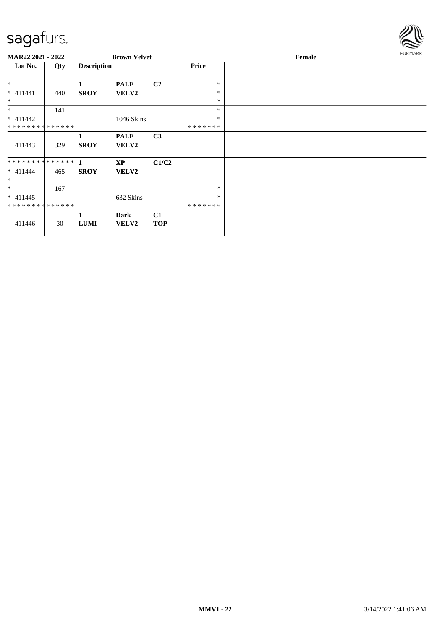

| <b>MAR22 2021 - 2022</b>                    |     |                    | <b>Brown Velvet</b>         |                  |                   | Female |  |  |
|---------------------------------------------|-----|--------------------|-----------------------------|------------------|-------------------|--------|--|--|
| Lot No.                                     | Qty | <b>Description</b> |                             |                  | Price             |        |  |  |
| $*$<br>$* 411441$                           | 440 | 1<br><b>SROY</b>   | <b>PALE</b><br><b>VELV2</b> | C <sub>2</sub>   | $\ast$<br>$\ast$  |        |  |  |
| $\ast$                                      |     |                    |                             |                  | $\ast$            |        |  |  |
| $*$                                         | 141 |                    |                             |                  | $\ast$            |        |  |  |
| $* 411442$<br>**************                |     |                    | 1046 Skins                  |                  | $\ast$<br>******* |        |  |  |
| 411443                                      | 329 | 1<br><b>SROY</b>   | <b>PALE</b><br><b>VELV2</b> | C <sub>3</sub>   |                   |        |  |  |
| $* 411444$<br>$\ast$                        | 465 | <b>SROY</b>        | <b>XP</b><br><b>VELV2</b>   | C1/C2            |                   |        |  |  |
| $*$                                         | 167 |                    |                             |                  | $\ast$            |        |  |  |
| $* 411445$<br>* * * * * * * * * * * * * * * |     |                    | 632 Skins                   |                  | $\ast$<br>******* |        |  |  |
| 411446                                      | 30  | 1<br><b>LUMI</b>   | Dark<br><b>VELV2</b>        | C1<br><b>TOP</b> |                   |        |  |  |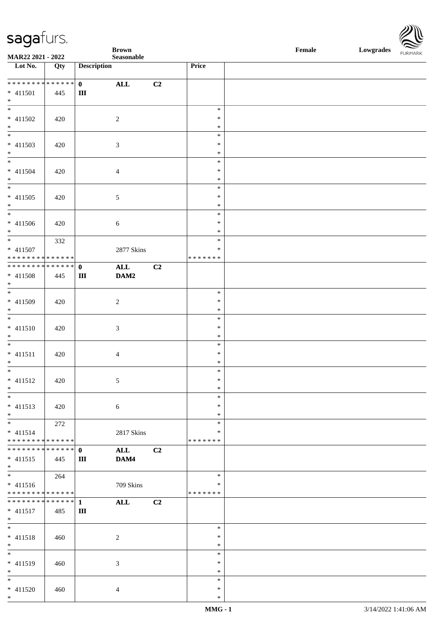| <b>saga</b> furs. |
|-------------------|
|-------------------|



| $\overline{\phantom{a}}$             |                   |                           | <b>Brown</b>   |                |                  | $\ensuremath{\textnormal{\textbf{Female}}}$ | Lowgrades | $\sim$<br>FURMARK |
|--------------------------------------|-------------------|---------------------------|----------------|----------------|------------------|---------------------------------------------|-----------|-------------------|
| MAR22 2021 - 2022                    |                   |                           | Seasonable     |                |                  |                                             |           |                   |
| $\overline{\phantom{1}}$ Lot No.     | $\overline{Q}$ ty | <b>Description</b>        |                |                | Price            |                                             |           |                   |
| ___<br>******** <mark>*******</mark> |                   |                           |                |                |                  |                                             |           |                   |
| $* 411501$                           | 445               | $\mathbf{0}$<br>$\rm III$ | <b>ALL</b>     | C2             |                  |                                             |           |                   |
| $*$                                  |                   |                           |                |                |                  |                                             |           |                   |
| $*$                                  |                   |                           |                |                | $\ast$           |                                             |           |                   |
| $* 411502$                           | 420               |                           | $\sqrt{2}$     |                | $\ast$           |                                             |           |                   |
| $\ast$                               |                   |                           |                |                | $\ast$           |                                             |           |                   |
| $\overline{\phantom{0}}$             |                   |                           |                |                | $\ast$           |                                             |           |                   |
| $* 411503$                           | 420               |                           | $\mathfrak{Z}$ |                | $\ast$           |                                             |           |                   |
| $\ast$                               |                   |                           |                |                | $\ast$           |                                             |           |                   |
| $\overline{\ast}$                    |                   |                           |                |                | $\ast$           |                                             |           |                   |
| $* 411504$                           | 420               |                           | $\overline{4}$ |                | $\ast$           |                                             |           |                   |
| $*$                                  |                   |                           |                |                | $\ast$           |                                             |           |                   |
| $\overline{\phantom{0}}$             |                   |                           |                |                | $\ast$           |                                             |           |                   |
| $* 411505$                           | 420               |                           | $\sqrt{5}$     |                | $\ast$           |                                             |           |                   |
| $*$<br>$\overline{\phantom{0}}$      |                   |                           |                |                | $\ast$           |                                             |           |                   |
|                                      |                   |                           |                |                | $\ast$           |                                             |           |                   |
| $* 411506$                           | 420               |                           | $\sqrt{6}$     |                | $\ast$           |                                             |           |                   |
| $*$<br>$*$                           | 332               |                           |                |                | $\ast$<br>$\ast$ |                                             |           |                   |
| $* 411507$                           |                   |                           | 2877 Skins     |                | $\ast$           |                                             |           |                   |
| * * * * * * * * * * * * * *          |                   |                           |                |                | * * * * * * *    |                                             |           |                   |
| ******** <mark>******</mark>         |                   | $\mathbf{0}$              | $\mathbf{ALL}$ | C2             |                  |                                             |           |                   |
| $* 411508$                           | 445               | $\rm III$                 | DAM2           |                |                  |                                             |           |                   |
| $*$                                  |                   |                           |                |                |                  |                                             |           |                   |
| $\overline{\phantom{0}}$             |                   |                           |                |                | $\ast$           |                                             |           |                   |
| $* 411509$                           | 420               |                           | $\overline{c}$ |                | $\ast$           |                                             |           |                   |
| $*$                                  |                   |                           |                |                | $\ast$           |                                             |           |                   |
| $*$                                  |                   |                           |                |                | $\ast$           |                                             |           |                   |
| $* 411510$                           | 420               |                           | $\mathfrak{Z}$ |                | $\ast$           |                                             |           |                   |
| $*$                                  |                   |                           |                |                | $\ast$           |                                             |           |                   |
| $\ast$                               |                   |                           |                |                | $\ast$           |                                             |           |                   |
| $* 411511$                           | 420               |                           | $\overline{4}$ |                | $\ast$           |                                             |           |                   |
| $*$<br>$\ast$                        |                   |                           |                |                | $\ast$           |                                             |           |                   |
|                                      |                   |                           |                |                | $\ast$<br>$*$    |                                             |           |                   |
| $* 411512$<br>$*$                    | 420               |                           | 5 <sup>5</sup> |                | $\ast$           |                                             |           |                   |
| $*$                                  |                   |                           |                |                | $\ast$           |                                             |           |                   |
| $* 411513$                           | 420               |                           | $\sqrt{6}$     |                | $\ast$           |                                             |           |                   |
| $*$                                  |                   |                           |                |                | $\ast$           |                                             |           |                   |
| $*$                                  | 272               |                           |                |                | $\ast$           |                                             |           |                   |
| $* 411514$                           |                   |                           | 2817 Skins     |                | $\ast$           |                                             |           |                   |
| * * * * * * * * * * * * * * *        |                   |                           |                |                | * * * * * * *    |                                             |           |                   |
| * * * * * * * * * * * * * * *        |                   | $\mathbf{0}$              | <b>ALL</b>     | C <sub>2</sub> |                  |                                             |           |                   |
| $* 411515$                           | 445               | Ш                         | DAM4           |                |                  |                                             |           |                   |
| $*$                                  |                   |                           |                |                |                  |                                             |           |                   |
| $\overline{\phantom{0}}$             | 264               |                           |                |                | $\ast$           |                                             |           |                   |
| $* 411516$                           |                   |                           | 709 Skins      |                | *                |                                             |           |                   |
| * * * * * * * * * * * * * *          |                   |                           |                |                | * * * * * * *    |                                             |           |                   |
| * * * * * * * * * * * * * * *        |                   | $\mathbf{1}$              | ALL            | C <sub>2</sub> |                  |                                             |           |                   |
| $* 411517$<br>$*$                    | 485               | $\rm III$                 |                |                |                  |                                             |           |                   |
| $*$                                  |                   |                           |                |                | $\ast$           |                                             |           |                   |
| $* 411518$                           | 460               |                           | $\overline{c}$ |                | $\ast$           |                                             |           |                   |
| $*$                                  |                   |                           |                |                | $\ast$           |                                             |           |                   |
| $*$                                  |                   |                           |                |                | $\ast$           |                                             |           |                   |
| * 411519                             | 460               |                           | 3              |                | $\ast$           |                                             |           |                   |
| $*$                                  |                   |                           |                |                | $\ast$           |                                             |           |                   |
| $*$                                  |                   |                           |                |                | $\ast$           |                                             |           |                   |
| $* 411520$                           | 460               |                           | $\overline{4}$ |                | $\ast$           |                                             |           |                   |
| $*$                                  |                   |                           |                |                | $\ast$           |                                             |           |                   |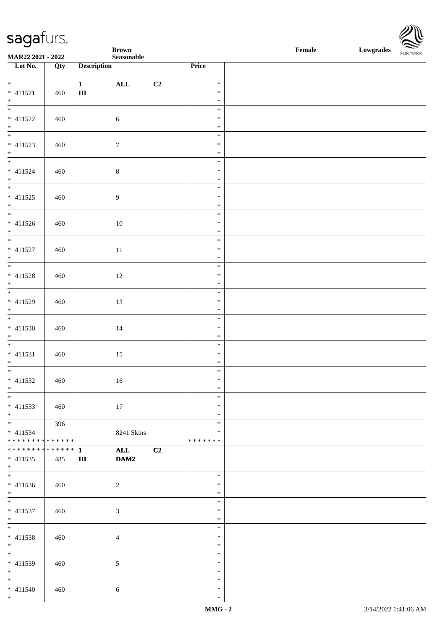\*

**Brown Female Lowgrades**

| MAR22 2021 - 2022             |     |                    | $\bf Seasonable$ |                |                  | <b>FURPIARR</b> |
|-------------------------------|-----|--------------------|------------------|----------------|------------------|-----------------|
| Lot No.                       | Qty | <b>Description</b> |                  |                | Price            |                 |
| $*$                           |     |                    |                  |                |                  |                 |
| $* 411521$                    | 460 | 1<br>$\rm III$     | $\mathbf{ALL}$   | C <sub>2</sub> | $\ast$<br>$\ast$ |                 |
| $*$                           |     |                    |                  |                | $\ast$           |                 |
| $\overline{\ast}$             |     |                    |                  |                | $\ast$           |                 |
| $* 411522$                    | 460 |                    | $\sqrt{6}$       |                | $\ast$           |                 |
|                               |     |                    |                  |                | $\ast$           |                 |
| $*$ $*$                       |     |                    |                  |                | $\ast$           |                 |
| * 411523                      | 460 |                    | $\tau$           |                | $\ast$           |                 |
| $*$                           |     |                    |                  |                | $\ast$           |                 |
| $\overline{\ast}$             |     |                    |                  |                | $\ast$           |                 |
| * 411524                      | 460 |                    | $\,8\,$          |                | $\ast$           |                 |
| $*$                           |     |                    |                  |                | $\ast$<br>$\ast$ |                 |
| $* 411525$                    | 460 |                    | $\boldsymbol{9}$ |                | $\ast$           |                 |
| $*$                           |     |                    |                  |                | $\ast$           |                 |
|                               |     |                    |                  |                | $\ast$           |                 |
| * 411526                      | 460 |                    | 10               |                | $\ast$           |                 |
| $*$                           |     |                    |                  |                | $\ast$           |                 |
| $*$                           |     |                    |                  |                | $\ast$           |                 |
| $* 411527$                    | 460 |                    | 11               |                | $\ast$           |                 |
| $*$                           |     |                    |                  |                | $\ast$           |                 |
|                               |     |                    |                  |                | $\ast$           |                 |
| $* 411528$                    | 460 |                    | 12               |                | $\ast$           |                 |
| $*$                           |     |                    |                  |                | $\ast$<br>$\ast$ |                 |
| * 411529                      | 460 |                    | 13               |                | $\ast$           |                 |
| $*$                           |     |                    |                  |                | $\ast$           |                 |
| $\frac{1}{1}$                 |     |                    |                  |                | $\ast$           |                 |
| * 411530                      | 460 |                    | 14               |                | $\ast$           |                 |
| $*$                           |     |                    |                  |                | $\ast$           |                 |
|                               |     |                    |                  |                | $\ast$           |                 |
| $* 411531$                    | 460 |                    | 15               |                | $\ast$           |                 |
| $*$<br>$\overline{\ast}$      |     |                    |                  |                | $\ast$<br>$\ast$ |                 |
| $* 411532$                    |     |                    |                  |                | $\ast$           |                 |
| $*$                           | 460 |                    | $16\,$           |                | $\ast$           |                 |
|                               |     |                    |                  |                | $\ast$           |                 |
| $* 411533$                    | 460 |                    | 17               |                | $\ast$           |                 |
| $*$                           |     |                    |                  |                | $\ast$           |                 |
| $*$                           | 396 |                    |                  |                | $\ast$           |                 |
| $* 411534$                    |     |                    | 8241 Skins       |                | $\ast$           |                 |
| * * * * * * * * * * * * * * * |     |                    |                  |                | *******          |                 |
|                               |     |                    | <b>ALL</b>       | C <sub>2</sub> |                  |                 |
| $* 411535$<br>$*$             | 485 | $\rm III$          | DAM2             |                |                  |                 |
| $\frac{1}{1}$                 |     |                    |                  |                | $\ast$           |                 |
| * 411536                      | 460 |                    | $\overline{2}$   |                | $\ast$           |                 |
| $*$                           |     |                    |                  |                | $\ast$           |                 |
|                               |     |                    |                  |                | $\ast$           |                 |
| $* 411537$                    | 460 |                    | $\mathfrak{Z}$   |                | $\ast$           |                 |
| $*$                           |     |                    |                  |                | $\ast$           |                 |
| $*$                           |     |                    |                  |                | $\ast$           |                 |
| * 411538                      | 460 |                    | $\overline{4}$   |                | $\ast$           |                 |
| $*$<br>$*$                    |     |                    |                  |                | $\ast$<br>$\ast$ |                 |
| * 411539                      | 460 |                    | $\mathfrak{S}$   |                | $\ast$           |                 |
| $*$                           |     |                    |                  |                | $\ast$           |                 |
| $*$                           |     |                    |                  |                | $\ast$           |                 |
| $* 411540$                    | 460 |                    | $\sqrt{6}$       |                | $\ast$           |                 |
| $*$                           |     |                    |                  |                | $\ast$           |                 |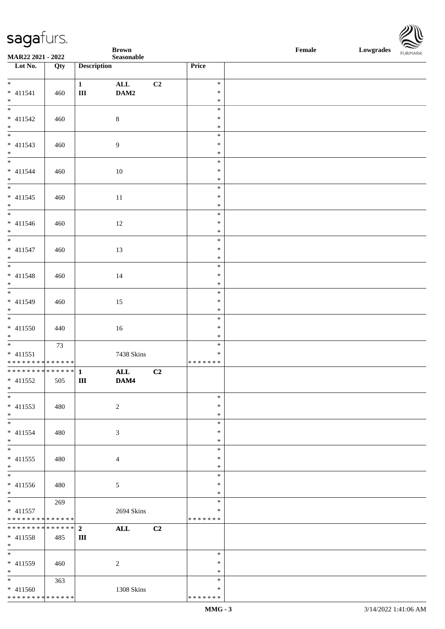| <b>Single Security</b>                                |     |                             | <b>Brown</b>           |                |                                   | Female | $\sum$<br>Lowgrades<br>FURMARK |
|-------------------------------------------------------|-----|-----------------------------|------------------------|----------------|-----------------------------------|--------|--------------------------------|
| MAR22 2021 - 2022<br>$\overline{\phantom{1}}$ Lot No. |     |                             | ${\bf Seasonable}$     |                |                                   |        |                                |
|                                                       | Qty | <b>Description</b>          |                        |                | Price                             |        |                                |
| $* 411541$<br>$*$                                     | 460 | 1<br>$\rm III$              | $\mathbf{ALL}$<br>DAM2 | C <sub>2</sub> | $\ast$<br>$\ast$<br>$\ast$        |        |                                |
| $\overline{\phantom{0}}$<br>$* 411542$<br>$*$         | 460 |                             | $8\,$                  |                | $\ast$<br>$\ast$<br>$\ast$        |        |                                |
| $\frac{1}{1}$<br>$* 411543$<br>$*$                    | 460 |                             | 9                      |                | $\ast$<br>$\ast$<br>$\ast$        |        |                                |
| $* 411544$<br>$\ast$                                  | 460 |                             | 10                     |                | $\ast$<br>$\ast$<br>$\ast$        |        |                                |
| $\overline{\phantom{0}}$<br>$* 411545$<br>$*$         | 460 |                             | $11\,$                 |                | $\ast$<br>$\ast$<br>$\ast$        |        |                                |
| $* 411546$<br>$\ast$                                  | 460 |                             | 12                     |                | $\ast$<br>$\ast$<br>$\ast$        |        |                                |
| $\overline{\ast}$<br>$* 411547$<br>$*$                | 460 |                             | 13                     |                | $\ast$<br>$\ast$<br>$\ast$        |        |                                |
| $\overline{\phantom{0}}$<br>$* 411548$<br>$\ast$      | 460 |                             | 14                     |                | $\ast$<br>$\ast$<br>$\ast$        |        |                                |
| $\overline{\phantom{0}}$<br>$* 411549$<br>$*$         | 460 |                             | 15                     |                | $\ast$<br>$\ast$<br>$\ast$        |        |                                |
| $\overline{\phantom{0}}$<br>$* 411550$<br>$*$         | 440 |                             | 16                     |                | $\ast$<br>$\ast$<br>$\ast$        |        |                                |
| $* 411551$<br>* * * * * * * * * * * * * *             | 73  |                             | 7438 Skins             |                | $\ast$<br>$\ast$<br>* * * * * * * |        |                                |
| ************** 1<br>$* 411552$<br>$\ast$              | 505 | $\mathbf{III}$              | <b>ALL</b><br>DAM4     | C2             |                                   |        |                                |
| $\overline{\phantom{0}}$<br>$* 411553$<br>$*$         | 480 |                             | $\overline{2}$         |                | $\ast$<br>$\ast$<br>$\ast$        |        |                                |
| $*$<br>$* 411554$<br>$*$                              | 480 |                             | 3                      |                | $\ast$<br>$\ast$<br>$\ast$        |        |                                |
| $\overline{\phantom{0}}$<br>$* 411555$<br>$*$         | 480 |                             | 4                      |                | $\ast$<br>∗<br>$\ast$             |        |                                |
| $\overline{\phantom{a}^*}$<br>$* 411556$<br>$*$       | 480 |                             | 5                      |                | $\ast$<br>$\ast$<br>$\ast$        |        |                                |
| $*$<br>$* 411557$<br>* * * * * * * * * * * * * *      | 269 |                             | 2694 Skins             |                | $\ast$<br>∗<br>* * * * * * *      |        |                                |
| **************<br>$* 411558$<br>$*$                   | 485 | $\overline{2}$<br>$\rm III$ | ALL                    | C2             |                                   |        |                                |
| $\ast$<br>* 411559<br>$*$                             | 460 |                             | $\overline{c}$         |                | $\ast$<br>$\ast$<br>$\ast$        |        |                                |
| $*$<br>* 411560<br>**************                     | 363 |                             | 1308 Skins             |                | $\ast$<br>$\ast$<br>* * * * * * * |        |                                |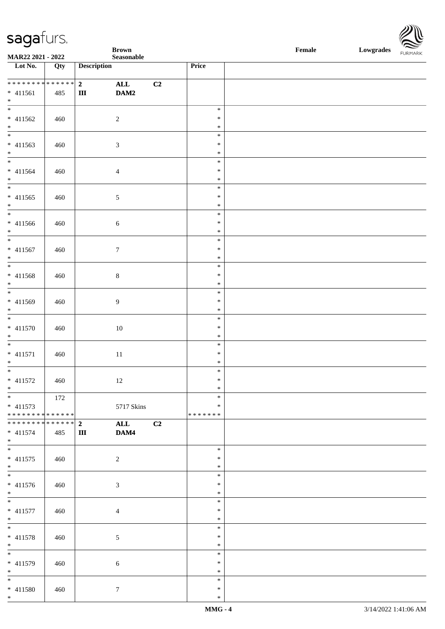\*



| sagafurs.                                                       |            |                     |                            |                |                                      |        |           |                |
|-----------------------------------------------------------------|------------|---------------------|----------------------------|----------------|--------------------------------------|--------|-----------|----------------|
| MAR22 2021 - 2022                                               |            |                     | <b>Brown</b><br>Seasonable |                |                                      | Female | Lowgrades | <b>FURMARK</b> |
| Lot No.                                                         | Qty        | <b>Description</b>  |                            |                | Price                                |        |           |                |
| ***************<br>$* 411561$<br>$*$                            | 485        | 2 <sup>1</sup><br>Ш | ALL<br>DAM2                | C2             |                                      |        |           |                |
| $\overline{\ast}$<br>* 411562<br>$*$                            | 460        | $\boldsymbol{2}$    |                            |                | $\ast$<br>$\ast$<br>$\ast$           |        |           |                |
| $* 411563$<br>$*$<br>$\overline{\phantom{0}}$                   | 460        | $\mathfrak{Z}$      |                            |                | $\ast$<br>$\ast$<br>$\ast$<br>$\ast$ |        |           |                |
| * 411564<br>$*$<br>$\overline{\ast}$                            | 460        | $\overline{4}$      |                            |                | $\ast$<br>$\ast$<br>$\ast$           |        |           |                |
| $* 411565$<br>$\ast$                                            | 460        | $\sqrt{5}$          |                            |                | $\ast$<br>$\ast$<br>$\ast$           |        |           |                |
| * 411566<br>$*$<br>$\overline{\ast}$                            | 460        | $\sqrt{6}$          |                            |                | $\ast$<br>$\ast$<br>$\ast$           |        |           |                |
| $* 411567$<br>$\ast$                                            | 460        | $\boldsymbol{7}$    |                            |                | $\ast$<br>$\ast$<br>$\ast$           |        |           |                |
| $* 411568$<br>$\ast$<br>$\overline{\ast}$                       | 460        | $8\,$               |                            |                | $\ast$<br>$\ast$<br>$\ast$           |        |           |                |
| $* 411569$<br>$\ast$<br>$\ast$                                  | 460        | 9                   |                            |                | $\ast$<br>$\ast$<br>$\ast$           |        |           |                |
| $* 411570$<br>$\ast$<br>$\overline{\phantom{0}}$                | 460        |                     | $10\,$                     |                | $\ast$<br>$\ast$<br>$\ast$           |        |           |                |
| $* 411571$<br>$\ddot{x}$<br>$\overline{\ast}$                   | 460        | $11\,$              |                            |                | $\ast$<br>*<br>$\ast$                |        |           |                |
| $* 411572$<br>$*$                                               | 460<br>172 |                     | 12                         |                | $\ast$<br>$\ast$<br>$\ast$           |        |           |                |
| $* 411573$<br>* * * * * * * * <mark>* * * * * * *</mark>        |            |                     | 5717 Skins                 |                | $\ast$<br>* * * * * * *              |        |           |                |
| * * * * * * * * <mark>* * * * * * *</mark><br>$* 411574$<br>$*$ | 485        | $2^{\circ}$<br>Ш    | <b>ALL</b><br>DAM4         | C <sub>2</sub> |                                      |        |           |                |
| $* 411575$<br>$\ast$                                            | 460        | 2                   |                            |                | $\ast$<br>$\ast$<br>$\ast$<br>$\ast$ |        |           |                |
| * 411576<br>$\ast$<br>$*$                                       | 460        | $\mathfrak{Z}$      |                            |                | $\ast$<br>$\ast$<br>$\ast$           |        |           |                |
| * 411577<br>$*$<br>$\ddot{x}$                                   | 460        | $\overline{4}$      |                            |                | $\ast$<br>$\ast$<br>$\ast$           |        |           |                |
| * 411578<br>$*$                                                 | 460        | $\mathfrak{S}$      |                            |                | $\ast$<br>$\ast$<br>$\ast$           |        |           |                |
| * 411579<br>$*$ $-$<br>$*$                                      | 460        | $\sqrt{6}$          |                            |                | $\ast$<br>$\ast$<br>$\ast$           |        |           |                |
| * 411580<br>$\ast$                                              | 460        | $7\phantom{.0}$     |                            |                | ∗<br>$\ast$                          |        |           |                |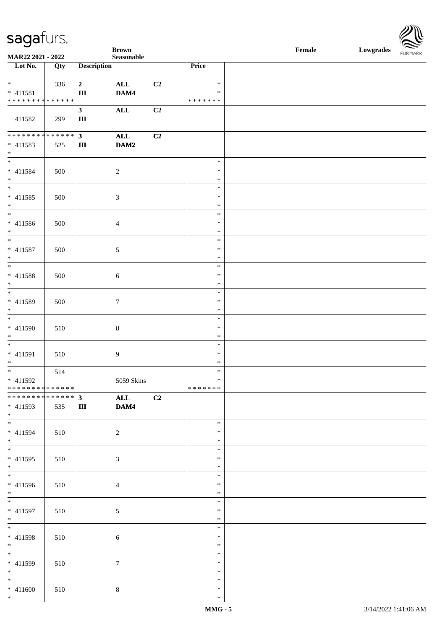| $\tilde{\phantom{a}}$                |     |                    | <b>Brown</b>            |    |                  | $\ensuremath{\textnormal{\textbf{Female}}}$ | Lowgrades | $\sim$<br><b>FURMARK</b> |
|--------------------------------------|-----|--------------------|-------------------------|----|------------------|---------------------------------------------|-----------|--------------------------|
| MAR22 2021 - 2022                    |     |                    | ${\bf Seasonable}$      |    |                  |                                             |           |                          |
| $\overline{\phantom{1}}$ Lot No.     | Qty | <b>Description</b> |                         |    | Price            |                                             |           |                          |
| $\ast$                               | 336 | $\overline{2}$     | $\mathbf{ALL}$          | C2 | $\ast$           |                                             |           |                          |
| $* 411581$                           |     | $\rm III$          | DAM4                    |    | $\ast$           |                                             |           |                          |
| **************                       |     |                    |                         |    | * * * * * * *    |                                             |           |                          |
|                                      |     | 3 <sup>1</sup>     | <b>ALL</b>              | C2 |                  |                                             |           |                          |
| 411582                               | 299 | $\rm III$          |                         |    |                  |                                             |           |                          |
|                                      |     |                    |                         |    |                  |                                             |           |                          |
| ******** <mark>******</mark>         |     | $\mathbf{3}$       | $\mathbf{ALL}$          | C2 |                  |                                             |           |                          |
| $* 411583$                           | 525 | Ш                  | DAM2                    |    |                  |                                             |           |                          |
| $\ast$                               |     |                    |                         |    |                  |                                             |           |                          |
| $\overline{\phantom{0}}$             |     |                    |                         |    | $\ast$           |                                             |           |                          |
| $* 411584$                           | 500 |                    | $\sqrt{2}$              |    | $\ast$           |                                             |           |                          |
| $\ast$<br>$\overline{\phantom{a}^*}$ |     |                    |                         |    | $\ast$           |                                             |           |                          |
|                                      |     |                    |                         |    | $\ast$           |                                             |           |                          |
| $* 411585$                           | 500 |                    | $\mathfrak{Z}$          |    | $\ast$           |                                             |           |                          |
| $\ast$<br>$_{\ast}^{-}$              |     |                    |                         |    | $\ast$<br>$\ast$ |                                             |           |                          |
|                                      |     |                    |                         |    | $\ast$           |                                             |           |                          |
| $* 411586$<br>$\ast$                 | 500 |                    | $\overline{4}$          |    | $\ast$           |                                             |           |                          |
| $\overline{\phantom{a}^*}$           |     |                    |                         |    | $\ast$           |                                             |           |                          |
| $* 411587$                           | 500 |                    | $\mathfrak{S}$          |    | $\ast$           |                                             |           |                          |
| $\ast$                               |     |                    |                         |    | $\ast$           |                                             |           |                          |
| $\ast$                               |     |                    |                         |    | $\ast$           |                                             |           |                          |
| $* 411588$                           | 500 |                    | $\sqrt{6}$              |    | $\ast$           |                                             |           |                          |
| $\ast$                               |     |                    |                         |    | $\ast$           |                                             |           |                          |
| $_{\ast}^{-}$                        |     |                    |                         |    | $\ast$           |                                             |           |                          |
| * 411589                             | 500 |                    | $7\phantom{.0}$         |    | $\ast$           |                                             |           |                          |
| $\ast$                               |     |                    |                         |    | $\ast$           |                                             |           |                          |
| $\overline{\phantom{a}^*}$           |     |                    |                         |    | $\ast$           |                                             |           |                          |
| * 411590                             | 510 |                    | $8\,$                   |    | $\ast$           |                                             |           |                          |
| $\ast$<br>$\ast$                     |     |                    |                         |    | $\ast$           |                                             |           |                          |
|                                      |     |                    |                         |    | $\ast$<br>$\ast$ |                                             |           |                          |
| $* 411591$<br>$\ast$                 | 510 |                    | $\overline{9}$          |    | $\ast$           |                                             |           |                          |
| $_{*}$                               | 514 |                    |                         |    | $\ast$           |                                             |           |                          |
| $* 411592$                           |     |                    | 5059 Skins              |    | $\ast$           |                                             |           |                          |
| **************                       |     |                    |                         |    | *******          |                                             |           |                          |
| ************** 3                     |     |                    | $\overline{\text{ALL}}$ | C2 |                  |                                             |           |                          |
| $* 411593$                           | 535 | Ш                  | DAM4                    |    |                  |                                             |           |                          |
| $*$                                  |     |                    |                         |    |                  |                                             |           |                          |
| $_{\ast}^{-}$                        |     |                    |                         |    | $\ast$           |                                             |           |                          |
| $* 411594$                           | 510 |                    | $\overline{2}$          |    | $\ast$           |                                             |           |                          |
| $*$<br>$\overline{\ast}$             |     |                    |                         |    | $\ast$           |                                             |           |                          |
|                                      |     |                    |                         |    | $\ast$           |                                             |           |                          |
| $* 411595$<br>$*$                    | 510 |                    | $\mathfrak{Z}$          |    | $\ast$<br>$\ast$ |                                             |           |                          |
| $\overline{\phantom{a}}$             |     |                    |                         |    | $\ast$           |                                             |           |                          |
| $* 411596$                           | 510 |                    | $\overline{4}$          |    | $\ast$           |                                             |           |                          |
| $*$                                  |     |                    |                         |    | $\ast$           |                                             |           |                          |
| $\overline{\phantom{a}^*}$           |     |                    |                         |    | $\ast$           |                                             |           |                          |
| $* 411597$                           | 510 |                    | $\mathfrak{S}$          |    | $\ast$           |                                             |           |                          |
| $*$                                  |     |                    |                         |    | $\ast$           |                                             |           |                          |
| $\overline{\phantom{a}^*}$           |     |                    |                         |    | $\ast$           |                                             |           |                          |
| $* 411598$                           | 510 |                    | $\sqrt{6}$              |    | $\ast$           |                                             |           |                          |
| $*$                                  |     |                    |                         |    | $\ast$           |                                             |           |                          |
| $\overline{\phantom{a}^*}$           |     |                    |                         |    | $\ast$           |                                             |           |                          |
| $* 411599$                           | 510 |                    | $\boldsymbol{7}$        |    | $\ast$           |                                             |           |                          |
| $*$<br>$\overline{\phantom{0}}$      |     |                    |                         |    | $\ast$           |                                             |           |                          |
|                                      |     |                    |                         |    | $\ast$<br>$\ast$ |                                             |           |                          |
| $* 411600$<br>$\ast$                 | 510 |                    | $8\,$                   |    | $\ast$           |                                             |           |                          |
|                                      |     |                    |                         |    |                  |                                             |           |                          |